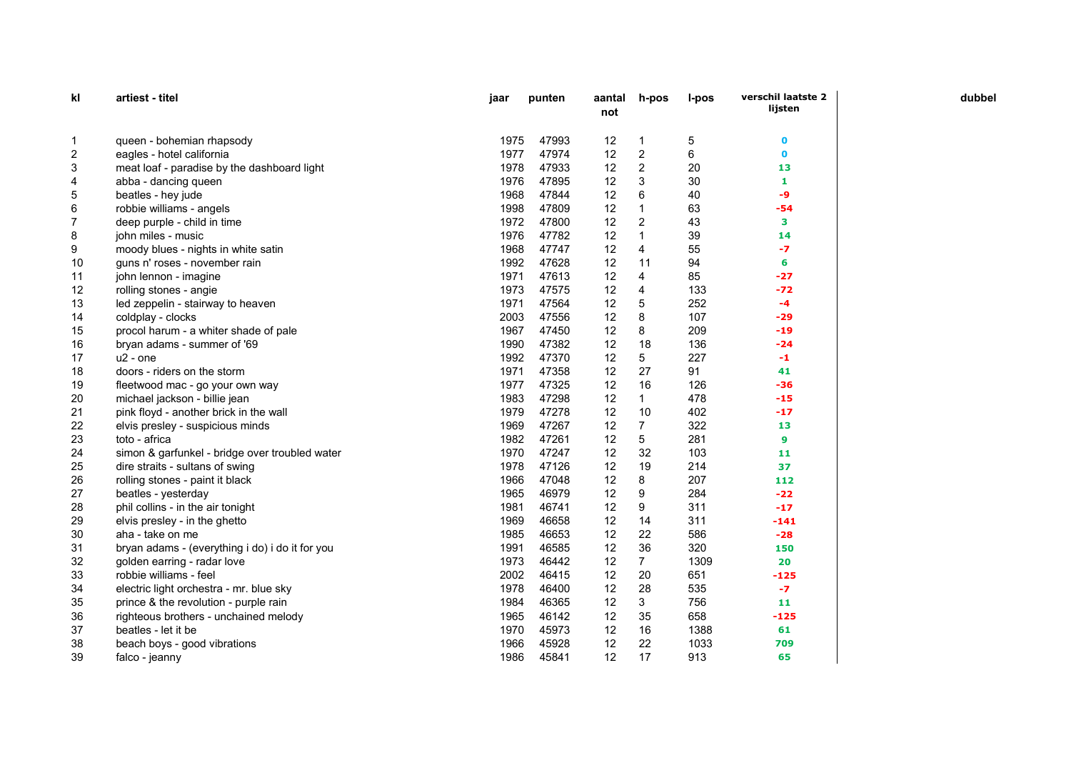| kl             | artiest - titel                                 | jaar | punten | aantal<br>not | h-pos          | l-pos | verschil laatste 2<br>lijsten |
|----------------|-------------------------------------------------|------|--------|---------------|----------------|-------|-------------------------------|
| 1              | queen - bohemian rhapsody                       | 1975 | 47993  | 12            | 1              | 5     | 0                             |
| $\overline{2}$ | eagles - hotel california                       | 1977 | 47974  | 12            | $\overline{c}$ | 6     | $\mathbf 0$                   |
| 3              | meat loaf - paradise by the dashboard light     | 1978 | 47933  | 12            | $\overline{c}$ | 20    | 13                            |
| 4              | abba - dancing queen                            | 1976 | 47895  | 12            | 3              | 30    | 1                             |
| 5              | beatles - hey jude                              | 1968 | 47844  | 12            | 6              | 40    | -9                            |
| 6              | robbie williams - angels                        | 1998 | 47809  | 12            | $\mathbf{1}$   | 63    | -54                           |
| 7              | deep purple - child in time                     | 1972 | 47800  | 12            | $\overline{2}$ | 43    | з                             |
| 8              | john miles - music                              | 1976 | 47782  | 12            | $\mathbf{1}$   | 39    | 14                            |
| 9              | moody blues - nights in white satin             | 1968 | 47747  | 12            | 4              | 55    | -7                            |
| 10             | guns n' roses - november rain                   | 1992 | 47628  | 12            | 11             | 94    | 6                             |
| 11             | john lennon - imagine                           | 1971 | 47613  | 12            | 4              | 85    | $-27$                         |
| 12             | rolling stones - angie                          | 1973 | 47575  | 12            | 4              | 133   | $-72$                         |
| 13             | led zeppelin - stairway to heaven               | 1971 | 47564  | 12            | 5              | 252   | $-4$                          |
| 14             | coldplay - clocks                               | 2003 | 47556  | 12            | 8              | 107   | $-29$                         |
| 15             | procol harum - a whiter shade of pale           | 1967 | 47450  | 12            | 8              | 209   | $-19$                         |
| 16             | bryan adams - summer of '69                     | 1990 | 47382  | 12            | 18             | 136   | $-24$                         |
| 17             | $u2$ - one                                      | 1992 | 47370  | 12            | 5              | 227   | $-1$                          |
| 18             | doors - riders on the storm                     | 1971 | 47358  | 12            | 27             | 91    | 41                            |
| 19             | fleetwood mac - go your own way                 | 1977 | 47325  | 12            | 16             | 126   | -36                           |
| 20             | michael jackson - billie jean                   | 1983 | 47298  | 12            | $\mathbf{1}$   | 478   | $-15$                         |
| 21             | pink floyd - another brick in the wall          | 1979 | 47278  | 12            | 10             | 402   | $-17$                         |
| 22             | elvis presley - suspicious minds                | 1969 | 47267  | 12            | $\overline{7}$ | 322   | 13                            |
| 23             | toto - africa                                   | 1982 | 47261  | 12            | 5              | 281   | 9                             |
| 24             | simon & garfunkel - bridge over troubled water  | 1970 | 47247  | 12            | 32             | 103   | 11                            |
| 25             | dire straits - sultans of swing                 | 1978 | 47126  | 12            | 19             | 214   | 37                            |
| 26             | rolling stones - paint it black                 | 1966 | 47048  | 12            | 8              | 207   | 112                           |
| 27             | beatles - yesterday                             | 1965 | 46979  | 12            | 9              | 284   | $-22$                         |
| 28             | phil collins - in the air tonight               | 1981 | 46741  | 12            | 9              | 311   | $-17$                         |
| 29             | elvis presley - in the ghetto                   | 1969 | 46658  | 12            | 14             | 311   | $-141$                        |
| 30             | aha - take on me                                | 1985 | 46653  | 12            | 22             | 586   | $-28$                         |
| 31             | bryan adams - (everything i do) i do it for you | 1991 | 46585  | 12            | 36             | 320   | 150                           |
| 32             | golden earring - radar love                     | 1973 | 46442  | 12            | $\overline{7}$ | 1309  | 20                            |
| 33             | robbie williams - feel                          | 2002 | 46415  | 12            | 20             | 651   | $-125$                        |
| 34             | electric light orchestra - mr. blue sky         | 1978 | 46400  | 12            | 28             | 535   | $-7$                          |
| 35             | prince & the revolution - purple rain           | 1984 | 46365  | 12            | 3              | 756   | 11                            |
| 36             | righteous brothers - unchained melody           | 1965 | 46142  | 12            | 35             | 658   | $-125$                        |
| 37             | beatles - let it be                             | 1970 | 45973  | 12            | 16             | 1388  | 61                            |
| 38             | beach boys - good vibrations                    | 1966 | 45928  | 12            | 22             | 1033  | 709                           |
| 39             | falco - jeanny                                  | 1986 | 45841  | 12            | 17             | 913   | 65                            |

dubbel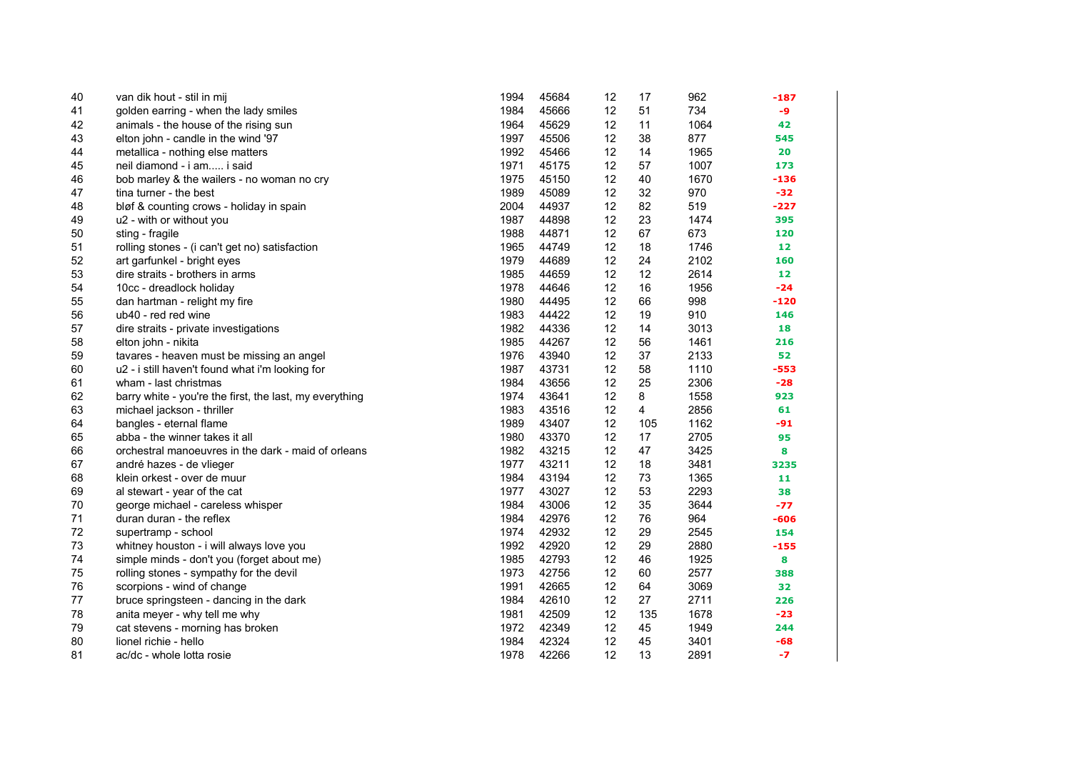| 40 | van dik hout - stil in mij                              | 1994 | 45684 | 12 | 17             | 962  | $-187$ |
|----|---------------------------------------------------------|------|-------|----|----------------|------|--------|
| 41 | golden earring - when the lady smiles                   | 1984 | 45666 | 12 | 51             | 734  | -9     |
| 42 | animals - the house of the rising sun                   | 1964 | 45629 | 12 | 11             | 1064 | 42     |
| 43 | elton john - candle in the wind '97                     | 1997 | 45506 | 12 | 38             | 877  | 545    |
| 44 | metallica - nothing else matters                        | 1992 | 45466 | 12 | 14             | 1965 | 20     |
| 45 | neil diamond - i am i said                              | 1971 | 45175 | 12 | 57             | 1007 | 173    |
| 46 | bob marley & the wailers - no woman no cry              | 1975 | 45150 | 12 | 40             | 1670 | $-136$ |
| 47 | tina turner - the best                                  | 1989 | 45089 | 12 | 32             | 970  | $-32$  |
| 48 | bløf & counting crows - holiday in spain                | 2004 | 44937 | 12 | 82             | 519  | -227   |
| 49 | u2 - with or without you                                | 1987 | 44898 | 12 | 23             | 1474 | 395    |
| 50 | sting - fragile                                         | 1988 | 44871 | 12 | 67             | 673  | 120    |
| 51 | rolling stones - (i can't get no) satisfaction          | 1965 | 44749 | 12 | 18             | 1746 | 12     |
| 52 | art garfunkel - bright eyes                             | 1979 | 44689 | 12 | 24             | 2102 | 160    |
| 53 | dire straits - brothers in arms                         | 1985 | 44659 | 12 | 12             | 2614 | 12     |
| 54 | 10cc - dreadlock holiday                                | 1978 | 44646 | 12 | 16             | 1956 | $-24$  |
| 55 | dan hartman - relight my fire                           | 1980 | 44495 | 12 | 66             | 998  | $-120$ |
| 56 | ub40 - red red wine                                     | 1983 | 44422 | 12 | 19             | 910  | 146    |
| 57 | dire straits - private investigations                   | 1982 | 44336 | 12 | 14             | 3013 | 18     |
| 58 | elton john - nikita                                     | 1985 | 44267 | 12 | 56             | 1461 | 216    |
| 59 | tavares - heaven must be missing an angel               | 1976 | 43940 | 12 | 37             | 2133 | 52     |
| 60 | u2 - i still haven't found what i'm looking for         | 1987 | 43731 | 12 | 58             | 1110 | $-553$ |
| 61 | wham - last christmas                                   | 1984 | 43656 | 12 | 25             | 2306 | $-28$  |
| 62 | barry white - you're the first, the last, my everything | 1974 | 43641 | 12 | 8              | 1558 | 923    |
| 63 | michael jackson - thriller                              | 1983 | 43516 | 12 | $\overline{4}$ | 2856 | 61     |
| 64 | bangles - eternal flame                                 | 1989 | 43407 | 12 | 105            | 1162 | $-91$  |
| 65 | abba - the winner takes it all                          | 1980 | 43370 | 12 | 17             | 2705 | 95     |
| 66 | orchestral manoeuvres in the dark - maid of orleans     | 1982 | 43215 | 12 | 47             | 3425 | 8      |
| 67 | andré hazes - de vlieger                                | 1977 | 43211 | 12 | 18             | 3481 | 3235   |
| 68 | klein orkest - over de muur                             | 1984 | 43194 | 12 | 73             | 1365 | 11     |
| 69 | al stewart - year of the cat                            | 1977 | 43027 | 12 | 53             | 2293 | 38     |
| 70 | george michael - careless whisper                       | 1984 | 43006 | 12 | 35             | 3644 | $-77$  |
| 71 | duran duran - the reflex                                | 1984 | 42976 | 12 | 76             | 964  | $-606$ |
| 72 | supertramp - school                                     | 1974 | 42932 | 12 | 29             | 2545 | 154    |
| 73 | whitney houston - i will always love you                | 1992 | 42920 | 12 | 29             | 2880 | $-155$ |
| 74 | simple minds - don't you (forget about me)              | 1985 | 42793 | 12 | 46             | 1925 | 8      |
| 75 | rolling stones - sympathy for the devil                 | 1973 | 42756 | 12 | 60             | 2577 | 388    |
| 76 | scorpions - wind of change                              | 1991 | 42665 | 12 | 64             | 3069 | 32     |
| 77 | bruce springsteen - dancing in the dark                 | 1984 | 42610 | 12 | 27             | 2711 | 226    |
| 78 | anita meyer - why tell me why                           | 1981 | 42509 | 12 | 135            | 1678 | $-23$  |
| 79 | cat stevens - morning has broken                        | 1972 | 42349 | 12 | 45             | 1949 | 244    |
| 80 | lionel richie - hello                                   | 1984 | 42324 | 12 | 45             | 3401 | $-68$  |
| 81 | ac/dc - whole lotta rosie                               | 1978 | 42266 | 12 | 13             | 2891 | $-7$   |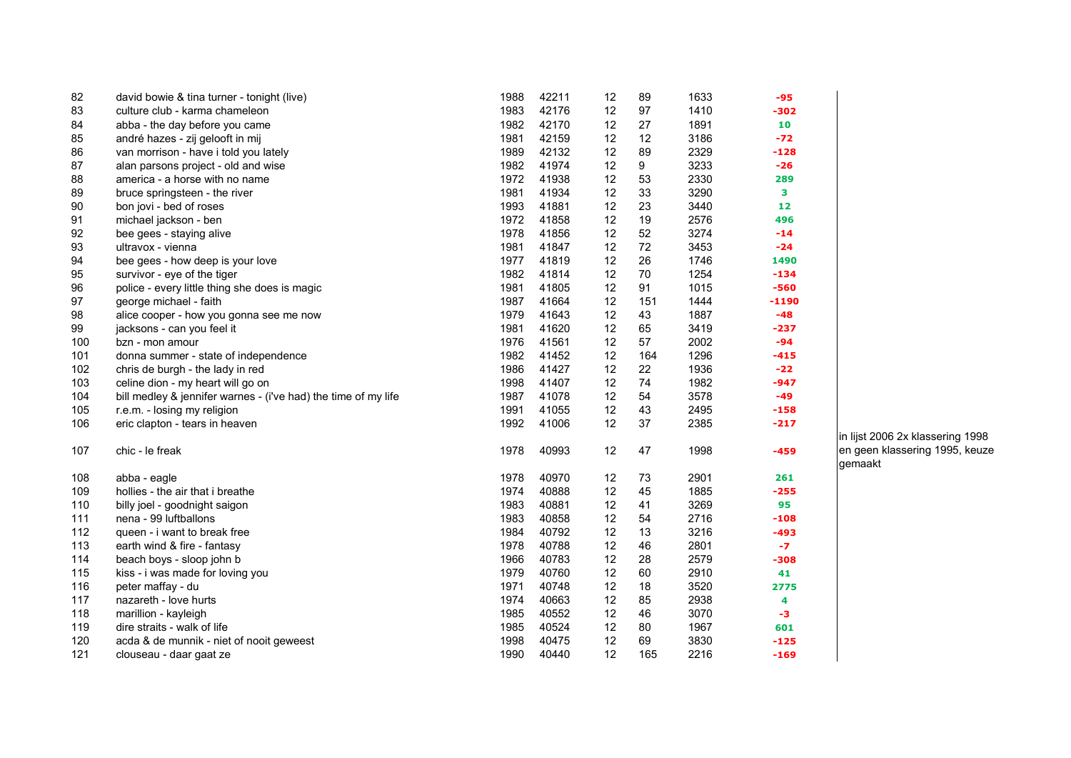| 82  | david bowie & tina turner - tonight (live)                     | 1988 | 42211 | 12 | 89  | 1633 | $-95$  |
|-----|----------------------------------------------------------------|------|-------|----|-----|------|--------|
| 83  | culture club - karma chameleon                                 | 1983 | 42176 | 12 | 97  | 1410 | -302   |
| 84  | abba - the day before you came                                 | 1982 | 42170 | 12 | 27  | 1891 | 10     |
| 85  | andré hazes - zij gelooft in mij                               | 1981 | 42159 | 12 | 12  | 3186 | $-72$  |
| 86  | van morrison - have i told you lately                          | 1989 | 42132 | 12 | 89  | 2329 | -128   |
| 87  | alan parsons project - old and wise                            | 1982 | 41974 | 12 | 9   | 3233 | $-26$  |
| 88  | america - a horse with no name                                 | 1972 | 41938 | 12 | 53  | 2330 | 289    |
| 89  | bruce springsteen - the river                                  | 1981 | 41934 | 12 | 33  | 3290 | 3      |
| 90  | bon jovi - bed of roses                                        | 1993 | 41881 | 12 | 23  | 3440 | 12     |
| 91  | michael jackson - ben                                          | 1972 | 41858 | 12 | 19  | 2576 | 496    |
| 92  | bee gees - staying alive                                       | 1978 | 41856 | 12 | 52  | 3274 | $-14$  |
| 93  | ultravox - vienna                                              | 1981 | 41847 | 12 | 72  | 3453 | $-24$  |
| 94  | bee gees - how deep is your love                               | 1977 | 41819 | 12 | 26  | 1746 | 1490   |
| 95  | survivor - eye of the tiger                                    | 1982 | 41814 | 12 | 70  | 1254 | $-134$ |
| 96  | police - every little thing she does is magic                  | 1981 | 41805 | 12 | 91  | 1015 | $-560$ |
| 97  | george michael - faith                                         | 1987 | 41664 | 12 | 151 | 1444 | -1190  |
| 98  | alice cooper - how you gonna see me now                        | 1979 | 41643 | 12 | 43  | 1887 | $-48$  |
| 99  | jacksons - can you feel it                                     | 1981 | 41620 | 12 | 65  | 3419 | -237   |
| 100 | bzn - mon amour                                                | 1976 | 41561 | 12 | 57  | 2002 | -94    |
| 101 | donna summer - state of independence                           | 1982 | 41452 | 12 | 164 | 1296 | -415   |
| 102 | chris de burgh - the lady in red                               | 1986 | 41427 | 12 | 22  | 1936 | $-22$  |
| 103 | celine dion - my heart will go on                              | 1998 | 41407 | 12 | 74  | 1982 | $-947$ |
| 104 | bill medley & jennifer warnes - (i've had) the time of my life | 1987 | 41078 | 12 | 54  | 3578 | -49    |
| 105 | r.e.m. - losing my religion                                    | 1991 | 41055 | 12 | 43  | 2495 | $-158$ |
| 106 | eric clapton - tears in heaven                                 | 1992 | 41006 | 12 | 37  | 2385 | $-217$ |
| 107 | chic - le freak                                                | 1978 | 40993 | 12 | 47  | 1998 | $-459$ |
| 108 | abba - eagle                                                   | 1978 | 40970 | 12 | 73  | 2901 | 261    |
| 109 | hollies - the air that i breathe                               | 1974 | 40888 | 12 | 45  | 1885 | $-255$ |
| 110 | billy joel - goodnight saigon                                  | 1983 | 40881 | 12 | 41  | 3269 | 95     |
| 111 | nena - 99 luftballons                                          | 1983 | 40858 | 12 | 54  | 2716 | -108   |
| 112 | queen - i want to break free                                   | 1984 | 40792 | 12 | 13  | 3216 | -493   |
| 113 | earth wind & fire - fantasy                                    | 1978 | 40788 | 12 | 46  | 2801 | $-7$   |
| 114 | beach boys - sloop john b                                      | 1966 | 40783 | 12 | 28  | 2579 | -308   |
| 115 | kiss - i was made for loving you                               | 1979 | 40760 | 12 | 60  | 2910 | 41     |
| 116 | peter maffay - du                                              | 1971 | 40748 | 12 | 18  | 3520 | 2775   |
| 117 | nazareth - love hurts                                          | 1974 | 40663 | 12 | 85  | 2938 | 4      |
| 118 | marillion - kayleigh                                           | 1985 | 40552 | 12 | 46  | 3070 | -3     |
| 119 | dire straits - walk of life                                    | 1985 | 40524 | 12 | 80  | 1967 | 601    |
| 120 | acda & de munnik - niet of nooit geweest                       | 1998 | 40475 | 12 | 69  | 3830 | -125   |
| 121 | clouseau - daar gaat ze                                        | 1990 | 40440 | 12 | 165 | 2216 | $-169$ |

in lijst 2006 2x klassering 1998 en geen klassering 1995, keuze gemaakt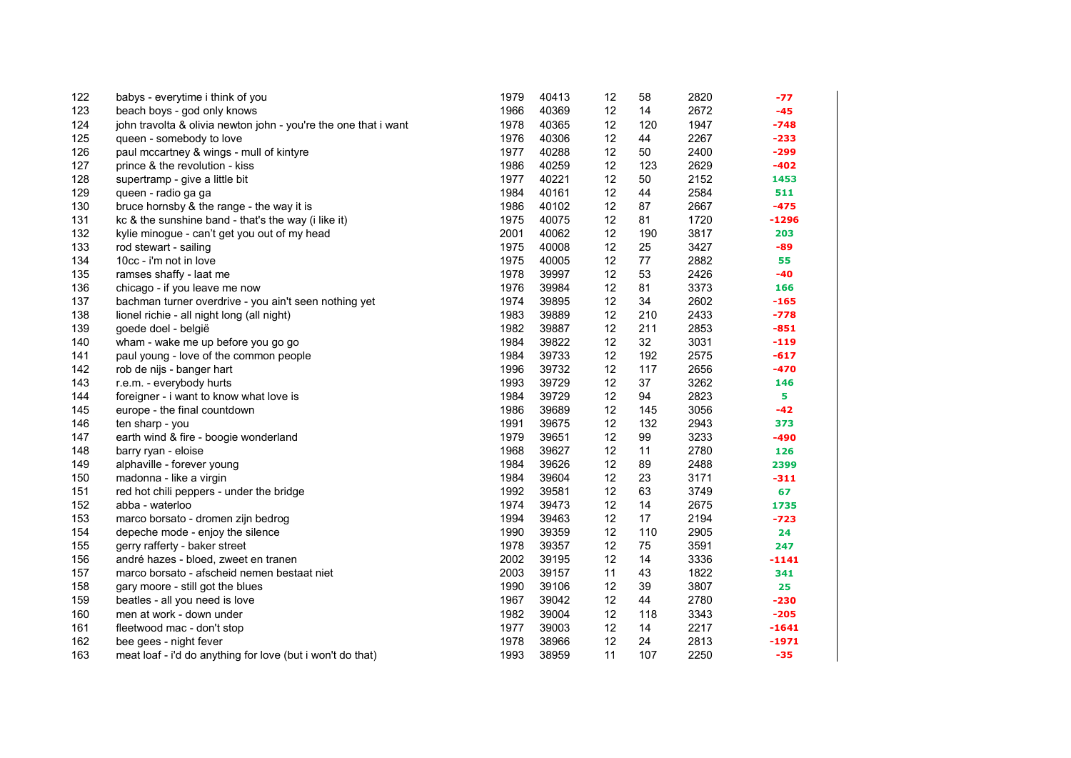| 122 | babys - everytime i think of you                                | 1979 | 40413 | 12 | 58  | 2820 | -77     |
|-----|-----------------------------------------------------------------|------|-------|----|-----|------|---------|
| 123 | beach boys - god only knows                                     | 1966 | 40369 | 12 | 14  | 2672 | $-45$   |
| 124 | john travolta & olivia newton john - you're the one that i want | 1978 | 40365 | 12 | 120 | 1947 | $-748$  |
| 125 | queen - somebody to love                                        | 1976 | 40306 | 12 | 44  | 2267 | $-233$  |
| 126 | paul mccartney & wings - mull of kintyre                        | 1977 | 40288 | 12 | 50  | 2400 | $-299$  |
| 127 | prince & the revolution - kiss                                  | 1986 | 40259 | 12 | 123 | 2629 | $-402$  |
| 128 | supertramp - give a little bit                                  | 1977 | 40221 | 12 | 50  | 2152 | 1453    |
| 129 | queen - radio ga ga                                             | 1984 | 40161 | 12 | 44  | 2584 | 511     |
| 130 | bruce hornsby & the range - the way it is                       | 1986 | 40102 | 12 | 87  | 2667 | $-475$  |
| 131 | kc & the sunshine band - that's the way (i like it)             | 1975 | 40075 | 12 | 81  | 1720 | $-1296$ |
| 132 | kylie minogue - can't get you out of my head                    | 2001 | 40062 | 12 | 190 | 3817 | 203     |
| 133 | rod stewart - sailing                                           | 1975 | 40008 | 12 | 25  | 3427 | -89     |
| 134 | 10cc - i'm not in love                                          | 1975 | 40005 | 12 | 77  | 2882 | 55      |
| 135 | ramses shaffy - laat me                                         | 1978 | 39997 | 12 | 53  | 2426 | -40     |
| 136 | chicago - if you leave me now                                   | 1976 | 39984 | 12 | 81  | 3373 | 166     |
| 137 | bachman turner overdrive - you ain't seen nothing yet           | 1974 | 39895 | 12 | 34  | 2602 | $-165$  |
| 138 | lionel richie - all night long (all night)                      | 1983 | 39889 | 12 | 210 | 2433 | $-778$  |
| 139 | goede doel - belgië                                             | 1982 | 39887 | 12 | 211 | 2853 | $-851$  |
| 140 | wham - wake me up before you go go                              | 1984 | 39822 | 12 | 32  | 3031 | $-119$  |
| 141 | paul young - love of the common people                          | 1984 | 39733 | 12 | 192 | 2575 | $-617$  |
| 142 | rob de nijs - banger hart                                       | 1996 | 39732 | 12 | 117 | 2656 | $-470$  |
| 143 | r.e.m. - everybody hurts                                        | 1993 | 39729 | 12 | 37  | 3262 | 146     |
| 144 | foreigner - i want to know what love is                         | 1984 | 39729 | 12 | 94  | 2823 | 5       |
| 145 | europe - the final countdown                                    | 1986 | 39689 | 12 | 145 | 3056 | $-42$   |
| 146 | ten sharp - you                                                 | 1991 | 39675 | 12 | 132 | 2943 | 373     |
| 147 | earth wind & fire - boogie wonderland                           | 1979 | 39651 | 12 | 99  | 3233 | $-490$  |
| 148 | barry ryan - eloise                                             | 1968 | 39627 | 12 | 11  | 2780 | 126     |
| 149 | alphaville - forever young                                      | 1984 | 39626 | 12 | 89  | 2488 | 2399    |
| 150 | madonna - like a virgin                                         | 1984 | 39604 | 12 | 23  | 3171 | $-311$  |
| 151 | red hot chili peppers - under the bridge                        | 1992 | 39581 | 12 | 63  | 3749 | 67      |
| 152 | abba - waterloo                                                 | 1974 | 39473 | 12 | 14  | 2675 | 1735    |
| 153 | marco borsato - dromen zijn bedrog                              | 1994 | 39463 | 12 | 17  | 2194 | $-723$  |
| 154 | depeche mode - enjoy the silence                                | 1990 | 39359 | 12 | 110 | 2905 | 24      |
| 155 | gerry rafferty - baker street                                   | 1978 | 39357 | 12 | 75  | 3591 | 247     |
| 156 | andré hazes - bloed, zweet en tranen                            | 2002 | 39195 | 12 | 14  | 3336 | $-1141$ |
| 157 | marco borsato - afscheid nemen bestaat niet                     | 2003 | 39157 | 11 | 43  | 1822 | 341     |
| 158 | gary moore - still got the blues                                | 1990 | 39106 | 12 | 39  | 3807 | 25      |
| 159 | beatles - all you need is love                                  | 1967 | 39042 | 12 | 44  | 2780 | $-230$  |
| 160 | men at work - down under                                        | 1982 | 39004 | 12 | 118 | 3343 | $-205$  |
| 161 | fleetwood mac - don't stop                                      | 1977 | 39003 | 12 | 14  | 2217 | $-1641$ |
| 162 | bee gees - night fever                                          | 1978 | 38966 | 12 | 24  | 2813 | $-1971$ |
| 163 | meat loaf - i'd do anything for love (but i won't do that)      | 1993 | 38959 | 11 | 107 | 2250 | $-35$   |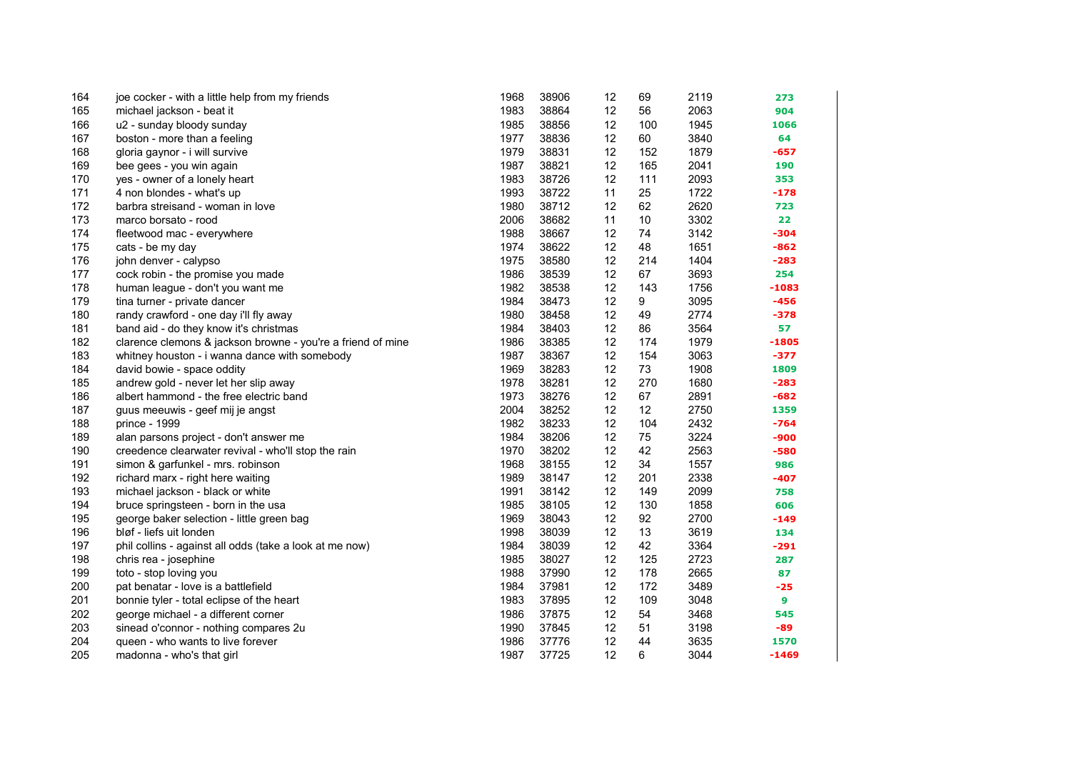| 164 | joe cocker - with a little help from my friends             | 1968 | 38906 | 12 | 69  | 2119 | 273     |
|-----|-------------------------------------------------------------|------|-------|----|-----|------|---------|
| 165 | michael jackson - beat it                                   | 1983 | 38864 | 12 | 56  | 2063 | 904     |
| 166 | u2 - sunday bloody sunday                                   | 1985 | 38856 | 12 | 100 | 1945 | 1066    |
| 167 | boston - more than a feeling                                | 1977 | 38836 | 12 | 60  | 3840 | 64      |
| 168 | gloria gaynor - i will survive                              | 1979 | 38831 | 12 | 152 | 1879 | $-657$  |
| 169 | bee gees - you win again                                    | 1987 | 38821 | 12 | 165 | 2041 | 190     |
| 170 | yes - owner of a lonely heart                               | 1983 | 38726 | 12 | 111 | 2093 | 353     |
| 171 | 4 non blondes - what's up                                   | 1993 | 38722 | 11 | 25  | 1722 | $-178$  |
| 172 | barbra streisand - woman in love                            | 1980 | 38712 | 12 | 62  | 2620 | 723     |
| 173 | marco borsato - rood                                        | 2006 | 38682 | 11 | 10  | 3302 | 22      |
| 174 | fleetwood mac - everywhere                                  | 1988 | 38667 | 12 | 74  | 3142 | $-304$  |
| 175 | cats - be my day                                            | 1974 | 38622 | 12 | 48  | 1651 | $-862$  |
| 176 | john denver - calypso                                       | 1975 | 38580 | 12 | 214 | 1404 | $-283$  |
| 177 | cock robin - the promise you made                           | 1986 | 38539 | 12 | 67  | 3693 | 254     |
| 178 | human league - don't you want me                            | 1982 | 38538 | 12 | 143 | 1756 | $-1083$ |
| 179 | tina turner - private dancer                                | 1984 | 38473 | 12 | 9   | 3095 | $-456$  |
| 180 | randy crawford - one day i'll fly away                      | 1980 | 38458 | 12 | 49  | 2774 | $-378$  |
| 181 | band aid - do they know it's christmas                      | 1984 | 38403 | 12 | 86  | 3564 | 57      |
| 182 | clarence clemons & jackson browne - you're a friend of mine | 1986 | 38385 | 12 | 174 | 1979 | $-1805$ |
| 183 | whitney houston - i wanna dance with somebody               | 1987 | 38367 | 12 | 154 | 3063 | $-377$  |
| 184 | david bowie - space oddity                                  | 1969 | 38283 | 12 | 73  | 1908 | 1809    |
| 185 | andrew gold - never let her slip away                       | 1978 | 38281 | 12 | 270 | 1680 | $-283$  |
| 186 | albert hammond - the free electric band                     | 1973 | 38276 | 12 | 67  | 2891 | $-682$  |
| 187 | guus meeuwis - geef mij je angst                            | 2004 | 38252 | 12 | 12  | 2750 | 1359    |
| 188 | prince - 1999                                               | 1982 | 38233 | 12 | 104 | 2432 | $-764$  |
| 189 | alan parsons project - don't answer me                      | 1984 | 38206 | 12 | 75  | 3224 | -900    |
| 190 | creedence clearwater revival - who'll stop the rain         | 1970 | 38202 | 12 | 42  | 2563 | $-580$  |
| 191 | simon & garfunkel - mrs. robinson                           | 1968 | 38155 | 12 | 34  | 1557 | 986     |
| 192 | richard marx - right here waiting                           | 1989 | 38147 | 12 | 201 | 2338 | $-407$  |
| 193 | michael jackson - black or white                            | 1991 | 38142 | 12 | 149 | 2099 | 758     |
| 194 | bruce springsteen - born in the usa                         | 1985 | 38105 | 12 | 130 | 1858 | 606     |
| 195 | george baker selection - little green bag                   | 1969 | 38043 | 12 | 92  | 2700 | $-149$  |
| 196 | bløf - liefs uit londen                                     | 1998 | 38039 | 12 | 13  | 3619 | 134     |
| 197 | phil collins - against all odds (take a look at me now)     | 1984 | 38039 | 12 | 42  | 3364 | $-291$  |
| 198 | chris rea - josephine                                       | 1985 | 38027 | 12 | 125 | 2723 | 287     |
| 199 | toto - stop loving you                                      | 1988 | 37990 | 12 | 178 | 2665 | 87      |
| 200 | pat benatar - love is a battlefield                         | 1984 | 37981 | 12 | 172 | 3489 | $-25$   |
| 201 | bonnie tyler - total eclipse of the heart                   | 1983 | 37895 | 12 | 109 | 3048 | 9       |
| 202 | george michael - a different corner                         | 1986 | 37875 | 12 | 54  | 3468 | 545     |
| 203 | sinead o'connor - nothing compares 2u                       | 1990 | 37845 | 12 | 51  | 3198 | -89     |
| 204 | queen - who wants to live forever                           | 1986 | 37776 | 12 | 44  | 3635 | 1570    |
| 205 | madonna - who's that girl                                   | 1987 | 37725 | 12 | 6   | 3044 | $-1469$ |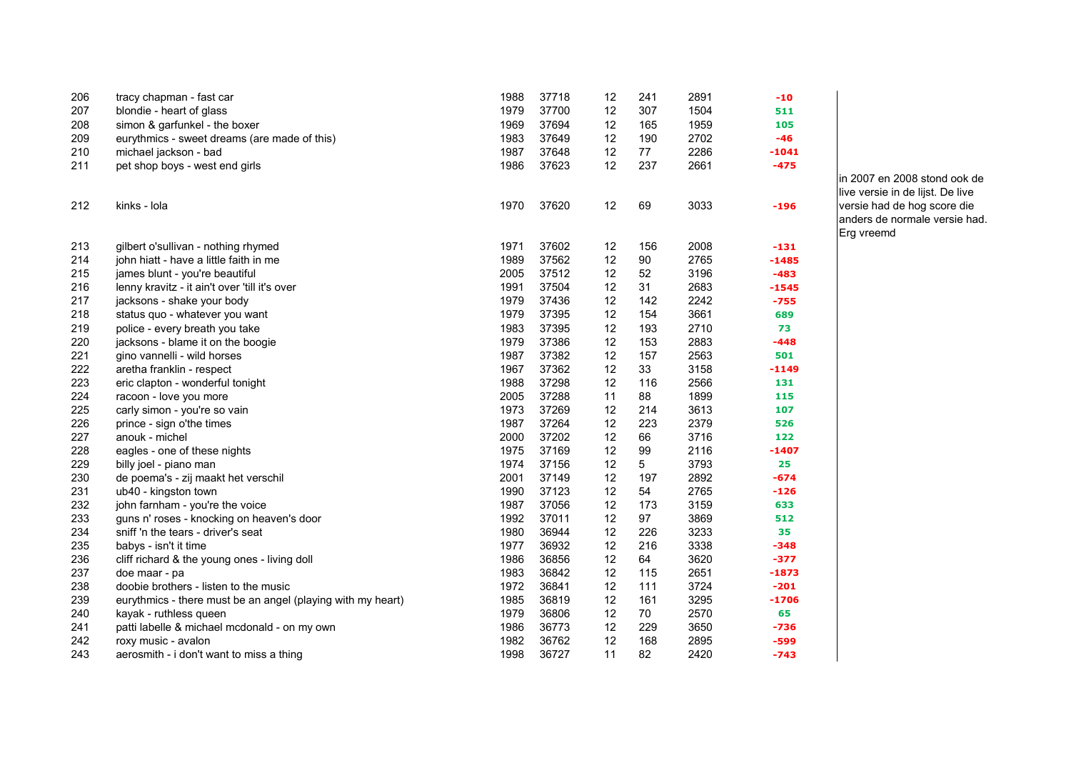| 206 | tracy chapman - fast car                                    | 1988 | 37718 | 12 | 241            | 2891 | $-10$   |
|-----|-------------------------------------------------------------|------|-------|----|----------------|------|---------|
| 207 | blondie - heart of glass                                    | 1979 | 37700 | 12 | 307            | 1504 | 511     |
| 208 | simon & garfunkel - the boxer                               | 1969 | 37694 | 12 | 165            | 1959 | 105     |
| 209 | eurythmics - sweet dreams (are made of this)                | 1983 | 37649 | 12 | 190            | 2702 | -46     |
| 210 | michael jackson - bad                                       | 1987 | 37648 | 12 | 77             | 2286 | $-1041$ |
| 211 | pet shop boys - west end girls                              | 1986 | 37623 | 12 | 237            | 2661 | $-475$  |
| 212 | kinks - Iola                                                | 1970 | 37620 | 12 | 69             | 3033 | $-196$  |
| 213 | gilbert o'sullivan - nothing rhymed                         | 1971 | 37602 | 12 | 156            | 2008 | $-131$  |
| 214 | john hiatt - have a little faith in me                      | 1989 | 37562 | 12 | 90             | 2765 | $-1485$ |
| 215 | james blunt - you're beautiful                              | 2005 | 37512 | 12 | 52             | 3196 | $-483$  |
| 216 | lenny kravitz - it ain't over 'till it's over               | 1991 | 37504 | 12 | 31             | 2683 | $-1545$ |
| 217 | jacksons - shake your body                                  | 1979 | 37436 | 12 | 142            | 2242 | $-755$  |
| 218 | status quo - whatever you want                              | 1979 | 37395 | 12 | 154            | 3661 | 689     |
| 219 | police - every breath you take                              | 1983 | 37395 | 12 | 193            | 2710 | 73      |
| 220 | jacksons - blame it on the boogie                           | 1979 | 37386 | 12 | 153            | 2883 | $-448$  |
| 221 | gino vannelli - wild horses                                 | 1987 | 37382 | 12 | 157            | 2563 | 501     |
| 222 | aretha franklin - respect                                   | 1967 | 37362 | 12 | 33             | 3158 | $-1149$ |
| 223 | eric clapton - wonderful tonight                            | 1988 | 37298 | 12 | 116            | 2566 | 131     |
| 224 | racoon - love you more                                      | 2005 | 37288 | 11 | 88             | 1899 | 115     |
| 225 | carly simon - you're so vain                                | 1973 | 37269 | 12 | 214            | 3613 | 107     |
| 226 | prince - sign o'the times                                   | 1987 | 37264 | 12 | 223            | 2379 | 526     |
| 227 | anouk - michel                                              | 2000 | 37202 | 12 | 66             | 3716 | 122     |
| 228 | eagles - one of these nights                                | 1975 | 37169 | 12 | 99             | 2116 | $-1407$ |
| 229 | billy joel - piano man                                      | 1974 | 37156 | 12 | 5 <sup>5</sup> | 3793 | 25      |
| 230 | de poema's - zij maakt het verschil                         | 2001 | 37149 | 12 | 197            | 2892 | $-674$  |
| 231 | ub40 - kingston town                                        | 1990 | 37123 | 12 | 54             | 2765 | $-126$  |
| 232 | john farnham - you're the voice                             | 1987 | 37056 | 12 | 173            | 3159 | 633     |
| 233 | guns n' roses - knocking on heaven's door                   | 1992 | 37011 | 12 | 97             | 3869 | 512     |
| 234 | sniff 'n the tears - driver's seat                          | 1980 | 36944 | 12 | 226            | 3233 | 35      |
| 235 | babys - isn't it time                                       | 1977 | 36932 | 12 | 216            | 3338 | $-348$  |
| 236 | cliff richard & the young ones - living doll                | 1986 | 36856 | 12 | 64             | 3620 | $-377$  |
| 237 | doe maar - pa                                               | 1983 | 36842 | 12 | 115            | 2651 | $-1873$ |
| 238 | doobie brothers - listen to the music                       | 1972 | 36841 | 12 | 111            | 3724 | $-201$  |
| 239 | eurythmics - there must be an angel (playing with my heart) | 1985 | 36819 | 12 | 161            | 3295 | $-1706$ |
| 240 | kayak - ruthless queen                                      | 1979 | 36806 | 12 | 70             | 2570 | 65      |
| 241 | patti labelle & michael mcdonald - on my own                | 1986 | 36773 | 12 | 229            | 3650 | $-736$  |
| 242 | roxy music - avalon                                         | 1982 | 36762 | 12 | 168            | 2895 | $-599$  |
| 243 | aerosmith - i don't want to miss a thing                    | 1998 | 36727 | 11 | 82             | 2420 | $-743$  |

in 2007 en 2008 stond ook de live versie in de lijst. De live versie had de hog score die anders de normale versie had. Erg vreemd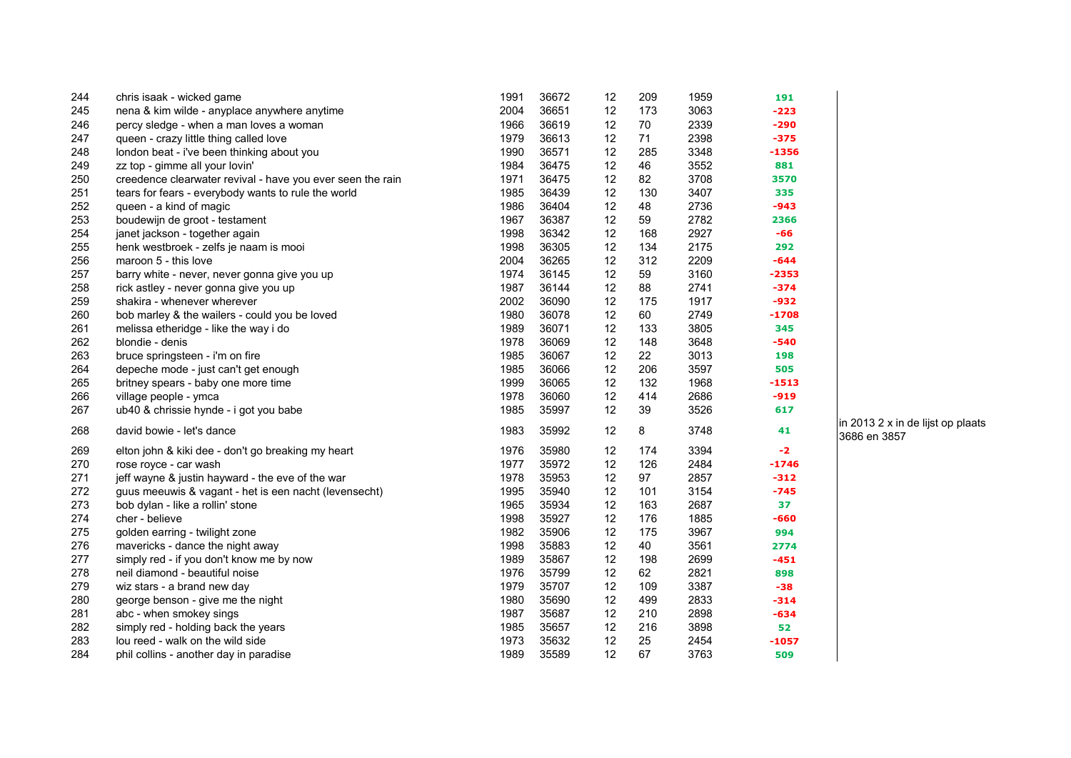| 244 | chris isaak - wicked game                                  | 1991 | 36672 | 12 | 209 | 1959 | 191     |
|-----|------------------------------------------------------------|------|-------|----|-----|------|---------|
| 245 | nena & kim wilde - anyplace anywhere anytime               | 2004 | 36651 | 12 | 173 | 3063 | $-223$  |
| 246 | percy sledge - when a man loves a woman                    | 1966 | 36619 | 12 | 70  | 2339 | -290    |
| 247 | queen - crazy little thing called love                     | 1979 | 36613 | 12 | 71  | 2398 | $-375$  |
| 248 | london beat - i've been thinking about you                 | 1990 | 36571 | 12 | 285 | 3348 | $-1356$ |
| 249 | zz top - gimme all your lovin'                             | 1984 | 36475 | 12 | 46  | 3552 | 881     |
| 250 | creedence clearwater revival - have you ever seen the rain | 1971 | 36475 | 12 | 82  | 3708 | 3570    |
| 251 | tears for fears - everybody wants to rule the world        | 1985 | 36439 | 12 | 130 | 3407 | 335     |
| 252 | queen - a kind of magic                                    | 1986 | 36404 | 12 | 48  | 2736 | $-943$  |
| 253 | boudewijn de groot - testament                             | 1967 | 36387 | 12 | 59  | 2782 | 2366    |
| 254 | janet jackson - together again                             | 1998 | 36342 | 12 | 168 | 2927 | -66     |
| 255 | henk westbroek - zelfs je naam is mooi                     | 1998 | 36305 | 12 | 134 | 2175 | 292     |
| 256 | maroon 5 - this love                                       | 2004 | 36265 | 12 | 312 | 2209 | -644    |
| 257 | barry white - never, never gonna give you up               | 1974 | 36145 | 12 | 59  | 3160 | $-2353$ |
| 258 | rick astley - never gonna give you up                      | 1987 | 36144 | 12 | 88  | 2741 | $-374$  |
| 259 | shakira - whenever wherever                                | 2002 | 36090 | 12 | 175 | 1917 | $-932$  |
| 260 | bob marley & the wailers - could you be loved              | 1980 | 36078 | 12 | 60  | 2749 | $-1708$ |
| 261 | melissa etheridge - like the way i do                      | 1989 | 36071 | 12 | 133 | 3805 | 345     |
| 262 | blondie - denis                                            | 1978 | 36069 | 12 | 148 | 3648 | $-540$  |
| 263 | bruce springsteen - i'm on fire                            | 1985 | 36067 | 12 | 22  | 3013 | 198     |
| 264 | depeche mode - just can't get enough                       | 1985 | 36066 | 12 | 206 | 3597 | 505     |
| 265 | britney spears - baby one more time                        | 1999 | 36065 | 12 | 132 | 1968 | $-1513$ |
| 266 | village people - ymca                                      | 1978 | 36060 | 12 | 414 | 2686 | $-919$  |
| 267 | ub40 & chrissie hynde - i got you babe                     | 1985 | 35997 | 12 | 39  | 3526 | 617     |
| 268 | david bowie - let's dance                                  | 1983 | 35992 | 12 | 8   | 3748 | 41      |
| 269 | elton john & kiki dee - don't go breaking my heart         | 1976 | 35980 | 12 | 174 | 3394 | $-2$    |
| 270 | rose royce - car wash                                      | 1977 | 35972 | 12 | 126 | 2484 | $-1746$ |
| 271 | jeff wayne & justin hayward - the eve of the war           | 1978 | 35953 | 12 | 97  | 2857 | $-312$  |
| 272 | guus meeuwis & vagant - het is een nacht (levensecht)      | 1995 | 35940 | 12 | 101 | 3154 | $-745$  |
| 273 | bob dylan - like a rollin' stone                           | 1965 | 35934 | 12 | 163 | 2687 | 37      |
| 274 | cher - believe                                             | 1998 | 35927 | 12 | 176 | 1885 | -660    |
| 275 | golden earring - twilight zone                             | 1982 | 35906 | 12 | 175 | 3967 | 994     |
| 276 | mavericks - dance the night away                           | 1998 | 35883 | 12 | 40  | 3561 | 2774    |
| 277 | simply red - if you don't know me by now                   | 1989 | 35867 | 12 | 198 | 2699 | $-451$  |
| 278 | neil diamond - beautiful noise                             | 1976 | 35799 | 12 | 62  | 2821 | 898     |
| 279 | wiz stars - a brand new day                                | 1979 | 35707 | 12 | 109 | 3387 | $-38$   |
| 280 | george benson - give me the night                          | 1980 | 35690 | 12 | 499 | 2833 | $-314$  |
| 281 | abc - when smokey sings                                    | 1987 | 35687 | 12 | 210 | 2898 | -634    |
| 282 | simply red - holding back the years                        | 1985 | 35657 | 12 | 216 | 3898 | 52      |
| 283 | lou reed - walk on the wild side                           | 1973 | 35632 | 12 | 25  | 2454 | $-1057$ |
| 284 | phil collins - another day in paradise                     | 1989 | 35589 | 12 | 67  | 3763 | 509     |

in 2013 2 x in de lijst op plaats 3686 en 3857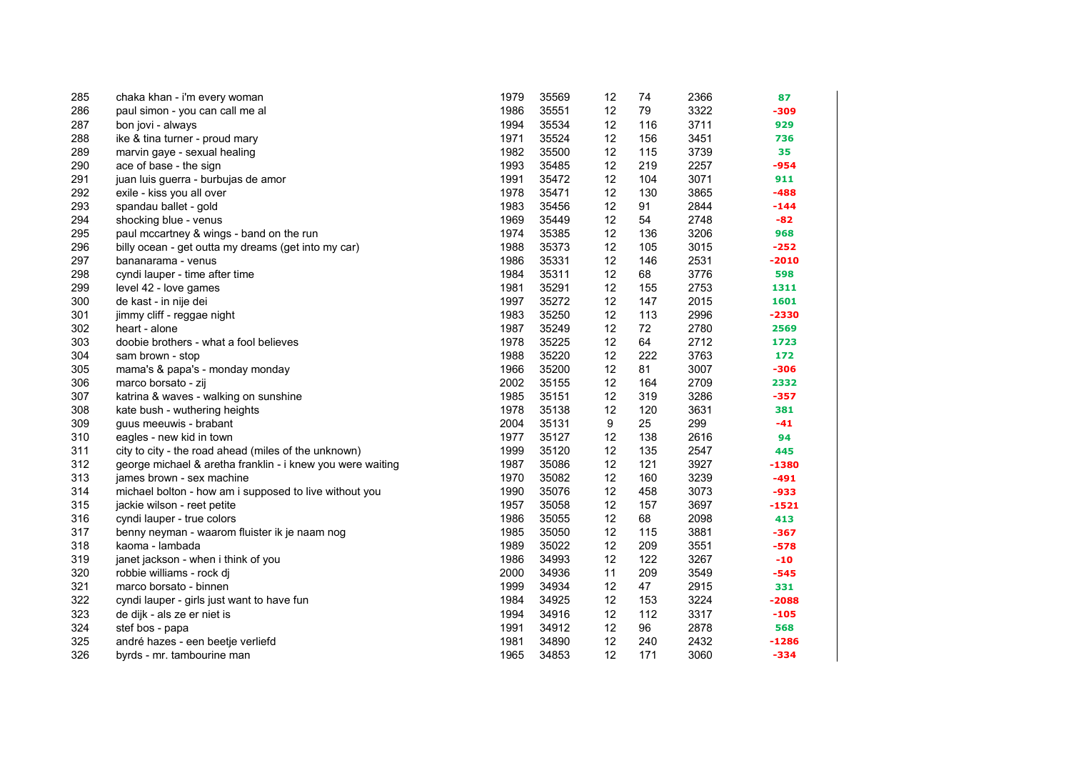| 285 | chaka khan - i'm every woman                               | 1979 | 35569 | 12 | 74  | 2366 | 87      |
|-----|------------------------------------------------------------|------|-------|----|-----|------|---------|
| 286 | paul simon - you can call me al                            | 1986 | 35551 | 12 | 79  | 3322 | -309    |
| 287 | bon jovi - always                                          | 1994 | 35534 | 12 | 116 | 3711 | 929     |
| 288 | ike & tina turner - proud mary                             | 1971 | 35524 | 12 | 156 | 3451 | 736     |
| 289 | marvin gaye - sexual healing                               | 1982 | 35500 | 12 | 115 | 3739 | 35      |
| 290 | ace of base - the sign                                     | 1993 | 35485 | 12 | 219 | 2257 | $-954$  |
| 291 | juan luis guerra - burbujas de amor                        | 1991 | 35472 | 12 | 104 | 3071 | 911     |
| 292 | exile - kiss you all over                                  | 1978 | 35471 | 12 | 130 | 3865 | $-488$  |
| 293 | spandau ballet - gold                                      | 1983 | 35456 | 12 | 91  | 2844 | -144    |
| 294 | shocking blue - venus                                      | 1969 | 35449 | 12 | 54  | 2748 | $-82$   |
| 295 | paul mccartney & wings - band on the run                   | 1974 | 35385 | 12 | 136 | 3206 | 968     |
| 296 | billy ocean - get outta my dreams (get into my car)        | 1988 | 35373 | 12 | 105 | 3015 | $-252$  |
| 297 | bananarama - venus                                         | 1986 | 35331 | 12 | 146 | 2531 | $-2010$ |
| 298 | cyndi lauper - time after time                             | 1984 | 35311 | 12 | 68  | 3776 | 598     |
| 299 | level 42 - love games                                      | 1981 | 35291 | 12 | 155 | 2753 | 1311    |
| 300 | de kast - in nije dei                                      | 1997 | 35272 | 12 | 147 | 2015 | 1601    |
| 301 | jimmy cliff - reggae night                                 | 1983 | 35250 | 12 | 113 | 2996 | -2330   |
| 302 | heart - alone                                              | 1987 | 35249 | 12 | 72  | 2780 | 2569    |
| 303 | doobie brothers - what a fool believes                     | 1978 | 35225 | 12 | 64  | 2712 | 1723    |
| 304 | sam brown - stop                                           | 1988 | 35220 | 12 | 222 | 3763 | 172     |
| 305 | mama's & papa's - monday monday                            | 1966 | 35200 | 12 | 81  | 3007 | $-306$  |
| 306 | marco borsato - zij                                        | 2002 | 35155 | 12 | 164 | 2709 | 2332    |
| 307 | katrina & waves - walking on sunshine                      | 1985 | 35151 | 12 | 319 | 3286 | $-357$  |
| 308 | kate bush - wuthering heights                              | 1978 | 35138 | 12 | 120 | 3631 | 381     |
| 309 | guus meeuwis - brabant                                     | 2004 | 35131 | 9  | 25  | 299  | $-41$   |
| 310 | eagles - new kid in town                                   | 1977 | 35127 | 12 | 138 | 2616 | 94      |
| 311 | city to city - the road ahead (miles of the unknown)       | 1999 | 35120 | 12 | 135 | 2547 | 445     |
| 312 | george michael & aretha franklin - i knew you were waiting | 1987 | 35086 | 12 | 121 | 3927 | -1380   |
| 313 | james brown - sex machine                                  | 1970 | 35082 | 12 | 160 | 3239 | -491    |
| 314 | michael bolton - how am i supposed to live without you     | 1990 | 35076 | 12 | 458 | 3073 | $-933$  |
| 315 | jackie wilson - reet petite                                | 1957 | 35058 | 12 | 157 | 3697 | $-1521$ |
| 316 | cyndi lauper - true colors                                 | 1986 | 35055 | 12 | 68  | 2098 | 413     |
| 317 | benny neyman - waarom fluister ik je naam nog              | 1985 | 35050 | 12 | 115 | 3881 | -367    |
| 318 | kaoma - lambada                                            | 1989 | 35022 | 12 | 209 | 3551 | $-578$  |
| 319 | janet jackson - when i think of you                        | 1986 | 34993 | 12 | 122 | 3267 | $-10$   |
| 320 | robbie williams - rock dj                                  | 2000 | 34936 | 11 | 209 | 3549 | -545    |
| 321 | marco borsato - binnen                                     | 1999 | 34934 | 12 | 47  | 2915 | 331     |
| 322 | cyndi lauper - girls just want to have fun                 | 1984 | 34925 | 12 | 153 | 3224 | $-2088$ |
| 323 | de dijk - als ze er niet is                                | 1994 | 34916 | 12 | 112 | 3317 | $-105$  |
| 324 | stef bos - papa                                            | 1991 | 34912 | 12 | 96  | 2878 | 568     |
| 325 | andré hazes - een beetje verliefd                          | 1981 | 34890 | 12 | 240 | 2432 | $-1286$ |
| 326 | byrds - mr. tambourine man                                 | 1965 | 34853 | 12 | 171 | 3060 | $-334$  |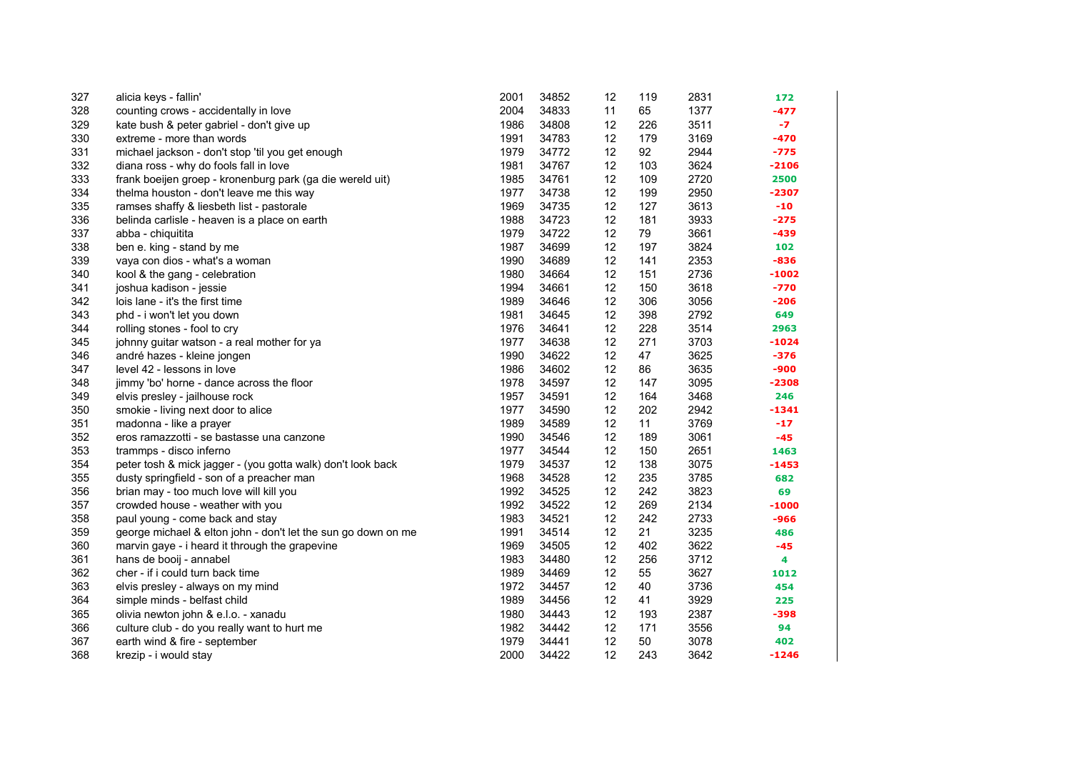| 327 | alicia keys - fallin'                                         | 2001 | 34852 | 12 | 119 | 2831 | 172     |
|-----|---------------------------------------------------------------|------|-------|----|-----|------|---------|
| 328 | counting crows - accidentally in love                         | 2004 | 34833 | 11 | 65  | 1377 | $-477$  |
| 329 | kate bush & peter gabriel - don't give up                     | 1986 | 34808 | 12 | 226 | 3511 | $-7$    |
| 330 | extreme - more than words                                     | 1991 | 34783 | 12 | 179 | 3169 | $-470$  |
| 331 | michael jackson - don't stop 'til you get enough              | 1979 | 34772 | 12 | 92  | 2944 | -775    |
| 332 | diana ross - why do fools fall in love                        | 1981 | 34767 | 12 | 103 | 3624 | $-2106$ |
| 333 | frank boeijen groep - kronenburg park (ga die wereld uit)     | 1985 | 34761 | 12 | 109 | 2720 | 2500    |
| 334 | thelma houston - don't leave me this way                      | 1977 | 34738 | 12 | 199 | 2950 | $-2307$ |
| 335 | ramses shaffy & liesbeth list - pastorale                     | 1969 | 34735 | 12 | 127 | 3613 | $-10$   |
| 336 | belinda carlisle - heaven is a place on earth                 | 1988 | 34723 | 12 | 181 | 3933 | $-275$  |
| 337 | abba - chiquitita                                             | 1979 | 34722 | 12 | 79  | 3661 | $-439$  |
| 338 | ben e. king - stand by me                                     | 1987 | 34699 | 12 | 197 | 3824 | 102     |
| 339 | vaya con dios - what's a woman                                | 1990 | 34689 | 12 | 141 | 2353 | $-836$  |
| 340 | kool & the gang - celebration                                 | 1980 | 34664 | 12 | 151 | 2736 | $-1002$ |
| 341 | joshua kadison - jessie                                       | 1994 | 34661 | 12 | 150 | 3618 | $-770$  |
| 342 | lois lane - it's the first time                               | 1989 | 34646 | 12 | 306 | 3056 | $-206$  |
| 343 | phd - i won't let you down                                    | 1981 | 34645 | 12 | 398 | 2792 | 649     |
| 344 | rolling stones - fool to cry                                  | 1976 | 34641 | 12 | 228 | 3514 | 2963    |
| 345 | johnny guitar watson - a real mother for ya                   | 1977 | 34638 | 12 | 271 | 3703 | $-1024$ |
| 346 | andré hazes - kleine jongen                                   | 1990 | 34622 | 12 | 47  | 3625 | $-376$  |
| 347 | level 42 - lessons in love                                    | 1986 | 34602 | 12 | 86  | 3635 | -900    |
| 348 | jimmy 'bo' horne - dance across the floor                     | 1978 | 34597 | 12 | 147 | 3095 | $-2308$ |
| 349 | elvis presley - jailhouse rock                                | 1957 | 34591 | 12 | 164 | 3468 | 246     |
| 350 | smokie - living next door to alice                            | 1977 | 34590 | 12 | 202 | 2942 | $-1341$ |
| 351 | madonna - like a prayer                                       | 1989 | 34589 | 12 | 11  | 3769 | $-17$   |
| 352 | eros ramazzotti - se bastasse una canzone                     | 1990 | 34546 | 12 | 189 | 3061 | $-45$   |
| 353 | trammps - disco inferno                                       | 1977 | 34544 | 12 | 150 | 2651 | 1463    |
| 354 | peter tosh & mick jagger - (you gotta walk) don't look back   | 1979 | 34537 | 12 | 138 | 3075 | $-1453$ |
| 355 | dusty springfield - son of a preacher man                     | 1968 | 34528 | 12 | 235 | 3785 | 682     |
| 356 | brian may - too much love will kill you                       | 1992 | 34525 | 12 | 242 | 3823 | 69      |
| 357 | crowded house - weather with you                              | 1992 | 34522 | 12 | 269 | 2134 | $-1000$ |
| 358 | paul young - come back and stay                               | 1983 | 34521 | 12 | 242 | 2733 | -966    |
| 359 | george michael & elton john - don't let the sun go down on me | 1991 | 34514 | 12 | 21  | 3235 | 486     |
| 360 | marvin gaye - i heard it through the grapevine                | 1969 | 34505 | 12 | 402 | 3622 | $-45$   |
| 361 | hans de booij - annabel                                       | 1983 | 34480 | 12 | 256 | 3712 | 4       |
| 362 | cher - if i could turn back time                              | 1989 | 34469 | 12 | 55  | 3627 | 1012    |
| 363 | elvis presley - always on my mind                             | 1972 | 34457 | 12 | 40  | 3736 | 454     |
| 364 | simple minds - belfast child                                  | 1989 | 34456 | 12 | 41  | 3929 | 225     |
| 365 | olivia newton john & e.l.o. - xanadu                          | 1980 | 34443 | 12 | 193 | 2387 | $-398$  |
| 366 | culture club - do you really want to hurt me                  | 1982 | 34442 | 12 | 171 | 3556 | 94      |
| 367 | earth wind & fire - september                                 | 1979 | 34441 | 12 | 50  | 3078 | 402     |
| 368 | krezip - i would stay                                         | 2000 | 34422 | 12 | 243 | 3642 | $-1246$ |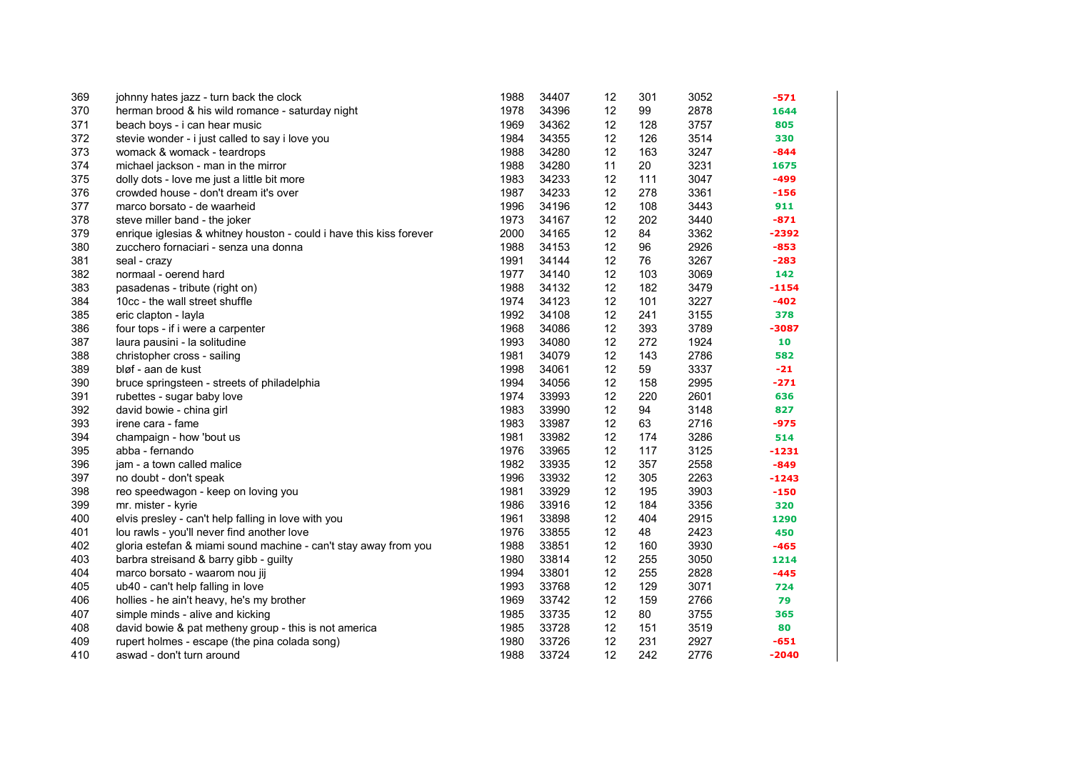| 369 | johnny hates jazz - turn back the clock                             | 1988 | 34407 | 12 | 301 | 3052 | $-571$  |
|-----|---------------------------------------------------------------------|------|-------|----|-----|------|---------|
| 370 | herman brood & his wild romance - saturday night                    | 1978 | 34396 | 12 | 99  | 2878 | 1644    |
| 371 | beach boys - i can hear music                                       | 1969 | 34362 | 12 | 128 | 3757 | 805     |
| 372 | stevie wonder - i just called to say i love you                     | 1984 | 34355 | 12 | 126 | 3514 | 330     |
| 373 | womack & womack - teardrops                                         | 1988 | 34280 | 12 | 163 | 3247 | $-844$  |
| 374 | michael jackson - man in the mirror                                 | 1988 | 34280 | 11 | 20  | 3231 | 1675    |
| 375 | dolly dots - love me just a little bit more                         | 1983 | 34233 | 12 | 111 | 3047 | $-499$  |
| 376 | crowded house - don't dream it's over                               | 1987 | 34233 | 12 | 278 | 3361 | $-156$  |
| 377 | marco borsato - de waarheid                                         | 1996 | 34196 | 12 | 108 | 3443 | 911     |
| 378 | steve miller band - the joker                                       | 1973 | 34167 | 12 | 202 | 3440 | $-871$  |
| 379 | enrique iglesias & whitney houston - could i have this kiss forever | 2000 | 34165 | 12 | 84  | 3362 | -2392   |
| 380 | zucchero fornaciari - senza una donna                               | 1988 | 34153 | 12 | 96  | 2926 | $-853$  |
| 381 | seal - crazy                                                        | 1991 | 34144 | 12 | 76  | 3267 | $-283$  |
| 382 | normaal - oerend hard                                               | 1977 | 34140 | 12 | 103 | 3069 | 142     |
| 383 | pasadenas - tribute (right on)                                      | 1988 | 34132 | 12 | 182 | 3479 | $-1154$ |
| 384 | 10cc - the wall street shuffle                                      | 1974 | 34123 | 12 | 101 | 3227 | $-402$  |
| 385 | eric clapton - layla                                                | 1992 | 34108 | 12 | 241 | 3155 | 378     |
| 386 | four tops - if i were a carpenter                                   | 1968 | 34086 | 12 | 393 | 3789 | $-3087$ |
| 387 | laura pausini - la solitudine                                       | 1993 | 34080 | 12 | 272 | 1924 | 10      |
| 388 | christopher cross - sailing                                         | 1981 | 34079 | 12 | 143 | 2786 | 582     |
| 389 | bløf - aan de kust                                                  | 1998 | 34061 | 12 | 59  | 3337 | $-21$   |
| 390 | bruce springsteen - streets of philadelphia                         | 1994 | 34056 | 12 | 158 | 2995 | $-271$  |
| 391 | rubettes - sugar baby love                                          | 1974 | 33993 | 12 | 220 | 2601 | 636     |
| 392 | david bowie - china girl                                            | 1983 | 33990 | 12 | 94  | 3148 | 827     |
| 393 | irene cara - fame                                                   | 1983 | 33987 | 12 | 63  | 2716 | $-975$  |
| 394 | champaign - how 'bout us                                            | 1981 | 33982 | 12 | 174 | 3286 | 514     |
| 395 | abba - fernando                                                     | 1976 | 33965 | 12 | 117 | 3125 | -1231   |
| 396 | jam - a town called malice                                          | 1982 | 33935 | 12 | 357 | 2558 | $-849$  |
| 397 | no doubt - don't speak                                              | 1996 | 33932 | 12 | 305 | 2263 | $-1243$ |
| 398 | reo speedwagon - keep on loving you                                 | 1981 | 33929 | 12 | 195 | 3903 | $-150$  |
| 399 | mr. mister - kyrie                                                  | 1986 | 33916 | 12 | 184 | 3356 | 320     |
| 400 | elvis presley - can't help falling in love with you                 | 1961 | 33898 | 12 | 404 | 2915 | 1290    |
| 401 | lou rawls - you'll never find another love                          | 1976 | 33855 | 12 | 48  | 2423 | 450     |
| 402 | gloria estefan & miami sound machine - can't stay away from you     | 1988 | 33851 | 12 | 160 | 3930 | $-465$  |
| 403 | barbra streisand & barry gibb - guilty                              | 1980 | 33814 | 12 | 255 | 3050 | 1214    |
| 404 | marco borsato - waarom nou jij                                      | 1994 | 33801 | 12 | 255 | 2828 | $-445$  |
| 405 | ub40 - can't help falling in love                                   | 1993 | 33768 | 12 | 129 | 3071 | 724     |
| 406 | hollies - he ain't heavy, he's my brother                           | 1969 | 33742 | 12 | 159 | 2766 | 79      |
| 407 | simple minds - alive and kicking                                    | 1985 | 33735 | 12 | 80  | 3755 | 365     |
| 408 | david bowie & pat metheny group - this is not america               | 1985 | 33728 | 12 | 151 | 3519 | 80      |
| 409 | rupert holmes - escape (the pina colada song)                       | 1980 | 33726 | 12 | 231 | 2927 | $-651$  |
| 410 | aswad - don't turn around                                           | 1988 | 33724 | 12 | 242 | 2776 | $-2040$ |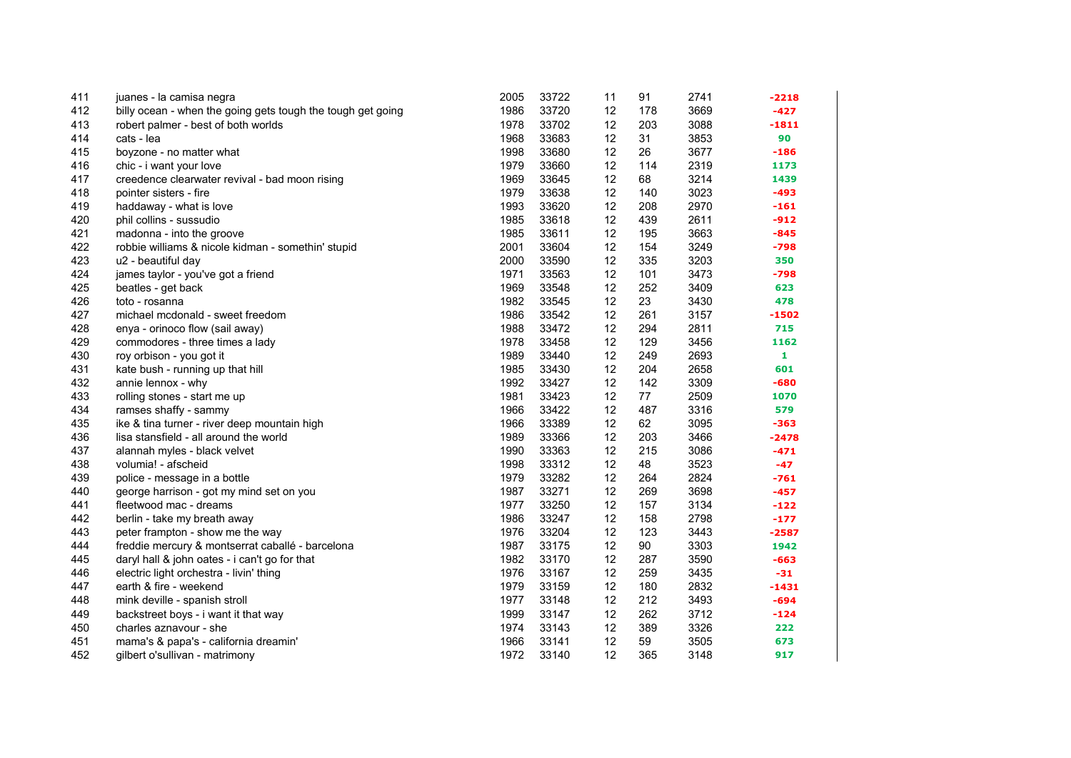| 411 | juanes - la camisa negra                                    | 2005 | 33722 | 11 | 91  | 2741 | -2218   |
|-----|-------------------------------------------------------------|------|-------|----|-----|------|---------|
| 412 | billy ocean - when the going gets tough the tough get going | 1986 | 33720 | 12 | 178 | 3669 | $-427$  |
| 413 | robert palmer - best of both worlds                         | 1978 | 33702 | 12 | 203 | 3088 | $-1811$ |
| 414 | cats - lea                                                  | 1968 | 33683 | 12 | 31  | 3853 | 90      |
| 415 | boyzone - no matter what                                    | 1998 | 33680 | 12 | 26  | 3677 | $-186$  |
| 416 | chic - i want your love                                     | 1979 | 33660 | 12 | 114 | 2319 | 1173    |
| 417 | creedence clearwater revival - bad moon rising              | 1969 | 33645 | 12 | 68  | 3214 | 1439    |
| 418 | pointer sisters - fire                                      | 1979 | 33638 | 12 | 140 | 3023 | $-493$  |
| 419 | haddaway - what is love                                     | 1993 | 33620 | 12 | 208 | 2970 | $-161$  |
| 420 | phil collins - sussudio                                     | 1985 | 33618 | 12 | 439 | 2611 | $-912$  |
| 421 | madonna - into the groove                                   | 1985 | 33611 | 12 | 195 | 3663 | $-845$  |
| 422 | robbie williams & nicole kidman - somethin' stupid          | 2001 | 33604 | 12 | 154 | 3249 | $-798$  |
| 423 | u2 - beautiful day                                          | 2000 | 33590 | 12 | 335 | 3203 | 350     |
| 424 | james taylor - you've got a friend                          | 1971 | 33563 | 12 | 101 | 3473 | $-798$  |
| 425 | beatles - get back                                          | 1969 | 33548 | 12 | 252 | 3409 | 623     |
| 426 | toto - rosanna                                              | 1982 | 33545 | 12 | 23  | 3430 | 478     |
| 427 | michael mcdonald - sweet freedom                            | 1986 | 33542 | 12 | 261 | 3157 | $-1502$ |
| 428 | enya - orinoco flow (sail away)                             | 1988 | 33472 | 12 | 294 | 2811 | 715     |
| 429 | commodores - three times a lady                             | 1978 | 33458 | 12 | 129 | 3456 | 1162    |
| 430 | roy orbison - you got it                                    | 1989 | 33440 | 12 | 249 | 2693 | 1       |
| 431 | kate bush - running up that hill                            | 1985 | 33430 | 12 | 204 | 2658 | 601     |
| 432 | annie lennox - why                                          | 1992 | 33427 | 12 | 142 | 3309 | $-680$  |
| 433 | rolling stones - start me up                                | 1981 | 33423 | 12 | 77  | 2509 | 1070    |
| 434 | ramses shaffy - sammy                                       | 1966 | 33422 | 12 | 487 | 3316 | 579     |
| 435 | ike & tina turner - river deep mountain high                | 1966 | 33389 | 12 | 62  | 3095 | $-363$  |
| 436 | lisa stansfield - all around the world                      | 1989 | 33366 | 12 | 203 | 3466 | $-2478$ |
| 437 | alannah myles - black velvet                                | 1990 | 33363 | 12 | 215 | 3086 | $-471$  |
| 438 | volumia! - afscheid                                         | 1998 | 33312 | 12 | 48  | 3523 | $-47$   |
| 439 | police - message in a bottle                                | 1979 | 33282 | 12 | 264 | 2824 | $-761$  |
| 440 | george harrison - got my mind set on you                    | 1987 | 33271 | 12 | 269 | 3698 | $-457$  |
| 441 | fleetwood mac - dreams                                      | 1977 | 33250 | 12 | 157 | 3134 | $-122$  |
| 442 | berlin - take my breath away                                | 1986 | 33247 | 12 | 158 | 2798 | $-177$  |
| 443 | peter frampton - show me the way                            | 1976 | 33204 | 12 | 123 | 3443 | $-2587$ |
| 444 | freddie mercury & montserrat caballé - barcelona            | 1987 | 33175 | 12 | 90  | 3303 | 1942    |
| 445 | daryl hall & john oates - i can't go for that               | 1982 | 33170 | 12 | 287 | 3590 | $-663$  |
| 446 | electric light orchestra - livin' thing                     | 1976 | 33167 | 12 | 259 | 3435 | $-31$   |
| 447 | earth & fire - weekend                                      | 1979 | 33159 | 12 | 180 | 2832 | $-1431$ |
| 448 | mink deville - spanish stroll                               | 1977 | 33148 | 12 | 212 | 3493 | $-694$  |
| 449 | backstreet boys - i want it that way                        | 1999 | 33147 | 12 | 262 | 3712 | $-124$  |
| 450 | charles aznavour - she                                      | 1974 | 33143 | 12 | 389 | 3326 | 222     |
| 451 | mama's & papa's - california dreamin'                       | 1966 | 33141 | 12 | 59  | 3505 | 673     |
| 452 | gilbert o'sullivan - matrimony                              | 1972 | 33140 | 12 | 365 | 3148 | 917     |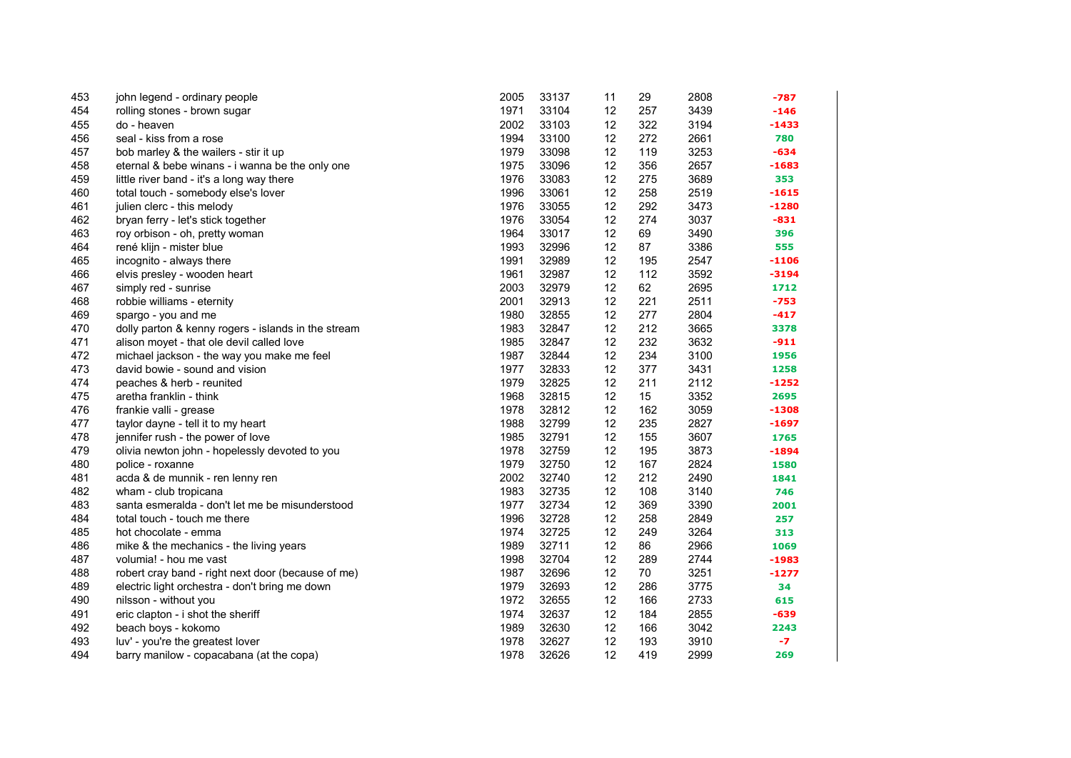| 453 | john legend - ordinary people                       | 2005 | 33137 | 11 | 29  | 2808 | $-787$  |
|-----|-----------------------------------------------------|------|-------|----|-----|------|---------|
| 454 | rolling stones - brown sugar                        | 1971 | 33104 | 12 | 257 | 3439 | $-146$  |
| 455 | do - heaven                                         | 2002 | 33103 | 12 | 322 | 3194 | $-1433$ |
| 456 | seal - kiss from a rose                             | 1994 | 33100 | 12 | 272 | 2661 | 780     |
| 457 | bob marley & the wailers - stir it up               | 1979 | 33098 | 12 | 119 | 3253 | $-634$  |
| 458 | eternal & bebe winans - i wanna be the only one     | 1975 | 33096 | 12 | 356 | 2657 | $-1683$ |
| 459 | little river band - it's a long way there           | 1976 | 33083 | 12 | 275 | 3689 | 353     |
| 460 | total touch - somebody else's lover                 | 1996 | 33061 | 12 | 258 | 2519 | $-1615$ |
| 461 | julien clerc - this melody                          | 1976 | 33055 | 12 | 292 | 3473 | $-1280$ |
| 462 | bryan ferry - let's stick together                  | 1976 | 33054 | 12 | 274 | 3037 | $-831$  |
| 463 | roy orbison - oh, pretty woman                      | 1964 | 33017 | 12 | 69  | 3490 | 396     |
| 464 | rené klijn - mister blue                            | 1993 | 32996 | 12 | 87  | 3386 | 555     |
| 465 | incognito - always there                            | 1991 | 32989 | 12 | 195 | 2547 | $-1106$ |
| 466 | elvis presley - wooden heart                        | 1961 | 32987 | 12 | 112 | 3592 | $-3194$ |
| 467 | simply red - sunrise                                | 2003 | 32979 | 12 | 62  | 2695 | 1712    |
| 468 | robbie williams - eternity                          | 2001 | 32913 | 12 | 221 | 2511 | -753    |
| 469 | spargo - you and me                                 | 1980 | 32855 | 12 | 277 | 2804 | $-417$  |
| 470 | dolly parton & kenny rogers - islands in the stream | 1983 | 32847 | 12 | 212 | 3665 | 3378    |
| 471 | alison moyet - that ole devil called love           | 1985 | 32847 | 12 | 232 | 3632 | $-911$  |
| 472 | michael jackson - the way you make me feel          | 1987 | 32844 | 12 | 234 | 3100 | 1956    |
| 473 | david bowie - sound and vision                      | 1977 | 32833 | 12 | 377 | 3431 | 1258    |
| 474 | peaches & herb - reunited                           | 1979 | 32825 | 12 | 211 | 2112 | $-1252$ |
| 475 | aretha franklin - think                             | 1968 | 32815 | 12 | 15  | 3352 | 2695    |
| 476 | frankie valli - grease                              | 1978 | 32812 | 12 | 162 | 3059 | $-1308$ |
| 477 | taylor dayne - tell it to my heart                  | 1988 | 32799 | 12 | 235 | 2827 | $-1697$ |
| 478 | jennifer rush - the power of love                   | 1985 | 32791 | 12 | 155 | 3607 | 1765    |
| 479 | olivia newton john - hopelessly devoted to you      | 1978 | 32759 | 12 | 195 | 3873 | $-1894$ |
| 480 | police - roxanne                                    | 1979 | 32750 | 12 | 167 | 2824 | 1580    |
| 481 | acda & de munnik - ren lenny ren                    | 2002 | 32740 | 12 | 212 | 2490 | 1841    |
| 482 | wham - club tropicana                               | 1983 | 32735 | 12 | 108 | 3140 | 746     |
| 483 | santa esmeralda - don't let me be misunderstood     | 1977 | 32734 | 12 | 369 | 3390 | 2001    |
| 484 | total touch - touch me there                        | 1996 | 32728 | 12 | 258 | 2849 | 257     |
| 485 | hot chocolate - emma                                | 1974 | 32725 | 12 | 249 | 3264 | 313     |
| 486 | mike & the mechanics - the living years             | 1989 | 32711 | 12 | 86  | 2966 | 1069    |
| 487 | volumia! - hou me vast                              | 1998 | 32704 | 12 | 289 | 2744 | $-1983$ |
| 488 | robert cray band - right next door (because of me)  | 1987 | 32696 | 12 | 70  | 3251 | $-1277$ |
| 489 | electric light orchestra - don't bring me down      | 1979 | 32693 | 12 | 286 | 3775 | 34      |
| 490 | nilsson - without you                               | 1972 | 32655 | 12 | 166 | 2733 | 615     |
| 491 | eric clapton - i shot the sheriff                   | 1974 | 32637 | 12 | 184 | 2855 | $-639$  |
| 492 | beach boys - kokomo                                 | 1989 | 32630 | 12 | 166 | 3042 | 2243    |
| 493 | luv' - you're the greatest lover                    | 1978 | 32627 | 12 | 193 | 3910 | $-7$    |
| 494 | barry manilow - copacabana (at the copa)            | 1978 | 32626 | 12 | 419 | 2999 | 269     |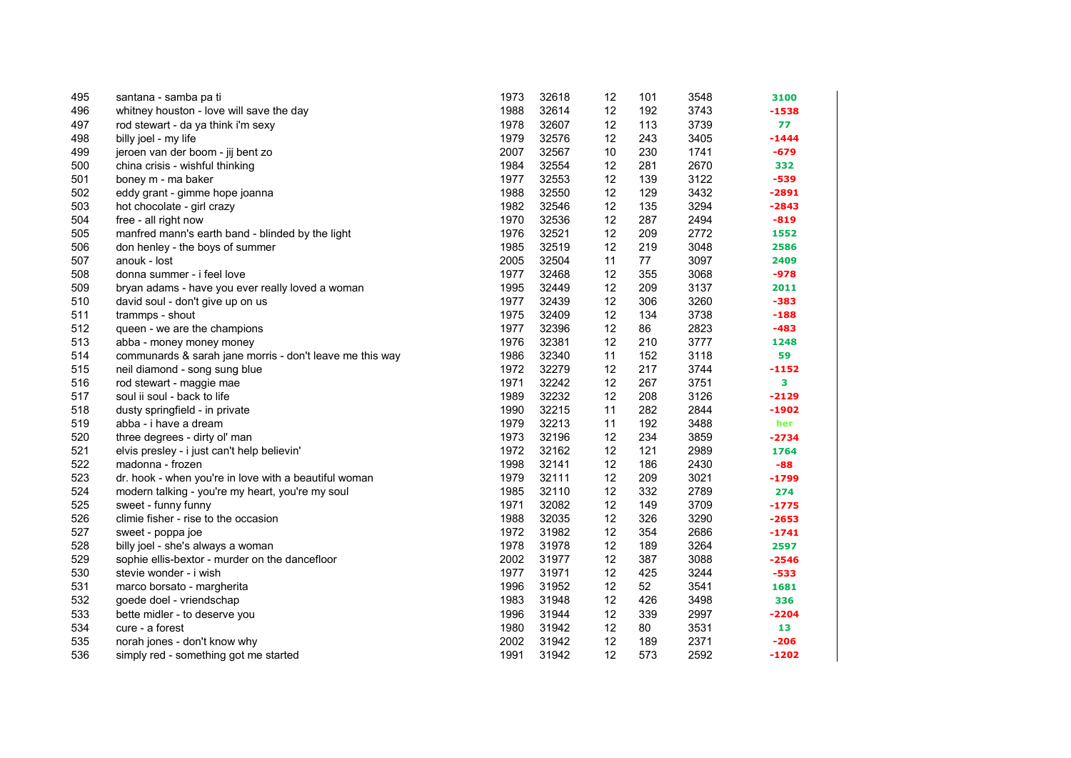| 495 | santana - samba pa ti                                    | 1973 | 32618 | 12 | 101 | 3548 | 3100    |
|-----|----------------------------------------------------------|------|-------|----|-----|------|---------|
| 496 | whitney houston - love will save the day                 | 1988 | 32614 | 12 | 192 | 3743 | $-1538$ |
| 497 | rod stewart - da ya think i'm sexy                       | 1978 | 32607 | 12 | 113 | 3739 | 77      |
| 498 | billy joel - my life                                     | 1979 | 32576 | 12 | 243 | 3405 | $-1444$ |
| 499 | jeroen van der boom - jij bent zo                        | 2007 | 32567 | 10 | 230 | 1741 | $-679$  |
| 500 | china crisis - wishful thinking                          | 1984 | 32554 | 12 | 281 | 2670 | 332     |
| 501 | boney m - ma baker                                       | 1977 | 32553 | 12 | 139 | 3122 | $-539$  |
| 502 | eddy grant - gimme hope joanna                           | 1988 | 32550 | 12 | 129 | 3432 | $-2891$ |
| 503 | hot chocolate - girl crazy                               | 1982 | 32546 | 12 | 135 | 3294 | $-2843$ |
| 504 | free - all right now                                     | 1970 | 32536 | 12 | 287 | 2494 | $-819$  |
| 505 | manfred mann's earth band - blinded by the light         | 1976 | 32521 | 12 | 209 | 2772 | 1552    |
| 506 | don henley - the boys of summer                          | 1985 | 32519 | 12 | 219 | 3048 | 2586    |
| 507 | anouk - lost                                             | 2005 | 32504 | 11 | 77  | 3097 | 2409    |
| 508 | donna summer - i feel love                               | 1977 | 32468 | 12 | 355 | 3068 | $-978$  |
| 509 | bryan adams - have you ever really loved a woman         | 1995 | 32449 | 12 | 209 | 3137 | 2011    |
| 510 | david soul - don't give up on us                         | 1977 | 32439 | 12 | 306 | 3260 | $-383$  |
| 511 | trammps - shout                                          | 1975 | 32409 | 12 | 134 | 3738 | $-188$  |
| 512 | queen - we are the champions                             | 1977 | 32396 | 12 | 86  | 2823 | -483    |
| 513 | abba - money money money                                 | 1976 | 32381 | 12 | 210 | 3777 | 1248    |
| 514 | communards & sarah jane morris - don't leave me this way | 1986 | 32340 | 11 | 152 | 3118 | 59      |
| 515 | neil diamond - song sung blue                            | 1972 | 32279 | 12 | 217 | 3744 | $-1152$ |
| 516 | rod stewart - maggie mae                                 | 1971 | 32242 | 12 | 267 | 3751 | 3       |
| 517 | soul ii soul - back to life                              | 1989 | 32232 | 12 | 208 | 3126 | $-2129$ |
| 518 | dusty springfield - in private                           | 1990 | 32215 | 11 | 282 | 2844 | $-1902$ |
| 519 | abba - i have a dream                                    | 1979 | 32213 | 11 | 192 | 3488 | her     |
| 520 | three degrees - dirty ol' man                            | 1973 | 32196 | 12 | 234 | 3859 | $-2734$ |
| 521 | elvis presley - i just can't help believin'              | 1972 | 32162 | 12 | 121 | 2989 | 1764    |
| 522 | madonna - frozen                                         | 1998 | 32141 | 12 | 186 | 2430 | $-88$   |
| 523 | dr. hook - when you're in love with a beautiful woman    | 1979 | 32111 | 12 | 209 | 3021 | $-1799$ |
| 524 | modern talking - you're my heart, you're my soul         | 1985 | 32110 | 12 | 332 | 2789 | 274     |
| 525 | sweet - funny funny                                      | 1971 | 32082 | 12 | 149 | 3709 | $-1775$ |
| 526 | climie fisher - rise to the occasion                     | 1988 | 32035 | 12 | 326 | 3290 | $-2653$ |
| 527 | sweet - poppa joe                                        | 1972 | 31982 | 12 | 354 | 2686 | $-1741$ |
| 528 | billy joel - she's always a woman                        | 1978 | 31978 | 12 | 189 | 3264 | 2597    |
| 529 | sophie ellis-bextor - murder on the dancefloor           | 2002 | 31977 | 12 | 387 | 3088 | $-2546$ |
| 530 | stevie wonder - i wish                                   | 1977 | 31971 | 12 | 425 | 3244 | $-533$  |
| 531 | marco borsato - margherita                               | 1996 | 31952 | 12 | 52  | 3541 | 1681    |
| 532 | goede doel - vriendschap                                 | 1983 | 31948 | 12 | 426 | 3498 | 336     |
| 533 | bette midler - to deserve you                            | 1996 | 31944 | 12 | 339 | 2997 | $-2204$ |
| 534 | cure - a forest                                          | 1980 | 31942 | 12 | 80  | 3531 | 13      |
| 535 | norah jones - don't know why                             | 2002 | 31942 | 12 | 189 | 2371 | $-206$  |
| 536 | simply red - something got me started                    | 1991 | 31942 | 12 | 573 | 2592 | $-1202$ |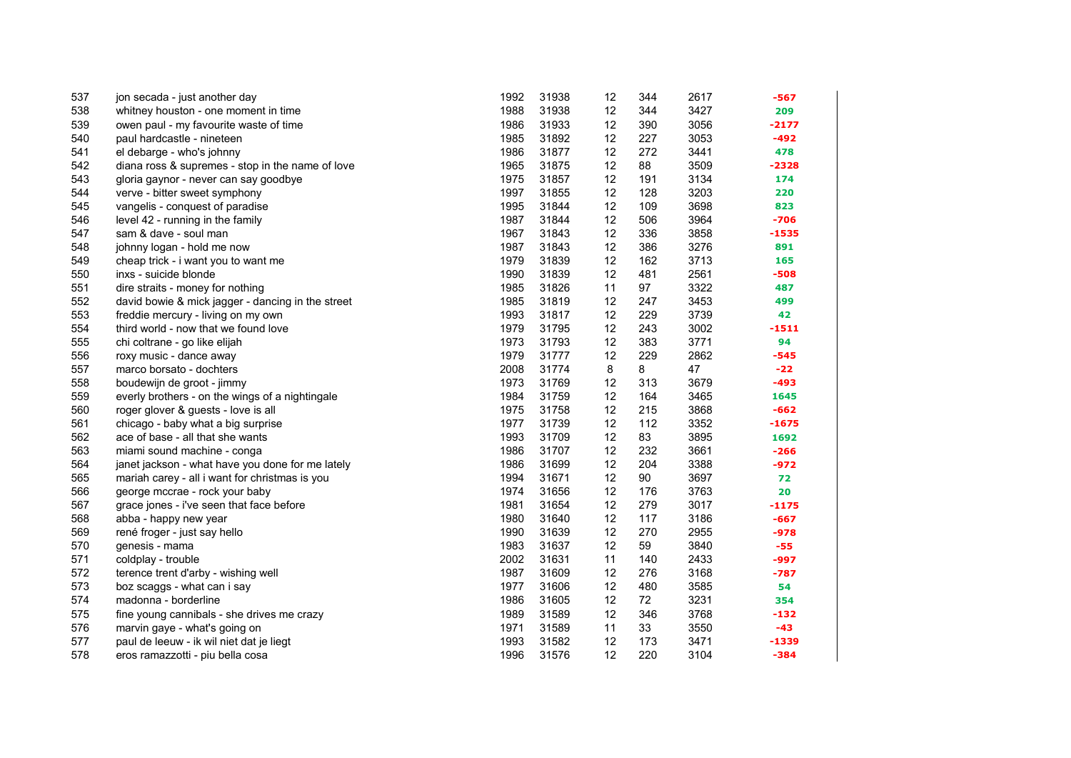| 537 | jon secada - just another day                     | 1992 | 31938 | 12 | 344 | 2617 | -567    |
|-----|---------------------------------------------------|------|-------|----|-----|------|---------|
| 538 | whitney houston - one moment in time              | 1988 | 31938 | 12 | 344 | 3427 | 209     |
| 539 | owen paul - my favourite waste of time            | 1986 | 31933 | 12 | 390 | 3056 | $-2177$ |
| 540 | paul hardcastle - nineteen                        | 1985 | 31892 | 12 | 227 | 3053 | $-492$  |
| 541 | el debarge - who's johnny                         | 1986 | 31877 | 12 | 272 | 3441 | 478     |
| 542 | diana ross & supremes - stop in the name of love  | 1965 | 31875 | 12 | 88  | 3509 | $-2328$ |
| 543 | gloria gaynor - never can say goodbye             | 1975 | 31857 | 12 | 191 | 3134 | 174     |
| 544 | verve - bitter sweet symphony                     | 1997 | 31855 | 12 | 128 | 3203 | 220     |
| 545 | vangelis - conquest of paradise                   | 1995 | 31844 | 12 | 109 | 3698 | 823     |
| 546 | level 42 - running in the family                  | 1987 | 31844 | 12 | 506 | 3964 | $-706$  |
| 547 | sam & dave - soul man                             | 1967 | 31843 | 12 | 336 | 3858 | $-1535$ |
| 548 | johnny logan - hold me now                        | 1987 | 31843 | 12 | 386 | 3276 | 891     |
| 549 | cheap trick - i want you to want me               | 1979 | 31839 | 12 | 162 | 3713 | 165     |
| 550 | inxs - suicide blonde                             | 1990 | 31839 | 12 | 481 | 2561 | $-508$  |
| 551 | dire straits - money for nothing                  | 1985 | 31826 | 11 | 97  | 3322 | 487     |
| 552 | david bowie & mick jagger - dancing in the street | 1985 | 31819 | 12 | 247 | 3453 | 499     |
| 553 | freddie mercury - living on my own                | 1993 | 31817 | 12 | 229 | 3739 | 42      |
| 554 | third world - now that we found love              | 1979 | 31795 | 12 | 243 | 3002 | -1511   |
| 555 | chi coltrane - go like elijah                     | 1973 | 31793 | 12 | 383 | 3771 | 94      |
| 556 | roxy music - dance away                           | 1979 | 31777 | 12 | 229 | 2862 | $-545$  |
| 557 | marco borsato - dochters                          | 2008 | 31774 | 8  | 8   | 47   | $-22$   |
| 558 | boudewijn de groot - jimmy                        | 1973 | 31769 | 12 | 313 | 3679 | $-493$  |
| 559 | everly brothers - on the wings of a nightingale   | 1984 | 31759 | 12 | 164 | 3465 | 1645    |
| 560 | roger glover & guests - love is all               | 1975 | 31758 | 12 | 215 | 3868 | $-662$  |
| 561 | chicago - baby what a big surprise                | 1977 | 31739 | 12 | 112 | 3352 | $-1675$ |
| 562 | ace of base - all that she wants                  | 1993 | 31709 | 12 | 83  | 3895 | 1692    |
| 563 | miami sound machine - conga                       | 1986 | 31707 | 12 | 232 | 3661 | $-266$  |
| 564 | janet jackson - what have you done for me lately  | 1986 | 31699 | 12 | 204 | 3388 | $-972$  |
| 565 | mariah carey - all i want for christmas is you    | 1994 | 31671 | 12 | 90  | 3697 | 72      |
| 566 | george mccrae - rock your baby                    | 1974 | 31656 | 12 | 176 | 3763 | 20      |
| 567 | grace jones - i've seen that face before          | 1981 | 31654 | 12 | 279 | 3017 | $-1175$ |
| 568 | abba - happy new year                             | 1980 | 31640 | 12 | 117 | 3186 | $-667$  |
| 569 | rené froger - just say hello                      | 1990 | 31639 | 12 | 270 | 2955 | $-978$  |
| 570 | genesis - mama                                    | 1983 | 31637 | 12 | 59  | 3840 | $-55$   |
| 571 | coldplay - trouble                                | 2002 | 31631 | 11 | 140 | 2433 | -997    |
| 572 | terence trent d'arby - wishing well               | 1987 | 31609 | 12 | 276 | 3168 | $-787$  |
| 573 | boz scaggs - what can i say                       | 1977 | 31606 | 12 | 480 | 3585 | 54      |
| 574 | madonna - borderline                              | 1986 | 31605 | 12 | 72  | 3231 | 354     |
| 575 | fine young cannibals - she drives me crazy        | 1989 | 31589 | 12 | 346 | 3768 | $-132$  |
| 576 | marvin gaye - what's going on                     | 1971 | 31589 | 11 | 33  | 3550 | -43     |
| 577 | paul de leeuw - ik wil niet dat je liegt          | 1993 | 31582 | 12 | 173 | 3471 | $-1339$ |
| 578 | eros ramazzotti - piu bella cosa                  | 1996 | 31576 | 12 | 220 | 3104 | $-384$  |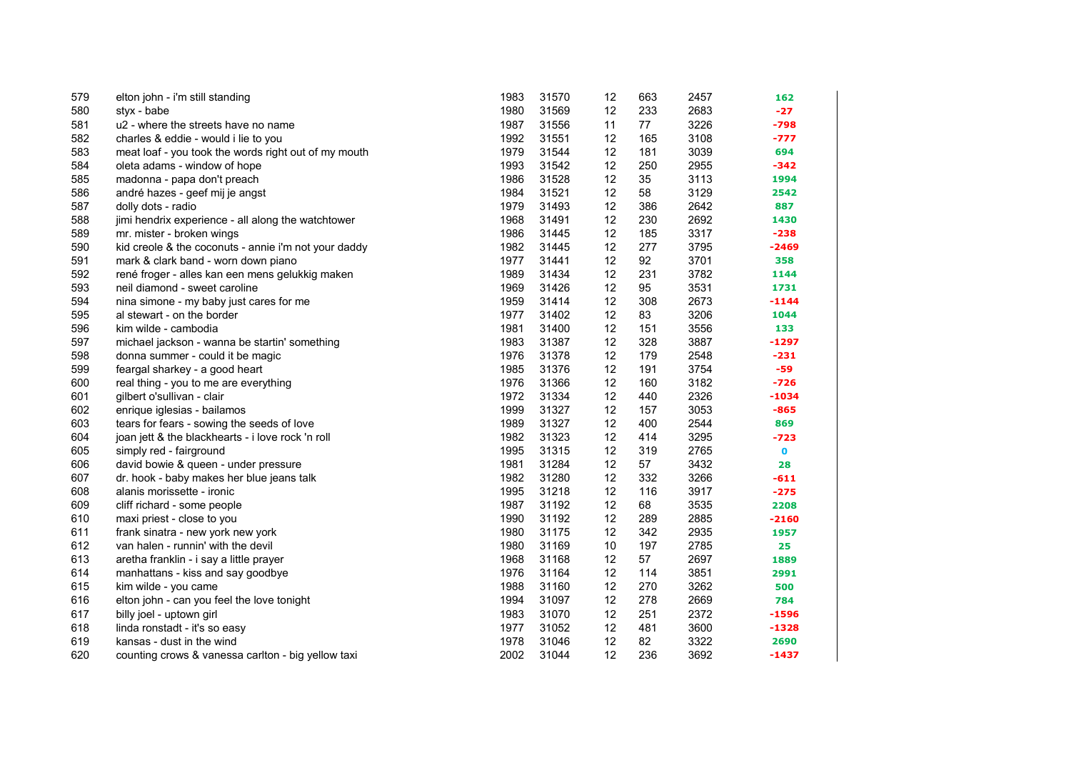| 579 | elton john - i'm still standing                      | 1983 | 31570 | 12 | 663 | 2457 | 162         |
|-----|------------------------------------------------------|------|-------|----|-----|------|-------------|
| 580 | styx - babe                                          | 1980 | 31569 | 12 | 233 | 2683 | $-27$       |
| 581 | u2 - where the streets have no name                  | 1987 | 31556 | 11 | 77  | 3226 | $-798$      |
| 582 | charles & eddie - would i lie to you                 | 1992 | 31551 | 12 | 165 | 3108 | $-777$      |
| 583 | meat loaf - you took the words right out of my mouth | 1979 | 31544 | 12 | 181 | 3039 | 694         |
| 584 | oleta adams - window of hope                         | 1993 | 31542 | 12 | 250 | 2955 | $-342$      |
| 585 | madonna - papa don't preach                          | 1986 | 31528 | 12 | 35  | 3113 | 1994        |
| 586 | andré hazes - geef mij je angst                      | 1984 | 31521 | 12 | 58  | 3129 | 2542        |
| 587 | dolly dots - radio                                   | 1979 | 31493 | 12 | 386 | 2642 | 887         |
| 588 | jimi hendrix experience - all along the watchtower   | 1968 | 31491 | 12 | 230 | 2692 | 1430        |
| 589 | mr. mister - broken wings                            | 1986 | 31445 | 12 | 185 | 3317 | $-238$      |
| 590 | kid creole & the coconuts - annie i'm not your daddy | 1982 | 31445 | 12 | 277 | 3795 | $-2469$     |
| 591 | mark & clark band - worn down piano                  | 1977 | 31441 | 12 | 92  | 3701 | 358         |
| 592 | rené froger - alles kan een mens gelukkig maken      | 1989 | 31434 | 12 | 231 | 3782 | 1144        |
| 593 | neil diamond - sweet caroline                        | 1969 | 31426 | 12 | 95  | 3531 | 1731        |
| 594 | nina simone - my baby just cares for me              | 1959 | 31414 | 12 | 308 | 2673 | $-1144$     |
| 595 | al stewart - on the border                           | 1977 | 31402 | 12 | 83  | 3206 | 1044        |
| 596 | kim wilde - cambodia                                 | 1981 | 31400 | 12 | 151 | 3556 | 133         |
| 597 | michael jackson - wanna be startin' something        | 1983 | 31387 | 12 | 328 | 3887 | $-1297$     |
| 598 | donna summer - could it be magic                     | 1976 | 31378 | 12 | 179 | 2548 | $-231$      |
| 599 | feargal sharkey - a good heart                       | 1985 | 31376 | 12 | 191 | 3754 | -59         |
| 600 | real thing - you to me are everything                | 1976 | 31366 | 12 | 160 | 3182 | $-726$      |
| 601 | gilbert o'sullivan - clair                           | 1972 | 31334 | 12 | 440 | 2326 | $-1034$     |
| 602 | enrique iglesias - bailamos                          | 1999 | 31327 | 12 | 157 | 3053 | $-865$      |
| 603 | tears for fears - sowing the seeds of love           | 1989 | 31327 | 12 | 400 | 2544 | 869         |
| 604 | joan jett & the blackhearts - i love rock 'n roll    | 1982 | 31323 | 12 | 414 | 3295 | $-723$      |
| 605 | simply red - fairground                              | 1995 | 31315 | 12 | 319 | 2765 | $\mathbf 0$ |
| 606 | david bowie & queen - under pressure                 | 1981 | 31284 | 12 | 57  | 3432 | 28          |
| 607 | dr. hook - baby makes her blue jeans talk            | 1982 | 31280 | 12 | 332 | 3266 | $-611$      |
| 608 | alanis morissette - ironic                           | 1995 | 31218 | 12 | 116 | 3917 | $-275$      |
| 609 | cliff richard - some people                          | 1987 | 31192 | 12 | 68  | 3535 | 2208        |
| 610 | maxi priest - close to you                           | 1990 | 31192 | 12 | 289 | 2885 | $-2160$     |
| 611 | frank sinatra - new york new york                    | 1980 | 31175 | 12 | 342 | 2935 | 1957        |
| 612 | van halen - runnin' with the devil                   | 1980 | 31169 | 10 | 197 | 2785 | 25          |
| 613 | aretha franklin - i say a little prayer              | 1968 | 31168 | 12 | 57  | 2697 | 1889        |
| 614 | manhattans - kiss and say goodbye                    | 1976 | 31164 | 12 | 114 | 3851 | 2991        |
| 615 | kim wilde - you came                                 | 1988 | 31160 | 12 | 270 | 3262 | 500         |
| 616 | elton john - can you feel the love tonight           | 1994 | 31097 | 12 | 278 | 2669 | 784         |
| 617 | billy joel - uptown girl                             | 1983 | 31070 | 12 | 251 | 2372 | $-1596$     |
| 618 | linda ronstadt - it's so easy                        | 1977 | 31052 | 12 | 481 | 3600 | $-1328$     |
| 619 | kansas - dust in the wind                            | 1978 | 31046 | 12 | 82  | 3322 | 2690        |
| 620 | counting crows & vanessa carlton - big yellow taxi   | 2002 | 31044 | 12 | 236 | 3692 | $-1437$     |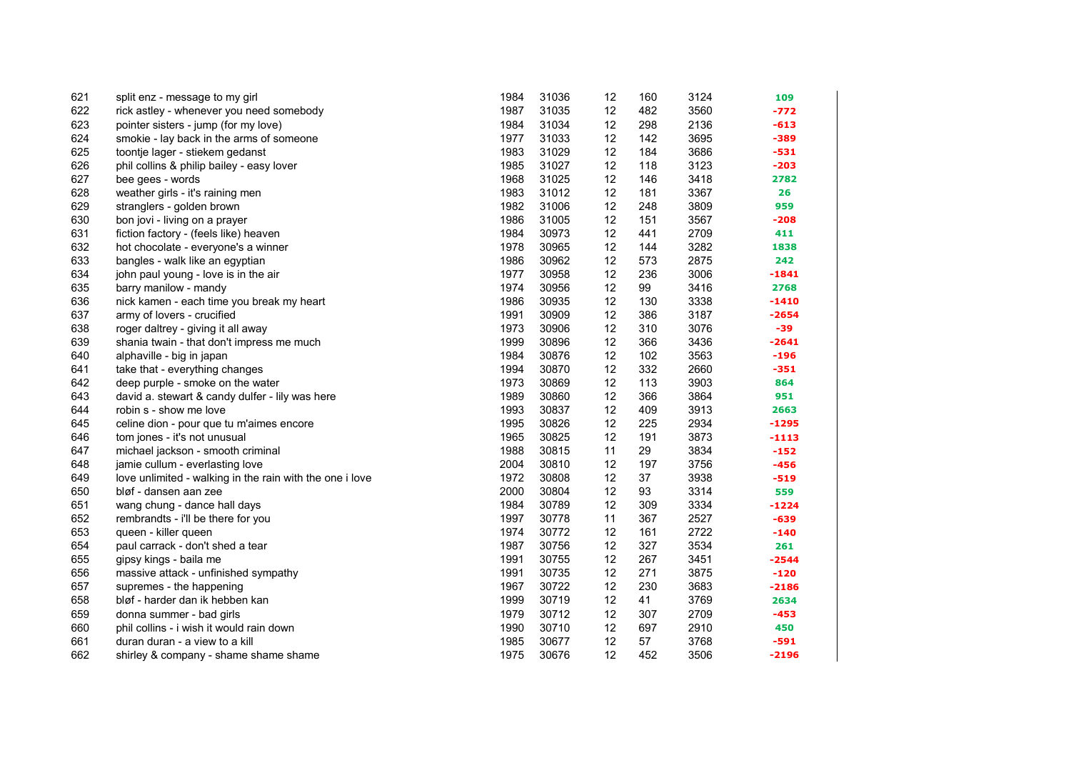| 621 | split enz - message to my girl                           | 1984 | 31036 | 12 | 160 | 3124 | 109     |
|-----|----------------------------------------------------------|------|-------|----|-----|------|---------|
| 622 | rick astley - whenever you need somebody                 | 1987 | 31035 | 12 | 482 | 3560 | $-772$  |
| 623 | pointer sisters - jump (for my love)                     | 1984 | 31034 | 12 | 298 | 2136 | $-613$  |
| 624 | smokie - lay back in the arms of someone                 | 1977 | 31033 | 12 | 142 | 3695 | $-389$  |
| 625 | toontje lager - stiekem gedanst                          | 1983 | 31029 | 12 | 184 | 3686 | $-531$  |
| 626 | phil collins & philip bailey - easy lover                | 1985 | 31027 | 12 | 118 | 3123 | $-203$  |
| 627 | bee gees - words                                         | 1968 | 31025 | 12 | 146 | 3418 | 2782    |
| 628 | weather girls - it's raining men                         | 1983 | 31012 | 12 | 181 | 3367 | 26      |
| 629 | stranglers - golden brown                                | 1982 | 31006 | 12 | 248 | 3809 | 959     |
| 630 | bon jovi - living on a prayer                            | 1986 | 31005 | 12 | 151 | 3567 | $-208$  |
| 631 | fiction factory - (feels like) heaven                    | 1984 | 30973 | 12 | 441 | 2709 | 411     |
| 632 | hot chocolate - everyone's a winner                      | 1978 | 30965 | 12 | 144 | 3282 | 1838    |
| 633 | bangles - walk like an egyptian                          | 1986 | 30962 | 12 | 573 | 2875 | 242     |
| 634 | john paul young - love is in the air                     | 1977 | 30958 | 12 | 236 | 3006 | $-1841$ |
| 635 | barry manilow - mandy                                    | 1974 | 30956 | 12 | 99  | 3416 | 2768    |
| 636 | nick kamen - each time you break my heart                | 1986 | 30935 | 12 | 130 | 3338 | $-1410$ |
| 637 | army of lovers - crucified                               | 1991 | 30909 | 12 | 386 | 3187 | $-2654$ |
| 638 | roger daltrey - giving it all away                       | 1973 | 30906 | 12 | 310 | 3076 | $-39$   |
| 639 | shania twain - that don't impress me much                | 1999 | 30896 | 12 | 366 | 3436 | $-2641$ |
| 640 | alphaville - big in japan                                | 1984 | 30876 | 12 | 102 | 3563 | $-196$  |
| 641 | take that - everything changes                           | 1994 | 30870 | 12 | 332 | 2660 | $-351$  |
| 642 | deep purple - smoke on the water                         | 1973 | 30869 | 12 | 113 | 3903 | 864     |
| 643 | david a. stewart & candy dulfer - lily was here          | 1989 | 30860 | 12 | 366 | 3864 | 951     |
| 644 | robin s - show me love                                   | 1993 | 30837 | 12 | 409 | 3913 | 2663    |
| 645 | celine dion - pour que tu m'aimes encore                 | 1995 | 30826 | 12 | 225 | 2934 | $-1295$ |
| 646 | tom jones - it's not unusual                             | 1965 | 30825 | 12 | 191 | 3873 | $-1113$ |
| 647 | michael jackson - smooth criminal                        | 1988 | 30815 | 11 | 29  | 3834 | $-152$  |
| 648 | jamie cullum - everlasting love                          | 2004 | 30810 | 12 | 197 | 3756 | $-456$  |
| 649 | love unlimited - walking in the rain with the one i love | 1972 | 30808 | 12 | 37  | 3938 | $-519$  |
| 650 | bløf - dansen aan zee                                    | 2000 | 30804 | 12 | 93  | 3314 | 559     |
| 651 | wang chung - dance hall days                             | 1984 | 30789 | 12 | 309 | 3334 | $-1224$ |
| 652 | rembrandts - i'll be there for you                       | 1997 | 30778 | 11 | 367 | 2527 | $-639$  |
| 653 | queen - killer queen                                     | 1974 | 30772 | 12 | 161 | 2722 | $-140$  |
| 654 | paul carrack - don't shed a tear                         | 1987 | 30756 | 12 | 327 | 3534 | 261     |
| 655 | gipsy kings - baila me                                   | 1991 | 30755 | 12 | 267 | 3451 | $-2544$ |
| 656 | massive attack - unfinished sympathy                     | 1991 | 30735 | 12 | 271 | 3875 | $-120$  |
| 657 | supremes - the happening                                 | 1967 | 30722 | 12 | 230 | 3683 | $-2186$ |
| 658 | bløf - harder dan ik hebben kan                          | 1999 | 30719 | 12 | 41  | 3769 | 2634    |
| 659 | donna summer - bad girls                                 | 1979 | 30712 | 12 | 307 | 2709 | $-453$  |
| 660 | phil collins - i wish it would rain down                 | 1990 | 30710 | 12 | 697 | 2910 | 450     |
| 661 | duran duran - a view to a kill                           | 1985 | 30677 | 12 | 57  | 3768 | $-591$  |
| 662 | shirley & company - shame shame shame                    | 1975 | 30676 | 12 | 452 | 3506 | $-2196$ |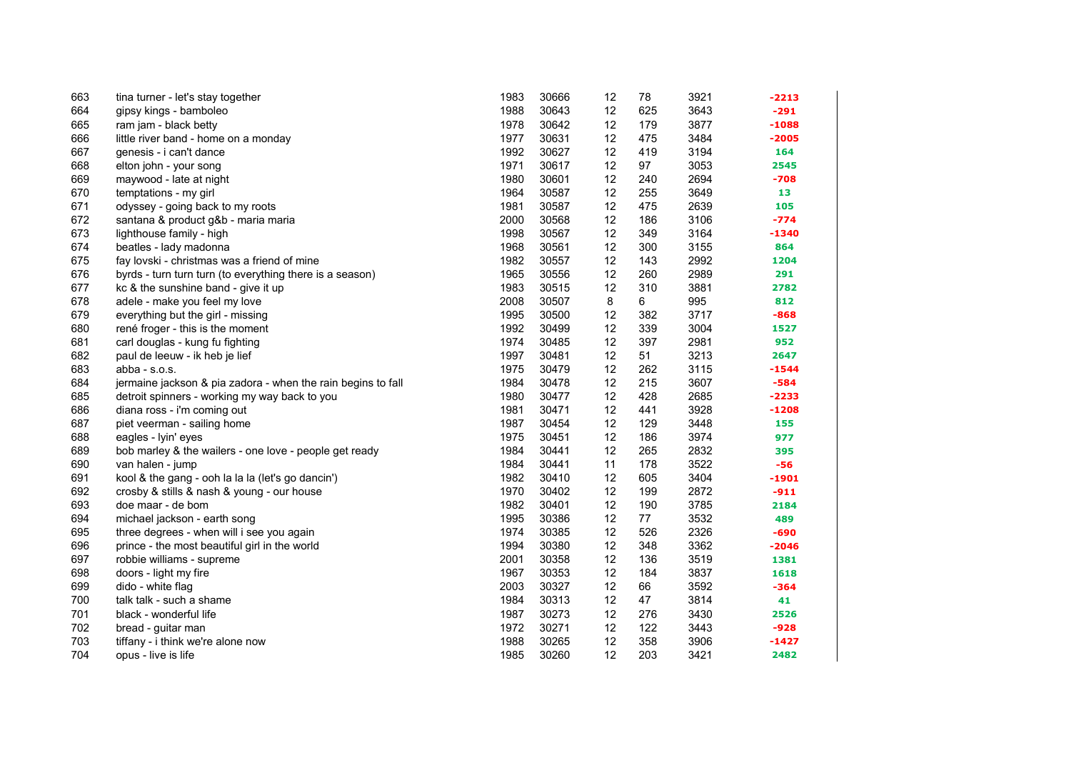| 663 | tina turner - let's stay together                            | 1983 | 30666 | 12 | 78  | 3921 | -2213   |
|-----|--------------------------------------------------------------|------|-------|----|-----|------|---------|
| 664 | gipsy kings - bamboleo                                       | 1988 | 30643 | 12 | 625 | 3643 | $-291$  |
| 665 | ram jam - black betty                                        | 1978 | 30642 | 12 | 179 | 3877 | $-1088$ |
| 666 | little river band - home on a monday                         | 1977 | 30631 | 12 | 475 | 3484 | $-2005$ |
| 667 | genesis - i can't dance                                      | 1992 | 30627 | 12 | 419 | 3194 | 164     |
| 668 | elton john - your song                                       | 1971 | 30617 | 12 | 97  | 3053 | 2545    |
| 669 | maywood - late at night                                      | 1980 | 30601 | 12 | 240 | 2694 | -708    |
| 670 | temptations - my girl                                        | 1964 | 30587 | 12 | 255 | 3649 | 13      |
| 671 | odyssey - going back to my roots                             | 1981 | 30587 | 12 | 475 | 2639 | 105     |
| 672 | santana & product g&b - maria maria                          | 2000 | 30568 | 12 | 186 | 3106 | $-774$  |
| 673 | lighthouse family - high                                     | 1998 | 30567 | 12 | 349 | 3164 | $-1340$ |
| 674 | beatles - lady madonna                                       | 1968 | 30561 | 12 | 300 | 3155 | 864     |
| 675 | fay lovski - christmas was a friend of mine                  | 1982 | 30557 | 12 | 143 | 2992 | 1204    |
| 676 | byrds - turn turn turn (to everything there is a season)     | 1965 | 30556 | 12 | 260 | 2989 | 291     |
| 677 | kc & the sunshine band - give it up                          | 1983 | 30515 | 12 | 310 | 3881 | 2782    |
| 678 | adele - make you feel my love                                | 2008 | 30507 | 8  | 6   | 995  | 812     |
| 679 | everything but the girl - missing                            | 1995 | 30500 | 12 | 382 | 3717 | $-868$  |
| 680 | rené froger - this is the moment                             | 1992 | 30499 | 12 | 339 | 3004 | 1527    |
| 681 | carl douglas - kung fu fighting                              | 1974 | 30485 | 12 | 397 | 2981 | 952     |
| 682 | paul de leeuw - ik heb je lief                               | 1997 | 30481 | 12 | 51  | 3213 | 2647    |
| 683 | abba - $s.o.s.$                                              | 1975 | 30479 | 12 | 262 | 3115 | $-1544$ |
| 684 | jermaine jackson & pia zadora - when the rain begins to fall | 1984 | 30478 | 12 | 215 | 3607 | $-584$  |
| 685 | detroit spinners - working my way back to you                | 1980 | 30477 | 12 | 428 | 2685 | $-2233$ |
| 686 | diana ross - i'm coming out                                  | 1981 | 30471 | 12 | 441 | 3928 | $-1208$ |
| 687 | piet veerman - sailing home                                  | 1987 | 30454 | 12 | 129 | 3448 | 155     |
| 688 | eagles - lyin' eyes                                          | 1975 | 30451 | 12 | 186 | 3974 | 977     |
| 689 | bob marley & the wailers - one love - people get ready       | 1984 | 30441 | 12 | 265 | 2832 | 395     |
| 690 | van halen - jump                                             | 1984 | 30441 | 11 | 178 | 3522 | $-56$   |
| 691 | kool & the gang - ooh la la la (let's go dancin')            | 1982 | 30410 | 12 | 605 | 3404 | $-1901$ |
| 692 | crosby & stills & nash & young - our house                   | 1970 | 30402 | 12 | 199 | 2872 | $-911$  |
| 693 | doe maar - de bom                                            | 1982 | 30401 | 12 | 190 | 3785 | 2184    |
| 694 | michael jackson - earth song                                 | 1995 | 30386 | 12 | 77  | 3532 | 489     |
| 695 | three degrees - when will i see you again                    | 1974 | 30385 | 12 | 526 | 2326 | $-690$  |
| 696 | prince - the most beautiful girl in the world                | 1994 | 30380 | 12 | 348 | 3362 | $-2046$ |
| 697 | robbie williams - supreme                                    | 2001 | 30358 | 12 | 136 | 3519 | 1381    |
| 698 | doors - light my fire                                        | 1967 | 30353 | 12 | 184 | 3837 | 1618    |
| 699 | dido - white flag                                            | 2003 | 30327 | 12 | 66  | 3592 | $-364$  |
| 700 | talk talk - such a shame                                     | 1984 | 30313 | 12 | 47  | 3814 | 41      |
| 701 | black - wonderful life                                       | 1987 | 30273 | 12 | 276 | 3430 | 2526    |
| 702 | bread - guitar man                                           | 1972 | 30271 | 12 | 122 | 3443 | $-928$  |
| 703 | tiffany - i think we're alone now                            | 1988 | 30265 | 12 | 358 | 3906 | $-1427$ |
| 704 | opus - live is life                                          | 1985 | 30260 | 12 | 203 | 3421 | 2482    |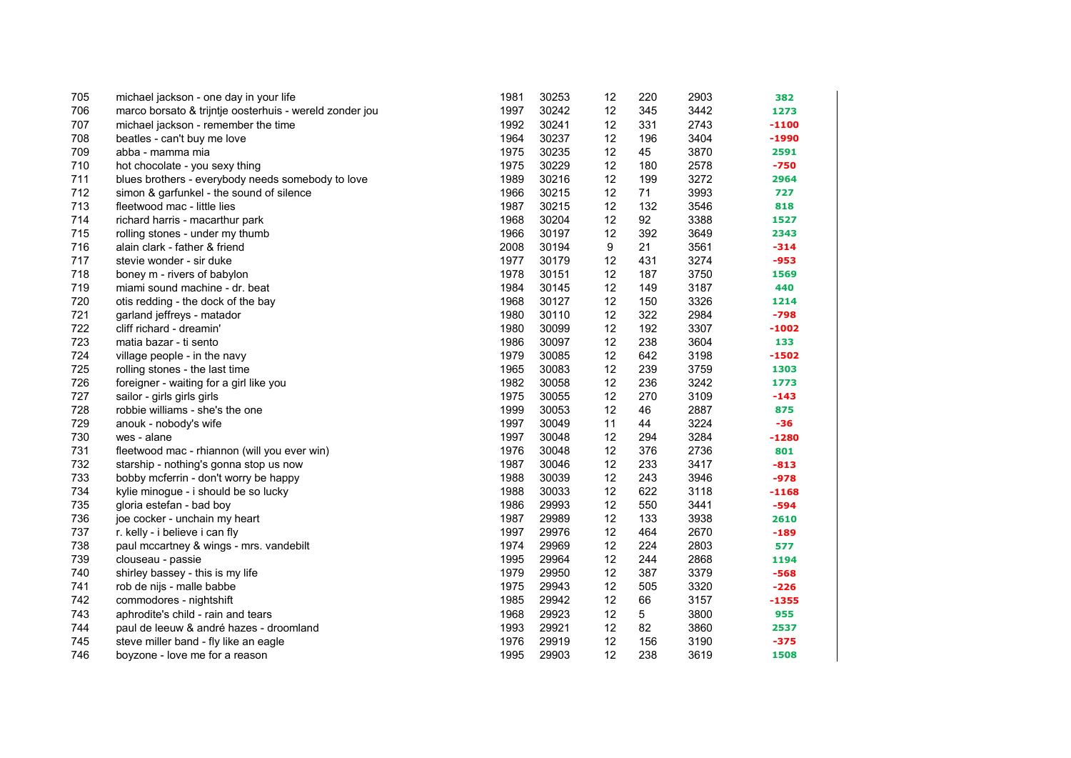| 705 | michael jackson - one day in your life                  | 1981 | 30253 | 12 | 220 | 2903 | 382     |
|-----|---------------------------------------------------------|------|-------|----|-----|------|---------|
| 706 | marco borsato & trijntje oosterhuis - wereld zonder jou | 1997 | 30242 | 12 | 345 | 3442 | 1273    |
| 707 | michael jackson - remember the time                     | 1992 | 30241 | 12 | 331 | 2743 | $-1100$ |
| 708 | beatles - can't buy me love                             | 1964 | 30237 | 12 | 196 | 3404 | -1990   |
| 709 | abba - mamma mia                                        | 1975 | 30235 | 12 | 45  | 3870 | 2591    |
| 710 | hot chocolate - you sexy thing                          | 1975 | 30229 | 12 | 180 | 2578 | $-750$  |
| 711 | blues brothers - everybody needs somebody to love       | 1989 | 30216 | 12 | 199 | 3272 | 2964    |
| 712 | simon & garfunkel - the sound of silence                | 1966 | 30215 | 12 | 71  | 3993 | 727     |
| 713 | fleetwood mac - little lies                             | 1987 | 30215 | 12 | 132 | 3546 | 818     |
| 714 | richard harris - macarthur park                         | 1968 | 30204 | 12 | 92  | 3388 | 1527    |
| 715 | rolling stones - under my thumb                         | 1966 | 30197 | 12 | 392 | 3649 | 2343    |
| 716 | alain clark - father & friend                           | 2008 | 30194 | 9  | 21  | 3561 | $-314$  |
| 717 | stevie wonder - sir duke                                | 1977 | 30179 | 12 | 431 | 3274 | $-953$  |
| 718 | boney m - rivers of babylon                             | 1978 | 30151 | 12 | 187 | 3750 | 1569    |
| 719 | miami sound machine - dr. beat                          | 1984 | 30145 | 12 | 149 | 3187 | 440     |
| 720 | otis redding - the dock of the bay                      | 1968 | 30127 | 12 | 150 | 3326 | 1214    |
| 721 | garland jeffreys - matador                              | 1980 | 30110 | 12 | 322 | 2984 | $-798$  |
| 722 | cliff richard - dreamin'                                | 1980 | 30099 | 12 | 192 | 3307 | $-1002$ |
| 723 | matia bazar - ti sento                                  | 1986 | 30097 | 12 | 238 | 3604 | 133     |
| 724 | village people - in the navy                            | 1979 | 30085 | 12 | 642 | 3198 | $-1502$ |
| 725 | rolling stones - the last time                          | 1965 | 30083 | 12 | 239 | 3759 | 1303    |
| 726 | foreigner - waiting for a girl like you                 | 1982 | 30058 | 12 | 236 | 3242 | 1773    |
| 727 | sailor - girls girls girls                              | 1975 | 30055 | 12 | 270 | 3109 | $-143$  |
| 728 | robbie williams - she's the one                         | 1999 | 30053 | 12 | 46  | 2887 | 875     |
| 729 | anouk - nobody's wife                                   | 1997 | 30049 | 11 | 44  | 3224 | -36     |
| 730 | wes - alane                                             | 1997 | 30048 | 12 | 294 | 3284 | $-1280$ |
| 731 | fleetwood mac - rhiannon (will you ever win)            | 1976 | 30048 | 12 | 376 | 2736 | 801     |
| 732 | starship - nothing's gonna stop us now                  | 1987 | 30046 | 12 | 233 | 3417 | $-813$  |
| 733 | bobby mcferrin - don't worry be happy                   | 1988 | 30039 | 12 | 243 | 3946 | $-978$  |
| 734 | kylie minogue - i should be so lucky                    | 1988 | 30033 | 12 | 622 | 3118 | $-1168$ |
| 735 | gloria estefan - bad boy                                | 1986 | 29993 | 12 | 550 | 3441 | $-594$  |
| 736 | joe cocker - unchain my heart                           | 1987 | 29989 | 12 | 133 | 3938 | 2610    |
| 737 | r. kelly - i believe i can fly                          | 1997 | 29976 | 12 | 464 | 2670 | $-189$  |
| 738 | paul mccartney & wings - mrs. vandebilt                 | 1974 | 29969 | 12 | 224 | 2803 | 577     |
| 739 | clouseau - passie                                       | 1995 | 29964 | 12 | 244 | 2868 | 1194    |
| 740 | shirley bassey - this is my life                        | 1979 | 29950 | 12 | 387 | 3379 | $-568$  |
| 741 | rob de nijs - malle babbe                               | 1975 | 29943 | 12 | 505 | 3320 | $-226$  |
| 742 | commodores - nightshift                                 | 1985 | 29942 | 12 | 66  | 3157 | $-1355$ |
| 743 | aphrodite's child - rain and tears                      | 1968 | 29923 | 12 | 5   | 3800 | 955     |
| 744 | paul de leeuw & andré hazes - droomland                 | 1993 | 29921 | 12 | 82  | 3860 | 2537    |
| 745 | steve miller band - fly like an eagle                   | 1976 | 29919 | 12 | 156 | 3190 | $-375$  |
| 746 | boyzone - love me for a reason                          | 1995 | 29903 | 12 | 238 | 3619 | 1508    |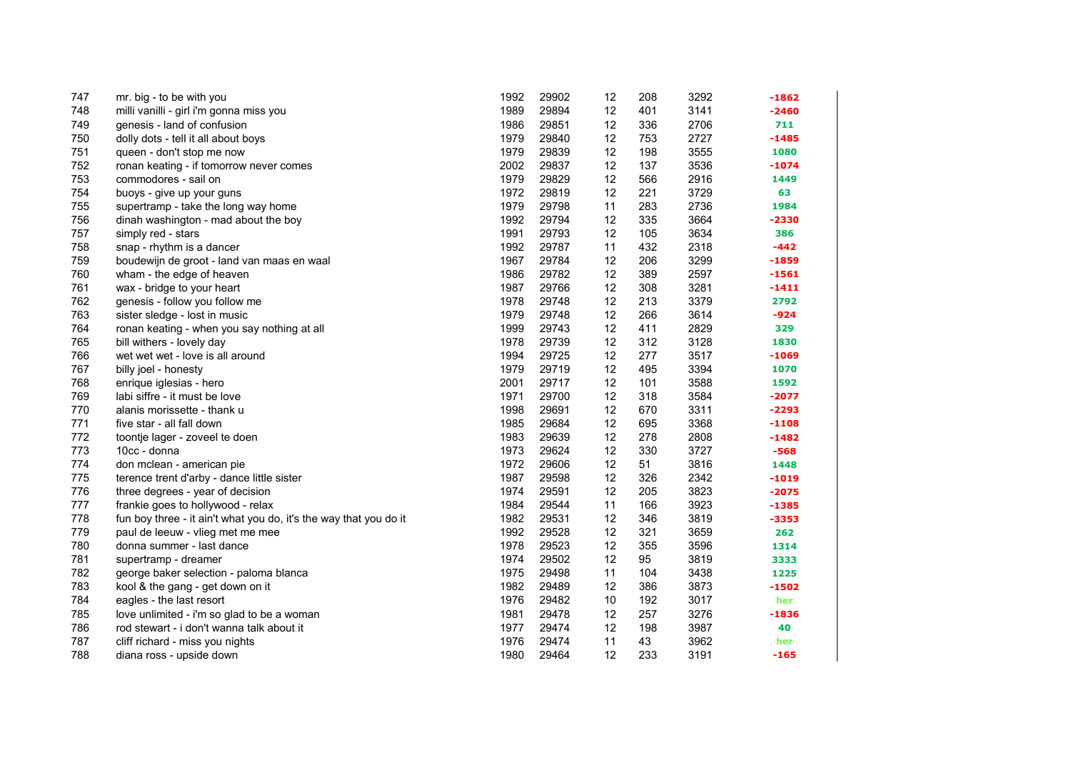| 747 | mr. big - to be with you                                          | 1992 | 29902 | 12              | 208 | 3292 | $-1862$ |
|-----|-------------------------------------------------------------------|------|-------|-----------------|-----|------|---------|
| 748 | milli vanilli - girl i'm gonna miss you                           | 1989 | 29894 | 12              | 401 | 3141 | $-2460$ |
| 749 | genesis - land of confusion                                       | 1986 | 29851 | 12              | 336 | 2706 | 711     |
| 750 | dolly dots - tell it all about boys                               | 1979 | 29840 | 12              | 753 | 2727 | $-1485$ |
| 751 | queen - don't stop me now                                         | 1979 | 29839 | 12              | 198 | 3555 | 1080    |
| 752 | ronan keating - if tomorrow never comes                           | 2002 | 29837 | 12              | 137 | 3536 | $-1074$ |
| 753 | commodores - sail on                                              | 1979 | 29829 | 12              | 566 | 2916 | 1449    |
| 754 | buoys - give up your guns                                         | 1972 | 29819 | 12              | 221 | 3729 | 63      |
| 755 | supertramp - take the long way home                               | 1979 | 29798 | 11              | 283 | 2736 | 1984    |
| 756 | dinah washington - mad about the boy                              | 1992 | 29794 | 12              | 335 | 3664 | $-2330$ |
| 757 | simply red - stars                                                | 1991 | 29793 | 12              | 105 | 3634 | 386     |
| 758 | snap - rhythm is a dancer                                         | 1992 | 29787 | 11              | 432 | 2318 | $-442$  |
| 759 | boudewijn de groot - land van maas en waal                        | 1967 | 29784 | 12              | 206 | 3299 | $-1859$ |
| 760 | wham - the edge of heaven                                         | 1986 | 29782 | 12              | 389 | 2597 | $-1561$ |
| 761 | wax - bridge to your heart                                        | 1987 | 29766 | 12              | 308 | 3281 | $-1411$ |
| 762 | genesis - follow you follow me                                    | 1978 | 29748 | 12              | 213 | 3379 | 2792    |
| 763 | sister sledge - lost in music                                     | 1979 | 29748 | 12              | 266 | 3614 | $-924$  |
| 764 | ronan keating - when you say nothing at all                       | 1999 | 29743 | 12              | 411 | 2829 | 329     |
| 765 | bill withers - lovely day                                         | 1978 | 29739 | 12              | 312 | 3128 | 1830    |
| 766 | wet wet wet - love is all around                                  | 1994 | 29725 | 12              | 277 | 3517 | $-1069$ |
| 767 | billy joel - honesty                                              | 1979 | 29719 | 12              | 495 | 3394 | 1070    |
| 768 | enrique iglesias - hero                                           | 2001 | 29717 | 12              | 101 | 3588 | 1592    |
| 769 | labi siffre - it must be love                                     | 1971 | 29700 | 12              | 318 | 3584 | $-2077$ |
| 770 | alanis morissette - thank u                                       | 1998 | 29691 | 12              | 670 | 3311 | $-2293$ |
| 771 | five star - all fall down                                         | 1985 | 29684 | 12              | 695 | 3368 | $-1108$ |
| 772 | toontje lager - zoveel te doen                                    | 1983 | 29639 | 12              | 278 | 2808 | $-1482$ |
| 773 | 10cc - donna                                                      | 1973 | 29624 | 12              | 330 | 3727 | $-568$  |
| 774 | don mclean - american pie                                         | 1972 | 29606 | 12              | 51  | 3816 | 1448    |
| 775 | terence trent d'arby - dance little sister                        | 1987 | 29598 | 12              | 326 | 2342 | $-1019$ |
| 776 | three degrees - year of decision                                  | 1974 | 29591 | 12              | 205 | 3823 | $-2075$ |
| 777 | frankie goes to hollywood - relax                                 | 1984 | 29544 | 11              | 166 | 3923 | $-1385$ |
| 778 | fun boy three - it ain't what you do, it's the way that you do it | 1982 | 29531 | 12              | 346 | 3819 | $-3353$ |
| 779 | paul de leeuw - vlieg met me mee                                  | 1992 | 29528 | 12              | 321 | 3659 | 262     |
| 780 | donna summer - last dance                                         | 1978 | 29523 | 12              | 355 | 3596 | 1314    |
| 781 | supertramp - dreamer                                              | 1974 | 29502 | 12              | 95  | 3819 | 3333    |
| 782 | george baker selection - paloma blanca                            | 1975 | 29498 | 11              | 104 | 3438 | 1225    |
| 783 | kool & the gang - get down on it                                  | 1982 | 29489 | 12              | 386 | 3873 | $-1502$ |
| 784 | eagles - the last resort                                          | 1976 | 29482 | 10 <sup>°</sup> | 192 | 3017 | her     |
| 785 | love unlimited - i'm so glad to be a woman                        | 1981 | 29478 | 12              | 257 | 3276 | $-1836$ |
| 786 | rod stewart - i don't wanna talk about it                         | 1977 | 29474 | 12              | 198 | 3987 | 40      |
| 787 | cliff richard - miss you nights                                   | 1976 | 29474 | 11              | 43  | 3962 | her     |
| 788 | diana ross - upside down                                          | 1980 | 29464 | 12              | 233 | 3191 | $-165$  |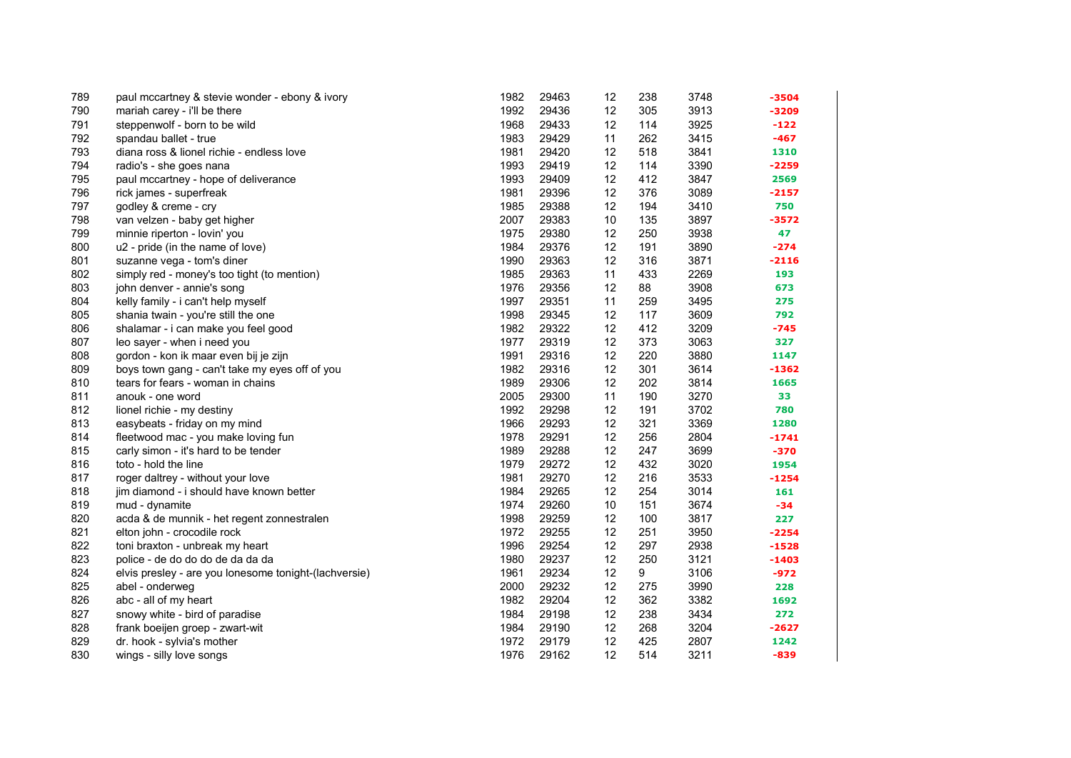| 789 | paul mccartney & stevie wonder - ebony & ivory        | 1982 | 29463 | 12 | 238 | 3748 | $-3504$ |
|-----|-------------------------------------------------------|------|-------|----|-----|------|---------|
| 790 | mariah carey - i'll be there                          | 1992 | 29436 | 12 | 305 | 3913 | $-3209$ |
| 791 | steppenwolf - born to be wild                         | 1968 | 29433 | 12 | 114 | 3925 | $-122$  |
| 792 | spandau ballet - true                                 | 1983 | 29429 | 11 | 262 | 3415 | $-467$  |
| 793 | diana ross & lionel richie - endless love             | 1981 | 29420 | 12 | 518 | 3841 | 1310    |
| 794 | radio's - she goes nana                               | 1993 | 29419 | 12 | 114 | 3390 | $-2259$ |
| 795 | paul mccartney - hope of deliverance                  | 1993 | 29409 | 12 | 412 | 3847 | 2569    |
| 796 | rick james - superfreak                               | 1981 | 29396 | 12 | 376 | 3089 | $-2157$ |
| 797 | godley & creme - cry                                  | 1985 | 29388 | 12 | 194 | 3410 | 750     |
| 798 | van velzen - baby get higher                          | 2007 | 29383 | 10 | 135 | 3897 | $-3572$ |
| 799 | minnie riperton - lovin' you                          | 1975 | 29380 | 12 | 250 | 3938 | 47      |
| 800 | u2 - pride (in the name of love)                      | 1984 | 29376 | 12 | 191 | 3890 | $-274$  |
| 801 | suzanne vega - tom's diner                            | 1990 | 29363 | 12 | 316 | 3871 | $-2116$ |
| 802 | simply red - money's too tight (to mention)           | 1985 | 29363 | 11 | 433 | 2269 | 193     |
| 803 | john denver - annie's song                            | 1976 | 29356 | 12 | 88  | 3908 | 673     |
| 804 | kelly family - i can't help myself                    | 1997 | 29351 | 11 | 259 | 3495 | 275     |
| 805 | shania twain - you're still the one                   | 1998 | 29345 | 12 | 117 | 3609 | 792     |
| 806 | shalamar - i can make you feel good                   | 1982 | 29322 | 12 | 412 | 3209 | $-745$  |
| 807 | leo sayer - when i need you                           | 1977 | 29319 | 12 | 373 | 3063 | 327     |
| 808 | gordon - kon ik maar even bij je zijn                 | 1991 | 29316 | 12 | 220 | 3880 | 1147    |
| 809 | boys town gang - can't take my eyes off of you        | 1982 | 29316 | 12 | 301 | 3614 | $-1362$ |
| 810 | tears for fears - woman in chains                     | 1989 | 29306 | 12 | 202 | 3814 | 1665    |
| 811 | anouk - one word                                      | 2005 | 29300 | 11 | 190 | 3270 | 33      |
| 812 | lionel richie - my destiny                            | 1992 | 29298 | 12 | 191 | 3702 | 780     |
| 813 | easybeats - friday on my mind                         | 1966 | 29293 | 12 | 321 | 3369 | 1280    |
| 814 | fleetwood mac - you make loving fun                   | 1978 | 29291 | 12 | 256 | 2804 | $-1741$ |
| 815 | carly simon - it's hard to be tender                  | 1989 | 29288 | 12 | 247 | 3699 | -370    |
| 816 | toto - hold the line                                  | 1979 | 29272 | 12 | 432 | 3020 | 1954    |
| 817 | roger daltrey - without your love                     | 1981 | 29270 | 12 | 216 | 3533 | $-1254$ |
| 818 | jim diamond - i should have known better              | 1984 | 29265 | 12 | 254 | 3014 | 161     |
| 819 | mud - dynamite                                        | 1974 | 29260 | 10 | 151 | 3674 | -34     |
| 820 | acda & de munnik - het regent zonnestralen            | 1998 | 29259 | 12 | 100 | 3817 | 227     |
| 821 | elton john - crocodile rock                           | 1972 | 29255 | 12 | 251 | 3950 | $-2254$ |
| 822 | toni braxton - unbreak my heart                       | 1996 | 29254 | 12 | 297 | 2938 | $-1528$ |
| 823 | police - de do do do de da da da                      | 1980 | 29237 | 12 | 250 | 3121 | $-1403$ |
| 824 | elvis presley - are you lonesome tonight-(lachversie) | 1961 | 29234 | 12 | 9   | 3106 | $-972$  |
| 825 | abel - onderweg                                       | 2000 | 29232 | 12 | 275 | 3990 | 228     |
| 826 | abc - all of my heart                                 | 1982 | 29204 | 12 | 362 | 3382 | 1692    |
| 827 | snowy white - bird of paradise                        | 1984 | 29198 | 12 | 238 | 3434 | 272     |
| 828 | frank boeijen groep - zwart-wit                       | 1984 | 29190 | 12 | 268 | 3204 | $-2627$ |
| 829 | dr. hook - sylvia's mother                            | 1972 | 29179 | 12 | 425 | 2807 | 1242    |
| 830 | wings - silly love songs                              | 1976 | 29162 | 12 | 514 | 3211 | $-839$  |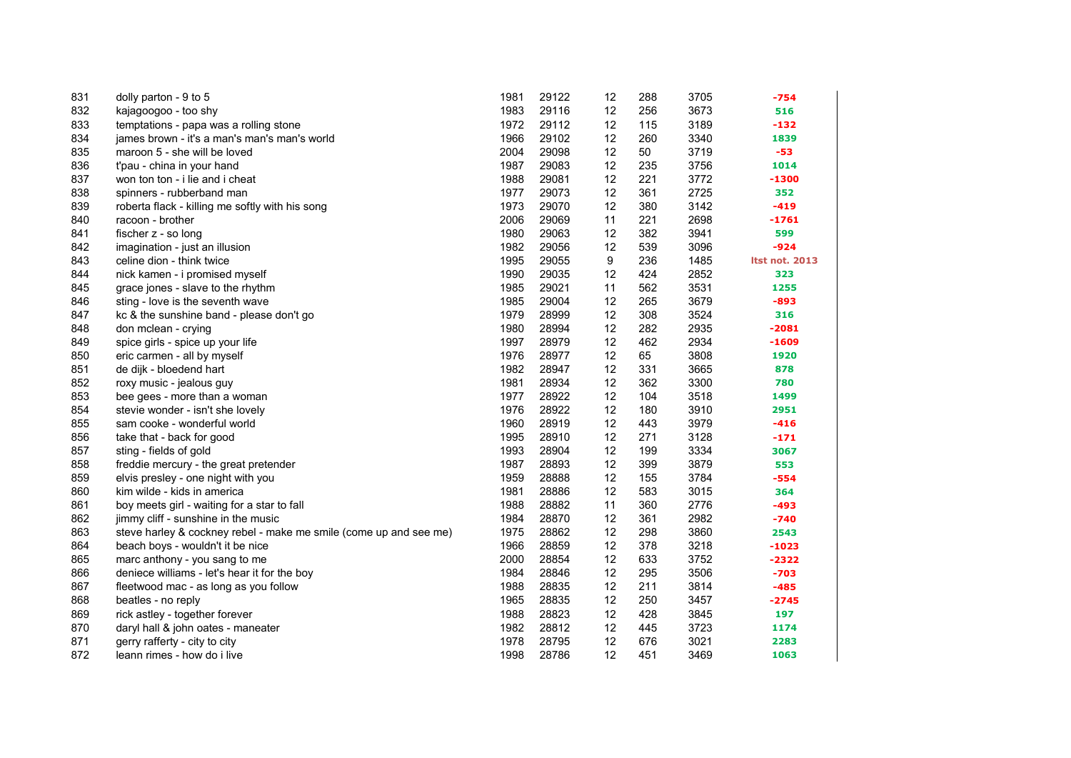| 831 | dolly parton - 9 to 5                                             | 1981 | 29122 | 12 | 288 | 3705 | $-754$                |
|-----|-------------------------------------------------------------------|------|-------|----|-----|------|-----------------------|
| 832 | kajagoogoo - too shy                                              | 1983 | 29116 | 12 | 256 | 3673 | 516                   |
| 833 | temptations - papa was a rolling stone                            | 1972 | 29112 | 12 | 115 | 3189 | $-132$                |
| 834 | james brown - it's a man's man's man's world                      | 1966 | 29102 | 12 | 260 | 3340 | 1839                  |
| 835 | maroon 5 - she will be loved                                      | 2004 | 29098 | 12 | 50  | 3719 | $-53$                 |
| 836 | t'pau - china in your hand                                        | 1987 | 29083 | 12 | 235 | 3756 | 1014                  |
| 837 | won ton ton - i lie and i cheat                                   | 1988 | 29081 | 12 | 221 | 3772 | -1300                 |
| 838 | spinners - rubberband man                                         | 1977 | 29073 | 12 | 361 | 2725 | 352                   |
| 839 | roberta flack - killing me softly with his song                   | 1973 | 29070 | 12 | 380 | 3142 | $-419$                |
| 840 | racoon - brother                                                  | 2006 | 29069 | 11 | 221 | 2698 | $-1761$               |
| 841 | fischer z - so long                                               | 1980 | 29063 | 12 | 382 | 3941 | 599                   |
| 842 | imagination - just an illusion                                    | 1982 | 29056 | 12 | 539 | 3096 | $-924$                |
| 843 | celine dion - think twice                                         | 1995 | 29055 | 9  | 236 | 1485 | <b>Itst not. 2013</b> |
| 844 | nick kamen - i promised myself                                    | 1990 | 29035 | 12 | 424 | 2852 | 323                   |
| 845 | grace jones - slave to the rhythm                                 | 1985 | 29021 | 11 | 562 | 3531 | 1255                  |
| 846 | sting - love is the seventh wave                                  | 1985 | 29004 | 12 | 265 | 3679 | $-893$                |
| 847 | kc & the sunshine band - please don't go                          | 1979 | 28999 | 12 | 308 | 3524 | 316                   |
| 848 | don mclean - crying                                               | 1980 | 28994 | 12 | 282 | 2935 | $-2081$               |
| 849 | spice girls - spice up your life                                  | 1997 | 28979 | 12 | 462 | 2934 | $-1609$               |
| 850 | eric carmen - all by myself                                       | 1976 | 28977 | 12 | 65  | 3808 | 1920                  |
| 851 | de dijk - bloedend hart                                           | 1982 | 28947 | 12 | 331 | 3665 | 878                   |
| 852 | roxy music - jealous guy                                          | 1981 | 28934 | 12 | 362 | 3300 | 780                   |
| 853 | bee gees - more than a woman                                      | 1977 | 28922 | 12 | 104 | 3518 | 1499                  |
| 854 | stevie wonder - isn't she lovely                                  | 1976 | 28922 | 12 | 180 | 3910 | 2951                  |
| 855 | sam cooke - wonderful world                                       | 1960 | 28919 | 12 | 443 | 3979 | $-416$                |
| 856 | take that - back for good                                         | 1995 | 28910 | 12 | 271 | 3128 | $-171$                |
| 857 | sting - fields of gold                                            | 1993 | 28904 | 12 | 199 | 3334 | 3067                  |
| 858 | freddie mercury - the great pretender                             | 1987 | 28893 | 12 | 399 | 3879 | 553                   |
| 859 | elvis presley - one night with you                                | 1959 | 28888 | 12 | 155 | 3784 | $-554$                |
| 860 | kim wilde - kids in america                                       | 1981 | 28886 | 12 | 583 | 3015 | 364                   |
| 861 | boy meets girl - waiting for a star to fall                       | 1988 | 28882 | 11 | 360 | 2776 | $-493$                |
| 862 | jimmy cliff - sunshine in the music                               | 1984 | 28870 | 12 | 361 | 2982 | $-740$                |
| 863 | steve harley & cockney rebel - make me smile (come up and see me) | 1975 | 28862 | 12 | 298 | 3860 | 2543                  |
| 864 | beach boys - wouldn't it be nice                                  | 1966 | 28859 | 12 | 378 | 3218 | $-1023$               |
| 865 | marc anthony - you sang to me                                     | 2000 | 28854 | 12 | 633 | 3752 | $-2322$               |
| 866 | deniece williams - let's hear it for the boy                      | 1984 | 28846 | 12 | 295 | 3506 | $-703$                |
| 867 | fleetwood mac - as long as you follow                             | 1988 | 28835 | 12 | 211 | 3814 | $-485$                |
| 868 | beatles - no reply                                                | 1965 | 28835 | 12 | 250 | 3457 | $-2745$               |
| 869 | rick astley - together forever                                    | 1988 | 28823 | 12 | 428 | 3845 | 197                   |
| 870 | daryl hall & john oates - maneater                                | 1982 | 28812 | 12 | 445 | 3723 | 1174                  |
| 871 | gerry rafferty - city to city                                     | 1978 | 28795 | 12 | 676 | 3021 | 2283                  |
| 872 | leann rimes - how do i live                                       | 1998 | 28786 | 12 | 451 | 3469 | 1063                  |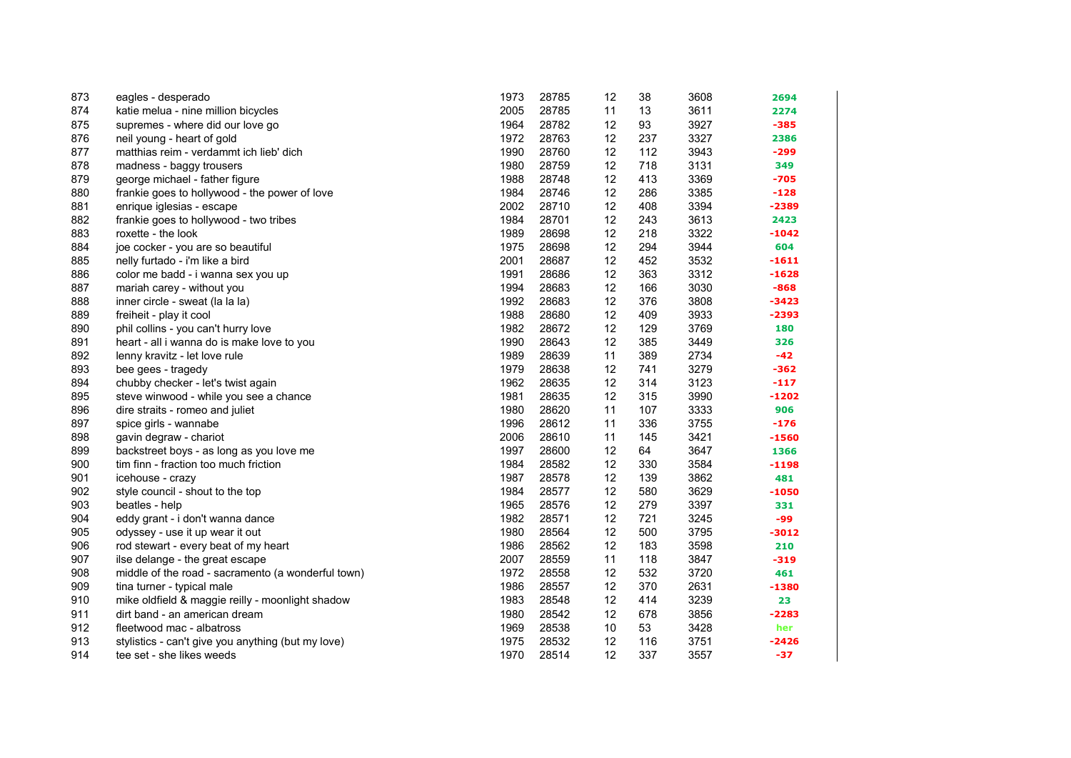| 873 | eagles - desperado                                 | 1973 | 28785 | 12 | 38  | 3608 | 2694    |
|-----|----------------------------------------------------|------|-------|----|-----|------|---------|
| 874 | katie melua - nine million bicycles                | 2005 | 28785 | 11 | 13  | 3611 | 2274    |
| 875 | supremes - where did our love go                   | 1964 | 28782 | 12 | 93  | 3927 | $-385$  |
| 876 | neil young - heart of gold                         | 1972 | 28763 | 12 | 237 | 3327 | 2386    |
| 877 | matthias reim - verdammt ich lieb' dich            | 1990 | 28760 | 12 | 112 | 3943 | -299    |
| 878 | madness - baggy trousers                           | 1980 | 28759 | 12 | 718 | 3131 | 349     |
| 879 | george michael - father figure                     | 1988 | 28748 | 12 | 413 | 3369 | $-705$  |
| 880 | frankie goes to hollywood - the power of love      | 1984 | 28746 | 12 | 286 | 3385 | $-128$  |
| 881 | enrique iglesias - escape                          | 2002 | 28710 | 12 | 408 | 3394 | $-2389$ |
| 882 | frankie goes to hollywood - two tribes             | 1984 | 28701 | 12 | 243 | 3613 | 2423    |
| 883 | roxette - the look                                 | 1989 | 28698 | 12 | 218 | 3322 | $-1042$ |
| 884 | joe cocker - you are so beautiful                  | 1975 | 28698 | 12 | 294 | 3944 | 604     |
| 885 | nelly furtado - i'm like a bird                    | 2001 | 28687 | 12 | 452 | 3532 | $-1611$ |
| 886 | color me badd - i wanna sex you up                 | 1991 | 28686 | 12 | 363 | 3312 | $-1628$ |
| 887 | mariah carey - without you                         | 1994 | 28683 | 12 | 166 | 3030 | $-868$  |
| 888 | inner circle - sweat (la la la)                    | 1992 | 28683 | 12 | 376 | 3808 | $-3423$ |
| 889 | freiheit - play it cool                            | 1988 | 28680 | 12 | 409 | 3933 | $-2393$ |
| 890 | phil collins - you can't hurry love                | 1982 | 28672 | 12 | 129 | 3769 | 180     |
| 891 | heart - all i wanna do is make love to you         | 1990 | 28643 | 12 | 385 | 3449 | 326     |
| 892 | lenny kravitz - let love rule                      | 1989 | 28639 | 11 | 389 | 2734 | $-42$   |
| 893 | bee gees - tragedy                                 | 1979 | 28638 | 12 | 741 | 3279 | $-362$  |
| 894 | chubby checker - let's twist again                 | 1962 | 28635 | 12 | 314 | 3123 | $-117$  |
| 895 | steve winwood - while you see a chance             | 1981 | 28635 | 12 | 315 | 3990 | $-1202$ |
| 896 | dire straits - romeo and juliet                    | 1980 | 28620 | 11 | 107 | 3333 | 906     |
| 897 | spice girls - wannabe                              | 1996 | 28612 | 11 | 336 | 3755 | $-176$  |
| 898 | gavin degraw - chariot                             | 2006 | 28610 | 11 | 145 | 3421 | $-1560$ |
| 899 | backstreet boys - as long as you love me           | 1997 | 28600 | 12 | 64  | 3647 | 1366    |
| 900 | tim finn - fraction too much friction              | 1984 | 28582 | 12 | 330 | 3584 | $-1198$ |
| 901 | icehouse - crazy                                   | 1987 | 28578 | 12 | 139 | 3862 | 481     |
| 902 | style council - shout to the top                   | 1984 | 28577 | 12 | 580 | 3629 | $-1050$ |
| 903 | beatles - help                                     | 1965 | 28576 | 12 | 279 | 3397 | 331     |
| 904 | eddy grant - i don't wanna dance                   | 1982 | 28571 | 12 | 721 | 3245 | -99     |
| 905 | odyssey - use it up wear it out                    | 1980 | 28564 | 12 | 500 | 3795 | $-3012$ |
| 906 | rod stewart - every beat of my heart               | 1986 | 28562 | 12 | 183 | 3598 | 210     |
| 907 | ilse delange - the great escape                    | 2007 | 28559 | 11 | 118 | 3847 | $-319$  |
| 908 | middle of the road - sacramento (a wonderful town) | 1972 | 28558 | 12 | 532 | 3720 | 461     |
| 909 | tina turner - typical male                         | 1986 | 28557 | 12 | 370 | 2631 | $-1380$ |
| 910 | mike oldfield & maggie reilly - moonlight shadow   | 1983 | 28548 | 12 | 414 | 3239 | 23      |
| 911 | dirt band - an american dream                      | 1980 | 28542 | 12 | 678 | 3856 | $-2283$ |
| 912 | fleetwood mac - albatross                          | 1969 | 28538 | 10 | 53  | 3428 | her     |
| 913 | stylistics - can't give you anything (but my love) | 1975 | 28532 | 12 | 116 | 3751 | $-2426$ |
| 914 | tee set - she likes weeds                          | 1970 | 28514 | 12 | 337 | 3557 | $-37$   |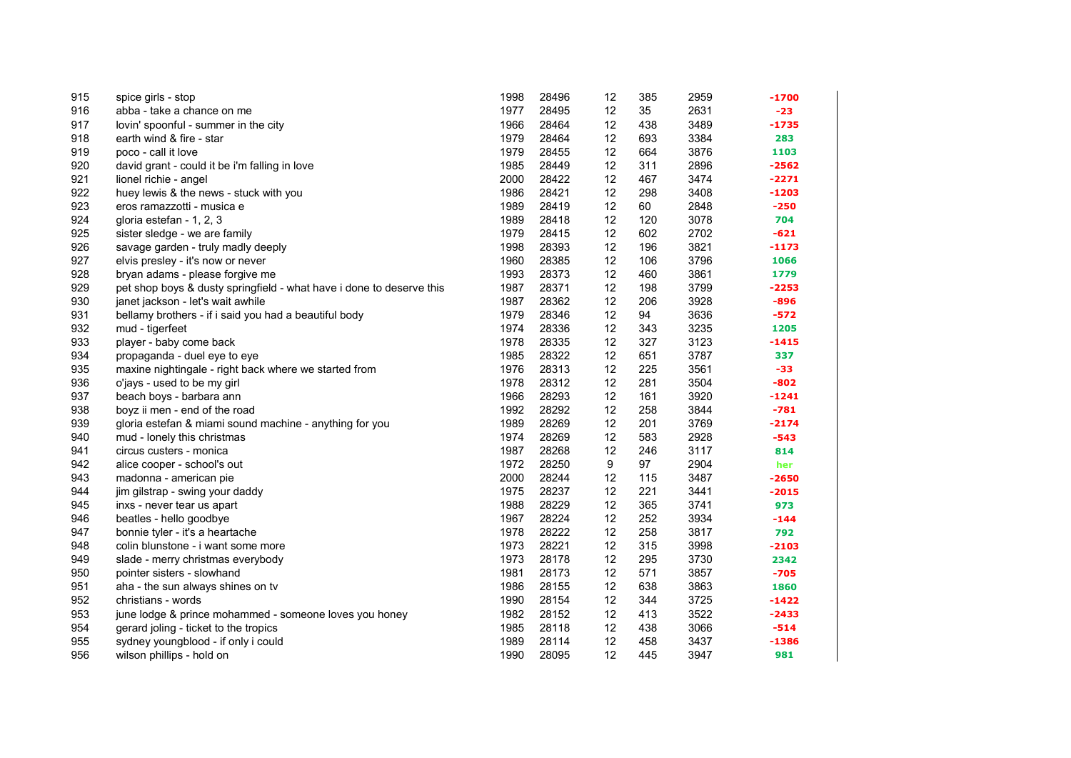| 915 | spice girls - stop                                                   | 1998 | 28496 | 12 | 385 | 2959 | -1700   |
|-----|----------------------------------------------------------------------|------|-------|----|-----|------|---------|
| 916 | abba - take a chance on me                                           | 1977 | 28495 | 12 | 35  | 2631 | $-23$   |
| 917 | lovin' spoonful - summer in the city                                 | 1966 | 28464 | 12 | 438 | 3489 | $-1735$ |
| 918 | earth wind & fire - star                                             | 1979 | 28464 | 12 | 693 | 3384 | 283     |
| 919 | poco - call it love                                                  | 1979 | 28455 | 12 | 664 | 3876 | 1103    |
| 920 | david grant - could it be i'm falling in love                        | 1985 | 28449 | 12 | 311 | 2896 | $-2562$ |
| 921 | lionel richie - angel                                                | 2000 | 28422 | 12 | 467 | 3474 | $-2271$ |
| 922 | huey lewis & the news - stuck with you                               | 1986 | 28421 | 12 | 298 | 3408 | $-1203$ |
| 923 | eros ramazzotti - musica e                                           | 1989 | 28419 | 12 | 60  | 2848 | $-250$  |
| 924 | gloria estefan - 1, 2, 3                                             | 1989 | 28418 | 12 | 120 | 3078 | 704     |
| 925 | sister sledge - we are family                                        | 1979 | 28415 | 12 | 602 | 2702 | $-621$  |
| 926 | savage garden - truly madly deeply                                   | 1998 | 28393 | 12 | 196 | 3821 | $-1173$ |
| 927 | elvis presley - it's now or never                                    | 1960 | 28385 | 12 | 106 | 3796 | 1066    |
| 928 | bryan adams - please forgive me                                      | 1993 | 28373 | 12 | 460 | 3861 | 1779    |
| 929 | pet shop boys & dusty springfield - what have i done to deserve this | 1987 | 28371 | 12 | 198 | 3799 | $-2253$ |
| 930 | janet jackson - let's wait awhile                                    | 1987 | 28362 | 12 | 206 | 3928 | $-896$  |
| 931 | bellamy brothers - if i said you had a beautiful body                | 1979 | 28346 | 12 | 94  | 3636 | $-572$  |
| 932 | mud - tigerfeet                                                      | 1974 | 28336 | 12 | 343 | 3235 | 1205    |
| 933 | player - baby come back                                              | 1978 | 28335 | 12 | 327 | 3123 | $-1415$ |
| 934 | propaganda - duel eye to eye                                         | 1985 | 28322 | 12 | 651 | 3787 | 337     |
| 935 | maxine nightingale - right back where we started from                | 1976 | 28313 | 12 | 225 | 3561 | -33     |
| 936 | o'jays - used to be my girl                                          | 1978 | 28312 | 12 | 281 | 3504 | $-802$  |
| 937 | beach boys - barbara ann                                             | 1966 | 28293 | 12 | 161 | 3920 | $-1241$ |
| 938 | boyz ii men - end of the road                                        | 1992 | 28292 | 12 | 258 | 3844 | $-781$  |
| 939 | gloria estefan & miami sound machine - anything for you              | 1989 | 28269 | 12 | 201 | 3769 | $-2174$ |
| 940 | mud - lonely this christmas                                          | 1974 | 28269 | 12 | 583 | 2928 | $-543$  |
| 941 | circus custers - monica                                              | 1987 | 28268 | 12 | 246 | 3117 | 814     |
| 942 | alice cooper - school's out                                          | 1972 | 28250 | 9  | 97  | 2904 | her     |
| 943 | madonna - american pie                                               | 2000 | 28244 | 12 | 115 | 3487 | $-2650$ |
| 944 | jim gilstrap - swing your daddy                                      | 1975 | 28237 | 12 | 221 | 3441 | $-2015$ |
| 945 | inxs - never tear us apart                                           | 1988 | 28229 | 12 | 365 | 3741 | 973     |
| 946 | beatles - hello goodbye                                              | 1967 | 28224 | 12 | 252 | 3934 | $-144$  |
| 947 | bonnie tyler - it's a heartache                                      | 1978 | 28222 | 12 | 258 | 3817 | 792     |
| 948 | colin blunstone - i want some more                                   | 1973 | 28221 | 12 | 315 | 3998 | $-2103$ |
| 949 | slade - merry christmas everybody                                    | 1973 | 28178 | 12 | 295 | 3730 | 2342    |
| 950 | pointer sisters - slowhand                                           | 1981 | 28173 | 12 | 571 | 3857 | $-705$  |
| 951 | aha - the sun always shines on tv                                    | 1986 | 28155 | 12 | 638 | 3863 | 1860    |
| 952 | christians - words                                                   | 1990 | 28154 | 12 | 344 | 3725 | $-1422$ |
| 953 | june lodge & prince mohammed - someone loves you honey               | 1982 | 28152 | 12 | 413 | 3522 | $-2433$ |
| 954 | gerard joling - ticket to the tropics                                | 1985 | 28118 | 12 | 438 | 3066 | $-514$  |
| 955 | sydney youngblood - if only i could                                  | 1989 | 28114 | 12 | 458 | 3437 | $-1386$ |
| 956 | wilson phillips - hold on                                            | 1990 | 28095 | 12 | 445 | 3947 | 981     |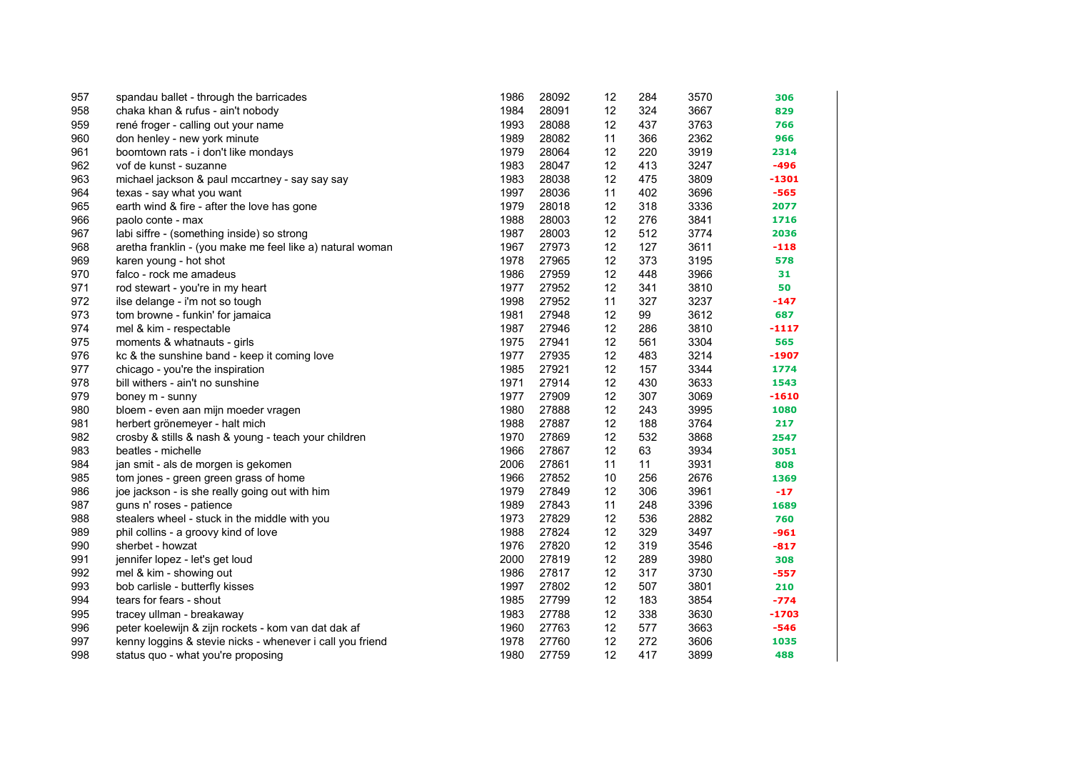| 957 | spandau ballet - through the barricades                   | 1986 | 28092 | 12 | 284 | 3570 | 306     |
|-----|-----------------------------------------------------------|------|-------|----|-----|------|---------|
| 958 | chaka khan & rufus - ain't nobody                         | 1984 | 28091 | 12 | 324 | 3667 | 829     |
| 959 | rené froger - calling out your name                       | 1993 | 28088 | 12 | 437 | 3763 | 766     |
| 960 | don henley - new york minute                              | 1989 | 28082 | 11 | 366 | 2362 | 966     |
| 961 | boomtown rats - i don't like mondays                      | 1979 | 28064 | 12 | 220 | 3919 | 2314    |
| 962 | vof de kunst - suzanne                                    | 1983 | 28047 | 12 | 413 | 3247 | $-496$  |
| 963 | michael jackson & paul mccartney - say say say            | 1983 | 28038 | 12 | 475 | 3809 | -1301   |
| 964 | texas - say what you want                                 | 1997 | 28036 | 11 | 402 | 3696 | -565    |
| 965 | earth wind & fire - after the love has gone               | 1979 | 28018 | 12 | 318 | 3336 | 2077    |
| 966 | paolo conte - max                                         | 1988 | 28003 | 12 | 276 | 3841 | 1716    |
| 967 | labi siffre - (something inside) so strong                | 1987 | 28003 | 12 | 512 | 3774 | 2036    |
| 968 | aretha franklin - (you make me feel like a) natural woman | 1967 | 27973 | 12 | 127 | 3611 | $-118$  |
| 969 | karen young - hot shot                                    | 1978 | 27965 | 12 | 373 | 3195 | 578     |
| 970 | falco - rock me amadeus                                   | 1986 | 27959 | 12 | 448 | 3966 | 31      |
| 971 | rod stewart - you're in my heart                          | 1977 | 27952 | 12 | 341 | 3810 | 50      |
| 972 | ilse delange - i'm not so tough                           | 1998 | 27952 | 11 | 327 | 3237 | $-147$  |
| 973 | tom browne - funkin' for jamaica                          | 1981 | 27948 | 12 | 99  | 3612 | 687     |
| 974 | mel & kim - respectable                                   | 1987 | 27946 | 12 | 286 | 3810 | $-1117$ |
| 975 | moments & whatnauts - girls                               | 1975 | 27941 | 12 | 561 | 3304 | 565     |
| 976 | kc & the sunshine band - keep it coming love              | 1977 | 27935 | 12 | 483 | 3214 | -1907   |
| 977 | chicago - you're the inspiration                          | 1985 | 27921 | 12 | 157 | 3344 | 1774    |
| 978 | bill withers - ain't no sunshine                          | 1971 | 27914 | 12 | 430 | 3633 | 1543    |
| 979 | boney m - sunny                                           | 1977 | 27909 | 12 | 307 | 3069 | $-1610$ |
| 980 | bloem - even aan mijn moeder vragen                       | 1980 | 27888 | 12 | 243 | 3995 | 1080    |
| 981 | herbert grönemeyer - halt mich                            | 1988 | 27887 | 12 | 188 | 3764 | 217     |
| 982 | crosby & stills & nash & young - teach your children      | 1970 | 27869 | 12 | 532 | 3868 | 2547    |
| 983 | beatles - michelle                                        | 1966 | 27867 | 12 | 63  | 3934 | 3051    |
| 984 | jan smit - als de morgen is gekomen                       | 2006 | 27861 | 11 | 11  | 3931 | 808     |
| 985 | tom jones - green green grass of home                     | 1966 | 27852 | 10 | 256 | 2676 | 1369    |
| 986 | joe jackson - is she really going out with him            | 1979 | 27849 | 12 | 306 | 3961 | $-17$   |
| 987 | guns n' roses - patience                                  | 1989 | 27843 | 11 | 248 | 3396 | 1689    |
| 988 | stealers wheel - stuck in the middle with you             | 1973 | 27829 | 12 | 536 | 2882 | 760     |
| 989 | phil collins - a groovy kind of love                      | 1988 | 27824 | 12 | 329 | 3497 | $-961$  |
| 990 | sherbet - howzat                                          | 1976 | 27820 | 12 | 319 | 3546 | $-817$  |
| 991 | jennifer lopez - let's get loud                           | 2000 | 27819 | 12 | 289 | 3980 | 308     |
| 992 | mel & kim - showing out                                   | 1986 | 27817 | 12 | 317 | 3730 | -557    |
| 993 | bob carlisle - butterfly kisses                           | 1997 | 27802 | 12 | 507 | 3801 | 210     |
| 994 | tears for fears - shout                                   | 1985 | 27799 | 12 | 183 | 3854 | $-774$  |
| 995 | tracey ullman - breakaway                                 | 1983 | 27788 | 12 | 338 | 3630 | $-1703$ |
| 996 | peter koelewijn & zijn rockets - kom van dat dak af       | 1960 | 27763 | 12 | 577 | 3663 | -546    |
| 997 | kenny loggins & stevie nicks - whenever i call you friend | 1978 | 27760 | 12 | 272 | 3606 | 1035    |
| 998 | status quo - what you're proposing                        | 1980 | 27759 | 12 | 417 | 3899 | 488     |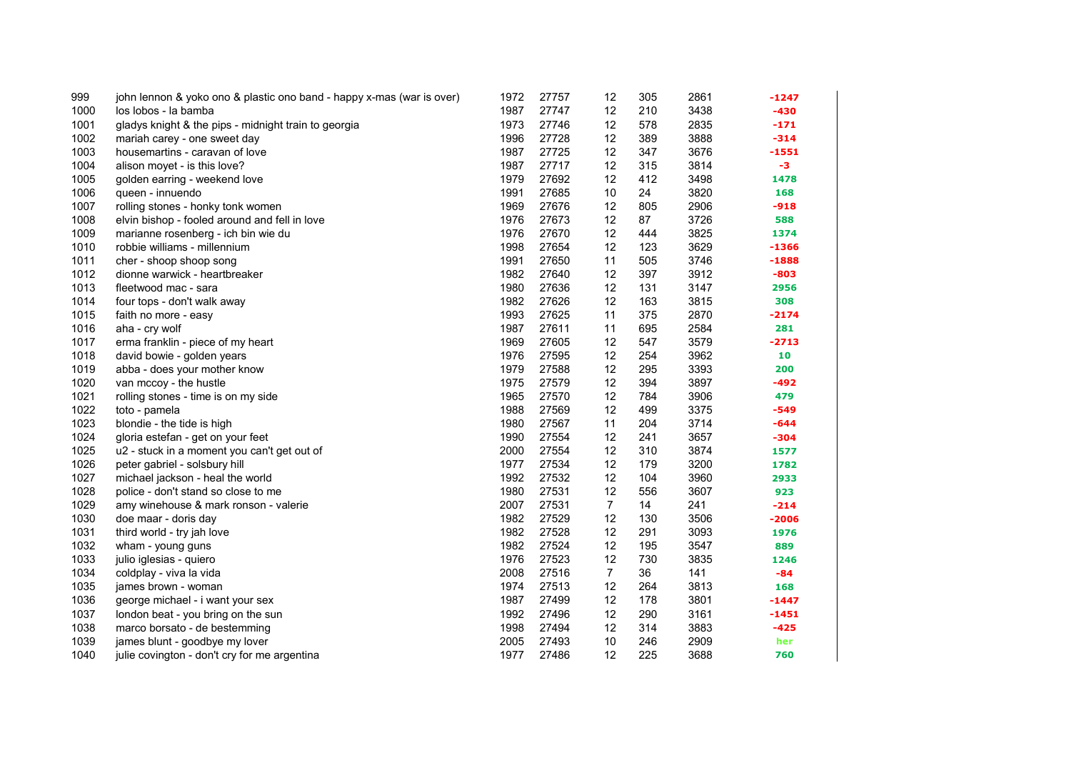| 999  | john lennon & yoko ono & plastic ono band - happy x-mas (war is over) | 1972 | 27757 | 12             | 305 | 2861 | -1247   |
|------|-----------------------------------------------------------------------|------|-------|----------------|-----|------|---------|
| 1000 | los lobos - la bamba                                                  | 1987 | 27747 | 12             | 210 | 3438 | -430    |
| 1001 | gladys knight & the pips - midnight train to georgia                  | 1973 | 27746 | 12             | 578 | 2835 | $-171$  |
| 1002 | mariah carey - one sweet day                                          | 1996 | 27728 | 12             | 389 | 3888 | $-314$  |
| 1003 | housemartins - caravan of love                                        | 1987 | 27725 | 12             | 347 | 3676 | $-1551$ |
| 1004 | alison moyet - is this love?                                          | 1987 | 27717 | 12             | 315 | 3814 | -3      |
| 1005 | golden earring - weekend love                                         | 1979 | 27692 | 12             | 412 | 3498 | 1478    |
| 1006 | queen - innuendo                                                      | 1991 | 27685 | 10             | 24  | 3820 | 168     |
| 1007 | rolling stones - honky tonk women                                     | 1969 | 27676 | 12             | 805 | 2906 | $-918$  |
| 1008 | elvin bishop - fooled around and fell in love                         | 1976 | 27673 | 12             | 87  | 3726 | 588     |
| 1009 | marianne rosenberg - ich bin wie du                                   | 1976 | 27670 | 12             | 444 | 3825 | 1374    |
| 1010 | robbie williams - millennium                                          | 1998 | 27654 | 12             | 123 | 3629 | $-1366$ |
| 1011 | cher - shoop shoop song                                               | 1991 | 27650 | 11             | 505 | 3746 | $-1888$ |
| 1012 | dionne warwick - heartbreaker                                         | 1982 | 27640 | 12             | 397 | 3912 | $-803$  |
| 1013 | fleetwood mac - sara                                                  | 1980 | 27636 | 12             | 131 | 3147 | 2956    |
| 1014 | four tops - don't walk away                                           | 1982 | 27626 | 12             | 163 | 3815 | 308     |
| 1015 | faith no more - easy                                                  | 1993 | 27625 | 11             | 375 | 2870 | $-2174$ |
| 1016 | aha - cry wolf                                                        | 1987 | 27611 | 11             | 695 | 2584 | 281     |
| 1017 | erma franklin - piece of my heart                                     | 1969 | 27605 | 12             | 547 | 3579 | $-2713$ |
| 1018 | david bowie - golden years                                            | 1976 | 27595 | 12             | 254 | 3962 | 10      |
| 1019 | abba - does your mother know                                          | 1979 | 27588 | 12             | 295 | 3393 | 200     |
| 1020 | van mccoy - the hustle                                                | 1975 | 27579 | 12             | 394 | 3897 | $-492$  |
| 1021 | rolling stones - time is on my side                                   | 1965 | 27570 | 12             | 784 | 3906 | 479     |
| 1022 | toto - pamela                                                         | 1988 | 27569 | 12             | 499 | 3375 | $-549$  |
| 1023 | blondie - the tide is high                                            | 1980 | 27567 | 11             | 204 | 3714 | $-644$  |
| 1024 | gloria estefan - get on your feet                                     | 1990 | 27554 | 12             | 241 | 3657 | $-304$  |
| 1025 | u2 - stuck in a moment you can't get out of                           | 2000 | 27554 | 12             | 310 | 3874 | 1577    |
| 1026 | peter gabriel - solsbury hill                                         | 1977 | 27534 | 12             | 179 | 3200 | 1782    |
| 1027 | michael jackson - heal the world                                      | 1992 | 27532 | 12             | 104 | 3960 | 2933    |
| 1028 | police - don't stand so close to me                                   | 1980 | 27531 | 12             | 556 | 3607 | 923     |
| 1029 | amy winehouse & mark ronson - valerie                                 | 2007 | 27531 | 7              | 14  | 241  | $-214$  |
| 1030 | doe maar - doris day                                                  | 1982 | 27529 | 12             | 130 | 3506 | $-2006$ |
| 1031 | third world - try jah love                                            | 1982 | 27528 | 12             | 291 | 3093 | 1976    |
| 1032 | wham - young guns                                                     | 1982 | 27524 | 12             | 195 | 3547 | 889     |
| 1033 | julio iglesias - quiero                                               | 1976 | 27523 | 12             | 730 | 3835 | 1246    |
| 1034 | coldplay - viva la vida                                               | 2008 | 27516 | $\overline{7}$ | 36  | 141  | $-84$   |
| 1035 | james brown - woman                                                   | 1974 | 27513 | 12             | 264 | 3813 | 168     |
| 1036 | george michael - i want your sex                                      | 1987 | 27499 | 12             | 178 | 3801 | $-1447$ |
| 1037 | london beat - you bring on the sun                                    | 1992 | 27496 | 12             | 290 | 3161 | $-1451$ |
| 1038 | marco borsato - de bestemming                                         | 1998 | 27494 | 12             | 314 | 3883 | $-425$  |
| 1039 | james blunt - goodbye my lover                                        | 2005 | 27493 | 10             | 246 | 2909 | her     |
| 1040 | julie covington - don't cry for me argentina                          | 1977 | 27486 | 12             | 225 | 3688 | 760     |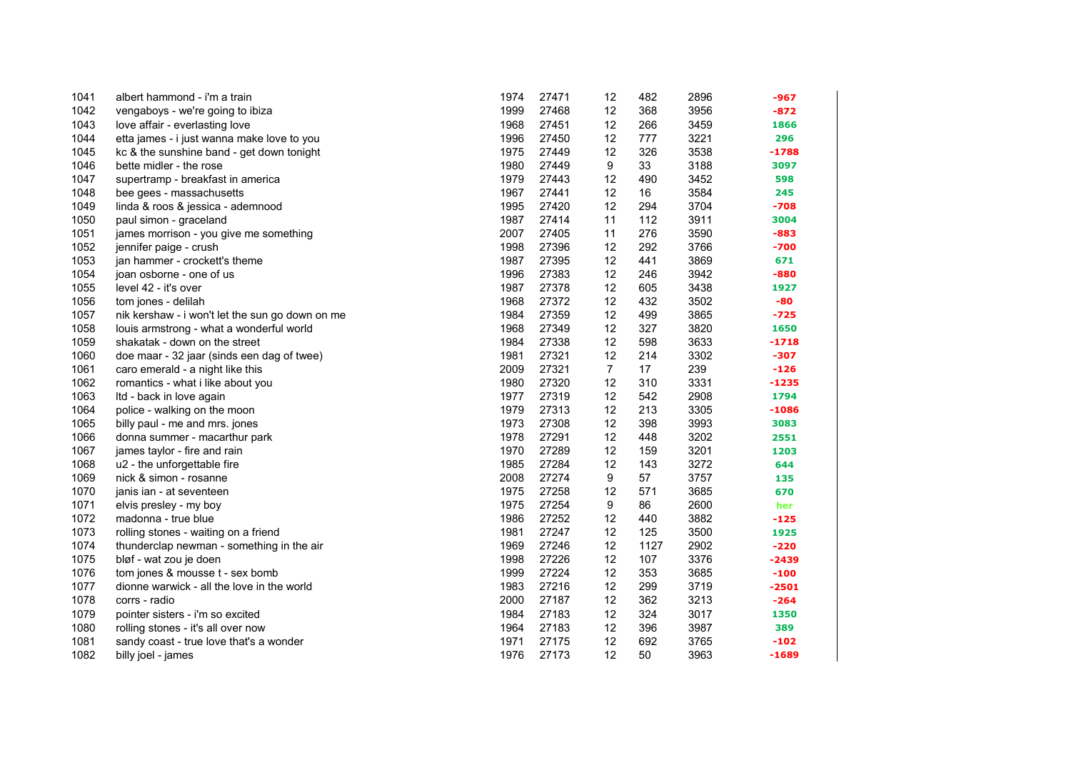| 1041 | albert hammond - i'm a train                    | 1974 | 27471 | 12             | 482  | 2896 | -967    |
|------|-------------------------------------------------|------|-------|----------------|------|------|---------|
| 1042 | vengaboys - we're going to ibiza                | 1999 | 27468 | 12             | 368  | 3956 | -872    |
| 1043 | love affair - everlasting love                  | 1968 | 27451 | 12             | 266  | 3459 | 1866    |
| 1044 | etta james - i just wanna make love to you      | 1996 | 27450 | 12             | 777  | 3221 | 296     |
| 1045 | kc & the sunshine band - get down tonight       | 1975 | 27449 | 12             | 326  | 3538 | $-1788$ |
| 1046 | bette midler - the rose                         | 1980 | 27449 | 9              | 33   | 3188 | 3097    |
| 1047 | supertramp - breakfast in america               | 1979 | 27443 | 12             | 490  | 3452 | 598     |
| 1048 | bee gees - massachusetts                        | 1967 | 27441 | 12             | 16   | 3584 | 245     |
| 1049 | linda & roos & jessica - ademnood               | 1995 | 27420 | 12             | 294  | 3704 | -708    |
| 1050 | paul simon - graceland                          | 1987 | 27414 | 11             | 112  | 3911 | 3004    |
| 1051 | james morrison - you give me something          | 2007 | 27405 | 11             | 276  | 3590 | $-883$  |
| 1052 | jennifer paige - crush                          | 1998 | 27396 | 12             | 292  | 3766 | -700    |
| 1053 | jan hammer - crockett's theme                   | 1987 | 27395 | 12             | 441  | 3869 | 671     |
| 1054 | joan osborne - one of us                        | 1996 | 27383 | 12             | 246  | 3942 | $-880$  |
| 1055 | level 42 - it's over                            | 1987 | 27378 | 12             | 605  | 3438 | 1927    |
| 1056 | tom jones - delilah                             | 1968 | 27372 | 12             | 432  | 3502 | -80     |
| 1057 | nik kershaw - i won't let the sun go down on me | 1984 | 27359 | 12             | 499  | 3865 | $-725$  |
| 1058 | louis armstrong - what a wonderful world        | 1968 | 27349 | 12             | 327  | 3820 | 1650    |
| 1059 | shakatak - down on the street                   | 1984 | 27338 | 12             | 598  | 3633 | $-1718$ |
| 1060 | doe maar - 32 jaar (sinds een dag of twee)      | 1981 | 27321 | 12             | 214  | 3302 | $-307$  |
| 1061 | caro emerald - a night like this                | 2009 | 27321 | $\overline{7}$ | 17   | 239  | $-126$  |
| 1062 | romantics - what i like about you               | 1980 | 27320 | 12             | 310  | 3331 | $-1235$ |
| 1063 | Itd - back in love again                        | 1977 | 27319 | 12             | 542  | 2908 | 1794    |
| 1064 | police - walking on the moon                    | 1979 | 27313 | 12             | 213  | 3305 | $-1086$ |
| 1065 | billy paul - me and mrs. jones                  | 1973 | 27308 | 12             | 398  | 3993 | 3083    |
| 1066 | donna summer - macarthur park                   | 1978 | 27291 | 12             | 448  | 3202 | 2551    |
| 1067 | james taylor - fire and rain                    | 1970 | 27289 | 12             | 159  | 3201 | 1203    |
| 1068 | u2 - the unforgettable fire                     | 1985 | 27284 | 12             | 143  | 3272 | 644     |
| 1069 | nick & simon - rosanne                          | 2008 | 27274 | 9              | 57   | 3757 | 135     |
| 1070 | janis ian - at seventeen                        | 1975 | 27258 | 12             | 571  | 3685 | 670     |
| 1071 | elvis presley - my boy                          | 1975 | 27254 | 9              | 86   | 2600 | her     |
| 1072 | madonna - true blue                             | 1986 | 27252 | 12             | 440  | 3882 | -125    |
| 1073 | rolling stones - waiting on a friend            | 1981 | 27247 | 12             | 125  | 3500 | 1925    |
| 1074 | thunderclap newman - something in the air       | 1969 | 27246 | 12             | 1127 | 2902 | $-220$  |
| 1075 | bløf - wat zou je doen                          | 1998 | 27226 | 12             | 107  | 3376 | $-2439$ |
| 1076 | tom jones & mousse t - sex bomb                 | 1999 | 27224 | 12             | 353  | 3685 | $-100$  |
| 1077 | dionne warwick - all the love in the world      | 1983 | 27216 | 12             | 299  | 3719 | $-2501$ |
| 1078 | corrs - radio                                   | 2000 | 27187 | 12             | 362  | 3213 | $-264$  |
| 1079 | pointer sisters - i'm so excited                | 1984 | 27183 | 12             | 324  | 3017 | 1350    |
| 1080 | rolling stones - it's all over now              | 1964 | 27183 | 12             | 396  | 3987 | 389     |
| 1081 | sandy coast - true love that's a wonder         | 1971 | 27175 | 12             | 692  | 3765 | $-102$  |
| 1082 | billy joel - james                              | 1976 | 27173 | 12             | 50   | 3963 | $-1689$ |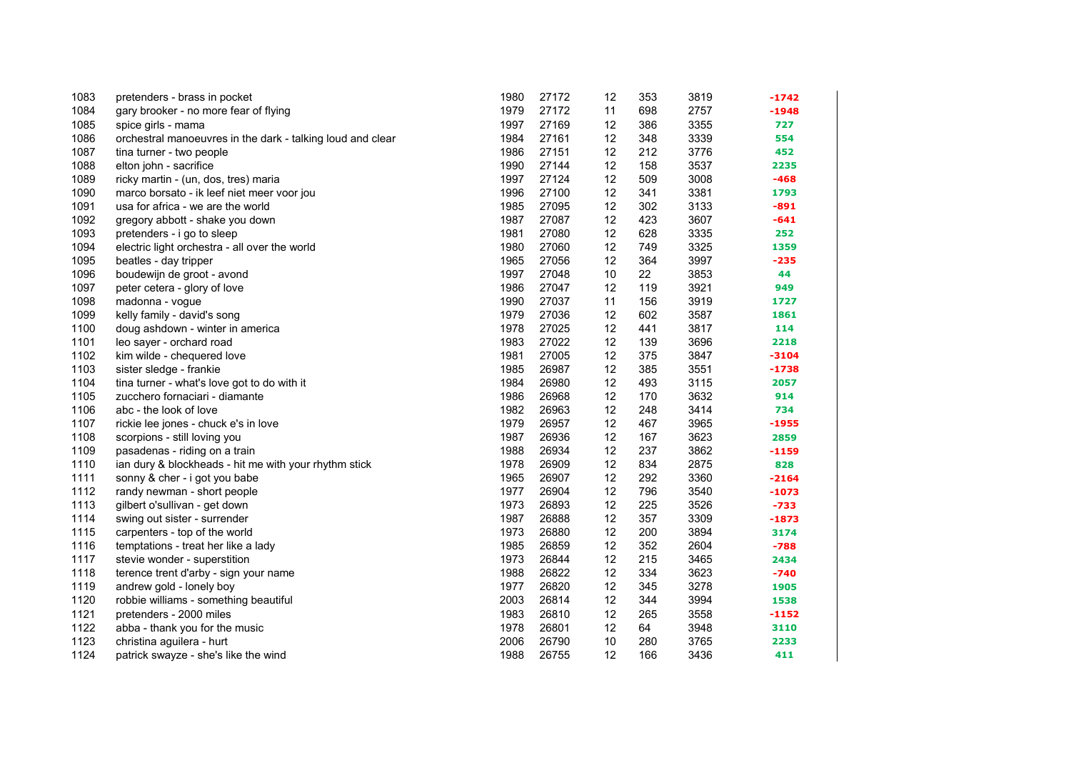| 1083 | pretenders - brass in pocket                               | 1980 | 27172 | 12 | 353 | 3819 | -1742   |
|------|------------------------------------------------------------|------|-------|----|-----|------|---------|
| 1084 | gary brooker - no more fear of flying                      | 1979 | 27172 | 11 | 698 | 2757 | $-1948$ |
| 1085 | spice girls - mama                                         | 1997 | 27169 | 12 | 386 | 3355 | 727     |
| 1086 | orchestral manoeuvres in the dark - talking loud and clear | 1984 | 27161 | 12 | 348 | 3339 | 554     |
| 1087 | tina turner - two people                                   | 1986 | 27151 | 12 | 212 | 3776 | 452     |
| 1088 | elton john - sacrifice                                     | 1990 | 27144 | 12 | 158 | 3537 | 2235    |
| 1089 | ricky martin - (un, dos, tres) maria                       | 1997 | 27124 | 12 | 509 | 3008 | $-468$  |
| 1090 | marco borsato - ik leef niet meer voor jou                 | 1996 | 27100 | 12 | 341 | 3381 | 1793    |
| 1091 | usa for africa - we are the world                          | 1985 | 27095 | 12 | 302 | 3133 | $-891$  |
| 1092 | gregory abbott - shake you down                            | 1987 | 27087 | 12 | 423 | 3607 | $-641$  |
| 1093 | pretenders - i go to sleep                                 | 1981 | 27080 | 12 | 628 | 3335 | 252     |
| 1094 | electric light orchestra - all over the world              | 1980 | 27060 | 12 | 749 | 3325 | 1359    |
| 1095 | beatles - day tripper                                      | 1965 | 27056 | 12 | 364 | 3997 | $-235$  |
| 1096 | boudewijn de groot - avond                                 | 1997 | 27048 | 10 | 22  | 3853 | 44      |
| 1097 | peter cetera - glory of love                               | 1986 | 27047 | 12 | 119 | 3921 | 949     |
| 1098 | madonna - vogue                                            | 1990 | 27037 | 11 | 156 | 3919 | 1727    |
| 1099 | kelly family - david's song                                | 1979 | 27036 | 12 | 602 | 3587 | 1861    |
| 1100 | doug ashdown - winter in america                           | 1978 | 27025 | 12 | 441 | 3817 | 114     |
| 1101 | leo sayer - orchard road                                   | 1983 | 27022 | 12 | 139 | 3696 | 2218    |
| 1102 | kim wilde - chequered love                                 | 1981 | 27005 | 12 | 375 | 3847 | $-3104$ |
| 1103 | sister sledge - frankie                                    | 1985 | 26987 | 12 | 385 | 3551 | $-1738$ |
| 1104 | tina turner - what's love got to do with it                | 1984 | 26980 | 12 | 493 | 3115 | 2057    |
| 1105 | zucchero fornaciari - diamante                             | 1986 | 26968 | 12 | 170 | 3632 | 914     |
| 1106 | abc - the look of love                                     | 1982 | 26963 | 12 | 248 | 3414 | 734     |
| 1107 | rickie lee jones - chuck e's in love                       | 1979 | 26957 | 12 | 467 | 3965 | -1955   |
| 1108 | scorpions - still loving you                               | 1987 | 26936 | 12 | 167 | 3623 | 2859    |
| 1109 | pasadenas - riding on a train                              | 1988 | 26934 | 12 | 237 | 3862 | $-1159$ |
| 1110 | ian dury & blockheads - hit me with your rhythm stick      | 1978 | 26909 | 12 | 834 | 2875 | 828     |
| 1111 | sonny & cher - i got you babe                              | 1965 | 26907 | 12 | 292 | 3360 | $-2164$ |
| 1112 | randy newman - short people                                | 1977 | 26904 | 12 | 796 | 3540 | $-1073$ |
| 1113 | gilbert o'sullivan - get down                              | 1973 | 26893 | 12 | 225 | 3526 | $-733$  |
| 1114 | swing out sister - surrender                               | 1987 | 26888 | 12 | 357 | 3309 | $-1873$ |
| 1115 | carpenters - top of the world                              | 1973 | 26880 | 12 | 200 | 3894 | 3174    |
| 1116 | temptations - treat her like a lady                        | 1985 | 26859 | 12 | 352 | 2604 | $-788$  |
| 1117 | stevie wonder - superstition                               | 1973 | 26844 | 12 | 215 | 3465 | 2434    |
| 1118 | terence trent d'arby - sign your name                      | 1988 | 26822 | 12 | 334 | 3623 | $-740$  |
| 1119 | andrew gold - lonely boy                                   | 1977 | 26820 | 12 | 345 | 3278 | 1905    |
| 1120 | robbie williams - something beautiful                      | 2003 | 26814 | 12 | 344 | 3994 | 1538    |
| 1121 | pretenders - 2000 miles                                    | 1983 | 26810 | 12 | 265 | 3558 | $-1152$ |
| 1122 | abba - thank you for the music                             | 1978 | 26801 | 12 | 64  | 3948 | 3110    |
| 1123 | christina aguilera - hurt                                  | 2006 | 26790 | 10 | 280 | 3765 | 2233    |
| 1124 | patrick swayze - she's like the wind                       | 1988 | 26755 | 12 | 166 | 3436 | 411     |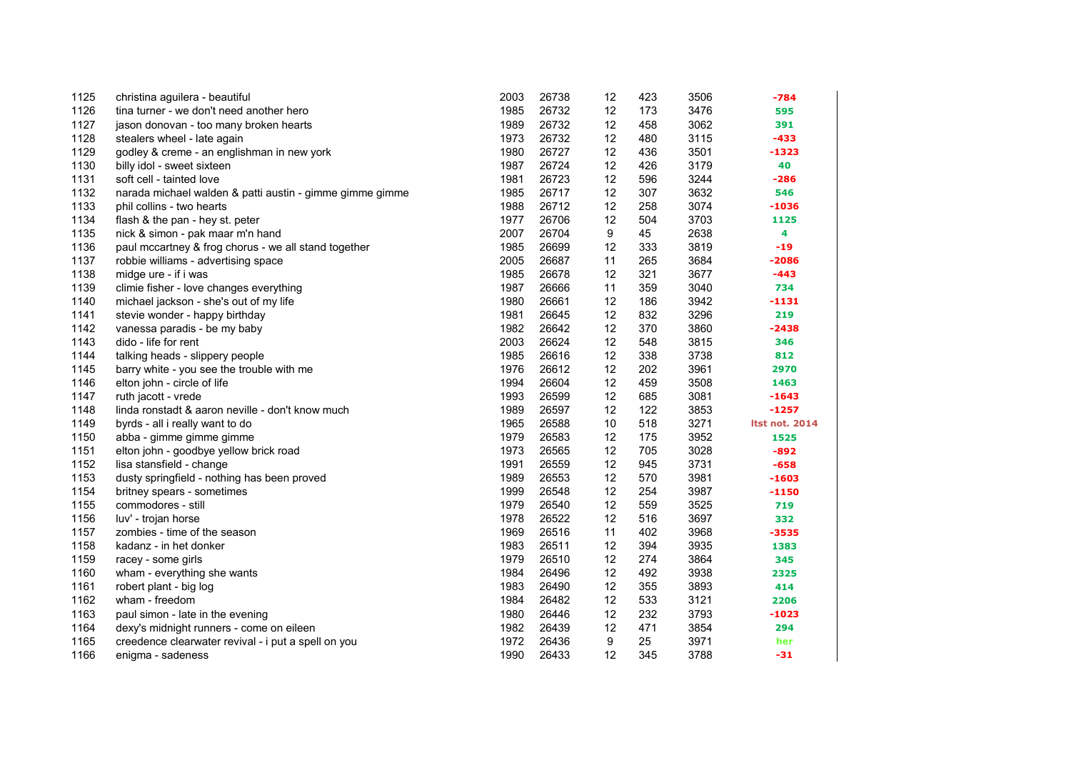| 1125 | christina aguilera - beautiful                           | 2003 | 26738 | 12 | 423 | 3506 | -784                  |
|------|----------------------------------------------------------|------|-------|----|-----|------|-----------------------|
| 1126 | tina turner - we don't need another hero                 | 1985 | 26732 | 12 | 173 | 3476 | 595                   |
| 1127 | jason donovan - too many broken hearts                   | 1989 | 26732 | 12 | 458 | 3062 | 391                   |
| 1128 | stealers wheel - late again                              | 1973 | 26732 | 12 | 480 | 3115 | $-433$                |
| 1129 | godley & creme - an englishman in new york               | 1980 | 26727 | 12 | 436 | 3501 | -1323                 |
| 1130 | billy idol - sweet sixteen                               | 1987 | 26724 | 12 | 426 | 3179 | 40                    |
| 1131 | soft cell - tainted love                                 | 1981 | 26723 | 12 | 596 | 3244 | -286                  |
| 1132 | narada michael walden & patti austin - gimme gimme gimme | 1985 | 26717 | 12 | 307 | 3632 | 546                   |
| 1133 | phil collins - two hearts                                | 1988 | 26712 | 12 | 258 | 3074 | -1036                 |
| 1134 | flash & the pan - hey st. peter                          | 1977 | 26706 | 12 | 504 | 3703 | 1125                  |
| 1135 | nick & simon - pak maar m'n hand                         | 2007 | 26704 | 9  | 45  | 2638 | 4                     |
| 1136 | paul mccartney & frog chorus - we all stand together     | 1985 | 26699 | 12 | 333 | 3819 | $-19$                 |
| 1137 | robbie williams - advertising space                      | 2005 | 26687 | 11 | 265 | 3684 | $-2086$               |
| 1138 | midge ure - if i was                                     | 1985 | 26678 | 12 | 321 | 3677 | $-443$                |
| 1139 | climie fisher - love changes everything                  | 1987 | 26666 | 11 | 359 | 3040 | 734                   |
| 1140 | michael jackson - she's out of my life                   | 1980 | 26661 | 12 | 186 | 3942 | -1131                 |
| 1141 | stevie wonder - happy birthday                           | 1981 | 26645 | 12 | 832 | 3296 | 219                   |
| 1142 | vanessa paradis - be my baby                             | 1982 | 26642 | 12 | 370 | 3860 | $-2438$               |
| 1143 | dido - life for rent                                     | 2003 | 26624 | 12 | 548 | 3815 | 346                   |
| 1144 | talking heads - slippery people                          | 1985 | 26616 | 12 | 338 | 3738 | 812                   |
| 1145 | barry white - you see the trouble with me                | 1976 | 26612 | 12 | 202 | 3961 | 2970                  |
| 1146 | elton john - circle of life                              | 1994 | 26604 | 12 | 459 | 3508 | 1463                  |
| 1147 | ruth jacott - vrede                                      | 1993 | 26599 | 12 | 685 | 3081 | $-1643$               |
| 1148 | linda ronstadt & aaron neville - don't know much         | 1989 | 26597 | 12 | 122 | 3853 | $-1257$               |
| 1149 | byrds - all i really want to do                          | 1965 | 26588 | 10 | 518 | 3271 | <b>Itst not. 2014</b> |
| 1150 | abba - gimme gimme gimme                                 | 1979 | 26583 | 12 | 175 | 3952 | 1525                  |
| 1151 | elton john - goodbye yellow brick road                   | 1973 | 26565 | 12 | 705 | 3028 | $-892$                |
| 1152 | lisa stansfield - change                                 | 1991 | 26559 | 12 | 945 | 3731 | $-658$                |
| 1153 | dusty springfield - nothing has been proved              | 1989 | 26553 | 12 | 570 | 3981 | $-1603$               |
| 1154 | britney spears - sometimes                               | 1999 | 26548 | 12 | 254 | 3987 | $-1150$               |
| 1155 | commodores - still                                       | 1979 | 26540 | 12 | 559 | 3525 | 719                   |
| 1156 | luv' - trojan horse                                      | 1978 | 26522 | 12 | 516 | 3697 | 332                   |
| 1157 | zombies - time of the season                             | 1969 | 26516 | 11 | 402 | 3968 | $-3535$               |
| 1158 | kadanz - in het donker                                   | 1983 | 26511 | 12 | 394 | 3935 | 1383                  |
| 1159 | racey - some girls                                       | 1979 | 26510 | 12 | 274 | 3864 | 345                   |
| 1160 | wham - everything she wants                              | 1984 | 26496 | 12 | 492 | 3938 | 2325                  |
| 1161 | robert plant - big log                                   | 1983 | 26490 | 12 | 355 | 3893 | 414                   |
| 1162 | wham - freedom                                           | 1984 | 26482 | 12 | 533 | 3121 | 2206                  |
| 1163 | paul simon - late in the evening                         | 1980 | 26446 | 12 | 232 | 3793 | $-1023$               |
| 1164 | dexy's midnight runners - come on eileen                 | 1982 | 26439 | 12 | 471 | 3854 | 294                   |
| 1165 | creedence clearwater revival - i put a spell on you      | 1972 | 26436 | 9  | 25  | 3971 | her                   |
| 1166 | enigma - sadeness                                        | 1990 | 26433 | 12 | 345 | 3788 | $-31$                 |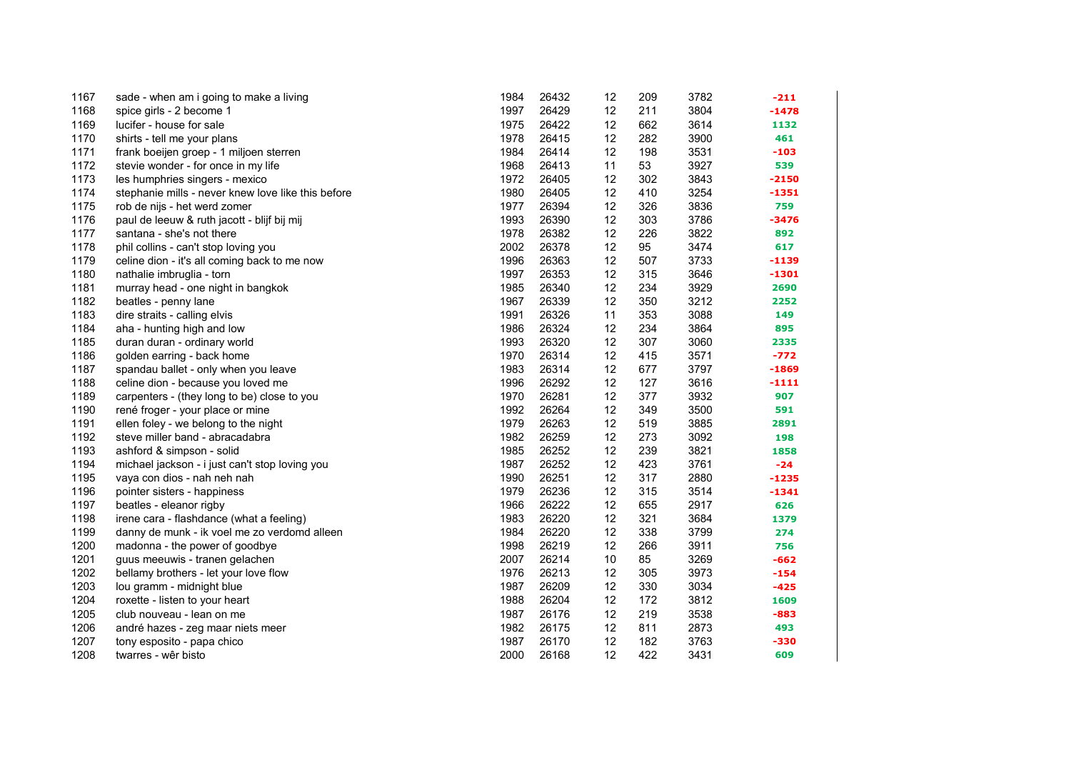| 1167 | sade - when am i going to make a living            | 1984 | 26432 | 12 | 209 | 3782 | $-211$  |
|------|----------------------------------------------------|------|-------|----|-----|------|---------|
| 1168 | spice girls - 2 become 1                           | 1997 | 26429 | 12 | 211 | 3804 | $-1478$ |
| 1169 | lucifer - house for sale                           | 1975 | 26422 | 12 | 662 | 3614 | 1132    |
| 1170 | shirts - tell me your plans                        | 1978 | 26415 | 12 | 282 | 3900 | 461     |
| 1171 | frank boeijen groep - 1 miljoen sterren            | 1984 | 26414 | 12 | 198 | 3531 | $-103$  |
| 1172 | stevie wonder - for once in my life                | 1968 | 26413 | 11 | 53  | 3927 | 539     |
| 1173 | les humphries singers - mexico                     | 1972 | 26405 | 12 | 302 | 3843 | $-2150$ |
| 1174 | stephanie mills - never knew love like this before | 1980 | 26405 | 12 | 410 | 3254 | -1351   |
| 1175 | rob de nijs - het werd zomer                       | 1977 | 26394 | 12 | 326 | 3836 | 759     |
| 1176 | paul de leeuw & ruth jacott - blijf bij mij        | 1993 | 26390 | 12 | 303 | 3786 | $-3476$ |
| 1177 | santana - she's not there                          | 1978 | 26382 | 12 | 226 | 3822 | 892     |
| 1178 | phil collins - can't stop loving you               | 2002 | 26378 | 12 | 95  | 3474 | 617     |
| 1179 | celine dion - it's all coming back to me now       | 1996 | 26363 | 12 | 507 | 3733 | -1139   |
| 1180 | nathalie imbruglia - torn                          | 1997 | 26353 | 12 | 315 | 3646 | -1301   |
| 1181 | murray head - one night in bangkok                 | 1985 | 26340 | 12 | 234 | 3929 | 2690    |
| 1182 | beatles - penny lane                               | 1967 | 26339 | 12 | 350 | 3212 | 2252    |
| 1183 | dire straits - calling elvis                       | 1991 | 26326 | 11 | 353 | 3088 | 149     |
| 1184 | aha - hunting high and low                         | 1986 | 26324 | 12 | 234 | 3864 | 895     |
| 1185 | duran duran - ordinary world                       | 1993 | 26320 | 12 | 307 | 3060 | 2335    |
| 1186 | golden earring - back home                         | 1970 | 26314 | 12 | 415 | 3571 | -772    |
| 1187 | spandau ballet - only when you leave               | 1983 | 26314 | 12 | 677 | 3797 | -1869   |
| 1188 | celine dion - because you loved me                 | 1996 | 26292 | 12 | 127 | 3616 | -1111   |
| 1189 | carpenters - (they long to be) close to you        | 1970 | 26281 | 12 | 377 | 3932 | 907     |
| 1190 | rené froger - your place or mine                   | 1992 | 26264 | 12 | 349 | 3500 | 591     |
| 1191 | ellen foley - we belong to the night               | 1979 | 26263 | 12 | 519 | 3885 | 2891    |
| 1192 | steve miller band - abracadabra                    | 1982 | 26259 | 12 | 273 | 3092 | 198     |
| 1193 | ashford & simpson - solid                          | 1985 | 26252 | 12 | 239 | 3821 | 1858    |
| 1194 | michael jackson - i just can't stop loving you     | 1987 | 26252 | 12 | 423 | 3761 | $-24$   |
| 1195 | vaya con dios - nah neh nah                        | 1990 | 26251 | 12 | 317 | 2880 | $-1235$ |
| 1196 | pointer sisters - happiness                        | 1979 | 26236 | 12 | 315 | 3514 | -1341   |
| 1197 | beatles - eleanor rigby                            | 1966 | 26222 | 12 | 655 | 2917 | 626     |
| 1198 | irene cara - flashdance (what a feeling)           | 1983 | 26220 | 12 | 321 | 3684 | 1379    |
| 1199 | danny de munk - ik voel me zo verdomd alleen       | 1984 | 26220 | 12 | 338 | 3799 | 274     |
| 1200 | madonna - the power of goodbye                     | 1998 | 26219 | 12 | 266 | 3911 | 756     |
| 1201 | guus meeuwis - tranen gelachen                     | 2007 | 26214 | 10 | 85  | 3269 | $-662$  |
| 1202 | bellamy brothers - let your love flow              | 1976 | 26213 | 12 | 305 | 3973 | $-154$  |
| 1203 | lou gramm - midnight blue                          | 1987 | 26209 | 12 | 330 | 3034 | $-425$  |
| 1204 | roxette - listen to your heart                     | 1988 | 26204 | 12 | 172 | 3812 | 1609    |
| 1205 | club nouveau - lean on me                          | 1987 | 26176 | 12 | 219 | 3538 | $-883$  |
| 1206 | andré hazes - zeg maar niets meer                  | 1982 | 26175 | 12 | 811 | 2873 | 493     |
| 1207 | tony esposito - papa chico                         | 1987 | 26170 | 12 | 182 | 3763 | -330    |
| 1208 | twarres - wêr bisto                                | 2000 | 26168 | 12 | 422 | 3431 | 609     |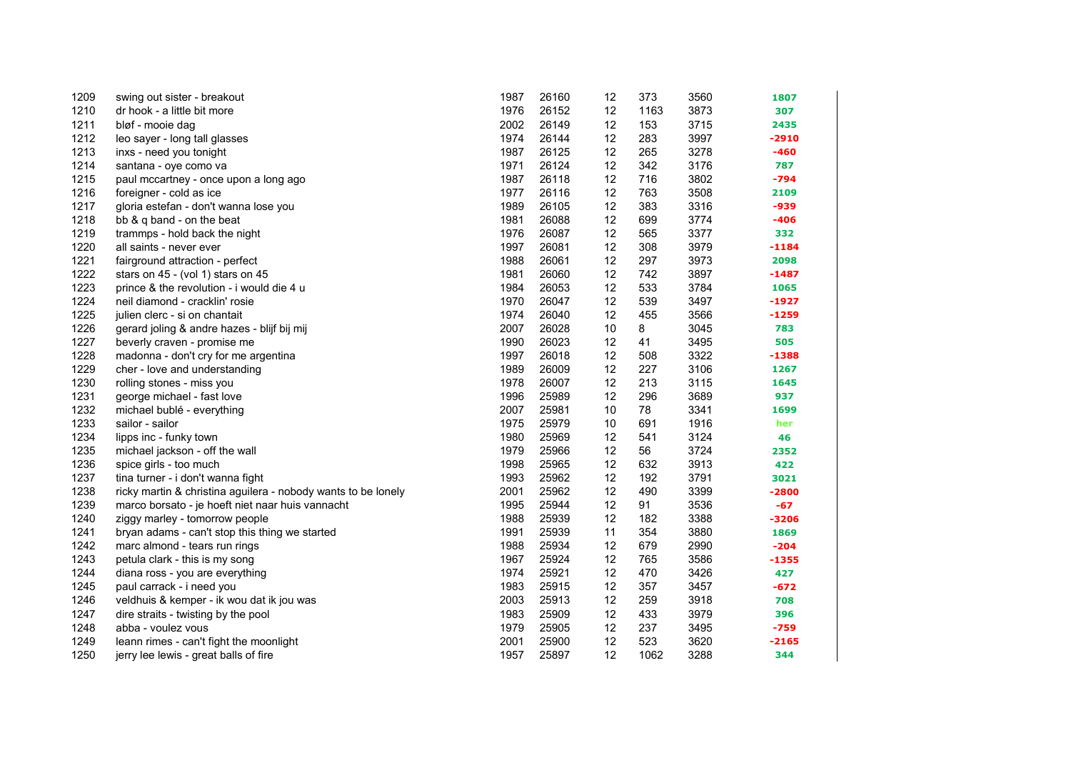| 1209 | swing out sister - breakout                                   | 1987 | 26160 | 12 | 373  | 3560 | 1807    |
|------|---------------------------------------------------------------|------|-------|----|------|------|---------|
| 1210 | dr hook - a little bit more                                   | 1976 | 26152 | 12 | 1163 | 3873 | 307     |
| 1211 | bløf - mooie dag                                              | 2002 | 26149 | 12 | 153  | 3715 | 2435    |
| 1212 | leo sayer - long tall glasses                                 | 1974 | 26144 | 12 | 283  | 3997 | $-2910$ |
| 1213 | inxs - need you tonight                                       | 1987 | 26125 | 12 | 265  | 3278 | $-460$  |
| 1214 | santana - oye como va                                         | 1971 | 26124 | 12 | 342  | 3176 | 787     |
| 1215 | paul mccartney - once upon a long ago                         | 1987 | 26118 | 12 | 716  | 3802 | -794    |
| 1216 | foreigner - cold as ice                                       | 1977 | 26116 | 12 | 763  | 3508 | 2109    |
| 1217 | gloria estefan - don't wanna lose you                         | 1989 | 26105 | 12 | 383  | 3316 | -939    |
| 1218 | bb & q band - on the beat                                     | 1981 | 26088 | 12 | 699  | 3774 | $-406$  |
| 1219 | trammps - hold back the night                                 | 1976 | 26087 | 12 | 565  | 3377 | 332     |
| 1220 | all saints - never ever                                       | 1997 | 26081 | 12 | 308  | 3979 | $-1184$ |
| 1221 | fairground attraction - perfect                               | 1988 | 26061 | 12 | 297  | 3973 | 2098    |
| 1222 | stars on 45 - (vol 1) stars on 45                             | 1981 | 26060 | 12 | 742  | 3897 | -1487   |
| 1223 | prince & the revolution - i would die 4 u                     | 1984 | 26053 | 12 | 533  | 3784 | 1065    |
| 1224 | neil diamond - cracklin' rosie                                | 1970 | 26047 | 12 | 539  | 3497 | $-1927$ |
| 1225 | julien clerc - si on chantait                                 | 1974 | 26040 | 12 | 455  | 3566 | $-1259$ |
| 1226 | gerard joling & andre hazes - blijf bij mij                   | 2007 | 26028 | 10 | 8    | 3045 | 783     |
| 1227 | beverly craven - promise me                                   | 1990 | 26023 | 12 | 41   | 3495 | 505     |
| 1228 | madonna - don't cry for me argentina                          | 1997 | 26018 | 12 | 508  | 3322 | $-1388$ |
| 1229 | cher - love and understanding                                 | 1989 | 26009 | 12 | 227  | 3106 | 1267    |
| 1230 | rolling stones - miss you                                     | 1978 | 26007 | 12 | 213  | 3115 | 1645    |
| 1231 | george michael - fast love                                    | 1996 | 25989 | 12 | 296  | 3689 | 937     |
| 1232 | michael bublé - everything                                    | 2007 | 25981 | 10 | 78   | 3341 | 1699    |
| 1233 | sailor - sailor                                               | 1975 | 25979 | 10 | 691  | 1916 | her     |
| 1234 | lipps inc - funky town                                        | 1980 | 25969 | 12 | 541  | 3124 | 46      |
| 1235 | michael jackson - off the wall                                | 1979 | 25966 | 12 | 56   | 3724 | 2352    |
| 1236 | spice girls - too much                                        | 1998 | 25965 | 12 | 632  | 3913 | 422     |
| 1237 | tina turner - i don't wanna fight                             | 1993 | 25962 | 12 | 192  | 3791 | 3021    |
| 1238 | ricky martin & christina aguilera - nobody wants to be lonely | 2001 | 25962 | 12 | 490  | 3399 | -2800   |
| 1239 | marco borsato - je hoeft niet naar huis vannacht              | 1995 | 25944 | 12 | 91   | 3536 | $-67$   |
| 1240 | ziggy marley - tomorrow people                                | 1988 | 25939 | 12 | 182  | 3388 | $-3206$ |
| 1241 | bryan adams - can't stop this thing we started                | 1991 | 25939 | 11 | 354  | 3880 | 1869    |
| 1242 | marc almond - tears run rings                                 | 1988 | 25934 | 12 | 679  | 2990 | $-204$  |
| 1243 | petula clark - this is my song                                | 1967 | 25924 | 12 | 765  | 3586 | $-1355$ |
| 1244 | diana ross - you are everything                               | 1974 | 25921 | 12 | 470  | 3426 | 427     |
| 1245 | paul carrack - i need you                                     | 1983 | 25915 | 12 | 357  | 3457 | $-672$  |
| 1246 | veldhuis & kemper - ik wou dat ik jou was                     | 2003 | 25913 | 12 | 259  | 3918 | 708     |
| 1247 | dire straits - twisting by the pool                           | 1983 | 25909 | 12 | 433  | 3979 | 396     |
| 1248 | abba - voulez vous                                            | 1979 | 25905 | 12 | 237  | 3495 | $-759$  |
| 1249 | leann rimes - can't fight the moonlight                       | 2001 | 25900 | 12 | 523  | 3620 | $-2165$ |
| 1250 | jerry lee lewis - great balls of fire                         | 1957 | 25897 | 12 | 1062 | 3288 | 344     |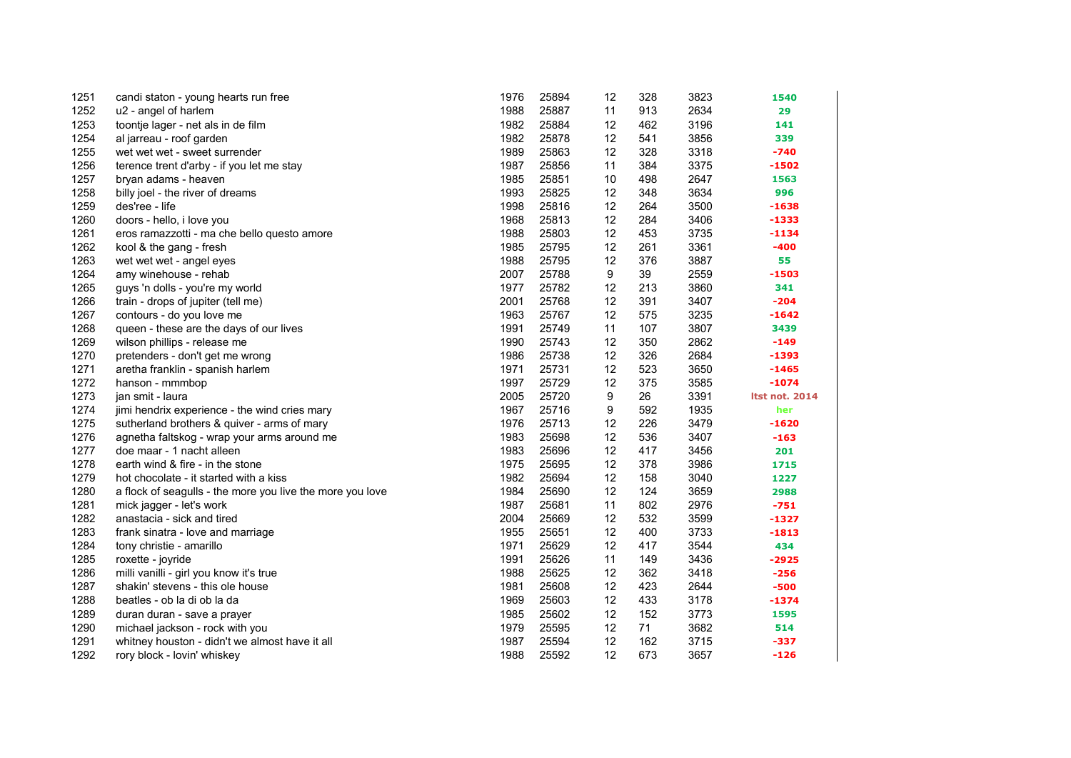| 1251 | candi staton - young hearts run free                      | 1976 | 25894 | 12 | 328 | 3823 | 1540           |
|------|-----------------------------------------------------------|------|-------|----|-----|------|----------------|
| 1252 | u2 - angel of harlem                                      | 1988 | 25887 | 11 | 913 | 2634 | 29             |
| 1253 | toontje lager - net als in de film                        | 1982 | 25884 | 12 | 462 | 3196 | 141            |
| 1254 | al jarreau - roof garden                                  | 1982 | 25878 | 12 | 541 | 3856 | 339            |
| 1255 | wet wet wet - sweet surrender                             | 1989 | 25863 | 12 | 328 | 3318 | $-740$         |
| 1256 | terence trent d'arby - if you let me stay                 | 1987 | 25856 | 11 | 384 | 3375 | -1502          |
| 1257 | bryan adams - heaven                                      | 1985 | 25851 | 10 | 498 | 2647 | 1563           |
| 1258 | billy joel - the river of dreams                          | 1993 | 25825 | 12 | 348 | 3634 | 996            |
| 1259 | des'ree - life                                            | 1998 | 25816 | 12 | 264 | 3500 | $-1638$        |
| 1260 | doors - hello, i love you                                 | 1968 | 25813 | 12 | 284 | 3406 | $-1333$        |
| 1261 | eros ramazzotti - ma che bello questo amore               | 1988 | 25803 | 12 | 453 | 3735 | -1134          |
| 1262 | kool & the gang - fresh                                   | 1985 | 25795 | 12 | 261 | 3361 | $-400$         |
| 1263 | wet wet wet - angel eyes                                  | 1988 | 25795 | 12 | 376 | 3887 | 55             |
| 1264 | amy winehouse - rehab                                     | 2007 | 25788 | 9  | 39  | 2559 | $-1503$        |
| 1265 | guys 'n dolls - you're my world                           | 1977 | 25782 | 12 | 213 | 3860 | 341            |
| 1266 | train - drops of jupiter (tell me)                        | 2001 | 25768 | 12 | 391 | 3407 | $-204$         |
| 1267 | contours - do you love me                                 | 1963 | 25767 | 12 | 575 | 3235 | $-1642$        |
| 1268 | queen - these are the days of our lives                   | 1991 | 25749 | 11 | 107 | 3807 | 3439           |
| 1269 | wilson phillips - release me                              | 1990 | 25743 | 12 | 350 | 2862 | $-149$         |
| 1270 | pretenders - don't get me wrong                           | 1986 | 25738 | 12 | 326 | 2684 | $-1393$        |
| 1271 | aretha franklin - spanish harlem                          | 1971 | 25731 | 12 | 523 | 3650 | $-1465$        |
| 1272 | hanson - mmmbop                                           | 1997 | 25729 | 12 | 375 | 3585 | $-1074$        |
| 1273 | jan smit - laura                                          | 2005 | 25720 | 9  | 26  | 3391 | Itst not. 2014 |
| 1274 | jimi hendrix experience - the wind cries mary             | 1967 | 25716 | 9  | 592 | 1935 | her            |
| 1275 | sutherland brothers & quiver - arms of mary               | 1976 | 25713 | 12 | 226 | 3479 | $-1620$        |
| 1276 | agnetha faltskog - wrap your arms around me               | 1983 | 25698 | 12 | 536 | 3407 | $-163$         |
| 1277 | doe maar - 1 nacht alleen                                 | 1983 | 25696 | 12 | 417 | 3456 | 201            |
| 1278 | earth wind & fire - in the stone                          | 1975 | 25695 | 12 | 378 | 3986 | 1715           |
| 1279 | hot chocolate - it started with a kiss                    | 1982 | 25694 | 12 | 158 | 3040 | 1227           |
| 1280 | a flock of seagulls - the more you live the more you love | 1984 | 25690 | 12 | 124 | 3659 | 2988           |
| 1281 | mick jagger - let's work                                  | 1987 | 25681 | 11 | 802 | 2976 | $-751$         |
| 1282 | anastacia - sick and tired                                | 2004 | 25669 | 12 | 532 | 3599 | -1327          |
| 1283 | frank sinatra - love and marriage                         | 1955 | 25651 | 12 | 400 | 3733 | $-1813$        |
| 1284 | tony christie - amarillo                                  | 1971 | 25629 | 12 | 417 | 3544 | 434            |
| 1285 | roxette - joyride                                         | 1991 | 25626 | 11 | 149 | 3436 | $-2925$        |
| 1286 | milli vanilli - girl you know it's true                   | 1988 | 25625 | 12 | 362 | 3418 | $-256$         |
| 1287 | shakin' stevens - this ole house                          | 1981 | 25608 | 12 | 423 | 2644 | $-500$         |
| 1288 | beatles - ob la di ob la da                               | 1969 | 25603 | 12 | 433 | 3178 | $-1374$        |
| 1289 | duran duran - save a prayer                               | 1985 | 25602 | 12 | 152 | 3773 | 1595           |
| 1290 | michael jackson - rock with you                           | 1979 | 25595 | 12 | 71  | 3682 | 514            |
| 1291 | whitney houston - didn't we almost have it all            | 1987 | 25594 | 12 | 162 | 3715 | $-337$         |
| 1292 | rory block - lovin' whiskey                               | 1988 | 25592 | 12 | 673 | 3657 | $-126$         |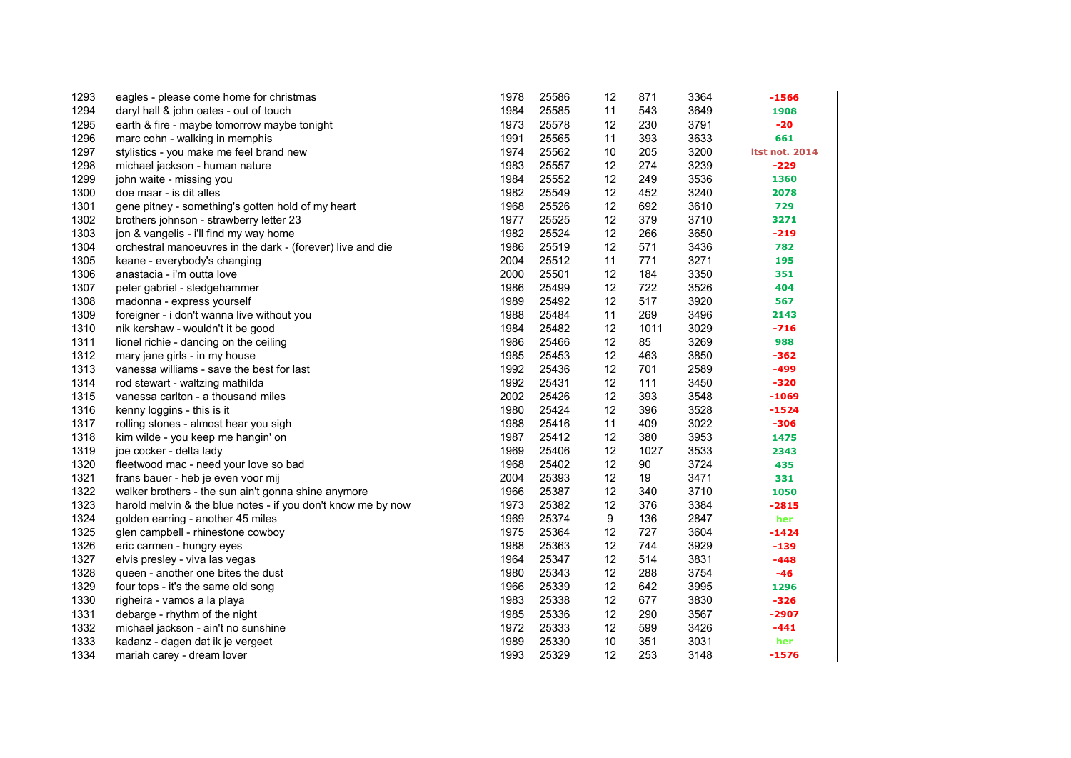| 1293 | eagles - please come home for christmas                      | 1978 | 25586 | 12 | 871  | 3364 | $-1566$               |
|------|--------------------------------------------------------------|------|-------|----|------|------|-----------------------|
| 1294 | daryl hall & john oates - out of touch                       | 1984 | 25585 | 11 | 543  | 3649 | 1908                  |
| 1295 | earth & fire - maybe tomorrow maybe tonight                  | 1973 | 25578 | 12 | 230  | 3791 | $-20$                 |
| 1296 | marc cohn - walking in memphis                               | 1991 | 25565 | 11 | 393  | 3633 | 661                   |
| 1297 | stylistics - you make me feel brand new                      | 1974 | 25562 | 10 | 205  | 3200 | <b>Itst not. 2014</b> |
| 1298 | michael jackson - human nature                               | 1983 | 25557 | 12 | 274  | 3239 | $-229$                |
| 1299 | john waite - missing you                                     | 1984 | 25552 | 12 | 249  | 3536 | 1360                  |
| 1300 | doe maar - is dit alles                                      | 1982 | 25549 | 12 | 452  | 3240 | 2078                  |
| 1301 | gene pitney - something's gotten hold of my heart            | 1968 | 25526 | 12 | 692  | 3610 | 729                   |
| 1302 | brothers johnson - strawberry letter 23                      | 1977 | 25525 | 12 | 379  | 3710 | 3271                  |
| 1303 | jon & vangelis - i'll find my way home                       | 1982 | 25524 | 12 | 266  | 3650 | $-219$                |
| 1304 | orchestral manoeuvres in the dark - (forever) live and die   | 1986 | 25519 | 12 | 571  | 3436 | 782                   |
| 1305 | keane - everybody's changing                                 | 2004 | 25512 | 11 | 771  | 3271 | 195                   |
| 1306 | anastacia - i'm outta love                                   | 2000 | 25501 | 12 | 184  | 3350 | 351                   |
| 1307 | peter gabriel - sledgehammer                                 | 1986 | 25499 | 12 | 722  | 3526 | 404                   |
| 1308 | madonna - express yourself                                   | 1989 | 25492 | 12 | 517  | 3920 | 567                   |
| 1309 | foreigner - i don't wanna live without you                   | 1988 | 25484 | 11 | 269  | 3496 | 2143                  |
| 1310 | nik kershaw - wouldn't it be good                            | 1984 | 25482 | 12 | 1011 | 3029 | -716                  |
| 1311 | lionel richie - dancing on the ceiling                       | 1986 | 25466 | 12 | 85   | 3269 | 988                   |
| 1312 | mary jane girls - in my house                                | 1985 | 25453 | 12 | 463  | 3850 | $-362$                |
| 1313 | vanessa williams - save the best for last                    | 1992 | 25436 | 12 | 701  | 2589 | -499                  |
| 1314 | rod stewart - waltzing mathilda                              | 1992 | 25431 | 12 | 111  | 3450 | $-320$                |
| 1315 | vanessa carlton - a thousand miles                           | 2002 | 25426 | 12 | 393  | 3548 | -1069                 |
| 1316 | kenny loggins - this is it                                   | 1980 | 25424 | 12 | 396  | 3528 | $-1524$               |
| 1317 | rolling stones - almost hear you sigh                        | 1988 | 25416 | 11 | 409  | 3022 | $-306$                |
| 1318 | kim wilde - you keep me hangin' on                           | 1987 | 25412 | 12 | 380  | 3953 | 1475                  |
| 1319 | joe cocker - delta lady                                      | 1969 | 25406 | 12 | 1027 | 3533 | 2343                  |
| 1320 | fleetwood mac - need your love so bad                        | 1968 | 25402 | 12 | 90   | 3724 | 435                   |
| 1321 | frans bauer - heb je even voor mij                           | 2004 | 25393 | 12 | 19   | 3471 | 331                   |
| 1322 | walker brothers - the sun ain't gonna shine anymore          | 1966 | 25387 | 12 | 340  | 3710 | 1050                  |
| 1323 | harold melvin & the blue notes - if you don't know me by now | 1973 | 25382 | 12 | 376  | 3384 | $-2815$               |
| 1324 | golden earring - another 45 miles                            | 1969 | 25374 | 9  | 136  | 2847 | her                   |
| 1325 | glen campbell - rhinestone cowboy                            | 1975 | 25364 | 12 | 727  | 3604 | $-1424$               |
| 1326 | eric carmen - hungry eyes                                    | 1988 | 25363 | 12 | 744  | 3929 | $-139$                |
| 1327 | elvis presley - viva las vegas                               | 1964 | 25347 | 12 | 514  | 3831 | $-448$                |
| 1328 | queen - another one bites the dust                           | 1980 | 25343 | 12 | 288  | 3754 | $-46$                 |
| 1329 | four tops - it's the same old song                           | 1966 | 25339 | 12 | 642  | 3995 | 1296                  |
| 1330 | righeira - vamos a la playa                                  | 1983 | 25338 | 12 | 677  | 3830 | $-326$                |
| 1331 | debarge - rhythm of the night                                | 1985 | 25336 | 12 | 290  | 3567 | $-2907$               |
| 1332 | michael jackson - ain't no sunshine                          | 1972 | 25333 | 12 | 599  | 3426 | $-441$                |
| 1333 | kadanz - dagen dat ik je vergeet                             | 1989 | 25330 | 10 | 351  | 3031 | her                   |
| 1334 | mariah carey - dream lover                                   | 1993 | 25329 | 12 | 253  | 3148 | $-1576$               |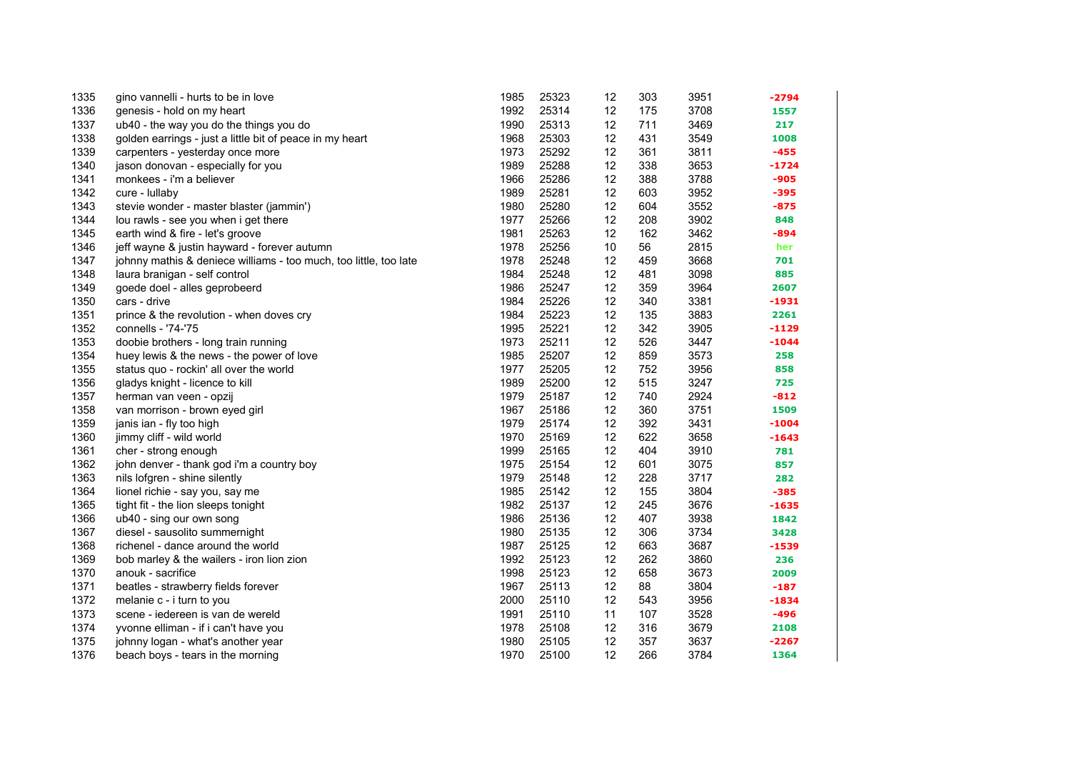| 1335 | gino vannelli - hurts to be in love                               | 1985 | 25323 | 12 | 303 | 3951 | -2794   |
|------|-------------------------------------------------------------------|------|-------|----|-----|------|---------|
| 1336 | genesis - hold on my heart                                        | 1992 | 25314 | 12 | 175 | 3708 | 1557    |
| 1337 | ub40 - the way you do the things you do                           | 1990 | 25313 | 12 | 711 | 3469 | 217     |
| 1338 | golden earrings - just a little bit of peace in my heart          | 1968 | 25303 | 12 | 431 | 3549 | 1008    |
| 1339 | carpenters - yesterday once more                                  | 1973 | 25292 | 12 | 361 | 3811 | $-455$  |
| 1340 | jason donovan - especially for you                                | 1989 | 25288 | 12 | 338 | 3653 | $-1724$ |
| 1341 | monkees - i'm a believer                                          | 1966 | 25286 | 12 | 388 | 3788 | $-905$  |
| 1342 | cure - lullaby                                                    | 1989 | 25281 | 12 | 603 | 3952 | $-395$  |
| 1343 | stevie wonder - master blaster (jammin')                          | 1980 | 25280 | 12 | 604 | 3552 | $-875$  |
| 1344 | lou rawls - see you when i get there                              | 1977 | 25266 | 12 | 208 | 3902 | 848     |
| 1345 | earth wind & fire - let's groove                                  | 1981 | 25263 | 12 | 162 | 3462 | -894    |
| 1346 | jeff wayne & justin hayward - forever autumn                      | 1978 | 25256 | 10 | 56  | 2815 | her     |
| 1347 | johnny mathis & deniece williams - too much, too little, too late | 1978 | 25248 | 12 | 459 | 3668 | 701     |
| 1348 | laura branigan - self control                                     | 1984 | 25248 | 12 | 481 | 3098 | 885     |
| 1349 | goede doel - alles geprobeerd                                     | 1986 | 25247 | 12 | 359 | 3964 | 2607    |
| 1350 | cars - drive                                                      | 1984 | 25226 | 12 | 340 | 3381 | -1931   |
| 1351 | prince & the revolution - when doves cry                          | 1984 | 25223 | 12 | 135 | 3883 | 2261    |
| 1352 | connells - '74-'75                                                | 1995 | 25221 | 12 | 342 | 3905 | $-1129$ |
| 1353 | doobie brothers - long train running                              | 1973 | 25211 | 12 | 526 | 3447 | $-1044$ |
| 1354 | huey lewis & the news - the power of love                         | 1985 | 25207 | 12 | 859 | 3573 | 258     |
| 1355 | status quo - rockin' all over the world                           | 1977 | 25205 | 12 | 752 | 3956 | 858     |
| 1356 | gladys knight - licence to kill                                   | 1989 | 25200 | 12 | 515 | 3247 | 725     |
| 1357 | herman van veen - opzij                                           | 1979 | 25187 | 12 | 740 | 2924 | $-812$  |
| 1358 | van morrison - brown eyed girl                                    | 1967 | 25186 | 12 | 360 | 3751 | 1509    |
| 1359 | janis ian - fly too high                                          | 1979 | 25174 | 12 | 392 | 3431 | $-1004$ |
| 1360 | jimmy cliff - wild world                                          | 1970 | 25169 | 12 | 622 | 3658 | $-1643$ |
| 1361 | cher - strong enough                                              | 1999 | 25165 | 12 | 404 | 3910 | 781     |
| 1362 | john denver - thank god i'm a country boy                         | 1975 | 25154 | 12 | 601 | 3075 | 857     |
| 1363 | nils lofgren - shine silently                                     | 1979 | 25148 | 12 | 228 | 3717 | 282     |
| 1364 | lionel richie - say you, say me                                   | 1985 | 25142 | 12 | 155 | 3804 | $-385$  |
| 1365 | tight fit - the lion sleeps tonight                               | 1982 | 25137 | 12 | 245 | 3676 | $-1635$ |
| 1366 | ub40 - sing our own song                                          | 1986 | 25136 | 12 | 407 | 3938 | 1842    |
| 1367 | diesel - sausolito summernight                                    | 1980 | 25135 | 12 | 306 | 3734 | 3428    |
| 1368 | richenel - dance around the world                                 | 1987 | 25125 | 12 | 663 | 3687 | $-1539$ |
| 1369 | bob marley & the wailers - iron lion zion                         | 1992 | 25123 | 12 | 262 | 3860 | 236     |
| 1370 | anouk - sacrifice                                                 | 1998 | 25123 | 12 | 658 | 3673 | 2009    |
| 1371 | beatles - strawberry fields forever                               | 1967 | 25113 | 12 | 88  | 3804 | $-187$  |
| 1372 | melanie c - i turn to you                                         | 2000 | 25110 | 12 | 543 | 3956 | $-1834$ |
| 1373 | scene - iedereen is van de wereld                                 | 1991 | 25110 | 11 | 107 | 3528 | $-496$  |
| 1374 | yvonne elliman - if i can't have you                              | 1978 | 25108 | 12 | 316 | 3679 | 2108    |
| 1375 | johnny logan - what's another year                                | 1980 | 25105 | 12 | 357 | 3637 | $-2267$ |
| 1376 | beach boys - tears in the morning                                 | 1970 | 25100 | 12 | 266 | 3784 | 1364    |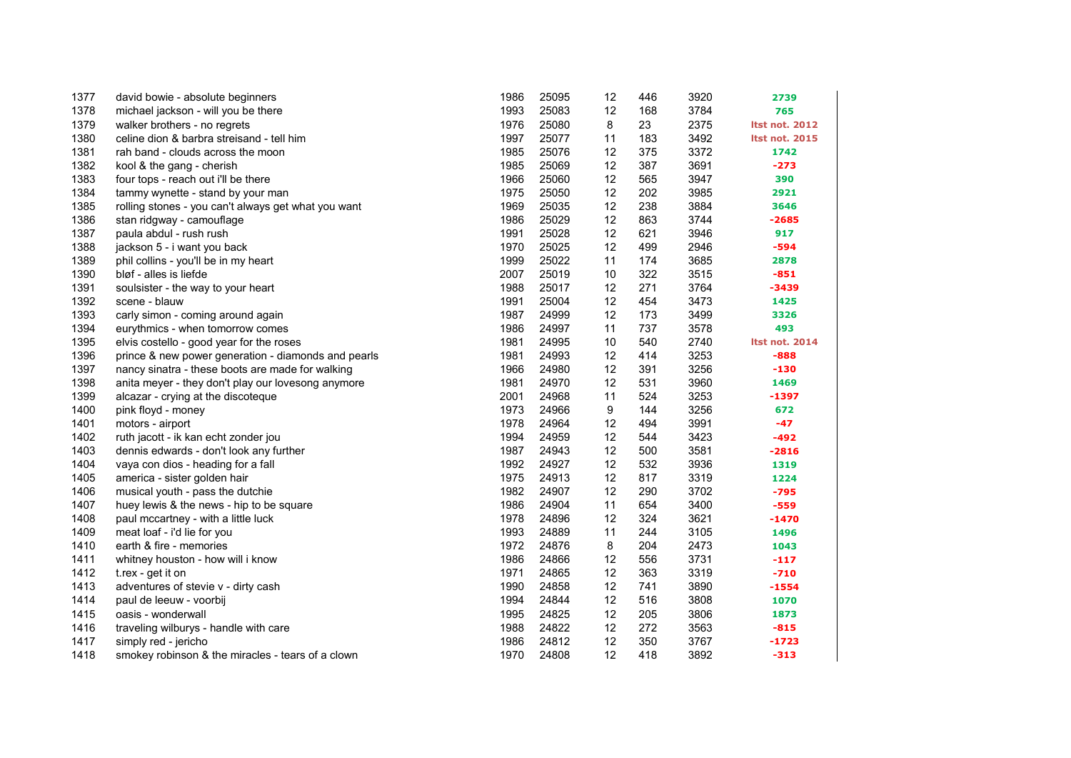| 1377 | david bowie - absolute beginners                    | 1986 | 25095 | 12 | 446 | 3920 | 2739                  |
|------|-----------------------------------------------------|------|-------|----|-----|------|-----------------------|
| 1378 | michael jackson - will you be there                 | 1993 | 25083 | 12 | 168 | 3784 | 765                   |
| 1379 | walker brothers - no regrets                        | 1976 | 25080 | 8  | 23  | 2375 | <b>Itst not. 2012</b> |
| 1380 | celine dion & barbra streisand - tell him           | 1997 | 25077 | 11 | 183 | 3492 | <b>Itst not. 2015</b> |
| 1381 | rah band - clouds across the moon                   | 1985 | 25076 | 12 | 375 | 3372 | 1742                  |
| 1382 | kool & the gang - cherish                           | 1985 | 25069 | 12 | 387 | 3691 | $-273$                |
| 1383 | four tops - reach out i'll be there                 | 1966 | 25060 | 12 | 565 | 3947 | 390                   |
| 1384 | tammy wynette - stand by your man                   | 1975 | 25050 | 12 | 202 | 3985 | 2921                  |
| 1385 | rolling stones - you can't always get what you want | 1969 | 25035 | 12 | 238 | 3884 | 3646                  |
| 1386 | stan ridgway - camouflage                           | 1986 | 25029 | 12 | 863 | 3744 | $-2685$               |
| 1387 | paula abdul - rush rush                             | 1991 | 25028 | 12 | 621 | 3946 | 917                   |
| 1388 | jackson 5 - i want you back                         | 1970 | 25025 | 12 | 499 | 2946 | -594                  |
| 1389 | phil collins - you'll be in my heart                | 1999 | 25022 | 11 | 174 | 3685 | 2878                  |
| 1390 | bløf - alles is liefde                              | 2007 | 25019 | 10 | 322 | 3515 | $-851$                |
| 1391 | soulsister - the way to your heart                  | 1988 | 25017 | 12 | 271 | 3764 | $-3439$               |
| 1392 | scene - blauw                                       | 1991 | 25004 | 12 | 454 | 3473 | 1425                  |
| 1393 | carly simon - coming around again                   | 1987 | 24999 | 12 | 173 | 3499 | 3326                  |
| 1394 | eurythmics - when tomorrow comes                    | 1986 | 24997 | 11 | 737 | 3578 | 493                   |
| 1395 | elvis costello - good year for the roses            | 1981 | 24995 | 10 | 540 | 2740 | <b>Itst not. 2014</b> |
| 1396 | prince & new power generation - diamonds and pearls | 1981 | 24993 | 12 | 414 | 3253 | $-888$                |
| 1397 | nancy sinatra - these boots are made for walking    | 1966 | 24980 | 12 | 391 | 3256 | -130                  |
| 1398 | anita meyer - they don't play our lovesong anymore  | 1981 | 24970 | 12 | 531 | 3960 | 1469                  |
| 1399 | alcazar - crying at the discoteque                  | 2001 | 24968 | 11 | 524 | 3253 | -1397                 |
| 1400 | pink floyd - money                                  | 1973 | 24966 | 9  | 144 | 3256 | 672                   |
| 1401 | motors - airport                                    | 1978 | 24964 | 12 | 494 | 3991 | -47                   |
| 1402 | ruth jacott - ik kan echt zonder jou                | 1994 | 24959 | 12 | 544 | 3423 | -492                  |
| 1403 | dennis edwards - don't look any further             | 1987 | 24943 | 12 | 500 | 3581 | $-2816$               |
| 1404 | vaya con dios - heading for a fall                  | 1992 | 24927 | 12 | 532 | 3936 | 1319                  |
| 1405 | america - sister golden hair                        | 1975 | 24913 | 12 | 817 | 3319 | 1224                  |
| 1406 | musical youth - pass the dutchie                    | 1982 | 24907 | 12 | 290 | 3702 | -795                  |
| 1407 | huey lewis & the news - hip to be square            | 1986 | 24904 | 11 | 654 | 3400 | $-559$                |
| 1408 | paul mccartney - with a little luck                 | 1978 | 24896 | 12 | 324 | 3621 | -1470                 |
| 1409 | meat loaf - i'd lie for you                         | 1993 | 24889 | 11 | 244 | 3105 | 1496                  |
| 1410 | earth & fire - memories                             | 1972 | 24876 | 8  | 204 | 2473 | 1043                  |
| 1411 | whitney houston - how will i know                   | 1986 | 24866 | 12 | 556 | 3731 | $-117$                |
| 1412 | t.rex - get it on                                   | 1971 | 24865 | 12 | 363 | 3319 | $-710$                |
| 1413 | adventures of stevie v - dirty cash                 | 1990 | 24858 | 12 | 741 | 3890 | $-1554$               |
| 1414 | paul de leeuw - voorbij                             | 1994 | 24844 | 12 | 516 | 3808 | 1070                  |
| 1415 | oasis - wonderwall                                  | 1995 | 24825 | 12 | 205 | 3806 | 1873                  |
| 1416 | traveling wilburys - handle with care               | 1988 | 24822 | 12 | 272 | 3563 | $-815$                |
| 1417 | simply red - jericho                                | 1986 | 24812 | 12 | 350 | 3767 | $-1723$               |
| 1418 | smokey robinson & the miracles - tears of a clown   | 1970 | 24808 | 12 | 418 | 3892 | $-313$                |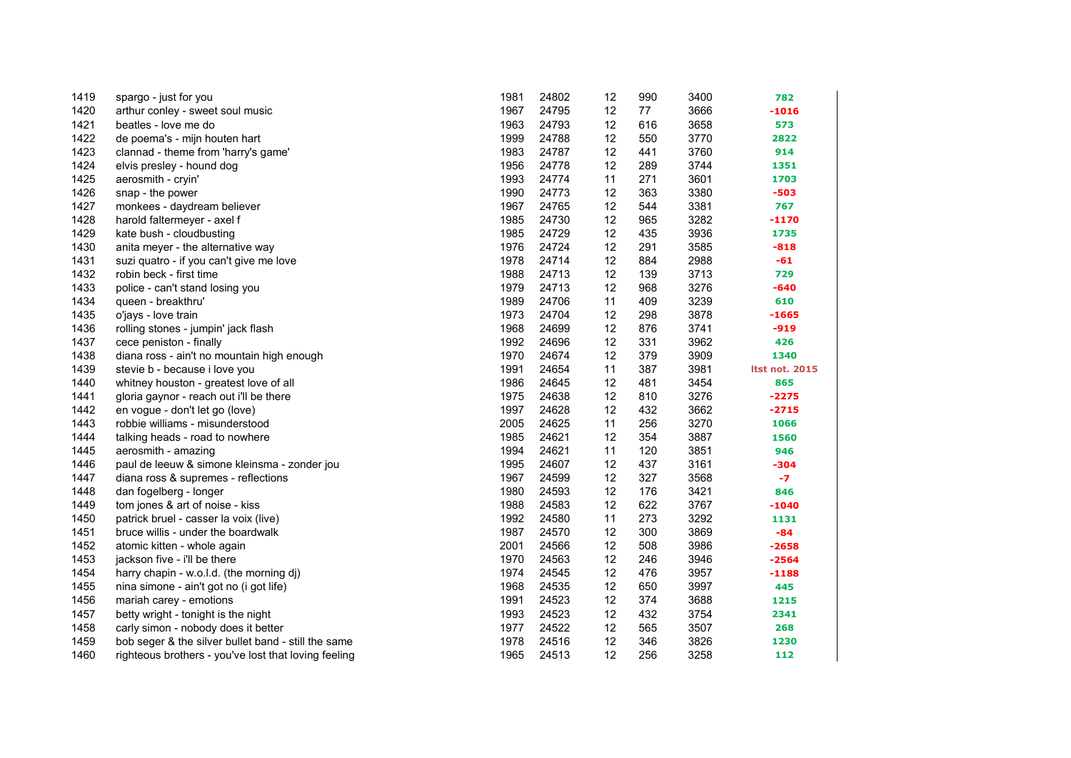| 1419 | spargo - just for you                                | 1981 | 24802 | 12 | 990 | 3400 | 782                   |
|------|------------------------------------------------------|------|-------|----|-----|------|-----------------------|
| 1420 | arthur conley - sweet soul music                     | 1967 | 24795 | 12 | 77  | 3666 | $-1016$               |
| 1421 | beatles - love me do                                 | 1963 | 24793 | 12 | 616 | 3658 | 573                   |
| 1422 | de poema's - mijn houten hart                        | 1999 | 24788 | 12 | 550 | 3770 | 2822                  |
| 1423 | clannad - theme from 'harry's game'                  | 1983 | 24787 | 12 | 441 | 3760 | 914                   |
| 1424 | elvis presley - hound dog                            | 1956 | 24778 | 12 | 289 | 3744 | 1351                  |
| 1425 | aerosmith - cryin'                                   | 1993 | 24774 | 11 | 271 | 3601 | 1703                  |
| 1426 | snap - the power                                     | 1990 | 24773 | 12 | 363 | 3380 | $-503$                |
| 1427 | monkees - daydream believer                          | 1967 | 24765 | 12 | 544 | 3381 | 767                   |
| 1428 | harold faltermeyer - axel f                          | 1985 | 24730 | 12 | 965 | 3282 | $-1170$               |
| 1429 | kate bush - cloudbusting                             | 1985 | 24729 | 12 | 435 | 3936 | 1735                  |
| 1430 | anita meyer - the alternative way                    | 1976 | 24724 | 12 | 291 | 3585 | $-818$                |
| 1431 | suzi quatro - if you can't give me love              | 1978 | 24714 | 12 | 884 | 2988 | $-61$                 |
| 1432 | robin beck - first time                              | 1988 | 24713 | 12 | 139 | 3713 | 729                   |
| 1433 | police - can't stand losing you                      | 1979 | 24713 | 12 | 968 | 3276 | $-640$                |
| 1434 | queen - breakthru'                                   | 1989 | 24706 | 11 | 409 | 3239 | 610                   |
| 1435 | o'jays - love train                                  | 1973 | 24704 | 12 | 298 | 3878 | $-1665$               |
| 1436 | rolling stones - jumpin' jack flash                  | 1968 | 24699 | 12 | 876 | 3741 | $-919$                |
| 1437 | cece peniston - finally                              | 1992 | 24696 | 12 | 331 | 3962 | 426                   |
| 1438 | diana ross - ain't no mountain high enough           | 1970 | 24674 | 12 | 379 | 3909 | 1340                  |
| 1439 | stevie b - because i love you                        | 1991 | 24654 | 11 | 387 | 3981 | <b>Itst not. 2015</b> |
| 1440 | whitney houston - greatest love of all               | 1986 | 24645 | 12 | 481 | 3454 | 865                   |
| 1441 | gloria gaynor - reach out i'll be there              | 1975 | 24638 | 12 | 810 | 3276 | $-2275$               |
| 1442 | en vogue - don't let go (love)                       | 1997 | 24628 | 12 | 432 | 3662 | $-2715$               |
| 1443 | robbie williams - misunderstood                      | 2005 | 24625 | 11 | 256 | 3270 | 1066                  |
| 1444 | talking heads - road to nowhere                      | 1985 | 24621 | 12 | 354 | 3887 | 1560                  |
| 1445 | aerosmith - amazing                                  | 1994 | 24621 | 11 | 120 | 3851 | 946                   |
| 1446 | paul de leeuw & simone kleinsma - zonder jou         | 1995 | 24607 | 12 | 437 | 3161 | $-304$                |
| 1447 | diana ross & supremes - reflections                  | 1967 | 24599 | 12 | 327 | 3568 | $-7$                  |
| 1448 | dan fogelberg - longer                               | 1980 | 24593 | 12 | 176 | 3421 | 846                   |
| 1449 | tom jones & art of noise - kiss                      | 1988 | 24583 | 12 | 622 | 3767 | $-1040$               |
| 1450 | patrick bruel - casser la voix (live)                | 1992 | 24580 | 11 | 273 | 3292 | 1131                  |
| 1451 | bruce willis - under the boardwalk                   | 1987 | 24570 | 12 | 300 | 3869 | $-84$                 |
| 1452 | atomic kitten - whole again                          | 2001 | 24566 | 12 | 508 | 3986 | $-2658$               |
| 1453 | jackson five - i'll be there                         | 1970 | 24563 | 12 | 246 | 3946 | $-2564$               |
| 1454 | harry chapin - w.o.l.d. (the morning dj)             | 1974 | 24545 | 12 | 476 | 3957 | $-1188$               |
| 1455 | nina simone - ain't got no (i got life)              | 1968 | 24535 | 12 | 650 | 3997 | 445                   |
| 1456 | mariah carey - emotions                              | 1991 | 24523 | 12 | 374 | 3688 | 1215                  |
| 1457 | betty wright - tonight is the night                  | 1993 | 24523 | 12 | 432 | 3754 | 2341                  |
| 1458 | carly simon - nobody does it better                  | 1977 | 24522 | 12 | 565 | 3507 | 268                   |
| 1459 | bob seger & the silver bullet band - still the same  | 1978 | 24516 | 12 | 346 | 3826 | 1230                  |
| 1460 | righteous brothers - you've lost that loving feeling | 1965 | 24513 | 12 | 256 | 3258 | 112                   |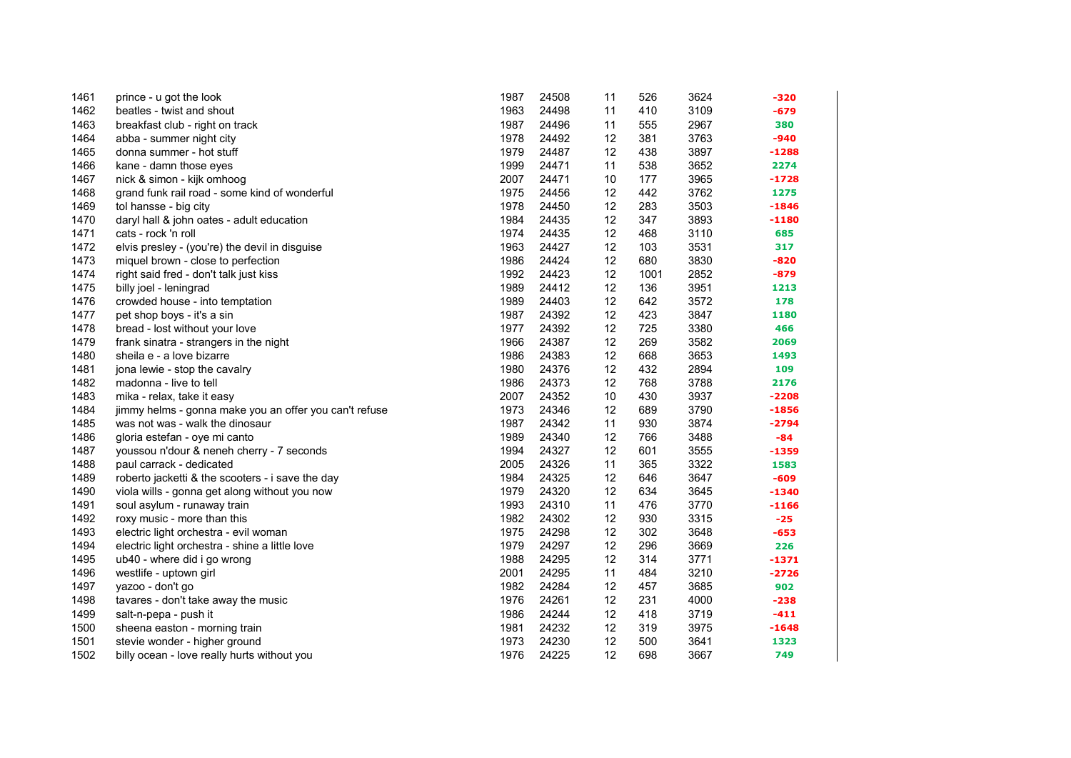| 1461 | prince - u got the look                                | 1987 | 24508 | 11 | 526  | 3624 | $-320$  |
|------|--------------------------------------------------------|------|-------|----|------|------|---------|
| 1462 | beatles - twist and shout                              | 1963 | 24498 | 11 | 410  | 3109 | $-679$  |
| 1463 | breakfast club - right on track                        | 1987 | 24496 | 11 | 555  | 2967 | 380     |
| 1464 | abba - summer night city                               | 1978 | 24492 | 12 | 381  | 3763 | $-940$  |
| 1465 | donna summer - hot stuff                               | 1979 | 24487 | 12 | 438  | 3897 | $-1288$ |
| 1466 | kane - damn those eyes                                 | 1999 | 24471 | 11 | 538  | 3652 | 2274    |
| 1467 | nick & simon - kijk omhoog                             | 2007 | 24471 | 10 | 177  | 3965 | $-1728$ |
| 1468 | grand funk rail road - some kind of wonderful          | 1975 | 24456 | 12 | 442  | 3762 | 1275    |
| 1469 | tol hansse - big city                                  | 1978 | 24450 | 12 | 283  | 3503 | $-1846$ |
| 1470 | daryl hall & john oates - adult education              | 1984 | 24435 | 12 | 347  | 3893 | $-1180$ |
| 1471 | cats - rock 'n roll                                    | 1974 | 24435 | 12 | 468  | 3110 | 685     |
| 1472 | elvis presley - (you're) the devil in disguise         | 1963 | 24427 | 12 | 103  | 3531 | 317     |
| 1473 | miquel brown - close to perfection                     | 1986 | 24424 | 12 | 680  | 3830 | $-820$  |
| 1474 | right said fred - don't talk just kiss                 | 1992 | 24423 | 12 | 1001 | 2852 | $-879$  |
| 1475 | billy joel - leningrad                                 | 1989 | 24412 | 12 | 136  | 3951 | 1213    |
| 1476 | crowded house - into temptation                        | 1989 | 24403 | 12 | 642  | 3572 | 178     |
| 1477 | pet shop boys - it's a sin                             | 1987 | 24392 | 12 | 423  | 3847 | 1180    |
| 1478 | bread - lost without your love                         | 1977 | 24392 | 12 | 725  | 3380 | 466     |
| 1479 | frank sinatra - strangers in the night                 | 1966 | 24387 | 12 | 269  | 3582 | 2069    |
| 1480 | sheila e - a love bizarre                              | 1986 | 24383 | 12 | 668  | 3653 | 1493    |
| 1481 | jona lewie - stop the cavalry                          | 1980 | 24376 | 12 | 432  | 2894 | 109     |
| 1482 | madonna - live to tell                                 | 1986 | 24373 | 12 | 768  | 3788 | 2176    |
| 1483 | mika - relax, take it easy                             | 2007 | 24352 | 10 | 430  | 3937 | $-2208$ |
| 1484 | jimmy helms - gonna make you an offer you can't refuse | 1973 | 24346 | 12 | 689  | 3790 | $-1856$ |
| 1485 | was not was - walk the dinosaur                        | 1987 | 24342 | 11 | 930  | 3874 | -2794   |
| 1486 | gloria estefan - oye mi canto                          | 1989 | 24340 | 12 | 766  | 3488 | $-84$   |
| 1487 | youssou n'dour & neneh cherry - 7 seconds              | 1994 | 24327 | 12 | 601  | 3555 | $-1359$ |
| 1488 | paul carrack - dedicated                               | 2005 | 24326 | 11 | 365  | 3322 | 1583    |
| 1489 | roberto jacketti & the scooters - i save the day       | 1984 | 24325 | 12 | 646  | 3647 | $-609$  |
| 1490 | viola wills - gonna get along without you now          | 1979 | 24320 | 12 | 634  | 3645 | $-1340$ |
| 1491 | soul asylum - runaway train                            | 1993 | 24310 | 11 | 476  | 3770 | $-1166$ |
| 1492 | roxy music - more than this                            | 1982 | 24302 | 12 | 930  | 3315 | $-25$   |
| 1493 | electric light orchestra - evil woman                  | 1975 | 24298 | 12 | 302  | 3648 | $-653$  |
| 1494 | electric light orchestra - shine a little love         | 1979 | 24297 | 12 | 296  | 3669 | 226     |
| 1495 | ub40 - where did i go wrong                            | 1988 | 24295 | 12 | 314  | 3771 | $-1371$ |
| 1496 | westlife - uptown girl                                 | 2001 | 24295 | 11 | 484  | 3210 | $-2726$ |
| 1497 | yazoo - don't go                                       | 1982 | 24284 | 12 | 457  | 3685 | 902     |
| 1498 | tavares - don't take away the music                    | 1976 | 24261 | 12 | 231  | 4000 | $-238$  |
| 1499 | salt-n-pepa - push it                                  | 1986 | 24244 | 12 | 418  | 3719 | $-411$  |
| 1500 | sheena easton - morning train                          | 1981 | 24232 | 12 | 319  | 3975 | $-1648$ |
| 1501 | stevie wonder - higher ground                          | 1973 | 24230 | 12 | 500  | 3641 | 1323    |
| 1502 | billy ocean - love really hurts without you            | 1976 | 24225 | 12 | 698  | 3667 | 749     |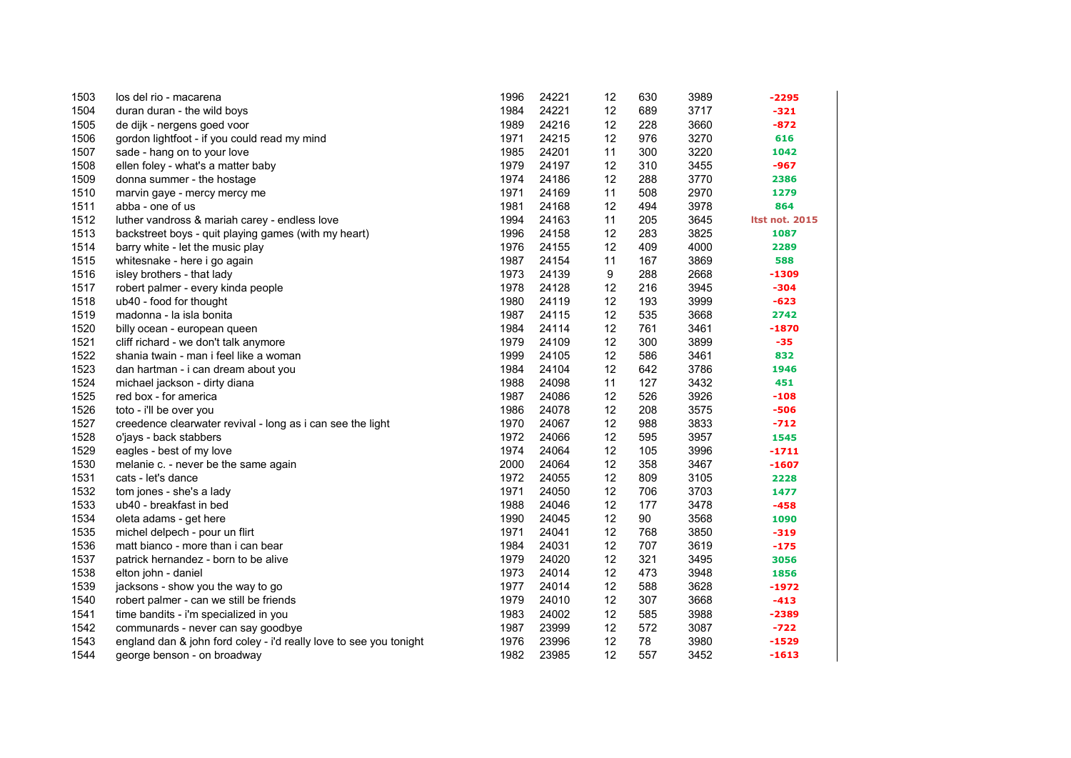| 1503         | los del rio - macarena                                             | 1996         | 24221          | 12       | 630        | 3989         | -2295                 |
|--------------|--------------------------------------------------------------------|--------------|----------------|----------|------------|--------------|-----------------------|
| 1504         | duran duran - the wild boys                                        | 1984         | 24221          | 12       | 689        | 3717         | $-321$                |
| 1505<br>1506 | de dijk - nergens goed voor                                        | 1989<br>1971 | 24216<br>24215 | 12<br>12 | 228<br>976 | 3660<br>3270 | -872                  |
|              | gordon lightfoot - if you could read my mind                       | 1985         | 24201          | 11       | 300        |              | 616                   |
| 1507         | sade - hang on to your love                                        |              |                |          |            | 3220         | 1042                  |
| 1508         | ellen foley - what's a matter baby                                 | 1979         | 24197          | 12       | 310        | 3455         | $-967$                |
| 1509         | donna summer - the hostage                                         | 1974         | 24186          | 12       | 288        | 3770         | 2386                  |
| 1510         | marvin gaye - mercy mercy me                                       | 1971         | 24169          | 11       | 508        | 2970         | 1279                  |
| 1511         | abba - one of us                                                   | 1981         | 24168          | 12       | 494        | 3978         | 864                   |
| 1512         | luther vandross & mariah carey - endless love                      | 1994         | 24163          | 11       | 205        | 3645         | <b>Itst not. 2015</b> |
| 1513         | backstreet boys - quit playing games (with my heart)               | 1996         | 24158          | 12       | 283        | 3825         | 1087                  |
| 1514         | barry white - let the music play                                   | 1976         | 24155          | 12       | 409        | 4000         | 2289                  |
| 1515         | whitesnake - here i go again                                       | 1987         | 24154          | 11       | 167        | 3869         | 588                   |
| 1516         | isley brothers - that lady                                         | 1973         | 24139          | 9        | 288        | 2668         | $-1309$               |
| 1517         | robert palmer - every kinda people                                 | 1978         | 24128          | 12       | 216        | 3945         | $-304$                |
| 1518         | ub40 - food for thought                                            | 1980         | 24119          | 12       | 193        | 3999         | $-623$                |
| 1519         | madonna - la isla bonita                                           | 1987         | 24115          | 12       | 535        | 3668         | 2742                  |
| 1520         | billy ocean - european queen                                       | 1984         | 24114          | 12       | 761        | 3461         | $-1870$               |
| 1521         | cliff richard - we don't talk anymore                              | 1979         | 24109          | 12       | 300        | 3899         | $-35$                 |
| 1522         | shania twain - man i feel like a woman                             | 1999         | 24105          | 12       | 586        | 3461         | 832                   |
| 1523         | dan hartman - i can dream about you                                | 1984         | 24104          | 12       | 642        | 3786         | 1946                  |
| 1524         | michael jackson - dirty diana                                      | 1988         | 24098          | 11       | 127        | 3432         | 451                   |
| 1525         | red box - for america                                              | 1987         | 24086          | 12       | 526        | 3926         | $-108$                |
| 1526         | toto - i'll be over you                                            | 1986         | 24078          | 12       | 208        | 3575         | $-506$                |
| 1527         | creedence clearwater revival - long as i can see the light         | 1970         | 24067          | 12       | 988        | 3833         | $-712$                |
| 1528         | o'jays - back stabbers                                             | 1972         | 24066          | 12       | 595        | 3957         | 1545                  |
| 1529         | eagles - best of my love                                           | 1974         | 24064          | 12       | 105        | 3996         | $-1711$               |
| 1530         | melanie c. - never be the same again                               | 2000         | 24064          | 12       | 358        | 3467         | $-1607$               |
| 1531         | cats - let's dance                                                 | 1972         | 24055          | 12       | 809        | 3105         | 2228                  |
| 1532         | tom jones - she's a lady                                           | 1971         | 24050          | 12       | 706        | 3703         | 1477                  |
| 1533         | ub40 - breakfast in bed                                            | 1988         | 24046          | 12       | 177        | 3478         | $-458$                |
| 1534         | oleta adams - get here                                             | 1990         | 24045          | 12       | 90         | 3568         | 1090                  |
| 1535         | michel delpech - pour un flirt                                     | 1971         | 24041          | 12       | 768        | 3850         | $-319$                |
| 1536         | matt bianco - more than i can bear                                 | 1984         | 24031          | 12       | 707        | 3619         | $-175$                |
| 1537         | patrick hernandez - born to be alive                               | 1979         | 24020          | 12       | 321        | 3495         | 3056                  |
| 1538         | elton john - daniel                                                | 1973         | 24014          | 12       | 473        | 3948         | 1856                  |
| 1539         | jacksons - show you the way to go                                  | 1977         | 24014          | 12       | 588        | 3628         | $-1972$               |
| 1540         | robert palmer - can we still be friends                            | 1979         | 24010          | 12       | 307        | 3668         | $-413$                |
| 1541         | time bandits - i'm specialized in you                              | 1983         | 24002          | 12       | 585        | 3988         | $-2389$               |
| 1542         | communards - never can say goodbye                                 | 1987         | 23999          | 12       | 572        | 3087         | $-722$                |
| 1543         | england dan & john ford coley - i'd really love to see you tonight | 1976         | 23996          | 12       | 78         | 3980         | $-1529$               |
| 1544         | george benson - on broadway                                        | 1982         | 23985          | 12       | 557        | 3452         | $-1613$               |
|              |                                                                    |              |                |          |            |              |                       |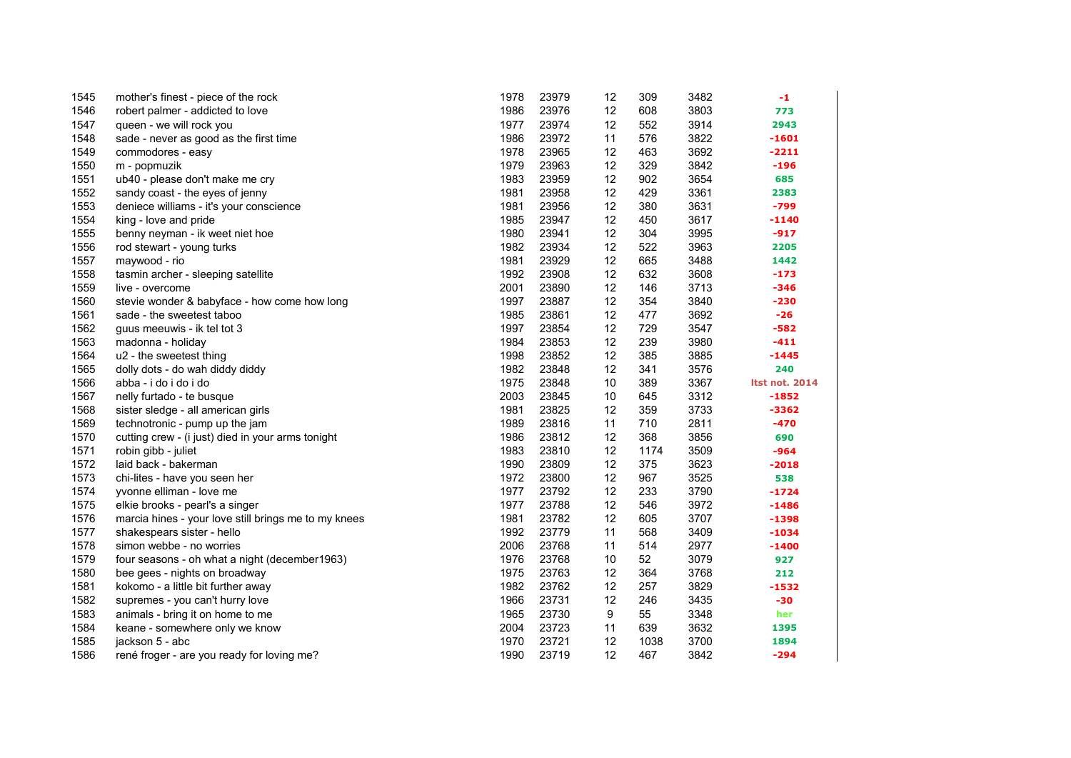| 1545 | mother's finest - piece of the rock                  | 1978 | 23979 | 12 | 309  | 3482 | -1                    |
|------|------------------------------------------------------|------|-------|----|------|------|-----------------------|
| 1546 | robert palmer - addicted to love                     | 1986 | 23976 | 12 | 608  | 3803 | 773                   |
| 1547 | queen - we will rock you                             | 1977 | 23974 | 12 | 552  | 3914 | 2943                  |
| 1548 | sade - never as good as the first time               | 1986 | 23972 | 11 | 576  | 3822 | $-1601$               |
| 1549 | commodores - easy                                    | 1978 | 23965 | 12 | 463  | 3692 | $-2211$               |
| 1550 | m - popmuzik                                         | 1979 | 23963 | 12 | 329  | 3842 | $-196$                |
| 1551 | ub40 - please don't make me cry                      | 1983 | 23959 | 12 | 902  | 3654 | 685                   |
| 1552 | sandy coast - the eyes of jenny                      | 1981 | 23958 | 12 | 429  | 3361 | 2383                  |
| 1553 | deniece williams - it's your conscience              | 1981 | 23956 | 12 | 380  | 3631 | $-799$                |
| 1554 | king - love and pride                                | 1985 | 23947 | 12 | 450  | 3617 | $-1140$               |
| 1555 | benny neyman - ik weet niet hoe                      | 1980 | 23941 | 12 | 304  | 3995 | $-917$                |
| 1556 | rod stewart - young turks                            | 1982 | 23934 | 12 | 522  | 3963 | 2205                  |
| 1557 | maywood - rio                                        | 1981 | 23929 | 12 | 665  | 3488 | 1442                  |
| 1558 | tasmin archer - sleeping satellite                   | 1992 | 23908 | 12 | 632  | 3608 | $-173$                |
| 1559 | live - overcome                                      | 2001 | 23890 | 12 | 146  | 3713 | $-346$                |
| 1560 | stevie wonder & babyface - how come how long         | 1997 | 23887 | 12 | 354  | 3840 | $-230$                |
| 1561 | sade - the sweetest taboo                            | 1985 | 23861 | 12 | 477  | 3692 | $-26$                 |
| 1562 | guus meeuwis - ik tel tot 3                          | 1997 | 23854 | 12 | 729  | 3547 | -582                  |
| 1563 | madonna - holiday                                    | 1984 | 23853 | 12 | 239  | 3980 | $-411$                |
| 1564 | u2 - the sweetest thing                              | 1998 | 23852 | 12 | 385  | 3885 | $-1445$               |
| 1565 | dolly dots - do wah diddy diddy                      | 1982 | 23848 | 12 | 341  | 3576 | 240                   |
| 1566 | abba - i do i do i do                                | 1975 | 23848 | 10 | 389  | 3367 | <b>Itst not. 2014</b> |
| 1567 | nelly furtado - te busque                            | 2003 | 23845 | 10 | 645  | 3312 | $-1852$               |
| 1568 | sister sledge - all american girls                   | 1981 | 23825 | 12 | 359  | 3733 | -3362                 |
| 1569 | technotronic - pump up the jam                       | 1989 | 23816 | 11 | 710  | 2811 | $-470$                |
| 1570 | cutting crew - (i just) died in your arms tonight    | 1986 | 23812 | 12 | 368  | 3856 | 690                   |
| 1571 | robin gibb - juliet                                  | 1983 | 23810 | 12 | 1174 | 3509 | $-964$                |
| 1572 | laid back - bakerman                                 | 1990 | 23809 | 12 | 375  | 3623 | $-2018$               |
| 1573 | chi-lites - have you seen her                        | 1972 | 23800 | 12 | 967  | 3525 | 538                   |
| 1574 | yvonne elliman - love me                             | 1977 | 23792 | 12 | 233  | 3790 | $-1724$               |
| 1575 | elkie brooks - pearl's a singer                      | 1977 | 23788 | 12 | 546  | 3972 | $-1486$               |
| 1576 | marcia hines - your love still brings me to my knees | 1981 | 23782 | 12 | 605  | 3707 | $-1398$               |
| 1577 | shakespears sister - hello                           | 1992 | 23779 | 11 | 568  | 3409 | $-1034$               |
| 1578 | simon webbe - no worries                             | 2006 | 23768 | 11 | 514  | 2977 | $-1400$               |
| 1579 | four seasons - oh what a night (december1963)        | 1976 | 23768 | 10 | 52   | 3079 | 927                   |
| 1580 | bee gees - nights on broadway                        | 1975 | 23763 | 12 | 364  | 3768 | 212                   |
| 1581 | kokomo - a little bit further away                   | 1982 | 23762 | 12 | 257  | 3829 | $-1532$               |
| 1582 | supremes - you can't hurry love                      | 1966 | 23731 | 12 | 246  | 3435 | $-30$                 |
| 1583 | animals - bring it on home to me                     | 1965 | 23730 | 9  | 55   | 3348 | her                   |
| 1584 | keane - somewhere only we know                       | 2004 | 23723 | 11 | 639  | 3632 | 1395                  |
| 1585 | jackson 5 - abc                                      | 1970 | 23721 | 12 | 1038 | 3700 | 1894                  |
| 1586 | rené froger - are you ready for loving me?           | 1990 | 23719 | 12 | 467  | 3842 | $-294$                |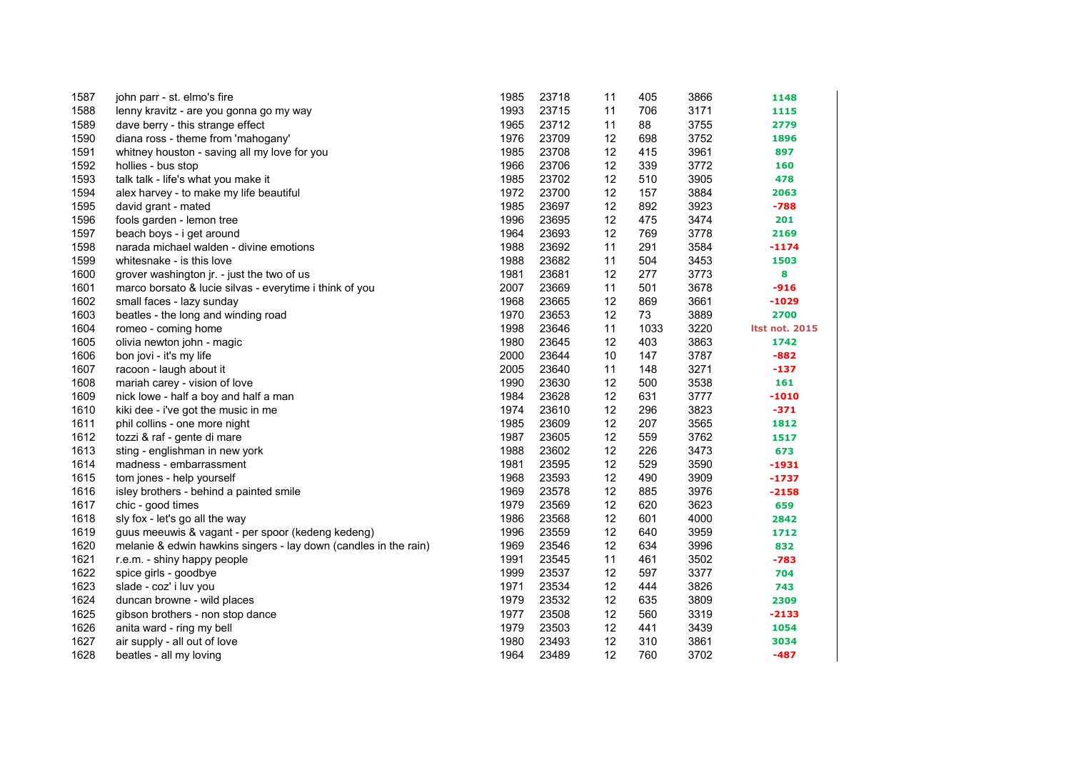| 1587 | john parr - st. elmo's fire                                      | 1985 | 23718 | 11 | 405  | 3866 | 1148                  |
|------|------------------------------------------------------------------|------|-------|----|------|------|-----------------------|
| 1588 | lenny kravitz - are you gonna go my way                          | 1993 | 23715 | 11 | 706  | 3171 | 1115                  |
| 1589 | dave berry - this strange effect                                 | 1965 | 23712 | 11 | 88   | 3755 | 2779                  |
| 1590 | diana ross - theme from 'mahogany'                               | 1976 | 23709 | 12 | 698  | 3752 | 1896                  |
| 1591 | whitney houston - saving all my love for you                     | 1985 | 23708 | 12 | 415  | 3961 | 897                   |
| 1592 | hollies - bus stop                                               | 1966 | 23706 | 12 | 339  | 3772 | 160                   |
| 1593 | talk talk - life's what you make it                              | 1985 | 23702 | 12 | 510  | 3905 | 478                   |
| 1594 | alex harvey - to make my life beautiful                          | 1972 | 23700 | 12 | 157  | 3884 | 2063                  |
| 1595 | david grant - mated                                              | 1985 | 23697 | 12 | 892  | 3923 | $-788$                |
| 1596 | fools garden - lemon tree                                        | 1996 | 23695 | 12 | 475  | 3474 | 201                   |
| 1597 | beach boys - i get around                                        | 1964 | 23693 | 12 | 769  | 3778 | 2169                  |
| 1598 | narada michael walden - divine emotions                          | 1988 | 23692 | 11 | 291  | 3584 | $-1174$               |
| 1599 | whitesnake - is this love                                        | 1988 | 23682 | 11 | 504  | 3453 | 1503                  |
| 1600 | grover washington jr. - just the two of us                       | 1981 | 23681 | 12 | 277  | 3773 | 8                     |
| 1601 | marco borsato & lucie silvas - everytime i think of you          | 2007 | 23669 | 11 | 501  | 3678 | $-916$                |
| 1602 | small faces - lazy sunday                                        | 1968 | 23665 | 12 | 869  | 3661 | $-1029$               |
| 1603 | beatles - the long and winding road                              | 1970 | 23653 | 12 | 73   | 3889 | 2700                  |
| 1604 | romeo - coming home                                              | 1998 | 23646 | 11 | 1033 | 3220 | <b>Itst not. 2015</b> |
| 1605 | olivia newton john - magic                                       | 1980 | 23645 | 12 | 403  | 3863 | 1742                  |
| 1606 | bon jovi - it's my life                                          | 2000 | 23644 | 10 | 147  | 3787 | $-882$                |
| 1607 | racoon - laugh about it                                          | 2005 | 23640 | 11 | 148  | 3271 | $-137$                |
| 1608 | mariah carey - vision of love                                    | 1990 | 23630 | 12 | 500  | 3538 | 161                   |
| 1609 | nick lowe - half a boy and half a man                            | 1984 | 23628 | 12 | 631  | 3777 | $-1010$               |
| 1610 | kiki dee - i've got the music in me                              | 1974 | 23610 | 12 | 296  | 3823 | $-371$                |
| 1611 | phil collins - one more night                                    | 1985 | 23609 | 12 | 207  | 3565 | 1812                  |
| 1612 | tozzi & raf - gente di mare                                      | 1987 | 23605 | 12 | 559  | 3762 | 1517                  |
| 1613 | sting - englishman in new york                                   | 1988 | 23602 | 12 | 226  | 3473 | 673                   |
| 1614 | madness - embarrassment                                          | 1981 | 23595 | 12 | 529  | 3590 | $-1931$               |
| 1615 | tom jones - help yourself                                        | 1968 | 23593 | 12 | 490  | 3909 | $-1737$               |
| 1616 | isley brothers - behind a painted smile                          | 1969 | 23578 | 12 | 885  | 3976 | $-2158$               |
| 1617 | chic - good times                                                | 1979 | 23569 | 12 | 620  | 3623 | 659                   |
| 1618 | sly fox - let's go all the way                                   | 1986 | 23568 | 12 | 601  | 4000 | 2842                  |
| 1619 | guus meeuwis & vagant - per spoor (kedeng kedeng)                | 1996 | 23559 | 12 | 640  | 3959 | 1712                  |
| 1620 | melanie & edwin hawkins singers - lay down (candles in the rain) | 1969 | 23546 | 12 | 634  | 3996 | 832                   |
| 1621 | r.e.m. - shiny happy people                                      | 1991 | 23545 | 11 | 461  | 3502 | $-783$                |
| 1622 | spice girls - goodbye                                            | 1999 | 23537 | 12 | 597  | 3377 | 704                   |
| 1623 | slade - coz' i luv you                                           | 1971 | 23534 | 12 | 444  | 3826 | 743                   |
| 1624 | duncan browne - wild places                                      | 1979 | 23532 | 12 | 635  | 3809 | 2309                  |
| 1625 | gibson brothers - non stop dance                                 | 1977 | 23508 | 12 | 560  | 3319 | $-2133$               |
| 1626 | anita ward - ring my bell                                        | 1979 | 23503 | 12 | 441  | 3439 | 1054                  |
| 1627 | air supply - all out of love                                     | 1980 | 23493 | 12 | 310  | 3861 | 3034                  |
| 1628 | beatles - all my loving                                          | 1964 | 23489 | 12 | 760  | 3702 | $-487$                |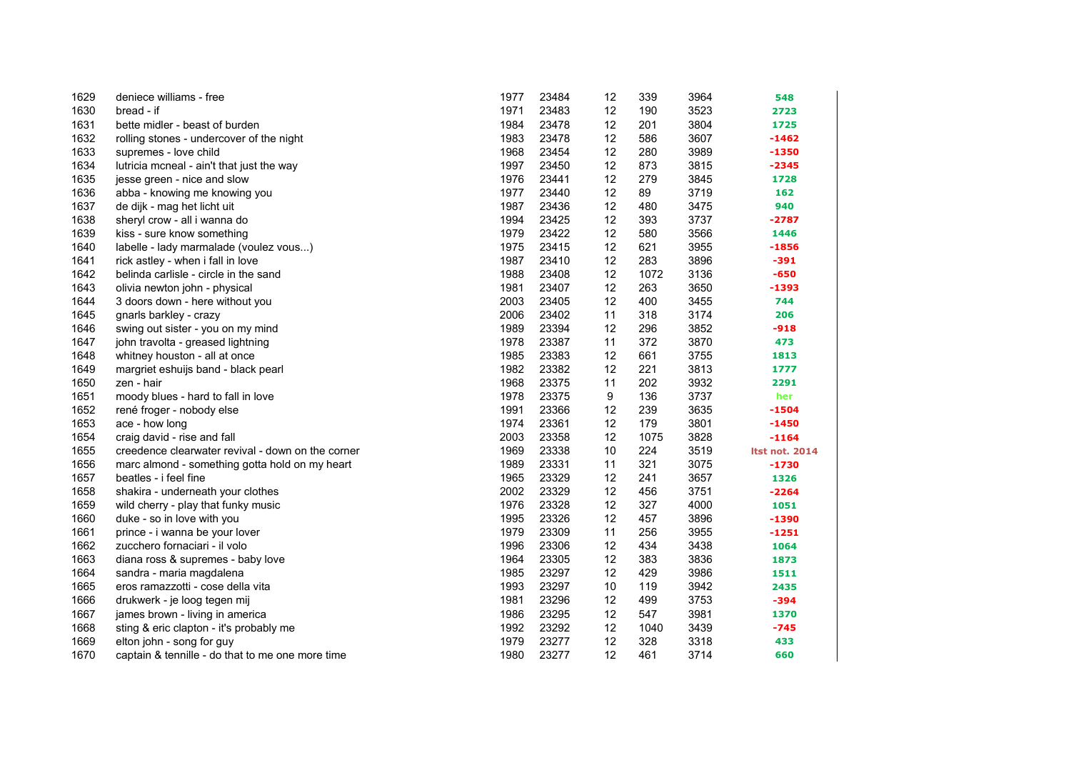| 1629 | deniece williams - free                           | 1977 | 23484 | 12   | 339  | 3964 | 548                   |
|------|---------------------------------------------------|------|-------|------|------|------|-----------------------|
| 1630 | bread - if                                        | 1971 | 23483 | 12   | 190  | 3523 | 2723                  |
| 1631 | bette midler - beast of burden                    | 1984 | 23478 | 12   | 201  | 3804 | 1725                  |
| 1632 | rolling stones - undercover of the night          | 1983 | 23478 | 12   | 586  | 3607 | -1462                 |
| 1633 | supremes - love child                             | 1968 | 23454 | 12   | 280  | 3989 | -1350                 |
| 1634 | lutricia mcneal - ain't that just the way         | 1997 | 23450 | 12   | 873  | 3815 | $-2345$               |
| 1635 | jesse green - nice and slow                       | 1976 | 23441 | 12   | 279  | 3845 | 1728                  |
| 1636 | abba - knowing me knowing you                     | 1977 | 23440 | 12   | 89   | 3719 | 162                   |
| 1637 | de dijk - mag het licht uit                       | 1987 | 23436 | 12   | 480  | 3475 | 940                   |
| 1638 | sheryl crow - all i wanna do                      | 1994 | 23425 | 12   | 393  | 3737 | $-2787$               |
| 1639 | kiss - sure know something                        | 1979 | 23422 | 12   | 580  | 3566 | 1446                  |
| 1640 | labelle - lady marmalade (voulez vous)            | 1975 | 23415 | 12   | 621  | 3955 | $-1856$               |
| 1641 | rick astley - when i fall in love                 | 1987 | 23410 | 12   | 283  | 3896 | $-391$                |
| 1642 | belinda carlisle - circle in the sand             | 1988 | 23408 | 12   | 1072 | 3136 | $-650$                |
| 1643 | olivia newton john - physical                     | 1981 | 23407 | 12   | 263  | 3650 | -1393                 |
| 1644 | 3 doors down - here without you                   | 2003 | 23405 | 12   | 400  | 3455 | 744                   |
| 1645 | gnarls barkley - crazy                            | 2006 | 23402 | 11   | 318  | 3174 | 206                   |
| 1646 | swing out sister - you on my mind                 | 1989 | 23394 | 12   | 296  | 3852 | $-918$                |
| 1647 | john travolta - greased lightning                 | 1978 | 23387 | 11   | 372  | 3870 | 473                   |
| 1648 | whitney houston - all at once                     | 1985 | 23383 | 12   | 661  | 3755 | 1813                  |
| 1649 | margriet eshuijs band - black pearl               | 1982 | 23382 | 12   | 221  | 3813 | 1777                  |
| 1650 | zen - hair                                        | 1968 | 23375 | 11   | 202  | 3932 | 2291                  |
| 1651 | moody blues - hard to fall in love                | 1978 | 23375 | 9    | 136  | 3737 | her                   |
| 1652 | rené froger - nobody else                         | 1991 | 23366 | 12   | 239  | 3635 | -1504                 |
| 1653 | ace - how long                                    | 1974 | 23361 | 12   | 179  | 3801 | $-1450$               |
| 1654 | craig david - rise and fall                       | 2003 | 23358 | 12   | 1075 | 3828 | $-1164$               |
| 1655 | creedence clearwater revival - down on the corner | 1969 | 23338 | 10   | 224  | 3519 | <b>Itst not. 2014</b> |
| 1656 | marc almond - something gotta hold on my heart    | 1989 | 23331 | 11   | 321  | 3075 | $-1730$               |
| 1657 | beatles - i feel fine                             | 1965 | 23329 | 12   | 241  | 3657 | 1326                  |
| 1658 | shakira - underneath your clothes                 | 2002 | 23329 | 12   | 456  | 3751 | $-2264$               |
| 1659 | wild cherry - play that funky music               | 1976 | 23328 | 12   | 327  | 4000 | 1051                  |
| 1660 | duke - so in love with you                        | 1995 | 23326 | 12   | 457  | 3896 | -1390                 |
| 1661 | prince - i wanna be your lover                    | 1979 | 23309 | 11   | 256  | 3955 | -1251                 |
| 1662 | zucchero fornaciari - il volo                     | 1996 | 23306 | 12   | 434  | 3438 | 1064                  |
| 1663 | diana ross & supremes - baby love                 | 1964 | 23305 | 12   | 383  | 3836 | 1873                  |
| 1664 | sandra - maria magdalena                          | 1985 | 23297 | 12   | 429  | 3986 | 1511                  |
| 1665 | eros ramazzotti - cose della vita                 | 1993 | 23297 | $10$ | 119  | 3942 | 2435                  |
| 1666 | drukwerk - je loog tegen mij                      | 1981 | 23296 | 12   | 499  | 3753 | $-394$                |
| 1667 | james brown - living in america                   | 1986 | 23295 | 12   | 547  | 3981 | 1370                  |
| 1668 | sting & eric clapton - it's probably me           | 1992 | 23292 | 12   | 1040 | 3439 | $-745$                |
| 1669 | elton john - song for guy                         | 1979 | 23277 | 12   | 328  | 3318 | 433                   |
| 1670 | captain & tennille - do that to me one more time  | 1980 | 23277 | 12   | 461  | 3714 | 660                   |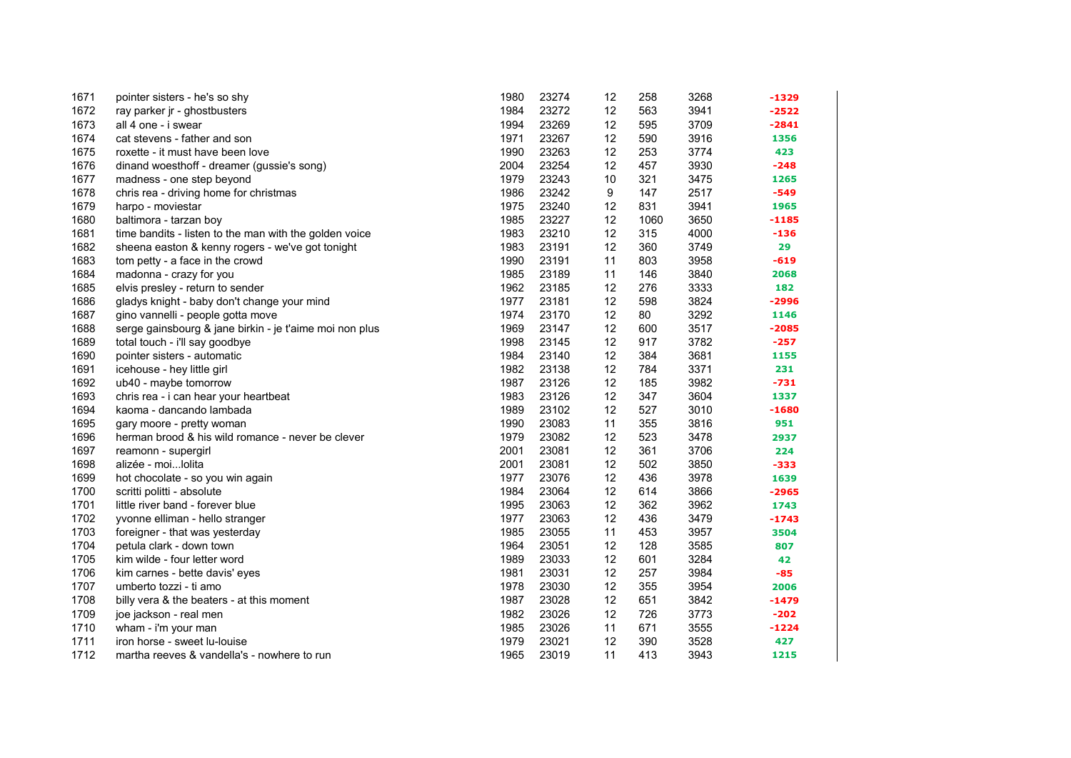| 1671 | pointer sisters - he's so shy                           | 1980 | 23274 | 12 | 258  | 3268 | -1329   |
|------|---------------------------------------------------------|------|-------|----|------|------|---------|
| 1672 | ray parker jr - ghostbusters                            | 1984 | 23272 | 12 | 563  | 3941 | -2522   |
| 1673 | all 4 one - i swear                                     | 1994 | 23269 | 12 | 595  | 3709 | $-2841$ |
| 1674 | cat stevens - father and son                            | 1971 | 23267 | 12 | 590  | 3916 | 1356    |
| 1675 | roxette - it must have been love                        | 1990 | 23263 | 12 | 253  | 3774 | 423     |
| 1676 | dinand woesthoff - dreamer (gussie's song)              | 2004 | 23254 | 12 | 457  | 3930 | $-248$  |
| 1677 | madness - one step beyond                               | 1979 | 23243 | 10 | 321  | 3475 | 1265    |
| 1678 | chris rea - driving home for christmas                  | 1986 | 23242 | 9  | 147  | 2517 | -549    |
| 1679 | harpo - moviestar                                       | 1975 | 23240 | 12 | 831  | 3941 | 1965    |
| 1680 | baltimora - tarzan boy                                  | 1985 | 23227 | 12 | 1060 | 3650 | $-1185$ |
| 1681 | time bandits - listen to the man with the golden voice  | 1983 | 23210 | 12 | 315  | 4000 | $-136$  |
| 1682 | sheena easton & kenny rogers - we've got tonight        | 1983 | 23191 | 12 | 360  | 3749 | 29      |
| 1683 | tom petty - a face in the crowd                         | 1990 | 23191 | 11 | 803  | 3958 | $-619$  |
| 1684 | madonna - crazy for you                                 | 1985 | 23189 | 11 | 146  | 3840 | 2068    |
| 1685 | elvis presley - return to sender                        | 1962 | 23185 | 12 | 276  | 3333 | 182     |
| 1686 | gladys knight - baby don't change your mind             | 1977 | 23181 | 12 | 598  | 3824 | -2996   |
| 1687 | gino vannelli - people gotta move                       | 1974 | 23170 | 12 | 80   | 3292 | 1146    |
| 1688 | serge gainsbourg & jane birkin - je t'aime moi non plus | 1969 | 23147 | 12 | 600  | 3517 | $-2085$ |
| 1689 | total touch - i'll say goodbye                          | 1998 | 23145 | 12 | 917  | 3782 | $-257$  |
| 1690 | pointer sisters - automatic                             | 1984 | 23140 | 12 | 384  | 3681 | 1155    |
| 1691 | icehouse - hey little girl                              | 1982 | 23138 | 12 | 784  | 3371 | 231     |
| 1692 | ub40 - maybe tomorrow                                   | 1987 | 23126 | 12 | 185  | 3982 | $-731$  |
| 1693 | chris rea - i can hear your heartbeat                   | 1983 | 23126 | 12 | 347  | 3604 | 1337    |
| 1694 | kaoma - dancando lambada                                | 1989 | 23102 | 12 | 527  | 3010 | $-1680$ |
| 1695 | gary moore - pretty woman                               | 1990 | 23083 | 11 | 355  | 3816 | 951     |
| 1696 | herman brood & his wild romance - never be clever       | 1979 | 23082 | 12 | 523  | 3478 | 2937    |
| 1697 | reamonn - supergirl                                     | 2001 | 23081 | 12 | 361  | 3706 | 224     |
| 1698 | alizée - moi lolita                                     | 2001 | 23081 | 12 | 502  | 3850 | $-333$  |
| 1699 | hot chocolate - so you win again                        | 1977 | 23076 | 12 | 436  | 3978 | 1639    |
| 1700 | scritti politti - absolute                              | 1984 | 23064 | 12 | 614  | 3866 | $-2965$ |
| 1701 | little river band - forever blue                        | 1995 | 23063 | 12 | 362  | 3962 | 1743    |
| 1702 | yvonne elliman - hello stranger                         | 1977 | 23063 | 12 | 436  | 3479 | $-1743$ |
| 1703 | foreigner - that was yesterday                          | 1985 | 23055 | 11 | 453  | 3957 | 3504    |
| 1704 | petula clark - down town                                | 1964 | 23051 | 12 | 128  | 3585 | 807     |
| 1705 | kim wilde - four letter word                            | 1989 | 23033 | 12 | 601  | 3284 | 42      |
| 1706 | kim carnes - bette davis' eyes                          | 1981 | 23031 | 12 | 257  | 3984 | $-85$   |
| 1707 | umberto tozzi - ti amo                                  | 1978 | 23030 | 12 | 355  | 3954 | 2006    |
| 1708 | billy vera & the beaters - at this moment               | 1987 | 23028 | 12 | 651  | 3842 | $-1479$ |
| 1709 | joe jackson - real men                                  | 1982 | 23026 | 12 | 726  | 3773 | $-202$  |
| 1710 | wham - i'm your man                                     | 1985 | 23026 | 11 | 671  | 3555 | $-1224$ |
| 1711 | iron horse - sweet lu-louise                            | 1979 | 23021 | 12 | 390  | 3528 | 427     |
| 1712 | martha reeves & vandella's - nowhere to run             | 1965 | 23019 | 11 | 413  | 3943 | 1215    |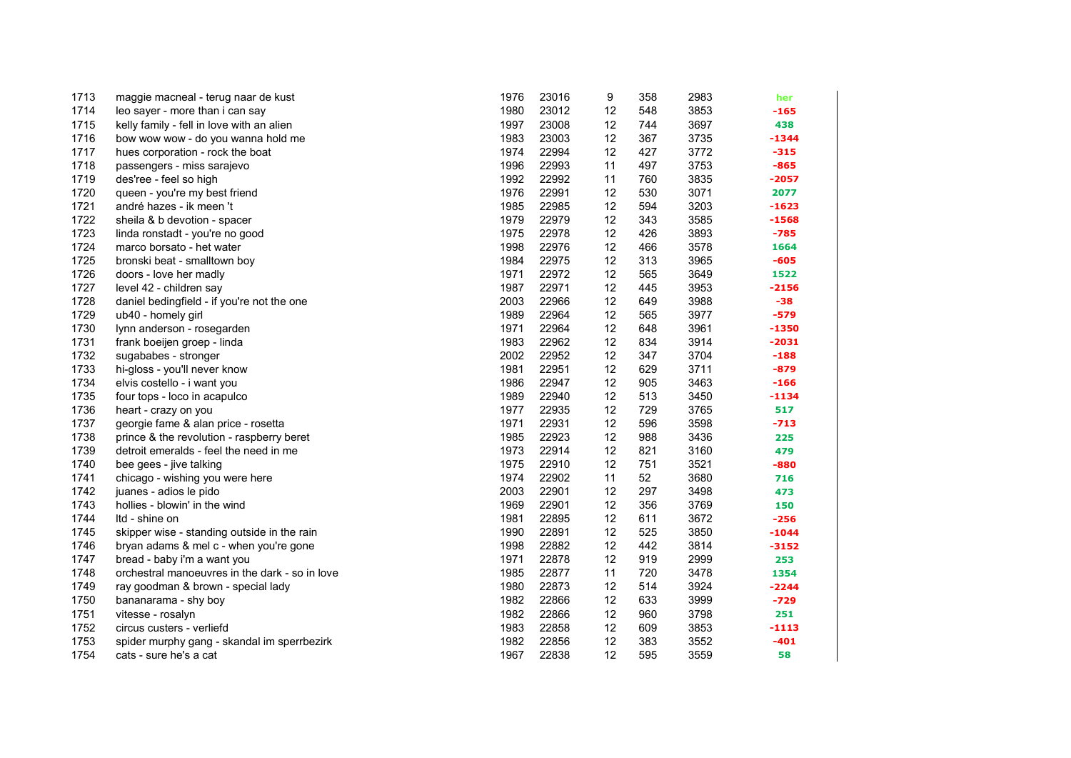| 1713 | maggie macneal - terug naar de kust            | 1976 | 23016 | 9  | 358 | 2983 | her     |
|------|------------------------------------------------|------|-------|----|-----|------|---------|
| 1714 | leo sayer - more than i can say                | 1980 | 23012 | 12 | 548 | 3853 | $-165$  |
| 1715 | kelly family - fell in love with an alien      | 1997 | 23008 | 12 | 744 | 3697 | 438     |
| 1716 | bow wow wow - do you wanna hold me             | 1983 | 23003 | 12 | 367 | 3735 | -1344   |
| 1717 | hues corporation - rock the boat               | 1974 | 22994 | 12 | 427 | 3772 | $-315$  |
| 1718 | passengers - miss sarajevo                     | 1996 | 22993 | 11 | 497 | 3753 | $-865$  |
| 1719 | des'ree - feel so high                         | 1992 | 22992 | 11 | 760 | 3835 | -2057   |
| 1720 | queen - you're my best friend                  | 1976 | 22991 | 12 | 530 | 3071 | 2077    |
| 1721 | andré hazes - ik meen 't                       | 1985 | 22985 | 12 | 594 | 3203 | $-1623$ |
| 1722 | sheila & b devotion - spacer                   | 1979 | 22979 | 12 | 343 | 3585 | $-1568$ |
| 1723 | linda ronstadt - you're no good                | 1975 | 22978 | 12 | 426 | 3893 | $-785$  |
| 1724 | marco borsato - het water                      | 1998 | 22976 | 12 | 466 | 3578 | 1664    |
| 1725 | bronski beat - smalltown boy                   | 1984 | 22975 | 12 | 313 | 3965 | $-605$  |
| 1726 | doors - love her madly                         | 1971 | 22972 | 12 | 565 | 3649 | 1522    |
| 1727 | level 42 - children say                        | 1987 | 22971 | 12 | 445 | 3953 | $-2156$ |
| 1728 | daniel bedingfield - if you're not the one     | 2003 | 22966 | 12 | 649 | 3988 | $-38$   |
| 1729 | ub40 - homely girl                             | 1989 | 22964 | 12 | 565 | 3977 | -579    |
| 1730 | lynn anderson - rosegarden                     | 1971 | 22964 | 12 | 648 | 3961 | $-1350$ |
| 1731 | frank boeijen groep - linda                    | 1983 | 22962 | 12 | 834 | 3914 | $-2031$ |
| 1732 | sugababes - stronger                           | 2002 | 22952 | 12 | 347 | 3704 | $-188$  |
| 1733 | hi-gloss - you'll never know                   | 1981 | 22951 | 12 | 629 | 3711 | $-879$  |
| 1734 | elvis costello - i want you                    | 1986 | 22947 | 12 | 905 | 3463 | $-166$  |
| 1735 | four tops - loco in acapulco                   | 1989 | 22940 | 12 | 513 | 3450 | -1134   |
| 1736 | heart - crazy on you                           | 1977 | 22935 | 12 | 729 | 3765 | 517     |
| 1737 | georgie fame & alan price - rosetta            | 1971 | 22931 | 12 | 596 | 3598 | $-713$  |
| 1738 | prince & the revolution - raspberry beret      | 1985 | 22923 | 12 | 988 | 3436 | 225     |
| 1739 | detroit emeralds - feel the need in me         | 1973 | 22914 | 12 | 821 | 3160 | 479     |
| 1740 | bee gees - jive talking                        | 1975 | 22910 | 12 | 751 | 3521 | -880    |
| 1741 | chicago - wishing you were here                | 1974 | 22902 | 11 | 52  | 3680 | 716     |
| 1742 | juanes - adios le pido                         | 2003 | 22901 | 12 | 297 | 3498 | 473     |
| 1743 | hollies - blowin' in the wind                  | 1969 | 22901 | 12 | 356 | 3769 | 150     |
| 1744 | Itd - shine on                                 | 1981 | 22895 | 12 | 611 | 3672 | $-256$  |
| 1745 | skipper wise - standing outside in the rain    | 1990 | 22891 | 12 | 525 | 3850 | $-1044$ |
| 1746 | bryan adams & mel c - when you're gone         | 1998 | 22882 | 12 | 442 | 3814 | $-3152$ |
| 1747 | bread - baby i'm a want you                    | 1971 | 22878 | 12 | 919 | 2999 | 253     |
| 1748 | orchestral manoeuvres in the dark - so in love | 1985 | 22877 | 11 | 720 | 3478 | 1354    |
| 1749 | ray goodman & brown - special lady             | 1980 | 22873 | 12 | 514 | 3924 | $-2244$ |
| 1750 | bananarama - shy boy                           | 1982 | 22866 | 12 | 633 | 3999 | $-729$  |
| 1751 | vitesse - rosalyn                              | 1982 | 22866 | 12 | 960 | 3798 | 251     |
| 1752 | circus custers - verliefd                      | 1983 | 22858 | 12 | 609 | 3853 | $-1113$ |
| 1753 | spider murphy gang - skandal im sperrbezirk    | 1982 | 22856 | 12 | 383 | 3552 | $-401$  |
| 1754 | cats - sure he's a cat                         | 1967 | 22838 | 12 | 595 | 3559 | 58      |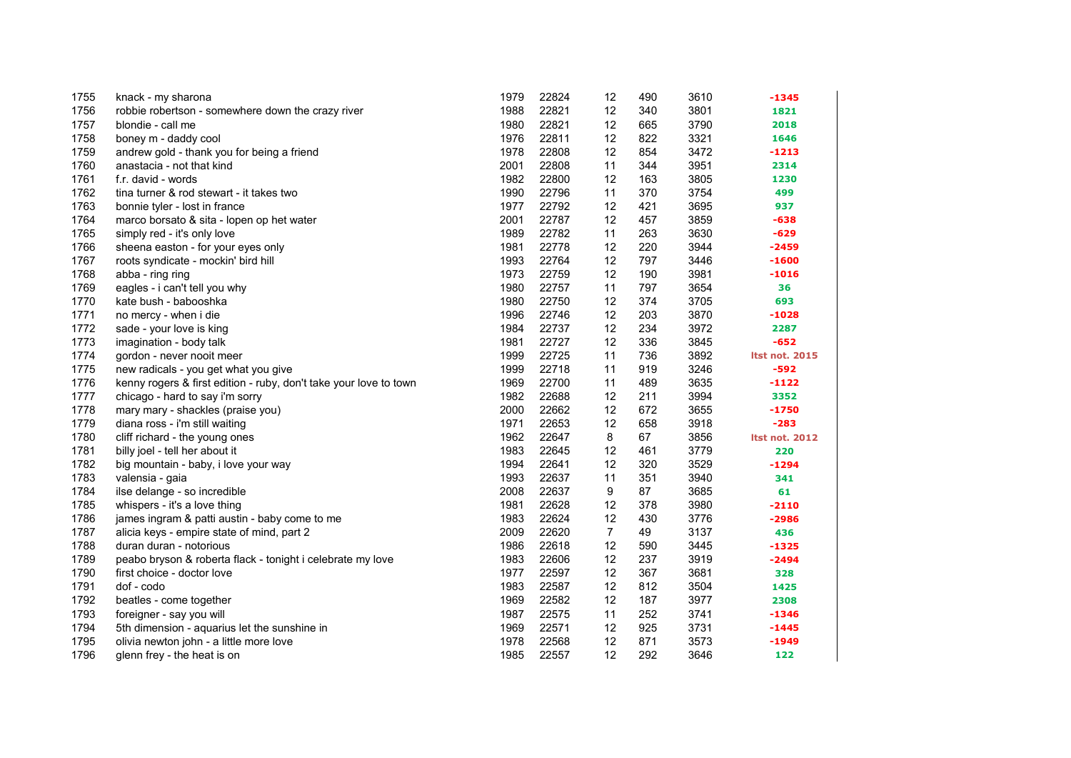| 1755 | knack - my sharona                                                | 1979 | 22824 | 12             | 490 | 3610 | $-1345$               |
|------|-------------------------------------------------------------------|------|-------|----------------|-----|------|-----------------------|
| 1756 | robbie robertson - somewhere down the crazy river                 | 1988 | 22821 | 12             | 340 | 3801 | 1821                  |
| 1757 | blondie - call me                                                 | 1980 | 22821 | 12             | 665 | 3790 | 2018                  |
| 1758 | boney m - daddy cool                                              | 1976 | 22811 | 12             | 822 | 3321 | 1646                  |
| 1759 | andrew gold - thank you for being a friend                        | 1978 | 22808 | 12             | 854 | 3472 | $-1213$               |
| 1760 | anastacia - not that kind                                         | 2001 | 22808 | 11             | 344 | 3951 | 2314                  |
| 1761 | f.r. david - words                                                | 1982 | 22800 | 12             | 163 | 3805 | 1230                  |
| 1762 | tina turner & rod stewart - it takes two                          | 1990 | 22796 | 11             | 370 | 3754 | 499                   |
| 1763 | bonnie tyler - lost in france                                     | 1977 | 22792 | 12             | 421 | 3695 | 937                   |
| 1764 | marco borsato & sita - lopen op het water                         | 2001 | 22787 | 12             | 457 | 3859 | $-638$                |
| 1765 | simply red - it's only love                                       | 1989 | 22782 | 11             | 263 | 3630 | $-629$                |
| 1766 | sheena easton - for your eyes only                                | 1981 | 22778 | 12             | 220 | 3944 | $-2459$               |
| 1767 | roots syndicate - mockin' bird hill                               | 1993 | 22764 | 12             | 797 | 3446 | $-1600$               |
| 1768 | abba - ring ring                                                  | 1973 | 22759 | 12             | 190 | 3981 | $-1016$               |
| 1769 | eagles - i can't tell you why                                     | 1980 | 22757 | 11             | 797 | 3654 | 36                    |
| 1770 | kate bush - babooshka                                             | 1980 | 22750 | 12             | 374 | 3705 | 693                   |
| 1771 | no mercy - when i die                                             | 1996 | 22746 | 12             | 203 | 3870 | $-1028$               |
| 1772 | sade - your love is king                                          | 1984 | 22737 | 12             | 234 | 3972 | 2287                  |
| 1773 | imagination - body talk                                           | 1981 | 22727 | 12             | 336 | 3845 | $-652$                |
| 1774 | gordon - never nooit meer                                         | 1999 | 22725 | 11             | 736 | 3892 | <b>Itst not. 2015</b> |
| 1775 | new radicals - you get what you give                              | 1999 | 22718 | 11             | 919 | 3246 | $-592$                |
| 1776 | kenny rogers & first edition - ruby, don't take your love to town | 1969 | 22700 | 11             | 489 | 3635 | $-1122$               |
| 1777 | chicago - hard to say i'm sorry                                   | 1982 | 22688 | 12             | 211 | 3994 | 3352                  |
| 1778 | mary mary - shackles (praise you)                                 | 2000 | 22662 | 12             | 672 | 3655 | $-1750$               |
| 1779 | diana ross - i'm still waiting                                    | 1971 | 22653 | 12             | 658 | 3918 | $-283$                |
| 1780 | cliff richard - the young ones                                    | 1962 | 22647 | 8              | 67  | 3856 | <b>Itst not. 2012</b> |
| 1781 | billy joel - tell her about it                                    | 1983 | 22645 | 12             | 461 | 3779 | 220                   |
| 1782 | big mountain - baby, i love your way                              | 1994 | 22641 | 12             | 320 | 3529 | $-1294$               |
| 1783 | valensia - gaia                                                   | 1993 | 22637 | 11             | 351 | 3940 | 341                   |
| 1784 | ilse delange - so incredible                                      | 2008 | 22637 | 9              | 87  | 3685 | 61                    |
| 1785 | whispers - it's a love thing                                      | 1981 | 22628 | 12             | 378 | 3980 | $-2110$               |
| 1786 | james ingram & patti austin - baby come to me                     | 1983 | 22624 | 12             | 430 | 3776 | $-2986$               |
| 1787 | alicia keys - empire state of mind, part 2                        | 2009 | 22620 | $\overline{7}$ | 49  | 3137 | 436                   |
| 1788 | duran duran - notorious                                           | 1986 | 22618 | 12             | 590 | 3445 | $-1325$               |
| 1789 | peabo bryson & roberta flack - tonight i celebrate my love        | 1983 | 22606 | 12             | 237 | 3919 | $-2494$               |
| 1790 | first choice - doctor love                                        | 1977 | 22597 | 12             | 367 | 3681 | 328                   |
| 1791 | dof - codo                                                        | 1983 | 22587 | 12             | 812 | 3504 | 1425                  |
| 1792 | beatles - come together                                           | 1969 | 22582 | 12             | 187 | 3977 | 2308                  |
| 1793 | foreigner - say you will                                          | 1987 | 22575 | 11             | 252 | 3741 | $-1346$               |
| 1794 | 5th dimension - aquarius let the sunshine in                      | 1969 | 22571 | 12             | 925 | 3731 | $-1445$               |
| 1795 | olivia newton john - a little more love                           | 1978 | 22568 | 12             | 871 | 3573 | $-1949$               |
| 1796 | glenn frey - the heat is on                                       | 1985 | 22557 | 12             | 292 | 3646 | 122                   |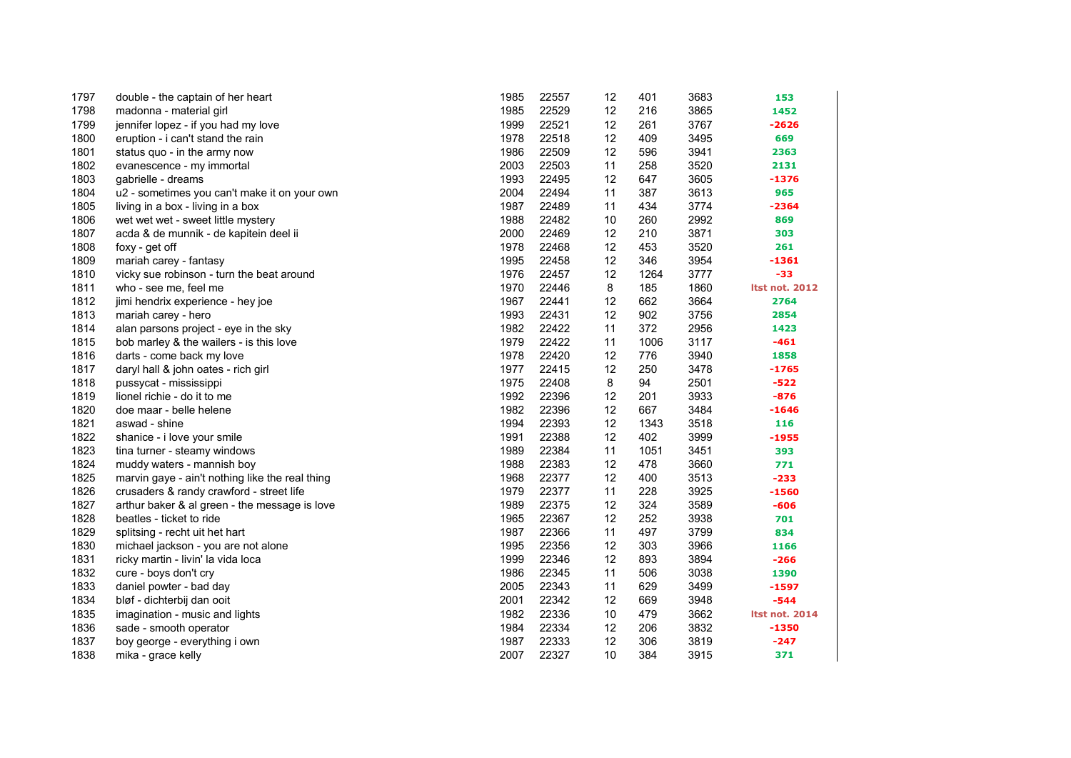| 1797 | double - the captain of her heart               | 1985 | 22557 | 12 | 401  | 3683 | 153                   |
|------|-------------------------------------------------|------|-------|----|------|------|-----------------------|
| 1798 | madonna - material girl                         | 1985 | 22529 | 12 | 216  | 3865 | 1452                  |
| 1799 | jennifer lopez - if you had my love             | 1999 | 22521 | 12 | 261  | 3767 | $-2626$               |
| 1800 | eruption - i can't stand the rain               | 1978 | 22518 | 12 | 409  | 3495 | 669                   |
| 1801 | status quo - in the army now                    | 1986 | 22509 | 12 | 596  | 3941 | 2363                  |
| 1802 | evanescence - my immortal                       | 2003 | 22503 | 11 | 258  | 3520 | 2131                  |
| 1803 | gabrielle - dreams                              | 1993 | 22495 | 12 | 647  | 3605 | $-1376$               |
| 1804 | u2 - sometimes you can't make it on your own    | 2004 | 22494 | 11 | 387  | 3613 | 965                   |
| 1805 | living in a box - living in a box               | 1987 | 22489 | 11 | 434  | 3774 | $-2364$               |
| 1806 | wet wet wet - sweet little mystery              | 1988 | 22482 | 10 | 260  | 2992 | 869                   |
| 1807 | acda & de munnik - de kapitein deel ii          | 2000 | 22469 | 12 | 210  | 3871 | 303                   |
| 1808 | foxy - get off                                  | 1978 | 22468 | 12 | 453  | 3520 | 261                   |
| 1809 | mariah carey - fantasy                          | 1995 | 22458 | 12 | 346  | 3954 | $-1361$               |
| 1810 | vicky sue robinson - turn the beat around       | 1976 | 22457 | 12 | 1264 | 3777 | $-33$                 |
| 1811 | who - see me, feel me                           | 1970 | 22446 | 8  | 185  | 1860 | <b>Itst not. 2012</b> |
| 1812 | jimi hendrix experience - hey joe               | 1967 | 22441 | 12 | 662  | 3664 | 2764                  |
| 1813 | mariah carey - hero                             | 1993 | 22431 | 12 | 902  | 3756 | 2854                  |
| 1814 | alan parsons project - eye in the sky           | 1982 | 22422 | 11 | 372  | 2956 | 1423                  |
| 1815 | bob marley & the wailers - is this love         | 1979 | 22422 | 11 | 1006 | 3117 | $-461$                |
| 1816 | darts - come back my love                       | 1978 | 22420 | 12 | 776  | 3940 | 1858                  |
| 1817 | daryl hall & john oates - rich girl             | 1977 | 22415 | 12 | 250  | 3478 | $-1765$               |
| 1818 | pussycat - mississippi                          | 1975 | 22408 | 8  | 94   | 2501 | $-522$                |
| 1819 | lionel richie - do it to me                     | 1992 | 22396 | 12 | 201  | 3933 | $-876$                |
| 1820 | doe maar - belle helene                         | 1982 | 22396 | 12 | 667  | 3484 | $-1646$               |
| 1821 | aswad - shine                                   | 1994 | 22393 | 12 | 1343 | 3518 | 116                   |
| 1822 | shanice - i love your smile                     | 1991 | 22388 | 12 | 402  | 3999 | $-1955$               |
| 1823 | tina turner - steamy windows                    | 1989 | 22384 | 11 | 1051 | 3451 | 393                   |
| 1824 | muddy waters - mannish boy                      | 1988 | 22383 | 12 | 478  | 3660 | 771                   |
| 1825 | marvin gaye - ain't nothing like the real thing | 1968 | 22377 | 12 | 400  | 3513 | $-233$                |
| 1826 | crusaders & randy crawford - street life        | 1979 | 22377 | 11 | 228  | 3925 | $-1560$               |
| 1827 | arthur baker & al green - the message is love   | 1989 | 22375 | 12 | 324  | 3589 | $-606$                |
| 1828 | beatles - ticket to ride                        | 1965 | 22367 | 12 | 252  | 3938 | 701                   |
| 1829 | splitsing - recht uit het hart                  | 1987 | 22366 | 11 | 497  | 3799 | 834                   |
| 1830 | michael jackson - you are not alone             | 1995 | 22356 | 12 | 303  | 3966 | 1166                  |
| 1831 | ricky martin - livin' la vida loca              | 1999 | 22346 | 12 | 893  | 3894 | $-266$                |
| 1832 | cure - boys don't cry                           | 1986 | 22345 | 11 | 506  | 3038 | 1390                  |
| 1833 | daniel powter - bad day                         | 2005 | 22343 | 11 | 629  | 3499 | $-1597$               |
| 1834 | bløf - dichterbij dan ooit                      | 2001 | 22342 | 12 | 669  | 3948 | $-544$                |
| 1835 | imagination - music and lights                  | 1982 | 22336 | 10 | 479  | 3662 | <b>Itst not. 2014</b> |
| 1836 | sade - smooth operator                          | 1984 | 22334 | 12 | 206  | 3832 | $-1350$               |
| 1837 | boy george - everything i own                   | 1987 | 22333 | 12 | 306  | 3819 | $-247$                |
| 1838 | mika - grace kelly                              | 2007 | 22327 | 10 | 384  | 3915 | 371                   |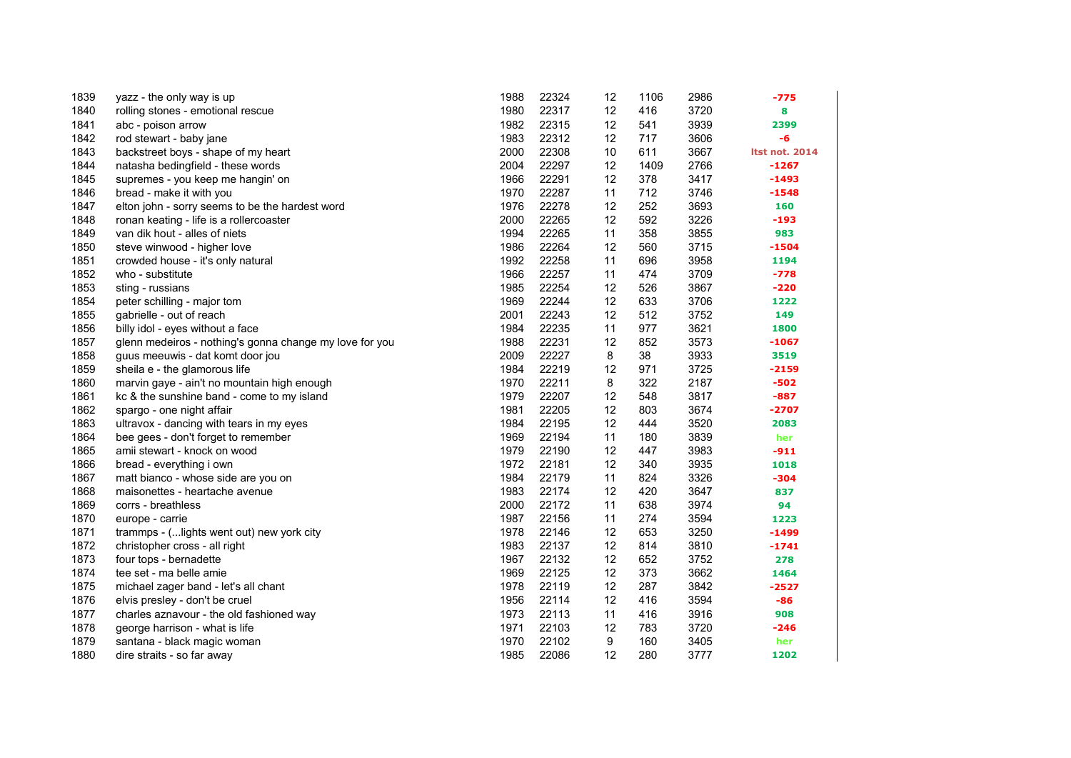| 1839 | yazz - the only way is up                               | 1988 | 22324 | 12 | 1106 | 2986 | -775                  |
|------|---------------------------------------------------------|------|-------|----|------|------|-----------------------|
| 1840 | rolling stones - emotional rescue                       | 1980 | 22317 | 12 | 416  | 3720 | 8                     |
| 1841 | abc - poison arrow                                      | 1982 | 22315 | 12 | 541  | 3939 | 2399                  |
| 1842 | rod stewart - baby jane                                 | 1983 | 22312 | 12 | 717  | 3606 | -6                    |
| 1843 | backstreet boys - shape of my heart                     | 2000 | 22308 | 10 | 611  | 3667 | <b>Itst not. 2014</b> |
| 1844 | natasha bedingfield - these words                       | 2004 | 22297 | 12 | 1409 | 2766 | $-1267$               |
| 1845 | supremes - you keep me hangin' on                       | 1966 | 22291 | 12 | 378  | 3417 | $-1493$               |
| 1846 | bread - make it with you                                | 1970 | 22287 | 11 | 712  | 3746 | $-1548$               |
| 1847 | elton john - sorry seems to be the hardest word         | 1976 | 22278 | 12 | 252  | 3693 | 160                   |
| 1848 | ronan keating - life is a rollercoaster                 | 2000 | 22265 | 12 | 592  | 3226 | $-193$                |
| 1849 | van dik hout - alles of niets                           | 1994 | 22265 | 11 | 358  | 3855 | 983                   |
| 1850 | steve winwood - higher love                             | 1986 | 22264 | 12 | 560  | 3715 | $-1504$               |
| 1851 | crowded house - it's only natural                       | 1992 | 22258 | 11 | 696  | 3958 | 1194                  |
| 1852 | who - substitute                                        | 1966 | 22257 | 11 | 474  | 3709 | $-778$                |
| 1853 | sting - russians                                        | 1985 | 22254 | 12 | 526  | 3867 | $-220$                |
| 1854 | peter schilling - major tom                             | 1969 | 22244 | 12 | 633  | 3706 | 1222                  |
| 1855 | gabrielle - out of reach                                | 2001 | 22243 | 12 | 512  | 3752 | 149                   |
| 1856 | billy idol - eyes without a face                        | 1984 | 22235 | 11 | 977  | 3621 | 1800                  |
| 1857 | glenn medeiros - nothing's gonna change my love for you | 1988 | 22231 | 12 | 852  | 3573 | $-1067$               |
| 1858 | guus meeuwis - dat komt door jou                        | 2009 | 22227 | 8  | 38   | 3933 | 3519                  |
| 1859 | sheila e - the glamorous life                           | 1984 | 22219 | 12 | 971  | 3725 | $-2159$               |
| 1860 | marvin gaye - ain't no mountain high enough             | 1970 | 22211 | 8  | 322  | 2187 | $-502$                |
| 1861 | kc & the sunshine band - come to my island              | 1979 | 22207 | 12 | 548  | 3817 | $-887$                |
| 1862 | spargo - one night affair                               | 1981 | 22205 | 12 | 803  | 3674 | -2707                 |
| 1863 | ultravox - dancing with tears in my eyes                | 1984 | 22195 | 12 | 444  | 3520 | 2083                  |
| 1864 | bee gees - don't forget to remember                     | 1969 | 22194 | 11 | 180  | 3839 | her                   |
| 1865 | amii stewart - knock on wood                            | 1979 | 22190 | 12 | 447  | 3983 | $-911$                |
| 1866 | bread - everything i own                                | 1972 | 22181 | 12 | 340  | 3935 | 1018                  |
| 1867 | matt bianco - whose side are you on                     | 1984 | 22179 | 11 | 824  | 3326 | -304                  |
| 1868 | maisonettes - heartache avenue                          | 1983 | 22174 | 12 | 420  | 3647 | 837                   |
| 1869 | corrs - breathless                                      | 2000 | 22172 | 11 | 638  | 3974 | 94                    |
| 1870 | europe - carrie                                         | 1987 | 22156 | 11 | 274  | 3594 | 1223                  |
| 1871 | trammps - ( lights went out) new york city              | 1978 | 22146 | 12 | 653  | 3250 | $-1499$               |
| 1872 | christopher cross - all right                           | 1983 | 22137 | 12 | 814  | 3810 | $-1741$               |
| 1873 | four tops - bernadette                                  | 1967 | 22132 | 12 | 652  | 3752 | 278                   |
| 1874 | tee set - ma belle amie                                 | 1969 | 22125 | 12 | 373  | 3662 | 1464                  |
| 1875 | michael zager band - let's all chant                    | 1978 | 22119 | 12 | 287  | 3842 | $-2527$               |
| 1876 | elvis presley - don't be cruel                          | 1956 | 22114 | 12 | 416  | 3594 | -86                   |
| 1877 | charles aznavour - the old fashioned way                | 1973 | 22113 | 11 | 416  | 3916 | 908                   |
| 1878 | george harrison - what is life                          | 1971 | 22103 | 12 | 783  | 3720 | -246                  |
| 1879 | santana - black magic woman                             | 1970 | 22102 | 9  | 160  | 3405 | her                   |
| 1880 | dire straits - so far away                              | 1985 | 22086 | 12 | 280  | 3777 | 1202                  |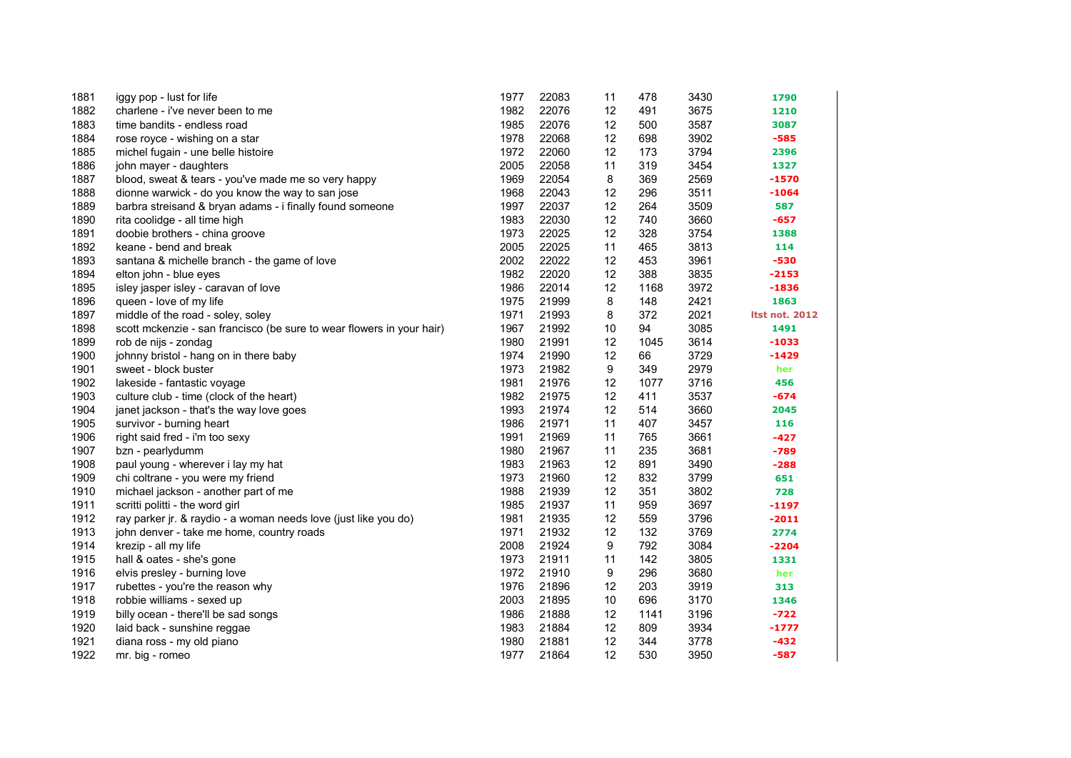| 1881 | iggy pop - lust for life                                              | 1977 | 22083 | 11 | 478  | 3430 | 1790                  |
|------|-----------------------------------------------------------------------|------|-------|----|------|------|-----------------------|
| 1882 | charlene - i've never been to me                                      | 1982 | 22076 | 12 | 491  | 3675 | 1210                  |
| 1883 | time bandits - endless road                                           | 1985 | 22076 | 12 | 500  | 3587 | 3087                  |
| 1884 | rose royce - wishing on a star                                        | 1978 | 22068 | 12 | 698  | 3902 | $-585$                |
| 1885 | michel fugain - une belle histoire                                    | 1972 | 22060 | 12 | 173  | 3794 | 2396                  |
| 1886 | john mayer - daughters                                                | 2005 | 22058 | 11 | 319  | 3454 | 1327                  |
| 1887 | blood, sweat & tears - you've made me so very happy                   | 1969 | 22054 | 8  | 369  | 2569 | $-1570$               |
| 1888 | dionne warwick - do you know the way to san jose                      | 1968 | 22043 | 12 | 296  | 3511 | $-1064$               |
| 1889 | barbra streisand & bryan adams - i finally found someone              | 1997 | 22037 | 12 | 264  | 3509 | 587                   |
| 1890 | rita coolidge - all time high                                         | 1983 | 22030 | 12 | 740  | 3660 | $-657$                |
| 1891 | doobie brothers - china groove                                        | 1973 | 22025 | 12 | 328  | 3754 | 1388                  |
| 1892 | keane - bend and break                                                | 2005 | 22025 | 11 | 465  | 3813 | 114                   |
| 1893 | santana & michelle branch - the game of love                          | 2002 | 22022 | 12 | 453  | 3961 | $-530$                |
| 1894 | elton john - blue eyes                                                | 1982 | 22020 | 12 | 388  | 3835 | $-2153$               |
| 1895 | isley jasper isley - caravan of love                                  | 1986 | 22014 | 12 | 1168 | 3972 | $-1836$               |
| 1896 | queen - love of my life                                               | 1975 | 21999 | 8  | 148  | 2421 | 1863                  |
| 1897 | middle of the road - soley, soley                                     | 1971 | 21993 | 8  | 372  | 2021 | <b>Itst not. 2012</b> |
| 1898 | scott mckenzie - san francisco (be sure to wear flowers in your hair) | 1967 | 21992 | 10 | 94   | 3085 | 1491                  |
| 1899 | rob de nijs - zondag                                                  | 1980 | 21991 | 12 | 1045 | 3614 | $-1033$               |
| 1900 | johnny bristol - hang on in there baby                                | 1974 | 21990 | 12 | 66   | 3729 | $-1429$               |
| 1901 | sweet - block buster                                                  | 1973 | 21982 | 9  | 349  | 2979 | her                   |
| 1902 | lakeside - fantastic voyage                                           | 1981 | 21976 | 12 | 1077 | 3716 | 456                   |
| 1903 | culture club - time (clock of the heart)                              | 1982 | 21975 | 12 | 411  | 3537 | $-674$                |
| 1904 | janet jackson - that's the way love goes                              | 1993 | 21974 | 12 | 514  | 3660 | 2045                  |
| 1905 | survivor - burning heart                                              | 1986 | 21971 | 11 | 407  | 3457 | 116                   |
| 1906 | right said fred - i'm too sexy                                        | 1991 | 21969 | 11 | 765  | 3661 | $-427$                |
| 1907 | bzn - pearlydumm                                                      | 1980 | 21967 | 11 | 235  | 3681 | $-789$                |
| 1908 | paul young - wherever i lay my hat                                    | 1983 | 21963 | 12 | 891  | 3490 | $-288$                |
| 1909 | chi coltrane - you were my friend                                     | 1973 | 21960 | 12 | 832  | 3799 | 651                   |
| 1910 | michael jackson - another part of me                                  | 1988 | 21939 | 12 | 351  | 3802 | 728                   |
| 1911 | scritti politti - the word girl                                       | 1985 | 21937 | 11 | 959  | 3697 | $-1197$               |
| 1912 | ray parker jr. & raydio - a woman needs love (just like you do)       | 1981 | 21935 | 12 | 559  | 3796 | $-2011$               |
| 1913 | john denver - take me home, country roads                             | 1971 | 21932 | 12 | 132  | 3769 | 2774                  |
| 1914 | krezip - all my life                                                  | 2008 | 21924 | 9  | 792  | 3084 | $-2204$               |
| 1915 | hall & oates - she's gone                                             | 1973 | 21911 | 11 | 142  | 3805 | 1331                  |
| 1916 | elvis presley - burning love                                          | 1972 | 21910 | 9  | 296  | 3680 | her                   |
| 1917 | rubettes - you're the reason why                                      | 1976 | 21896 | 12 | 203  | 3919 | 313                   |
| 1918 | robbie williams - sexed up                                            | 2003 | 21895 | 10 | 696  | 3170 | 1346                  |
| 1919 | billy ocean - there'll be sad songs                                   | 1986 | 21888 | 12 | 1141 | 3196 | $-722$                |
| 1920 | laid back - sunshine reggae                                           | 1983 | 21884 | 12 | 809  | 3934 | $-1777$               |
| 1921 | diana ross - my old piano                                             | 1980 | 21881 | 12 | 344  | 3778 | $-432$                |
| 1922 | mr. big - romeo                                                       | 1977 | 21864 | 12 | 530  | 3950 | $-587$                |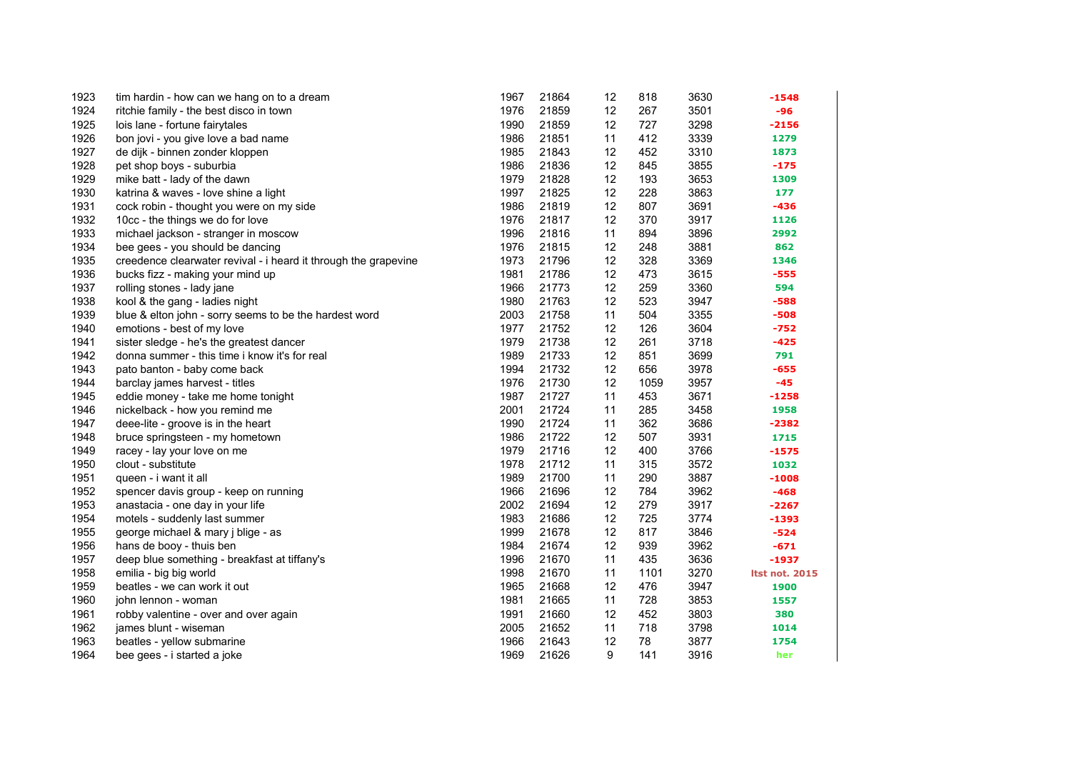| 1923 | tim hardin - how can we hang on to a dream                      | 1967 | 21864 | 12 | 818  | 3630 | $-1548$               |
|------|-----------------------------------------------------------------|------|-------|----|------|------|-----------------------|
| 1924 | ritchie family - the best disco in town                         | 1976 | 21859 | 12 | 267  | 3501 | -96                   |
| 1925 | lois lane - fortune fairytales                                  | 1990 | 21859 | 12 | 727  | 3298 | $-2156$               |
| 1926 | bon jovi - you give love a bad name                             | 1986 | 21851 | 11 | 412  | 3339 | 1279                  |
| 1927 | de dijk - binnen zonder kloppen                                 | 1985 | 21843 | 12 | 452  | 3310 | 1873                  |
| 1928 | pet shop boys - suburbia                                        | 1986 | 21836 | 12 | 845  | 3855 | $-175$                |
| 1929 | mike batt - lady of the dawn                                    | 1979 | 21828 | 12 | 193  | 3653 | 1309                  |
| 1930 | katrina & waves - love shine a light                            | 1997 | 21825 | 12 | 228  | 3863 | 177                   |
| 1931 | cock robin - thought you were on my side                        | 1986 | 21819 | 12 | 807  | 3691 | $-436$                |
| 1932 | 10cc - the things we do for love                                | 1976 | 21817 | 12 | 370  | 3917 | 1126                  |
| 1933 | michael jackson - stranger in moscow                            | 1996 | 21816 | 11 | 894  | 3896 | 2992                  |
| 1934 | bee gees - you should be dancing                                | 1976 | 21815 | 12 | 248  | 3881 | 862                   |
| 1935 | creedence clearwater revival - i heard it through the grapevine | 1973 | 21796 | 12 | 328  | 3369 | 1346                  |
| 1936 | bucks fizz - making your mind up                                | 1981 | 21786 | 12 | 473  | 3615 | $-555$                |
| 1937 | rolling stones - lady jane                                      | 1966 | 21773 | 12 | 259  | 3360 | 594                   |
| 1938 | kool & the gang - ladies night                                  | 1980 | 21763 | 12 | 523  | 3947 | $-588$                |
| 1939 | blue & elton john - sorry seems to be the hardest word          | 2003 | 21758 | 11 | 504  | 3355 | $-508$                |
| 1940 | emotions - best of my love                                      | 1977 | 21752 | 12 | 126  | 3604 | $-752$                |
| 1941 | sister sledge - he's the greatest dancer                        | 1979 | 21738 | 12 | 261  | 3718 | $-425$                |
| 1942 | donna summer - this time i know it's for real                   | 1989 | 21733 | 12 | 851  | 3699 | 791                   |
| 1943 | pato banton - baby come back                                    | 1994 | 21732 | 12 | 656  | 3978 | $-655$                |
| 1944 | barclay james harvest - titles                                  | 1976 | 21730 | 12 | 1059 | 3957 | $-45$                 |
| 1945 | eddie money - take me home tonight                              | 1987 | 21727 | 11 | 453  | 3671 | $-1258$               |
| 1946 | nickelback - how you remind me                                  | 2001 | 21724 | 11 | 285  | 3458 | 1958                  |
| 1947 | deee-lite - groove is in the heart                              | 1990 | 21724 | 11 | 362  | 3686 | $-2382$               |
| 1948 | bruce springsteen - my hometown                                 | 1986 | 21722 | 12 | 507  | 3931 | 1715                  |
| 1949 | racey - lay your love on me                                     | 1979 | 21716 | 12 | 400  | 3766 | $-1575$               |
| 1950 | clout - substitute                                              | 1978 | 21712 | 11 | 315  | 3572 | 1032                  |
| 1951 | queen - i want it all                                           | 1989 | 21700 | 11 | 290  | 3887 | $-1008$               |
| 1952 | spencer davis group - keep on running                           | 1966 | 21696 | 12 | 784  | 3962 | $-468$                |
| 1953 | anastacia - one day in your life                                | 2002 | 21694 | 12 | 279  | 3917 | -2267                 |
| 1954 | motels - suddenly last summer                                   | 1983 | 21686 | 12 | 725  | 3774 | $-1393$               |
| 1955 | george michael & mary j blige - as                              | 1999 | 21678 | 12 | 817  | 3846 | $-524$                |
| 1956 | hans de booy - thuis ben                                        | 1984 | 21674 | 12 | 939  | 3962 | $-671$                |
| 1957 | deep blue something - breakfast at tiffany's                    | 1996 | 21670 | 11 | 435  | 3636 | -1937                 |
| 1958 | emilia - big big world                                          | 1998 | 21670 | 11 | 1101 | 3270 | <b>Itst not. 2015</b> |
| 1959 | beatles - we can work it out                                    | 1965 | 21668 | 12 | 476  | 3947 | 1900                  |
| 1960 | john lennon - woman                                             | 1981 | 21665 | 11 | 728  | 3853 | 1557                  |
| 1961 | robby valentine - over and over again                           | 1991 | 21660 | 12 | 452  | 3803 | 380                   |
| 1962 | james blunt - wiseman                                           | 2005 | 21652 | 11 | 718  | 3798 | 1014                  |
| 1963 | beatles - yellow submarine                                      | 1966 | 21643 | 12 | 78   | 3877 | 1754                  |
| 1964 | bee gees - i started a joke                                     | 1969 | 21626 | 9  | 141  | 3916 | her                   |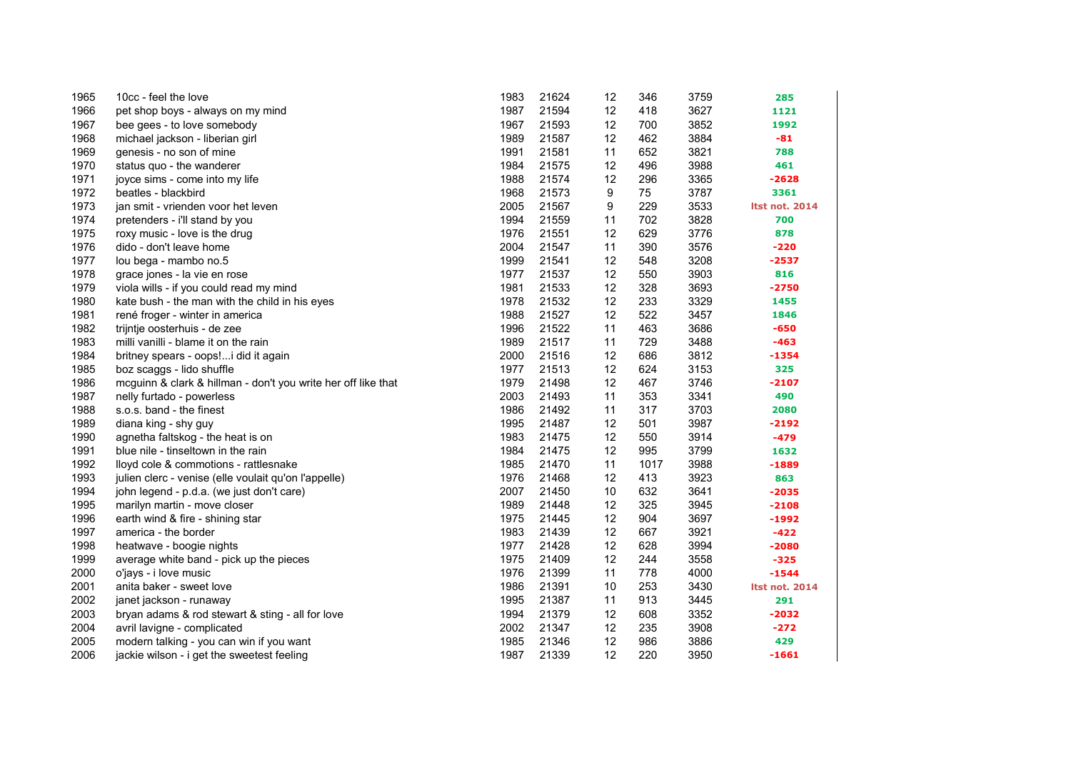| 1965 | 10cc - feel the love                                          | 1983 | 21624 | 12 | 346  | 3759 | 285                   |
|------|---------------------------------------------------------------|------|-------|----|------|------|-----------------------|
| 1966 | pet shop boys - always on my mind                             | 1987 | 21594 | 12 | 418  | 3627 | 1121                  |
| 1967 | bee gees - to love somebody                                   | 1967 | 21593 | 12 | 700  | 3852 | 1992                  |
| 1968 | michael jackson - liberian girl                               | 1989 | 21587 | 12 | 462  | 3884 | $-81$                 |
| 1969 | genesis - no son of mine                                      | 1991 | 21581 | 11 | 652  | 3821 | 788                   |
| 1970 | status quo - the wanderer                                     | 1984 | 21575 | 12 | 496  | 3988 | 461                   |
| 1971 | joyce sims - come into my life                                | 1988 | 21574 | 12 | 296  | 3365 | $-2628$               |
| 1972 | beatles - blackbird                                           | 1968 | 21573 | 9  | 75   | 3787 | 3361                  |
| 1973 | jan smit - vrienden voor het leven                            | 2005 | 21567 | 9  | 229  | 3533 | <b>Itst not. 2014</b> |
| 1974 | pretenders - i'll stand by you                                | 1994 | 21559 | 11 | 702  | 3828 | 700                   |
| 1975 | roxy music - love is the drug                                 | 1976 | 21551 | 12 | 629  | 3776 | 878                   |
| 1976 | dido - don't leave home                                       | 2004 | 21547 | 11 | 390  | 3576 | $-220$                |
| 1977 | lou bega - mambo no.5                                         | 1999 | 21541 | 12 | 548  | 3208 | $-2537$               |
| 1978 | grace jones - la vie en rose                                  | 1977 | 21537 | 12 | 550  | 3903 | 816                   |
| 1979 | viola wills - if you could read my mind                       | 1981 | 21533 | 12 | 328  | 3693 | $-2750$               |
| 1980 | kate bush - the man with the child in his eyes                | 1978 | 21532 | 12 | 233  | 3329 | 1455                  |
| 1981 | rené froger - winter in america                               | 1988 | 21527 | 12 | 522  | 3457 | 1846                  |
| 1982 | trijntje oosterhuis - de zee                                  | 1996 | 21522 | 11 | 463  | 3686 | $-650$                |
| 1983 | milli vanilli - blame it on the rain                          | 1989 | 21517 | 11 | 729  | 3488 | $-463$                |
| 1984 | britney spears - oops! i did it again                         | 2000 | 21516 | 12 | 686  | 3812 | $-1354$               |
| 1985 | boz scaggs - lido shuffle                                     | 1977 | 21513 | 12 | 624  | 3153 | 325                   |
| 1986 | mcguinn & clark & hillman - don't you write her off like that | 1979 | 21498 | 12 | 467  | 3746 | $-2107$               |
| 1987 | nelly furtado - powerless                                     | 2003 | 21493 | 11 | 353  | 3341 | 490                   |
| 1988 | s.o.s. band - the finest                                      | 1986 | 21492 | 11 | 317  | 3703 | 2080                  |
| 1989 | diana king - shy guy                                          | 1995 | 21487 | 12 | 501  | 3987 | $-2192$               |
| 1990 | agnetha faltskog - the heat is on                             | 1983 | 21475 | 12 | 550  | 3914 | $-479$                |
| 1991 | blue nile - tinseltown in the rain                            | 1984 | 21475 | 12 | 995  | 3799 | 1632                  |
| 1992 | lloyd cole & commotions - rattlesnake                         | 1985 | 21470 | 11 | 1017 | 3988 | $-1889$               |
| 1993 | julien clerc - venise (elle voulait qu'on l'appelle)          | 1976 | 21468 | 12 | 413  | 3923 | 863                   |
| 1994 | john legend - p.d.a. (we just don't care)                     | 2007 | 21450 | 10 | 632  | 3641 | $-2035$               |
| 1995 | marilyn martin - move closer                                  | 1989 | 21448 | 12 | 325  | 3945 | $-2108$               |
| 1996 | earth wind & fire - shining star                              | 1975 | 21445 | 12 | 904  | 3697 | $-1992$               |
| 1997 | america - the border                                          | 1983 | 21439 | 12 | 667  | 3921 | $-422$                |
| 1998 | heatwave - boogie nights                                      | 1977 | 21428 | 12 | 628  | 3994 | $-2080$               |
| 1999 | average white band - pick up the pieces                       | 1975 | 21409 | 12 | 244  | 3558 | $-325$                |
| 2000 | o'jays - i love music                                         | 1976 | 21399 | 11 | 778  | 4000 | $-1544$               |
| 2001 | anita baker - sweet love                                      | 1986 | 21391 | 10 | 253  | 3430 | <b>Itst not. 2014</b> |
| 2002 | janet jackson - runaway                                       | 1995 | 21387 | 11 | 913  | 3445 | 291                   |
| 2003 | bryan adams & rod stewart & sting - all for love              | 1994 | 21379 | 12 | 608  | 3352 | -2032                 |
| 2004 | avril lavigne - complicated                                   | 2002 | 21347 | 12 | 235  | 3908 | $-272$                |
| 2005 | modern talking - you can win if you want                      | 1985 | 21346 | 12 | 986  | 3886 | 429                   |
| 2006 | jackie wilson - i get the sweetest feeling                    | 1987 | 21339 | 12 | 220  | 3950 | $-1661$               |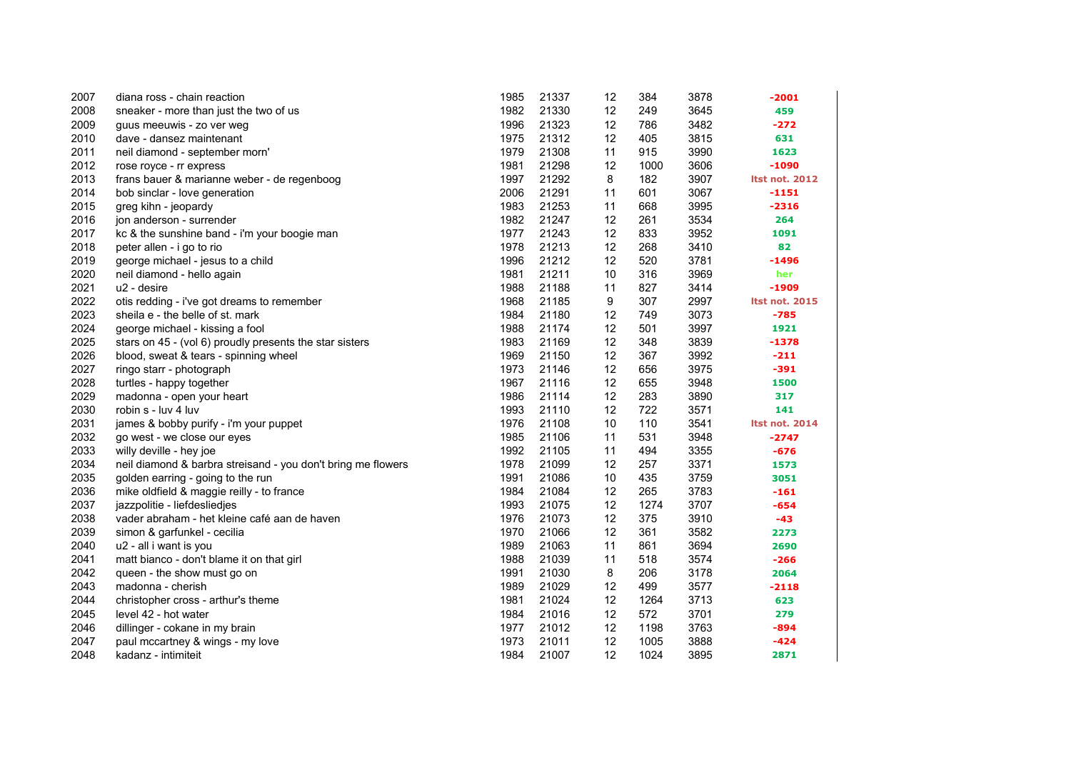| 2007 | diana ross - chain reaction                                  | 1985 | 21337 | 12 | 384  | 3878 | $-2001$               |
|------|--------------------------------------------------------------|------|-------|----|------|------|-----------------------|
| 2008 | sneaker - more than just the two of us                       | 1982 | 21330 | 12 | 249  | 3645 | 459                   |
| 2009 | guus meeuwis - zo ver weg                                    | 1996 | 21323 | 12 | 786  | 3482 | $-272$                |
| 2010 | dave - dansez maintenant                                     | 1975 | 21312 | 12 | 405  | 3815 | 631                   |
| 2011 | neil diamond - september morn'                               | 1979 | 21308 | 11 | 915  | 3990 | 1623                  |
| 2012 | rose royce - rr express                                      | 1981 | 21298 | 12 | 1000 | 3606 | $-1090$               |
| 2013 | frans bauer & marianne weber - de regenboog                  | 1997 | 21292 | 8  | 182  | 3907 | <b>Itst not. 2012</b> |
| 2014 | bob sinclar - love generation                                | 2006 | 21291 | 11 | 601  | 3067 | $-1151$               |
| 2015 | greg kihn - jeopardy                                         | 1983 | 21253 | 11 | 668  | 3995 | $-2316$               |
| 2016 | jon anderson - surrender                                     | 1982 | 21247 | 12 | 261  | 3534 | 264                   |
| 2017 | kc & the sunshine band - i'm your boogie man                 | 1977 | 21243 | 12 | 833  | 3952 | 1091                  |
| 2018 | peter allen - i go to rio                                    | 1978 | 21213 | 12 | 268  | 3410 | 82                    |
| 2019 | george michael - jesus to a child                            | 1996 | 21212 | 12 | 520  | 3781 | $-1496$               |
| 2020 | neil diamond - hello again                                   | 1981 | 21211 | 10 | 316  | 3969 | her                   |
| 2021 | u2 - desire                                                  | 1988 | 21188 | 11 | 827  | 3414 | -1909                 |
| 2022 | otis redding - i've got dreams to remember                   | 1968 | 21185 | 9  | 307  | 2997 | <b>Itst not. 2015</b> |
| 2023 | sheila e - the belle of st. mark                             | 1984 | 21180 | 12 | 749  | 3073 | $-785$                |
| 2024 | george michael - kissing a fool                              | 1988 | 21174 | 12 | 501  | 3997 | 1921                  |
| 2025 | stars on 45 - (vol 6) proudly presents the star sisters      | 1983 | 21169 | 12 | 348  | 3839 | $-1378$               |
| 2026 | blood, sweat & tears - spinning wheel                        | 1969 | 21150 | 12 | 367  | 3992 | $-211$                |
| 2027 | ringo starr - photograph                                     | 1973 | 21146 | 12 | 656  | 3975 | $-391$                |
| 2028 | turtles - happy together                                     | 1967 | 21116 | 12 | 655  | 3948 | 1500                  |
| 2029 | madonna - open your heart                                    | 1986 | 21114 | 12 | 283  | 3890 | 317                   |
| 2030 | robin s - luv 4 luv                                          | 1993 | 21110 | 12 | 722  | 3571 | 141                   |
| 2031 | james & bobby purify - i'm your puppet                       | 1976 | 21108 | 10 | 110  | 3541 | <b>Itst not. 2014</b> |
| 2032 | go west - we close our eyes                                  | 1985 | 21106 | 11 | 531  | 3948 | $-2747$               |
| 2033 | willy deville - hey joe                                      | 1992 | 21105 | 11 | 494  | 3355 | $-676$                |
| 2034 | neil diamond & barbra streisand - you don't bring me flowers | 1978 | 21099 | 12 | 257  | 3371 | 1573                  |
| 2035 | golden earring - going to the run                            | 1991 | 21086 | 10 | 435  | 3759 | 3051                  |
| 2036 | mike oldfield & maggie reilly - to france                    | 1984 | 21084 | 12 | 265  | 3783 | $-161$                |
| 2037 | jazzpolitie - liefdesliedjes                                 | 1993 | 21075 | 12 | 1274 | 3707 | $-654$                |
| 2038 | vader abraham - het kleine café aan de haven                 | 1976 | 21073 | 12 | 375  | 3910 | $-43$                 |
| 2039 | simon & garfunkel - cecilia                                  | 1970 | 21066 | 12 | 361  | 3582 | 2273                  |
| 2040 | u2 - all i want is you                                       | 1989 | 21063 | 11 | 861  | 3694 | 2690                  |
| 2041 | matt bianco - don't blame it on that girl                    | 1988 | 21039 | 11 | 518  | 3574 | $-266$                |
| 2042 | queen - the show must go on                                  | 1991 | 21030 | 8  | 206  | 3178 | 2064                  |
| 2043 | madonna - cherish                                            | 1989 | 21029 | 12 | 499  | 3577 | $-2118$               |
| 2044 | christopher cross - arthur's theme                           | 1981 | 21024 | 12 | 1264 | 3713 | 623                   |
| 2045 | level 42 - hot water                                         | 1984 | 21016 | 12 | 572  | 3701 | 279                   |
| 2046 | dillinger - cokane in my brain                               | 1977 | 21012 | 12 | 1198 | 3763 | $-894$                |
| 2047 | paul mccartney & wings - my love                             | 1973 | 21011 | 12 | 1005 | 3888 | $-424$                |
| 2048 | kadanz - intimiteit                                          | 1984 | 21007 | 12 | 1024 | 3895 | 2871                  |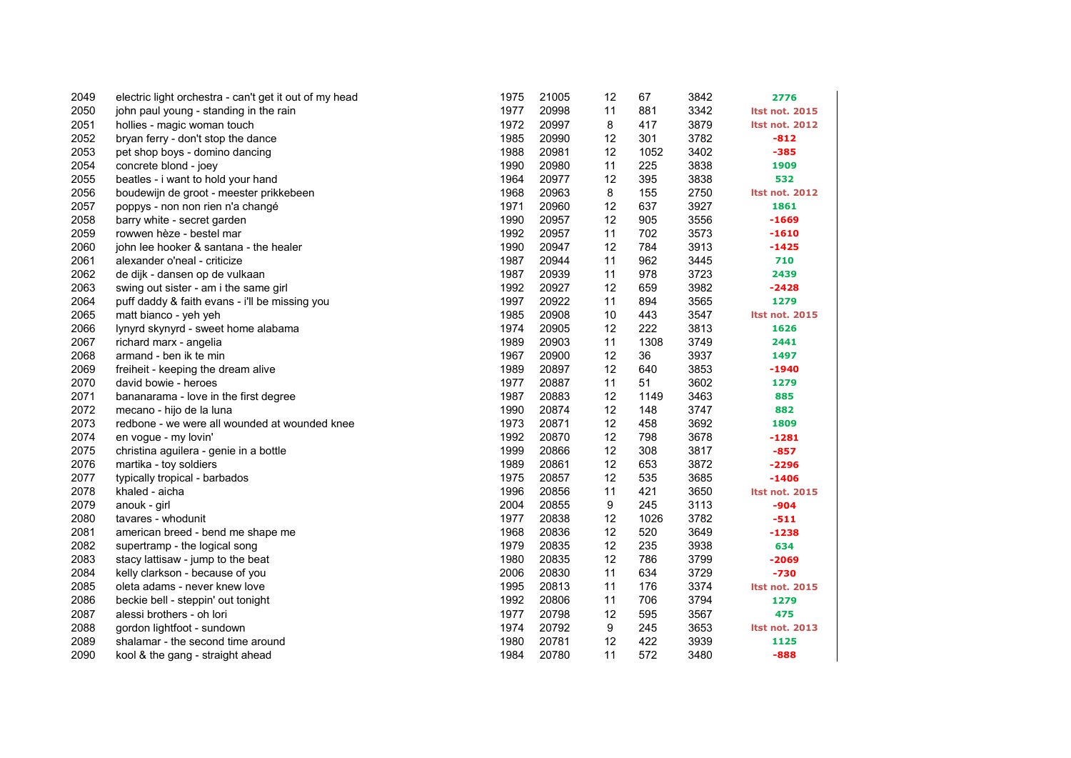| 2049 | electric light orchestra - can't get it out of my head | 1975 | 21005 | 12                | 67   | 3842 | 2776                  |
|------|--------------------------------------------------------|------|-------|-------------------|------|------|-----------------------|
| 2050 | john paul young - standing in the rain                 | 1977 | 20998 | 11                | 881  | 3342 | <b>Itst not. 2015</b> |
| 2051 | hollies - magic woman touch                            | 1972 | 20997 | 8                 | 417  | 3879 | <b>Itst not. 2012</b> |
| 2052 | bryan ferry - don't stop the dance                     | 1985 | 20990 | 12                | 301  | 3782 | $-812$                |
| 2053 | pet shop boys - domino dancing                         | 1988 | 20981 | 12                | 1052 | 3402 | $-385$                |
| 2054 | concrete blond - joey                                  | 1990 | 20980 | 11                | 225  | 3838 | 1909                  |
| 2055 | beatles - i want to hold your hand                     | 1964 | 20977 | 12                | 395  | 3838 | 532                   |
| 2056 | boudewijn de groot - meester prikkebeen                | 1968 | 20963 | 8                 | 155  | 2750 | <b>Itst not. 2012</b> |
| 2057 | poppys - non non rien n'a changé                       | 1971 | 20960 | 12                | 637  | 3927 | 1861                  |
| 2058 | barry white - secret garden                            | 1990 | 20957 | $12 \overline{ }$ | 905  | 3556 | $-1669$               |
| 2059 | rowwen hèze - bestel mar                               | 1992 | 20957 | 11                | 702  | 3573 | $-1610$               |
| 2060 | john lee hooker & santana - the healer                 | 1990 | 20947 | 12                | 784  | 3913 | $-1425$               |
| 2061 | alexander o'neal - criticize                           | 1987 | 20944 | 11                | 962  | 3445 | 710                   |
| 2062 | de dijk - dansen op de vulkaan                         | 1987 | 20939 | 11                | 978  | 3723 | 2439                  |
| 2063 | swing out sister - am i the same girl                  | 1992 | 20927 | 12                | 659  | 3982 | $-2428$               |
| 2064 | puff daddy & faith evans - i'll be missing you         | 1997 | 20922 | 11                | 894  | 3565 | 1279                  |
| 2065 | matt bianco - yeh yeh                                  | 1985 | 20908 | 10                | 443  | 3547 | <b>Itst not. 2015</b> |
| 2066 | lynyrd skynyrd - sweet home alabama                    | 1974 | 20905 | 12                | 222  | 3813 | 1626                  |
| 2067 | richard marx - angelia                                 | 1989 | 20903 | 11                | 1308 | 3749 | 2441                  |
| 2068 | armand - ben ik te min                                 | 1967 | 20900 | 12                | 36   | 3937 | 1497                  |
| 2069 | freiheit - keeping the dream alive                     | 1989 | 20897 | 12                | 640  | 3853 | $-1940$               |
| 2070 | david bowie - heroes                                   | 1977 | 20887 | 11                | 51   | 3602 | 1279                  |
| 2071 | bananarama - love in the first degree                  | 1987 | 20883 | 12                | 1149 | 3463 | 885                   |
| 2072 | mecano - hijo de la luna                               | 1990 | 20874 | 12                | 148  | 3747 | 882                   |
| 2073 | redbone - we were all wounded at wounded knee          | 1973 | 20871 | 12                | 458  | 3692 | 1809                  |
| 2074 | en vogue - my lovin'                                   | 1992 | 20870 | 12                | 798  | 3678 | $-1281$               |
| 2075 | christina aguilera - genie in a bottle                 | 1999 | 20866 | 12                | 308  | 3817 | $-857$                |
| 2076 | martika - toy soldiers                                 | 1989 | 20861 | 12                | 653  | 3872 | $-2296$               |
| 2077 | typically tropical - barbados                          | 1975 | 20857 | 12                | 535  | 3685 | $-1406$               |
| 2078 | khaled - aicha                                         | 1996 | 20856 | 11                | 421  | 3650 | <b>Itst not. 2015</b> |
| 2079 | anouk - girl                                           | 2004 | 20855 | 9                 | 245  | 3113 | $-904$                |
| 2080 | tavares - whodunit                                     | 1977 | 20838 | 12                | 1026 | 3782 | $-511$                |
| 2081 | american breed - bend me shape me                      | 1968 | 20836 | 12                | 520  | 3649 | $-1238$               |
| 2082 | supertramp - the logical song                          | 1979 | 20835 | 12                | 235  | 3938 | 634                   |
| 2083 | stacy lattisaw - jump to the beat                      | 1980 | 20835 | 12                | 786  | 3799 | $-2069$               |
| 2084 | kelly clarkson - because of you                        | 2006 | 20830 | 11                | 634  | 3729 | $-730$                |
| 2085 | oleta adams - never knew love                          | 1995 | 20813 | 11                | 176  | 3374 | <b>Itst not. 2015</b> |
| 2086 | beckie bell - steppin' out tonight                     | 1992 | 20806 | 11                | 706  | 3794 | 1279                  |
| 2087 | alessi brothers - oh lori                              | 1977 | 20798 | 12                | 595  | 3567 | 475                   |
| 2088 | gordon lightfoot - sundown                             | 1974 | 20792 | 9                 | 245  | 3653 | <b>Itst not. 2013</b> |
| 2089 | shalamar - the second time around                      | 1980 | 20781 | 12                | 422  | 3939 | 1125                  |
| 2090 | kool & the gang - straight ahead                       | 1984 | 20780 | 11                | 572  | 3480 | $-888$                |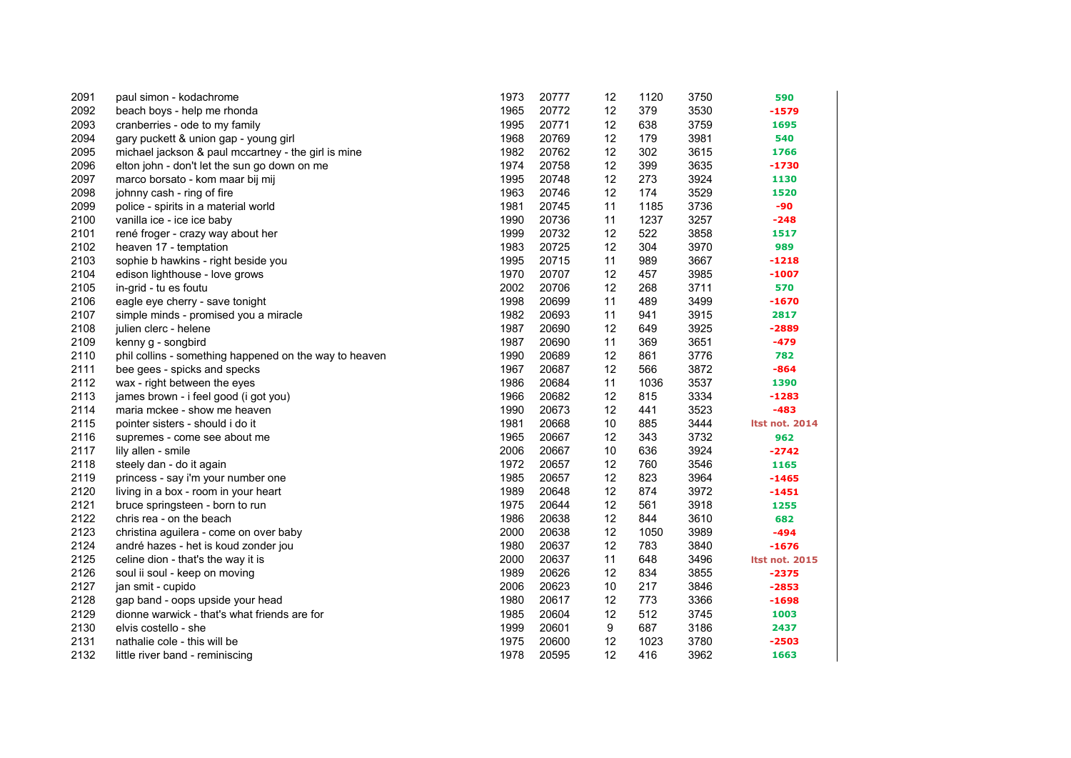| 2091 | paul simon - kodachrome                                | 1973 | 20777 | 12 | 1120 | 3750 | 590                   |
|------|--------------------------------------------------------|------|-------|----|------|------|-----------------------|
| 2092 | beach boys - help me rhonda                            | 1965 | 20772 | 12 | 379  | 3530 | $-1579$               |
| 2093 | cranberries - ode to my family                         | 1995 | 20771 | 12 | 638  | 3759 | 1695                  |
| 2094 | gary puckett & union gap - young girl                  | 1968 | 20769 | 12 | 179  | 3981 | 540                   |
| 2095 | michael jackson & paul mccartney - the girl is mine    | 1982 | 20762 | 12 | 302  | 3615 | 1766                  |
| 2096 | elton john - don't let the sun go down on me           | 1974 | 20758 | 12 | 399  | 3635 | $-1730$               |
| 2097 | marco borsato - kom maar bij mij                       | 1995 | 20748 | 12 | 273  | 3924 | 1130                  |
| 2098 | johnny cash - ring of fire                             | 1963 | 20746 | 12 | 174  | 3529 | 1520                  |
| 2099 | police - spirits in a material world                   | 1981 | 20745 | 11 | 1185 | 3736 | -90                   |
| 2100 | vanilla ice - ice ice baby                             | 1990 | 20736 | 11 | 1237 | 3257 | $-248$                |
| 2101 | rené froger - crazy way about her                      | 1999 | 20732 | 12 | 522  | 3858 | 1517                  |
| 2102 | heaven 17 - temptation                                 | 1983 | 20725 | 12 | 304  | 3970 | 989                   |
| 2103 | sophie b hawkins - right beside you                    | 1995 | 20715 | 11 | 989  | 3667 | $-1218$               |
| 2104 | edison lighthouse - love grows                         | 1970 | 20707 | 12 | 457  | 3985 | $-1007$               |
| 2105 | in-grid - tu es foutu                                  | 2002 | 20706 | 12 | 268  | 3711 | 570                   |
| 2106 | eagle eye cherry - save tonight                        | 1998 | 20699 | 11 | 489  | 3499 | $-1670$               |
| 2107 | simple minds - promised you a miracle                  | 1982 | 20693 | 11 | 941  | 3915 | 2817                  |
| 2108 | julien clerc - helene                                  | 1987 | 20690 | 12 | 649  | 3925 | $-2889$               |
| 2109 | kenny g - songbird                                     | 1987 | 20690 | 11 | 369  | 3651 | $-479$                |
| 2110 | phil collins - something happened on the way to heaven | 1990 | 20689 | 12 | 861  | 3776 | 782                   |
| 2111 | bee gees - spicks and specks                           | 1967 | 20687 | 12 | 566  | 3872 | $-864$                |
| 2112 | wax - right between the eyes                           | 1986 | 20684 | 11 | 1036 | 3537 | 1390                  |
| 2113 | james brown - i feel good (i got you)                  | 1966 | 20682 | 12 | 815  | 3334 | $-1283$               |
| 2114 | maria mckee - show me heaven                           | 1990 | 20673 | 12 | 441  | 3523 | $-483$                |
| 2115 | pointer sisters - should i do it                       | 1981 | 20668 | 10 | 885  | 3444 | <b>Itst not. 2014</b> |
| 2116 | supremes - come see about me                           | 1965 | 20667 | 12 | 343  | 3732 | 962                   |
| 2117 | lily allen - smile                                     | 2006 | 20667 | 10 | 636  | 3924 | $-2742$               |
| 2118 | steely dan - do it again                               | 1972 | 20657 | 12 | 760  | 3546 | 1165                  |
| 2119 | princess - say i'm your number one                     | 1985 | 20657 | 12 | 823  | 3964 | $-1465$               |
| 2120 | living in a box - room in your heart                   | 1989 | 20648 | 12 | 874  | 3972 | $-1451$               |
| 2121 | bruce springsteen - born to run                        | 1975 | 20644 | 12 | 561  | 3918 | 1255                  |
| 2122 | chris rea - on the beach                               | 1986 | 20638 | 12 | 844  | 3610 | 682                   |
| 2123 | christina aguilera - come on over baby                 | 2000 | 20638 | 12 | 1050 | 3989 | $-494$                |
| 2124 | andré hazes - het is koud zonder jou                   | 1980 | 20637 | 12 | 783  | 3840 | $-1676$               |
| 2125 | celine dion - that's the way it is                     | 2000 | 20637 | 11 | 648  | 3496 | <b>Itst not. 2015</b> |
| 2126 | soul ii soul - keep on moving                          | 1989 | 20626 | 12 | 834  | 3855 | $-2375$               |
| 2127 | jan smit - cupido                                      | 2006 | 20623 | 10 | 217  | 3846 | $-2853$               |
| 2128 | gap band - oops upside your head                       | 1980 | 20617 | 12 | 773  | 3366 | $-1698$               |
| 2129 | dionne warwick - that's what friends are for           | 1985 | 20604 | 12 | 512  | 3745 | 1003                  |
| 2130 | elvis costello - she                                   | 1999 | 20601 | 9  | 687  | 3186 | 2437                  |
| 2131 | nathalie cole - this will be                           | 1975 | 20600 | 12 | 1023 | 3780 | $-2503$               |
| 2132 | little river band - reminiscing                        | 1978 | 20595 | 12 | 416  | 3962 | 1663                  |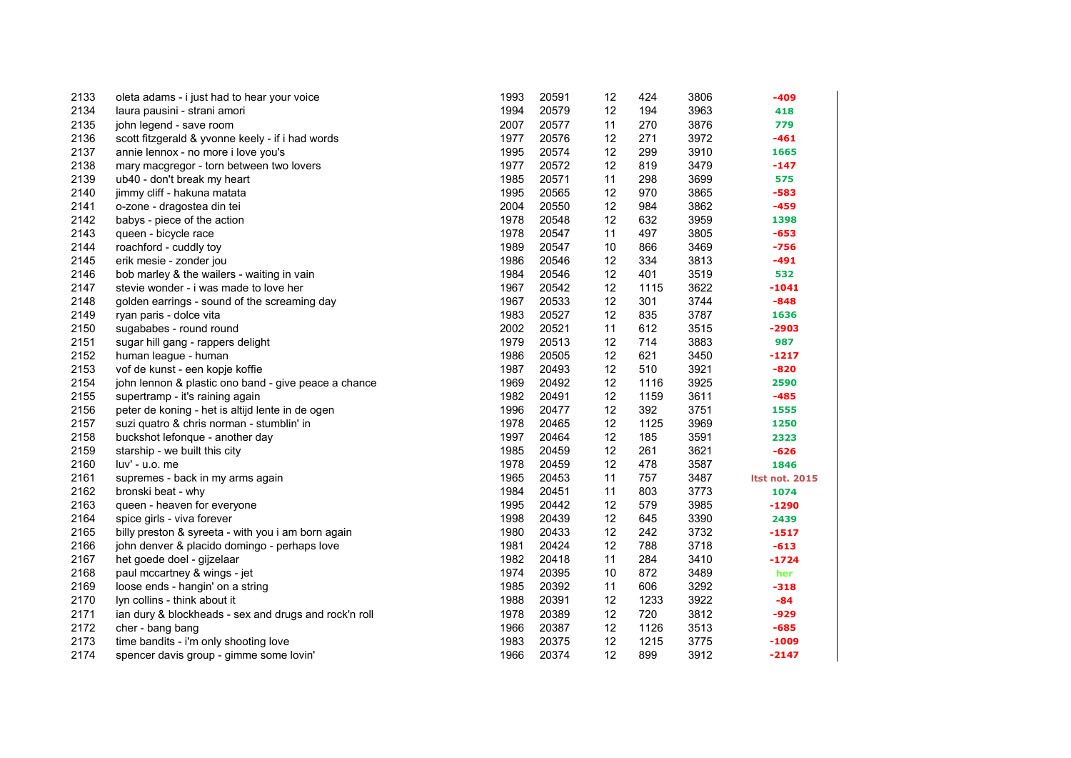| 2133 | oleta adams - i just had to hear your voice           | 1993 | 20591 | 12 | 424  | 3806 | -409                  |
|------|-------------------------------------------------------|------|-------|----|------|------|-----------------------|
| 2134 | laura pausini - strani amori                          | 1994 | 20579 | 12 | 194  | 3963 | 418                   |
| 2135 | john legend - save room                               | 2007 | 20577 | 11 | 270  | 3876 | 779                   |
| 2136 | scott fitzgerald & yvonne keely - if i had words      | 1977 | 20576 | 12 | 271  | 3972 | $-461$                |
| 2137 | annie lennox - no more i love you's                   | 1995 | 20574 | 12 | 299  | 3910 | 1665                  |
| 2138 | mary macgregor - torn between two lovers              | 1977 | 20572 | 12 | 819  | 3479 | $-147$                |
| 2139 | ub40 - don't break my heart                           | 1985 | 20571 | 11 | 298  | 3699 | 575                   |
| 2140 | jimmy cliff - hakuna matata                           | 1995 | 20565 | 12 | 970  | 3865 | $-583$                |
| 2141 | o-zone - dragostea din tei                            | 2004 | 20550 | 12 | 984  | 3862 | $-459$                |
| 2142 | babys - piece of the action                           | 1978 | 20548 | 12 | 632  | 3959 | 1398                  |
| 2143 | queen - bicycle race                                  | 1978 | 20547 | 11 | 497  | 3805 | $-653$                |
| 2144 | roachford - cuddly toy                                | 1989 | 20547 | 10 | 866  | 3469 | $-756$                |
| 2145 | erik mesie - zonder jou                               | 1986 | 20546 | 12 | 334  | 3813 | $-491$                |
| 2146 | bob marley & the wailers - waiting in vain            | 1984 | 20546 | 12 | 401  | 3519 | 532                   |
| 2147 | stevie wonder - i was made to love her                | 1967 | 20542 | 12 | 1115 | 3622 | $-1041$               |
| 2148 | golden earrings - sound of the screaming day          | 1967 | 20533 | 12 | 301  | 3744 | $-848$                |
| 2149 | ryan paris - dolce vita                               | 1983 | 20527 | 12 | 835  | 3787 | 1636                  |
| 2150 | sugababes - round round                               | 2002 | 20521 | 11 | 612  | 3515 | $-2903$               |
| 2151 | sugar hill gang - rappers delight                     | 1979 | 20513 | 12 | 714  | 3883 | 987                   |
| 2152 | human league - human                                  | 1986 | 20505 | 12 | 621  | 3450 | $-1217$               |
| 2153 | vof de kunst - een kopje koffie                       | 1987 | 20493 | 12 | 510  | 3921 | $-820$                |
| 2154 | john lennon & plastic ono band - give peace a chance  | 1969 | 20492 | 12 | 1116 | 3925 | 2590                  |
| 2155 | supertramp - it's raining again                       | 1982 | 20491 | 12 | 1159 | 3611 | $-485$                |
| 2156 | peter de koning - het is altijd lente in de ogen      | 1996 | 20477 | 12 | 392  | 3751 | 1555                  |
| 2157 | suzi quatro & chris norman - stumblin' in             | 1978 | 20465 | 12 | 1125 | 3969 | 1250                  |
| 2158 | buckshot lefonque - another day                       | 1997 | 20464 | 12 | 185  | 3591 | 2323                  |
| 2159 | starship - we built this city                         | 1985 | 20459 | 12 | 261  | 3621 | $-626$                |
| 2160 | luv' - u.o. me                                        | 1978 | 20459 | 12 | 478  | 3587 | 1846                  |
| 2161 | supremes - back in my arms again                      | 1965 | 20453 | 11 | 757  | 3487 | <b>Itst not. 2015</b> |
| 2162 | bronski beat - why                                    | 1984 | 20451 | 11 | 803  | 3773 | 1074                  |
| 2163 | queen - heaven for everyone                           | 1995 | 20442 | 12 | 579  | 3985 | $-1290$               |
| 2164 | spice girls - viva forever                            | 1998 | 20439 | 12 | 645  | 3390 | 2439                  |
| 2165 | billy preston & syreeta - with you i am born again    | 1980 | 20433 | 12 | 242  | 3732 | $-1517$               |
| 2166 | john denver & placido domingo - perhaps love          | 1981 | 20424 | 12 | 788  | 3718 | $-613$                |
| 2167 | het goede doel - gijzelaar                            | 1982 | 20418 | 11 | 284  | 3410 | $-1724$               |
| 2168 | paul mccartney & wings - jet                          | 1974 | 20395 | 10 | 872  | 3489 | her                   |
| 2169 | loose ends - hangin' on a string                      | 1985 | 20392 | 11 | 606  | 3292 | $-318$                |
| 2170 | lyn collins - think about it                          | 1988 | 20391 | 12 | 1233 | 3922 | $-84$                 |
| 2171 | ian dury & blockheads - sex and drugs and rock'n roll | 1978 | 20389 | 12 | 720  | 3812 | $-929$                |
| 2172 | cher - bang bang                                      | 1966 | 20387 | 12 | 1126 | 3513 | $-685$                |
| 2173 | time bandits - i'm only shooting love                 | 1983 | 20375 | 12 | 1215 | 3775 | -1009                 |
| 2174 | spencer davis group - gimme some lovin'               | 1966 | 20374 | 12 | 899  | 3912 | $-2147$               |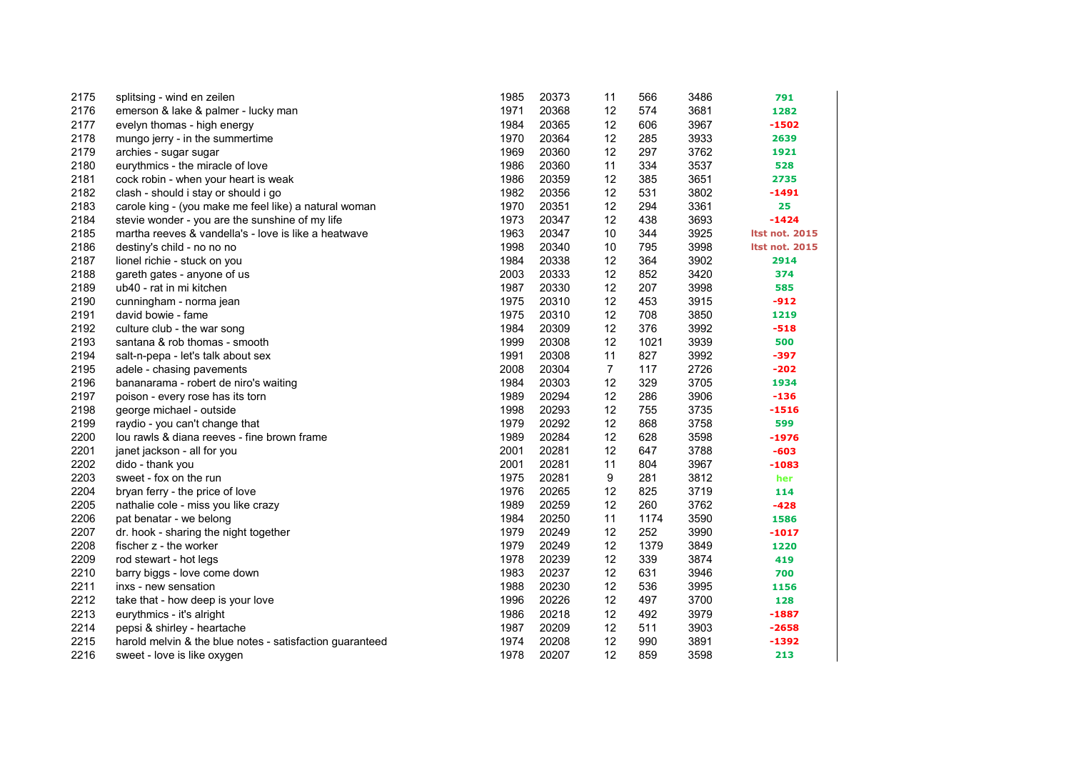| 2175 | splitsing - wind en zeilen                               | 1985 | 20373 | 11             | 566  | 3486 | 791                   |
|------|----------------------------------------------------------|------|-------|----------------|------|------|-----------------------|
| 2176 | emerson & lake & palmer - lucky man                      | 1971 | 20368 | 12             | 574  | 3681 | 1282                  |
| 2177 | evelyn thomas - high energy                              | 1984 | 20365 | 12             | 606  | 3967 | $-1502$               |
| 2178 | mungo jerry - in the summertime                          | 1970 | 20364 | 12             | 285  | 3933 | 2639                  |
| 2179 | archies - sugar sugar                                    | 1969 | 20360 | 12             | 297  | 3762 | 1921                  |
| 2180 | eurythmics - the miracle of love                         | 1986 | 20360 | 11             | 334  | 3537 | 528                   |
| 2181 | cock robin - when your heart is weak                     | 1986 | 20359 | 12             | 385  | 3651 | 2735                  |
| 2182 | clash - should i stay or should i go                     | 1982 | 20356 | 12             | 531  | 3802 | -1491                 |
| 2183 | carole king - (you make me feel like) a natural woman    | 1970 | 20351 | 12             | 294  | 3361 | 25                    |
| 2184 | stevie wonder - you are the sunshine of my life          | 1973 | 20347 | 12             | 438  | 3693 | $-1424$               |
| 2185 | martha reeves & vandella's - love is like a heatwave     | 1963 | 20347 | 10             | 344  | 3925 | <b>Itst not. 2015</b> |
| 2186 | destiny's child - no no no                               | 1998 | 20340 | 10             | 795  | 3998 | <b>Itst not. 2015</b> |
| 2187 | lionel richie - stuck on you                             | 1984 | 20338 | 12             | 364  | 3902 | 2914                  |
| 2188 | gareth gates - anyone of us                              | 2003 | 20333 | 12             | 852  | 3420 | 374                   |
| 2189 | ub40 - rat in mi kitchen                                 | 1987 | 20330 | 12             | 207  | 3998 | 585                   |
| 2190 | cunningham - norma jean                                  | 1975 | 20310 | 12             | 453  | 3915 | $-912$                |
| 2191 | david bowie - fame                                       | 1975 | 20310 | 12             | 708  | 3850 | 1219                  |
| 2192 | culture club - the war song                              | 1984 | 20309 | 12             | 376  | 3992 | $-518$                |
| 2193 | santana & rob thomas - smooth                            | 1999 | 20308 | 12             | 1021 | 3939 | 500                   |
| 2194 | salt-n-pepa - let's talk about sex                       | 1991 | 20308 | 11             | 827  | 3992 | -397                  |
| 2195 | adele - chasing pavements                                | 2008 | 20304 | $\overline{7}$ | 117  | 2726 | $-202$                |
| 2196 | bananarama - robert de niro's waiting                    | 1984 | 20303 | 12             | 329  | 3705 | 1934                  |
| 2197 | poison - every rose has its torn                         | 1989 | 20294 | 12             | 286  | 3906 | $-136$                |
| 2198 | george michael - outside                                 | 1998 | 20293 | 12             | 755  | 3735 | $-1516$               |
| 2199 | raydio - you can't change that                           | 1979 | 20292 | 12             | 868  | 3758 | 599                   |
| 2200 | lou rawls & diana reeves - fine brown frame              | 1989 | 20284 | 12             | 628  | 3598 | $-1976$               |
| 2201 | janet jackson - all for you                              | 2001 | 20281 | 12             | 647  | 3788 | $-603$                |
| 2202 | dido - thank you                                         | 2001 | 20281 | 11             | 804  | 3967 | $-1083$               |
| 2203 | sweet - fox on the run                                   | 1975 | 20281 | 9              | 281  | 3812 | her                   |
| 2204 | bryan ferry - the price of love                          | 1976 | 20265 | 12             | 825  | 3719 | 114                   |
| 2205 | nathalie cole - miss you like crazy                      | 1989 | 20259 | 12             | 260  | 3762 | $-428$                |
| 2206 | pat benatar - we belong                                  | 1984 | 20250 | 11             | 1174 | 3590 | 1586                  |
| 2207 | dr. hook - sharing the night together                    | 1979 | 20249 | 12             | 252  | 3990 | $-1017$               |
| 2208 | fischer z - the worker                                   | 1979 | 20249 | 12             | 1379 | 3849 | 1220                  |
| 2209 | rod stewart - hot legs                                   | 1978 | 20239 | 12             | 339  | 3874 | 419                   |
| 2210 | barry biggs - love come down                             | 1983 | 20237 | 12             | 631  | 3946 | 700                   |
| 2211 | inxs - new sensation                                     | 1988 | 20230 | 12             | 536  | 3995 | 1156                  |
| 2212 | take that - how deep is your love                        | 1996 | 20226 | 12             | 497  | 3700 | 128                   |
| 2213 | eurythmics - it's alright                                | 1986 | 20218 | 12             | 492  | 3979 | $-1887$               |
| 2214 | pepsi & shirley - heartache                              | 1987 | 20209 | 12             | 511  | 3903 | $-2658$               |
| 2215 | harold melvin & the blue notes - satisfaction quaranteed | 1974 | 20208 | 12             | 990  | 3891 | $-1392$               |
| 2216 | sweet - love is like oxygen                              | 1978 | 20207 | 12             | 859  | 3598 | 213                   |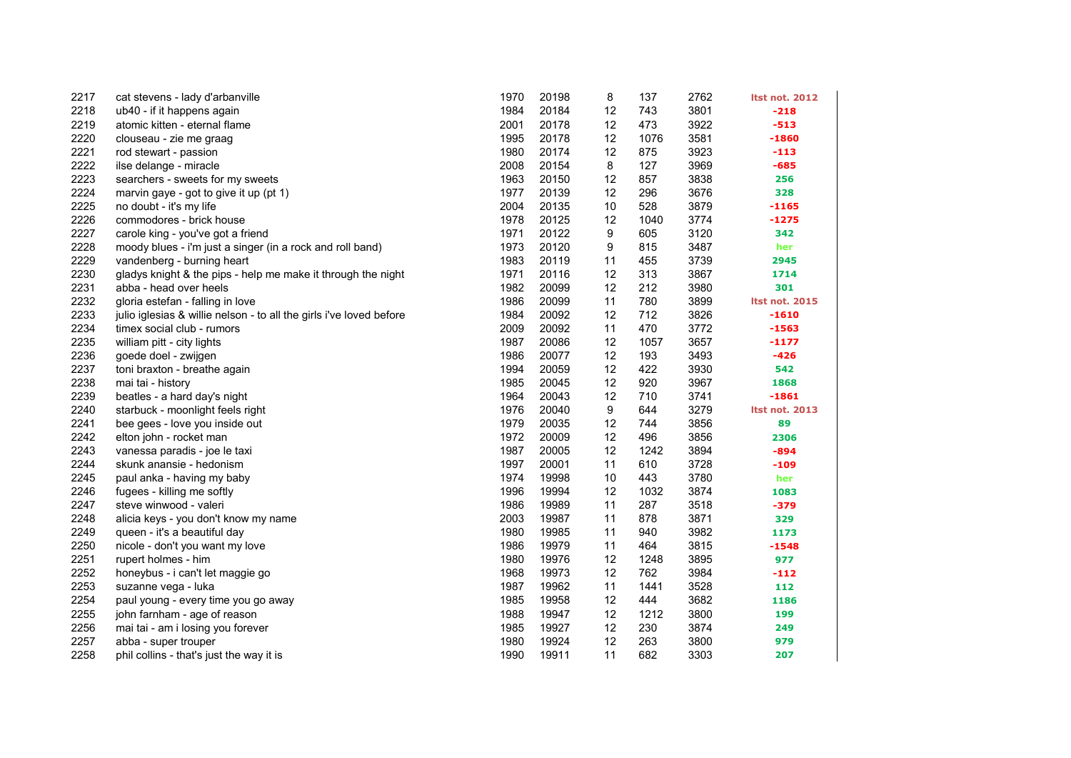| 2217 | cat stevens - lady d'arbanville                                     | 1970 | 20198 | 8  | 137  | 2762 | <b>Itst not. 2012</b> |
|------|---------------------------------------------------------------------|------|-------|----|------|------|-----------------------|
| 2218 | ub40 - if it happens again                                          | 1984 | 20184 | 12 | 743  | 3801 | $-218$                |
| 2219 | atomic kitten - eternal flame                                       | 2001 | 20178 | 12 | 473  | 3922 | $-513$                |
| 2220 | clouseau - zie me graag                                             | 1995 | 20178 | 12 | 1076 | 3581 | -1860                 |
| 2221 | rod stewart - passion                                               | 1980 | 20174 | 12 | 875  | 3923 | $-113$                |
| 2222 | ilse delange - miracle                                              | 2008 | 20154 | 8  | 127  | 3969 | $-685$                |
| 2223 | searchers - sweets for my sweets                                    | 1963 | 20150 | 12 | 857  | 3838 | 256                   |
| 2224 | marvin gaye - got to give it up (pt 1)                              | 1977 | 20139 | 12 | 296  | 3676 | 328                   |
| 2225 | no doubt - it's my life                                             | 2004 | 20135 | 10 | 528  | 3879 | $-1165$               |
| 2226 | commodores - brick house                                            | 1978 | 20125 | 12 | 1040 | 3774 | $-1275$               |
| 2227 | carole king - you've got a friend                                   | 1971 | 20122 | 9  | 605  | 3120 | 342                   |
| 2228 | moody blues - i'm just a singer (in a rock and roll band)           | 1973 | 20120 | 9  | 815  | 3487 | her                   |
| 2229 | vandenberg - burning heart                                          | 1983 | 20119 | 11 | 455  | 3739 | 2945                  |
| 2230 | gladys knight & the pips - help me make it through the night        | 1971 | 20116 | 12 | 313  | 3867 | 1714                  |
| 2231 | abba - head over heels                                              | 1982 | 20099 | 12 | 212  | 3980 | 301                   |
| 2232 | gloria estefan - falling in love                                    | 1986 | 20099 | 11 | 780  | 3899 | <b>Itst not. 2015</b> |
| 2233 | julio iglesias & willie nelson - to all the girls i've loved before | 1984 | 20092 | 12 | 712  | 3826 | $-1610$               |
| 2234 | timex social club - rumors                                          | 2009 | 20092 | 11 | 470  | 3772 | $-1563$               |
| 2235 | william pitt - city lights                                          | 1987 | 20086 | 12 | 1057 | 3657 | $-1177$               |
| 2236 | goede doel - zwijgen                                                | 1986 | 20077 | 12 | 193  | 3493 | -426                  |
| 2237 | toni braxton - breathe again                                        | 1994 | 20059 | 12 | 422  | 3930 | 542                   |
| 2238 | mai tai - history                                                   | 1985 | 20045 | 12 | 920  | 3967 | 1868                  |
| 2239 | beatles - a hard day's night                                        | 1964 | 20043 | 12 | 710  | 3741 | $-1861$               |
| 2240 | starbuck - moonlight feels right                                    | 1976 | 20040 | 9  | 644  | 3279 | <b>Itst not. 2013</b> |
| 2241 | bee gees - love you inside out                                      | 1979 | 20035 | 12 | 744  | 3856 | 89                    |
| 2242 | elton john - rocket man                                             | 1972 | 20009 | 12 | 496  | 3856 | 2306                  |
| 2243 | vanessa paradis - joe le taxi                                       | 1987 | 20005 | 12 | 1242 | 3894 | -894                  |
| 2244 | skunk anansie - hedonism                                            | 1997 | 20001 | 11 | 610  | 3728 | -109                  |
| 2245 | paul anka - having my baby                                          | 1974 | 19998 | 10 | 443  | 3780 | her                   |
| 2246 | fugees - killing me softly                                          | 1996 | 19994 | 12 | 1032 | 3874 | 1083                  |
| 2247 | steve winwood - valeri                                              | 1986 | 19989 | 11 | 287  | 3518 | -379                  |
| 2248 | alicia keys - you don't know my name                                | 2003 | 19987 | 11 | 878  | 3871 | 329                   |
| 2249 | queen - it's a beautiful day                                        | 1980 | 19985 | 11 | 940  | 3982 | 1173                  |
| 2250 | nicole - don't you want my love                                     | 1986 | 19979 | 11 | 464  | 3815 | $-1548$               |
| 2251 | rupert holmes - him                                                 | 1980 | 19976 | 12 | 1248 | 3895 | 977                   |
| 2252 | honeybus - i can't let maggie go                                    | 1968 | 19973 | 12 | 762  | 3984 | -112                  |
| 2253 | suzanne vega - luka                                                 | 1987 | 19962 | 11 | 1441 | 3528 | 112                   |
| 2254 | paul young - every time you go away                                 | 1985 | 19958 | 12 | 444  | 3682 | 1186                  |
| 2255 | john farnham - age of reason                                        | 1988 | 19947 | 12 | 1212 | 3800 | 199                   |
| 2256 | mai tai - am i losing you forever                                   | 1985 | 19927 | 12 | 230  | 3874 | 249                   |
| 2257 | abba - super trouper                                                | 1980 | 19924 | 12 | 263  | 3800 | 979                   |
| 2258 | phil collins - that's just the way it is                            | 1990 | 19911 | 11 | 682  | 3303 | 207                   |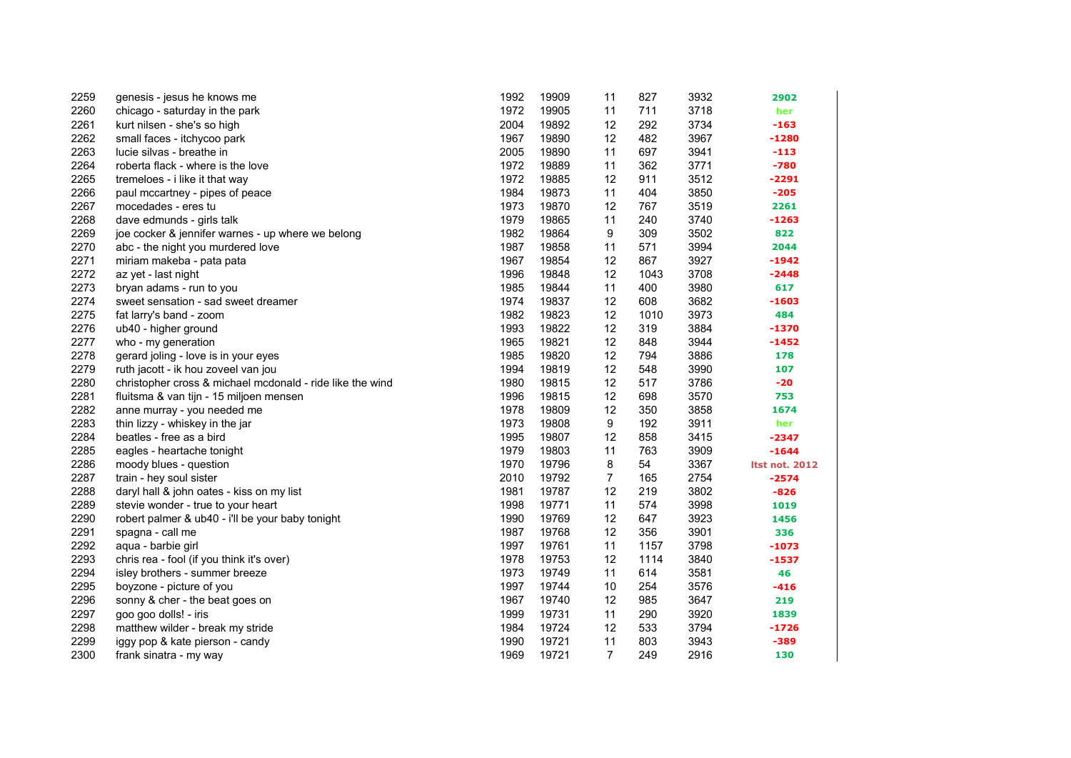| 2259 | genesis - jesus he knows me                               | 1992 | 19909 | 11             | 827  | 3932 | 2902                  |
|------|-----------------------------------------------------------|------|-------|----------------|------|------|-----------------------|
| 2260 | chicago - saturday in the park                            | 1972 | 19905 | 11             | 711  | 3718 | her                   |
| 2261 | kurt nilsen - she's so high                               | 2004 | 19892 | 12             | 292  | 3734 | $-163$                |
| 2262 | small faces - itchycoo park                               | 1967 | 19890 | 12             | 482  | 3967 | $-1280$               |
| 2263 | lucie silvas - breathe in                                 | 2005 | 19890 | 11             | 697  | 3941 | $-113$                |
| 2264 | roberta flack - where is the love                         | 1972 | 19889 | 11             | 362  | 3771 | $-780$                |
| 2265 | tremeloes - i like it that way                            | 1972 | 19885 | 12             | 911  | 3512 | $-2291$               |
| 2266 | paul mccartney - pipes of peace                           | 1984 | 19873 | 11             | 404  | 3850 | $-205$                |
| 2267 | mocedades - eres tu                                       | 1973 | 19870 | 12             | 767  | 3519 | 2261                  |
| 2268 | dave edmunds - girls talk                                 | 1979 | 19865 | 11             | 240  | 3740 | $-1263$               |
| 2269 | joe cocker & jennifer warnes - up where we belong         | 1982 | 19864 | 9              | 309  | 3502 | 822                   |
| 2270 | abc - the night you murdered love                         | 1987 | 19858 | 11             | 571  | 3994 | 2044                  |
| 2271 | miriam makeba - pata pata                                 | 1967 | 19854 | 12             | 867  | 3927 | -1942                 |
| 2272 | az yet - last night                                       | 1996 | 19848 | 12             | 1043 | 3708 | $-2448$               |
| 2273 | bryan adams - run to you                                  | 1985 | 19844 | 11             | 400  | 3980 | 617                   |
| 2274 | sweet sensation - sad sweet dreamer                       | 1974 | 19837 | 12             | 608  | 3682 | -1603                 |
| 2275 | fat larry's band - zoom                                   | 1982 | 19823 | 12             | 1010 | 3973 | 484                   |
| 2276 | ub40 - higher ground                                      | 1993 | 19822 | 12             | 319  | 3884 | -1370                 |
| 2277 | who - my generation                                       | 1965 | 19821 | 12             | 848  | 3944 | $-1452$               |
| 2278 | gerard joling - love is in your eyes                      | 1985 | 19820 | 12             | 794  | 3886 | 178                   |
| 2279 | ruth jacott - ik hou zoveel van jou                       | 1994 | 19819 | 12             | 548  | 3990 | 107                   |
| 2280 | christopher cross & michael mcdonald - ride like the wind | 1980 | 19815 | 12             | 517  | 3786 | $-20$                 |
| 2281 | fluitsma & van tijn - 15 miljoen mensen                   | 1996 | 19815 | 12             | 698  | 3570 | 753                   |
| 2282 | anne murray - you needed me                               | 1978 | 19809 | 12             | 350  | 3858 | 1674                  |
| 2283 | thin lizzy - whiskey in the jar                           | 1973 | 19808 | 9              | 192  | 3911 | her                   |
| 2284 | beatles - free as a bird                                  | 1995 | 19807 | 12             | 858  | 3415 | -2347                 |
| 2285 | eagles - heartache tonight                                | 1979 | 19803 | 11             | 763  | 3909 | $-1644$               |
| 2286 | moody blues - question                                    | 1970 | 19796 | 8              | 54   | 3367 | <b>Itst not. 2012</b> |
| 2287 | train - hey soul sister                                   | 2010 | 19792 | $\overline{7}$ | 165  | 2754 | $-2574$               |
| 2288 | daryl hall & john oates - kiss on my list                 | 1981 | 19787 | 12             | 219  | 3802 | $-826$                |
| 2289 | stevie wonder - true to your heart                        | 1998 | 19771 | 11             | 574  | 3998 | 1019                  |
| 2290 | robert palmer & ub40 - i'll be your baby tonight          | 1990 | 19769 | 12             | 647  | 3923 | 1456                  |
| 2291 | spagna - call me                                          | 1987 | 19768 | 12             | 356  | 3901 | 336                   |
| 2292 | aqua - barbie girl                                        | 1997 | 19761 | 11             | 1157 | 3798 | -1073                 |
| 2293 | chris rea - fool (if you think it's over)                 | 1978 | 19753 | 12             | 1114 | 3840 | -1537                 |
| 2294 | isley brothers - summer breeze                            | 1973 | 19749 | 11             | 614  | 3581 | 46                    |
| 2295 | boyzone - picture of you                                  | 1997 | 19744 | 10             | 254  | 3576 | $-416$                |
| 2296 | sonny & cher - the beat goes on                           | 1967 | 19740 | 12             | 985  | 3647 | 219                   |
| 2297 | goo goo dolls! - iris                                     | 1999 | 19731 | 11             | 290  | 3920 | 1839                  |
| 2298 | matthew wilder - break my stride                          | 1984 | 19724 | 12             | 533  | 3794 | $-1726$               |
| 2299 | iggy pop & kate pierson - candy                           | 1990 | 19721 | 11             | 803  | 3943 | -389                  |
| 2300 | frank sinatra - my way                                    | 1969 | 19721 | $\overline{7}$ | 249  | 2916 | 130                   |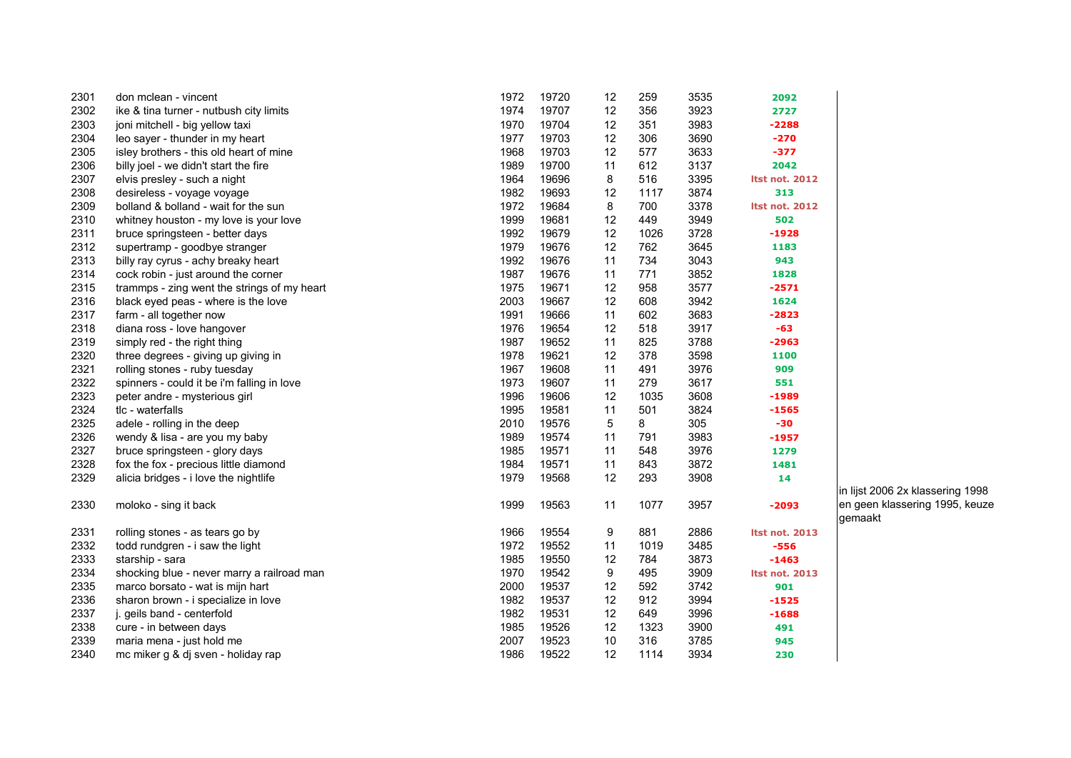| 2301 | don mclean - vincent                        | 1972 | 19720 | 12 | 259  | 3535 | 2092                       |
|------|---------------------------------------------|------|-------|----|------|------|----------------------------|
| 2302 | ike & tina turner - nutbush city limits     | 1974 | 19707 | 12 | 356  | 3923 | 2727                       |
| 2303 | joni mitchell - big yellow taxi             | 1970 | 19704 | 12 | 351  | 3983 | $-2288$                    |
| 2304 | leo sayer - thunder in my heart             | 1977 | 19703 | 12 | 306  | 3690 | $-270$                     |
| 2305 | isley brothers - this old heart of mine     | 1968 | 19703 | 12 | 577  | 3633 | $-377$                     |
| 2306 | billy joel - we didn't start the fire       | 1989 | 19700 | 11 | 612  | 3137 | 2042                       |
| 2307 | elvis presley - such a night                | 1964 | 19696 | 8  | 516  | 3395 | <b>Itst not. 2012</b>      |
| 2308 | desireless - voyage voyage                  | 1982 | 19693 | 12 | 1117 | 3874 | 313                        |
| 2309 | bolland & bolland - wait for the sun        | 1972 | 19684 | 8  | 700  | 3378 | <b>Itst not. 2012</b>      |
| 2310 | whitney houston - my love is your love      | 1999 | 19681 | 12 | 449  | 3949 | 502                        |
| 2311 | bruce springsteen - better days             | 1992 | 19679 | 12 | 1026 | 3728 | $-1928$                    |
| 2312 | supertramp - goodbye stranger               | 1979 | 19676 | 12 | 762  | 3645 | 1183                       |
| 2313 | billy ray cyrus - achy breaky heart         | 1992 | 19676 | 11 | 734  | 3043 | 943                        |
| 2314 | cock robin - just around the corner         | 1987 | 19676 | 11 | 771  | 3852 | 1828                       |
| 2315 | trammps - zing went the strings of my heart | 1975 | 19671 | 12 | 958  | 3577 | $-2571$                    |
| 2316 | black eyed peas - where is the love         | 2003 | 19667 | 12 | 608  | 3942 | 1624                       |
| 2317 | farm - all together now                     | 1991 | 19666 | 11 | 602  | 3683 | $-2823$                    |
| 2318 | diana ross - love hangover                  | 1976 | 19654 | 12 | 518  | 3917 | -63                        |
| 2319 | simply red - the right thing                | 1987 | 19652 | 11 | 825  | 3788 | $-2963$                    |
| 2320 | three degrees - giving up giving in         | 1978 | 19621 | 12 | 378  | 3598 | 1100                       |
| 2321 | rolling stones - ruby tuesday               | 1967 | 19608 | 11 | 491  | 3976 | 909                        |
| 2322 | spinners - could it be i'm falling in love  | 1973 | 19607 | 11 | 279  | 3617 | 551                        |
| 2323 | peter andre - mysterious girl               | 1996 | 19606 | 12 | 1035 | 3608 | -1989                      |
| 2324 | tlc - waterfalls                            | 1995 | 19581 | 11 | 501  | 3824 | -1565                      |
| 2325 | adele - rolling in the deep                 | 2010 | 19576 | 5  | 8    | 305  | -30                        |
| 2326 | wendy & lisa - are you my baby              | 1989 | 19574 | 11 | 791  | 3983 | -1957                      |
| 2327 | bruce springsteen - glory days              | 1985 | 19571 | 11 | 548  | 3976 | 1279                       |
| 2328 | fox the fox - precious little diamond       | 1984 | 19571 | 11 | 843  | 3872 | 1481                       |
| 2329 | alicia bridges - i love the nightlife       | 1979 | 19568 | 12 | 293  | 3908 | 14                         |
|      |                                             |      |       |    |      |      | ın                         |
| 2330 | moloko - sing it back                       | 1999 | 19563 | 11 | 1077 | 3957 | -2093<br>er                |
| 2331 | rolling stones - as tears go by             | 1966 | 19554 | 9  | 881  | 2886 | g<br><b>Itst not. 2013</b> |
| 2332 | todd rundgren - i saw the light             | 1972 | 19552 | 11 | 1019 | 3485 | $-556$                     |
| 2333 | starship - sara                             | 1985 | 19550 | 12 | 784  | 3873 | $-1463$                    |
| 2334 | shocking blue - never marry a railroad man  | 1970 | 19542 | 9  | 495  | 3909 | <b>Itst not. 2013</b>      |
| 2335 | marco borsato - wat is mijn hart            | 2000 | 19537 | 12 | 592  | 3742 | 901                        |
| 2336 | sharon brown - i specialize in love         | 1982 | 19537 | 12 | 912  | 3994 | $-1525$                    |
| 2337 | j. geils band - centerfold                  | 1982 | 19531 | 12 | 649  | 3996 | $-1688$                    |
| 2338 | cure - in between days                      | 1985 | 19526 | 12 | 1323 | 3900 | 491                        |
| 2339 | maria mena - just hold me                   | 2007 | 19523 | 10 | 316  | 3785 | 945                        |
| 2340 | mc miker g & dj sven - holiday rap          | 1986 | 19522 | 12 | 1114 | 3934 | 230                        |

in lijst 2006 2x klassering 1998 en geen klassering 1995, keuze gemaakt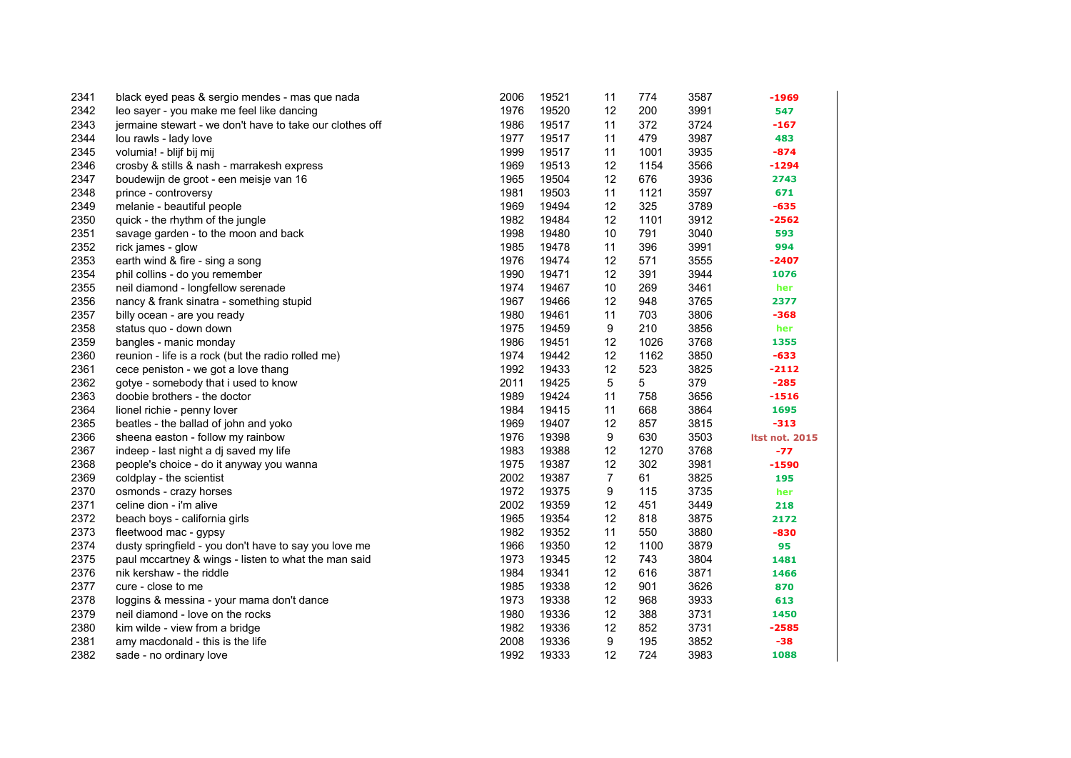| 2341 | black eyed peas & sergio mendes - mas que nada           | 2006 | 19521 | 11             | 774  | 3587 | -1969                 |
|------|----------------------------------------------------------|------|-------|----------------|------|------|-----------------------|
| 2342 | leo sayer - you make me feel like dancing                | 1976 | 19520 | 12             | 200  | 3991 | 547                   |
| 2343 | jermaine stewart - we don't have to take our clothes off | 1986 | 19517 | 11             | 372  | 3724 | $-167$                |
| 2344 | lou rawls - lady love                                    | 1977 | 19517 | 11             | 479  | 3987 | 483                   |
| 2345 | volumia! - blijf bij mij                                 | 1999 | 19517 | 11             | 1001 | 3935 | $-874$                |
| 2346 | crosby & stills & nash - marrakesh express               | 1969 | 19513 | 12             | 1154 | 3566 | $-1294$               |
| 2347 | boudewijn de groot - een meisje van 16                   | 1965 | 19504 | 12             | 676  | 3936 | 2743                  |
| 2348 | prince - controversy                                     | 1981 | 19503 | 11             | 1121 | 3597 | 671                   |
| 2349 | melanie - beautiful people                               | 1969 | 19494 | 12             | 325  | 3789 | $-635$                |
| 2350 | quick - the rhythm of the jungle                         | 1982 | 19484 | 12             | 1101 | 3912 | $-2562$               |
| 2351 | savage garden - to the moon and back                     | 1998 | 19480 | 10             | 791  | 3040 | 593                   |
| 2352 | rick james - glow                                        | 1985 | 19478 | 11             | 396  | 3991 | 994                   |
| 2353 | earth wind & fire - sing a song                          | 1976 | 19474 | 12             | 571  | 3555 | $-2407$               |
| 2354 | phil collins - do you remember                           | 1990 | 19471 | 12             | 391  | 3944 | 1076                  |
| 2355 | neil diamond - longfellow serenade                       | 1974 | 19467 | 10             | 269  | 3461 | her                   |
| 2356 | nancy & frank sinatra - something stupid                 | 1967 | 19466 | 12             | 948  | 3765 | 2377                  |
| 2357 | billy ocean - are you ready                              | 1980 | 19461 | 11             | 703  | 3806 | $-368$                |
| 2358 | status quo - down down                                   | 1975 | 19459 | 9              | 210  | 3856 | her                   |
| 2359 | bangles - manic monday                                   | 1986 | 19451 | 12             | 1026 | 3768 | 1355                  |
| 2360 | reunion - life is a rock (but the radio rolled me)       | 1974 | 19442 | 12             | 1162 | 3850 | $-633$                |
| 2361 | cece peniston - we got a love thang                      | 1992 | 19433 | 12             | 523  | 3825 | $-2112$               |
| 2362 | gotye - somebody that i used to know                     | 2011 | 19425 | 5              | 5    | 379  | $-285$                |
| 2363 | doobie brothers - the doctor                             | 1989 | 19424 | 11             | 758  | 3656 | $-1516$               |
| 2364 | lionel richie - penny lover                              | 1984 | 19415 | 11             | 668  | 3864 | 1695                  |
| 2365 | beatles - the ballad of john and yoko                    | 1969 | 19407 | 12             | 857  | 3815 | $-313$                |
| 2366 | sheena easton - follow my rainbow                        | 1976 | 19398 | 9              | 630  | 3503 | <b>Itst not. 2015</b> |
| 2367 | indeep - last night a dj saved my life                   | 1983 | 19388 | 12             | 1270 | 3768 | $-77$                 |
| 2368 | people's choice - do it anyway you wanna                 | 1975 | 19387 | 12             | 302  | 3981 | $-1590$               |
| 2369 | coldplay - the scientist                                 | 2002 | 19387 | $\overline{7}$ | 61   | 3825 | 195                   |
| 2370 | osmonds - crazy horses                                   | 1972 | 19375 | 9              | 115  | 3735 | her                   |
| 2371 | celine dion - i'm alive                                  | 2002 | 19359 | 12             | 451  | 3449 | 218                   |
| 2372 | beach boys - california girls                            | 1965 | 19354 | 12             | 818  | 3875 | 2172                  |
| 2373 | fleetwood mac - gypsy                                    | 1982 | 19352 | 11             | 550  | 3880 | $-830$                |
| 2374 | dusty springfield - you don't have to say you love me    | 1966 | 19350 | 12             | 1100 | 3879 | 95                    |
| 2375 | paul mccartney & wings - listen to what the man said     | 1973 | 19345 | 12             | 743  | 3804 | 1481                  |
| 2376 | nik kershaw - the riddle                                 | 1984 | 19341 | 12             | 616  | 3871 | 1466                  |
| 2377 | cure - close to me                                       | 1985 | 19338 | 12             | 901  | 3626 | 870                   |
| 2378 | loggins & messina - your mama don't dance                | 1973 | 19338 | 12             | 968  | 3933 | 613                   |
| 2379 | neil diamond - love on the rocks                         | 1980 | 19336 | 12             | 388  | 3731 | 1450                  |
| 2380 | kim wilde - view from a bridge                           | 1982 | 19336 | 12             | 852  | 3731 | $-2585$               |
| 2381 | amy macdonald - this is the life                         | 2008 | 19336 | 9              | 195  | 3852 | $-38$                 |
| 2382 | sade - no ordinary love                                  | 1992 | 19333 | 12             | 724  | 3983 | 1088                  |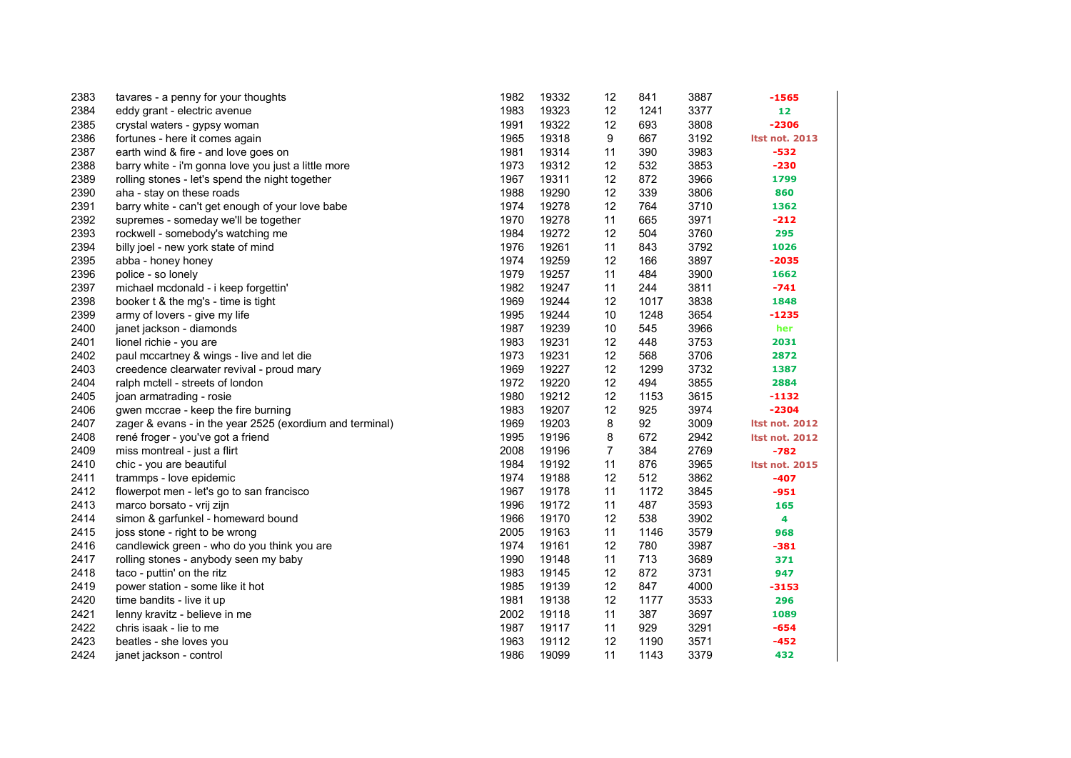| 2383 | tavares - a penny for your thoughts                      | 1982 | 19332 | 12             | 841  | 3887 | $-1565$               |
|------|----------------------------------------------------------|------|-------|----------------|------|------|-----------------------|
| 2384 | eddy grant - electric avenue                             | 1983 | 19323 | 12             | 1241 | 3377 | 12                    |
| 2385 | crystal waters - gypsy woman                             | 1991 | 19322 | 12             | 693  | 3808 | $-2306$               |
| 2386 | fortunes - here it comes again                           | 1965 | 19318 | 9              | 667  | 3192 | <b>Itst not. 2013</b> |
| 2387 | earth wind & fire - and love goes on                     | 1981 | 19314 | 11             | 390  | 3983 | $-532$                |
| 2388 | barry white - i'm gonna love you just a little more      | 1973 | 19312 | 12             | 532  | 3853 | $-230$                |
| 2389 | rolling stones - let's spend the night together          | 1967 | 19311 | 12             | 872  | 3966 | 1799                  |
| 2390 | aha - stay on these roads                                | 1988 | 19290 | 12             | 339  | 3806 | 860                   |
| 2391 | barry white - can't get enough of your love babe         | 1974 | 19278 | 12             | 764  | 3710 | 1362                  |
| 2392 | supremes - someday we'll be together                     | 1970 | 19278 | 11             | 665  | 3971 | $-212$                |
| 2393 | rockwell - somebody's watching me                        | 1984 | 19272 | 12             | 504  | 3760 | 295                   |
| 2394 | billy joel - new york state of mind                      | 1976 | 19261 | 11             | 843  | 3792 | 1026                  |
| 2395 | abba - honey honey                                       | 1974 | 19259 | 12             | 166  | 3897 | $-2035$               |
| 2396 | police - so lonely                                       | 1979 | 19257 | 11             | 484  | 3900 | 1662                  |
| 2397 | michael mcdonald - i keep forgettin'                     | 1982 | 19247 | 11             | 244  | 3811 | $-741$                |
| 2398 | booker t & the mg's - time is tight                      | 1969 | 19244 | 12             | 1017 | 3838 | 1848                  |
| 2399 | army of lovers - give my life                            | 1995 | 19244 | 10             | 1248 | 3654 | -1235                 |
| 2400 | janet jackson - diamonds                                 | 1987 | 19239 | 10             | 545  | 3966 | her                   |
| 2401 | lionel richie - you are                                  | 1983 | 19231 | 12             | 448  | 3753 | 2031                  |
| 2402 | paul mccartney & wings - live and let die                | 1973 | 19231 | 12             | 568  | 3706 | 2872                  |
| 2403 | creedence clearwater revival - proud mary                | 1969 | 19227 | 12             | 1299 | 3732 | 1387                  |
| 2404 | ralph mctell - streets of london                         | 1972 | 19220 | 12             | 494  | 3855 | 2884                  |
| 2405 | joan armatrading - rosie                                 | 1980 | 19212 | 12             | 1153 | 3615 | $-1132$               |
| 2406 | gwen mccrae - keep the fire burning                      | 1983 | 19207 | 12             | 925  | 3974 | $-2304$               |
| 2407 | zager & evans - in the year 2525 (exordium and terminal) | 1969 | 19203 | 8              | 92   | 3009 | <b>Itst not. 2012</b> |
| 2408 | rené froger - you've got a friend                        | 1995 | 19196 | 8              | 672  | 2942 | <b>Itst not. 2012</b> |
| 2409 | miss montreal - just a flirt                             | 2008 | 19196 | $\overline{7}$ | 384  | 2769 | $-782$                |
| 2410 | chic - you are beautiful                                 | 1984 | 19192 | 11             | 876  | 3965 | <b>Itst not. 2015</b> |
| 2411 | trammps - love epidemic                                  | 1974 | 19188 | 12             | 512  | 3862 | $-407$                |
| 2412 | flowerpot men - let's go to san francisco                | 1967 | 19178 | 11             | 1172 | 3845 | $-951$                |
| 2413 | marco borsato - vrij zijn                                | 1996 | 19172 | 11             | 487  | 3593 | 165                   |
| 2414 | simon & garfunkel - homeward bound                       | 1966 | 19170 | 12             | 538  | 3902 | 4                     |
| 2415 | joss stone - right to be wrong                           | 2005 | 19163 | 11             | 1146 | 3579 | 968                   |
| 2416 | candlewick green - who do you think you are              | 1974 | 19161 | 12             | 780  | 3987 | $-381$                |
| 2417 | rolling stones - anybody seen my baby                    | 1990 | 19148 | 11             | 713  | 3689 | 371                   |
| 2418 | taco - puttin' on the ritz                               | 1983 | 19145 | 12             | 872  | 3731 | 947                   |
| 2419 | power station - some like it hot                         | 1985 | 19139 | 12             | 847  | 4000 | $-3153$               |
| 2420 | time bandits - live it up                                | 1981 | 19138 | 12             | 1177 | 3533 | 296                   |
| 2421 | lenny kravitz - believe in me                            | 2002 | 19118 | 11             | 387  | 3697 | 1089                  |
| 2422 | chris isaak - lie to me                                  | 1987 | 19117 | 11             | 929  | 3291 | $-654$                |
| 2423 | beatles - she loves you                                  | 1963 | 19112 | 12             | 1190 | 3571 | $-452$                |
| 2424 | janet jackson - control                                  | 1986 | 19099 | 11             | 1143 | 3379 | 432                   |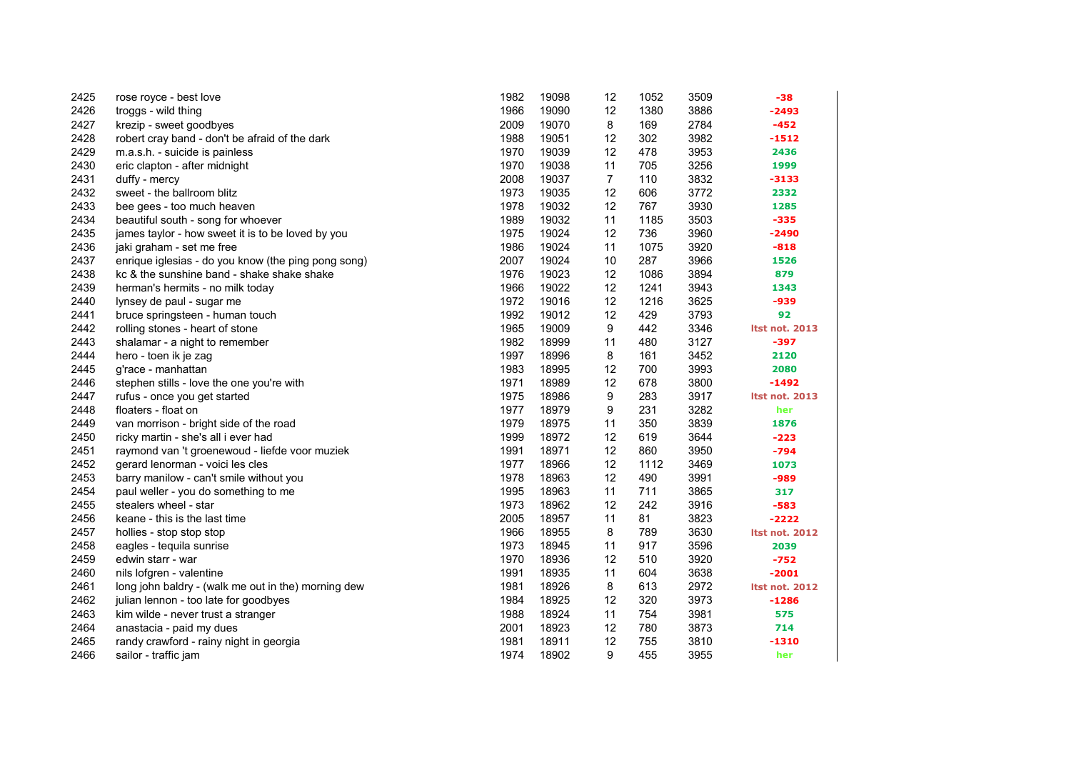| 2425 | rose royce - best love                              | 1982 | 19098 | 12             | 1052 | 3509 | -38                   |
|------|-----------------------------------------------------|------|-------|----------------|------|------|-----------------------|
| 2426 | troggs - wild thing                                 | 1966 | 19090 | 12             | 1380 | 3886 | $-2493$               |
| 2427 | krezip - sweet goodbyes                             | 2009 | 19070 | 8              | 169  | 2784 | $-452$                |
| 2428 | robert cray band - don't be afraid of the dark      | 1988 | 19051 | 12             | 302  | 3982 | -1512                 |
| 2429 | m.a.s.h. - suicide is painless                      | 1970 | 19039 | 12             | 478  | 3953 | 2436                  |
| 2430 | eric clapton - after midnight                       | 1970 | 19038 | 11             | 705  | 3256 | 1999                  |
| 2431 | duffy - mercy                                       | 2008 | 19037 | $\overline{7}$ | 110  | 3832 | $-3133$               |
| 2432 | sweet - the ballroom blitz                          | 1973 | 19035 | 12             | 606  | 3772 | 2332                  |
| 2433 | bee gees - too much heaven                          | 1978 | 19032 | 12             | 767  | 3930 | 1285                  |
| 2434 | beautiful south - song for whoever                  | 1989 | 19032 | 11             | 1185 | 3503 | $-335$                |
| 2435 | james taylor - how sweet it is to be loved by you   | 1975 | 19024 | 12             | 736  | 3960 | $-2490$               |
| 2436 | jaki graham - set me free                           | 1986 | 19024 | 11             | 1075 | 3920 | $-818$                |
| 2437 | enrique iglesias - do you know (the ping pong song) | 2007 | 19024 | 10             | 287  | 3966 | 1526                  |
| 2438 | kc & the sunshine band - shake shake shake          | 1976 | 19023 | 12             | 1086 | 3894 | 879                   |
| 2439 | herman's hermits - no milk today                    | 1966 | 19022 | 12             | 1241 | 3943 | 1343                  |
| 2440 | lynsey de paul - sugar me                           | 1972 | 19016 | 12             | 1216 | 3625 | -939                  |
| 2441 | bruce springsteen - human touch                     | 1992 | 19012 | 12             | 429  | 3793 | 92                    |
| 2442 | rolling stones - heart of stone                     | 1965 | 19009 | 9              | 442  | 3346 | <b>Itst not. 2013</b> |
| 2443 | shalamar - a night to remember                      | 1982 | 18999 | 11             | 480  | 3127 | $-397$                |
| 2444 | hero - toen ik je zag                               | 1997 | 18996 | 8              | 161  | 3452 | 2120                  |
| 2445 | g'race - manhattan                                  | 1983 | 18995 | 12             | 700  | 3993 | 2080                  |
| 2446 | stephen stills - love the one you're with           | 1971 | 18989 | 12             | 678  | 3800 | $-1492$               |
| 2447 | rufus - once you get started                        | 1975 | 18986 | 9              | 283  | 3917 | <b>Itst not. 2013</b> |
| 2448 | floaters - float on                                 | 1977 | 18979 | 9              | 231  | 3282 | her                   |
| 2449 | van morrison - bright side of the road              | 1979 | 18975 | 11             | 350  | 3839 | 1876                  |
| 2450 | ricky martin - she's all i ever had                 | 1999 | 18972 | 12             | 619  | 3644 | $-223$                |
| 2451 | raymond van 't groenewoud - liefde voor muziek      | 1991 | 18971 | 12             | 860  | 3950 | $-794$                |
| 2452 | gerard lenorman - voici les cles                    | 1977 | 18966 | 12             | 1112 | 3469 | 1073                  |
| 2453 | barry manilow - can't smile without you             | 1978 | 18963 | 12             | 490  | 3991 | -989                  |
| 2454 | paul weller - you do something to me                | 1995 | 18963 | 11             | 711  | 3865 | 317                   |
| 2455 | stealers wheel - star                               | 1973 | 18962 | 12             | 242  | 3916 | $-583$                |
| 2456 | keane - this is the last time                       | 2005 | 18957 | 11             | 81   | 3823 | -2222                 |
| 2457 | hollies - stop stop stop                            | 1966 | 18955 | 8              | 789  | 3630 | <b>Itst not. 2012</b> |
| 2458 | eagles - tequila sunrise                            | 1973 | 18945 | 11             | 917  | 3596 | 2039                  |
| 2459 | edwin starr - war                                   | 1970 | 18936 | 12             | 510  | 3920 | $-752$                |
| 2460 | nils lofgren - valentine                            | 1991 | 18935 | 11             | 604  | 3638 | $-2001$               |
| 2461 | long john baldry - (walk me out in the) morning dew | 1981 | 18926 | 8              | 613  | 2972 | <b>Itst not. 2012</b> |
| 2462 | julian lennon - too late for goodbyes               | 1984 | 18925 | 12             | 320  | 3973 | $-1286$               |
| 2463 | kim wilde - never trust a stranger                  | 1988 | 18924 | 11             | 754  | 3981 | 575                   |
| 2464 | anastacia - paid my dues                            | 2001 | 18923 | 12             | 780  | 3873 | 714                   |
| 2465 | randy crawford - rainy night in georgia             | 1981 | 18911 | 12             | 755  | 3810 | $-1310$               |
| 2466 | sailor - traffic jam                                | 1974 | 18902 | 9              | 455  | 3955 | her                   |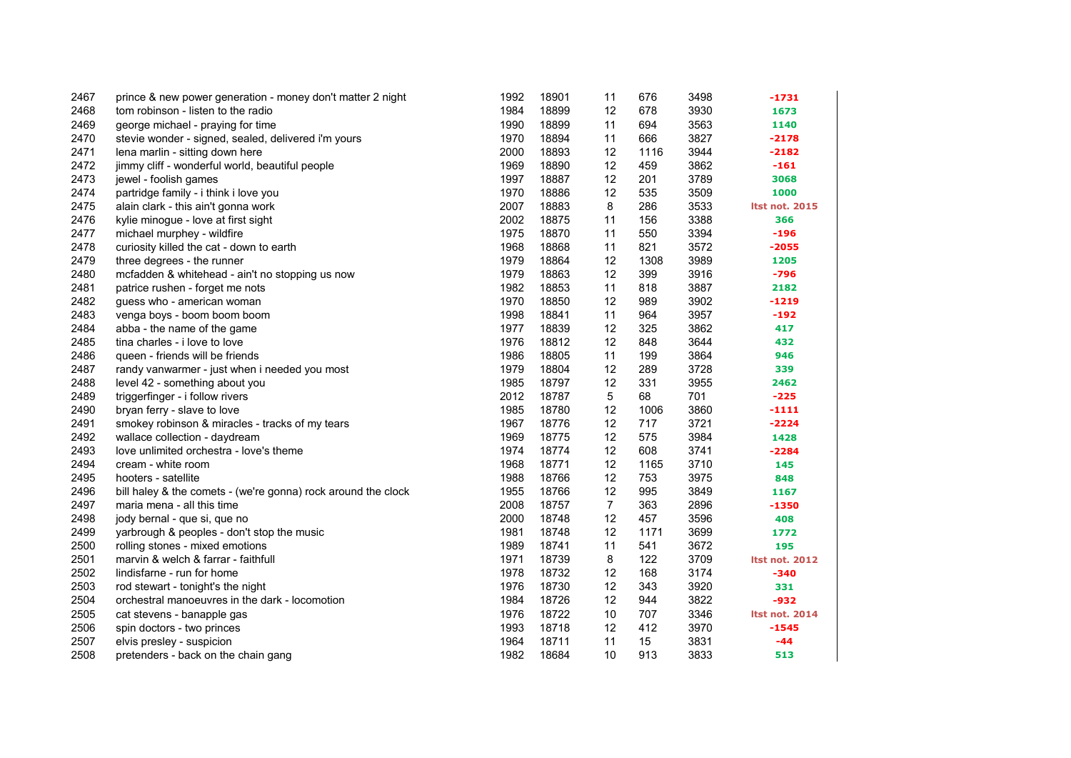| 2467 | prince & new power generation - money don't matter 2 night    | 1992 | 18901 | 11             | 676  | 3498 | $-1731$               |
|------|---------------------------------------------------------------|------|-------|----------------|------|------|-----------------------|
| 2468 | tom robinson - listen to the radio                            | 1984 | 18899 | 12             | 678  | 3930 | 1673                  |
| 2469 | george michael - praying for time                             | 1990 | 18899 | 11             | 694  | 3563 | 1140                  |
| 2470 | stevie wonder - signed, sealed, delivered i'm yours           | 1970 | 18894 | 11             | 666  | 3827 | $-2178$               |
| 2471 | lena marlin - sitting down here                               | 2000 | 18893 | 12             | 1116 | 3944 | $-2182$               |
| 2472 | jimmy cliff - wonderful world, beautiful people               | 1969 | 18890 | 12             | 459  | 3862 | $-161$                |
| 2473 | jewel - foolish games                                         | 1997 | 18887 | 12             | 201  | 3789 | 3068                  |
| 2474 | partridge family - i think i love you                         | 1970 | 18886 | 12             | 535  | 3509 | 1000                  |
| 2475 | alain clark - this ain't gonna work                           | 2007 | 18883 | 8              | 286  | 3533 | <b>Itst not. 2015</b> |
| 2476 | kylie minogue - love at first sight                           | 2002 | 18875 | 11             | 156  | 3388 | 366                   |
| 2477 | michael murphey - wildfire                                    | 1975 | 18870 | 11             | 550  | 3394 | $-196$                |
| 2478 | curiosity killed the cat - down to earth                      | 1968 | 18868 | 11             | 821  | 3572 | $-2055$               |
| 2479 | three degrees - the runner                                    | 1979 | 18864 | 12             | 1308 | 3989 | 1205                  |
| 2480 | mcfadden & whitehead - ain't no stopping us now               | 1979 | 18863 | 12             | 399  | 3916 | $-796$                |
| 2481 | patrice rushen - forget me nots                               | 1982 | 18853 | 11             | 818  | 3887 | 2182                  |
| 2482 | guess who - american woman                                    | 1970 | 18850 | 12             | 989  | 3902 | $-1219$               |
| 2483 | venga boys - boom boom boom                                   | 1998 | 18841 | 11             | 964  | 3957 | $-192$                |
| 2484 | abba - the name of the game                                   | 1977 | 18839 | 12             | 325  | 3862 | 417                   |
| 2485 | tina charles - i love to love                                 | 1976 | 18812 | 12             | 848  | 3644 | 432                   |
| 2486 | queen - friends will be friends                               | 1986 | 18805 | 11             | 199  | 3864 | 946                   |
| 2487 | randy vanwarmer - just when i needed you most                 | 1979 | 18804 | 12             | 289  | 3728 | 339                   |
| 2488 | level 42 - something about you                                | 1985 | 18797 | 12             | 331  | 3955 | 2462                  |
| 2489 | triggerfinger - i follow rivers                               | 2012 | 18787 | 5              | 68   | 701  | $-225$                |
| 2490 | bryan ferry - slave to love                                   | 1985 | 18780 | 12             | 1006 | 3860 | $-1111$               |
| 2491 | smokey robinson & miracles - tracks of my tears               | 1967 | 18776 | 12             | 717  | 3721 | $-2224$               |
| 2492 | wallace collection - daydream                                 | 1969 | 18775 | 12             | 575  | 3984 | 1428                  |
| 2493 | love unlimited orchestra - love's theme                       | 1974 | 18774 | 12             | 608  | 3741 | $-2284$               |
| 2494 | cream - white room                                            | 1968 | 18771 | 12             | 1165 | 3710 | 145                   |
| 2495 | hooters - satellite                                           | 1988 | 18766 | 12             | 753  | 3975 | 848                   |
| 2496 | bill haley & the comets - (we're gonna) rock around the clock | 1955 | 18766 | 12             | 995  | 3849 | 1167                  |
| 2497 | maria mena - all this time                                    | 2008 | 18757 | $\overline{7}$ | 363  | 2896 | $-1350$               |
| 2498 | jody bernal - que si, que no                                  | 2000 | 18748 | 12             | 457  | 3596 | 408                   |
| 2499 | yarbrough & peoples - don't stop the music                    | 1981 | 18748 | 12             | 1171 | 3699 | 1772                  |
| 2500 | rolling stones - mixed emotions                               | 1989 | 18741 | 11             | 541  | 3672 | 195                   |
| 2501 | marvin & welch & farrar - faithfull                           | 1971 | 18739 | 8              | 122  | 3709 | <b>Itst not. 2012</b> |
| 2502 | lindisfarne - run for home                                    | 1978 | 18732 | 12             | 168  | 3174 | $-340$                |
| 2503 | rod stewart - tonight's the night                             | 1976 | 18730 | 12             | 343  | 3920 | 331                   |
| 2504 | orchestral manoeuvres in the dark - locomotion                | 1984 | 18726 | 12             | 944  | 3822 | $-932$                |
| 2505 | cat stevens - banapple gas                                    | 1976 | 18722 | 10             | 707  | 3346 | <b>Itst not. 2014</b> |
| 2506 | spin doctors - two princes                                    | 1993 | 18718 | 12             | 412  | 3970 | $-1545$               |
| 2507 | elvis presley - suspicion                                     | 1964 | 18711 | 11             | 15   | 3831 | $-44$                 |
| 2508 | pretenders - back on the chain gang                           | 1982 | 18684 | 10             | 913  | 3833 | 513                   |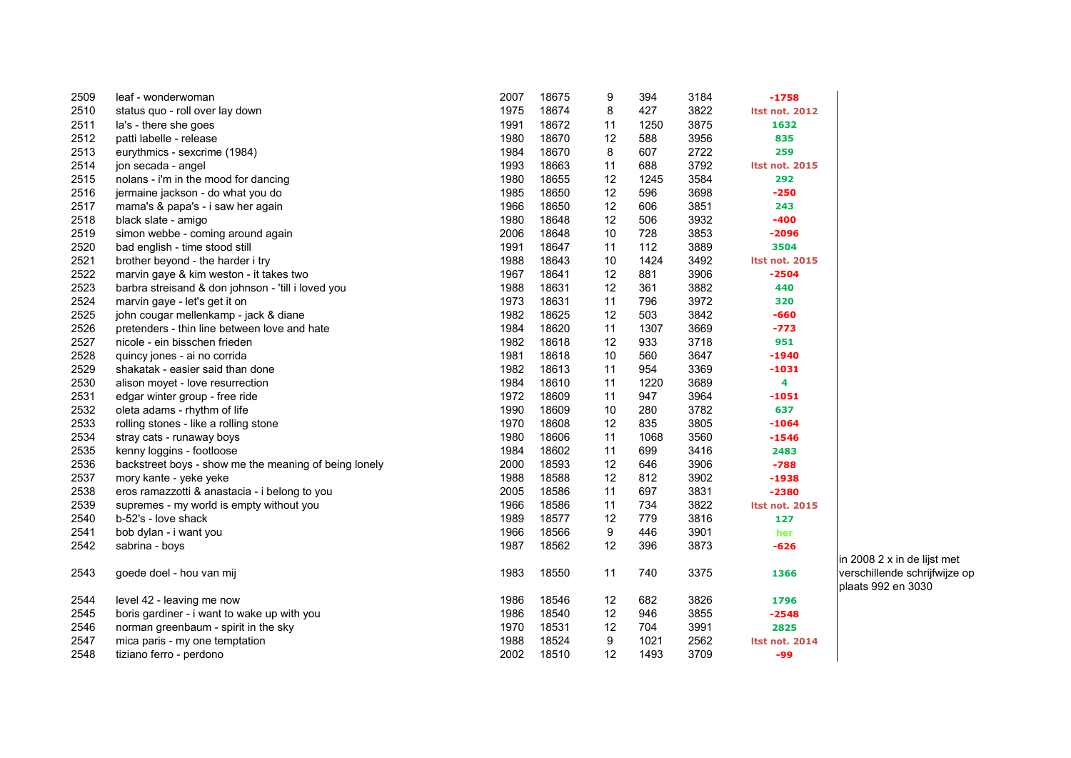| 2509 | leaf - wonderwoman                                    | 2007 | 18675 | 9  | 394  | 3184 | $-1758$               |
|------|-------------------------------------------------------|------|-------|----|------|------|-----------------------|
| 2510 | status quo - roll over lay down                       | 1975 | 18674 | 8  | 427  | 3822 | <b>Itst not. 2012</b> |
| 2511 | la's - there she goes                                 | 1991 | 18672 | 11 | 1250 | 3875 | 1632                  |
| 2512 | patti labelle - release                               | 1980 | 18670 | 12 | 588  | 3956 | 835                   |
| 2513 | eurythmics - sexcrime (1984)                          | 1984 | 18670 | 8  | 607  | 2722 | 259                   |
| 2514 | jon secada - angel                                    | 1993 | 18663 | 11 | 688  | 3792 | <b>Itst not. 2015</b> |
| 2515 | nolans - i'm in the mood for dancing                  | 1980 | 18655 | 12 | 1245 | 3584 | 292                   |
| 2516 | jermaine jackson - do what you do                     | 1985 | 18650 | 12 | 596  | 3698 | $-250$                |
| 2517 | mama's & papa's - i saw her again                     | 1966 | 18650 | 12 | 606  | 3851 | 243                   |
| 2518 | black slate - amigo                                   | 1980 | 18648 | 12 | 506  | 3932 | $-400$                |
| 2519 | simon webbe - coming around again                     | 2006 | 18648 | 10 | 728  | 3853 | $-2096$               |
| 2520 | bad english - time stood still                        | 1991 | 18647 | 11 | 112  | 3889 | 3504                  |
| 2521 | brother beyond - the harder i try                     | 1988 | 18643 | 10 | 1424 | 3492 | <b>Itst not. 2015</b> |
| 2522 | marvin gaye & kim weston - it takes two               | 1967 | 18641 | 12 | 881  | 3906 | $-2504$               |
| 2523 | barbra streisand & don johnson - 'till i loved you    | 1988 | 18631 | 12 | 361  | 3882 | 440                   |
| 2524 | marvin gaye - let's get it on                         | 1973 | 18631 | 11 | 796  | 3972 | 320                   |
| 2525 | john cougar mellenkamp - jack & diane                 | 1982 | 18625 | 12 | 503  | 3842 | $-660$                |
| 2526 | pretenders - thin line between love and hate          | 1984 | 18620 | 11 | 1307 | 3669 | $-773$                |
| 2527 | nicole - ein bisschen frieden                         | 1982 | 18618 | 12 | 933  | 3718 | 951                   |
| 2528 | quincy jones - ai no corrida                          | 1981 | 18618 | 10 | 560  | 3647 | $-1940$               |
| 2529 | shakatak - easier said than done                      | 1982 | 18613 | 11 | 954  | 3369 | $-1031$               |
| 2530 | alison moyet - love resurrection                      | 1984 | 18610 | 11 | 1220 | 3689 | 4                     |
| 2531 | edgar winter group - free ride                        | 1972 | 18609 | 11 | 947  | 3964 | $-1051$               |
| 2532 | oleta adams - rhythm of life                          | 1990 | 18609 | 10 | 280  | 3782 | 637                   |
| 2533 | rolling stones - like a rolling stone                 | 1970 | 18608 | 12 | 835  | 3805 | $-1064$               |
| 2534 | stray cats - runaway boys                             | 1980 | 18606 | 11 | 1068 | 3560 | $-1546$               |
| 2535 | kenny loggins - footloose                             | 1984 | 18602 | 11 | 699  | 3416 | 2483                  |
| 2536 | backstreet boys - show me the meaning of being lonely | 2000 | 18593 | 12 | 646  | 3906 | $-788$                |
| 2537 | mory kante - yeke yeke                                | 1988 | 18588 | 12 | 812  | 3902 | $-1938$               |
| 2538 | eros ramazzotti & anastacia - i belong to you         | 2005 | 18586 | 11 | 697  | 3831 | $-2380$               |
| 2539 | supremes - my world is empty without you              | 1966 | 18586 | 11 | 734  | 3822 | <b>Itst not. 2015</b> |
| 2540 | b-52's - love shack                                   | 1989 | 18577 | 12 | 779  | 3816 | 127                   |
| 2541 | bob dylan - i want you                                | 1966 | 18566 | 9  | 446  | 3901 | her                   |
| 2542 | sabrina - boys                                        | 1987 | 18562 | 12 | 396  | 3873 | $-626$                |
| 2543 | goede doel - hou van mij                              | 1983 | 18550 | 11 | 740  | 3375 | 1366                  |
| 2544 | level 42 - leaving me now                             | 1986 | 18546 | 12 | 682  | 3826 | 1796                  |
| 2545 | boris gardiner - i want to wake up with you           | 1986 | 18540 | 12 | 946  | 3855 | $-2548$               |
| 2546 | norman greenbaum - spirit in the sky                  | 1970 | 18531 | 12 | 704  | 3991 | 2825                  |
| 2547 | mica paris - my one temptation                        | 1988 | 18524 | 9  | 1021 | 2562 | <b>Itst not. 2014</b> |
| 2548 | tiziano ferro - perdono                               | 2002 | 18510 | 12 | 1493 | 3709 | -99                   |

in 2008 2 x in de lijst met verschillende schrijfwijze op plaats 992 en 3030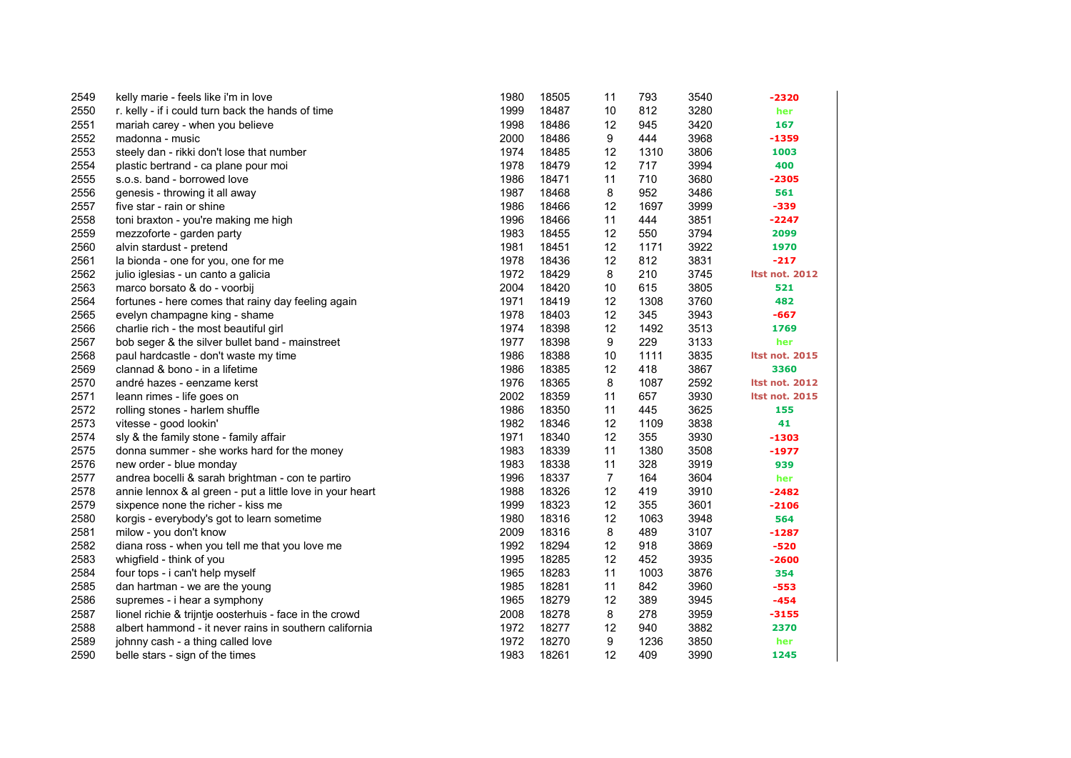| 2549 | kelly marie - feels like i'm in love                      | 1980 | 18505 | 11             | 793  | 3540 | -2320                 |
|------|-----------------------------------------------------------|------|-------|----------------|------|------|-----------------------|
| 2550 | r. kelly - if i could turn back the hands of time         | 1999 | 18487 | 10             | 812  | 3280 | her                   |
| 2551 | mariah carey - when you believe                           | 1998 | 18486 | 12             | 945  | 3420 | 167                   |
| 2552 | madonna - music                                           | 2000 | 18486 | 9              | 444  | 3968 | $-1359$               |
| 2553 | steely dan - rikki don't lose that number                 | 1974 | 18485 | 12             | 1310 | 3806 | 1003                  |
| 2554 | plastic bertrand - ca plane pour moi                      | 1978 | 18479 | 12             | 717  | 3994 | 400                   |
| 2555 | s.o.s. band - borrowed love                               | 1986 | 18471 | 11             | 710  | 3680 | $-2305$               |
| 2556 | genesis - throwing it all away                            | 1987 | 18468 | 8              | 952  | 3486 | 561                   |
| 2557 | five star - rain or shine                                 | 1986 | 18466 | 12             | 1697 | 3999 | -339                  |
| 2558 | toni braxton - you're making me high                      | 1996 | 18466 | 11             | 444  | 3851 | $-2247$               |
| 2559 | mezzoforte - garden party                                 | 1983 | 18455 | 12             | 550  | 3794 | 2099                  |
| 2560 | alvin stardust - pretend                                  | 1981 | 18451 | 12             | 1171 | 3922 | 1970                  |
| 2561 | la bionda - one for you, one for me                       | 1978 | 18436 | 12             | 812  | 3831 | $-217$                |
| 2562 | julio iglesias - un canto a galicia                       | 1972 | 18429 | 8              | 210  | 3745 | <b>Itst not. 2012</b> |
| 2563 | marco borsato & do - voorbij                              | 2004 | 18420 | 10             | 615  | 3805 | 521                   |
| 2564 | fortunes - here comes that rainy day feeling again        | 1971 | 18419 | 12             | 1308 | 3760 | 482                   |
| 2565 | evelyn champagne king - shame                             | 1978 | 18403 | 12             | 345  | 3943 | $-667$                |
| 2566 | charlie rich - the most beautiful girl                    | 1974 | 18398 | 12             | 1492 | 3513 | 1769                  |
| 2567 | bob seger & the silver bullet band - mainstreet           | 1977 | 18398 | 9              | 229  | 3133 | her                   |
| 2568 | paul hardcastle - don't waste my time                     | 1986 | 18388 | 10             | 1111 | 3835 | <b>Itst not. 2015</b> |
| 2569 | clannad & bono - in a lifetime                            | 1986 | 18385 | 12             | 418  | 3867 | 3360                  |
| 2570 | andré hazes - eenzame kerst                               | 1976 | 18365 | 8              | 1087 | 2592 | <b>Itst not. 2012</b> |
| 2571 | leann rimes - life goes on                                | 2002 | 18359 | 11             | 657  | 3930 | <b>Itst not. 2015</b> |
| 2572 | rolling stones - harlem shuffle                           | 1986 | 18350 | 11             | 445  | 3625 | 155                   |
| 2573 | vitesse - good lookin'                                    | 1982 | 18346 | 12             | 1109 | 3838 | 41                    |
| 2574 | sly & the family stone - family affair                    | 1971 | 18340 | 12             | 355  | 3930 | $-1303$               |
| 2575 | donna summer - she works hard for the money               | 1983 | 18339 | 11             | 1380 | 3508 | $-1977$               |
| 2576 | new order - blue monday                                   | 1983 | 18338 | 11             | 328  | 3919 | 939                   |
| 2577 | andrea bocelli & sarah brightman - con te partiro         | 1996 | 18337 | $\overline{7}$ | 164  | 3604 | her                   |
| 2578 | annie lennox & al green - put a little love in your heart | 1988 | 18326 | 12             | 419  | 3910 | $-2482$               |
| 2579 | sixpence none the richer - kiss me                        | 1999 | 18323 | 12             | 355  | 3601 | $-2106$               |
| 2580 | korgis - everybody's got to learn sometime                | 1980 | 18316 | 12             | 1063 | 3948 | 564                   |
| 2581 | milow - you don't know                                    | 2009 | 18316 | 8              | 489  | 3107 | $-1287$               |
| 2582 | diana ross - when you tell me that you love me            | 1992 | 18294 | 12             | 918  | 3869 | $-520$                |
| 2583 | whigfield - think of you                                  | 1995 | 18285 | 12             | 452  | 3935 | $-2600$               |
| 2584 | four tops - i can't help myself                           | 1965 | 18283 | 11             | 1003 | 3876 | 354                   |
| 2585 | dan hartman - we are the young                            | 1985 | 18281 | 11             | 842  | 3960 | $-553$                |
| 2586 | supremes - i hear a symphony                              | 1965 | 18279 | 12             | 389  | 3945 | $-454$                |
| 2587 | lionel richie & trijntje oosterhuis - face in the crowd   | 2008 | 18278 | 8              | 278  | 3959 | $-3155$               |
| 2588 | albert hammond - it never rains in southern california    | 1972 | 18277 | 12             | 940  | 3882 | 2370                  |
| 2589 | johnny cash - a thing called love                         | 1972 | 18270 | 9              | 1236 | 3850 | her                   |
| 2590 | belle stars - sign of the times                           | 1983 | 18261 | 12             | 409  | 3990 | 1245                  |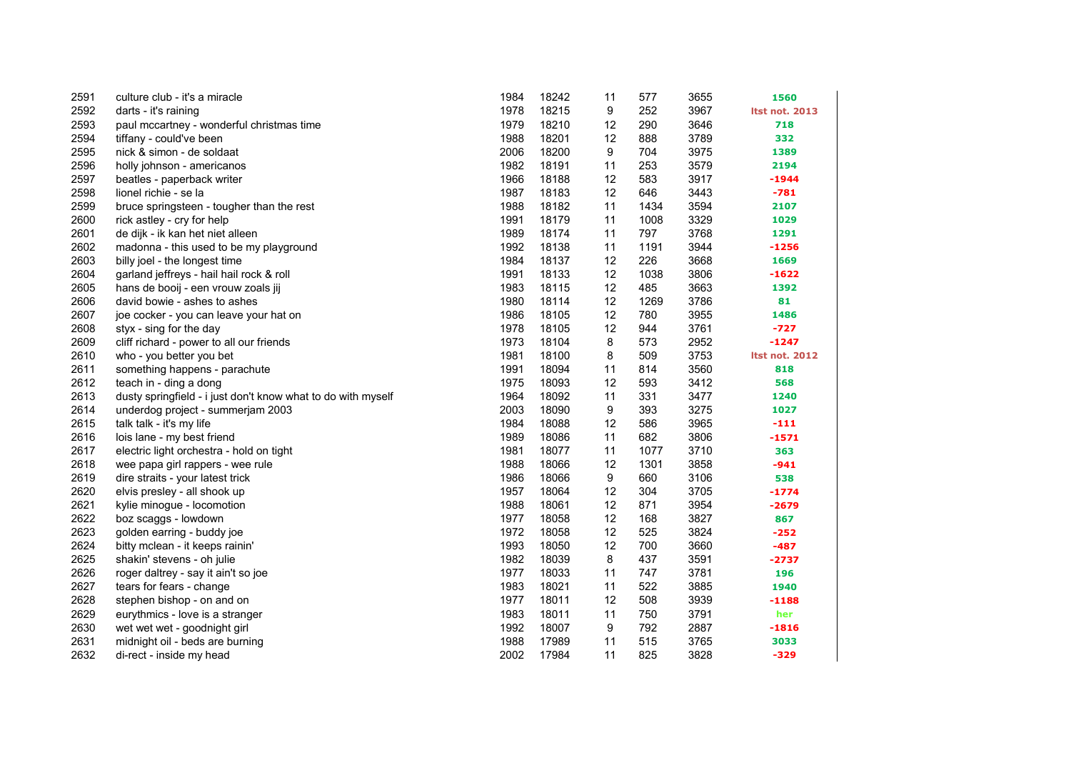| 2591 | culture club - it's a miracle                                | 1984 | 18242 | 11 | 577  | 3655 | 1560                  |
|------|--------------------------------------------------------------|------|-------|----|------|------|-----------------------|
| 2592 | darts - it's raining                                         | 1978 | 18215 | 9  | 252  | 3967 | <b>Itst not. 2013</b> |
| 2593 | paul mccartney - wonderful christmas time                    | 1979 | 18210 | 12 | 290  | 3646 | 718                   |
| 2594 | tiffany - could've been                                      | 1988 | 18201 | 12 | 888  | 3789 | 332                   |
| 2595 | nick & simon - de soldaat                                    | 2006 | 18200 | 9  | 704  | 3975 | 1389                  |
| 2596 | holly johnson - americanos                                   | 1982 | 18191 | 11 | 253  | 3579 | 2194                  |
| 2597 | beatles - paperback writer                                   | 1966 | 18188 | 12 | 583  | 3917 | $-1944$               |
| 2598 | lionel richie - se la                                        | 1987 | 18183 | 12 | 646  | 3443 | $-781$                |
| 2599 | bruce springsteen - tougher than the rest                    | 1988 | 18182 | 11 | 1434 | 3594 | 2107                  |
| 2600 | rick astley - cry for help                                   | 1991 | 18179 | 11 | 1008 | 3329 | 1029                  |
| 2601 | de dijk - ik kan het niet alleen                             | 1989 | 18174 | 11 | 797  | 3768 | 1291                  |
| 2602 | madonna - this used to be my playground                      | 1992 | 18138 | 11 | 1191 | 3944 | $-1256$               |
| 2603 | billy joel - the longest time                                | 1984 | 18137 | 12 | 226  | 3668 | 1669                  |
| 2604 | garland jeffreys - hail hail rock & roll                     | 1991 | 18133 | 12 | 1038 | 3806 | $-1622$               |
| 2605 | hans de booij - een vrouw zoals jij                          | 1983 | 18115 | 12 | 485  | 3663 | 1392                  |
| 2606 | david bowie - ashes to ashes                                 | 1980 | 18114 | 12 | 1269 | 3786 | 81                    |
| 2607 | joe cocker - you can leave your hat on                       | 1986 | 18105 | 12 | 780  | 3955 | 1486                  |
| 2608 | styx - sing for the day                                      | 1978 | 18105 | 12 | 944  | 3761 | $-727$                |
| 2609 | cliff richard - power to all our friends                     | 1973 | 18104 | 8  | 573  | 2952 | $-1247$               |
| 2610 | who - you better you bet                                     | 1981 | 18100 | 8  | 509  | 3753 | <b>Itst not. 2012</b> |
| 2611 | something happens - parachute                                | 1991 | 18094 | 11 | 814  | 3560 | 818                   |
| 2612 | teach in - ding a dong                                       | 1975 | 18093 | 12 | 593  | 3412 | 568                   |
| 2613 | dusty springfield - i just don't know what to do with myself | 1964 | 18092 | 11 | 331  | 3477 | 1240                  |
| 2614 | underdog project - summerjam 2003                            | 2003 | 18090 | 9  | 393  | 3275 | 1027                  |
| 2615 | talk talk - it's my life                                     | 1984 | 18088 | 12 | 586  | 3965 | $-111$                |
| 2616 | lois lane - my best friend                                   | 1989 | 18086 | 11 | 682  | 3806 | $-1571$               |
| 2617 | electric light orchestra - hold on tight                     | 1981 | 18077 | 11 | 1077 | 3710 | 363                   |
| 2618 | wee papa girl rappers - wee rule                             | 1988 | 18066 | 12 | 1301 | 3858 | $-941$                |
| 2619 | dire straits - your latest trick                             | 1986 | 18066 | 9  | 660  | 3106 | 538                   |
| 2620 | elvis presley - all shook up                                 | 1957 | 18064 | 12 | 304  | 3705 | $-1774$               |
| 2621 | kylie minogue - locomotion                                   | 1988 | 18061 | 12 | 871  | 3954 | $-2679$               |
| 2622 | boz scaggs - lowdown                                         | 1977 | 18058 | 12 | 168  | 3827 | 867                   |
| 2623 | golden earring - buddy joe                                   | 1972 | 18058 | 12 | 525  | 3824 | $-252$                |
| 2624 | bitty mclean - it keeps rainin'                              | 1993 | 18050 | 12 | 700  | 3660 | $-487$                |
| 2625 | shakin' stevens - oh julie                                   | 1982 | 18039 | 8  | 437  | 3591 | $-2737$               |
| 2626 | roger daltrey - say it ain't so joe                          | 1977 | 18033 | 11 | 747  | 3781 | 196                   |
| 2627 | tears for fears - change                                     | 1983 | 18021 | 11 | 522  | 3885 | 1940                  |
| 2628 | stephen bishop - on and on                                   | 1977 | 18011 | 12 | 508  | 3939 | $-1188$               |
| 2629 | eurythmics - love is a stranger                              | 1983 | 18011 | 11 | 750  | 3791 | her                   |
| 2630 | wet wet wet - goodnight girl                                 | 1992 | 18007 | 9  | 792  | 2887 | $-1816$               |
| 2631 | midnight oil - beds are burning                              | 1988 | 17989 | 11 | 515  | 3765 | 3033                  |
| 2632 | di-rect - inside my head                                     | 2002 | 17984 | 11 | 825  | 3828 | $-329$                |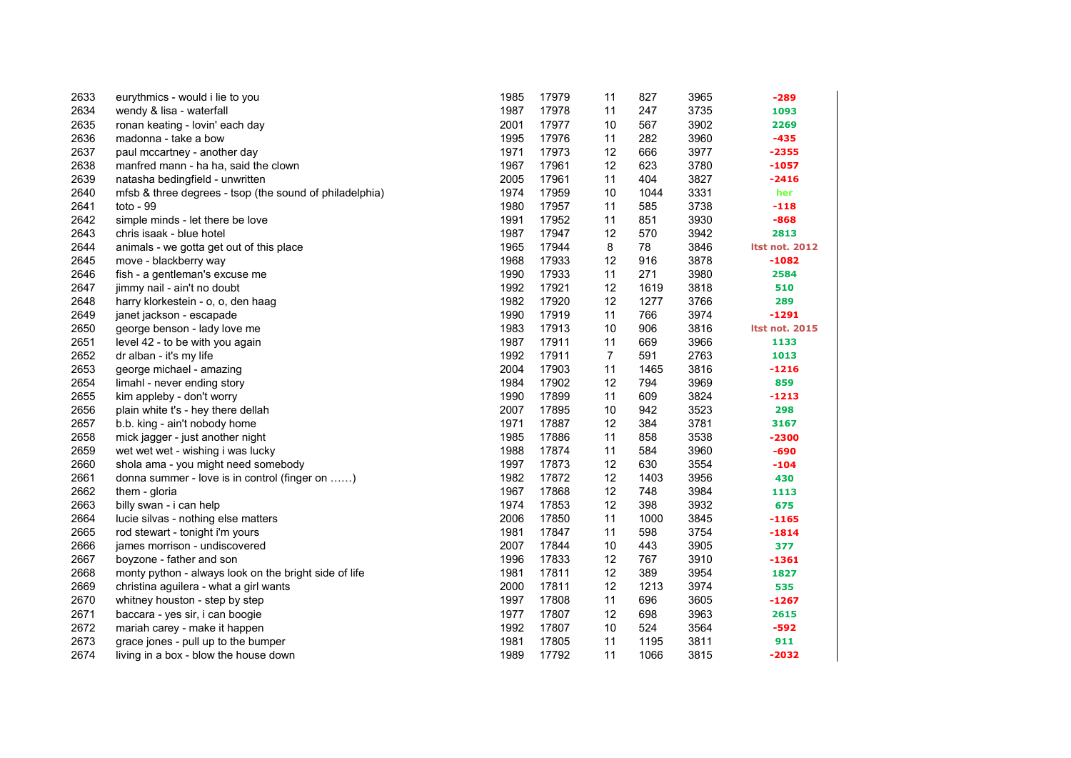| 2633 | eurythmics - would i lie to you                         | 1985 | 17979 | 11             | 827  | 3965 | $-289$                |
|------|---------------------------------------------------------|------|-------|----------------|------|------|-----------------------|
| 2634 | wendy & lisa - waterfall                                | 1987 | 17978 | 11             | 247  | 3735 | 1093                  |
| 2635 | ronan keating - lovin' each day                         | 2001 | 17977 | 10             | 567  | 3902 | 2269                  |
| 2636 | madonna - take a bow                                    | 1995 | 17976 | 11             | 282  | 3960 | $-435$                |
| 2637 | paul mccartney - another day                            | 1971 | 17973 | 12             | 666  | 3977 | $-2355$               |
| 2638 | manfred mann - ha ha, said the clown                    | 1967 | 17961 | 12             | 623  | 3780 | $-1057$               |
| 2639 | natasha bedingfield - unwritten                         | 2005 | 17961 | 11             | 404  | 3827 | $-2416$               |
| 2640 | mfsb & three degrees - tsop (the sound of philadelphia) | 1974 | 17959 | 10             | 1044 | 3331 | her                   |
| 2641 | toto - $99$                                             | 1980 | 17957 | 11             | 585  | 3738 | $-118$                |
| 2642 | simple minds - let there be love                        | 1991 | 17952 | 11             | 851  | 3930 | $-868$                |
| 2643 | chris isaak - blue hotel                                | 1987 | 17947 | 12             | 570  | 3942 | 2813                  |
| 2644 | animals - we gotta get out of this place                | 1965 | 17944 | 8              | 78   | 3846 | <b>Itst not. 2012</b> |
| 2645 | move - blackberry way                                   | 1968 | 17933 | 12             | 916  | 3878 | $-1082$               |
| 2646 | fish - a gentleman's excuse me                          | 1990 | 17933 | 11             | 271  | 3980 | 2584                  |
| 2647 | jimmy nail - ain't no doubt                             | 1992 | 17921 | 12             | 1619 | 3818 | 510                   |
| 2648 | harry klorkestein - o, o, den haag                      | 1982 | 17920 | 12             | 1277 | 3766 | 289                   |
| 2649 | janet jackson - escapade                                | 1990 | 17919 | 11             | 766  | 3974 | $-1291$               |
| 2650 | george benson - lady love me                            | 1983 | 17913 | 10             | 906  | 3816 | <b>Itst not. 2015</b> |
| 2651 | level 42 - to be with you again                         | 1987 | 17911 | 11             | 669  | 3966 | 1133                  |
| 2652 | dr alban - it's my life                                 | 1992 | 17911 | $\overline{7}$ | 591  | 2763 | 1013                  |
| 2653 | george michael - amazing                                | 2004 | 17903 | 11             | 1465 | 3816 | $-1216$               |
| 2654 | limahl - never ending story                             | 1984 | 17902 | 12             | 794  | 3969 | 859                   |
| 2655 | kim appleby - don't worry                               | 1990 | 17899 | 11             | 609  | 3824 | $-1213$               |
| 2656 | plain white t's - hey there dellah                      | 2007 | 17895 | 10             | 942  | 3523 | 298                   |
| 2657 | b.b. king - ain't nobody home                           | 1971 | 17887 | 12             | 384  | 3781 | 3167                  |
| 2658 | mick jagger - just another night                        | 1985 | 17886 | 11             | 858  | 3538 | $-2300$               |
| 2659 | wet wet wet - wishing i was lucky                       | 1988 | 17874 | 11             | 584  | 3960 | $-690$                |
| 2660 | shola ama - you might need somebody                     | 1997 | 17873 | 12             | 630  | 3554 | $-104$                |
| 2661 | donna summer - love is in control (finger on )          | 1982 | 17872 | 12             | 1403 | 3956 | 430                   |
| 2662 | them - gloria                                           | 1967 | 17868 | 12             | 748  | 3984 | 1113                  |
| 2663 | billy swan - i can help                                 | 1974 | 17853 | 12             | 398  | 3932 | 675                   |
| 2664 | lucie silvas - nothing else matters                     | 2006 | 17850 | 11             | 1000 | 3845 | $-1165$               |
| 2665 | rod stewart - tonight i'm yours                         | 1981 | 17847 | 11             | 598  | 3754 | $-1814$               |
| 2666 | james morrison - undiscovered                           | 2007 | 17844 | 10             | 443  | 3905 | 377                   |
| 2667 | boyzone - father and son                                | 1996 | 17833 | 12             | 767  | 3910 | $-1361$               |
| 2668 | monty python - always look on the bright side of life   | 1981 | 17811 | 12             | 389  | 3954 | 1827                  |
| 2669 | christina aguilera - what a girl wants                  | 2000 | 17811 | 12             | 1213 | 3974 | 535                   |
| 2670 | whitney houston - step by step                          | 1997 | 17808 | 11             | 696  | 3605 | $-1267$               |
| 2671 | baccara - yes sir, i can boogie                         | 1977 | 17807 | 12             | 698  | 3963 | 2615                  |
| 2672 | mariah carey - make it happen                           | 1992 | 17807 | 10             | 524  | 3564 | $-592$                |
| 2673 | grace jones - pull up to the bumper                     | 1981 | 17805 | 11             | 1195 | 3811 | 911                   |
| 2674 | living in a box - blow the house down                   | 1989 | 17792 | 11             | 1066 | 3815 | $-2032$               |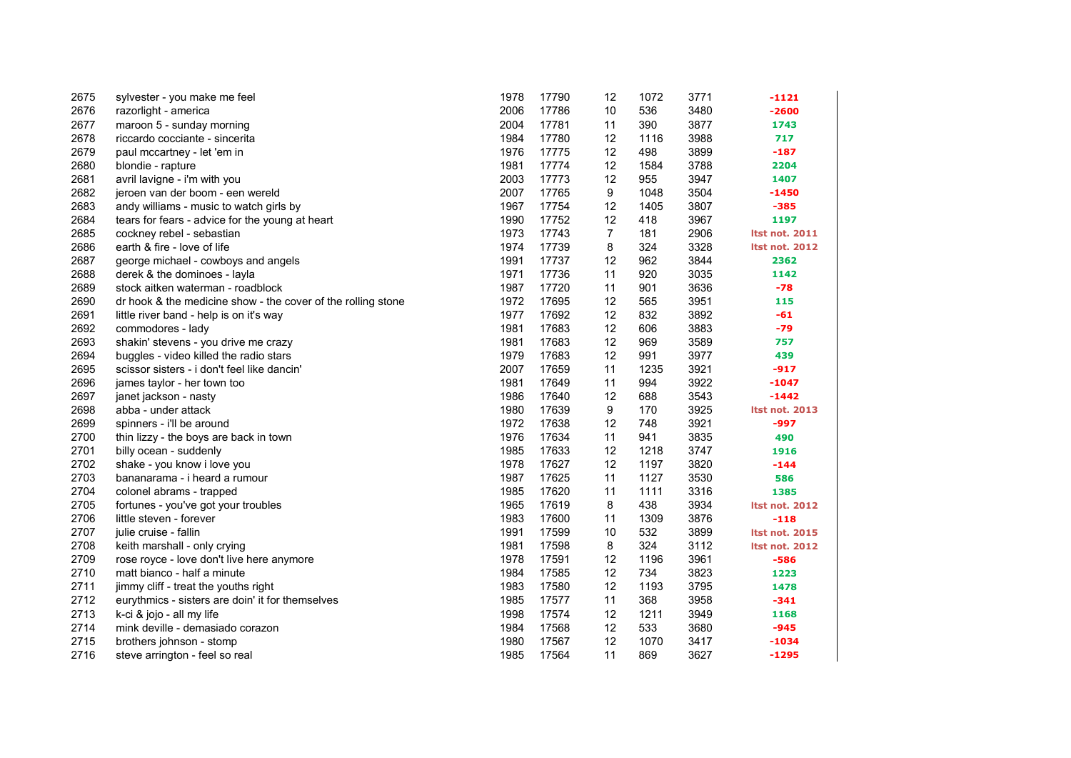| 2675 | sylvester - you make me feel                                 | 1978 | 17790 | 12             | 1072 | 3771 | $-1121$               |
|------|--------------------------------------------------------------|------|-------|----------------|------|------|-----------------------|
| 2676 | razorlight - america                                         | 2006 | 17786 | 10             | 536  | 3480 | $-2600$               |
| 2677 | maroon 5 - sunday morning                                    | 2004 | 17781 | 11             | 390  | 3877 | 1743                  |
| 2678 | riccardo cocciante - sincerita                               | 1984 | 17780 | 12             | 1116 | 3988 | 717                   |
| 2679 | paul mccartney - let 'em in                                  | 1976 | 17775 | 12             | 498  | 3899 | $-187$                |
| 2680 | blondie - rapture                                            | 1981 | 17774 | 12             | 1584 | 3788 | 2204                  |
| 2681 | avril lavigne - i'm with you                                 | 2003 | 17773 | 12             | 955  | 3947 | 1407                  |
| 2682 | jeroen van der boom - een wereld                             | 2007 | 17765 | 9              | 1048 | 3504 | $-1450$               |
| 2683 | andy williams - music to watch girls by                      | 1967 | 17754 | 12             | 1405 | 3807 | $-385$                |
| 2684 | tears for fears - advice for the young at heart              | 1990 | 17752 | 12             | 418  | 3967 | 1197                  |
| 2685 | cockney rebel - sebastian                                    | 1973 | 17743 | $\overline{7}$ | 181  | 2906 | <b>Itst not. 2011</b> |
| 2686 | earth & fire - love of life                                  | 1974 | 17739 | 8              | 324  | 3328 | <b>Itst not. 2012</b> |
| 2687 | george michael - cowboys and angels                          | 1991 | 17737 | 12             | 962  | 3844 | 2362                  |
| 2688 | derek & the dominoes - layla                                 | 1971 | 17736 | 11             | 920  | 3035 | 1142                  |
| 2689 | stock aitken waterman - roadblock                            | 1987 | 17720 | 11             | 901  | 3636 | $-78$                 |
| 2690 | dr hook & the medicine show - the cover of the rolling stone | 1972 | 17695 | 12             | 565  | 3951 | 115                   |
| 2691 | little river band - help is on it's way                      | 1977 | 17692 | 12             | 832  | 3892 | -61                   |
| 2692 | commodores - lady                                            | 1981 | 17683 | 12             | 606  | 3883 | $-79$                 |
| 2693 | shakin' stevens - you drive me crazy                         | 1981 | 17683 | 12             | 969  | 3589 | 757                   |
| 2694 | buggles - video killed the radio stars                       | 1979 | 17683 | 12             | 991  | 3977 | 439                   |
| 2695 | scissor sisters - i don't feel like dancin'                  | 2007 | 17659 | 11             | 1235 | 3921 | $-917$                |
| 2696 | james taylor - her town too                                  | 1981 | 17649 | 11             | 994  | 3922 | $-1047$               |
| 2697 | janet jackson - nasty                                        | 1986 | 17640 | 12             | 688  | 3543 | $-1442$               |
| 2698 | abba - under attack                                          | 1980 | 17639 | 9              | 170  | 3925 | <b>Itst not. 2013</b> |
| 2699 | spinners - i'll be around                                    | 1972 | 17638 | 12             | 748  | 3921 | -997                  |
| 2700 | thin lizzy - the boys are back in town                       | 1976 | 17634 | 11             | 941  | 3835 | 490                   |
| 2701 | billy ocean - suddenly                                       | 1985 | 17633 | 12             | 1218 | 3747 | 1916                  |
| 2702 | shake - you know i love you                                  | 1978 | 17627 | 12             | 1197 | 3820 | $-144$                |
| 2703 | bananarama - i heard a rumour                                | 1987 | 17625 | 11             | 1127 | 3530 | 586                   |
| 2704 | colonel abrams - trapped                                     | 1985 | 17620 | 11             | 1111 | 3316 | 1385                  |
| 2705 | fortunes - you've got your troubles                          | 1965 | 17619 | 8              | 438  | 3934 | <b>Itst not. 2012</b> |
| 2706 | little steven - forever                                      | 1983 | 17600 | 11             | 1309 | 3876 | $-118$                |
| 2707 | julie cruise - fallin                                        | 1991 | 17599 | 10             | 532  | 3899 | <b>Itst not. 2015</b> |
| 2708 | keith marshall - only crying                                 | 1981 | 17598 | 8              | 324  | 3112 | <b>Itst not. 2012</b> |
| 2709 | rose royce - love don't live here anymore                    | 1978 | 17591 | 12             | 1196 | 3961 | $-586$                |
| 2710 | matt bianco - half a minute                                  | 1984 | 17585 | 12             | 734  | 3823 | 1223                  |
| 2711 | jimmy cliff - treat the youths right                         | 1983 | 17580 | 12             | 1193 | 3795 | 1478                  |
| 2712 | eurythmics - sisters are doin' it for themselves             | 1985 | 17577 | 11             | 368  | 3958 | $-341$                |
| 2713 | k-ci & jojo - all my life                                    | 1998 | 17574 | 12             | 1211 | 3949 | 1168                  |
| 2714 | mink deville - demasiado corazon                             | 1984 | 17568 | 12             | 533  | 3680 | -945                  |
| 2715 | brothers johnson - stomp                                     | 1980 | 17567 | 12             | 1070 | 3417 | -1034                 |
| 2716 | steve arrington - feel so real                               | 1985 | 17564 | 11             | 869  | 3627 | $-1295$               |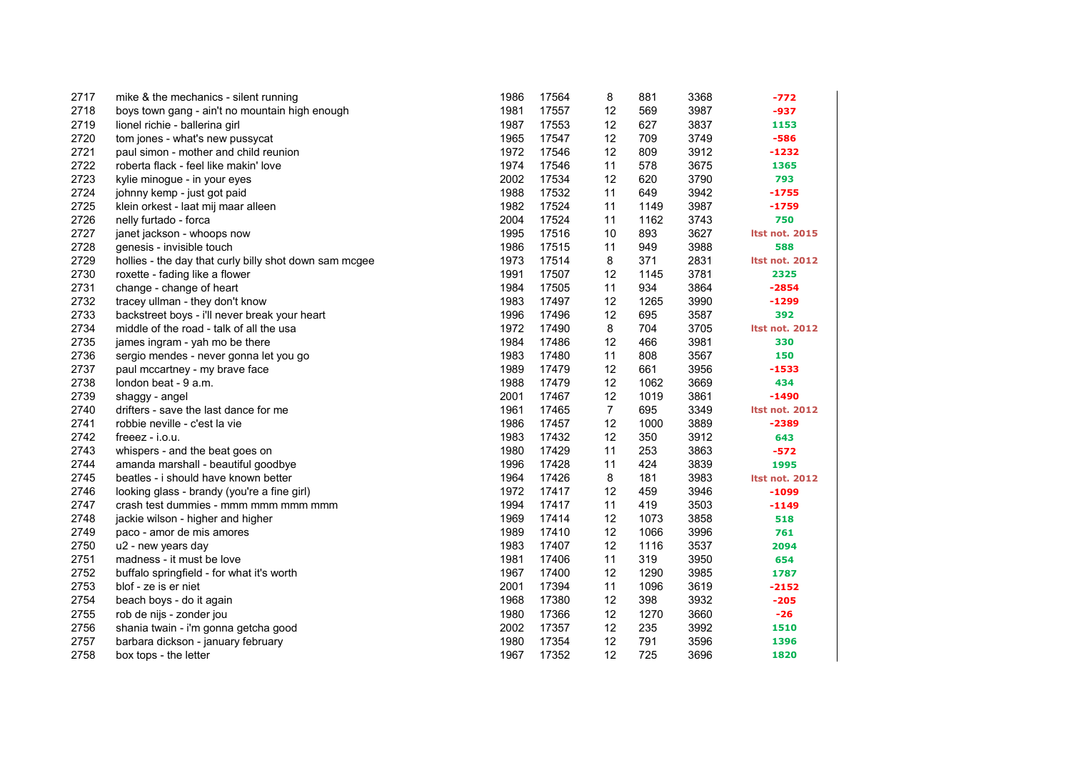| 2717 | mike & the mechanics - silent running                  | 1986 | 17564 | 8              | 881  | 3368 | -772                  |
|------|--------------------------------------------------------|------|-------|----------------|------|------|-----------------------|
| 2718 | boys town gang - ain't no mountain high enough         | 1981 | 17557 | 12             | 569  | 3987 | $-937$                |
| 2719 | lionel richie - ballerina girl                         | 1987 | 17553 | 12             | 627  | 3837 | 1153                  |
| 2720 | tom jones - what's new pussycat                        | 1965 | 17547 | 12             | 709  | 3749 | $-586$                |
| 2721 | paul simon - mother and child reunion                  | 1972 | 17546 | 12             | 809  | 3912 | $-1232$               |
| 2722 | roberta flack - feel like makin' love                  | 1974 | 17546 | 11             | 578  | 3675 | 1365                  |
| 2723 | kylie minogue - in your eyes                           | 2002 | 17534 | 12             | 620  | 3790 | 793                   |
| 2724 | johnny kemp - just got paid                            | 1988 | 17532 | 11             | 649  | 3942 | $-1755$               |
| 2725 | klein orkest - laat mij maar alleen                    | 1982 | 17524 | 11             | 1149 | 3987 | $-1759$               |
| 2726 | nelly furtado - forca                                  | 2004 | 17524 | 11             | 1162 | 3743 | 750                   |
| 2727 | janet jackson - whoops now                             | 1995 | 17516 | 10             | 893  | 3627 | <b>Itst not. 2015</b> |
| 2728 | genesis - invisible touch                              | 1986 | 17515 | 11             | 949  | 3988 | 588                   |
| 2729 | hollies - the day that curly billy shot down sam mcgee | 1973 | 17514 | 8              | 371  | 2831 | <b>Itst not. 2012</b> |
| 2730 | roxette - fading like a flower                         | 1991 | 17507 | 12             | 1145 | 3781 | 2325                  |
| 2731 | change - change of heart                               | 1984 | 17505 | 11             | 934  | 3864 | $-2854$               |
| 2732 | tracey ullman - they don't know                        | 1983 | 17497 | 12             | 1265 | 3990 | $-1299$               |
| 2733 | backstreet boys - i'll never break your heart          | 1996 | 17496 | 12             | 695  | 3587 | 392                   |
| 2734 | middle of the road - talk of all the usa               | 1972 | 17490 | 8              | 704  | 3705 | <b>Itst not. 2012</b> |
| 2735 | james ingram - yah mo be there                         | 1984 | 17486 | 12             | 466  | 3981 | 330                   |
| 2736 | sergio mendes - never gonna let you go                 | 1983 | 17480 | 11             | 808  | 3567 | 150                   |
| 2737 | paul mccartney - my brave face                         | 1989 | 17479 | 12             | 661  | 3956 | $-1533$               |
| 2738 | london beat - 9 a.m.                                   | 1988 | 17479 | 12             | 1062 | 3669 | 434                   |
| 2739 | shaggy - angel                                         | 2001 | 17467 | 12             | 1019 | 3861 | $-1490$               |
| 2740 | drifters - save the last dance for me                  | 1961 | 17465 | $\overline{7}$ | 695  | 3349 | <b>Itst not. 2012</b> |
| 2741 | robbie neville - c'est la vie                          | 1986 | 17457 | 12             | 1000 | 3889 | $-2389$               |
| 2742 | freeez - i.o.u.                                        | 1983 | 17432 | 12             | 350  | 3912 | 643                   |
| 2743 | whispers - and the beat goes on                        | 1980 | 17429 | 11             | 253  | 3863 | -572                  |
| 2744 | amanda marshall - beautiful goodbye                    | 1996 | 17428 | 11             | 424  | 3839 | 1995                  |
| 2745 | beatles - i should have known better                   | 1964 | 17426 | 8              | 181  | 3983 | <b>Itst not. 2012</b> |
| 2746 | looking glass - brandy (you're a fine girl)            | 1972 | 17417 | 12             | 459  | 3946 | $-1099$               |
| 2747 | crash test dummies - mmm mmm mmm mmm                   | 1994 | 17417 | 11             | 419  | 3503 | $-1149$               |
| 2748 | jackie wilson - higher and higher                      | 1969 | 17414 | 12             | 1073 | 3858 | 518                   |
| 2749 | paco - amor de mis amores                              | 1989 | 17410 | 12             | 1066 | 3996 | 761                   |
| 2750 | u2 - new years day                                     | 1983 | 17407 | 12             | 1116 | 3537 | 2094                  |
| 2751 | madness - it must be love                              | 1981 | 17406 | 11             | 319  | 3950 | 654                   |
| 2752 | buffalo springfield - for what it's worth              | 1967 | 17400 | 12             | 1290 | 3985 | 1787                  |
| 2753 | blof - ze is er niet                                   | 2001 | 17394 | 11             | 1096 | 3619 | $-2152$               |
| 2754 | beach boys - do it again                               | 1968 | 17380 | 12             | 398  | 3932 | $-205$                |
| 2755 | rob de nijs - zonder jou                               | 1980 | 17366 | 12             | 1270 | 3660 | $-26$                 |
| 2756 | shania twain - i'm gonna getcha good                   | 2002 | 17357 | 12             | 235  | 3992 | 1510                  |
| 2757 | barbara dickson - january february                     | 1980 | 17354 | 12             | 791  | 3596 | 1396                  |
| 2758 | box tops - the letter                                  | 1967 | 17352 | 12             | 725  | 3696 | 1820                  |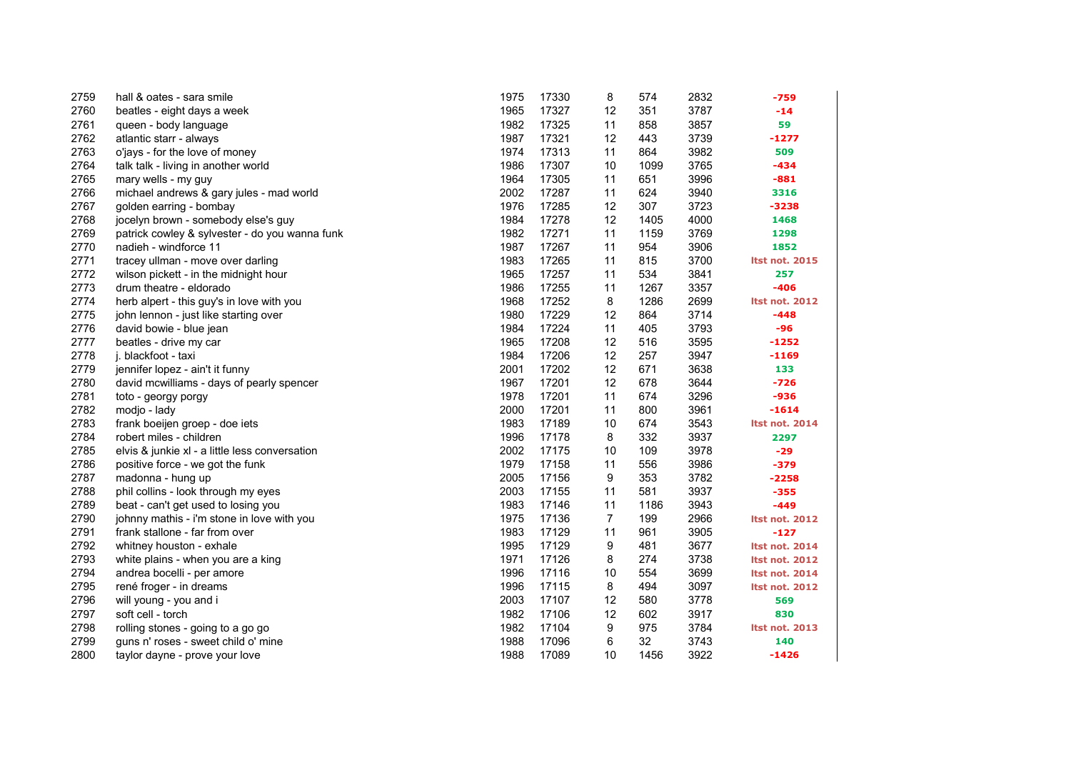| 2759 | hall & oates - sara smile                      | 1975 | 17330 | 8              | 574  | 2832 | -759                  |
|------|------------------------------------------------|------|-------|----------------|------|------|-----------------------|
| 2760 | beatles - eight days a week                    | 1965 | 17327 | 12             | 351  | 3787 | $-14$                 |
| 2761 | queen - body language                          | 1982 | 17325 | 11             | 858  | 3857 | 59                    |
| 2762 | atlantic starr - always                        | 1987 | 17321 | 12             | 443  | 3739 | $-1277$               |
| 2763 | o'jays - for the love of money                 | 1974 | 17313 | 11             | 864  | 3982 | 509                   |
| 2764 | talk talk - living in another world            | 1986 | 17307 | 10             | 1099 | 3765 | $-434$                |
| 2765 | mary wells - my guy                            | 1964 | 17305 | 11             | 651  | 3996 | $-881$                |
| 2766 | michael andrews & gary jules - mad world       | 2002 | 17287 | 11             | 624  | 3940 | 3316                  |
| 2767 | golden earring - bombay                        | 1976 | 17285 | 12             | 307  | 3723 | $-3238$               |
| 2768 | jocelyn brown - somebody else's guy            | 1984 | 17278 | 12             | 1405 | 4000 | 1468                  |
| 2769 | patrick cowley & sylvester - do you wanna funk | 1982 | 17271 | 11             | 1159 | 3769 | 1298                  |
| 2770 | nadieh - windforce 11                          | 1987 | 17267 | 11             | 954  | 3906 | 1852                  |
| 2771 | tracey ullman - move over darling              | 1983 | 17265 | 11             | 815  | 3700 | <b>Itst not. 2015</b> |
| 2772 | wilson pickett - in the midnight hour          | 1965 | 17257 | 11             | 534  | 3841 | 257                   |
| 2773 | drum theatre - eldorado                        | 1986 | 17255 | 11             | 1267 | 3357 | $-406$                |
| 2774 | herb alpert - this guy's in love with you      | 1968 | 17252 | 8              | 1286 | 2699 | <b>Itst not. 2012</b> |
| 2775 | john lennon - just like starting over          | 1980 | 17229 | 12             | 864  | 3714 | $-448$                |
| 2776 | david bowie - blue jean                        | 1984 | 17224 | 11             | 405  | 3793 | -96                   |
| 2777 | beatles - drive my car                         | 1965 | 17208 | 12             | 516  | 3595 | $-1252$               |
| 2778 | j. blackfoot - taxi                            | 1984 | 17206 | 12             | 257  | 3947 | $-1169$               |
| 2779 | jennifer lopez - ain't it funny                | 2001 | 17202 | 12             | 671  | 3638 | 133                   |
| 2780 | david mcwilliams - days of pearly spencer      | 1967 | 17201 | 12             | 678  | 3644 | $-726$                |
| 2781 | toto - georgy porgy                            | 1978 | 17201 | 11             | 674  | 3296 | $-936$                |
| 2782 | modjo - lady                                   | 2000 | 17201 | 11             | 800  | 3961 | $-1614$               |
| 2783 | frank boeijen groep - doe iets                 | 1983 | 17189 | 10             | 674  | 3543 | <b>Itst not. 2014</b> |
| 2784 | robert miles - children                        | 1996 | 17178 | 8              | 332  | 3937 | 2297                  |
| 2785 | elvis & junkie xl - a little less conversation | 2002 | 17175 | 10             | 109  | 3978 | $-29$                 |
| 2786 | positive force - we got the funk               | 1979 | 17158 | 11             | 556  | 3986 | -379                  |
| 2787 | madonna - hung up                              | 2005 | 17156 | 9              | 353  | 3782 | $-2258$               |
| 2788 | phil collins - look through my eyes            | 2003 | 17155 | 11             | 581  | 3937 | $-355$                |
| 2789 | beat - can't get used to losing you            | 1983 | 17146 | 11             | 1186 | 3943 | $-449$                |
| 2790 | johnny mathis - i'm stone in love with you     | 1975 | 17136 | $\overline{7}$ | 199  | 2966 | <b>Itst not. 2012</b> |
| 2791 | frank stallone - far from over                 | 1983 | 17129 | 11             | 961  | 3905 | $-127$                |
| 2792 | whitney houston - exhale                       | 1995 | 17129 | 9              | 481  | 3677 | <b>Itst not. 2014</b> |
| 2793 | white plains - when you are a king             | 1971 | 17126 | 8              | 274  | 3738 | <b>Itst not. 2012</b> |
| 2794 | andrea bocelli - per amore                     | 1996 | 17116 | 10             | 554  | 3699 | <b>Itst not. 2014</b> |
| 2795 | rené froger - in dreams                        | 1996 | 17115 | 8              | 494  | 3097 | <b>Itst not. 2012</b> |
| 2796 | will young - you and i                         | 2003 | 17107 | 12             | 580  | 3778 | 569                   |
| 2797 | soft cell - torch                              | 1982 | 17106 | 12             | 602  | 3917 | 830                   |
| 2798 | rolling stones - going to a go go              | 1982 | 17104 | 9              | 975  | 3784 | <b>Itst not. 2013</b> |
| 2799 | guns n' roses - sweet child o' mine            | 1988 | 17096 | 6              | 32   | 3743 | 140                   |
| 2800 | taylor dayne - prove your love                 | 1988 | 17089 | 10             | 1456 | 3922 | $-1426$               |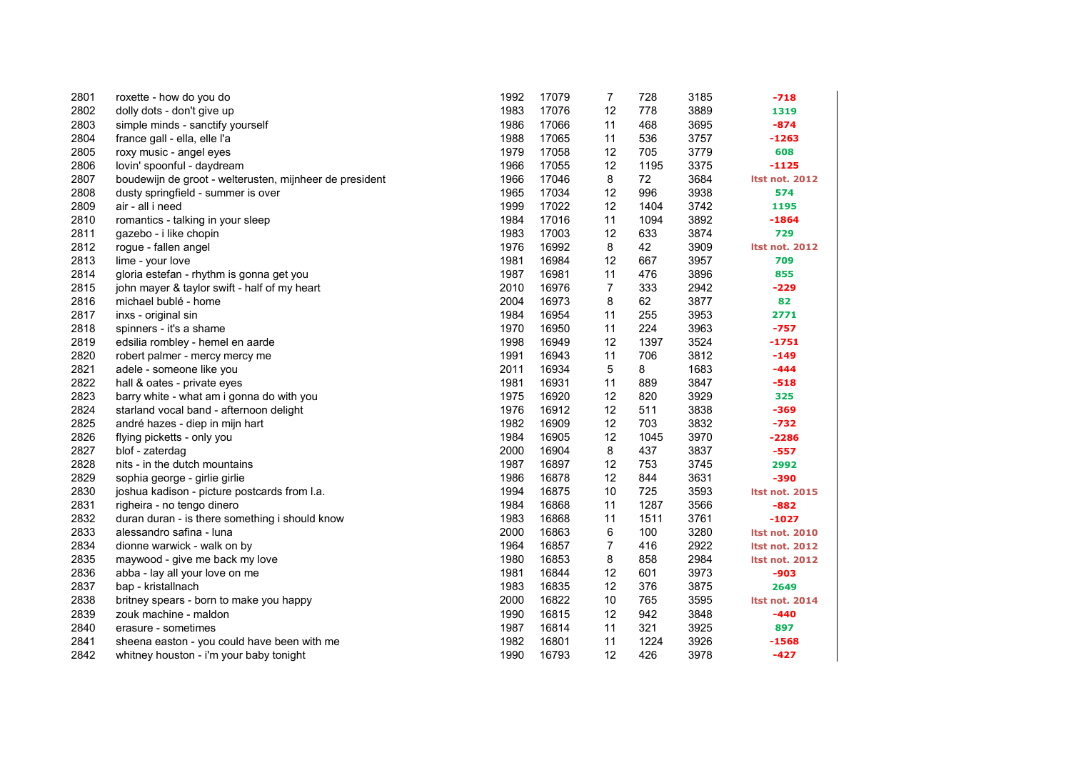| 2801 | roxette - how do you do                                 | 1992 | 17079 | 7  | 728  | 3185 | $-718$                |
|------|---------------------------------------------------------|------|-------|----|------|------|-----------------------|
| 2802 | dolly dots - don't give up                              | 1983 | 17076 | 12 | 778  | 3889 | 1319                  |
| 2803 | simple minds - sanctify yourself                        | 1986 | 17066 | 11 | 468  | 3695 | $-874$                |
| 2804 | france gall - ella, elle l'a                            | 1988 | 17065 | 11 | 536  | 3757 | $-1263$               |
| 2805 | roxy music - angel eyes                                 | 1979 | 17058 | 12 | 705  | 3779 | 608                   |
| 2806 | lovin' spoonful - daydream                              | 1966 | 17055 | 12 | 1195 | 3375 | $-1125$               |
| 2807 | boudewijn de groot - welterusten, mijnheer de president | 1966 | 17046 | 8  | 72   | 3684 | <b>Itst not. 2012</b> |
| 2808 | dusty springfield - summer is over                      | 1965 | 17034 | 12 | 996  | 3938 | 574                   |
| 2809 | air - all i need                                        | 1999 | 17022 | 12 | 1404 | 3742 | 1195                  |
| 2810 | romantics - talking in your sleep                       | 1984 | 17016 | 11 | 1094 | 3892 | $-1864$               |
| 2811 | gazebo - i like chopin                                  | 1983 | 17003 | 12 | 633  | 3874 | 729                   |
| 2812 | rogue - fallen angel                                    | 1976 | 16992 | 8  | 42   | 3909 | <b>Itst not. 2012</b> |
| 2813 | lime - your love                                        | 1981 | 16984 | 12 | 667  | 3957 | 709                   |
| 2814 | gloria estefan - rhythm is gonna get you                | 1987 | 16981 | 11 | 476  | 3896 | 855                   |
| 2815 | john mayer & taylor swift - half of my heart            | 2010 | 16976 | 7  | 333  | 2942 | $-229$                |
| 2816 | michael bublé - home                                    | 2004 | 16973 | 8  | 62   | 3877 | 82                    |
| 2817 | inxs - original sin                                     | 1984 | 16954 | 11 | 255  | 3953 | 2771                  |
| 2818 | spinners - it's a shame                                 | 1970 | 16950 | 11 | 224  | 3963 | $-757$                |
| 2819 | edsilia rombley - hemel en aarde                        | 1998 | 16949 | 12 | 1397 | 3524 | $-1751$               |
| 2820 | robert palmer - mercy mercy me                          | 1991 | 16943 | 11 | 706  | 3812 | $-149$                |
| 2821 | adele - someone like you                                | 2011 | 16934 | 5  | 8    | 1683 | $-444$                |
| 2822 | hall & oates - private eyes                             | 1981 | 16931 | 11 | 889  | 3847 | $-518$                |
| 2823 | barry white - what am i gonna do with you               | 1975 | 16920 | 12 | 820  | 3929 | 325                   |
| 2824 | starland vocal band - afternoon delight                 | 1976 | 16912 | 12 | 511  | 3838 | $-369$                |
| 2825 | andré hazes - diep in mijn hart                         | 1982 | 16909 | 12 | 703  | 3832 | $-732$                |
| 2826 | flying picketts - only you                              | 1984 | 16905 | 12 | 1045 | 3970 | $-2286$               |
| 2827 | blof - zaterdag                                         | 2000 | 16904 | 8  | 437  | 3837 | $-557$                |
| 2828 | nits - in the dutch mountains                           | 1987 | 16897 | 12 | 753  | 3745 | 2992                  |
| 2829 | sophia george - girlie girlie                           | 1986 | 16878 | 12 | 844  | 3631 | -390                  |
| 2830 | joshua kadison - picture postcards from I.a.            | 1994 | 16875 | 10 | 725  | 3593 | <b>Itst not. 2015</b> |
| 2831 | righeira - no tengo dinero                              | 1984 | 16868 | 11 | 1287 | 3566 | $-882$                |
| 2832 | duran duran - is there something i should know          | 1983 | 16868 | 11 | 1511 | 3761 | $-1027$               |
| 2833 | alessandro safina - luna                                | 2000 | 16863 | 6  | 100  | 3280 | <b>Itst not. 2010</b> |
| 2834 | dionne warwick - walk on by                             | 1964 | 16857 | 7  | 416  | 2922 | <b>Itst not. 2012</b> |
| 2835 | maywood - give me back my love                          | 1980 | 16853 | 8  | 858  | 2984 | <b>Itst not. 2012</b> |
| 2836 | abba - lay all your love on me                          | 1981 | 16844 | 12 | 601  | 3973 | $-903$                |
| 2837 | bap - kristallnach                                      | 1983 | 16835 | 12 | 376  | 3875 | 2649                  |
| 2838 | britney spears - born to make you happy                 | 2000 | 16822 | 10 | 765  | 3595 | <b>Itst not. 2014</b> |
| 2839 | zouk machine - maldon                                   | 1990 | 16815 | 12 | 942  | 3848 | $-440$                |
| 2840 | erasure - sometimes                                     | 1987 | 16814 | 11 | 321  | 3925 | 897                   |
| 2841 | sheena easton - you could have been with me             | 1982 | 16801 | 11 | 1224 | 3926 | $-1568$               |
| 2842 | whitney houston - i'm your baby tonight                 | 1990 | 16793 | 12 | 426  | 3978 | $-427$                |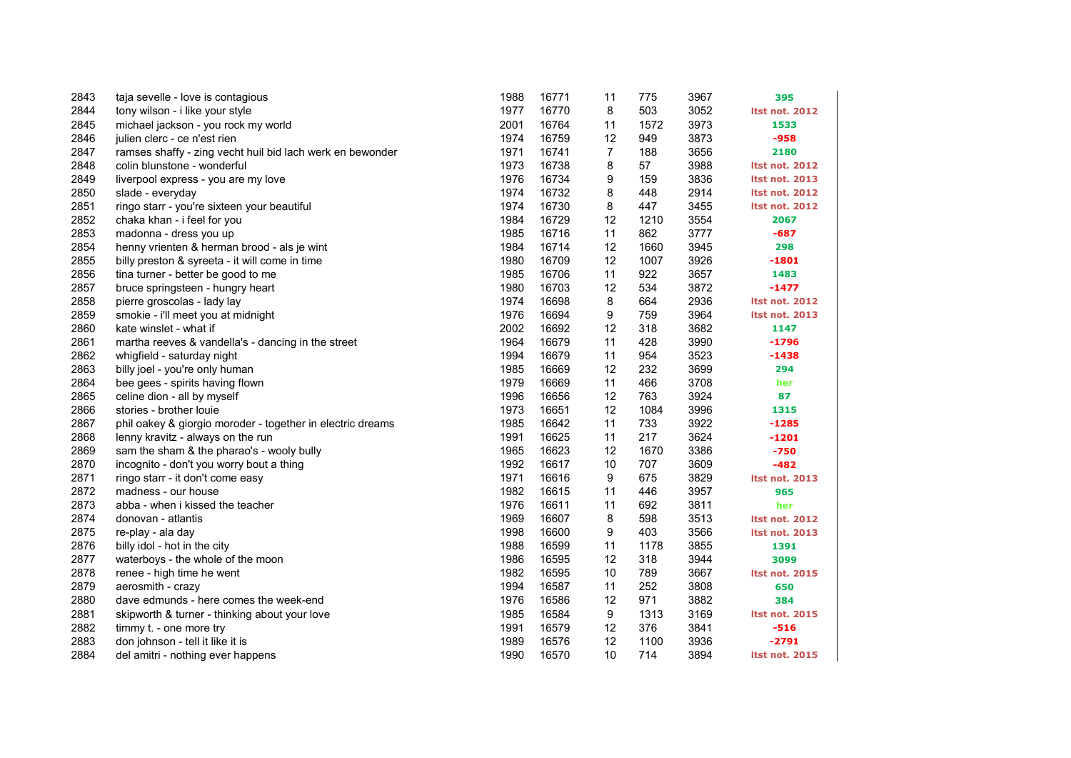| 2843 | taja sevelle - love is contagious                          | 1988 | 16771 | 11 | 775  | 3967 | 395                   |
|------|------------------------------------------------------------|------|-------|----|------|------|-----------------------|
| 2844 | tony wilson - i like your style                            | 1977 | 16770 | 8  | 503  | 3052 | <b>Itst not. 2012</b> |
| 2845 | michael jackson - you rock my world                        | 2001 | 16764 | 11 | 1572 | 3973 | 1533                  |
| 2846 | julien clerc - ce n'est rien                               | 1974 | 16759 | 12 | 949  | 3873 | $-958$                |
| 2847 | ramses shaffy - zing vecht huil bid lach werk en bewonder  | 1971 | 16741 | 7  | 188  | 3656 | 2180                  |
| 2848 | colin blunstone - wonderful                                | 1973 | 16738 | 8  | 57   | 3988 | <b>Itst not. 2012</b> |
| 2849 | liverpool express - you are my love                        | 1976 | 16734 | 9  | 159  | 3836 | <b>Itst not. 2013</b> |
| 2850 | slade - everyday                                           | 1974 | 16732 | 8  | 448  | 2914 | <b>Itst not. 2012</b> |
| 2851 | ringo starr - you're sixteen your beautiful                | 1974 | 16730 | 8  | 447  | 3455 | <b>Itst not. 2012</b> |
| 2852 | chaka khan - i feel for you                                | 1984 | 16729 | 12 | 1210 | 3554 | 2067                  |
| 2853 | madonna - dress you up                                     | 1985 | 16716 | 11 | 862  | 3777 | $-687$                |
| 2854 | henny vrienten & herman brood - als je wint                | 1984 | 16714 | 12 | 1660 | 3945 | 298                   |
| 2855 | billy preston & syreeta - it will come in time             | 1980 | 16709 | 12 | 1007 | 3926 | -1801                 |
| 2856 | tina turner - better be good to me                         | 1985 | 16706 | 11 | 922  | 3657 | 1483                  |
| 2857 | bruce springsteen - hungry heart                           | 1980 | 16703 | 12 | 534  | 3872 | $-1477$               |
| 2858 | pierre groscolas - lady lay                                | 1974 | 16698 | 8  | 664  | 2936 | <b>Itst not. 2012</b> |
| 2859 | smokie - i'll meet you at midnight                         | 1976 | 16694 | 9  | 759  | 3964 | <b>Itst not. 2013</b> |
| 2860 | kate winslet - what if                                     | 2002 | 16692 | 12 | 318  | 3682 | 1147                  |
| 2861 | martha reeves & vandella's - dancing in the street         | 1964 | 16679 | 11 | 428  | 3990 | $-1796$               |
| 2862 | whigfield - saturday night                                 | 1994 | 16679 | 11 | 954  | 3523 | $-1438$               |
| 2863 | billy joel - you're only human                             | 1985 | 16669 | 12 | 232  | 3699 | 294                   |
| 2864 | bee gees - spirits having flown                            | 1979 | 16669 | 11 | 466  | 3708 | her                   |
| 2865 | celine dion - all by myself                                | 1996 | 16656 | 12 | 763  | 3924 | 87                    |
| 2866 | stories - brother louie                                    | 1973 | 16651 | 12 | 1084 | 3996 | 1315                  |
| 2867 | phil oakey & giorgio moroder - together in electric dreams | 1985 | 16642 | 11 | 733  | 3922 | $-1285$               |
| 2868 | lenny kravitz - always on the run                          | 1991 | 16625 | 11 | 217  | 3624 | $-1201$               |
| 2869 | sam the sham & the pharao's - wooly bully                  | 1965 | 16623 | 12 | 1670 | 3386 | $-750$                |
| 2870 | incognito - don't you worry bout a thing                   | 1992 | 16617 | 10 | 707  | 3609 | $-482$                |
| 2871 | ringo starr - it don't come easy                           | 1971 | 16616 | 9  | 675  | 3829 | <b>Itst not. 2013</b> |
| 2872 | madness - our house                                        | 1982 | 16615 | 11 | 446  | 3957 | 965                   |
| 2873 | abba - when i kissed the teacher                           | 1976 | 16611 | 11 | 692  | 3811 | her                   |
| 2874 | donovan - atlantis                                         | 1969 | 16607 | 8  | 598  | 3513 | <b>Itst not. 2012</b> |
| 2875 | re-play - ala day                                          | 1998 | 16600 | 9  | 403  | 3566 | <b>Itst not. 2013</b> |
| 2876 | billy idol - hot in the city                               | 1988 | 16599 | 11 | 1178 | 3855 | 1391                  |
| 2877 | waterboys - the whole of the moon                          | 1986 | 16595 | 12 | 318  | 3944 | 3099                  |
| 2878 | renee - high time he went                                  | 1982 | 16595 | 10 | 789  | 3667 | <b>Itst not. 2015</b> |
| 2879 | aerosmith - crazy                                          | 1994 | 16587 | 11 | 252  | 3808 | 650                   |
| 2880 | dave edmunds - here comes the week-end                     | 1976 | 16586 | 12 | 971  | 3882 | 384                   |
| 2881 | skipworth & turner - thinking about your love              | 1985 | 16584 | 9  | 1313 | 3169 | <b>Itst not. 2015</b> |
| 2882 | timmy t. - one more try                                    | 1991 | 16579 | 12 | 376  | 3841 | $-516$                |
| 2883 | don johnson - tell it like it is                           | 1989 | 16576 | 12 | 1100 | 3936 | $-2791$               |
| 2884 | del amitri - nothing ever happens                          | 1990 | 16570 | 10 | 714  | 3894 | <b>Itst not. 2015</b> |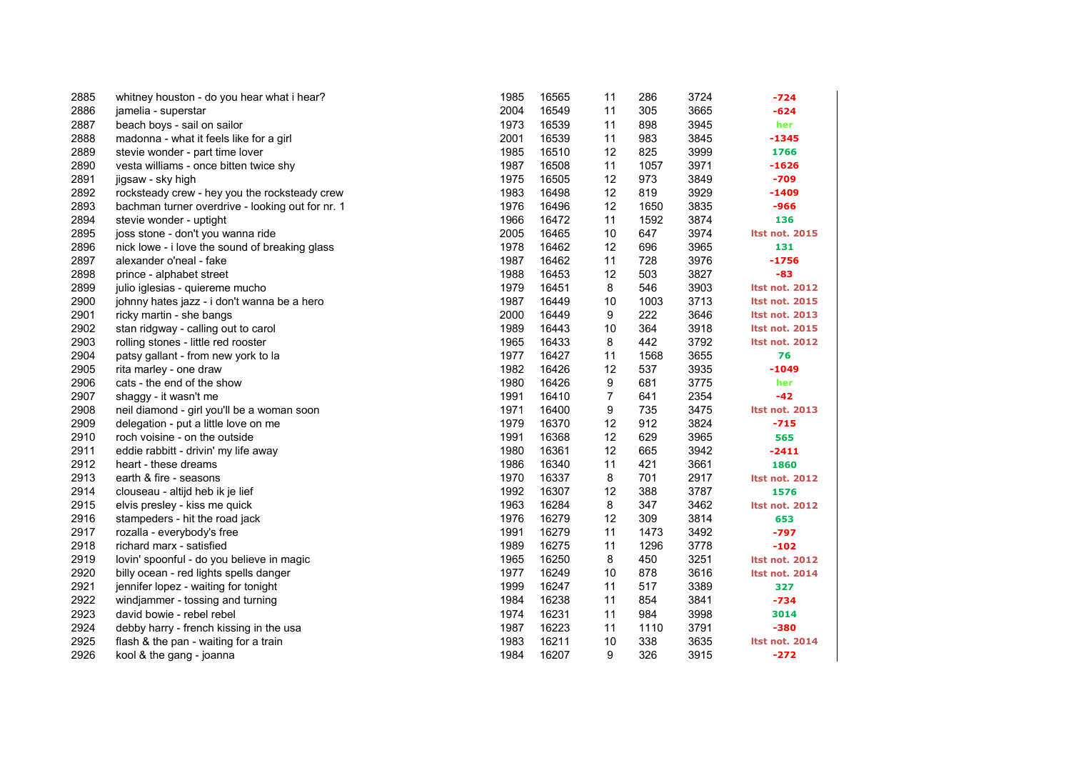| 2885 | whitney houston - do you hear what i hear?       | 1985 | 16565 | 11 | 286  | 3724 | -724                  |
|------|--------------------------------------------------|------|-------|----|------|------|-----------------------|
| 2886 | jamelia - superstar                              | 2004 | 16549 | 11 | 305  | 3665 | -624                  |
| 2887 | beach boys - sail on sailor                      | 1973 | 16539 | 11 | 898  | 3945 | her                   |
| 2888 | madonna - what it feels like for a girl          | 2001 | 16539 | 11 | 983  | 3845 | $-1345$               |
| 2889 | stevie wonder - part time lover                  | 1985 | 16510 | 12 | 825  | 3999 | 1766                  |
| 2890 | vesta williams - once bitten twice shy           | 1987 | 16508 | 11 | 1057 | 3971 | $-1626$               |
| 2891 | jigsaw - sky high                                | 1975 | 16505 | 12 | 973  | 3849 | $-709$                |
| 2892 | rocksteady crew - hey you the rocksteady crew    | 1983 | 16498 | 12 | 819  | 3929 | $-1409$               |
| 2893 | bachman turner overdrive - looking out for nr. 1 | 1976 | 16496 | 12 | 1650 | 3835 | -966                  |
| 2894 | stevie wonder - uptight                          | 1966 | 16472 | 11 | 1592 | 3874 | 136                   |
| 2895 | joss stone - don't you wanna ride                | 2005 | 16465 | 10 | 647  | 3974 | <b>Itst not. 2015</b> |
| 2896 | nick lowe - i love the sound of breaking glass   | 1978 | 16462 | 12 | 696  | 3965 | 131                   |
| 2897 | alexander o'neal - fake                          | 1987 | 16462 | 11 | 728  | 3976 | $-1756$               |
| 2898 | prince - alphabet street                         | 1988 | 16453 | 12 | 503  | 3827 | -83                   |
| 2899 | julio iglesias - quiereme mucho                  | 1979 | 16451 | 8  | 546  | 3903 | <b>Itst not. 2012</b> |
| 2900 | johnny hates jazz - i don't wanna be a hero      | 1987 | 16449 | 10 | 1003 | 3713 | <b>Itst not. 2015</b> |
| 2901 | ricky martin - she bangs                         | 2000 | 16449 | 9  | 222  | 3646 | <b>Itst not. 2013</b> |
| 2902 | stan ridgway - calling out to carol              | 1989 | 16443 | 10 | 364  | 3918 | <b>Itst not. 2015</b> |
| 2903 | rolling stones - little red rooster              | 1965 | 16433 | 8  | 442  | 3792 | <b>Itst not. 2012</b> |
| 2904 | patsy gallant - from new york to la              | 1977 | 16427 | 11 | 1568 | 3655 | 76                    |
| 2905 | rita marley - one draw                           | 1982 | 16426 | 12 | 537  | 3935 | $-1049$               |
| 2906 | cats - the end of the show                       | 1980 | 16426 | 9  | 681  | 3775 | her                   |
| 2907 | shaggy - it wasn't me                            | 1991 | 16410 | 7  | 641  | 2354 | -42                   |
| 2908 | neil diamond - girl you'll be a woman soon       | 1971 | 16400 | 9  | 735  | 3475 | <b>Itst not. 2013</b> |
| 2909 | delegation - put a little love on me             | 1979 | 16370 | 12 | 912  | 3824 | $-715$                |
| 2910 | roch voisine - on the outside                    | 1991 | 16368 | 12 | 629  | 3965 | 565                   |
| 2911 | eddie rabbitt - drivin' my life away             | 1980 | 16361 | 12 | 665  | 3942 | $-2411$               |
| 2912 | heart - these dreams                             | 1986 | 16340 | 11 | 421  | 3661 | 1860                  |
| 2913 | earth & fire - seasons                           | 1970 | 16337 | 8  | 701  | 2917 | <b>Itst not. 2012</b> |
| 2914 | clouseau - altijd heb ik je lief                 | 1992 | 16307 | 12 | 388  | 3787 | 1576                  |
| 2915 | elvis presley - kiss me quick                    | 1963 | 16284 | 8  | 347  | 3462 | <b>Itst not. 2012</b> |
| 2916 | stampeders - hit the road jack                   | 1976 | 16279 | 12 | 309  | 3814 | 653                   |
| 2917 | rozalla - everybody's free                       | 1991 | 16279 | 11 | 1473 | 3492 | $-797$                |
| 2918 | richard marx - satisfied                         | 1989 | 16275 | 11 | 1296 | 3778 | $-102$                |
| 2919 | lovin' spoonful - do you believe in magic        | 1965 | 16250 | 8  | 450  | 3251 | <b>Itst not. 2012</b> |
| 2920 | billy ocean - red lights spells danger           | 1977 | 16249 | 10 | 878  | 3616 | <b>Itst not. 2014</b> |
| 2921 | jennifer lopez - waiting for tonight             | 1999 | 16247 | 11 | 517  | 3389 | 327                   |
| 2922 | windjammer - tossing and turning                 | 1984 | 16238 | 11 | 854  | 3841 | $-734$                |
| 2923 | david bowie - rebel rebel                        | 1974 | 16231 | 11 | 984  | 3998 | 3014                  |
| 2924 | debby harry - french kissing in the usa          | 1987 | 16223 | 11 | 1110 | 3791 | $-380$                |
| 2925 | flash & the pan - waiting for a train            | 1983 | 16211 | 10 | 338  | 3635 | <b>Itst not. 2014</b> |
| 2926 | kool & the gang - joanna                         | 1984 | 16207 | 9  | 326  | 3915 | $-272$                |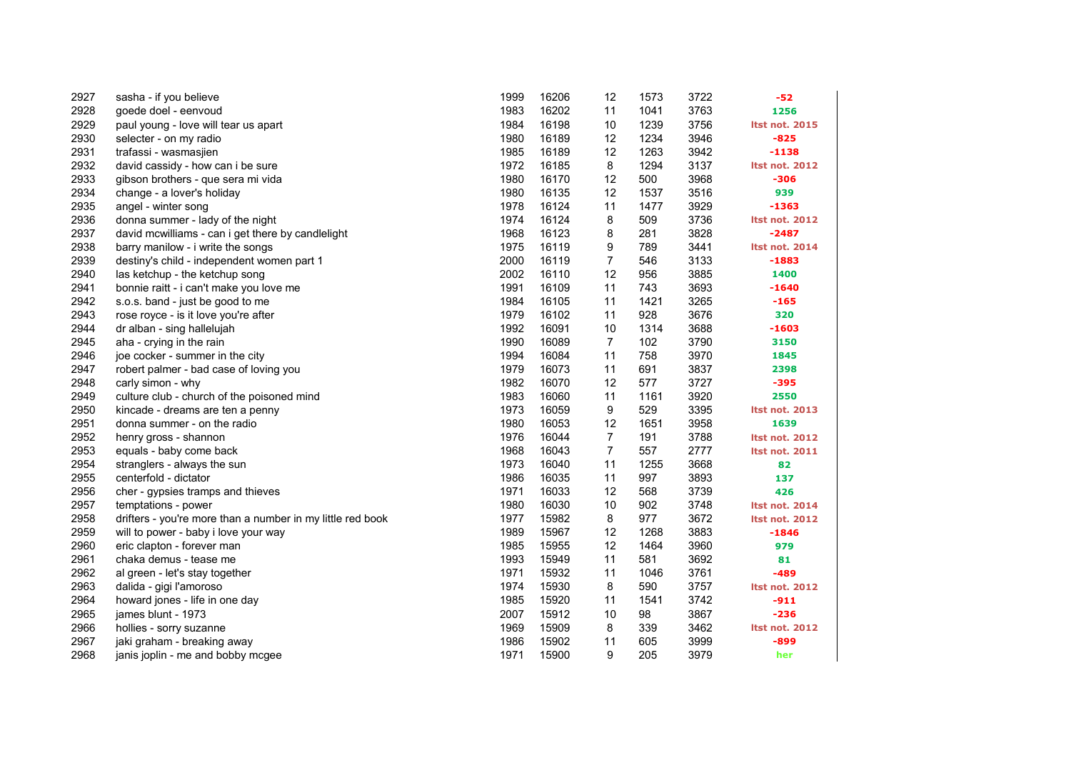| 2927 | sasha - if you believe                                     | 1999 | 16206 | 12             | 1573 | 3722 | $-52$                 |
|------|------------------------------------------------------------|------|-------|----------------|------|------|-----------------------|
| 2928 | goede doel - eenvoud                                       | 1983 | 16202 | 11             | 1041 | 3763 | 1256                  |
| 2929 | paul young - love will tear us apart                       | 1984 | 16198 | 10             | 1239 | 3756 | <b>Itst not. 2015</b> |
| 2930 | selecter - on my radio                                     | 1980 | 16189 | 12             | 1234 | 3946 | $-825$                |
| 2931 | trafassi - wasmasjien                                      | 1985 | 16189 | 12             | 1263 | 3942 | $-1138$               |
| 2932 | david cassidy - how can i be sure                          | 1972 | 16185 | 8              | 1294 | 3137 | <b>Itst not. 2012</b> |
| 2933 | gibson brothers - que sera mi vida                         | 1980 | 16170 | 12             | 500  | 3968 | -306                  |
| 2934 | change - a lover's holiday                                 | 1980 | 16135 | 12             | 1537 | 3516 | 939                   |
| 2935 | angel - winter song                                        | 1978 | 16124 | 11             | 1477 | 3929 | -1363                 |
| 2936 | donna summer - lady of the night                           | 1974 | 16124 | 8              | 509  | 3736 | <b>Itst not. 2012</b> |
| 2937 | david mcwilliams - can i get there by candlelight          | 1968 | 16123 | 8              | 281  | 3828 | $-2487$               |
| 2938 | barry manilow - i write the songs                          | 1975 | 16119 | 9              | 789  | 3441 | <b>Itst not. 2014</b> |
| 2939 | destiny's child - independent women part 1                 | 2000 | 16119 | 7              | 546  | 3133 | $-1883$               |
| 2940 | las ketchup - the ketchup song                             | 2002 | 16110 | 12             | 956  | 3885 | 1400                  |
| 2941 | bonnie raitt - i can't make you love me                    | 1991 | 16109 | 11             | 743  | 3693 | $-1640$               |
| 2942 | s.o.s. band - just be good to me                           | 1984 | 16105 | 11             | 1421 | 3265 | $-165$                |
| 2943 | rose royce - is it love you're after                       | 1979 | 16102 | 11             | 928  | 3676 | 320                   |
| 2944 | dr alban - sing hallelujah                                 | 1992 | 16091 | 10             | 1314 | 3688 | $-1603$               |
| 2945 | aha - crying in the rain                                   | 1990 | 16089 | $\overline{7}$ | 102  | 3790 | 3150                  |
| 2946 | joe cocker - summer in the city                            | 1994 | 16084 | 11             | 758  | 3970 | 1845                  |
| 2947 | robert palmer - bad case of loving you                     | 1979 | 16073 | 11             | 691  | 3837 | 2398                  |
| 2948 | carly simon - why                                          | 1982 | 16070 | 12             | 577  | 3727 | $-395$                |
| 2949 | culture club - church of the poisoned mind                 | 1983 | 16060 | 11             | 1161 | 3920 | 2550                  |
| 2950 | kincade - dreams are ten a penny                           | 1973 | 16059 | 9              | 529  | 3395 | <b>Itst not. 2013</b> |
| 2951 | donna summer - on the radio                                | 1980 | 16053 | 12             | 1651 | 3958 | 1639                  |
| 2952 | henry gross - shannon                                      | 1976 | 16044 | $\overline{7}$ | 191  | 3788 | <b>Itst not. 2012</b> |
| 2953 | equals - baby come back                                    | 1968 | 16043 | $\overline{7}$ | 557  | 2777 | <b>Itst not. 2011</b> |
| 2954 | stranglers - always the sun                                | 1973 | 16040 | 11             | 1255 | 3668 | 82                    |
| 2955 | centerfold - dictator                                      | 1986 | 16035 | 11             | 997  | 3893 | 137                   |
| 2956 | cher - gypsies tramps and thieves                          | 1971 | 16033 | 12             | 568  | 3739 | 426                   |
| 2957 | temptations - power                                        | 1980 | 16030 | 10             | 902  | 3748 | <b>Itst not. 2014</b> |
| 2958 | drifters - you're more than a number in my little red book | 1977 | 15982 | 8              | 977  | 3672 | <b>Itst not. 2012</b> |
| 2959 | will to power - baby i love your way                       | 1989 | 15967 | 12             | 1268 | 3883 | $-1846$               |
| 2960 | eric clapton - forever man                                 | 1985 | 15955 | 12             | 1464 | 3960 | 979                   |
| 2961 | chaka demus - tease me                                     | 1993 | 15949 | 11             | 581  | 3692 | 81                    |
| 2962 | al green - let's stay together                             | 1971 | 15932 | 11             | 1046 | 3761 | $-489$                |
| 2963 | dalida - gigi l'amoroso                                    | 1974 | 15930 | 8              | 590  | 3757 | <b>Itst not. 2012</b> |
| 2964 | howard jones - life in one day                             | 1985 | 15920 | 11             | 1541 | 3742 | -911                  |
| 2965 | james blunt - 1973                                         | 2007 | 15912 | 10             | 98   | 3867 | $-236$                |
| 2966 | hollies - sorry suzanne                                    | 1969 | 15909 | 8              | 339  | 3462 | <b>Itst not. 2012</b> |
| 2967 | jaki graham - breaking away                                | 1986 | 15902 | 11             | 605  | 3999 | $-899$                |
| 2968 | janis joplin - me and bobby mcgee                          | 1971 | 15900 | 9              | 205  | 3979 | her                   |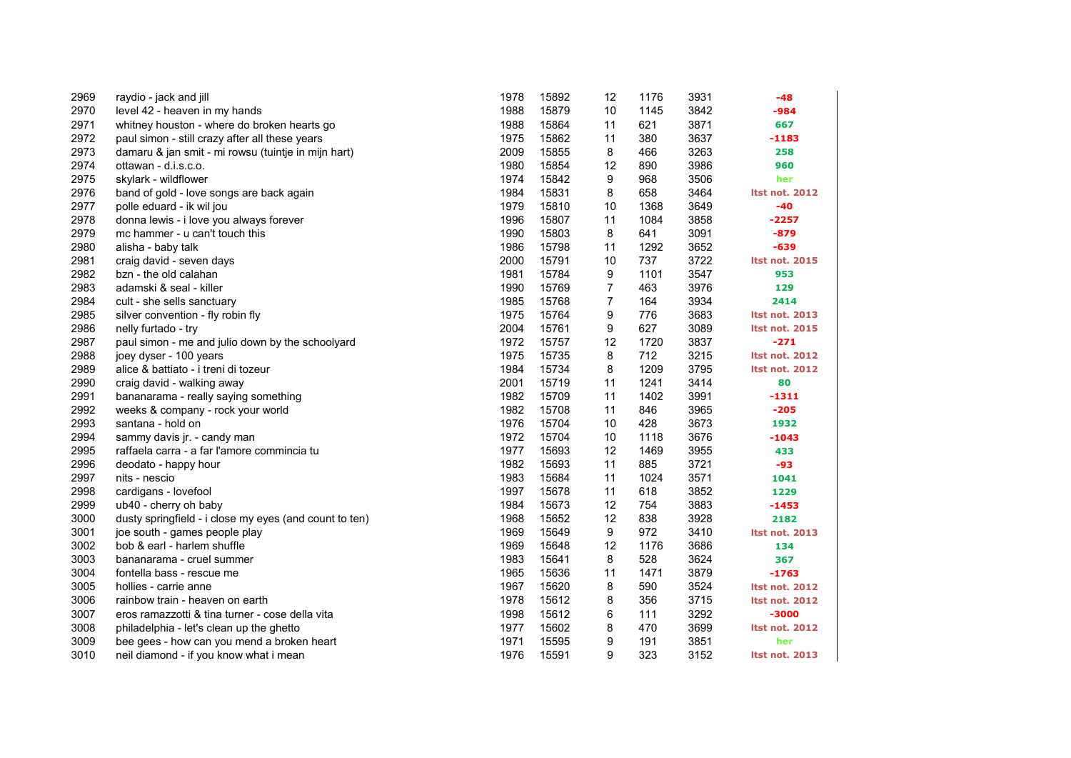| 2969 | raydio - jack and jill                                 | 1978 | 15892 | 12             | 1176 | 3931 | -48                   |
|------|--------------------------------------------------------|------|-------|----------------|------|------|-----------------------|
| 2970 | level 42 - heaven in my hands                          | 1988 | 15879 | 10             | 1145 | 3842 | $-984$                |
| 2971 | whitney houston - where do broken hearts go            | 1988 | 15864 | 11             | 621  | 3871 | 667                   |
| 2972 | paul simon - still crazy after all these years         | 1975 | 15862 | 11             | 380  | 3637 | $-1183$               |
| 2973 | damaru & jan smit - mi rowsu (tuintje in mijn hart)    | 2009 | 15855 | 8              | 466  | 3263 | 258                   |
| 2974 | ottawan - d.i.s.c.o.                                   | 1980 | 15854 | 12             | 890  | 3986 | 960                   |
| 2975 | skylark - wildflower                                   | 1974 | 15842 | 9              | 968  | 3506 | her                   |
| 2976 | band of gold - love songs are back again               | 1984 | 15831 | 8              | 658  | 3464 | <b>Itst not. 2012</b> |
| 2977 | polle eduard - ik wil jou                              | 1979 | 15810 | 10             | 1368 | 3649 | -40                   |
| 2978 | donna lewis - i love you always forever                | 1996 | 15807 | 11             | 1084 | 3858 | $-2257$               |
| 2979 | mc hammer - u can't touch this                         | 1990 | 15803 | 8              | 641  | 3091 | $-879$                |
| 2980 | alisha - baby talk                                     | 1986 | 15798 | 11             | 1292 | 3652 | $-639$                |
| 2981 | craig david - seven days                               | 2000 | 15791 | 10             | 737  | 3722 | <b>Itst not. 2015</b> |
| 2982 | bzn - the old calahan                                  | 1981 | 15784 | 9              | 1101 | 3547 | 953                   |
| 2983 | adamski & seal - killer                                | 1990 | 15769 | 7              | 463  | 3976 | 129                   |
| 2984 | cult - she sells sanctuary                             | 1985 | 15768 | $\overline{7}$ | 164  | 3934 | 2414                  |
| 2985 | silver convention - fly robin fly                      | 1975 | 15764 | 9              | 776  | 3683 | Itst not. 2013        |
| 2986 | nelly furtado - try                                    | 2004 | 15761 | 9              | 627  | 3089 | <b>Itst not. 2015</b> |
| 2987 | paul simon - me and julio down by the schoolyard       | 1972 | 15757 | 12             | 1720 | 3837 | $-271$                |
| 2988 | joey dyser - 100 years                                 | 1975 | 15735 | 8              | 712  | 3215 | <b>Itst not. 2012</b> |
| 2989 | alice & battiato - i treni di tozeur                   | 1984 | 15734 | 8              | 1209 | 3795 | <b>Itst not. 2012</b> |
| 2990 | craig david - walking away                             | 2001 | 15719 | 11             | 1241 | 3414 | 80                    |
| 2991 | bananarama - really saying something                   | 1982 | 15709 | 11             | 1402 | 3991 | $-1311$               |
| 2992 | weeks & company - rock your world                      | 1982 | 15708 | 11             | 846  | 3965 | $-205$                |
| 2993 | santana - hold on                                      | 1976 | 15704 | 10             | 428  | 3673 | 1932                  |
| 2994 | sammy davis jr. - candy man                            | 1972 | 15704 | 10             | 1118 | 3676 | $-1043$               |
| 2995 | raffaela carra - a far l'amore commincia tu            | 1977 | 15693 | 12             | 1469 | 3955 | 433                   |
| 2996 | deodato - happy hour                                   | 1982 | 15693 | 11             | 885  | 3721 | -93                   |
| 2997 | nits - nescio                                          | 1983 | 15684 | 11             | 1024 | 3571 | 1041                  |
| 2998 | cardigans - lovefool                                   | 1997 | 15678 | 11             | 618  | 3852 | 1229                  |
| 2999 | ub40 - cherry oh baby                                  | 1984 | 15673 | 12             | 754  | 3883 | $-1453$               |
| 3000 | dusty springfield - i close my eyes (and count to ten) | 1968 | 15652 | 12             | 838  | 3928 | 2182                  |
| 3001 | joe south - games people play                          | 1969 | 15649 | 9              | 972  | 3410 | Itst not. 2013        |
| 3002 | bob & earl - harlem shuffle                            | 1969 | 15648 | 12             | 1176 | 3686 | 134                   |
| 3003 | bananarama - cruel summer                              | 1983 | 15641 | 8              | 528  | 3624 | 367                   |
| 3004 | fontella bass - rescue me                              | 1965 | 15636 | 11             | 1471 | 3879 | $-1763$               |
| 3005 | hollies - carrie anne                                  | 1967 | 15620 | 8              | 590  | 3524 | <b>Itst not. 2012</b> |
| 3006 | rainbow train - heaven on earth                        | 1978 | 15612 | 8              | 356  | 3715 | <b>Itst not. 2012</b> |
| 3007 | eros ramazzotti & tina turner - cose della vita        | 1998 | 15612 | 6              | 111  | 3292 | $-3000$               |
| 3008 | philadelphia - let's clean up the ghetto               | 1977 | 15602 | 8              | 470  | 3699 | <b>Itst not. 2012</b> |
| 3009 | bee gees - how can you mend a broken heart             | 1971 | 15595 | 9              | 191  | 3851 | her                   |
| 3010 | neil diamond - if you know what i mean                 | 1976 | 15591 | 9              | 323  | 3152 | <b>Itst not. 2013</b> |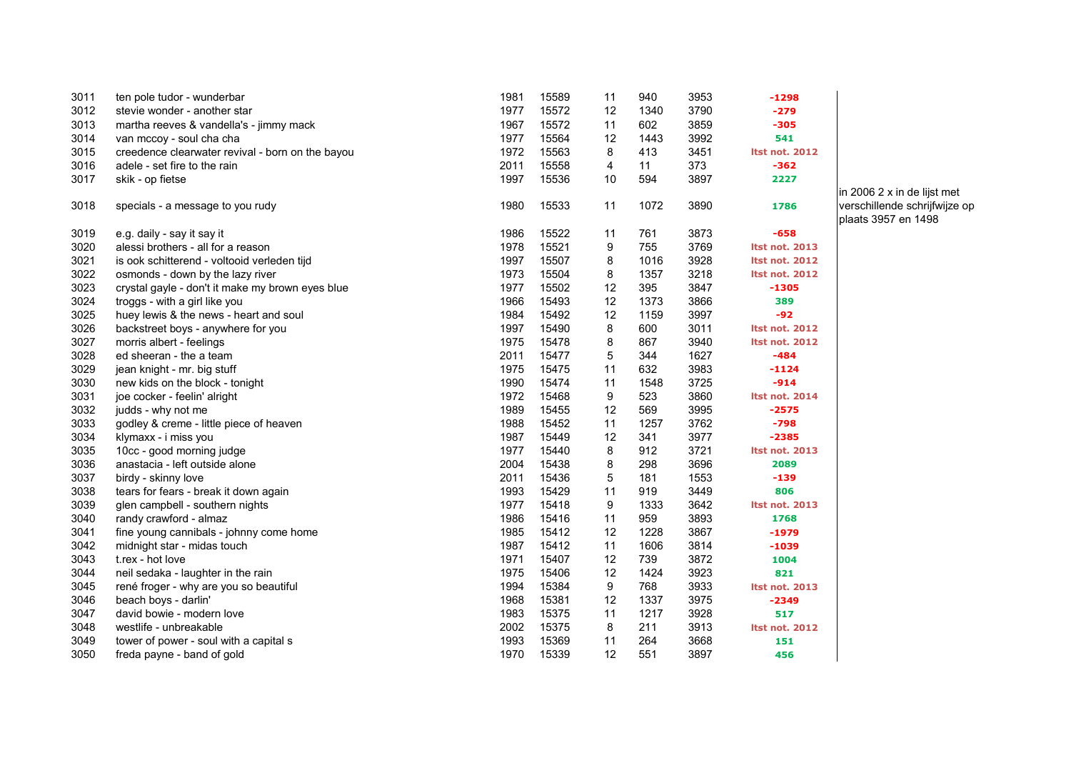| 3011 | ten pole tudor - wunderbar                       | 1981 | 15589 | 11 | 940  | 3953 | $-1298$               |
|------|--------------------------------------------------|------|-------|----|------|------|-----------------------|
| 3012 | stevie wonder - another star                     | 1977 | 15572 | 12 | 1340 | 3790 | $-279$                |
| 3013 | martha reeves & vandella's - jimmy mack          | 1967 | 15572 | 11 | 602  | 3859 | $-305$                |
| 3014 | van mccoy - soul cha cha                         | 1977 | 15564 | 12 | 1443 | 3992 | 541                   |
| 3015 | creedence clearwater revival - born on the bayou | 1972 | 15563 | 8  | 413  | 3451 | <b>Itst not. 2012</b> |
| 3016 | adele - set fire to the rain                     | 2011 | 15558 | 4  | 11   | 373  | $-362$                |
| 3017 | skik - op fietse                                 | 1997 | 15536 | 10 | 594  | 3897 | 2227                  |
| 3018 | specials - a message to you rudy                 | 1980 | 15533 | 11 | 1072 | 3890 | 1786                  |
| 3019 | e.g. daily - say it say it                       | 1986 | 15522 | 11 | 761  | 3873 | $-658$                |
| 3020 | alessi brothers - all for a reason               | 1978 | 15521 | 9  | 755  | 3769 | <b>Itst not. 2013</b> |
| 3021 | is ook schitterend - voltooid verleden tijd      | 1997 | 15507 | 8  | 1016 | 3928 | <b>Itst not. 2012</b> |
| 3022 | osmonds - down by the lazy river                 | 1973 | 15504 | 8  | 1357 | 3218 | <b>Itst not. 2012</b> |
| 3023 | crystal gayle - don't it make my brown eyes blue | 1977 | 15502 | 12 | 395  | 3847 | $-1305$               |
| 3024 | troggs - with a girl like you                    | 1966 | 15493 | 12 | 1373 | 3866 | 389                   |
| 3025 | huey lewis & the news - heart and soul           | 1984 | 15492 | 12 | 1159 | 3997 | $-92$                 |
| 3026 | backstreet boys - anywhere for you               | 1997 | 15490 | 8  | 600  | 3011 | <b>Itst not. 2012</b> |
| 3027 | morris albert - feelings                         | 1975 | 15478 | 8  | 867  | 3940 | <b>Itst not. 2012</b> |
| 3028 | ed sheeran - the a team                          | 2011 | 15477 | 5  | 344  | 1627 | -484                  |
| 3029 | jean knight - mr. big stuff                      | 1975 | 15475 | 11 | 632  | 3983 | $-1124$               |
| 3030 | new kids on the block - tonight                  | 1990 | 15474 | 11 | 1548 | 3725 | $-914$                |
| 3031 | joe cocker - feelin' alright                     | 1972 | 15468 | 9  | 523  | 3860 | <b>Itst not. 2014</b> |
| 3032 | judds - why not me                               | 1989 | 15455 | 12 | 569  | 3995 | $-2575$               |
| 3033 | godley & creme - little piece of heaven          | 1988 | 15452 | 11 | 1257 | 3762 | $-798$                |
| 3034 | klymaxx - i miss you                             | 1987 | 15449 | 12 | 341  | 3977 | $-2385$               |
| 3035 | 10cc - good morning judge                        | 1977 | 15440 | 8  | 912  | 3721 | <b>Itst not. 2013</b> |
| 3036 | anastacia - left outside alone                   | 2004 | 15438 | 8  | 298  | 3696 | 2089                  |
| 3037 | birdy - skinny love                              | 2011 | 15436 | 5  | 181  | 1553 | $-139$                |
| 3038 | tears for fears - break it down again            | 1993 | 15429 | 11 | 919  | 3449 | 806                   |
| 3039 | glen campbell - southern nights                  | 1977 | 15418 | 9  | 1333 | 3642 | <b>Itst not. 2013</b> |
| 3040 | randy crawford - almaz                           | 1986 | 15416 | 11 | 959  | 3893 | 1768                  |
| 3041 | fine young cannibals - johnny come home          | 1985 | 15412 | 12 | 1228 | 3867 | $-1979$               |
| 3042 | midnight star - midas touch                      | 1987 | 15412 | 11 | 1606 | 3814 | -1039                 |
| 3043 | t.rex - hot love                                 | 1971 | 15407 | 12 | 739  | 3872 | 1004                  |
| 3044 | neil sedaka - laughter in the rain               | 1975 | 15406 | 12 | 1424 | 3923 | 821                   |
| 3045 | rené froger - why are you so beautiful           | 1994 | 15384 | 9  | 768  | 3933 | <b>Itst not. 2013</b> |
| 3046 | beach boys - darlin'                             | 1968 | 15381 | 12 | 1337 | 3975 | $-2349$               |
| 3047 | david bowie - modern love                        | 1983 | 15375 | 11 | 1217 | 3928 | 517                   |
| 3048 | westlife - unbreakable                           | 2002 | 15375 | 8  | 211  | 3913 | <b>Itst not. 2012</b> |
| 3049 | tower of power - soul with a capital s           | 1993 | 15369 | 11 | 264  | 3668 | 151                   |
| 3050 | freda payne - band of gold                       | 1970 | 15339 | 12 | 551  | 3897 | 456                   |

in 2006 2 x in de lijst met verschillende schrijfwijze op plaats 3957 en 1498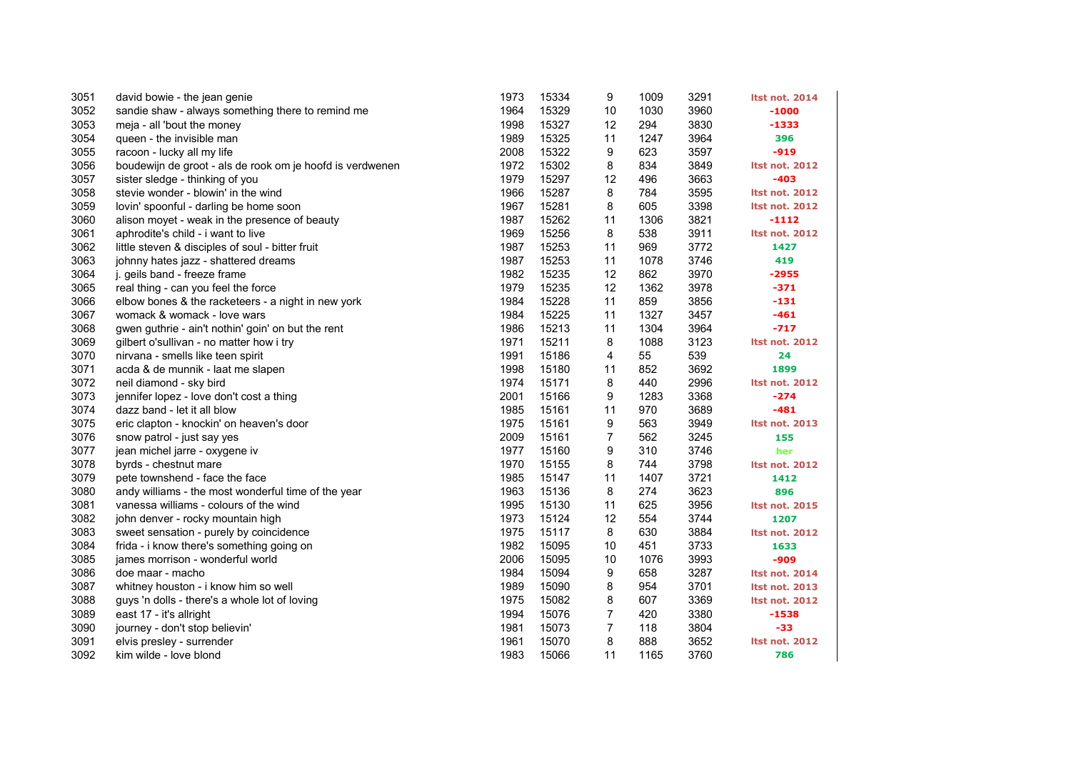| 3051 | david bowie - the jean genie                              | 1973 | 15334 | 9              | 1009 | 3291 | <b>Itst not. 2014</b> |
|------|-----------------------------------------------------------|------|-------|----------------|------|------|-----------------------|
| 3052 | sandie shaw - always something there to remind me         | 1964 | 15329 | 10             | 1030 | 3960 | $-1000$               |
| 3053 | meja - all 'bout the money                                | 1998 | 15327 | 12             | 294  | 3830 | $-1333$               |
| 3054 | queen - the invisible man                                 | 1989 | 15325 | 11             | 1247 | 3964 | 396                   |
| 3055 | racoon - lucky all my life                                | 2008 | 15322 | 9              | 623  | 3597 | $-919$                |
| 3056 | boudewijn de groot - als de rook om je hoofd is verdwenen | 1972 | 15302 | 8              | 834  | 3849 | <b>Itst not. 2012</b> |
| 3057 | sister sledge - thinking of you                           | 1979 | 15297 | 12             | 496  | 3663 | $-403$                |
| 3058 | stevie wonder - blowin' in the wind                       | 1966 | 15287 | 8              | 784  | 3595 | <b>Itst not. 2012</b> |
| 3059 | lovin' spoonful - darling be home soon                    | 1967 | 15281 | 8              | 605  | 3398 | <b>Itst not. 2012</b> |
| 3060 | alison moyet - weak in the presence of beauty             | 1987 | 15262 | 11             | 1306 | 3821 | $-1112$               |
| 3061 | aphrodite's child - i want to live                        | 1969 | 15256 | 8              | 538  | 3911 | <b>Itst not. 2012</b> |
| 3062 | little steven & disciples of soul - bitter fruit          | 1987 | 15253 | 11             | 969  | 3772 | 1427                  |
| 3063 | johnny hates jazz - shattered dreams                      | 1987 | 15253 | 11             | 1078 | 3746 | 419                   |
| 3064 | j. geils band - freeze frame                              | 1982 | 15235 | 12             | 862  | 3970 | $-2955$               |
| 3065 | real thing - can you feel the force                       | 1979 | 15235 | 12             | 1362 | 3978 | $-371$                |
| 3066 | elbow bones & the racketeers - a night in new york        | 1984 | 15228 | 11             | 859  | 3856 | $-131$                |
| 3067 | womack & womack - love wars                               | 1984 | 15225 | 11             | 1327 | 3457 | $-461$                |
| 3068 | gwen guthrie - ain't nothin' goin' on but the rent        | 1986 | 15213 | 11             | 1304 | 3964 | $-717$                |
| 3069 | gilbert o'sullivan - no matter how i try                  | 1971 | 15211 | 8              | 1088 | 3123 | <b>Itst not. 2012</b> |
| 3070 | nirvana - smells like teen spirit                         | 1991 | 15186 | 4              | 55   | 539  | 24                    |
| 3071 | acda & de munnik - laat me slapen                         | 1998 | 15180 | 11             | 852  | 3692 | 1899                  |
| 3072 | neil diamond - sky bird                                   | 1974 | 15171 | 8              | 440  | 2996 | <b>Itst not. 2012</b> |
| 3073 | jennifer lopez - love don't cost a thing                  | 2001 | 15166 | 9              | 1283 | 3368 | $-274$                |
| 3074 | dazz band - let it all blow                               | 1985 | 15161 | 11             | 970  | 3689 | $-481$                |
| 3075 | eric clapton - knockin' on heaven's door                  | 1975 | 15161 | 9              | 563  | 3949 | <b>Itst not. 2013</b> |
| 3076 | snow patrol - just say yes                                | 2009 | 15161 | $\overline{7}$ | 562  | 3245 | 155                   |
| 3077 | jean michel jarre - oxygene iv                            | 1977 | 15160 | 9              | 310  | 3746 | her                   |
| 3078 | byrds - chestnut mare                                     | 1970 | 15155 | 8              | 744  | 3798 | <b>Itst not. 2012</b> |
| 3079 | pete townshend - face the face                            | 1985 | 15147 | 11             | 1407 | 3721 | 1412                  |
| 3080 | andy williams - the most wonderful time of the year       | 1963 | 15136 | 8              | 274  | 3623 | 896                   |
| 3081 | vanessa williams - colours of the wind                    | 1995 | 15130 | 11             | 625  | 3956 | <b>Itst not. 2015</b> |
| 3082 | john denver - rocky mountain high                         | 1973 | 15124 | 12             | 554  | 3744 | 1207                  |
| 3083 | sweet sensation - purely by coincidence                   | 1975 | 15117 | 8              | 630  | 3884 | <b>Itst not. 2012</b> |
| 3084 | frida - i know there's something going on                 | 1982 | 15095 | 10             | 451  | 3733 | 1633                  |
| 3085 | james morrison - wonderful world                          | 2006 | 15095 | 10             | 1076 | 3993 | -909                  |
| 3086 | doe maar - macho                                          | 1984 | 15094 | 9              | 658  | 3287 | <b>Itst not. 2014</b> |
| 3087 | whitney houston - i know him so well                      | 1989 | 15090 | 8              | 954  | 3701 | <b>Itst not. 2013</b> |
| 3088 | guys 'n dolls - there's a whole lot of loving             | 1975 | 15082 | 8              | 607  | 3369 | <b>Itst not. 2012</b> |
| 3089 | east 17 - it's allright                                   | 1994 | 15076 | $\overline{7}$ | 420  | 3380 | $-1538$               |
| 3090 | journey - don't stop believin'                            | 1981 | 15073 | 7              | 118  | 3804 | -33                   |
| 3091 | elvis presley - surrender                                 | 1961 | 15070 | 8              | 888  | 3652 | <b>Itst not. 2012</b> |
| 3092 | kim wilde - love blond                                    | 1983 | 15066 | 11             | 1165 | 3760 | 786                   |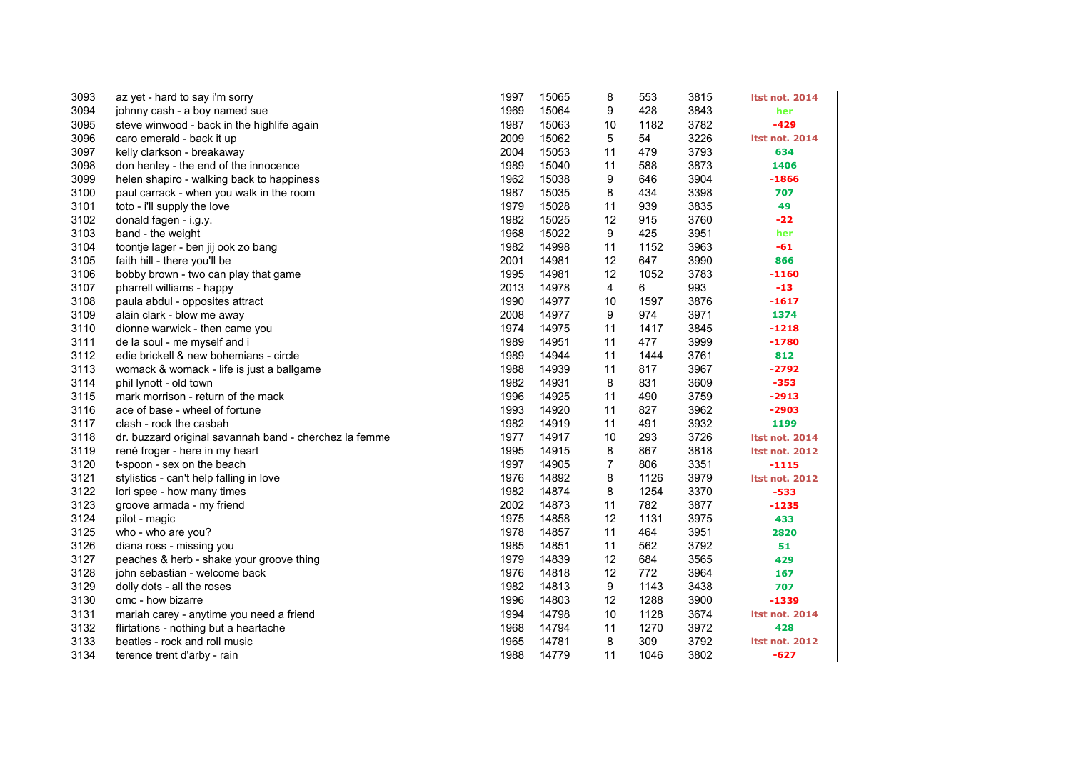| 3093 | az yet - hard to say i'm sorry                         | 1997 | 15065 | 8  | 553  | 3815 | <b>Itst not. 2014</b> |
|------|--------------------------------------------------------|------|-------|----|------|------|-----------------------|
| 3094 | johnny cash - a boy named sue                          | 1969 | 15064 | 9  | 428  | 3843 | her                   |
| 3095 | steve winwood - back in the highlife again             | 1987 | 15063 | 10 | 1182 | 3782 | $-429$                |
| 3096 | caro emerald - back it up                              | 2009 | 15062 | 5  | 54   | 3226 | <b>Itst not. 2014</b> |
| 3097 | kelly clarkson - breakaway                             | 2004 | 15053 | 11 | 479  | 3793 | 634                   |
| 3098 | don henley - the end of the innocence                  | 1989 | 15040 | 11 | 588  | 3873 | 1406                  |
| 3099 | helen shapiro - walking back to happiness              | 1962 | 15038 | 9  | 646  | 3904 | $-1866$               |
| 3100 | paul carrack - when you walk in the room               | 1987 | 15035 | 8  | 434  | 3398 | 707                   |
| 3101 | toto - i'll supply the love                            | 1979 | 15028 | 11 | 939  | 3835 | 49                    |
| 3102 | donald fagen - i.g.y.                                  | 1982 | 15025 | 12 | 915  | 3760 | $-22$                 |
| 3103 | band - the weight                                      | 1968 | 15022 | 9  | 425  | 3951 | her                   |
| 3104 | toontje lager - ben jij ook zo bang                    | 1982 | 14998 | 11 | 1152 | 3963 | -61                   |
| 3105 | faith hill - there you'll be                           | 2001 | 14981 | 12 | 647  | 3990 | 866                   |
| 3106 | bobby brown - two can play that game                   | 1995 | 14981 | 12 | 1052 | 3783 | $-1160$               |
| 3107 | pharrell williams - happy                              | 2013 | 14978 | 4  | 6    | 993  | $-13$                 |
| 3108 | paula abdul - opposites attract                        | 1990 | 14977 | 10 | 1597 | 3876 | $-1617$               |
| 3109 | alain clark - blow me away                             | 2008 | 14977 | 9  | 974  | 3971 | 1374                  |
| 3110 | dionne warwick - then came you                         | 1974 | 14975 | 11 | 1417 | 3845 | $-1218$               |
| 3111 | de la soul - me myself and i                           | 1989 | 14951 | 11 | 477  | 3999 | $-1780$               |
| 3112 | edie brickell & new bohemians - circle                 | 1989 | 14944 | 11 | 1444 | 3761 | 812                   |
| 3113 | womack & womack - life is just a ballgame              | 1988 | 14939 | 11 | 817  | 3967 | $-2792$               |
| 3114 | phil lynott - old town                                 | 1982 | 14931 | 8  | 831  | 3609 | $-353$                |
| 3115 | mark morrison - return of the mack                     | 1996 | 14925 | 11 | 490  | 3759 | $-2913$               |
| 3116 | ace of base - wheel of fortune                         | 1993 | 14920 | 11 | 827  | 3962 | $-2903$               |
| 3117 | clash - rock the casbah                                | 1982 | 14919 | 11 | 491  | 3932 | 1199                  |
| 3118 | dr. buzzard original savannah band - cherchez la femme | 1977 | 14917 | 10 | 293  | 3726 | <b>Itst not. 2014</b> |
| 3119 | rené froger - here in my heart                         | 1995 | 14915 | 8  | 867  | 3818 | <b>Itst not. 2012</b> |
| 3120 | t-spoon - sex on the beach                             | 1997 | 14905 | 7  | 806  | 3351 | $-1115$               |
| 3121 | stylistics - can't help falling in love                | 1976 | 14892 | 8  | 1126 | 3979 | <b>Itst not. 2012</b> |
| 3122 | lori spee - how many times                             | 1982 | 14874 | 8  | 1254 | 3370 | $-533$                |
| 3123 | groove armada - my friend                              | 2002 | 14873 | 11 | 782  | 3877 | $-1235$               |
| 3124 | pilot - magic                                          | 1975 | 14858 | 12 | 1131 | 3975 | 433                   |
| 3125 | who - who are you?                                     | 1978 | 14857 | 11 | 464  | 3951 | 2820                  |
| 3126 | diana ross - missing you                               | 1985 | 14851 | 11 | 562  | 3792 | 51                    |
| 3127 | peaches & herb - shake your groove thing               | 1979 | 14839 | 12 | 684  | 3565 | 429                   |
| 3128 | john sebastian - welcome back                          | 1976 | 14818 | 12 | 772  | 3964 | 167                   |
| 3129 | dolly dots - all the roses                             | 1982 | 14813 | 9  | 1143 | 3438 | 707                   |
| 3130 | omc - how bizarre                                      | 1996 | 14803 | 12 | 1288 | 3900 | $-1339$               |
| 3131 | mariah carey - anytime you need a friend               | 1994 | 14798 | 10 | 1128 | 3674 | <b>Itst not. 2014</b> |
| 3132 | flirtations - nothing but a heartache                  | 1968 | 14794 | 11 | 1270 | 3972 | 428                   |
| 3133 | beatles - rock and roll music                          | 1965 | 14781 | 8  | 309  | 3792 | <b>Itst not. 2012</b> |
| 3134 | terence trent d'arby - rain                            | 1988 | 14779 | 11 | 1046 | 3802 | $-627$                |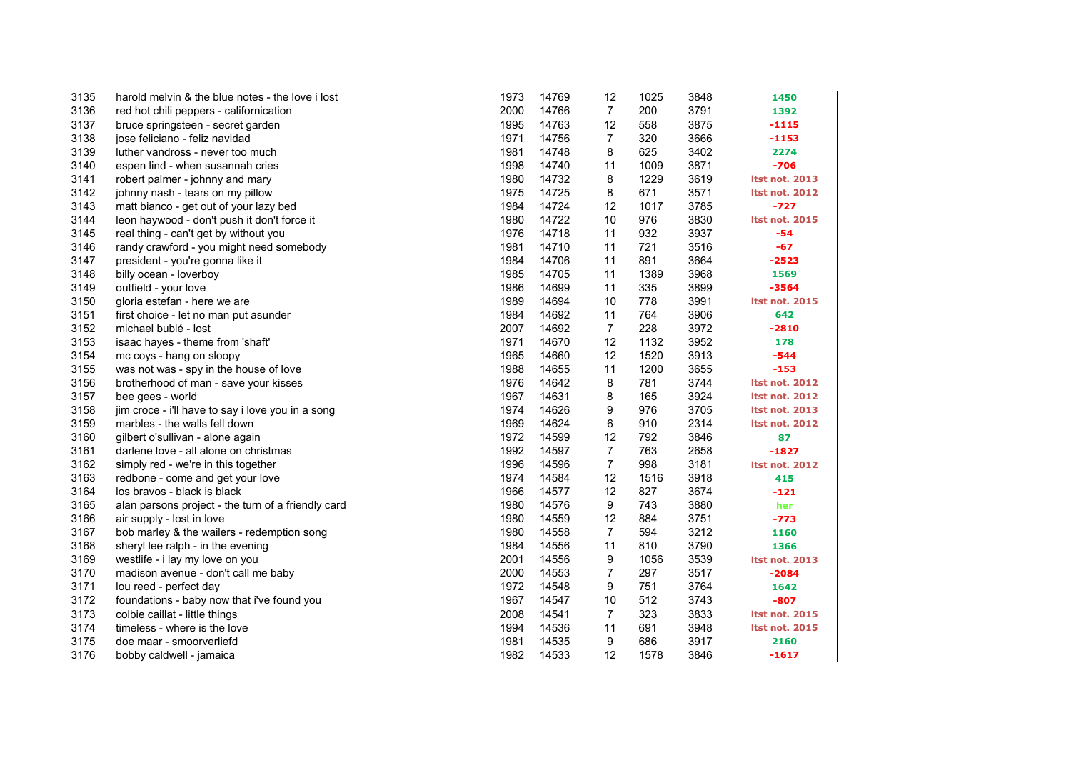| 3135 | harold melvin & the blue notes - the love i lost   | 1973 | 14769 | 12             | 1025 | 3848 | 1450                  |
|------|----------------------------------------------------|------|-------|----------------|------|------|-----------------------|
| 3136 | red hot chili peppers - californication            | 2000 | 14766 | $\overline{7}$ | 200  | 3791 | 1392                  |
| 3137 | bruce springsteen - secret garden                  | 1995 | 14763 | 12             | 558  | 3875 | $-1115$               |
| 3138 | jose feliciano - feliz navidad                     | 1971 | 14756 | $\overline{7}$ | 320  | 3666 | $-1153$               |
| 3139 | luther vandross - never too much                   | 1981 | 14748 | 8              | 625  | 3402 | 2274                  |
| 3140 | espen lind - when susannah cries                   | 1998 | 14740 | 11             | 1009 | 3871 | $-706$                |
| 3141 | robert palmer - johnny and mary                    | 1980 | 14732 | 8              | 1229 | 3619 | <b>Itst not. 2013</b> |
| 3142 | johnny nash - tears on my pillow                   | 1975 | 14725 | 8              | 671  | 3571 | <b>Itst not. 2012</b> |
| 3143 | matt bianco - get out of your lazy bed             | 1984 | 14724 | 12             | 1017 | 3785 | $-727$                |
| 3144 | leon haywood - don't push it don't force it        | 1980 | 14722 | 10             | 976  | 3830 | <b>Itst not. 2015</b> |
| 3145 | real thing - can't get by without you              | 1976 | 14718 | 11             | 932  | 3937 | -54                   |
| 3146 | randy crawford - you might need somebody           | 1981 | 14710 | 11             | 721  | 3516 | $-67$                 |
| 3147 | president - you're gonna like it                   | 1984 | 14706 | 11             | 891  | 3664 | $-2523$               |
| 3148 | billy ocean - loverboy                             | 1985 | 14705 | 11             | 1389 | 3968 | 1569                  |
| 3149 | outfield - your love                               | 1986 | 14699 | 11             | 335  | 3899 | $-3564$               |
| 3150 | gloria estefan - here we are                       | 1989 | 14694 | 10             | 778  | 3991 | <b>Itst not. 2015</b> |
| 3151 | first choice - let no man put asunder              | 1984 | 14692 | 11             | 764  | 3906 | 642                   |
| 3152 | michael bublé - lost                               | 2007 | 14692 | $\overline{7}$ | 228  | 3972 | $-2810$               |
| 3153 | isaac hayes - theme from 'shaft'                   | 1971 | 14670 | 12             | 1132 | 3952 | 178                   |
| 3154 | mc coys - hang on sloopy                           | 1965 | 14660 | 12             | 1520 | 3913 | $-544$                |
| 3155 | was not was - spy in the house of love             | 1988 | 14655 | 11             | 1200 | 3655 | $-153$                |
| 3156 | brotherhood of man - save your kisses              | 1976 | 14642 | 8              | 781  | 3744 | <b>Itst not. 2012</b> |
| 3157 | bee gees - world                                   | 1967 | 14631 | 8              | 165  | 3924 | <b>Itst not. 2012</b> |
| 3158 | jim croce - i'll have to say i love you in a song  | 1974 | 14626 | 9              | 976  | 3705 | <b>Itst not. 2013</b> |
| 3159 | marbles - the walls fell down                      | 1969 | 14624 | 6              | 910  | 2314 | <b>Itst not. 2012</b> |
| 3160 | gilbert o'sullivan - alone again                   | 1972 | 14599 | 12             | 792  | 3846 | 87                    |
| 3161 | darlene love - all alone on christmas              | 1992 | 14597 | $\overline{7}$ | 763  | 2658 | $-1827$               |
| 3162 | simply red - we're in this together                | 1996 | 14596 | $\overline{7}$ | 998  | 3181 | <b>Itst not. 2012</b> |
| 3163 | redbone - come and get your love                   | 1974 | 14584 | 12             | 1516 | 3918 | 415                   |
| 3164 | los bravos - black is black                        | 1966 | 14577 | 12             | 827  | 3674 | $-121$                |
| 3165 | alan parsons project - the turn of a friendly card | 1980 | 14576 | 9              | 743  | 3880 | her                   |
| 3166 | air supply - lost in love                          | 1980 | 14559 | 12             | 884  | 3751 | $-773$                |
| 3167 | bob marley & the wailers - redemption song         | 1980 | 14558 | 7              | 594  | 3212 | 1160                  |
| 3168 | sheryl lee ralph - in the evening                  | 1984 | 14556 | 11             | 810  | 3790 | 1366                  |
| 3169 | westlife - i lay my love on you                    | 2001 | 14556 | 9              | 1056 | 3539 | <b>Itst not. 2013</b> |
| 3170 | madison avenue - don't call me baby                | 2000 | 14553 | 7              | 297  | 3517 | $-2084$               |
| 3171 | lou reed - perfect day                             | 1972 | 14548 | 9              | 751  | 3764 | 1642                  |
| 3172 | foundations - baby now that i've found you         | 1967 | 14547 | 10             | 512  | 3743 | $-807$                |
| 3173 | colbie caillat - little things                     | 2008 | 14541 | 7              | 323  | 3833 | <b>Itst not. 2015</b> |
| 3174 | timeless - where is the love                       | 1994 | 14536 | 11             | 691  | 3948 | <b>Itst not. 2015</b> |
| 3175 | doe maar - smoorverliefd                           | 1981 | 14535 | 9              | 686  | 3917 | 2160                  |
| 3176 | bobby caldwell - jamaica                           | 1982 | 14533 | 12             | 1578 | 3846 | $-1617$               |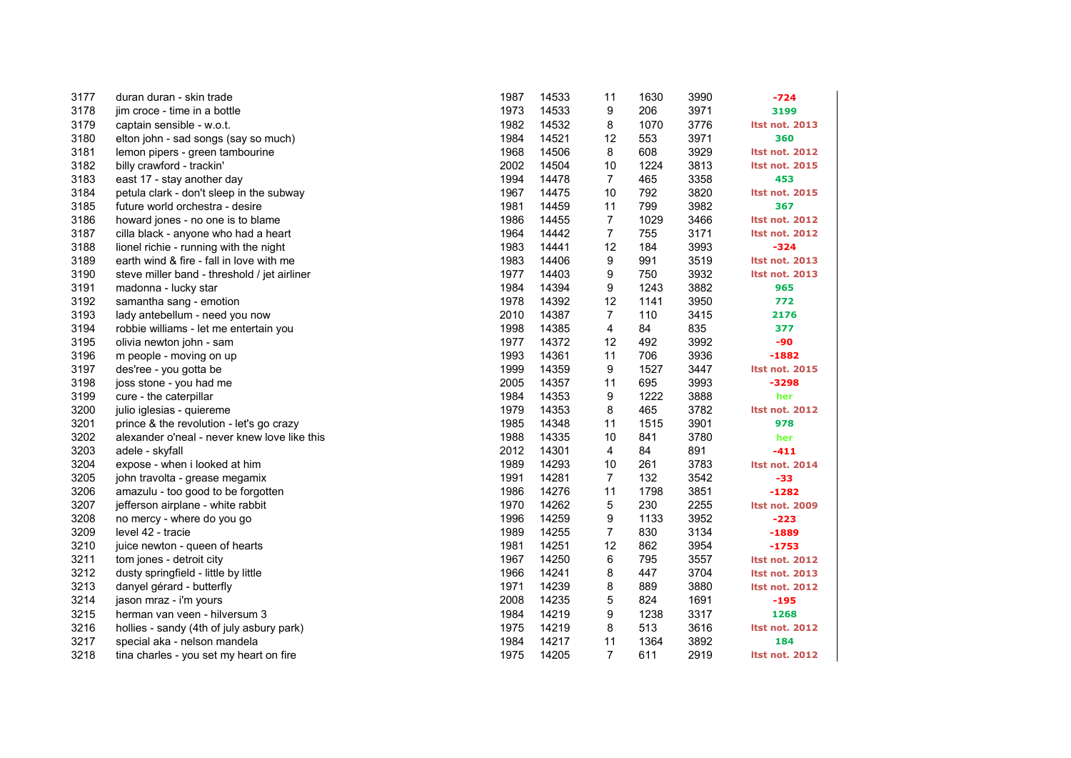| 3177 | duran duran - skin trade                     | 1987 | 14533 | 11             | 1630 | 3990 | $-724$                |
|------|----------------------------------------------|------|-------|----------------|------|------|-----------------------|
| 3178 | jim croce - time in a bottle                 | 1973 | 14533 | 9              | 206  | 3971 | 3199                  |
| 3179 | captain sensible - w.o.t.                    | 1982 | 14532 | 8              | 1070 | 3776 | Itst not. 2013        |
| 3180 | elton john - sad songs (say so much)         | 1984 | 14521 | 12             | 553  | 3971 | 360                   |
| 3181 | lemon pipers - green tambourine              | 1968 | 14506 | 8              | 608  | 3929 | <b>Itst not. 2012</b> |
| 3182 | billy crawford - trackin'                    | 2002 | 14504 | 10             | 1224 | 3813 | <b>Itst not. 2015</b> |
| 3183 | east 17 - stay another day                   | 1994 | 14478 | $\overline{7}$ | 465  | 3358 | 453                   |
| 3184 | petula clark - don't sleep in the subway     | 1967 | 14475 | 10             | 792  | 3820 | <b>Itst not. 2015</b> |
| 3185 | future world orchestra - desire              | 1981 | 14459 | 11             | 799  | 3982 | 367                   |
| 3186 | howard jones - no one is to blame            | 1986 | 14455 | $\overline{7}$ | 1029 | 3466 | <b>Itst not. 2012</b> |
| 3187 | cilla black - anyone who had a heart         | 1964 | 14442 | $\overline{7}$ | 755  | 3171 | <b>Itst not. 2012</b> |
| 3188 | lionel richie - running with the night       | 1983 | 14441 | 12             | 184  | 3993 | $-324$                |
| 3189 | earth wind & fire - fall in love with me     | 1983 | 14406 | 9              | 991  | 3519 | Itst not. 2013        |
| 3190 | steve miller band - threshold / jet airliner | 1977 | 14403 | 9              | 750  | 3932 | Itst not. 2013        |
| 3191 | madonna - lucky star                         | 1984 | 14394 | 9              | 1243 | 3882 | 965                   |
| 3192 | samantha sang - emotion                      | 1978 | 14392 | 12             | 1141 | 3950 | 772                   |
| 3193 | lady antebellum - need you now               | 2010 | 14387 | 7              | 110  | 3415 | 2176                  |
| 3194 | robbie williams - let me entertain you       | 1998 | 14385 | 4              | 84   | 835  | 377                   |
| 3195 | olivia newton john - sam                     | 1977 | 14372 | 12             | 492  | 3992 | -90                   |
| 3196 | m people - moving on up                      | 1993 | 14361 | 11             | 706  | 3936 | $-1882$               |
| 3197 | des'ree - you gotta be                       | 1999 | 14359 | 9              | 1527 | 3447 | <b>Itst not. 2015</b> |
| 3198 | joss stone - you had me                      | 2005 | 14357 | 11             | 695  | 3993 | $-3298$               |
| 3199 | cure - the caterpillar                       | 1984 | 14353 | 9              | 1222 | 3888 | her                   |
| 3200 | julio iglesias - quiereme                    | 1979 | 14353 | 8              | 465  | 3782 | <b>Itst not. 2012</b> |
| 3201 | prince & the revolution - let's go crazy     | 1985 | 14348 | 11             | 1515 | 3901 | 978                   |
| 3202 | alexander o'neal - never knew love like this | 1988 | 14335 | 10             | 841  | 3780 | her                   |
| 3203 | adele - skyfall                              | 2012 | 14301 | 4              | 84   | 891  | $-411$                |
| 3204 | expose - when i looked at him                | 1989 | 14293 | 10             | 261  | 3783 | <b>Itst not. 2014</b> |
| 3205 | john travolta - grease megamix               | 1991 | 14281 | $\overline{7}$ | 132  | 3542 | $-33$                 |
| 3206 | amazulu - too good to be forgotten           | 1986 | 14276 | 11             | 1798 | 3851 | $-1282$               |
| 3207 | jefferson airplane - white rabbit            | 1970 | 14262 | 5              | 230  | 2255 | Itst not. 2009        |
| 3208 | no mercy - where do you go                   | 1996 | 14259 | 9              | 1133 | 3952 | $-223$                |
| 3209 | level 42 - tracie                            | 1989 | 14255 | $\overline{7}$ | 830  | 3134 | $-1889$               |
| 3210 | juice newton - queen of hearts               | 1981 | 14251 | 12             | 862  | 3954 | -1753                 |
| 3211 | tom jones - detroit city                     | 1967 | 14250 | 6              | 795  | 3557 | <b>Itst not. 2012</b> |
| 3212 | dusty springfield - little by little         | 1966 | 14241 | 8              | 447  | 3704 | <b>Itst not. 2013</b> |
| 3213 | danyel gérard - butterfly                    | 1971 | 14239 | 8              | 889  | 3880 | <b>Itst not. 2012</b> |
| 3214 | jason mraz - i'm yours                       | 2008 | 14235 | 5              | 824  | 1691 | $-195$                |
| 3215 | herman van veen - hilversum 3                | 1984 | 14219 | 9              | 1238 | 3317 | 1268                  |
| 3216 | hollies - sandy (4th of july asbury park)    | 1975 | 14219 | 8              | 513  | 3616 | <b>Itst not. 2012</b> |
| 3217 | special aka - nelson mandela                 | 1984 | 14217 | 11             | 1364 | 3892 | 184                   |
| 3218 | tina charles - you set my heart on fire      | 1975 | 14205 | $\overline{7}$ | 611  | 2919 | <b>Itst not. 2012</b> |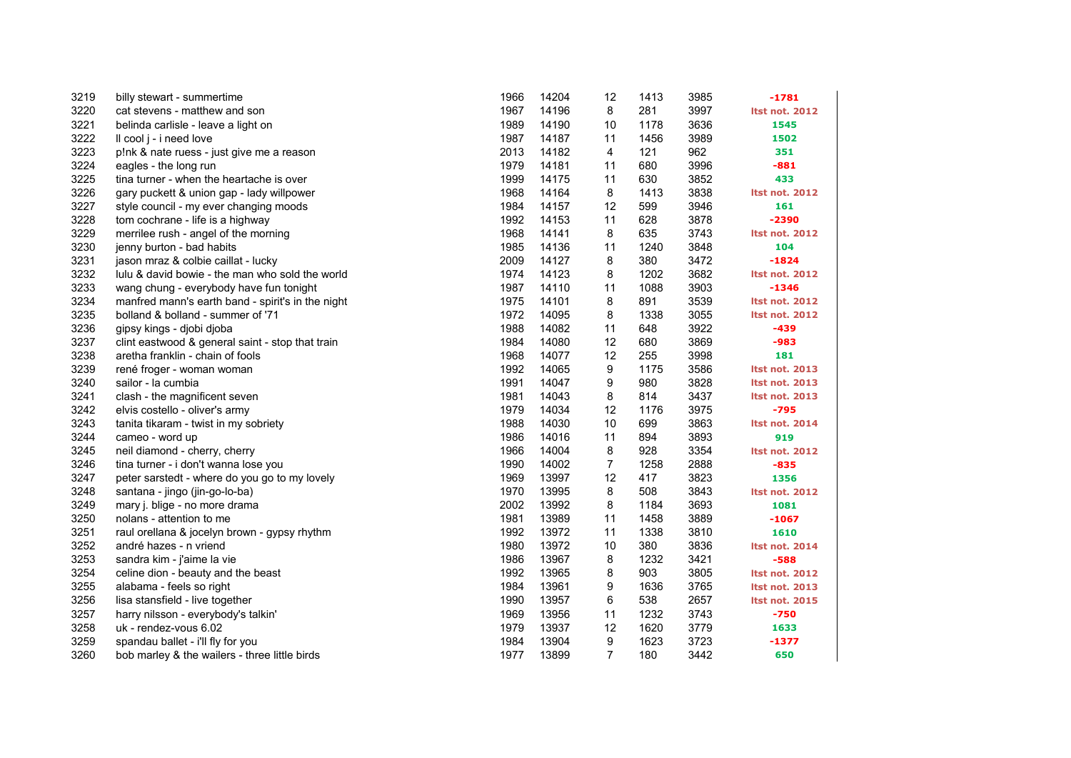| 3219 | billy stewart - summertime                        | 1966 | 14204 | 12             | 1413 | 3985 | $-1781$               |
|------|---------------------------------------------------|------|-------|----------------|------|------|-----------------------|
| 3220 | cat stevens - matthew and son                     | 1967 | 14196 | 8              | 281  | 3997 | <b>Itst not. 2012</b> |
| 3221 | belinda carlisle - leave a light on               | 1989 | 14190 | 10             | 1178 | 3636 | 1545                  |
| 3222 | Il cool j - i need love                           | 1987 | 14187 | 11             | 1456 | 3989 | 1502                  |
| 3223 | p!nk & nate ruess - just give me a reason         | 2013 | 14182 | 4              | 121  | 962  | 351                   |
| 3224 | eagles - the long run                             | 1979 | 14181 | 11             | 680  | 3996 | $-881$                |
| 3225 | tina turner - when the heartache is over          | 1999 | 14175 | 11             | 630  | 3852 | 433                   |
| 3226 | gary puckett & union gap - lady willpower         | 1968 | 14164 | 8              | 1413 | 3838 | <b>Itst not. 2012</b> |
| 3227 | style council - my ever changing moods            | 1984 | 14157 | 12             | 599  | 3946 | 161                   |
| 3228 | tom cochrane - life is a highway                  | 1992 | 14153 | 11             | 628  | 3878 | -2390                 |
| 3229 | merrilee rush - angel of the morning              | 1968 | 14141 | 8              | 635  | 3743 | <b>Itst not. 2012</b> |
| 3230 | jenny burton - bad habits                         | 1985 | 14136 | 11             | 1240 | 3848 | 104                   |
| 3231 | jason mraz & colbie caillat - lucky               | 2009 | 14127 | 8              | 380  | 3472 | $-1824$               |
| 3232 | lulu & david bowie - the man who sold the world   | 1974 | 14123 | 8              | 1202 | 3682 | <b>Itst not. 2012</b> |
| 3233 | wang chung - everybody have fun tonight           | 1987 | 14110 | 11             | 1088 | 3903 | $-1346$               |
| 3234 | manfred mann's earth band - spirit's in the night | 1975 | 14101 | 8              | 891  | 3539 | <b>Itst not. 2012</b> |
| 3235 | bolland & bolland - summer of '71                 | 1972 | 14095 | 8              | 1338 | 3055 | <b>Itst not. 2012</b> |
| 3236 | gipsy kings - djobi djoba                         | 1988 | 14082 | 11             | 648  | 3922 | $-439$                |
| 3237 | clint eastwood & general saint - stop that train  | 1984 | 14080 | 12             | 680  | 3869 | -983                  |
| 3238 | aretha franklin - chain of fools                  | 1968 | 14077 | 12             | 255  | 3998 | 181                   |
| 3239 | rené froger - woman woman                         | 1992 | 14065 | 9              | 1175 | 3586 | <b>Itst not. 2013</b> |
| 3240 | sailor - la cumbia                                | 1991 | 14047 | 9              | 980  | 3828 | <b>Itst not. 2013</b> |
| 3241 | clash - the magnificent seven                     | 1981 | 14043 | 8              | 814  | 3437 | <b>Itst not. 2013</b> |
| 3242 | elvis costello - oliver's army                    | 1979 | 14034 | 12             | 1176 | 3975 | -795                  |
| 3243 | tanita tikaram - twist in my sobriety             | 1988 | 14030 | 10             | 699  | 3863 | <b>Itst not. 2014</b> |
| 3244 | cameo - word up                                   | 1986 | 14016 | 11             | 894  | 3893 | 919                   |
| 3245 | neil diamond - cherry, cherry                     | 1966 | 14004 | 8              | 928  | 3354 | <b>Itst not. 2012</b> |
| 3246 | tina turner - i don't wanna lose you              | 1990 | 14002 | $\overline{7}$ | 1258 | 2888 | $-835$                |
| 3247 | peter sarstedt - where do you go to my lovely     | 1969 | 13997 | 12             | 417  | 3823 | 1356                  |
| 3248 | santana - jingo (jin-go-lo-ba)                    | 1970 | 13995 | 8              | 508  | 3843 | <b>Itst not. 2012</b> |
| 3249 | mary j. blige - no more drama                     | 2002 | 13992 | 8              | 1184 | 3693 | 1081                  |
| 3250 | nolans - attention to me                          | 1981 | 13989 | 11             | 1458 | 3889 | $-1067$               |
| 3251 | raul orellana & jocelyn brown - gypsy rhythm      | 1992 | 13972 | 11             | 1338 | 3810 | 1610                  |
| 3252 | andré hazes - n vriend                            | 1980 | 13972 | 10             | 380  | 3836 | <b>Itst not. 2014</b> |
| 3253 | sandra kim - j'aime la vie                        | 1986 | 13967 | 8              | 1232 | 3421 | $-588$                |
| 3254 | celine dion - beauty and the beast                | 1992 | 13965 | 8              | 903  | 3805 | <b>Itst not. 2012</b> |
| 3255 | alabama - feels so right                          | 1984 | 13961 | 9              | 1636 | 3765 | <b>Itst not. 2013</b> |
| 3256 | lisa stansfield - live together                   | 1990 | 13957 | 6              | 538  | 2657 | <b>Itst not. 2015</b> |
| 3257 | harry nilsson - everybody's talkin'               | 1969 | 13956 | 11             | 1232 | 3743 | $-750$                |
| 3258 | uk - rendez-vous 6.02                             | 1979 | 13937 | 12             | 1620 | 3779 | 1633                  |
| 3259 | spandau ballet - i'll fly for you                 | 1984 | 13904 | 9              | 1623 | 3723 | -1377                 |
| 3260 | bob marley & the wailers - three little birds     | 1977 | 13899 | $\overline{7}$ | 180  | 3442 | 650                   |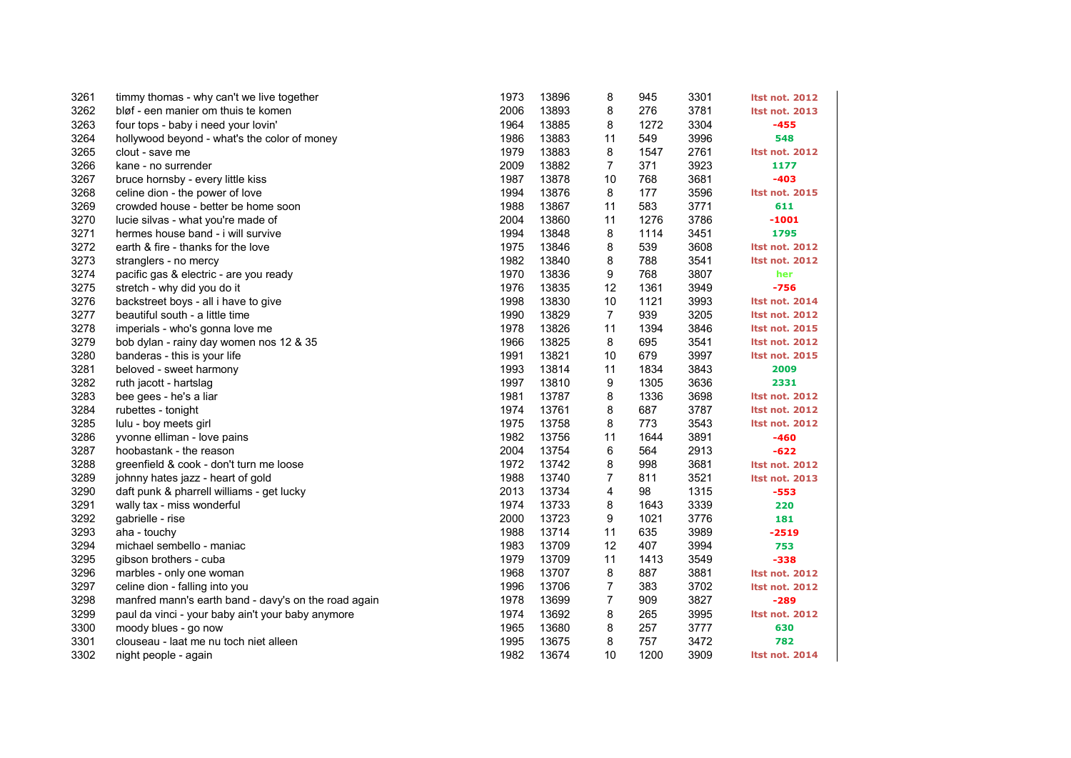| 3261 | timmy thomas - why can't we live together            | 1973 | 13896 | 8              | 945  | 3301 | <b>Itst not. 2012</b> |
|------|------------------------------------------------------|------|-------|----------------|------|------|-----------------------|
| 3262 | bløf - een manier om thuis te komen                  | 2006 | 13893 | 8              | 276  | 3781 | <b>Itst not. 2013</b> |
| 3263 | four tops - baby i need your lovin'                  | 1964 | 13885 | 8              | 1272 | 3304 | -455                  |
| 3264 | hollywood beyond - what's the color of money         | 1986 | 13883 | 11             | 549  | 3996 | 548                   |
| 3265 | clout - save me                                      | 1979 | 13883 | 8              | 1547 | 2761 | <b>Itst not. 2012</b> |
| 3266 | kane - no surrender                                  | 2009 | 13882 | $\overline{7}$ | 371  | 3923 | 1177                  |
| 3267 | bruce hornsby - every little kiss                    | 1987 | 13878 | 10             | 768  | 3681 | -403                  |
| 3268 | celine dion - the power of love                      | 1994 | 13876 | 8              | 177  | 3596 | <b>Itst not. 2015</b> |
| 3269 | crowded house - better be home soon                  | 1988 | 13867 | 11             | 583  | 3771 | 611                   |
| 3270 | lucie silvas - what you're made of                   | 2004 | 13860 | 11             | 1276 | 3786 | $-1001$               |
| 3271 | hermes house band - i will survive                   | 1994 | 13848 | 8              | 1114 | 3451 | 1795                  |
| 3272 | earth & fire - thanks for the love                   | 1975 | 13846 | 8              | 539  | 3608 | <b>Itst not. 2012</b> |
| 3273 | stranglers - no mercy                                | 1982 | 13840 | 8              | 788  | 3541 | <b>Itst not. 2012</b> |
| 3274 | pacific gas & electric - are you ready               | 1970 | 13836 | 9              | 768  | 3807 | her                   |
| 3275 | stretch - why did you do it                          | 1976 | 13835 | 12             | 1361 | 3949 | $-756$                |
| 3276 | backstreet boys - all i have to give                 | 1998 | 13830 | 10             | 1121 | 3993 | <b>Itst not. 2014</b> |
| 3277 | beautiful south - a little time                      | 1990 | 13829 | $\overline{7}$ | 939  | 3205 | <b>Itst not. 2012</b> |
| 3278 | imperials - who's gonna love me                      | 1978 | 13826 | 11             | 1394 | 3846 | <b>Itst not. 2015</b> |
| 3279 | bob dylan - rainy day women nos 12 & 35              | 1966 | 13825 | 8              | 695  | 3541 | <b>Itst not. 2012</b> |
| 3280 | banderas - this is your life                         | 1991 | 13821 | 10             | 679  | 3997 | <b>Itst not. 2015</b> |
| 3281 | beloved - sweet harmony                              | 1993 | 13814 | 11             | 1834 | 3843 | 2009                  |
| 3282 | ruth jacott - hartslag                               | 1997 | 13810 | 9              | 1305 | 3636 | 2331                  |
| 3283 | bee gees - he's a liar                               | 1981 | 13787 | 8              | 1336 | 3698 | <b>Itst not. 2012</b> |
| 3284 | rubettes - tonight                                   | 1974 | 13761 | 8              | 687  | 3787 | <b>Itst not. 2012</b> |
| 3285 | lulu - boy meets girl                                | 1975 | 13758 | 8              | 773  | 3543 | <b>Itst not. 2012</b> |
| 3286 | yvonne elliman - love pains                          | 1982 | 13756 | 11             | 1644 | 3891 | -460                  |
| 3287 | hoobastank - the reason                              | 2004 | 13754 | 6              | 564  | 2913 | -622                  |
| 3288 | greenfield & cook - don't turn me loose              | 1972 | 13742 | 8              | 998  | 3681 | <b>Itst not. 2012</b> |
| 3289 | johnny hates jazz - heart of gold                    | 1988 | 13740 | $\overline{7}$ | 811  | 3521 | <b>Itst not. 2013</b> |
| 3290 | daft punk & pharrell williams - get lucky            | 2013 | 13734 | 4              | 98   | 1315 | $-553$                |
| 3291 | wally tax - miss wonderful                           | 1974 | 13733 | 8              | 1643 | 3339 | 220                   |
| 3292 | gabrielle - rise                                     | 2000 | 13723 | 9              | 1021 | 3776 | 181                   |
| 3293 | aha - touchy                                         | 1988 | 13714 | 11             | 635  | 3989 | $-2519$               |
| 3294 | michael sembello - maniac                            | 1983 | 13709 | 12             | 407  | 3994 | 753                   |
| 3295 | gibson brothers - cuba                               | 1979 | 13709 | 11             | 1413 | 3549 | $-338$                |
| 3296 | marbles - only one woman                             | 1968 | 13707 | 8              | 887  | 3881 | <b>Itst not. 2012</b> |
| 3297 | celine dion - falling into you                       | 1996 | 13706 | $\overline{7}$ | 383  | 3702 | <b>Itst not. 2012</b> |
| 3298 | manfred mann's earth band - davy's on the road again | 1978 | 13699 | $\overline{7}$ | 909  | 3827 | $-289$                |
| 3299 | paul da vinci - your baby ain't your baby anymore    | 1974 | 13692 | 8              | 265  | 3995 | <b>Itst not. 2012</b> |
| 3300 | moody blues - go now                                 | 1965 | 13680 | 8              | 257  | 3777 | 630                   |
| 3301 | clouseau - laat me nu toch niet alleen               | 1995 | 13675 | 8              | 757  | 3472 | 782                   |
| 3302 | night people - again                                 | 1982 | 13674 | 10             | 1200 | 3909 | <b>Itst not. 2014</b> |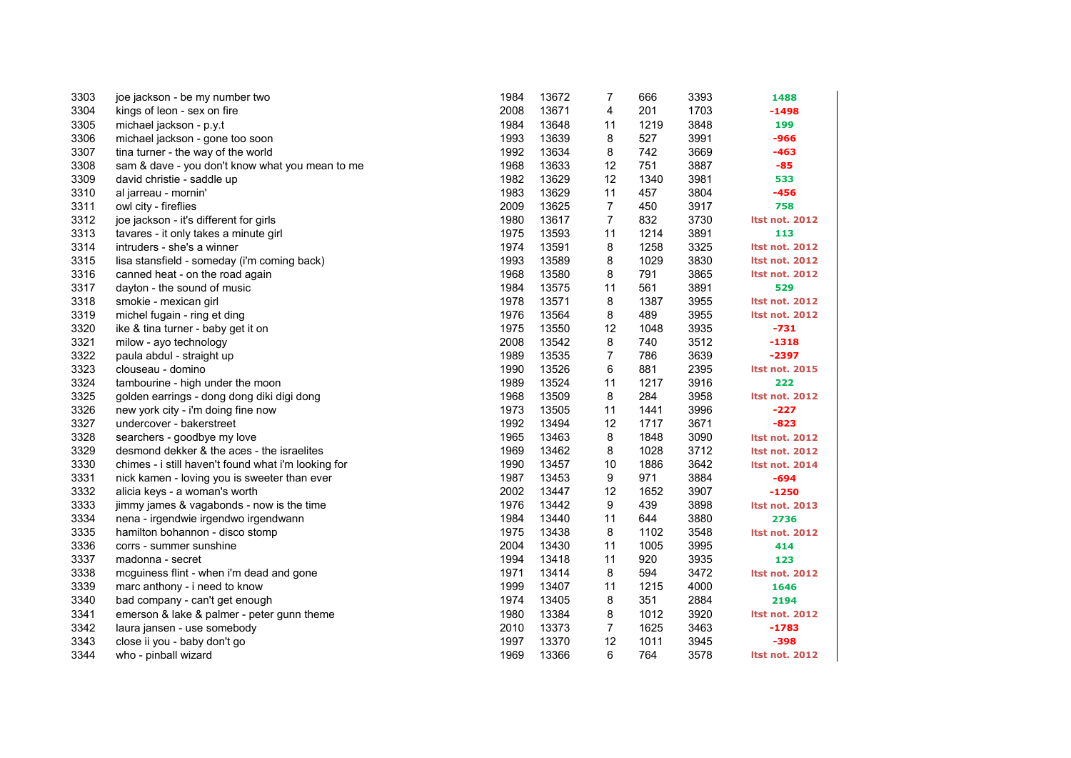| 3303 | joe jackson - be my number two                      | 1984 | 13672 | $\overline{7}$ | 666  | 3393 | 1488                  |
|------|-----------------------------------------------------|------|-------|----------------|------|------|-----------------------|
| 3304 | kings of leon - sex on fire                         | 2008 | 13671 | 4              | 201  | 1703 | $-1498$               |
| 3305 | michael jackson - p.y.t                             | 1984 | 13648 | 11             | 1219 | 3848 | 199                   |
| 3306 | michael jackson - gone too soon                     | 1993 | 13639 | 8              | 527  | 3991 | $-966$                |
| 3307 | tina turner - the way of the world                  | 1992 | 13634 | 8              | 742  | 3669 | $-463$                |
| 3308 | sam & dave - you don't know what you mean to me     | 1968 | 13633 | 12             | 751  | 3887 | $-85$                 |
| 3309 | david christie - saddle up                          | 1982 | 13629 | 12             | 1340 | 3981 | 533                   |
| 3310 | al jarreau - mornin'                                | 1983 | 13629 | 11             | 457  | 3804 | $-456$                |
| 3311 | owl city - fireflies                                | 2009 | 13625 | $\overline{7}$ | 450  | 3917 | 758                   |
| 3312 | joe jackson - it's different for girls              | 1980 | 13617 | $\overline{7}$ | 832  | 3730 | <b>Itst not. 2012</b> |
| 3313 | tavares - it only takes a minute girl               | 1975 | 13593 | 11             | 1214 | 3891 | 113                   |
| 3314 | intruders - she's a winner                          | 1974 | 13591 | 8              | 1258 | 3325 | <b>Itst not. 2012</b> |
| 3315 | lisa stansfield - someday (i'm coming back)         | 1993 | 13589 | 8              | 1029 | 3830 | <b>Itst not. 2012</b> |
| 3316 | canned heat - on the road again                     | 1968 | 13580 | 8              | 791  | 3865 | <b>Itst not. 2012</b> |
| 3317 | dayton - the sound of music                         | 1984 | 13575 | 11             | 561  | 3891 | 529                   |
| 3318 | smokie - mexican girl                               | 1978 | 13571 | 8              | 1387 | 3955 | <b>Itst not. 2012</b> |
| 3319 | michel fugain - ring et ding                        | 1976 | 13564 | 8              | 489  | 3955 | <b>Itst not. 2012</b> |
| 3320 | ike & tina turner - baby get it on                  | 1975 | 13550 | 12             | 1048 | 3935 | $-731$                |
| 3321 | milow - ayo technology                              | 2008 | 13542 | 8              | 740  | 3512 | $-1318$               |
| 3322 | paula abdul - straight up                           | 1989 | 13535 | $\overline{7}$ | 786  | 3639 | $-2397$               |
| 3323 | clouseau - domino                                   | 1990 | 13526 | 6              | 881  | 2395 | <b>Itst not. 2015</b> |
| 3324 | tambourine - high under the moon                    | 1989 | 13524 | 11             | 1217 | 3916 | 222                   |
| 3325 | golden earrings - dong dong diki digi dong          | 1968 | 13509 | 8              | 284  | 3958 | <b>Itst not. 2012</b> |
| 3326 | new york city - i'm doing fine now                  | 1973 | 13505 | 11             | 1441 | 3996 | $-227$                |
| 3327 | undercover - bakerstreet                            | 1992 | 13494 | 12             | 1717 | 3671 | $-823$                |
| 3328 | searchers - goodbye my love                         | 1965 | 13463 | 8              | 1848 | 3090 | <b>Itst not. 2012</b> |
| 3329 | desmond dekker & the aces - the israelites          | 1969 | 13462 | 8              | 1028 | 3712 | <b>Itst not. 2012</b> |
| 3330 | chimes - i still haven't found what i'm looking for | 1990 | 13457 | 10             | 1886 | 3642 | <b>Itst not. 2014</b> |
| 3331 | nick kamen - loving you is sweeter than ever        | 1987 | 13453 | 9              | 971  | 3884 | $-694$                |
| 3332 | alicia keys - a woman's worth                       | 2002 | 13447 | 12             | 1652 | 3907 | $-1250$               |
| 3333 | jimmy james & vagabonds - now is the time           | 1976 | 13442 | 9              | 439  | 3898 | <b>Itst not. 2013</b> |
| 3334 | nena - irgendwie irgendwo irgendwann                | 1984 | 13440 | 11             | 644  | 3880 | 2736                  |
| 3335 | hamilton bohannon - disco stomp                     | 1975 | 13438 | 8              | 1102 | 3548 | <b>Itst not. 2012</b> |
| 3336 | corrs - summer sunshine                             | 2004 | 13430 | 11             | 1005 | 3995 | 414                   |
| 3337 | madonna - secret                                    | 1994 | 13418 | 11             | 920  | 3935 | 123                   |
| 3338 | mcguiness flint - when i'm dead and gone            | 1971 | 13414 | 8              | 594  | 3472 | <b>Itst not. 2012</b> |
| 3339 | marc anthony - i need to know                       | 1999 | 13407 | 11             | 1215 | 4000 | 1646                  |
| 3340 | bad company - can't get enough                      | 1974 | 13405 | 8              | 351  | 2884 | 2194                  |
| 3341 | emerson & lake & palmer - peter gunn theme          | 1980 | 13384 | 8              | 1012 | 3920 | <b>Itst not. 2012</b> |
| 3342 | laura jansen - use somebody                         | 2010 | 13373 | 7              | 1625 | 3463 | $-1783$               |
| 3343 | close ii you - baby don't go                        | 1997 | 13370 | 12             | 1011 | 3945 | $-398$                |
| 3344 | who - pinball wizard                                | 1969 | 13366 | 6              | 764  | 3578 | <b>Itst not. 2012</b> |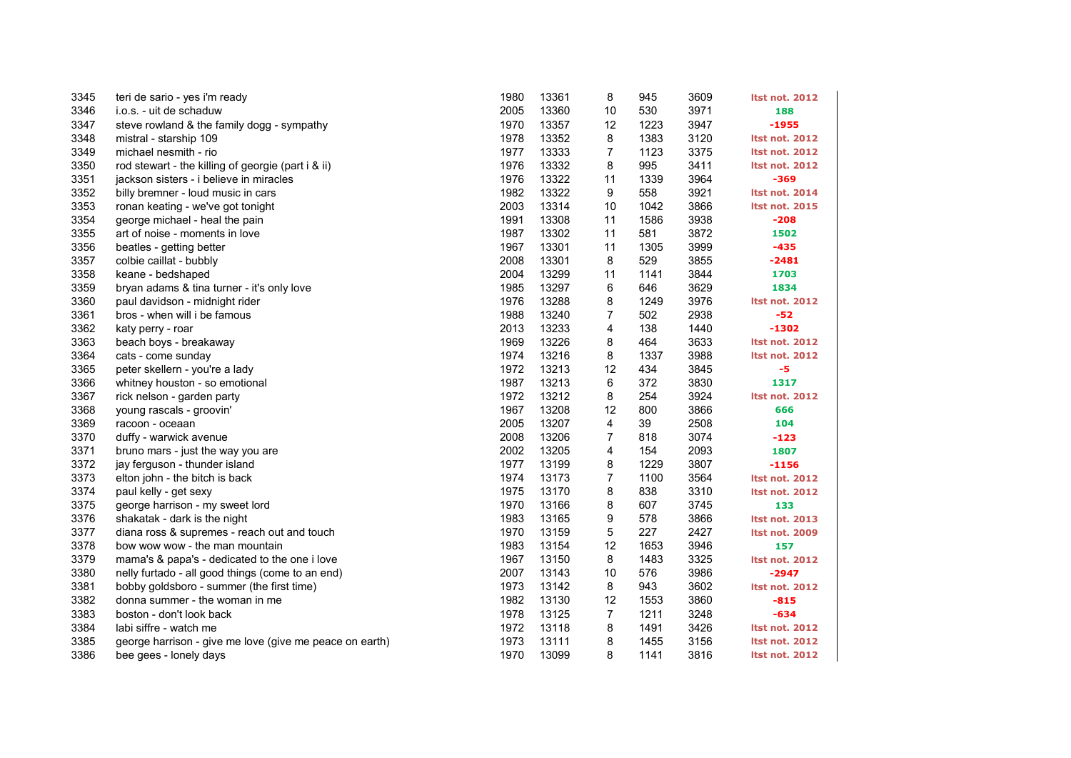| 3345 | teri de sario - yes i'm ready                           | 1980 | 13361 | 8                | 945  | 3609 | <b>Itst not. 2012</b> |
|------|---------------------------------------------------------|------|-------|------------------|------|------|-----------------------|
| 3346 | i.o.s. - uit de schaduw                                 | 2005 | 13360 | 10               | 530  | 3971 | 188                   |
| 3347 | steve rowland & the family dogg - sympathy              | 1970 | 13357 | 12               | 1223 | 3947 | -1955                 |
| 3348 | mistral - starship 109                                  | 1978 | 13352 | 8                | 1383 | 3120 | <b>Itst not. 2012</b> |
| 3349 | michael nesmith - rio                                   | 1977 | 13333 | $\overline{7}$   | 1123 | 3375 | <b>Itst not. 2012</b> |
| 3350 | rod stewart - the killing of georgie (part i & ii)      | 1976 | 13332 | 8                | 995  | 3411 | <b>Itst not. 2012</b> |
| 3351 | jackson sisters - i believe in miracles                 | 1976 | 13322 | 11               | 1339 | 3964 | $-369$                |
| 3352 | billy bremner - loud music in cars                      | 1982 | 13322 | 9                | 558  | 3921 | <b>Itst not. 2014</b> |
| 3353 | ronan keating - we've got tonight                       | 2003 | 13314 | 10               | 1042 | 3866 | <b>Itst not. 2015</b> |
| 3354 | george michael - heal the pain                          | 1991 | 13308 | 11               | 1586 | 3938 | $-208$                |
| 3355 | art of noise - moments in love                          | 1987 | 13302 | 11               | 581  | 3872 | 1502                  |
| 3356 | beatles - getting better                                | 1967 | 13301 | 11               | 1305 | 3999 | $-435$                |
| 3357 | colbie caillat - bubbly                                 | 2008 | 13301 | 8                | 529  | 3855 | -2481                 |
| 3358 | keane - bedshaped                                       | 2004 | 13299 | 11               | 1141 | 3844 | 1703                  |
| 3359 | bryan adams & tina turner - it's only love              | 1985 | 13297 | 6                | 646  | 3629 | 1834                  |
| 3360 | paul davidson - midnight rider                          | 1976 | 13288 | 8                | 1249 | 3976 | <b>Itst not. 2012</b> |
| 3361 | bros - when will i be famous                            | 1988 | 13240 | 7                | 502  | 2938 | $-52$                 |
| 3362 | katy perry - roar                                       | 2013 | 13233 | 4                | 138  | 1440 | -1302                 |
| 3363 | beach boys - breakaway                                  | 1969 | 13226 | 8                | 464  | 3633 | <b>Itst not. 2012</b> |
| 3364 | cats - come sunday                                      | 1974 | 13216 | 8                | 1337 | 3988 | <b>Itst not. 2012</b> |
| 3365 | peter skellern - you're a lady                          | 1972 | 13213 | 12               | 434  | 3845 | $-5$                  |
| 3366 | whitney houston - so emotional                          | 1987 | 13213 | 6                | 372  | 3830 | 1317                  |
| 3367 | rick nelson - garden party                              | 1972 | 13212 | 8                | 254  | 3924 | <b>Itst not. 2012</b> |
| 3368 | young rascals - groovin'                                | 1967 | 13208 | 12               | 800  | 3866 | 666                   |
| 3369 | racoon - oceaan                                         | 2005 | 13207 | 4                | 39   | 2508 | 104                   |
| 3370 | duffy - warwick avenue                                  | 2008 | 13206 | 7                | 818  | 3074 | -123                  |
| 3371 | bruno mars - just the way you are                       | 2002 | 13205 | 4                | 154  | 2093 | 1807                  |
| 3372 | jay ferguson - thunder island                           | 1977 | 13199 | 8                | 1229 | 3807 | $-1156$               |
| 3373 | elton john - the bitch is back                          | 1974 | 13173 | $\boldsymbol{7}$ | 1100 | 3564 | <b>Itst not. 2012</b> |
| 3374 | paul kelly - get sexy                                   | 1975 | 13170 | 8                | 838  | 3310 | <b>Itst not. 2012</b> |
| 3375 | george harrison - my sweet lord                         | 1970 | 13166 | 8                | 607  | 3745 | 133                   |
| 3376 | shakatak - dark is the night                            | 1983 | 13165 | 9                | 578  | 3866 | <b>Itst not. 2013</b> |
| 3377 | diana ross & supremes - reach out and touch             | 1970 | 13159 | 5                | 227  | 2427 | <b>Itst not. 2009</b> |
| 3378 | bow wow wow - the man mountain                          | 1983 | 13154 | 12               | 1653 | 3946 | 157                   |
| 3379 | mama's & papa's - dedicated to the one i love           | 1967 | 13150 | 8                | 1483 | 3325 | <b>Itst not. 2012</b> |
| 3380 | nelly furtado - all good things (come to an end)        | 2007 | 13143 | 10               | 576  | 3986 | -2947                 |
| 3381 | bobby goldsboro - summer (the first time)               | 1973 | 13142 | 8                | 943  | 3602 | <b>Itst not. 2012</b> |
| 3382 | donna summer - the woman in me                          | 1982 | 13130 | 12               | 1553 | 3860 | $-815$                |
| 3383 | boston - don't look back                                | 1978 | 13125 | 7                | 1211 | 3248 | $-634$                |
| 3384 | labi siffre - watch me                                  | 1972 | 13118 | 8                | 1491 | 3426 | <b>Itst not. 2012</b> |
| 3385 | george harrison - give me love (give me peace on earth) | 1973 | 13111 | 8                | 1455 | 3156 | <b>Itst not. 2012</b> |
| 3386 | bee gees - lonely days                                  | 1970 | 13099 | 8                | 1141 | 3816 | <b>Itst not. 2012</b> |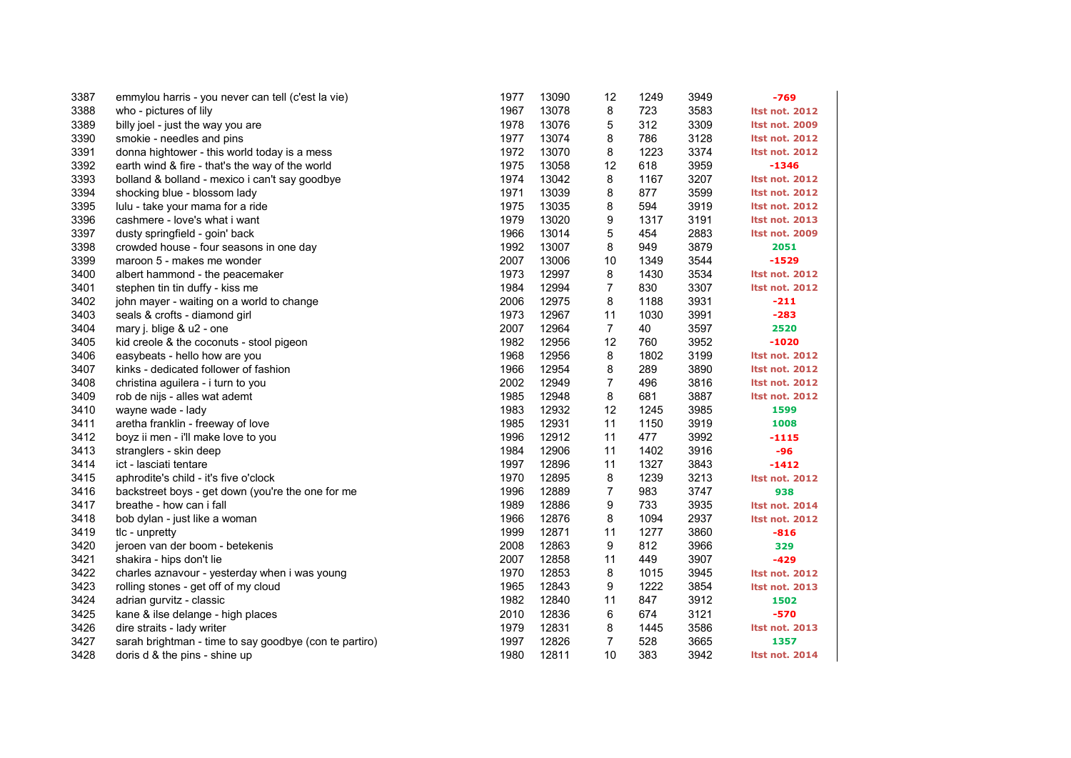| 3387 | emmylou harris - you never can tell (c'est la vie)     | 1977 | 13090 | 12             | 1249 | 3949 | $-769$                |
|------|--------------------------------------------------------|------|-------|----------------|------|------|-----------------------|
| 3388 | who - pictures of lily                                 | 1967 | 13078 | 8              | 723  | 3583 | <b>Itst not. 2012</b> |
| 3389 | billy joel - just the way you are                      | 1978 | 13076 | 5              | 312  | 3309 | <b>Itst not. 2009</b> |
| 3390 | smokie - needles and pins                              | 1977 | 13074 | 8              | 786  | 3128 | <b>Itst not. 2012</b> |
| 3391 | donna hightower - this world today is a mess           | 1972 | 13070 | 8              | 1223 | 3374 | <b>Itst not. 2012</b> |
| 3392 | earth wind & fire - that's the way of the world        | 1975 | 13058 | 12             | 618  | 3959 | $-1346$               |
| 3393 | bolland & bolland - mexico i can't say goodbye         | 1974 | 13042 | 8              | 1167 | 3207 | <b>Itst not. 2012</b> |
| 3394 | shocking blue - blossom lady                           | 1971 | 13039 | 8              | 877  | 3599 | <b>Itst not. 2012</b> |
| 3395 | lulu - take your mama for a ride                       | 1975 | 13035 | 8              | 594  | 3919 | <b>Itst not. 2012</b> |
| 3396 | cashmere - love's what i want                          | 1979 | 13020 | 9              | 1317 | 3191 | <b>Itst not. 2013</b> |
| 3397 | dusty springfield - goin' back                         | 1966 | 13014 | 5              | 454  | 2883 | <b>Itst not. 2009</b> |
| 3398 | crowded house - four seasons in one day                | 1992 | 13007 | 8              | 949  | 3879 | 2051                  |
| 3399 | maroon 5 - makes me wonder                             | 2007 | 13006 | 10             | 1349 | 3544 | $-1529$               |
| 3400 | albert hammond - the peacemaker                        | 1973 | 12997 | 8              | 1430 | 3534 | <b>Itst not. 2012</b> |
| 3401 | stephen tin tin duffy - kiss me                        | 1984 | 12994 | $\overline{7}$ | 830  | 3307 | <b>Itst not. 2012</b> |
| 3402 | john mayer - waiting on a world to change              | 2006 | 12975 | 8              | 1188 | 3931 | $-211$                |
| 3403 | seals & crofts - diamond girl                          | 1973 | 12967 | 11             | 1030 | 3991 | $-283$                |
| 3404 | mary j. blige & u2 - one                               | 2007 | 12964 | $\overline{7}$ | 40   | 3597 | 2520                  |
| 3405 | kid creole & the coconuts - stool pigeon               | 1982 | 12956 | 12             | 760  | 3952 | $-1020$               |
| 3406 | easybeats - hello how are you                          | 1968 | 12956 | 8              | 1802 | 3199 | <b>Itst not. 2012</b> |
| 3407 | kinks - dedicated follower of fashion                  | 1966 | 12954 | 8              | 289  | 3890 | <b>Itst not. 2012</b> |
| 3408 | christina aguilera - i turn to you                     | 2002 | 12949 | 7              | 496  | 3816 | <b>Itst not. 2012</b> |
| 3409 | rob de nijs - alles wat ademt                          | 1985 | 12948 | 8              | 681  | 3887 | <b>Itst not. 2012</b> |
| 3410 | wayne wade - lady                                      | 1983 | 12932 | 12             | 1245 | 3985 | 1599                  |
| 3411 | aretha franklin - freeway of love                      | 1985 | 12931 | 11             | 1150 | 3919 | 1008                  |
| 3412 | boyz ii men - i'll make love to you                    | 1996 | 12912 | 11             | 477  | 3992 | $-1115$               |
| 3413 | stranglers - skin deep                                 | 1984 | 12906 | 11             | 1402 | 3916 | $-96$                 |
| 3414 | ict - lasciati tentare                                 | 1997 | 12896 | 11             | 1327 | 3843 | $-1412$               |
| 3415 | aphrodite's child - it's five o'clock                  | 1970 | 12895 | 8              | 1239 | 3213 | <b>Itst not. 2012</b> |
| 3416 | backstreet boys - get down (you're the one for me      | 1996 | 12889 | $\overline{7}$ | 983  | 3747 | 938                   |
| 3417 | breathe - how can i fall                               | 1989 | 12886 | 9              | 733  | 3935 | <b>Itst not. 2014</b> |
| 3418 | bob dylan - just like a woman                          | 1966 | 12876 | 8              | 1094 | 2937 | <b>Itst not. 2012</b> |
| 3419 | tlc - unpretty                                         | 1999 | 12871 | 11             | 1277 | 3860 | $-816$                |
| 3420 | jeroen van der boom - betekenis                        | 2008 | 12863 | 9              | 812  | 3966 | 329                   |
| 3421 | shakira - hips don't lie                               | 2007 | 12858 | 11             | 449  | 3907 | $-429$                |
| 3422 | charles aznavour - yesterday when i was young          | 1970 | 12853 | 8              | 1015 | 3945 | <b>Itst not. 2012</b> |
| 3423 | rolling stones - get off of my cloud                   | 1965 | 12843 | 9              | 1222 | 3854 | <b>Itst not. 2013</b> |
| 3424 | adrian gurvitz - classic                               | 1982 | 12840 | 11             | 847  | 3912 | 1502                  |
| 3425 | kane & ilse delange - high places                      | 2010 | 12836 | 6              | 674  | 3121 | $-570$                |
| 3426 | dire straits - lady writer                             | 1979 | 12831 | 8              | 1445 | 3586 | <b>Itst not. 2013</b> |
| 3427 | sarah brightman - time to say goodbye (con te partiro) | 1997 | 12826 | $\overline{7}$ | 528  | 3665 | 1357                  |
| 3428 | doris d & the pins - shine up                          | 1980 | 12811 | 10             | 383  | 3942 | <b>Itst not. 2014</b> |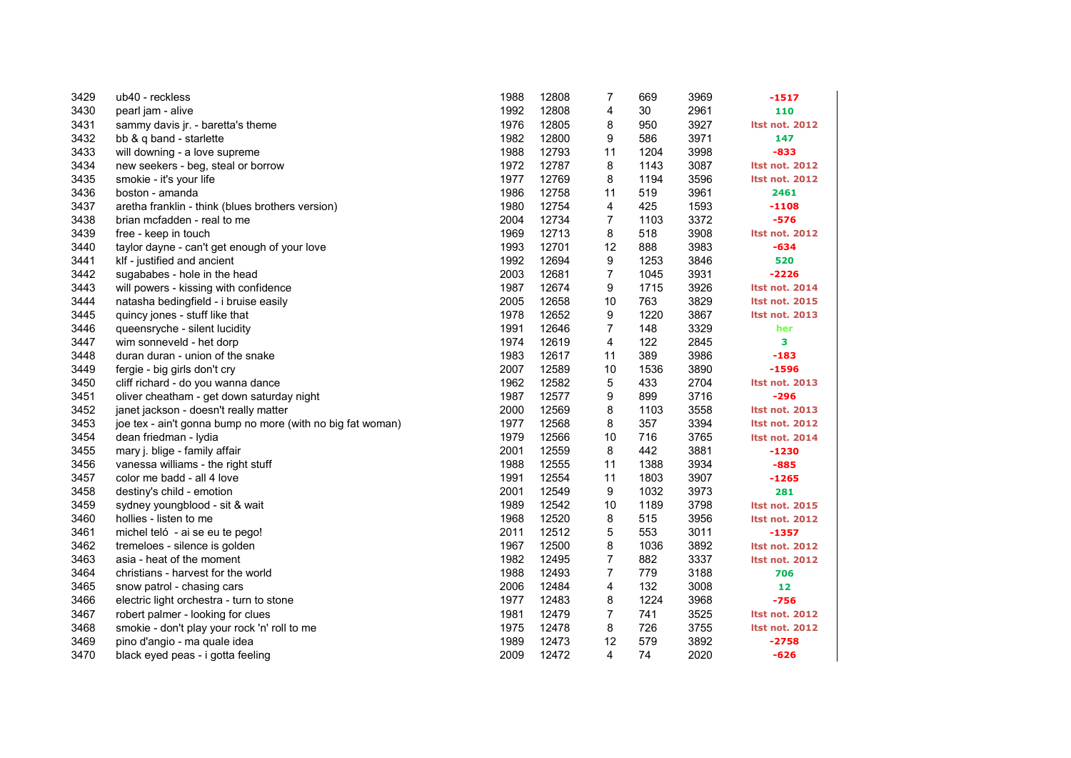| 3429 | ub40 - reckless                                            | 1988 | 12808 | 7              | 669  | 3969 | -1517                 |
|------|------------------------------------------------------------|------|-------|----------------|------|------|-----------------------|
| 3430 | pearl jam - alive                                          | 1992 | 12808 | 4              | 30   | 2961 | 110                   |
| 3431 | sammy davis jr. - baretta's theme                          | 1976 | 12805 | 8              | 950  | 3927 | <b>Itst not. 2012</b> |
| 3432 | bb & q band - starlette                                    | 1982 | 12800 | 9              | 586  | 3971 | 147                   |
| 3433 | will downing - a love supreme                              | 1988 | 12793 | 11             | 1204 | 3998 | $-833$                |
| 3434 | new seekers - beg, steal or borrow                         | 1972 | 12787 | 8              | 1143 | 3087 | <b>Itst not. 2012</b> |
| 3435 | smokie - it's your life                                    | 1977 | 12769 | 8              | 1194 | 3596 | <b>Itst not. 2012</b> |
| 3436 | boston - amanda                                            | 1986 | 12758 | 11             | 519  | 3961 | 2461                  |
| 3437 | aretha franklin - think (blues brothers version)           | 1980 | 12754 | 4              | 425  | 1593 | -1108                 |
| 3438 | brian mcfadden - real to me                                | 2004 | 12734 | 7              | 1103 | 3372 | $-576$                |
| 3439 | free - keep in touch                                       | 1969 | 12713 | 8              | 518  | 3908 | <b>Itst not. 2012</b> |
| 3440 | taylor dayne - can't get enough of your love               | 1993 | 12701 | 12             | 888  | 3983 | $-634$                |
| 3441 | klf - justified and ancient                                | 1992 | 12694 | 9              | 1253 | 3846 | 520                   |
| 3442 | sugababes - hole in the head                               | 2003 | 12681 | $\overline{7}$ | 1045 | 3931 | $-2226$               |
| 3443 | will powers - kissing with confidence                      | 1987 | 12674 | 9              | 1715 | 3926 | <b>Itst not. 2014</b> |
| 3444 | natasha bedingfield - i bruise easily                      | 2005 | 12658 | 10             | 763  | 3829 | <b>Itst not. 2015</b> |
| 3445 | quincy jones - stuff like that                             | 1978 | 12652 | 9              | 1220 | 3867 | <b>Itst not. 2013</b> |
| 3446 | queensryche - silent lucidity                              | 1991 | 12646 | $\overline{7}$ | 148  | 3329 | her                   |
| 3447 | wim sonneveld - het dorp                                   | 1974 | 12619 | 4              | 122  | 2845 | з                     |
| 3448 | duran duran - union of the snake                           | 1983 | 12617 | 11             | 389  | 3986 | $-183$                |
| 3449 | fergie - big girls don't cry                               | 2007 | 12589 | 10             | 1536 | 3890 | $-1596$               |
| 3450 | cliff richard - do you wanna dance                         | 1962 | 12582 | 5              | 433  | 2704 | Itst not. 2013        |
| 3451 | oliver cheatham - get down saturday night                  | 1987 | 12577 | 9              | 899  | 3716 | $-296$                |
| 3452 | janet jackson - doesn't really matter                      | 2000 | 12569 | 8              | 1103 | 3558 | <b>Itst not. 2013</b> |
| 3453 | joe tex - ain't gonna bump no more (with no big fat woman) | 1977 | 12568 | 8              | 357  | 3394 | <b>Itst not. 2012</b> |
| 3454 | dean friedman - lydia                                      | 1979 | 12566 | 10             | 716  | 3765 | <b>Itst not. 2014</b> |
| 3455 | mary j. blige - family affair                              | 2001 | 12559 | 8              | 442  | 3881 | -1230                 |
| 3456 | vanessa williams - the right stuff                         | 1988 | 12555 | 11             | 1388 | 3934 | $-885$                |
| 3457 | color me badd - all 4 love                                 | 1991 | 12554 | 11             | 1803 | 3907 | $-1265$               |
| 3458 | destiny's child - emotion                                  | 2001 | 12549 | 9              | 1032 | 3973 | 281                   |
| 3459 | sydney youngblood - sit & wait                             | 1989 | 12542 | 10             | 1189 | 3798 | <b>Itst not. 2015</b> |
| 3460 | hollies - listen to me                                     | 1968 | 12520 | 8              | 515  | 3956 | <b>Itst not. 2012</b> |
| 3461 | michel teló - ai se eu te pego!                            | 2011 | 12512 | 5              | 553  | 3011 | $-1357$               |
| 3462 | tremeloes - silence is golden                              | 1967 | 12500 | 8              | 1036 | 3892 | <b>Itst not. 2012</b> |
| 3463 | asia - heat of the moment                                  | 1982 | 12495 | $\overline{7}$ | 882  | 3337 | <b>Itst not. 2012</b> |
| 3464 | christians - harvest for the world                         | 1988 | 12493 | $\overline{7}$ | 779  | 3188 | 706                   |
| 3465 | snow patrol - chasing cars                                 | 2006 | 12484 | 4              | 132  | 3008 | 12                    |
| 3466 | electric light orchestra - turn to stone                   | 1977 | 12483 | 8              | 1224 | 3968 | $-756$                |
| 3467 | robert palmer - looking for clues                          | 1981 | 12479 | $\overline{7}$ | 741  | 3525 | <b>Itst not. 2012</b> |
| 3468 | smokie - don't play your rock 'n' roll to me               | 1975 | 12478 | 8              | 726  | 3755 | <b>Itst not. 2012</b> |
| 3469 | pino d'angio - ma quale idea                               | 1989 | 12473 | 12             | 579  | 3892 | $-2758$               |
| 3470 | black eyed peas - i gotta feeling                          | 2009 | 12472 | 4              | 74   | 2020 | $-626$                |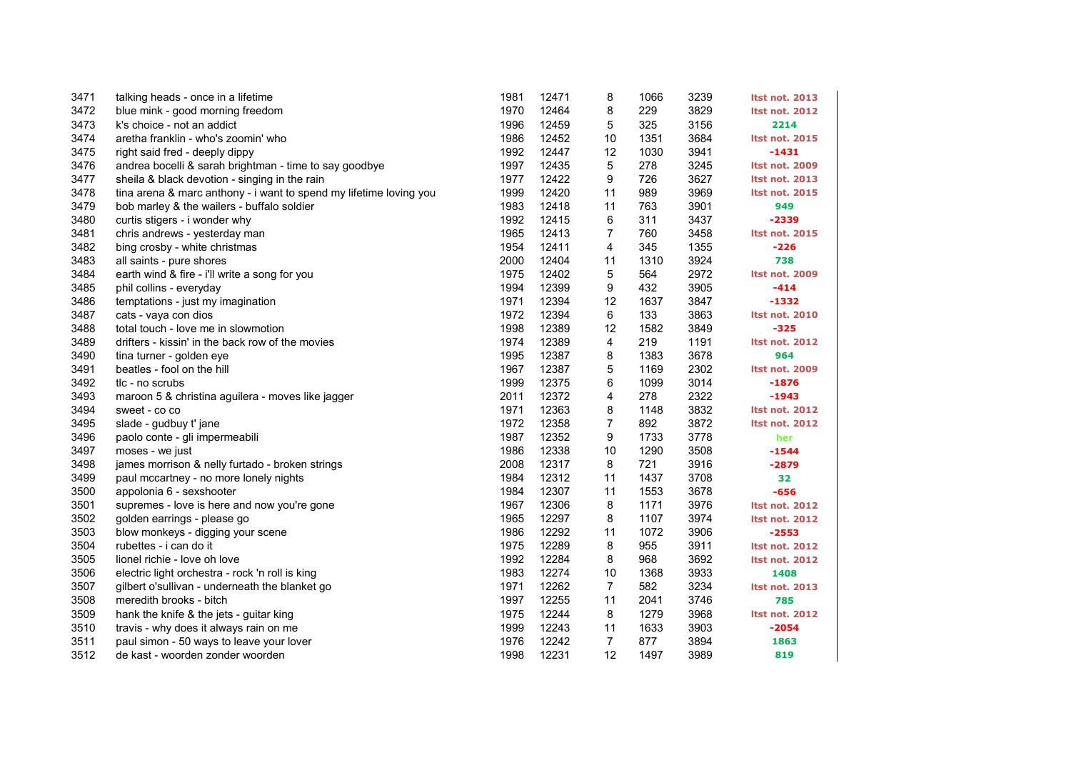| 3471 | talking heads - once in a lifetime                                 | 1981 | 12471 | 8              | 1066 | 3239 | <b>Itst not. 2013</b> |
|------|--------------------------------------------------------------------|------|-------|----------------|------|------|-----------------------|
| 3472 | blue mink - good morning freedom                                   | 1970 | 12464 | 8              | 229  | 3829 | <b>Itst not. 2012</b> |
| 3473 | k's choice - not an addict                                         | 1996 | 12459 | 5              | 325  | 3156 | 2214                  |
| 3474 | aretha franklin - who's zoomin' who                                | 1986 | 12452 | 10             | 1351 | 3684 | <b>Itst not. 2015</b> |
| 3475 | right said fred - deeply dippy                                     | 1992 | 12447 | 12             | 1030 | 3941 | $-1431$               |
| 3476 | andrea bocelli & sarah brightman - time to say goodbye             | 1997 | 12435 | 5              | 278  | 3245 | <b>Itst not. 2009</b> |
| 3477 | sheila & black devotion - singing in the rain                      | 1977 | 12422 | 9              | 726  | 3627 | <b>Itst not. 2013</b> |
| 3478 | tina arena & marc anthony - i want to spend my lifetime loving you | 1999 | 12420 | 11             | 989  | 3969 | <b>Itst not. 2015</b> |
| 3479 | bob marley & the wailers - buffalo soldier                         | 1983 | 12418 | 11             | 763  | 3901 | 949                   |
| 3480 | curtis stigers - i wonder why                                      | 1992 | 12415 | 6              | 311  | 3437 | $-2339$               |
| 3481 | chris andrews - yesterday man                                      | 1965 | 12413 | $\overline{7}$ | 760  | 3458 | <b>Itst not. 2015</b> |
| 3482 | bing crosby - white christmas                                      | 1954 | 12411 | 4              | 345  | 1355 | $-226$                |
| 3483 | all saints - pure shores                                           | 2000 | 12404 | 11             | 1310 | 3924 | 738                   |
| 3484 | earth wind & fire - i'll write a song for you                      | 1975 | 12402 | 5              | 564  | 2972 | <b>Itst not. 2009</b> |
| 3485 | phil collins - everyday                                            | 1994 | 12399 | 9              | 432  | 3905 | $-414$                |
| 3486 | temptations - just my imagination                                  | 1971 | 12394 | 12             | 1637 | 3847 | $-1332$               |
| 3487 | cats - vaya con dios                                               | 1972 | 12394 | 6              | 133  | 3863 | <b>Itst not. 2010</b> |
| 3488 | total touch - love me in slowmotion                                | 1998 | 12389 | 12             | 1582 | 3849 | $-325$                |
| 3489 | drifters - kissin' in the back row of the movies                   | 1974 | 12389 | 4              | 219  | 1191 | <b>Itst not. 2012</b> |
| 3490 | tina turner - golden eye                                           | 1995 | 12387 | 8              | 1383 | 3678 | 964                   |
| 3491 | beatles - fool on the hill                                         | 1967 | 12387 | 5              | 1169 | 2302 | <b>Itst not. 2009</b> |
| 3492 | tic - no scrubs                                                    | 1999 | 12375 | 6              | 1099 | 3014 | $-1876$               |
| 3493 | maroon 5 & christina aguilera - moves like jagger                  | 2011 | 12372 | 4              | 278  | 2322 | $-1943$               |
| 3494 | sweet - co co                                                      | 1971 | 12363 | 8              | 1148 | 3832 | <b>Itst not. 2012</b> |
| 3495 | slade - gudbuy t' jane                                             | 1972 | 12358 | $\overline{7}$ | 892  | 3872 | <b>Itst not. 2012</b> |
| 3496 | paolo conte - gli impermeabili                                     | 1987 | 12352 | 9              | 1733 | 3778 | her                   |
| 3497 | moses - we just                                                    | 1986 | 12338 | 10             | 1290 | 3508 | $-1544$               |
| 3498 | james morrison & nelly furtado - broken strings                    | 2008 | 12317 | 8              | 721  | 3916 | $-2879$               |
| 3499 | paul mccartney - no more lonely nights                             | 1984 | 12312 | 11             | 1437 | 3708 | 32                    |
| 3500 | appolonia 6 - sexshooter                                           | 1984 | 12307 | 11             | 1553 | 3678 | $-656$                |
| 3501 | supremes - love is here and now you're gone                        | 1967 | 12306 | 8              | 1171 | 3976 | <b>Itst not. 2012</b> |
| 3502 | golden earrings - please go                                        | 1965 | 12297 | 8              | 1107 | 3974 | <b>Itst not. 2012</b> |
| 3503 | blow monkeys - digging your scene                                  | 1986 | 12292 | 11             | 1072 | 3906 | $-2553$               |
| 3504 | rubettes - i can do it                                             | 1975 | 12289 | 8              | 955  | 3911 | <b>Itst not. 2012</b> |
| 3505 | lionel richie - love oh love                                       | 1992 | 12284 | 8              | 968  | 3692 | <b>Itst not. 2012</b> |
| 3506 | electric light orchestra - rock 'n roll is king                    | 1983 | 12274 | 10             | 1368 | 3933 | 1408                  |
| 3507 | gilbert o'sullivan - underneath the blanket go                     | 1971 | 12262 | $\overline{7}$ | 582  | 3234 | <b>Itst not. 2013</b> |
| 3508 | meredith brooks - bitch                                            | 1997 | 12255 | 11             | 2041 | 3746 | 785                   |
| 3509 | hank the knife & the jets - guitar king                            | 1975 | 12244 | 8              | 1279 | 3968 | <b>Itst not. 2012</b> |
| 3510 | travis - why does it always rain on me                             | 1999 | 12243 | 11             | 1633 | 3903 | $-2054$               |
| 3511 | paul simon - 50 ways to leave your lover                           | 1976 | 12242 | 7              | 877  | 3894 | 1863                  |
| 3512 | de kast - woorden zonder woorden                                   | 1998 | 12231 | 12             | 1497 | 3989 | 819                   |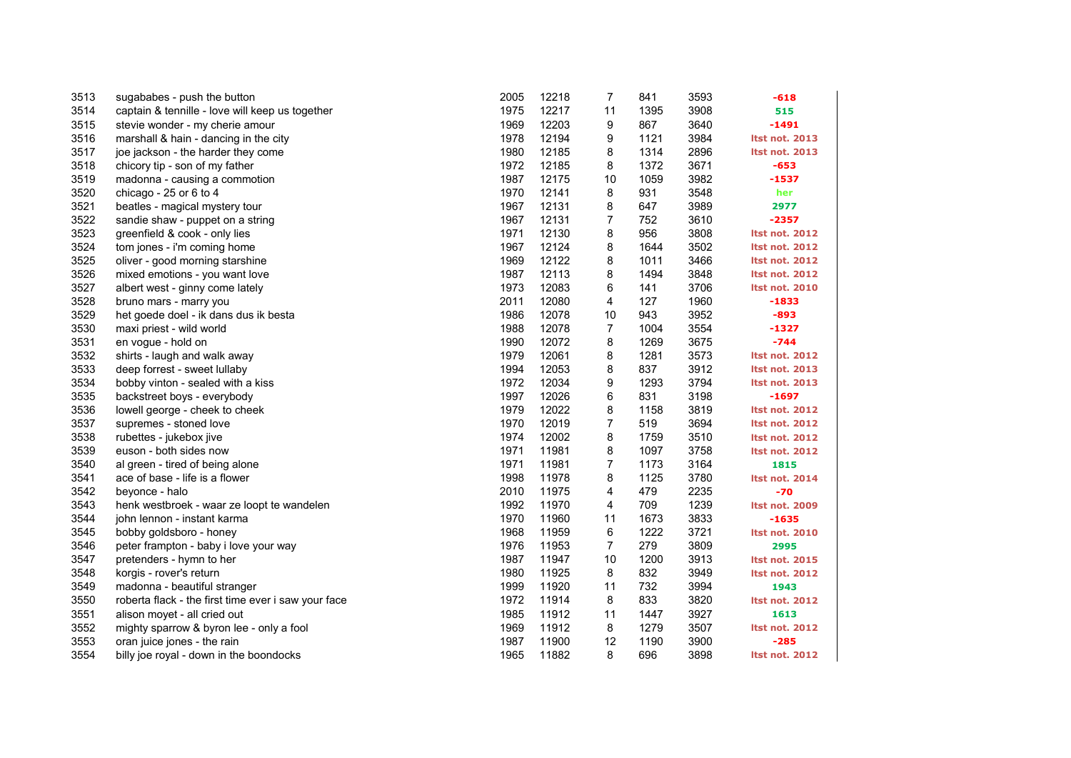| 3513 | sugababes - push the button                         | 2005 | 12218 | $\overline{7}$ | 841  | 3593 | $-618$                |
|------|-----------------------------------------------------|------|-------|----------------|------|------|-----------------------|
| 3514 | captain & tennille - love will keep us together     | 1975 | 12217 | 11             | 1395 | 3908 | 515                   |
| 3515 | stevie wonder - my cherie amour                     | 1969 | 12203 | 9              | 867  | 3640 | $-1491$               |
| 3516 | marshall & hain - dancing in the city               | 1978 | 12194 | 9              | 1121 | 3984 | <b>Itst not. 2013</b> |
| 3517 | joe jackson - the harder they come                  | 1980 | 12185 | 8              | 1314 | 2896 | <b>Itst not. 2013</b> |
| 3518 | chicory tip - son of my father                      | 1972 | 12185 | 8              | 1372 | 3671 | $-653$                |
| 3519 | madonna - causing a commotion                       | 1987 | 12175 | 10             | 1059 | 3982 | $-1537$               |
| 3520 | chicago - 25 or 6 to 4                              | 1970 | 12141 | 8              | 931  | 3548 | her                   |
| 3521 | beatles - magical mystery tour                      | 1967 | 12131 | 8              | 647  | 3989 | 2977                  |
| 3522 | sandie shaw - puppet on a string                    | 1967 | 12131 | $\overline{7}$ | 752  | 3610 | -2357                 |
| 3523 | greenfield & cook - only lies                       | 1971 | 12130 | 8              | 956  | 3808 | <b>Itst not. 2012</b> |
| 3524 | tom jones - i'm coming home                         | 1967 | 12124 | 8              | 1644 | 3502 | <b>Itst not. 2012</b> |
| 3525 | oliver - good morning starshine                     | 1969 | 12122 | 8              | 1011 | 3466 | <b>Itst not. 2012</b> |
| 3526 | mixed emotions - you want love                      | 1987 | 12113 | 8              | 1494 | 3848 | <b>Itst not. 2012</b> |
| 3527 | albert west - ginny come lately                     | 1973 | 12083 | 6              | 141  | 3706 | <b>Itst not. 2010</b> |
| 3528 | bruno mars - marry you                              | 2011 | 12080 | 4              | 127  | 1960 | -1833                 |
| 3529 | het goede doel - ik dans dus ik besta               | 1986 | 12078 | 10             | 943  | 3952 | $-893$                |
| 3530 | maxi priest - wild world                            | 1988 | 12078 | $\overline{7}$ | 1004 | 3554 | -1327                 |
| 3531 | en vogue - hold on                                  | 1990 | 12072 | 8              | 1269 | 3675 | $-744$                |
| 3532 | shirts - laugh and walk away                        | 1979 | 12061 | 8              | 1281 | 3573 | <b>Itst not. 2012</b> |
| 3533 | deep forrest - sweet lullaby                        | 1994 | 12053 | 8              | 837  | 3912 | <b>Itst not. 2013</b> |
| 3534 | bobby vinton - sealed with a kiss                   | 1972 | 12034 | 9              | 1293 | 3794 | Itst not. 2013        |
| 3535 | backstreet boys - everybody                         | 1997 | 12026 | 6              | 831  | 3198 | -1697                 |
| 3536 | lowell george - cheek to cheek                      | 1979 | 12022 | 8              | 1158 | 3819 | <b>Itst not. 2012</b> |
| 3537 | supremes - stoned love                              | 1970 | 12019 | 7              | 519  | 3694 | <b>Itst not. 2012</b> |
| 3538 | rubettes - jukebox jive                             | 1974 | 12002 | 8              | 1759 | 3510 | <b>Itst not. 2012</b> |
| 3539 | euson - both sides now                              | 1971 | 11981 | 8              | 1097 | 3758 | <b>Itst not. 2012</b> |
| 3540 | al green - tired of being alone                     | 1971 | 11981 | 7              | 1173 | 3164 | 1815                  |
| 3541 | ace of base - life is a flower                      | 1998 | 11978 | 8              | 1125 | 3780 | Itst not. 2014        |
| 3542 | beyonce - halo                                      | 2010 | 11975 | 4              | 479  | 2235 | $-70$                 |
| 3543 | henk westbroek - waar ze loopt te wandelen          | 1992 | 11970 | 4              | 709  | 1239 | Itst not. 2009        |
| 3544 | john lennon - instant karma                         | 1970 | 11960 | 11             | 1673 | 3833 | -1635                 |
| 3545 | bobby goldsboro - honey                             | 1968 | 11959 | 6              | 1222 | 3721 | <b>Itst not. 2010</b> |
| 3546 | peter frampton - baby i love your way               | 1976 | 11953 | $\overline{7}$ | 279  | 3809 | 2995                  |
| 3547 | pretenders - hymn to her                            | 1987 | 11947 | 10             | 1200 | 3913 | <b>Itst not. 2015</b> |
| 3548 | korgis - rover's return                             | 1980 | 11925 | 8              | 832  | 3949 | <b>Itst not. 2012</b> |
| 3549 | madonna - beautiful stranger                        | 1999 | 11920 | 11             | 732  | 3994 | 1943                  |
| 3550 | roberta flack - the first time ever i saw your face | 1972 | 11914 | 8              | 833  | 3820 | <b>Itst not. 2012</b> |
| 3551 | alison moyet - all cried out                        | 1985 | 11912 | 11             | 1447 | 3927 | 1613                  |
| 3552 | mighty sparrow & byron lee - only a fool            | 1969 | 11912 | 8              | 1279 | 3507 | <b>Itst not. 2012</b> |
| 3553 | oran juice jones - the rain                         | 1987 | 11900 | 12             | 1190 | 3900 | $-285$                |
| 3554 | billy joe royal - down in the boondocks             | 1965 | 11882 | 8              | 696  | 3898 | <b>Itst not. 2012</b> |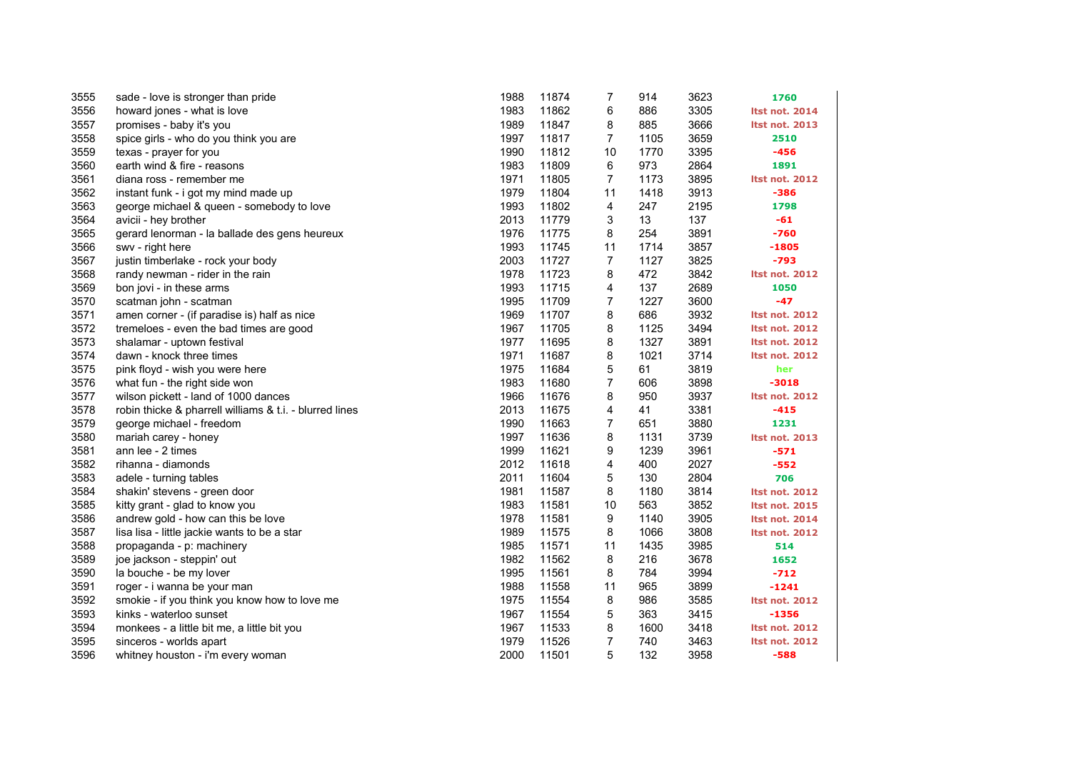| 3555 | sade - love is stronger than pride                      | 1988 | 11874 | 7              | 914  | 3623 | 1760                  |
|------|---------------------------------------------------------|------|-------|----------------|------|------|-----------------------|
| 3556 | howard jones - what is love                             | 1983 | 11862 | 6              | 886  | 3305 | <b>Itst not. 2014</b> |
| 3557 | promises - baby it's you                                | 1989 | 11847 | 8              | 885  | 3666 | <b>Itst not. 2013</b> |
| 3558 | spice girls - who do you think you are                  | 1997 | 11817 | 7              | 1105 | 3659 | 2510                  |
| 3559 | texas - prayer for you                                  | 1990 | 11812 | 10             | 1770 | 3395 | $-456$                |
| 3560 | earth wind & fire - reasons                             | 1983 | 11809 | 6              | 973  | 2864 | 1891                  |
| 3561 | diana ross - remember me                                | 1971 | 11805 | $\overline{7}$ | 1173 | 3895 | <b>Itst not. 2012</b> |
| 3562 | instant funk - i got my mind made up                    | 1979 | 11804 | 11             | 1418 | 3913 | $-386$                |
| 3563 | george michael & queen - somebody to love               | 1993 | 11802 | 4              | 247  | 2195 | 1798                  |
| 3564 | avicii - hey brother                                    | 2013 | 11779 | 3              | 13   | 137  | $-61$                 |
| 3565 | gerard lenorman - la ballade des gens heureux           | 1976 | 11775 | 8              | 254  | 3891 | $-760$                |
| 3566 | swv - right here                                        | 1993 | 11745 | 11             | 1714 | 3857 | $-1805$               |
| 3567 | justin timberlake - rock your body                      | 2003 | 11727 | 7              | 1127 | 3825 | $-793$                |
| 3568 | randy newman - rider in the rain                        | 1978 | 11723 | 8              | 472  | 3842 | <b>Itst not. 2012</b> |
| 3569 | bon jovi - in these arms                                | 1993 | 11715 | 4              | 137  | 2689 | 1050                  |
| 3570 | scatman john - scatman                                  | 1995 | 11709 | $\overline{7}$ | 1227 | 3600 | $-47$                 |
| 3571 | amen corner - (if paradise is) half as nice             | 1969 | 11707 | 8              | 686  | 3932 | <b>Itst not. 2012</b> |
| 3572 | tremeloes - even the bad times are good                 | 1967 | 11705 | 8              | 1125 | 3494 | <b>Itst not. 2012</b> |
| 3573 | shalamar - uptown festival                              | 1977 | 11695 | 8              | 1327 | 3891 | <b>Itst not. 2012</b> |
| 3574 | dawn - knock three times                                | 1971 | 11687 | 8              | 1021 | 3714 | <b>Itst not. 2012</b> |
| 3575 | pink floyd - wish you were here                         | 1975 | 11684 | 5              | 61   | 3819 | her                   |
| 3576 | what fun - the right side won                           | 1983 | 11680 | 7              | 606  | 3898 | $-3018$               |
| 3577 | wilson pickett - land of 1000 dances                    | 1966 | 11676 | 8              | 950  | 3937 | <b>Itst not. 2012</b> |
| 3578 | robin thicke & pharrell williams & t.i. - blurred lines | 2013 | 11675 | 4              | 41   | 3381 | $-415$                |
| 3579 | george michael - freedom                                | 1990 | 11663 | 7              | 651  | 3880 | 1231                  |
| 3580 | mariah carey - honey                                    | 1997 | 11636 | 8              | 1131 | 3739 | <b>Itst not. 2013</b> |
| 3581 | ann lee - 2 times                                       | 1999 | 11621 | 9              | 1239 | 3961 | $-571$                |
| 3582 | rihanna - diamonds                                      | 2012 | 11618 | 4              | 400  | 2027 | $-552$                |
| 3583 | adele - turning tables                                  | 2011 | 11604 | 5              | 130  | 2804 | 706                   |
| 3584 | shakin' stevens - green door                            | 1981 | 11587 | 8              | 1180 | 3814 | <b>Itst not. 2012</b> |
| 3585 | kitty grant - glad to know you                          | 1983 | 11581 | 10             | 563  | 3852 | <b>Itst not. 2015</b> |
| 3586 | andrew gold - how can this be love                      | 1978 | 11581 | 9              | 1140 | 3905 | <b>Itst not. 2014</b> |
| 3587 | lisa lisa - little jackie wants to be a star            | 1989 | 11575 | 8              | 1066 | 3808 | <b>Itst not. 2012</b> |
| 3588 | propaganda - p: machinery                               | 1985 | 11571 | 11             | 1435 | 3985 | 514                   |
| 3589 | joe jackson - steppin' out                              | 1982 | 11562 | 8              | 216  | 3678 | 1652                  |
| 3590 | la bouche - be my lover                                 | 1995 | 11561 | 8              | 784  | 3994 | $-712$                |
| 3591 | roger - i wanna be your man                             | 1988 | 11558 | 11             | 965  | 3899 | $-1241$               |
| 3592 | smokie - if you think you know how to love me           | 1975 | 11554 | 8              | 986  | 3585 | <b>Itst not. 2012</b> |
| 3593 | kinks - waterloo sunset                                 | 1967 | 11554 | 5              | 363  | 3415 | $-1356$               |
| 3594 | monkees - a little bit me, a little bit you             | 1967 | 11533 | 8              | 1600 | 3418 | <b>Itst not. 2012</b> |
| 3595 | sinceros - worlds apart                                 | 1979 | 11526 | $\overline{7}$ | 740  | 3463 | <b>Itst not. 2012</b> |
| 3596 | whitney houston - i'm every woman                       | 2000 | 11501 | 5              | 132  | 3958 | $-588$                |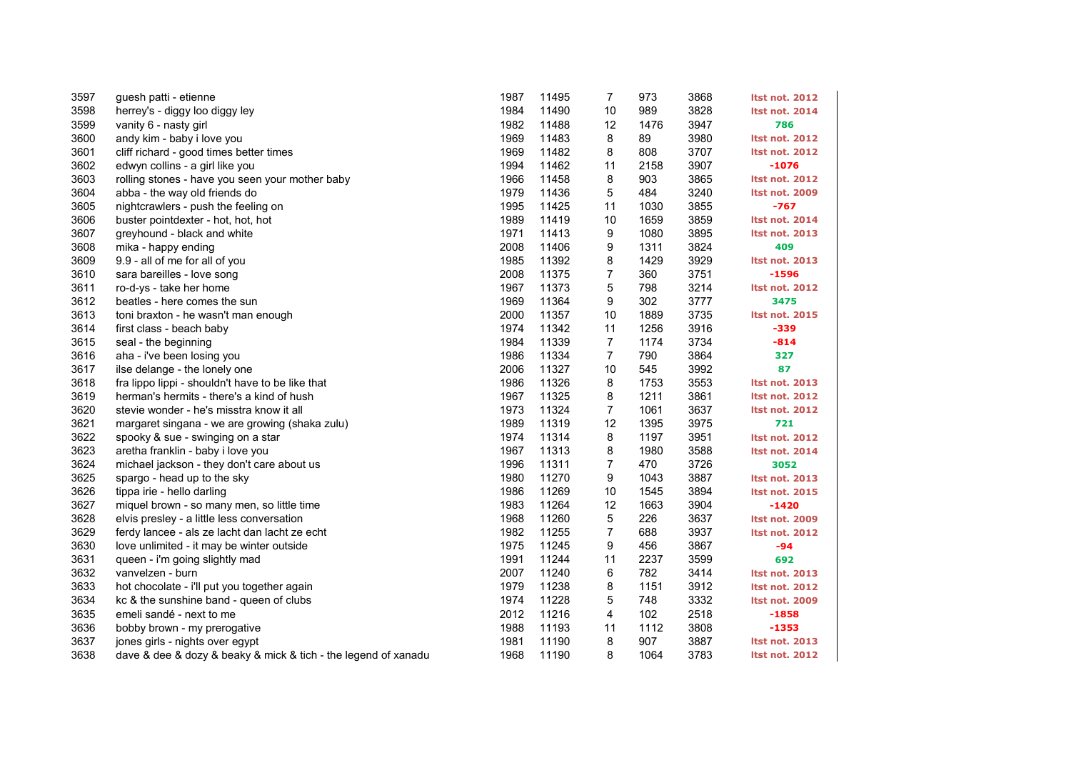| 3597 | guesh patti - etienne                                          | 1987 | 11495 | 7              | 973  | 3868 | <b>Itst not. 2012</b> |
|------|----------------------------------------------------------------|------|-------|----------------|------|------|-----------------------|
| 3598 | herrey's - diggy loo diggy ley                                 | 1984 | 11490 | 10             | 989  | 3828 | <b>Itst not. 2014</b> |
| 3599 | vanity 6 - nasty girl                                          | 1982 | 11488 | 12             | 1476 | 3947 | 786                   |
| 3600 | andy kim - baby i love you                                     | 1969 | 11483 | 8              | 89   | 3980 | <b>Itst not. 2012</b> |
| 3601 | cliff richard - good times better times                        | 1969 | 11482 | 8              | 808  | 3707 | <b>Itst not. 2012</b> |
| 3602 | edwyn collins - a girl like you                                | 1994 | 11462 | 11             | 2158 | 3907 | $-1076$               |
| 3603 | rolling stones - have you seen your mother baby                | 1966 | 11458 | 8              | 903  | 3865 | <b>Itst not. 2012</b> |
| 3604 | abba - the way old friends do                                  | 1979 | 11436 | 5              | 484  | 3240 | <b>Itst not. 2009</b> |
| 3605 | nightcrawlers - push the feeling on                            | 1995 | 11425 | 11             | 1030 | 3855 | $-767$                |
| 3606 | buster pointdexter - hot, hot, hot                             | 1989 | 11419 | 10             | 1659 | 3859 | <b>Itst not. 2014</b> |
| 3607 | greyhound - black and white                                    | 1971 | 11413 | 9              | 1080 | 3895 | <b>Itst not. 2013</b> |
| 3608 | mika - happy ending                                            | 2008 | 11406 | 9              | 1311 | 3824 | 409                   |
| 3609 | 9.9 - all of me for all of you                                 | 1985 | 11392 | 8              | 1429 | 3929 | <b>Itst not. 2013</b> |
| 3610 | sara bareilles - love song                                     | 2008 | 11375 | 7              | 360  | 3751 | $-1596$               |
| 3611 | ro-d-ys - take her home                                        | 1967 | 11373 | 5              | 798  | 3214 | <b>Itst not. 2012</b> |
| 3612 | beatles - here comes the sun                                   | 1969 | 11364 | 9              | 302  | 3777 | 3475                  |
| 3613 | toni braxton - he wasn't man enough                            | 2000 | 11357 | 10             | 1889 | 3735 | <b>Itst not. 2015</b> |
| 3614 | first class - beach baby                                       | 1974 | 11342 | 11             | 1256 | 3916 | -339                  |
| 3615 | seal - the beginning                                           | 1984 | 11339 | $\overline{7}$ | 1174 | 3734 | $-814$                |
| 3616 | aha - i've been losing you                                     | 1986 | 11334 | $\overline{7}$ | 790  | 3864 | 327                   |
| 3617 | ilse delange - the lonely one                                  | 2006 | 11327 | 10             | 545  | 3992 | 87                    |
| 3618 | fra lippo lippi - shouldn't have to be like that               | 1986 | 11326 | 8              | 1753 | 3553 | <b>Itst not. 2013</b> |
| 3619 | herman's hermits - there's a kind of hush                      | 1967 | 11325 | 8              | 1211 | 3861 | <b>Itst not. 2012</b> |
| 3620 | stevie wonder - he's misstra know it all                       | 1973 | 11324 | $\overline{7}$ | 1061 | 3637 | <b>Itst not. 2012</b> |
| 3621 | margaret singana - we are growing (shaka zulu)                 | 1989 | 11319 | 12             | 1395 | 3975 | 721                   |
| 3622 | spooky & sue - swinging on a star                              | 1974 | 11314 | 8              | 1197 | 3951 | <b>Itst not. 2012</b> |
| 3623 | aretha franklin - baby i love you                              | 1967 | 11313 | 8              | 1980 | 3588 | <b>Itst not. 2014</b> |
| 3624 | michael jackson - they don't care about us                     | 1996 | 11311 | $\overline{7}$ | 470  | 3726 | 3052                  |
| 3625 | spargo - head up to the sky                                    | 1980 | 11270 | 9              | 1043 | 3887 | <b>Itst not. 2013</b> |
| 3626 | tippa irie - hello darling                                     | 1986 | 11269 | 10             | 1545 | 3894 | <b>Itst not. 2015</b> |
| 3627 | miquel brown - so many men, so little time                     | 1983 | 11264 | 12             | 1663 | 3904 | $-1420$               |
| 3628 | elvis presley - a little less conversation                     | 1968 | 11260 | 5              | 226  | 3637 | <b>Itst not. 2009</b> |
| 3629 | ferdy lancee - als ze lacht dan lacht ze echt                  | 1982 | 11255 | $\overline{7}$ | 688  | 3937 | <b>Itst not. 2012</b> |
| 3630 | love unlimited - it may be winter outside                      | 1975 | 11245 | 9              | 456  | 3867 | $-94$                 |
| 3631 | queen - i'm going slightly mad                                 | 1991 | 11244 | 11             | 2237 | 3599 | 692                   |
| 3632 | vanvelzen - burn                                               | 2007 | 11240 | 6              | 782  | 3414 | <b>Itst not. 2013</b> |
| 3633 | hot chocolate - i'll put you together again                    | 1979 | 11238 | 8              | 1151 | 3912 | <b>Itst not. 2012</b> |
| 3634 | kc & the sunshine band - queen of clubs                        | 1974 | 11228 | 5              | 748  | 3332 | Itst not. 2009        |
| 3635 | emeli sandé - next to me                                       | 2012 | 11216 | 4              | 102  | 2518 | $-1858$               |
| 3636 | bobby brown - my prerogative                                   | 1988 | 11193 | 11             | 1112 | 3808 | $-1353$               |
| 3637 | jones girls - nights over egypt                                | 1981 | 11190 | 8              | 907  | 3887 | <b>Itst not. 2013</b> |
| 3638 | dave & dee & dozy & beaky & mick & tich - the legend of xanadu | 1968 | 11190 | 8              | 1064 | 3783 | <b>Itst not. 2012</b> |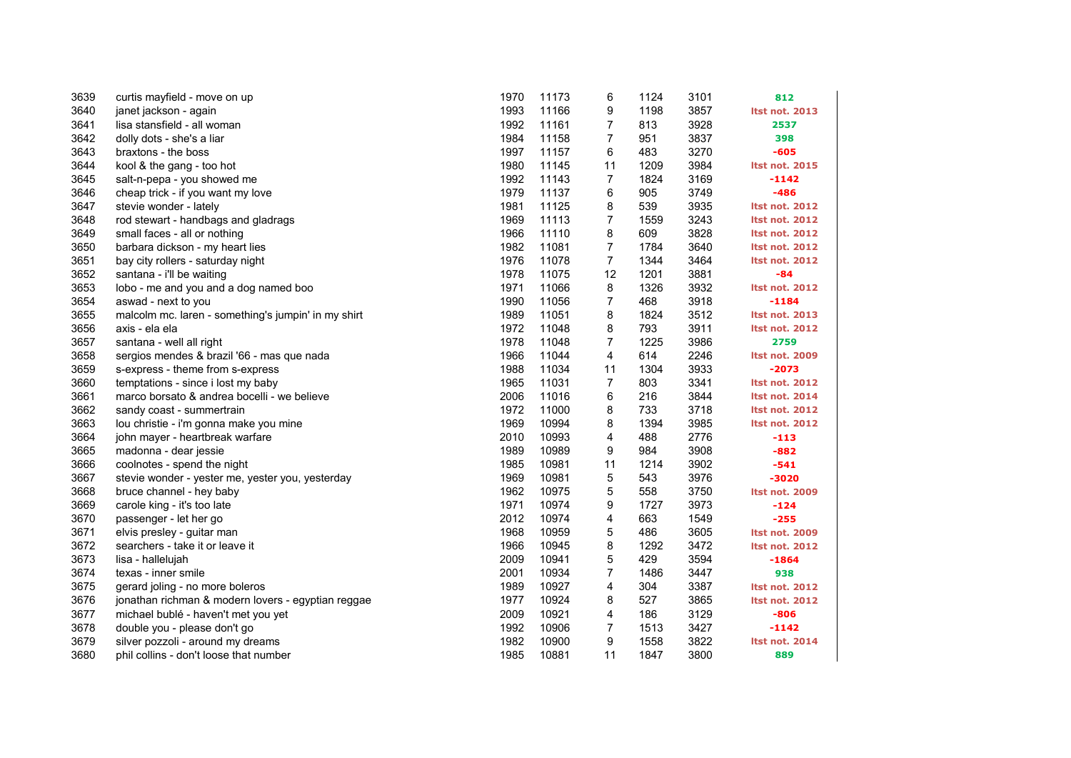| 3639 | curtis mayfield - move on up                        | 1970 | 11173 | 6              | 1124 | 3101 | 812                   |
|------|-----------------------------------------------------|------|-------|----------------|------|------|-----------------------|
| 3640 | janet jackson - again                               | 1993 | 11166 | 9              | 1198 | 3857 | Itst not. 2013        |
| 3641 | lisa stansfield - all woman                         | 1992 | 11161 | 7              | 813  | 3928 | 2537                  |
| 3642 | dolly dots - she's a liar                           | 1984 | 11158 | 7              | 951  | 3837 | 398                   |
| 3643 | braxtons - the boss                                 | 1997 | 11157 | 6              | 483  | 3270 | $-605$                |
| 3644 | kool & the gang - too hot                           | 1980 | 11145 | 11             | 1209 | 3984 | <b>Itst not. 2015</b> |
| 3645 | salt-n-pepa - you showed me                         | 1992 | 11143 | 7              | 1824 | 3169 | $-1142$               |
| 3646 | cheap trick - if you want my love                   | 1979 | 11137 | 6              | 905  | 3749 | $-486$                |
| 3647 | stevie wonder - lately                              | 1981 | 11125 | 8              | 539  | 3935 | <b>Itst not. 2012</b> |
| 3648 | rod stewart - handbags and gladrags                 | 1969 | 11113 | 7              | 1559 | 3243 | <b>Itst not. 2012</b> |
| 3649 | small faces - all or nothing                        | 1966 | 11110 | 8              | 609  | 3828 | <b>Itst not. 2012</b> |
| 3650 | barbara dickson - my heart lies                     | 1982 | 11081 | $\overline{7}$ | 1784 | 3640 | <b>Itst not. 2012</b> |
| 3651 | bay city rollers - saturday night                   | 1976 | 11078 | 7              | 1344 | 3464 | <b>Itst not. 2012</b> |
| 3652 | santana - i'll be waiting                           | 1978 | 11075 | 12             | 1201 | 3881 | -84                   |
| 3653 | lobo - me and you and a dog named boo               | 1971 | 11066 | 8              | 1326 | 3932 | <b>Itst not. 2012</b> |
| 3654 | aswad - next to you                                 | 1990 | 11056 | $\overline{7}$ | 468  | 3918 | $-1184$               |
| 3655 | malcolm mc. laren - something's jumpin' in my shirt | 1989 | 11051 | 8              | 1824 | 3512 | <b>Itst not. 2013</b> |
| 3656 | axis - ela ela                                      | 1972 | 11048 | 8              | 793  | 3911 | <b>Itst not. 2012</b> |
| 3657 | santana - well all right                            | 1978 | 11048 | 7              | 1225 | 3986 | 2759                  |
| 3658 | sergios mendes & brazil '66 - mas que nada          | 1966 | 11044 | 4              | 614  | 2246 | <b>Itst not. 2009</b> |
| 3659 | s-express - theme from s-express                    | 1988 | 11034 | 11             | 1304 | 3933 | $-2073$               |
| 3660 | temptations - since i lost my baby                  | 1965 | 11031 | 7              | 803  | 3341 | <b>Itst not. 2012</b> |
| 3661 | marco borsato & andrea bocelli - we believe         | 2006 | 11016 | 6              | 216  | 3844 | <b>Itst not. 2014</b> |
| 3662 | sandy coast - summertrain                           | 1972 | 11000 | 8              | 733  | 3718 | <b>Itst not. 2012</b> |
| 3663 | lou christie - i'm gonna make you mine              | 1969 | 10994 | 8              | 1394 | 3985 | <b>Itst not. 2012</b> |
| 3664 | john mayer - heartbreak warfare                     | 2010 | 10993 | 4              | 488  | 2776 | $-113$                |
| 3665 | madonna - dear jessie                               | 1989 | 10989 | 9              | 984  | 3908 | $-882$                |
| 3666 | coolnotes - spend the night                         | 1985 | 10981 | 11             | 1214 | 3902 | $-541$                |
| 3667 | stevie wonder - yester me, yester you, yesterday    | 1969 | 10981 | 5              | 543  | 3976 | $-3020$               |
| 3668 | bruce channel - hey baby                            | 1962 | 10975 | 5              | 558  | 3750 | <b>Itst not. 2009</b> |
| 3669 | carole king - it's too late                         | 1971 | 10974 | 9              | 1727 | 3973 | $-124$                |
| 3670 | passenger - let her go                              | 2012 | 10974 | 4              | 663  | 1549 | $-255$                |
| 3671 | elvis presley - guitar man                          | 1968 | 10959 | 5              | 486  | 3605 | <b>Itst not. 2009</b> |
| 3672 | searchers - take it or leave it                     | 1966 | 10945 | 8              | 1292 | 3472 | <b>Itst not. 2012</b> |
| 3673 | lisa - hallelujah                                   | 2009 | 10941 | 5              | 429  | 3594 | $-1864$               |
| 3674 | texas - inner smile                                 | 2001 | 10934 | 7              | 1486 | 3447 | 938                   |
| 3675 | gerard joling - no more boleros                     | 1989 | 10927 | 4              | 304  | 3387 | <b>Itst not. 2012</b> |
| 3676 | jonathan richman & modern lovers - egyptian reggae  | 1977 | 10924 | 8              | 527  | 3865 | <b>Itst not. 2012</b> |
| 3677 | michael bublé - haven't met you yet                 | 2009 | 10921 | 4              | 186  | 3129 | $-806$                |
| 3678 | double you - please don't go                        | 1992 | 10906 | 7              | 1513 | 3427 | $-1142$               |
| 3679 | silver pozzoli - around my dreams                   | 1982 | 10900 | 9              | 1558 | 3822 | <b>Itst not. 2014</b> |
| 3680 | phil collins - don't loose that number              | 1985 | 10881 | 11             | 1847 | 3800 | 889                   |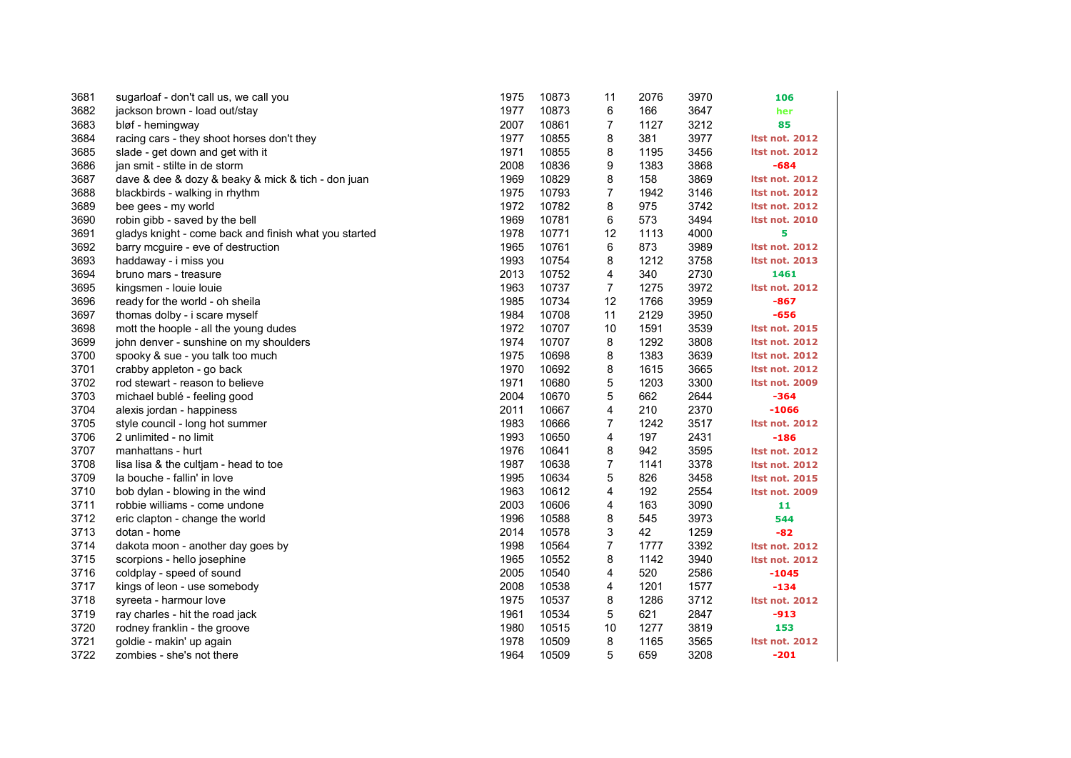| 3681 | sugarloaf - don't call us, we call you                | 1975 | 10873 | 11             | 2076 | 3970 | 106                   |
|------|-------------------------------------------------------|------|-------|----------------|------|------|-----------------------|
| 3682 | jackson brown - load out/stay                         | 1977 | 10873 | 6              | 166  | 3647 | her                   |
| 3683 | bløf - hemingway                                      | 2007 | 10861 | 7              | 1127 | 3212 | 85                    |
| 3684 | racing cars - they shoot horses don't they            | 1977 | 10855 | 8              | 381  | 3977 | <b>Itst not. 2012</b> |
| 3685 | slade - get down and get with it                      | 1971 | 10855 | 8              | 1195 | 3456 | <b>Itst not. 2012</b> |
| 3686 | jan smit - stilte in de storm                         | 2008 | 10836 | 9              | 1383 | 3868 | $-684$                |
| 3687 | dave & dee & dozy & beaky & mick & tich - don juan    | 1969 | 10829 | 8              | 158  | 3869 | <b>Itst not. 2012</b> |
| 3688 | blackbirds - walking in rhythm                        | 1975 | 10793 | 7              | 1942 | 3146 | <b>Itst not. 2012</b> |
| 3689 | bee gees - my world                                   | 1972 | 10782 | 8              | 975  | 3742 | <b>Itst not. 2012</b> |
| 3690 | robin gibb - saved by the bell                        | 1969 | 10781 | 6              | 573  | 3494 | <b>Itst not. 2010</b> |
| 3691 | gladys knight - come back and finish what you started | 1978 | 10771 | 12             | 1113 | 4000 | 5                     |
| 3692 | barry mcguire - eve of destruction                    | 1965 | 10761 | 6              | 873  | 3989 | <b>Itst not. 2012</b> |
| 3693 | haddaway - i miss you                                 | 1993 | 10754 | 8              | 1212 | 3758 | <b>Itst not. 2013</b> |
| 3694 | bruno mars - treasure                                 | 2013 | 10752 | 4              | 340  | 2730 | 1461                  |
| 3695 | kingsmen - louie louie                                | 1963 | 10737 | $\overline{7}$ | 1275 | 3972 | <b>Itst not. 2012</b> |
| 3696 | ready for the world - oh sheila                       | 1985 | 10734 | 12             | 1766 | 3959 | $-867$                |
| 3697 | thomas dolby - i scare myself                         | 1984 | 10708 | 11             | 2129 | 3950 | $-656$                |
| 3698 | mott the hoople - all the young dudes                 | 1972 | 10707 | 10             | 1591 | 3539 | <b>Itst not. 2015</b> |
| 3699 | john denver - sunshine on my shoulders                | 1974 | 10707 | 8              | 1292 | 3808 | <b>Itst not. 2012</b> |
| 3700 | spooky & sue - you talk too much                      | 1975 | 10698 | 8              | 1383 | 3639 | <b>Itst not. 2012</b> |
| 3701 | crabby appleton - go back                             | 1970 | 10692 | 8              | 1615 | 3665 | <b>Itst not. 2012</b> |
| 3702 | rod stewart - reason to believe                       | 1971 | 10680 | 5              | 1203 | 3300 | Itst not. 2009        |
| 3703 | michael bublé - feeling good                          | 2004 | 10670 | 5              | 662  | 2644 | $-364$                |
| 3704 | alexis jordan - happiness                             | 2011 | 10667 | 4              | 210  | 2370 | $-1066$               |
| 3705 | style council - long hot summer                       | 1983 | 10666 | 7              | 1242 | 3517 | <b>Itst not. 2012</b> |
| 3706 | 2 unlimited - no limit                                | 1993 | 10650 | 4              | 197  | 2431 | $-186$                |
| 3707 | manhattans - hurt                                     | 1976 | 10641 | 8              | 942  | 3595 | <b>Itst not. 2012</b> |
| 3708 | lisa lisa & the cultjam - head to toe                 | 1987 | 10638 | 7              | 1141 | 3378 | <b>Itst not. 2012</b> |
| 3709 | la bouche - fallin' in love                           | 1995 | 10634 | 5              | 826  | 3458 | <b>Itst not. 2015</b> |
| 3710 | bob dylan - blowing in the wind                       | 1963 | 10612 | 4              | 192  | 2554 | <b>Itst not. 2009</b> |
| 3711 | robbie williams - come undone                         | 2003 | 10606 | 4              | 163  | 3090 | 11                    |
| 3712 | eric clapton - change the world                       | 1996 | 10588 | 8              | 545  | 3973 | 544                   |
| 3713 | dotan - home                                          | 2014 | 10578 | 3              | 42   | 1259 | $-82$                 |
| 3714 | dakota moon - another day goes by                     | 1998 | 10564 | $\overline{7}$ | 1777 | 3392 | <b>Itst not. 2012</b> |
| 3715 | scorpions - hello josephine                           | 1965 | 10552 | 8              | 1142 | 3940 | <b>Itst not. 2012</b> |
| 3716 | coldplay - speed of sound                             | 2005 | 10540 | 4              | 520  | 2586 | $-1045$               |
| 3717 | kings of leon - use somebody                          | 2008 | 10538 | 4              | 1201 | 1577 | $-134$                |
| 3718 | syreeta - harmour love                                | 1975 | 10537 | 8              | 1286 | 3712 | <b>Itst not. 2012</b> |
| 3719 | ray charles - hit the road jack                       | 1961 | 10534 | 5              | 621  | 2847 | $-913$                |
| 3720 | rodney franklin - the groove                          | 1980 | 10515 | 10             | 1277 | 3819 | 153                   |
| 3721 | goldie - makin' up again                              | 1978 | 10509 | 8              | 1165 | 3565 | Itst not. 2012        |
| 3722 | zombies - she's not there                             | 1964 | 10509 | 5              | 659  | 3208 | $-201$                |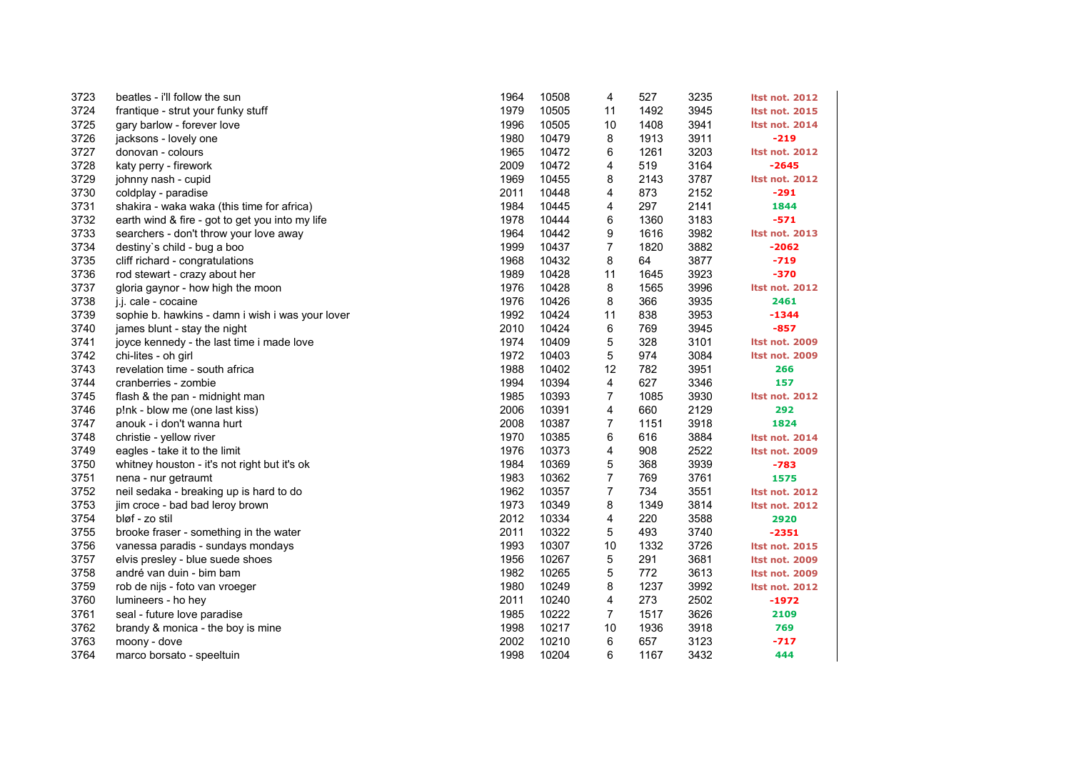| 3723 | beatles - i'll follow the sun                    | 1964 | 10508 | 4              | 527  | 3235 | <b>Itst not. 2012</b> |
|------|--------------------------------------------------|------|-------|----------------|------|------|-----------------------|
| 3724 | frantique - strut your funky stuff               | 1979 | 10505 | 11             | 1492 | 3945 | <b>Itst not. 2015</b> |
| 3725 | gary barlow - forever love                       | 1996 | 10505 | 10             | 1408 | 3941 | <b>Itst not. 2014</b> |
| 3726 | jacksons - lovely one                            | 1980 | 10479 | 8              | 1913 | 3911 | $-219$                |
| 3727 | donovan - colours                                | 1965 | 10472 | 6              | 1261 | 3203 | <b>Itst not. 2012</b> |
| 3728 | katy perry - firework                            | 2009 | 10472 | 4              | 519  | 3164 | $-2645$               |
| 3729 | johnny nash - cupid                              | 1969 | 10455 | 8              | 2143 | 3787 | <b>Itst not. 2012</b> |
| 3730 | coldplay - paradise                              | 2011 | 10448 | 4              | 873  | 2152 | $-291$                |
| 3731 | shakira - waka waka (this time for africa)       | 1984 | 10445 | 4              | 297  | 2141 | 1844                  |
| 3732 | earth wind & fire - got to get you into my life  | 1978 | 10444 | 6              | 1360 | 3183 | $-571$                |
| 3733 | searchers - don't throw your love away           | 1964 | 10442 | 9              | 1616 | 3982 | <b>Itst not. 2013</b> |
| 3734 | destiny's child - bug a boo                      | 1999 | 10437 | $\overline{7}$ | 1820 | 3882 | $-2062$               |
| 3735 | cliff richard - congratulations                  | 1968 | 10432 | 8              | 64   | 3877 | $-719$                |
| 3736 | rod stewart - crazy about her                    | 1989 | 10428 | 11             | 1645 | 3923 | $-370$                |
| 3737 | gloria gaynor - how high the moon                | 1976 | 10428 | 8              | 1565 | 3996 | <b>Itst not. 2012</b> |
| 3738 | j.j. cale - cocaine                              | 1976 | 10426 | 8              | 366  | 3935 | 2461                  |
| 3739 | sophie b. hawkins - damn i wish i was your lover | 1992 | 10424 | 11             | 838  | 3953 | $-1344$               |
| 3740 | james blunt - stay the night                     | 2010 | 10424 | 6              | 769  | 3945 | $-857$                |
| 3741 | joyce kennedy - the last time i made love        | 1974 | 10409 | 5              | 328  | 3101 | <b>Itst not. 2009</b> |
| 3742 | chi-lites - oh girl                              | 1972 | 10403 | 5              | 974  | 3084 | <b>Itst not. 2009</b> |
| 3743 | revelation time - south africa                   | 1988 | 10402 | 12             | 782  | 3951 | 266                   |
| 3744 | cranberries - zombie                             | 1994 | 10394 | 4              | 627  | 3346 | 157                   |
| 3745 | flash & the pan - midnight man                   | 1985 | 10393 | $\overline{7}$ | 1085 | 3930 | <b>Itst not. 2012</b> |
| 3746 | p!nk - blow me (one last kiss)                   | 2006 | 10391 | 4              | 660  | 2129 | 292                   |
| 3747 | anouk - i don't wanna hurt                       | 2008 | 10387 | $\overline{7}$ | 1151 | 3918 | 1824                  |
| 3748 | christie - yellow river                          | 1970 | 10385 | 6              | 616  | 3884 | <b>Itst not. 2014</b> |
| 3749 | eagles - take it to the limit                    | 1976 | 10373 | 4              | 908  | 2522 | <b>Itst not. 2009</b> |
| 3750 | whitney houston - it's not right but it's ok     | 1984 | 10369 | 5              | 368  | 3939 | $-783$                |
| 3751 | nena - nur getraumt                              | 1983 | 10362 | $\overline{7}$ | 769  | 3761 | 1575                  |
| 3752 | neil sedaka - breaking up is hard to do          | 1962 | 10357 | $\overline{7}$ | 734  | 3551 | <b>Itst not. 2012</b> |
| 3753 | jim croce - bad bad leroy brown                  | 1973 | 10349 | 8              | 1349 | 3814 | <b>Itst not. 2012</b> |
| 3754 | bløf - zo stil                                   | 2012 | 10334 | 4              | 220  | 3588 | 2920                  |
| 3755 | brooke fraser - something in the water           | 2011 | 10322 | 5              | 493  | 3740 | $-2351$               |
| 3756 | vanessa paradis - sundays mondays                | 1993 | 10307 | 10             | 1332 | 3726 | <b>Itst not. 2015</b> |
| 3757 | elvis presley - blue suede shoes                 | 1956 | 10267 | 5              | 291  | 3681 | <b>Itst not. 2009</b> |
| 3758 | andré van duin - bim bam                         | 1982 | 10265 | 5              | 772  | 3613 | <b>Itst not. 2009</b> |
| 3759 | rob de nijs - foto van vroeger                   | 1980 | 10249 | 8              | 1237 | 3992 | <b>Itst not. 2012</b> |
| 3760 | lumineers - ho hey                               | 2011 | 10240 | 4              | 273  | 2502 | $-1972$               |
| 3761 | seal - future love paradise                      | 1985 | 10222 | $\overline{7}$ | 1517 | 3626 | 2109                  |
| 3762 | brandy & monica - the boy is mine                | 1998 | 10217 | 10             | 1936 | 3918 | 769                   |
| 3763 | moony - dove                                     | 2002 | 10210 | 6              | 657  | 3123 | $-717$                |
| 3764 | marco borsato - speeltuin                        | 1998 | 10204 | 6              | 1167 | 3432 | 444                   |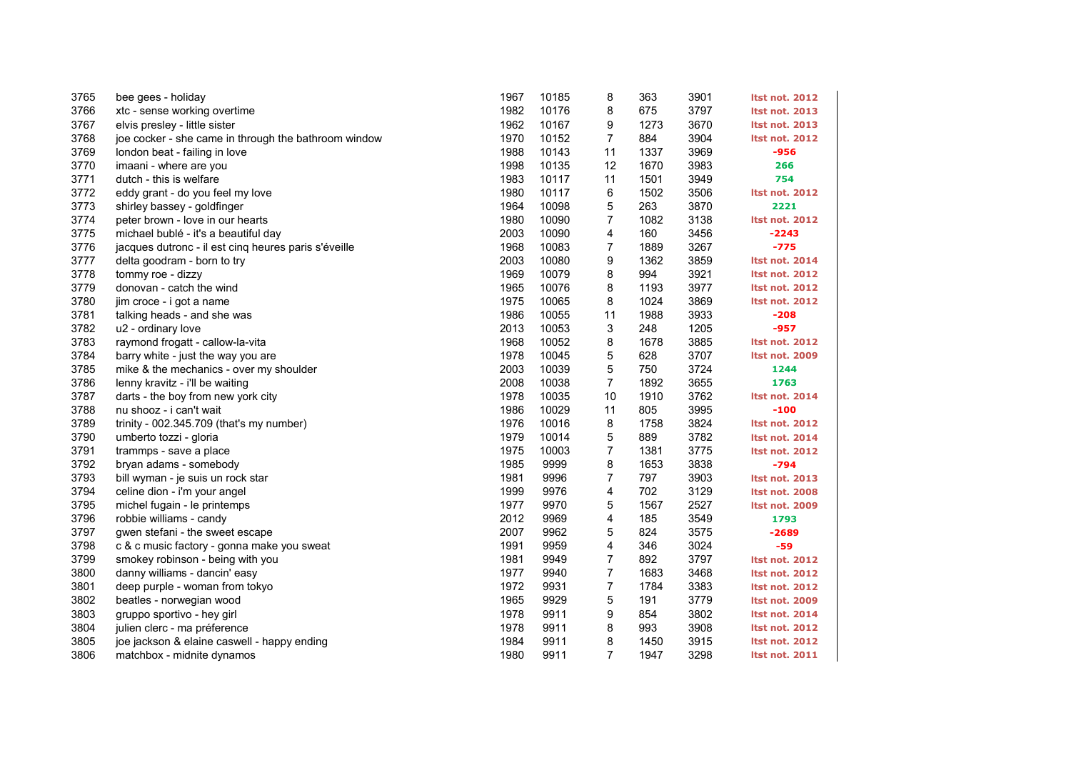| 3765 | bee gees - holiday                                   | 1967 | 10185 | 8              | 363  | 3901 | <b>Itst not. 2012</b> |
|------|------------------------------------------------------|------|-------|----------------|------|------|-----------------------|
| 3766 | xtc - sense working overtime                         | 1982 | 10176 | 8              | 675  | 3797 | <b>Itst not. 2013</b> |
| 3767 | elvis presley - little sister                        | 1962 | 10167 | 9              | 1273 | 3670 | <b>Itst not. 2013</b> |
| 3768 | joe cocker - she came in through the bathroom window | 1970 | 10152 | 7              | 884  | 3904 | <b>Itst not. 2012</b> |
| 3769 | london beat - failing in love                        | 1988 | 10143 | 11             | 1337 | 3969 | -956                  |
| 3770 | imaani - where are you                               | 1998 | 10135 | 12             | 1670 | 3983 | 266                   |
| 3771 | dutch - this is welfare                              | 1983 | 10117 | 11             | 1501 | 3949 | 754                   |
| 3772 | eddy grant - do you feel my love                     | 1980 | 10117 | 6              | 1502 | 3506 | <b>Itst not. 2012</b> |
| 3773 | shirley bassey - goldfinger                          | 1964 | 10098 | 5              | 263  | 3870 | 2221                  |
| 3774 | peter brown - love in our hearts                     | 1980 | 10090 | $\overline{7}$ | 1082 | 3138 | <b>Itst not. 2012</b> |
| 3775 | michael bublé - it's a beautiful day                 | 2003 | 10090 | 4              | 160  | 3456 | $-2243$               |
| 3776 | jacques dutronc - il est cinq heures paris s'éveille | 1968 | 10083 | 7              | 1889 | 3267 | $-775$                |
| 3777 | delta goodram - born to try                          | 2003 | 10080 | 9              | 1362 | 3859 | <b>Itst not. 2014</b> |
| 3778 | tommy roe - dizzy                                    | 1969 | 10079 | 8              | 994  | 3921 | <b>Itst not. 2012</b> |
| 3779 | donovan - catch the wind                             | 1965 | 10076 | 8              | 1193 | 3977 | <b>Itst not. 2012</b> |
| 3780 | jim croce - i got a name                             | 1975 | 10065 | 8              | 1024 | 3869 | <b>Itst not. 2012</b> |
| 3781 | talking heads - and she was                          | 1986 | 10055 | 11             | 1988 | 3933 | $-208$                |
| 3782 | u2 - ordinary love                                   | 2013 | 10053 | 3              | 248  | 1205 | $-957$                |
| 3783 | raymond frogatt - callow-la-vita                     | 1968 | 10052 | 8              | 1678 | 3885 | <b>Itst not. 2012</b> |
| 3784 | barry white - just the way you are                   | 1978 | 10045 | 5              | 628  | 3707 | <b>Itst not. 2009</b> |
| 3785 | mike & the mechanics - over my shoulder              | 2003 | 10039 | 5              | 750  | 3724 | 1244                  |
| 3786 | lenny kravitz - i'll be waiting                      | 2008 | 10038 | $\overline{7}$ | 1892 | 3655 | 1763                  |
| 3787 | darts - the boy from new york city                   | 1978 | 10035 | 10             | 1910 | 3762 | <b>Itst not. 2014</b> |
| 3788 | nu shooz - i can't wait                              | 1986 | 10029 | 11             | 805  | 3995 | $-100$                |
| 3789 | trinity - 002.345.709 (that's my number)             | 1976 | 10016 | 8              | 1758 | 3824 | <b>Itst not. 2012</b> |
| 3790 | umberto tozzi - gloria                               | 1979 | 10014 | 5              | 889  | 3782 | <b>Itst not. 2014</b> |
| 3791 | trammps - save a place                               | 1975 | 10003 | $\overline{7}$ | 1381 | 3775 | <b>Itst not. 2012</b> |
| 3792 | bryan adams - somebody                               | 1985 | 9999  | 8              | 1653 | 3838 | $-794$                |
| 3793 | bill wyman - je suis un rock star                    | 1981 | 9996  | $\overline{7}$ | 797  | 3903 | <b>Itst not. 2013</b> |
| 3794 | celine dion - i'm your angel                         | 1999 | 9976  | 4              | 702  | 3129 | <b>Itst not. 2008</b> |
| 3795 | michel fugain - le printemps                         | 1977 | 9970  | 5              | 1567 | 2527 | Itst not. 2009        |
| 3796 | robbie williams - candy                              | 2012 | 9969  | 4              | 185  | 3549 | 1793                  |
| 3797 | gwen stefani - the sweet escape                      | 2007 | 9962  | 5              | 824  | 3575 | $-2689$               |
| 3798 | c & c music factory - gonna make you sweat           | 1991 | 9959  | 4              | 346  | 3024 | $-59$                 |
| 3799 | smokey robinson - being with you                     | 1981 | 9949  | $\overline{7}$ | 892  | 3797 | <b>Itst not. 2012</b> |
| 3800 | danny williams - dancin' easy                        | 1977 | 9940  | $\overline{7}$ | 1683 | 3468 | <b>Itst not. 2012</b> |
| 3801 | deep purple - woman from tokyo                       | 1972 | 9931  | $\overline{7}$ | 1784 | 3383 | <b>Itst not. 2012</b> |
| 3802 | beatles - norwegian wood                             | 1965 | 9929  | 5              | 191  | 3779 | <b>Itst not. 2009</b> |
| 3803 | gruppo sportivo - hey girl                           | 1978 | 9911  | 9              | 854  | 3802 | <b>Itst not. 2014</b> |
| 3804 | julien clerc - ma préference                         | 1978 | 9911  | 8              | 993  | 3908 | <b>Itst not. 2012</b> |
| 3805 | joe jackson & elaine caswell - happy ending          | 1984 | 9911  | 8              | 1450 | 3915 | <b>Itst not. 2012</b> |
| 3806 | matchbox - midnite dynamos                           | 1980 | 9911  | $\overline{7}$ | 1947 | 3298 | <b>Itst not. 2011</b> |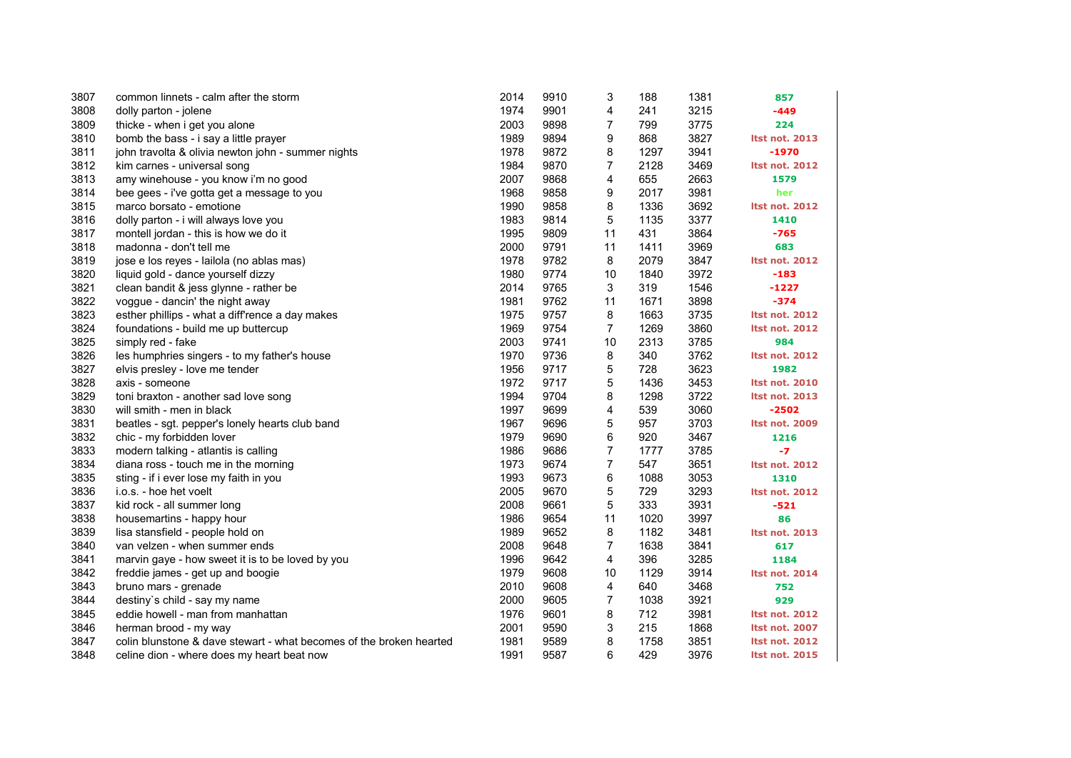| 3807 | common linnets - calm after the storm                               | 2014 | 9910 | 3              | 188  | 1381 | 857                   |
|------|---------------------------------------------------------------------|------|------|----------------|------|------|-----------------------|
| 3808 | dolly parton - jolene                                               | 1974 | 9901 | 4              | 241  | 3215 | $-449$                |
| 3809 | thicke - when i get you alone                                       | 2003 | 9898 | $\overline{7}$ | 799  | 3775 | 224                   |
| 3810 | bomb the bass - i say a little prayer                               | 1989 | 9894 | 9              | 868  | 3827 | <b>Itst not. 2013</b> |
| 3811 | john travolta & olivia newton john - summer nights                  | 1978 | 9872 | 8              | 1297 | 3941 | -1970                 |
| 3812 | kim carnes - universal song                                         | 1984 | 9870 | 7              | 2128 | 3469 | <b>Itst not. 2012</b> |
| 3813 | amy winehouse - you know i'm no good                                | 2007 | 9868 | 4              | 655  | 2663 | 1579                  |
| 3814 | bee gees - i've gotta get a message to you                          | 1968 | 9858 | 9              | 2017 | 3981 | her                   |
| 3815 | marco borsato - emotione                                            | 1990 | 9858 | 8              | 1336 | 3692 | <b>Itst not. 2012</b> |
| 3816 | dolly parton - i will always love you                               | 1983 | 9814 | 5              | 1135 | 3377 | 1410                  |
| 3817 | montell jordan - this is how we do it                               | 1995 | 9809 | 11             | 431  | 3864 | $-765$                |
| 3818 | madonna - don't tell me                                             | 2000 | 9791 | 11             | 1411 | 3969 | 683                   |
| 3819 | jose e los reyes - lailola (no ablas mas)                           | 1978 | 9782 | 8              | 2079 | 3847 | <b>Itst not. 2012</b> |
| 3820 | liquid gold - dance yourself dizzy                                  | 1980 | 9774 | 10             | 1840 | 3972 | $-183$                |
| 3821 | clean bandit & jess glynne - rather be                              | 2014 | 9765 | 3              | 319  | 1546 | $-1227$               |
| 3822 | voggue - dancin' the night away                                     | 1981 | 9762 | 11             | 1671 | 3898 | $-374$                |
| 3823 | esther phillips - what a diff'rence a day makes                     | 1975 | 9757 | 8              | 1663 | 3735 | <b>Itst not. 2012</b> |
| 3824 | foundations - build me up buttercup                                 | 1969 | 9754 | $\overline{7}$ | 1269 | 3860 | <b>Itst not. 2012</b> |
| 3825 | simply red - fake                                                   | 2003 | 9741 | 10             | 2313 | 3785 | 984                   |
| 3826 | les humphries singers - to my father's house                        | 1970 | 9736 | 8              | 340  | 3762 | <b>Itst not. 2012</b> |
| 3827 | elvis presley - love me tender                                      | 1956 | 9717 | 5              | 728  | 3623 | 1982                  |
| 3828 | axis - someone                                                      | 1972 | 9717 | 5              | 1436 | 3453 | <b>Itst not. 2010</b> |
| 3829 | toni braxton - another sad love song                                | 1994 | 9704 | 8              | 1298 | 3722 | <b>Itst not. 2013</b> |
| 3830 | will smith - men in black                                           | 1997 | 9699 | 4              | 539  | 3060 | -2502                 |
| 3831 | beatles - sgt. pepper's lonely hearts club band                     | 1967 | 9696 | 5              | 957  | 3703 | <b>Itst not. 2009</b> |
| 3832 | chic - my forbidden lover                                           | 1979 | 9690 | 6              | 920  | 3467 | 1216                  |
| 3833 | modern talking - atlantis is calling                                | 1986 | 9686 | $\overline{7}$ | 1777 | 3785 | $-7$                  |
| 3834 | diana ross - touch me in the morning                                | 1973 | 9674 | $\overline{7}$ | 547  | 3651 | <b>Itst not. 2012</b> |
| 3835 | sting - if i ever lose my faith in you                              | 1993 | 9673 | 6              | 1088 | 3053 | 1310                  |
| 3836 | i.o.s. - hoe het voelt                                              | 2005 | 9670 | 5              | 729  | 3293 | <b>Itst not. 2012</b> |
| 3837 | kid rock - all summer long                                          | 2008 | 9661 | 5              | 333  | 3931 | $-521$                |
| 3838 | housemartins - happy hour                                           | 1986 | 9654 | 11             | 1020 | 3997 | 86                    |
| 3839 | lisa stansfield - people hold on                                    | 1989 | 9652 | 8              | 1182 | 3481 | <b>Itst not. 2013</b> |
| 3840 | van velzen - when summer ends                                       | 2008 | 9648 | $\overline{7}$ | 1638 | 3841 | 617                   |
| 3841 | marvin gaye - how sweet it is to be loved by you                    | 1996 | 9642 | 4              | 396  | 3285 | 1184                  |
| 3842 | freddie james - get up and boogie                                   | 1979 | 9608 | 10             | 1129 | 3914 | <b>Itst not. 2014</b> |
| 3843 | bruno mars - grenade                                                | 2010 | 9608 | 4              | 640  | 3468 | 752                   |
| 3844 | destiny's child - say my name                                       | 2000 | 9605 | $\overline{7}$ | 1038 | 3921 | 929                   |
| 3845 | eddie howell - man from manhattan                                   | 1976 | 9601 | 8              | 712  | 3981 | <b>Itst not. 2012</b> |
| 3846 | herman brood - my way                                               | 2001 | 9590 | 3              | 215  | 1868 | <b>Itst not. 2007</b> |
| 3847 | colin blunstone & dave stewart - what becomes of the broken hearted | 1981 | 9589 | 8              | 1758 | 3851 | <b>Itst not. 2012</b> |
| 3848 | celine dion - where does my heart beat now                          | 1991 | 9587 | 6              | 429  | 3976 | <b>Itst not. 2015</b> |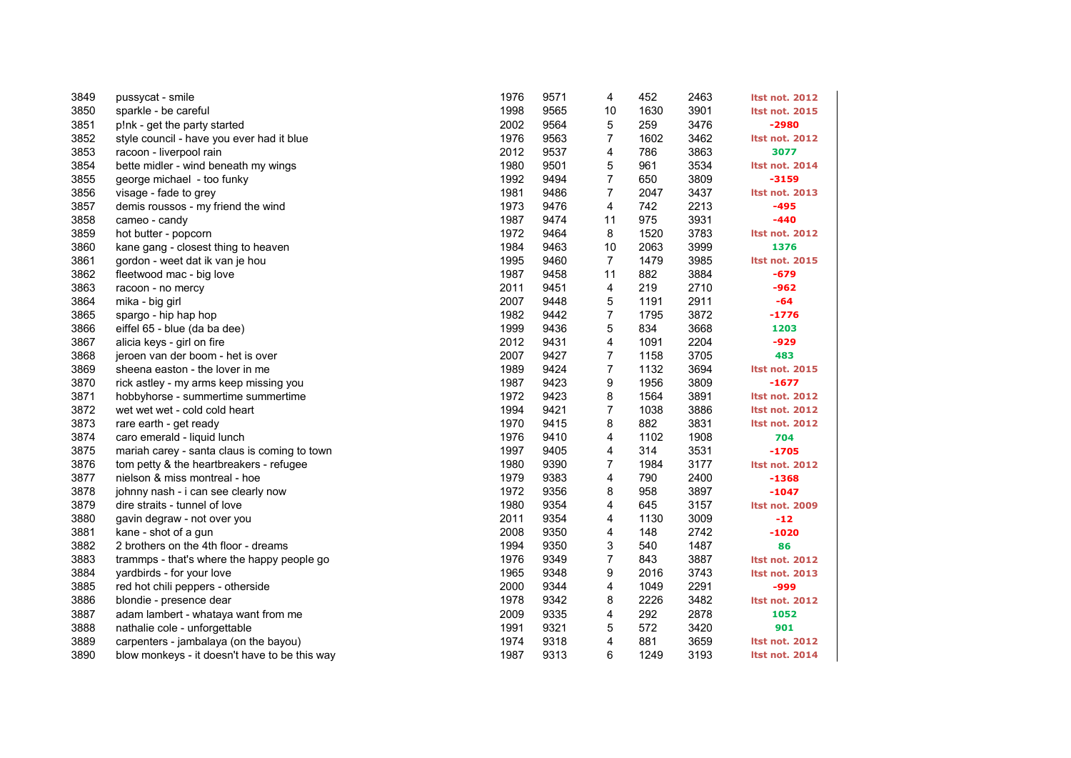| 3849 | pussycat - smile                              | 1976 | 9571 | 4              | 452  | 2463 | <b>Itst not. 2012</b> |
|------|-----------------------------------------------|------|------|----------------|------|------|-----------------------|
| 3850 | sparkle - be careful                          | 1998 | 9565 | 10             | 1630 | 3901 | <b>Itst not. 2015</b> |
| 3851 | p!nk - get the party started                  | 2002 | 9564 | 5              | 259  | 3476 | -2980                 |
| 3852 | style council - have you ever had it blue     | 1976 | 9563 | $\overline{7}$ | 1602 | 3462 | <b>Itst not. 2012</b> |
| 3853 | racoon - liverpool rain                       | 2012 | 9537 | 4              | 786  | 3863 | 3077                  |
| 3854 | bette midler - wind beneath my wings          | 1980 | 9501 | 5              | 961  | 3534 | <b>Itst not. 2014</b> |
| 3855 | george michael - too funky                    | 1992 | 9494 | $\overline{7}$ | 650  | 3809 | $-3159$               |
| 3856 | visage - fade to grey                         | 1981 | 9486 | $\overline{7}$ | 2047 | 3437 | <b>Itst not. 2013</b> |
| 3857 | demis roussos - my friend the wind            | 1973 | 9476 | 4              | 742  | 2213 | -495                  |
| 3858 | cameo - candy                                 | 1987 | 9474 | 11             | 975  | 3931 | $-440$                |
| 3859 | hot butter - popcorn                          | 1972 | 9464 | 8              | 1520 | 3783 | <b>Itst not. 2012</b> |
| 3860 | kane gang - closest thing to heaven           | 1984 | 9463 | 10             | 2063 | 3999 | 1376                  |
| 3861 | gordon - weet dat ik van je hou               | 1995 | 9460 | $\overline{7}$ | 1479 | 3985 | <b>Itst not. 2015</b> |
| 3862 | fleetwood mac - big love                      | 1987 | 9458 | 11             | 882  | 3884 | -679                  |
| 3863 | racoon - no mercy                             | 2011 | 9451 | 4              | 219  | 2710 | -962                  |
| 3864 | mika - big girl                               | 2007 | 9448 | 5              | 1191 | 2911 | $-64$                 |
| 3865 | spargo - hip hap hop                          | 1982 | 9442 | $\overline{7}$ | 1795 | 3872 | $-1776$               |
| 3866 | eiffel 65 - blue (da ba dee)                  | 1999 | 9436 | 5              | 834  | 3668 | 1203                  |
| 3867 | alicia keys - girl on fire                    | 2012 | 9431 | 4              | 1091 | 2204 | $-929$                |
| 3868 | jeroen van der boom - het is over             | 2007 | 9427 | $\overline{7}$ | 1158 | 3705 | 483                   |
| 3869 | sheena easton - the lover in me               | 1989 | 9424 | $\overline{7}$ | 1132 | 3694 | <b>Itst not. 2015</b> |
| 3870 | rick astley - my arms keep missing you        | 1987 | 9423 | 9              | 1956 | 3809 | $-1677$               |
| 3871 | hobbyhorse - summertime summertime            | 1972 | 9423 | 8              | 1564 | 3891 | <b>Itst not. 2012</b> |
| 3872 | wet wet wet - cold cold heart                 | 1994 | 9421 | 7              | 1038 | 3886 | <b>Itst not. 2012</b> |
| 3873 | rare earth - get ready                        | 1970 | 9415 | 8              | 882  | 3831 | <b>Itst not. 2012</b> |
| 3874 | caro emerald - liquid lunch                   | 1976 | 9410 | 4              | 1102 | 1908 | 704                   |
| 3875 | mariah carey - santa claus is coming to town  | 1997 | 9405 | 4              | 314  | 3531 | $-1705$               |
| 3876 | tom petty & the heartbreakers - refugee       | 1980 | 9390 | 7              | 1984 | 3177 | <b>Itst not. 2012</b> |
| 3877 | nielson & miss montreal - hoe                 | 1979 | 9383 | 4              | 790  | 2400 | $-1368$               |
| 3878 | johnny nash - i can see clearly now           | 1972 | 9356 | 8              | 958  | 3897 | $-1047$               |
| 3879 | dire straits - tunnel of love                 | 1980 | 9354 | 4              | 645  | 3157 | <b>Itst not. 2009</b> |
| 3880 | gavin degraw - not over you                   | 2011 | 9354 | 4              | 1130 | 3009 | $-12$                 |
| 3881 | kane - shot of a gun                          | 2008 | 9350 | 4              | 148  | 2742 | $-1020$               |
| 3882 | 2 brothers on the 4th floor - dreams          | 1994 | 9350 | 3              | 540  | 1487 | 86                    |
| 3883 | trammps - that's where the happy people go    | 1976 | 9349 | $\overline{7}$ | 843  | 3887 | <b>Itst not. 2012</b> |
| 3884 | yardbirds - for your love                     | 1965 | 9348 | 9              | 2016 | 3743 | <b>Itst not. 2013</b> |
| 3885 | red hot chili peppers - otherside             | 2000 | 9344 | 4              | 1049 | 2291 | -999                  |
| 3886 | blondie - presence dear                       | 1978 | 9342 | 8              | 2226 | 3482 | <b>Itst not. 2012</b> |
| 3887 | adam lambert - whataya want from me           | 2009 | 9335 | 4              | 292  | 2878 | 1052                  |
| 3888 | nathalie cole - unforgettable                 | 1991 | 9321 | 5              | 572  | 3420 | 901                   |
| 3889 | carpenters - jambalaya (on the bayou)         | 1974 | 9318 | 4              | 881  | 3659 | <b>Itst not. 2012</b> |
| 3890 | blow monkeys - it doesn't have to be this way | 1987 | 9313 | 6              | 1249 | 3193 | <b>Itst not. 2014</b> |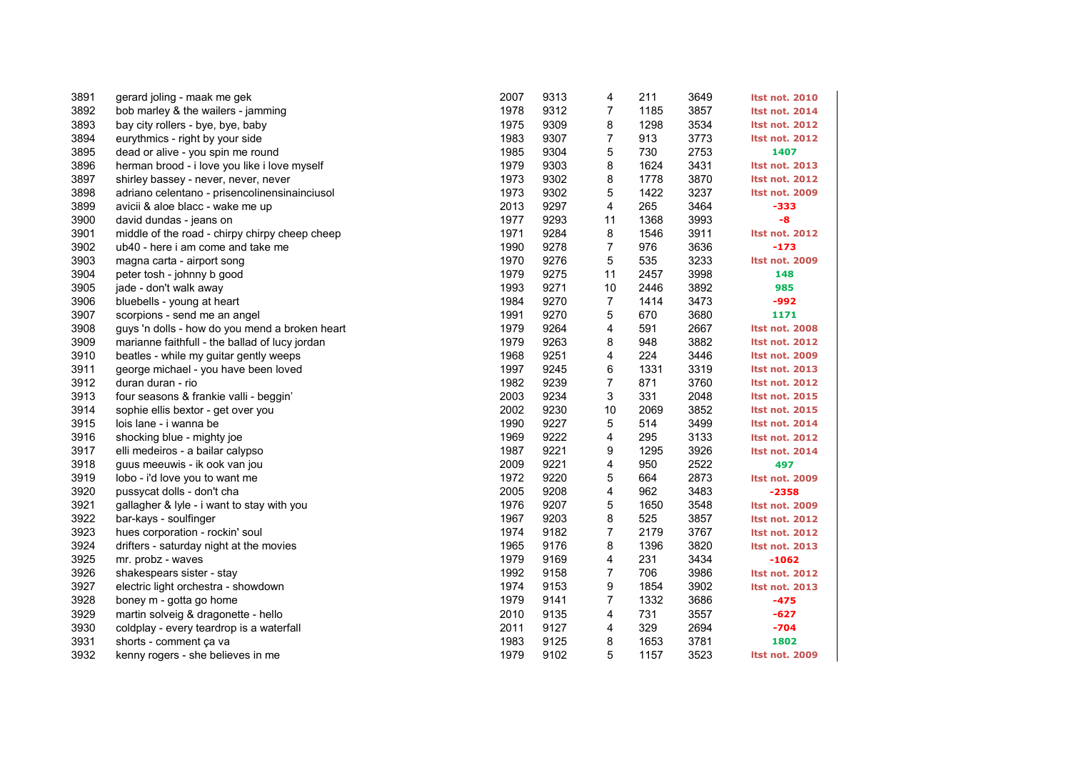| 3891 | gerard joling - maak me gek                    | 2007 | 9313 | 4              | 211  | 3649 | <b>Itst not. 2010</b> |
|------|------------------------------------------------|------|------|----------------|------|------|-----------------------|
| 3892 | bob marley & the wailers - jamming             | 1978 | 9312 | $\overline{7}$ | 1185 | 3857 | <b>Itst not. 2014</b> |
| 3893 | bay city rollers - bye, bye, baby              | 1975 | 9309 | 8              | 1298 | 3534 | <b>Itst not. 2012</b> |
| 3894 | eurythmics - right by your side                | 1983 | 9307 | $\overline{7}$ | 913  | 3773 | <b>Itst not. 2012</b> |
| 3895 | dead or alive - you spin me round              | 1985 | 9304 | 5              | 730  | 2753 | 1407                  |
| 3896 | herman brood - i love you like i love myself   | 1979 | 9303 | 8              | 1624 | 3431 | <b>Itst not. 2013</b> |
| 3897 | shirley bassey - never, never, never           | 1973 | 9302 | 8              | 1778 | 3870 | <b>Itst not. 2012</b> |
| 3898 | adriano celentano - prisencolinensinainciusol  | 1973 | 9302 | 5              | 1422 | 3237 | <b>Itst not. 2009</b> |
| 3899 | avicii & aloe blacc - wake me up               | 2013 | 9297 | 4              | 265  | 3464 | -333                  |
| 3900 | david dundas - jeans on                        | 1977 | 9293 | 11             | 1368 | 3993 | -8                    |
| 3901 | middle of the road - chirpy chirpy cheep cheep | 1971 | 9284 | 8              | 1546 | 3911 | <b>Itst not. 2012</b> |
| 3902 | ub40 - here i am come and take me              | 1990 | 9278 | $\overline{7}$ | 976  | 3636 | $-173$                |
| 3903 | magna carta - airport song                     | 1970 | 9276 | 5              | 535  | 3233 | <b>Itst not. 2009</b> |
| 3904 | peter tosh - johnny b good                     | 1979 | 9275 | 11             | 2457 | 3998 | 148                   |
| 3905 | jade - don't walk away                         | 1993 | 9271 | 10             | 2446 | 3892 | 985                   |
| 3906 | bluebells - young at heart                     | 1984 | 9270 | $\overline{7}$ | 1414 | 3473 | -992                  |
| 3907 | scorpions - send me an angel                   | 1991 | 9270 | 5              | 670  | 3680 | 1171                  |
| 3908 | guys 'n dolls - how do you mend a broken heart | 1979 | 9264 | 4              | 591  | 2667 | <b>Itst not. 2008</b> |
| 3909 | marianne faithfull - the ballad of lucy jordan | 1979 | 9263 | 8              | 948  | 3882 | <b>Itst not. 2012</b> |
| 3910 | beatles - while my guitar gently weeps         | 1968 | 9251 | 4              | 224  | 3446 | <b>Itst not. 2009</b> |
| 3911 | george michael - you have been loved           | 1997 | 9245 | 6              | 1331 | 3319 | <b>Itst not. 2013</b> |
| 3912 | duran duran - rio                              | 1982 | 9239 | 7              | 871  | 3760 | <b>Itst not. 2012</b> |
| 3913 | four seasons & frankie valli - beggin'         | 2003 | 9234 | 3              | 331  | 2048 | <b>Itst not. 2015</b> |
| 3914 | sophie ellis bextor - get over you             | 2002 | 9230 | 10             | 2069 | 3852 | <b>Itst not. 2015</b> |
| 3915 | lois lane - i wanna be                         | 1990 | 9227 | 5              | 514  | 3499 | <b>Itst not. 2014</b> |
| 3916 | shocking blue - mighty joe                     | 1969 | 9222 | 4              | 295  | 3133 | <b>Itst not. 2012</b> |
| 3917 | elli medeiros - a bailar calypso               | 1987 | 9221 | 9              | 1295 | 3926 | <b>Itst not. 2014</b> |
| 3918 | guus meeuwis - ik ook van jou                  | 2009 | 9221 | 4              | 950  | 2522 | 497                   |
| 3919 | lobo - i'd love you to want me                 | 1972 | 9220 | 5              | 664  | 2873 | <b>Itst not. 2009</b> |
| 3920 | pussycat dolls - don't cha                     | 2005 | 9208 | 4              | 962  | 3483 | $-2358$               |
| 3921 | gallagher & lyle - i want to stay with you     | 1976 | 9207 | 5              | 1650 | 3548 | <b>Itst not. 2009</b> |
| 3922 | bar-kays - soulfinger                          | 1967 | 9203 | 8              | 525  | 3857 | <b>Itst not. 2012</b> |
| 3923 | hues corporation - rockin' soul                | 1974 | 9182 | 7              | 2179 | 3767 | <b>Itst not. 2012</b> |
| 3924 | drifters - saturday night at the movies        | 1965 | 9176 | 8              | 1396 | 3820 | <b>Itst not. 2013</b> |
| 3925 | mr. probz - waves                              | 1979 | 9169 | 4              | 231  | 3434 | -1062                 |
| 3926 | shakespears sister - stay                      | 1992 | 9158 | 7              | 706  | 3986 | <b>Itst not. 2012</b> |
| 3927 | electric light orchestra - showdown            | 1974 | 9153 | 9              | 1854 | 3902 | <b>Itst not. 2013</b> |
| 3928 | boney m - gotta go home                        | 1979 | 9141 | 7              | 1332 | 3686 | $-475$                |
| 3929 | martin solveig & dragonette - hello            | 2010 | 9135 | 4              | 731  | 3557 | -627                  |
| 3930 | coldplay - every teardrop is a waterfall       | 2011 | 9127 | 4              | 329  | 2694 | $-704$                |
| 3931 | shorts - comment ça va                         | 1983 | 9125 | 8              | 1653 | 3781 | 1802                  |
| 3932 | kenny rogers - she believes in me              | 1979 | 9102 | 5              | 1157 | 3523 | <b>Itst not. 2009</b> |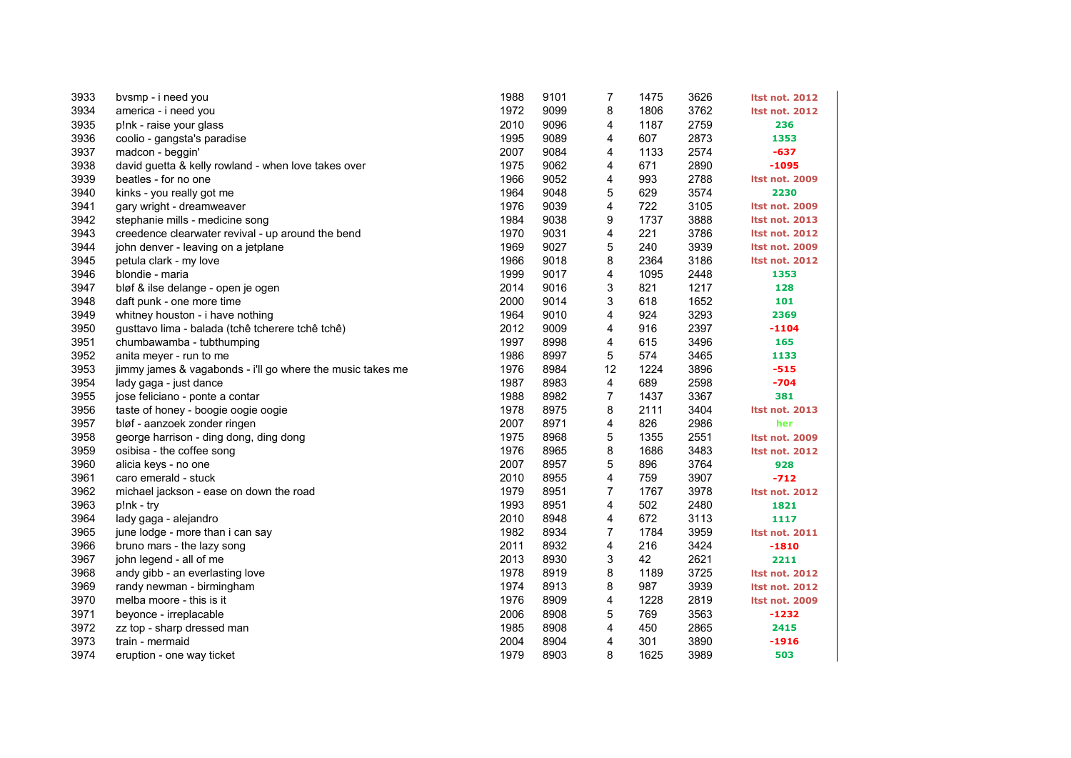| 3933 | bysmp - i need you                                         | 1988 | 9101 | 7              | 1475 | 3626 | <b>Itst not. 2012</b> |
|------|------------------------------------------------------------|------|------|----------------|------|------|-----------------------|
| 3934 | america - i need you                                       | 1972 | 9099 | 8              | 1806 | 3762 | <b>Itst not. 2012</b> |
| 3935 | p!nk - raise your glass                                    | 2010 | 9096 | 4              | 1187 | 2759 | 236                   |
| 3936 | coolio - gangsta's paradise                                | 1995 | 9089 | 4              | 607  | 2873 | 1353                  |
| 3937 | madcon - beggin'                                           | 2007 | 9084 | 4              | 1133 | 2574 | -637                  |
| 3938 | david guetta & kelly rowland - when love takes over        | 1975 | 9062 | 4              | 671  | 2890 | $-1095$               |
| 3939 | beatles - for no one                                       | 1966 | 9052 | 4              | 993  | 2788 | <b>Itst not. 2009</b> |
| 3940 | kinks - you really got me                                  | 1964 | 9048 | 5              | 629  | 3574 | 2230                  |
| 3941 | gary wright - dreamweaver                                  | 1976 | 9039 | 4              | 722  | 3105 | <b>Itst not. 2009</b> |
| 3942 | stephanie mills - medicine song                            | 1984 | 9038 | 9              | 1737 | 3888 | <b>Itst not. 2013</b> |
| 3943 | creedence clearwater revival - up around the bend          | 1970 | 9031 | 4              | 221  | 3786 | <b>Itst not. 2012</b> |
| 3944 | john denver - leaving on a jetplane                        | 1969 | 9027 | 5              | 240  | 3939 | <b>Itst not. 2009</b> |
| 3945 | petula clark - my love                                     | 1966 | 9018 | 8              | 2364 | 3186 | <b>Itst not. 2012</b> |
| 3946 | blondie - maria                                            | 1999 | 9017 | 4              | 1095 | 2448 | 1353                  |
| 3947 | bløf & ilse delange - open je ogen                         | 2014 | 9016 | 3              | 821  | 1217 | 128                   |
| 3948 | daft punk - one more time                                  | 2000 | 9014 | 3              | 618  | 1652 | 101                   |
| 3949 | whitney houston - i have nothing                           | 1964 | 9010 | 4              | 924  | 3293 | 2369                  |
| 3950 | gusttavo lima - balada (tchê tcherere tchê tchê)           | 2012 | 9009 | 4              | 916  | 2397 | $-1104$               |
| 3951 | chumbawamba - tubthumping                                  | 1997 | 8998 | 4              | 615  | 3496 | 165                   |
| 3952 | anita meyer - run to me                                    | 1986 | 8997 | 5              | 574  | 3465 | 1133                  |
| 3953 | jimmy james & vagabonds - i'll go where the music takes me | 1976 | 8984 | 12             | 1224 | 3896 | $-515$                |
| 3954 | lady gaga - just dance                                     | 1987 | 8983 | 4              | 689  | 2598 | $-704$                |
| 3955 | jose feliciano - ponte a contar                            | 1988 | 8982 | 7              | 1437 | 3367 | 381                   |
| 3956 | taste of honey - boogie oogie oogie                        | 1978 | 8975 | 8              | 2111 | 3404 | <b>Itst not. 2013</b> |
| 3957 | bløf - aanzoek zonder ringen                               | 2007 | 8971 | 4              | 826  | 2986 | her                   |
| 3958 | george harrison - ding dong, ding dong                     | 1975 | 8968 | 5              | 1355 | 2551 | <b>Itst not. 2009</b> |
| 3959 | osibisa - the coffee song                                  | 1976 | 8965 | 8              | 1686 | 3483 | <b>Itst not. 2012</b> |
| 3960 | alicia keys - no one                                       | 2007 | 8957 | 5              | 896  | 3764 | 928                   |
| 3961 | caro emerald - stuck                                       | 2010 | 8955 | 4              | 759  | 3907 | $-712$                |
| 3962 | michael jackson - ease on down the road                    | 1979 | 8951 | $\overline{7}$ | 1767 | 3978 | <b>Itst not. 2012</b> |
| 3963 | p!nk - try                                                 | 1993 | 8951 | 4              | 502  | 2480 | 1821                  |
| 3964 | lady gaga - alejandro                                      | 2010 | 8948 | 4              | 672  | 3113 | 1117                  |
| 3965 | june lodge - more than i can say                           | 1982 | 8934 | 7              | 1784 | 3959 | <b>Itst not. 2011</b> |
| 3966 | bruno mars - the lazy song                                 | 2011 | 8932 | 4              | 216  | 3424 | $-1810$               |
| 3967 | john legend - all of me                                    | 2013 | 8930 | 3              | 42   | 2621 | 2211                  |
| 3968 | andy gibb - an everlasting love                            | 1978 | 8919 | 8              | 1189 | 3725 | <b>Itst not. 2012</b> |
| 3969 | randy newman - birmingham                                  | 1974 | 8913 | 8              | 987  | 3939 | <b>Itst not. 2012</b> |
| 3970 | melba moore - this is it                                   | 1976 | 8909 | 4              | 1228 | 2819 | <b>Itst not. 2009</b> |
| 3971 | beyonce - irreplacable                                     | 2006 | 8908 | 5              | 769  | 3563 | $-1232$               |
| 3972 | zz top - sharp dressed man                                 | 1985 | 8908 | 4              | 450  | 2865 | 2415                  |
| 3973 | train - mermaid                                            | 2004 | 8904 | 4              | 301  | 3890 | $-1916$               |
| 3974 | eruption - one way ticket                                  | 1979 | 8903 | 8              | 1625 | 3989 | 503                   |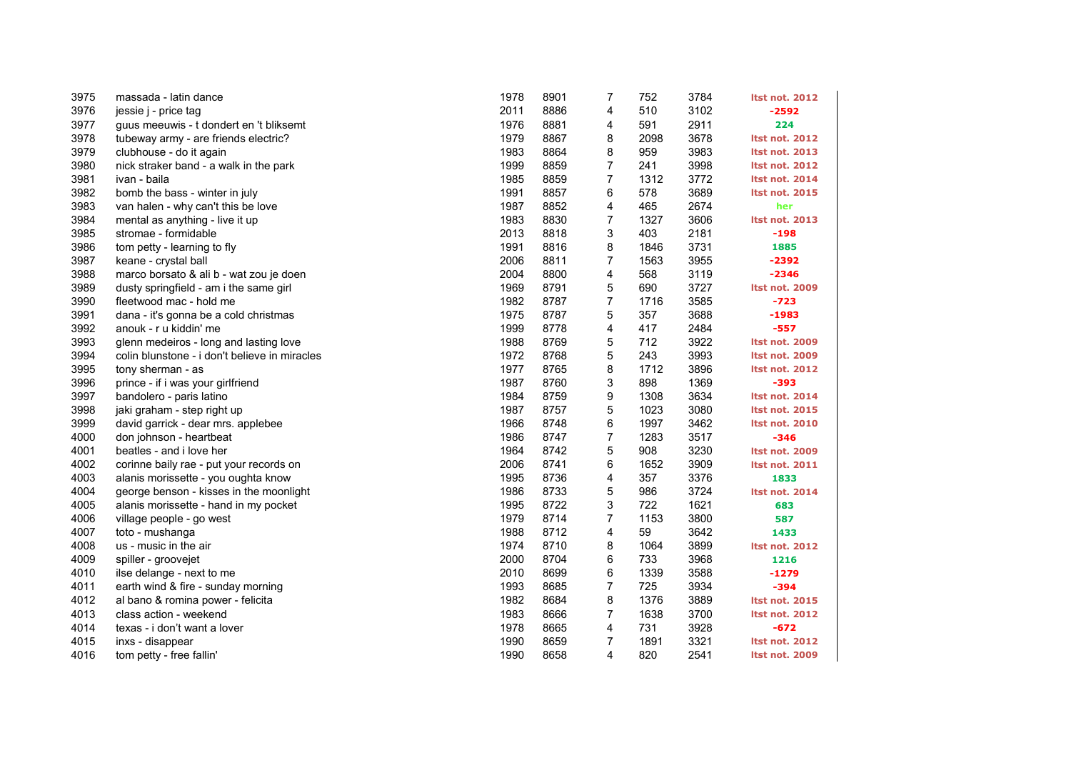| 3975 | massada - latin dance                         | 1978 | 8901 | 7                | 752  | 3784 | <b>Itst not. 2012</b> |
|------|-----------------------------------------------|------|------|------------------|------|------|-----------------------|
| 3976 | jessie j - price tag                          | 2011 | 8886 | 4                | 510  | 3102 | $-2592$               |
| 3977 | guus meeuwis - t dondert en 't bliksemt       | 1976 | 8881 | 4                | 591  | 2911 | 224                   |
| 3978 | tubeway army - are friends electric?          | 1979 | 8867 | 8                | 2098 | 3678 | <b>Itst not. 2012</b> |
| 3979 | clubhouse - do it again                       | 1983 | 8864 | 8                | 959  | 3983 | <b>Itst not. 2013</b> |
| 3980 | nick straker band - a walk in the park        | 1999 | 8859 | 7                | 241  | 3998 | <b>Itst not. 2012</b> |
| 3981 | ivan - baila                                  | 1985 | 8859 | $\overline{7}$   | 1312 | 3772 | <b>Itst not. 2014</b> |
| 3982 | bomb the bass - winter in july                | 1991 | 8857 | 6                | 578  | 3689 | <b>Itst not. 2015</b> |
| 3983 | van halen - why can't this be love            | 1987 | 8852 | 4                | 465  | 2674 | her                   |
| 3984 | mental as anything - live it up               | 1983 | 8830 | $\overline{7}$   | 1327 | 3606 | Itst not. 2013        |
| 3985 | stromae - formidable                          | 2013 | 8818 | 3                | 403  | 2181 | $-198$                |
| 3986 | tom petty - learning to fly                   | 1991 | 8816 | 8                | 1846 | 3731 | 1885                  |
| 3987 | keane - crystal ball                          | 2006 | 8811 | 7                | 1563 | 3955 | $-2392$               |
| 3988 | marco borsato & ali b - wat zou je doen       | 2004 | 8800 | 4                | 568  | 3119 | $-2346$               |
| 3989 | dusty springfield - am i the same girl        | 1969 | 8791 | 5                | 690  | 3727 | Itst not. 2009        |
| 3990 | fleetwood mac - hold me                       | 1982 | 8787 | 7                | 1716 | 3585 | $-723$                |
| 3991 | dana - it's gonna be a cold christmas         | 1975 | 8787 | 5                | 357  | 3688 | $-1983$               |
| 3992 | anouk - r u kiddin' me                        | 1999 | 8778 | 4                | 417  | 2484 | $-557$                |
| 3993 | glenn medeiros - long and lasting love        | 1988 | 8769 | 5                | 712  | 3922 | Itst not. 2009        |
| 3994 | colin blunstone - i don't believe in miracles | 1972 | 8768 | 5                | 243  | 3993 | <b>Itst not. 2009</b> |
| 3995 | tony sherman - as                             | 1977 | 8765 | 8                | 1712 | 3896 | <b>Itst not. 2012</b> |
| 3996 | prince - if i was your girlfriend             | 1987 | 8760 | 3                | 898  | 1369 | -393                  |
| 3997 | bandolero - paris latino                      | 1984 | 8759 | 9                | 1308 | 3634 | <b>Itst not. 2014</b> |
| 3998 | jaki graham - step right up                   | 1987 | 8757 | 5                | 1023 | 3080 | <b>Itst not. 2015</b> |
| 3999 | david garrick - dear mrs. applebee            | 1966 | 8748 | 6                | 1997 | 3462 | <b>Itst not. 2010</b> |
| 4000 | don johnson - heartbeat                       | 1986 | 8747 | 7                | 1283 | 3517 | $-346$                |
| 4001 | beatles - and i love her                      | 1964 | 8742 | 5                | 908  | 3230 | <b>Itst not. 2009</b> |
| 4002 | corinne baily rae - put your records on       | 2006 | 8741 | 6                | 1652 | 3909 | <b>Itst not. 2011</b> |
| 4003 | alanis morissette - you oughta know           | 1995 | 8736 | 4                | 357  | 3376 | 1833                  |
| 4004 | george benson - kisses in the moonlight       | 1986 | 8733 | 5                | 986  | 3724 | <b>Itst not. 2014</b> |
| 4005 | alanis morissette - hand in my pocket         | 1995 | 8722 | 3                | 722  | 1621 | 683                   |
| 4006 | village people - go west                      | 1979 | 8714 | $\boldsymbol{7}$ | 1153 | 3800 | 587                   |
| 4007 | toto - mushanga                               | 1988 | 8712 | 4                | 59   | 3642 | 1433                  |
| 4008 | us - music in the air                         | 1974 | 8710 | 8                | 1064 | 3899 | <b>Itst not. 2012</b> |
| 4009 | spiller - groovejet                           | 2000 | 8704 | 6                | 733  | 3968 | 1216                  |
| 4010 | ilse delange - next to me                     | 2010 | 8699 | 6                | 1339 | 3588 | $-1279$               |
| 4011 | earth wind & fire - sunday morning            | 1993 | 8685 | $\overline{7}$   | 725  | 3934 | $-394$                |
| 4012 | al bano & romina power - felicita             | 1982 | 8684 | 8                | 1376 | 3889 | <b>Itst not. 2015</b> |
| 4013 | class action - weekend                        | 1983 | 8666 | $\overline{7}$   | 1638 | 3700 | <b>Itst not. 2012</b> |
| 4014 | texas - i don't want a lover                  | 1978 | 8665 | 4                | 731  | 3928 | $-672$                |
| 4015 | inxs - disappear                              | 1990 | 8659 | $\overline{7}$   | 1891 | 3321 | <b>Itst not. 2012</b> |
| 4016 | tom petty - free fallin'                      | 1990 | 8658 | 4                | 820  | 2541 | <b>Itst not. 2009</b> |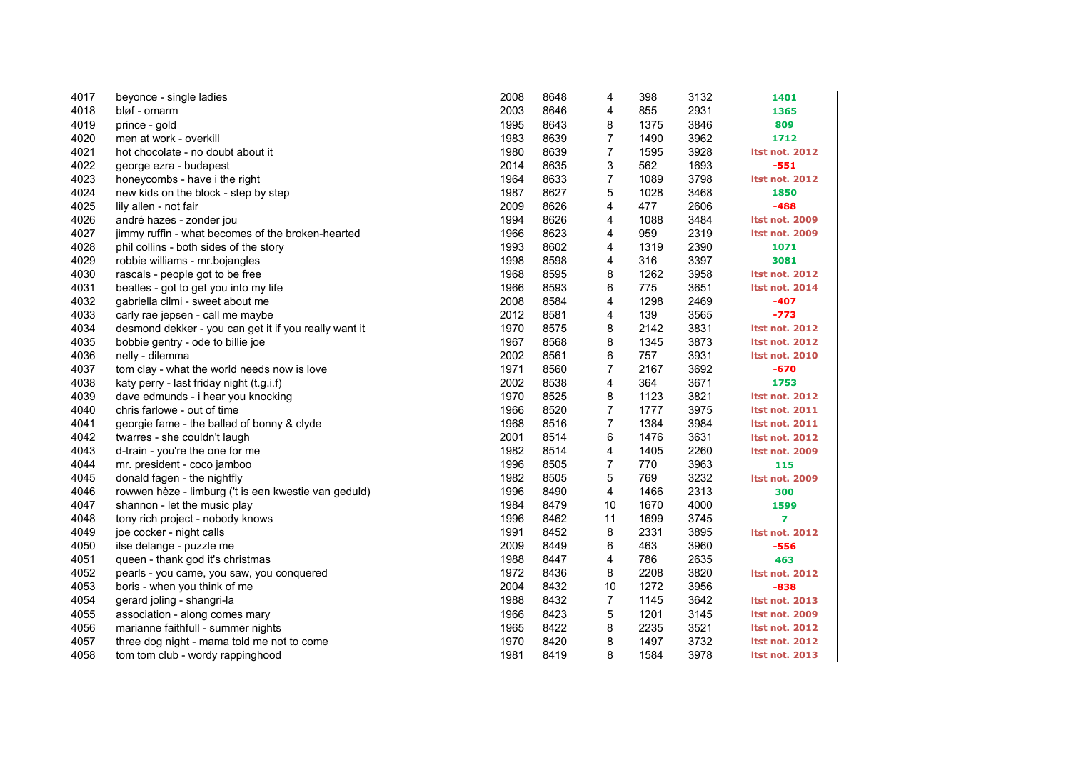| 4017 | beyonce - single ladies                               | 2008 | 8648 | 4              | 398  | 3132 | 1401                  |
|------|-------------------------------------------------------|------|------|----------------|------|------|-----------------------|
| 4018 | bløf - omarm                                          | 2003 | 8646 | 4              | 855  | 2931 | 1365                  |
| 4019 | prince - gold                                         | 1995 | 8643 | 8              | 1375 | 3846 | 809                   |
| 4020 | men at work - overkill                                | 1983 | 8639 | 7              | 1490 | 3962 | 1712                  |
| 4021 | hot chocolate - no doubt about it                     | 1980 | 8639 | $\overline{7}$ | 1595 | 3928 | <b>Itst not. 2012</b> |
| 4022 | george ezra - budapest                                | 2014 | 8635 | 3              | 562  | 1693 | $-551$                |
| 4023 | honeycombs - have i the right                         | 1964 | 8633 | 7              | 1089 | 3798 | <b>Itst not. 2012</b> |
| 4024 | new kids on the block - step by step                  | 1987 | 8627 | 5              | 1028 | 3468 | 1850                  |
| 4025 | lily allen - not fair                                 | 2009 | 8626 | 4              | 477  | 2606 | $-488$                |
| 4026 | andré hazes - zonder jou                              | 1994 | 8626 | 4              | 1088 | 3484 | <b>Itst not. 2009</b> |
| 4027 | jimmy ruffin - what becomes of the broken-hearted     | 1966 | 8623 | 4              | 959  | 2319 | <b>Itst not. 2009</b> |
| 4028 | phil collins - both sides of the story                | 1993 | 8602 | 4              | 1319 | 2390 | 1071                  |
| 4029 | robbie williams - mr.bojangles                        | 1998 | 8598 | 4              | 316  | 3397 | 3081                  |
| 4030 | rascals - people got to be free                       | 1968 | 8595 | 8              | 1262 | 3958 | <b>Itst not. 2012</b> |
| 4031 | beatles - got to get you into my life                 | 1966 | 8593 | 6              | 775  | 3651 | <b>Itst not. 2014</b> |
| 4032 | gabriella cilmi - sweet about me                      | 2008 | 8584 | 4              | 1298 | 2469 | $-407$                |
| 4033 | carly rae jepsen - call me maybe                      | 2012 | 8581 | 4              | 139  | 3565 | $-773$                |
| 4034 | desmond dekker - you can get it if you really want it | 1970 | 8575 | 8              | 2142 | 3831 | <b>Itst not. 2012</b> |
| 4035 | bobbie gentry - ode to billie joe                     | 1967 | 8568 | 8              | 1345 | 3873 | <b>Itst not. 2012</b> |
| 4036 | nelly - dilemma                                       | 2002 | 8561 | 6              | 757  | 3931 | <b>Itst not. 2010</b> |
| 4037 | tom clay - what the world needs now is love           | 1971 | 8560 | 7              | 2167 | 3692 | $-670$                |
| 4038 | katy perry - last friday night (t.g.i.f)              | 2002 | 8538 | 4              | 364  | 3671 | 1753                  |
| 4039 | dave edmunds - i hear you knocking                    | 1970 | 8525 | 8              | 1123 | 3821 | <b>Itst not. 2012</b> |
| 4040 | chris farlowe - out of time                           | 1966 | 8520 | 7              | 1777 | 3975 | <b>Itst not. 2011</b> |
| 4041 | georgie fame - the ballad of bonny & clyde            | 1968 | 8516 | 7              | 1384 | 3984 | <b>Itst not. 2011</b> |
| 4042 | twarres - she couldn't laugh                          | 2001 | 8514 | 6              | 1476 | 3631 | <b>Itst not. 2012</b> |
| 4043 | d-train - you're the one for me                       | 1982 | 8514 | 4              | 1405 | 2260 | <b>Itst not. 2009</b> |
| 4044 | mr. president - coco jamboo                           | 1996 | 8505 | 7              | 770  | 3963 | 115                   |
| 4045 | donald fagen - the nightfly                           | 1982 | 8505 | 5              | 769  | 3232 | <b>Itst not. 2009</b> |
| 4046 | rowwen hèze - limburg ('t is een kwestie van geduld)  | 1996 | 8490 | 4              | 1466 | 2313 | 300                   |
| 4047 | shannon - let the music play                          | 1984 | 8479 | 10             | 1670 | 4000 | 1599                  |
| 4048 | tony rich project - nobody knows                      | 1996 | 8462 | 11             | 1699 | 3745 | $\overline{ }$        |
| 4049 | joe cocker - night calls                              | 1991 | 8452 | 8              | 2331 | 3895 | <b>Itst not. 2012</b> |
| 4050 | ilse delange - puzzle me                              | 2009 | 8449 | 6              | 463  | 3960 | $-556$                |
| 4051 | queen - thank god it's christmas                      | 1988 | 8447 | 4              | 786  | 2635 | 463                   |
| 4052 | pearls - you came, you saw, you conquered             | 1972 | 8436 | 8              | 2208 | 3820 | <b>Itst not. 2012</b> |
| 4053 | boris - when you think of me                          | 2004 | 8432 | 10             | 1272 | 3956 | $-838$                |
| 4054 | gerard joling - shangri-la                            | 1988 | 8432 | $\overline{7}$ | 1145 | 3642 | <b>Itst not. 2013</b> |
| 4055 | association - along comes mary                        | 1966 | 8423 | 5              | 1201 | 3145 | <b>Itst not. 2009</b> |
| 4056 | marianne faithfull - summer nights                    | 1965 | 8422 | 8              | 2235 | 3521 | <b>Itst not. 2012</b> |
| 4057 | three dog night - mama told me not to come            | 1970 | 8420 | 8              | 1497 | 3732 | <b>Itst not. 2012</b> |
| 4058 | tom tom club - wordy rappinghood                      | 1981 | 8419 | 8              | 1584 | 3978 | <b>Itst not. 2013</b> |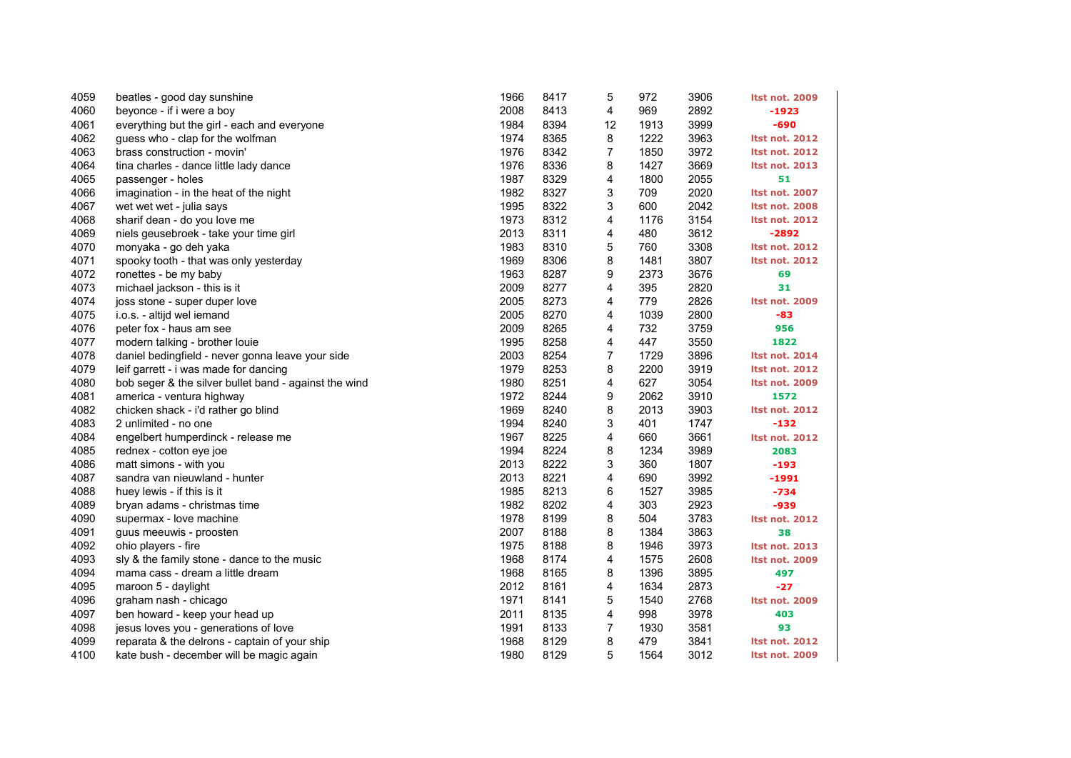| 4059 | beatles - good day sunshine                           | 1966 | 8417 | 5              | 972  | 3906 | <b>Itst not. 2009</b> |
|------|-------------------------------------------------------|------|------|----------------|------|------|-----------------------|
| 4060 | beyonce - if i were a boy                             | 2008 | 8413 | 4              | 969  | 2892 | $-1923$               |
| 4061 | everything but the girl - each and everyone           | 1984 | 8394 | 12             | 1913 | 3999 | $-690$                |
| 4062 | guess who - clap for the wolfman                      | 1974 | 8365 | 8              | 1222 | 3963 | <b>Itst not. 2012</b> |
| 4063 | brass construction - movin'                           | 1976 | 8342 | $\overline{7}$ | 1850 | 3972 | <b>Itst not. 2012</b> |
| 4064 | tina charles - dance little lady dance                | 1976 | 8336 | 8              | 1427 | 3669 | <b>Itst not. 2013</b> |
| 4065 | passenger - holes                                     | 1987 | 8329 | 4              | 1800 | 2055 | 51                    |
| 4066 | imagination - in the heat of the night                | 1982 | 8327 | 3              | 709  | 2020 | <b>Itst not. 2007</b> |
| 4067 | wet wet wet - julia says                              | 1995 | 8322 | 3              | 600  | 2042 | <b>Itst not. 2008</b> |
| 4068 | sharif dean - do you love me                          | 1973 | 8312 | 4              | 1176 | 3154 | <b>Itst not. 2012</b> |
| 4069 | niels geusebroek - take your time girl                | 2013 | 8311 | 4              | 480  | 3612 | $-2892$               |
| 4070 | monyaka - go deh yaka                                 | 1983 | 8310 | 5              | 760  | 3308 | <b>Itst not. 2012</b> |
| 4071 | spooky tooth - that was only yesterday                | 1969 | 8306 | 8              | 1481 | 3807 | <b>Itst not. 2012</b> |
| 4072 | ronettes - be my baby                                 | 1963 | 8287 | 9              | 2373 | 3676 | 69                    |
| 4073 | michael jackson - this is it                          | 2009 | 8277 | 4              | 395  | 2820 | 31                    |
| 4074 | joss stone - super duper love                         | 2005 | 8273 | 4              | 779  | 2826 | <b>Itst not. 2009</b> |
| 4075 | i.o.s. - altijd wel iemand                            | 2005 | 8270 | 4              | 1039 | 2800 | -83                   |
| 4076 | peter fox - haus am see                               | 2009 | 8265 | 4              | 732  | 3759 | 956                   |
| 4077 | modern talking - brother louie                        | 1995 | 8258 | 4              | 447  | 3550 | 1822                  |
| 4078 | daniel bedingfield - never gonna leave your side      | 2003 | 8254 | $\overline{7}$ | 1729 | 3896 | <b>Itst not. 2014</b> |
| 4079 | leif garrett - i was made for dancing                 | 1979 | 8253 | 8              | 2200 | 3919 | <b>Itst not. 2012</b> |
| 4080 | bob seger & the silver bullet band - against the wind | 1980 | 8251 | 4              | 627  | 3054 | <b>Itst not. 2009</b> |
| 4081 | america - ventura highway                             | 1972 | 8244 | 9              | 2062 | 3910 | 1572                  |
| 4082 | chicken shack - i'd rather go blind                   | 1969 | 8240 | 8              | 2013 | 3903 | <b>Itst not. 2012</b> |
| 4083 | 2 unlimited - no one                                  | 1994 | 8240 | 3              | 401  | 1747 | $-132$                |
| 4084 | engelbert humperdinck - release me                    | 1967 | 8225 | 4              | 660  | 3661 | <b>Itst not. 2012</b> |
| 4085 | rednex - cotton eye joe                               | 1994 | 8224 | 8              | 1234 | 3989 | 2083                  |
| 4086 | matt simons - with you                                | 2013 | 8222 | 3              | 360  | 1807 | $-193$                |
| 4087 | sandra van nieuwland - hunter                         | 2013 | 8221 | 4              | 690  | 3992 | $-1991$               |
| 4088 | huey lewis - if this is it                            | 1985 | 8213 | 6              | 1527 | 3985 | $-734$                |
| 4089 | bryan adams - christmas time                          | 1982 | 8202 | 4              | 303  | 2923 | -939                  |
| 4090 | supermax - love machine                               | 1978 | 8199 | 8              | 504  | 3783 | <b>Itst not. 2012</b> |
| 4091 | guus meeuwis - proosten                               | 2007 | 8188 | 8              | 1384 | 3863 | 38                    |
| 4092 | ohio players - fire                                   | 1975 | 8188 | 8              | 1946 | 3973 | <b>Itst not. 2013</b> |
| 4093 | sly & the family stone - dance to the music           | 1968 | 8174 | 4              | 1575 | 2608 | <b>Itst not. 2009</b> |
| 4094 | mama cass - dream a little dream                      | 1968 | 8165 | 8              | 1396 | 3895 | 497                   |
| 4095 | maroon 5 - daylight                                   | 2012 | 8161 | 4              | 1634 | 2873 | $-27$                 |
| 4096 | graham nash - chicago                                 | 1971 | 8141 | 5              | 1540 | 2768 | <b>Itst not. 2009</b> |
| 4097 | ben howard - keep your head up                        | 2011 | 8135 | 4              | 998  | 3978 | 403                   |
| 4098 | jesus loves you - generations of love                 | 1991 | 8133 | $\overline{7}$ | 1930 | 3581 | 93                    |
| 4099 | reparata & the delrons - captain of your ship         | 1968 | 8129 | 8              | 479  | 3841 | <b>Itst not. 2012</b> |
| 4100 | kate bush - december will be magic again              | 1980 | 8129 | 5              | 1564 | 3012 | <b>Itst not. 2009</b> |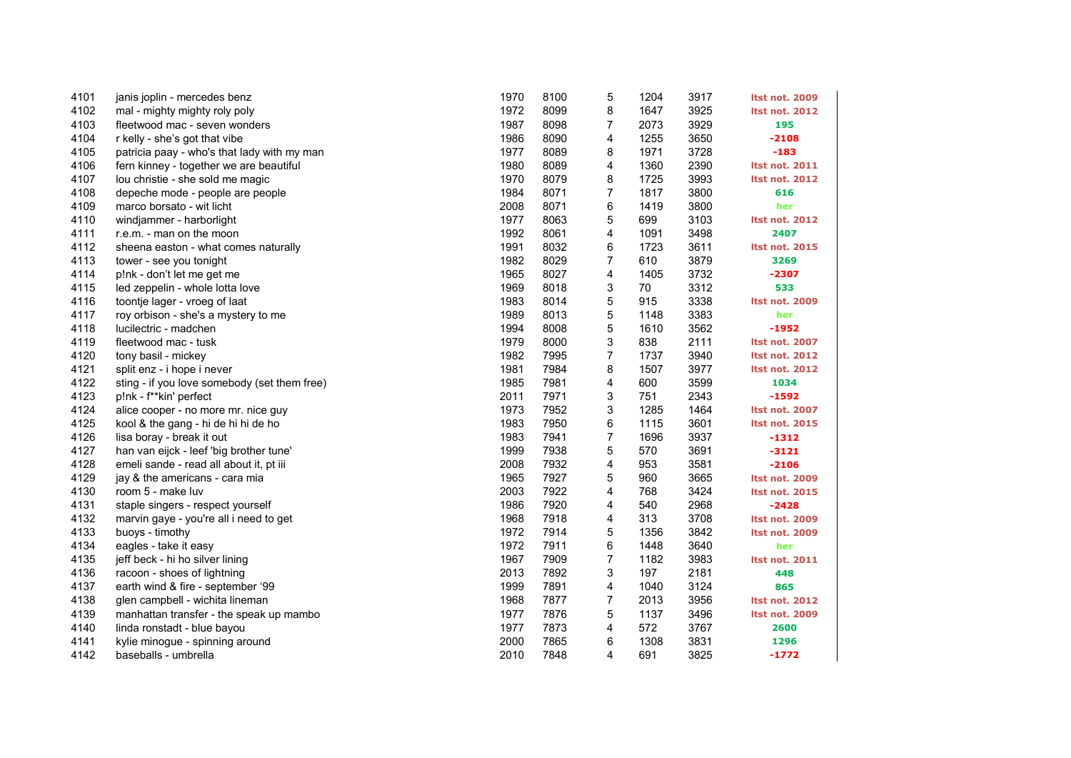| 4101 | janis joplin - mercedes benz                 | 1970 | 8100 | 5              | 1204 | 3917 | Itst not. 2009        |
|------|----------------------------------------------|------|------|----------------|------|------|-----------------------|
| 4102 | mal - mighty mighty roly poly                | 1972 | 8099 | 8              | 1647 | 3925 | <b>Itst not. 2012</b> |
| 4103 | fleetwood mac - seven wonders                | 1987 | 8098 | 7              | 2073 | 3929 | 195                   |
| 4104 | r kelly - she's got that vibe                | 1986 | 8090 | 4              | 1255 | 3650 | $-2108$               |
| 4105 | patricia paay - who's that lady with my man  | 1977 | 8089 | 8              | 1971 | 3728 | $-183$                |
| 4106 | fern kinney - together we are beautiful      | 1980 | 8089 | 4              | 1360 | 2390 | <b>Itst not. 2011</b> |
| 4107 | lou christie - she sold me magic             | 1970 | 8079 | 8              | 1725 | 3993 | <b>Itst not. 2012</b> |
| 4108 | depeche mode - people are people             | 1984 | 8071 | 7              | 1817 | 3800 | 616                   |
| 4109 | marco borsato - wit licht                    | 2008 | 8071 | 6              | 1419 | 3800 | her                   |
| 4110 | windjammer - harborlight                     | 1977 | 8063 | 5              | 699  | 3103 | <b>Itst not. 2012</b> |
| 4111 | r.e.m. - man on the moon                     | 1992 | 8061 | 4              | 1091 | 3498 | 2407                  |
| 4112 | sheena easton - what comes naturally         | 1991 | 8032 | 6              | 1723 | 3611 | <b>Itst not. 2015</b> |
| 4113 | tower - see you tonight                      | 1982 | 8029 | 7              | 610  | 3879 | 3269                  |
| 4114 | p!nk - don't let me get me                   | 1965 | 8027 | 4              | 1405 | 3732 | $-2307$               |
| 4115 | led zeppelin - whole lotta love              | 1969 | 8018 | 3              | 70   | 3312 | 533                   |
| 4116 | toontje lager - vroeg of laat                | 1983 | 8014 | 5              | 915  | 3338 | <b>Itst not. 2009</b> |
| 4117 | roy orbison - she's a mystery to me          | 1989 | 8013 | 5              | 1148 | 3383 | her                   |
| 4118 | lucilectric - madchen                        | 1994 | 8008 | 5              | 1610 | 3562 | -1952                 |
| 4119 | fleetwood mac - tusk                         | 1979 | 8000 | 3              | 838  | 2111 | <b>Itst not. 2007</b> |
| 4120 | tony basil - mickey                          | 1982 | 7995 | $\overline{7}$ | 1737 | 3940 | <b>Itst not. 2012</b> |
| 4121 | split enz - i hope i never                   | 1981 | 7984 | 8              | 1507 | 3977 | <b>Itst not. 2012</b> |
| 4122 | sting - if you love somebody (set them free) | 1985 | 7981 | 4              | 600  | 3599 | 1034                  |
| 4123 | p!nk - f**kin' perfect                       | 2011 | 7971 | 3              | 751  | 2343 | $-1592$               |
| 4124 | alice cooper - no more mr. nice guy          | 1973 | 7952 | 3              | 1285 | 1464 | <b>Itst not. 2007</b> |
| 4125 | kool & the gang - hi de hi hi de ho          | 1983 | 7950 | 6              | 1115 | 3601 | <b>Itst not. 2015</b> |
| 4126 | lisa boray - break it out                    | 1983 | 7941 | $\overline{7}$ | 1696 | 3937 | -1312                 |
| 4127 | han van eijck - leef 'big brother tune'      | 1999 | 7938 | 5              | 570  | 3691 | $-3121$               |
| 4128 | emeli sande - read all about it, pt iii      | 2008 | 7932 | 4              | 953  | 3581 | $-2106$               |
| 4129 | jay & the americans - cara mia               | 1965 | 7927 | 5              | 960  | 3665 | <b>Itst not. 2009</b> |
| 4130 | room 5 - make luv                            | 2003 | 7922 | 4              | 768  | 3424 | <b>Itst not. 2015</b> |
| 4131 | staple singers - respect yourself            | 1986 | 7920 | 4              | 540  | 2968 | $-2428$               |
| 4132 | marvin gaye - you're all i need to get       | 1968 | 7918 | 4              | 313  | 3708 | <b>Itst not. 2009</b> |
| 4133 | buoys - timothy                              | 1972 | 7914 | 5              | 1356 | 3842 | <b>Itst not. 2009</b> |
| 4134 | eagles - take it easy                        | 1972 | 7911 | 6              | 1448 | 3640 | her                   |
| 4135 | jeff beck - hi ho silver lining              | 1967 | 7909 | $\overline{7}$ | 1182 | 3983 | <b>Itst not. 2011</b> |
| 4136 | racoon - shoes of lightning                  | 2013 | 7892 | 3              | 197  | 2181 | 448                   |
| 4137 | earth wind & fire - september '99            | 1999 | 7891 | 4              | 1040 | 3124 | 865                   |
| 4138 | glen campbell - wichita lineman              | 1968 | 7877 | $\overline{7}$ | 2013 | 3956 | <b>Itst not. 2012</b> |
| 4139 | manhattan transfer - the speak up mambo      | 1977 | 7876 | 5              | 1137 | 3496 | <b>Itst not. 2009</b> |
| 4140 | linda ronstadt - blue bayou                  | 1977 | 7873 | 4              | 572  | 3767 | 2600                  |
| 4141 | kylie minogue - spinning around              | 2000 | 7865 | 6              | 1308 | 3831 | 1296                  |
| 4142 | baseballs - umbrella                         | 2010 | 7848 | 4              | 691  | 3825 | $-1772$               |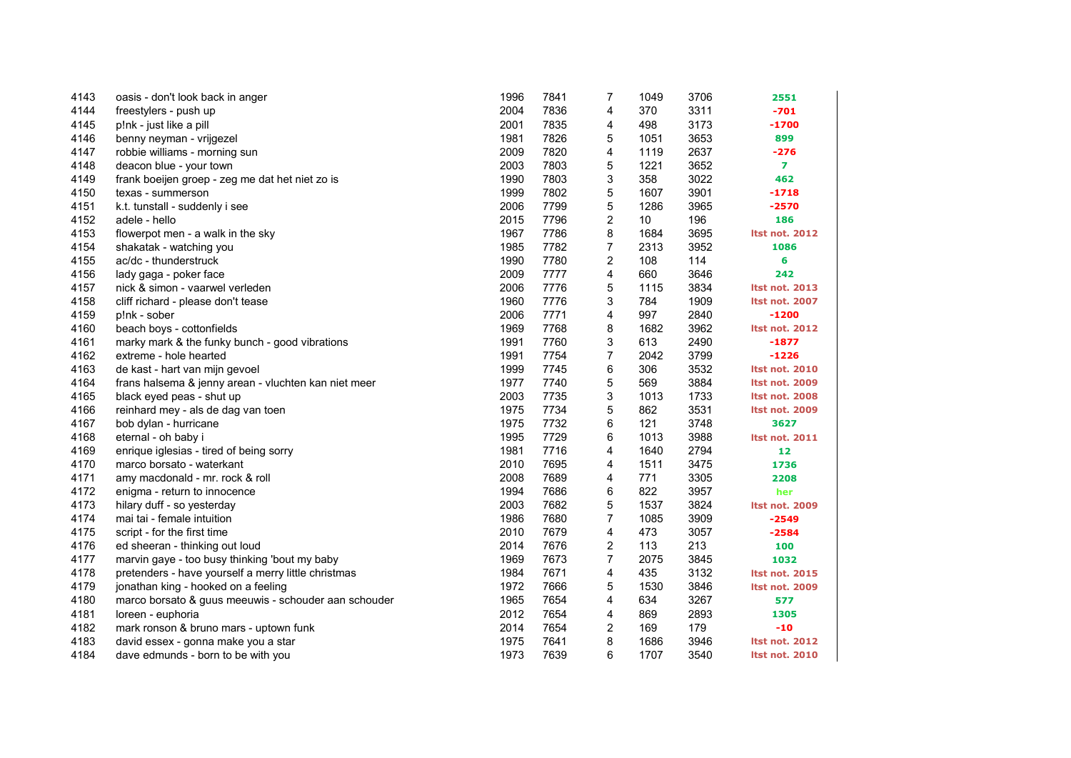| 4143 | oasis - don't look back in anger                     | 1996 | 7841 | $\overline{7}$          | 1049            | 3706 | 2551                  |
|------|------------------------------------------------------|------|------|-------------------------|-----------------|------|-----------------------|
| 4144 | freestylers - push up                                | 2004 | 7836 | 4                       | 370             | 3311 | $-701$                |
| 4145 | p!nk - just like a pill                              | 2001 | 7835 | 4                       | 498             | 3173 | $-1700$               |
| 4146 | benny neyman - vrijgezel                             | 1981 | 7826 | 5                       | 1051            | 3653 | 899                   |
| 4147 | robbie williams - morning sun                        | 2009 | 7820 | 4                       | 1119            | 2637 | $-276$                |
| 4148 | deacon blue - your town                              | 2003 | 7803 | 5                       | 1221            | 3652 | $\overline{7}$        |
| 4149 | frank boeijen groep - zeg me dat het niet zo is      | 1990 | 7803 | 3                       | 358             | 3022 | 462                   |
| 4150 | texas - summerson                                    | 1999 | 7802 | 5                       | 1607            | 3901 | $-1718$               |
| 4151 | k.t. tunstall - suddenly i see                       | 2006 | 7799 | 5                       | 1286            | 3965 | $-2570$               |
| 4152 | adele - hello                                        | 2015 | 7796 | $\overline{\mathbf{c}}$ | 10 <sup>°</sup> | 196  | 186                   |
| 4153 | flowerpot men - a walk in the sky                    | 1967 | 7786 | 8                       | 1684            | 3695 | <b>Itst not. 2012</b> |
| 4154 | shakatak - watching you                              | 1985 | 7782 | $\overline{7}$          | 2313            | 3952 | 1086                  |
| 4155 | ac/dc - thunderstruck                                | 1990 | 7780 | 2                       | 108             | 114  | 6                     |
| 4156 | lady gaga - poker face                               | 2009 | 7777 | 4                       | 660             | 3646 | 242                   |
| 4157 | nick & simon - vaarwel verleden                      | 2006 | 7776 | 5                       | 1115            | 3834 | <b>Itst not. 2013</b> |
| 4158 | cliff richard - please don't tease                   | 1960 | 7776 | 3                       | 784             | 1909 | <b>Itst not. 2007</b> |
| 4159 | p!nk - sober                                         | 2006 | 7771 | 4                       | 997             | 2840 | $-1200$               |
| 4160 | beach boys - cottonfields                            | 1969 | 7768 | 8                       | 1682            | 3962 | <b>Itst not. 2012</b> |
| 4161 | marky mark & the funky bunch - good vibrations       | 1991 | 7760 | 3                       | 613             | 2490 | $-1877$               |
| 4162 | extreme - hole hearted                               | 1991 | 7754 | $\overline{7}$          | 2042            | 3799 | $-1226$               |
| 4163 | de kast - hart van mijn gevoel                       | 1999 | 7745 | 6                       | 306             | 3532 | <b>Itst not. 2010</b> |
| 4164 | frans halsema & jenny arean - vluchten kan niet meer | 1977 | 7740 | 5                       | 569             | 3884 | <b>Itst not. 2009</b> |
| 4165 | black eyed peas - shut up                            | 2003 | 7735 | 3                       | 1013            | 1733 | <b>Itst not. 2008</b> |
| 4166 | reinhard mey - als de dag van toen                   | 1975 | 7734 | 5                       | 862             | 3531 | <b>Itst not. 2009</b> |
| 4167 | bob dylan - hurricane                                | 1975 | 7732 | 6                       | 121             | 3748 | 3627                  |
| 4168 | eternal - oh baby i                                  | 1995 | 7729 | 6                       | 1013            | 3988 | <b>Itst not. 2011</b> |
| 4169 | enrique iglesias - tired of being sorry              | 1981 | 7716 | 4                       | 1640            | 2794 | 12                    |
| 4170 | marco borsato - waterkant                            | 2010 | 7695 | 4                       | 1511            | 3475 | 1736                  |
| 4171 | amy macdonald - mr. rock & roll                      | 2008 | 7689 | 4                       | 771             | 3305 | 2208                  |
| 4172 | enigma - return to innocence                         | 1994 | 7686 | 6                       | 822             | 3957 | her                   |
| 4173 | hilary duff - so yesterday                           | 2003 | 7682 | 5                       | 1537            | 3824 | <b>Itst not. 2009</b> |
| 4174 | mai tai - female intuition                           | 1986 | 7680 | 7                       | 1085            | 3909 | $-2549$               |
| 4175 | script - for the first time                          | 2010 | 7679 | 4                       | 473             | 3057 | $-2584$               |
| 4176 | ed sheeran - thinking out loud                       | 2014 | 7676 | 2                       | 113             | 213  | 100                   |
| 4177 | marvin gaye - too busy thinking 'bout my baby        | 1969 | 7673 | $\overline{7}$          | 2075            | 3845 | 1032                  |
| 4178 | pretenders - have yourself a merry little christmas  | 1984 | 7671 | 4                       | 435             | 3132 | <b>Itst not. 2015</b> |
| 4179 | jonathan king - hooked on a feeling                  | 1972 | 7666 | 5                       | 1530            | 3846 | <b>Itst not. 2009</b> |
| 4180 | marco borsato & guus meeuwis - schouder aan schouder | 1965 | 7654 | 4                       | 634             | 3267 | 577                   |
| 4181 | loreen - euphoria                                    | 2012 | 7654 | 4                       | 869             | 2893 | 1305                  |
| 4182 | mark ronson & bruno mars - uptown funk               | 2014 | 7654 | 2                       | 169             | 179  | -10                   |
| 4183 | david essex - gonna make you a star                  | 1975 | 7641 | 8                       | 1686            | 3946 | <b>Itst not. 2012</b> |
| 4184 | dave edmunds - born to be with you                   | 1973 | 7639 | 6                       | 1707            | 3540 | <b>Itst not. 2010</b> |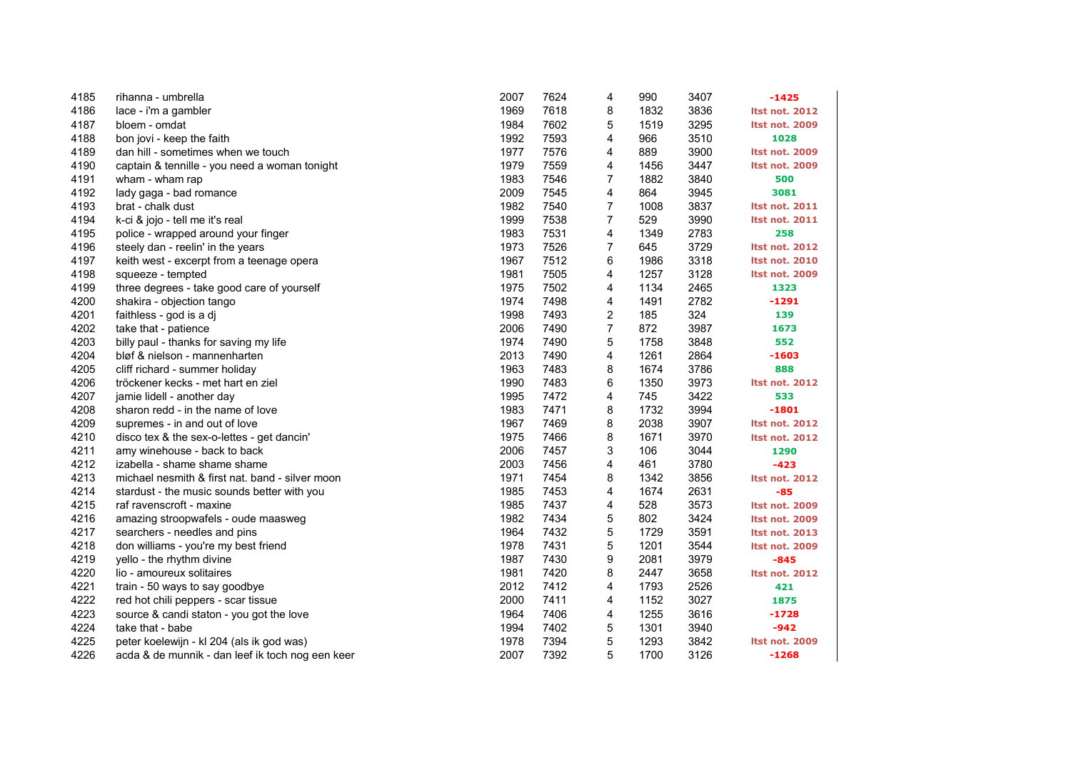| 4185 | rihanna - umbrella                               | 2007 | 7624 | 4              | 990  | 3407 | $-1425$               |
|------|--------------------------------------------------|------|------|----------------|------|------|-----------------------|
| 4186 | lace - i'm a gambler                             | 1969 | 7618 | 8              | 1832 | 3836 | <b>Itst not. 2012</b> |
| 4187 | bloem - omdat                                    | 1984 | 7602 | 5              | 1519 | 3295 | <b>Itst not. 2009</b> |
| 4188 | bon jovi - keep the faith                        | 1992 | 7593 | 4              | 966  | 3510 | 1028                  |
| 4189 | dan hill - sometimes when we touch               | 1977 | 7576 | 4              | 889  | 3900 | <b>Itst not. 2009</b> |
| 4190 | captain & tennille - you need a woman tonight    | 1979 | 7559 | 4              | 1456 | 3447 | <b>Itst not. 2009</b> |
| 4191 | wham - wham rap                                  | 1983 | 7546 | 7              | 1882 | 3840 | 500                   |
| 4192 | lady gaga - bad romance                          | 2009 | 7545 | 4              | 864  | 3945 | 3081                  |
| 4193 | brat - chalk dust                                | 1982 | 7540 | 7              | 1008 | 3837 | <b>Itst not. 2011</b> |
| 4194 | k-ci & jojo - tell me it's real                  | 1999 | 7538 | 7              | 529  | 3990 | <b>Itst not. 2011</b> |
| 4195 | police - wrapped around your finger              | 1983 | 7531 | 4              | 1349 | 2783 | 258                   |
| 4196 | steely dan - reelin' in the years                | 1973 | 7526 | $\overline{7}$ | 645  | 3729 | <b>Itst not. 2012</b> |
| 4197 | keith west - excerpt from a teenage opera        | 1967 | 7512 | 6              | 1986 | 3318 | <b>Itst not. 2010</b> |
| 4198 | squeeze - tempted                                | 1981 | 7505 | 4              | 1257 | 3128 | <b>Itst not. 2009</b> |
| 4199 | three degrees - take good care of yourself       | 1975 | 7502 | 4              | 1134 | 2465 | 1323                  |
| 4200 | shakira - objection tango                        | 1974 | 7498 | 4              | 1491 | 2782 | -1291                 |
| 4201 | faithless - god is a dj                          | 1998 | 7493 | 2              | 185  | 324  | 139                   |
| 4202 | take that - patience                             | 2006 | 7490 | $\overline{7}$ | 872  | 3987 | 1673                  |
| 4203 | billy paul - thanks for saving my life           | 1974 | 7490 | 5              | 1758 | 3848 | 552                   |
| 4204 | bløf & nielson - mannenharten                    | 2013 | 7490 | 4              | 1261 | 2864 | $-1603$               |
| 4205 | cliff richard - summer holiday                   | 1963 | 7483 | 8              | 1674 | 3786 | 888                   |
| 4206 | tröckener kecks - met hart en ziel               | 1990 | 7483 | 6              | 1350 | 3973 | <b>Itst not. 2012</b> |
| 4207 | jamie lidell - another day                       | 1995 | 7472 | 4              | 745  | 3422 | 533                   |
| 4208 | sharon redd - in the name of love                | 1983 | 7471 | 8              | 1732 | 3994 | -1801                 |
| 4209 | supremes - in and out of love                    | 1967 | 7469 | 8              | 2038 | 3907 | <b>Itst not. 2012</b> |
| 4210 | disco tex & the sex-o-lettes - get dancin'       | 1975 | 7466 | 8              | 1671 | 3970 | <b>Itst not. 2012</b> |
| 4211 | amy winehouse - back to back                     | 2006 | 7457 | 3              | 106  | 3044 | 1290                  |
| 4212 | izabella - shame shame shame                     | 2003 | 7456 | 4              | 461  | 3780 | $-423$                |
| 4213 | michael nesmith & first nat. band - silver moon  | 1971 | 7454 | 8              | 1342 | 3856 | <b>Itst not. 2012</b> |
| 4214 | stardust - the music sounds better with you      | 1985 | 7453 | 4              | 1674 | 2631 | $-85$                 |
| 4215 | raf ravenscroft - maxine                         | 1985 | 7437 | 4              | 528  | 3573 | Itst not. 2009        |
| 4216 | amazing stroopwafels - oude maasweg              | 1982 | 7434 | 5              | 802  | 3424 | <b>Itst not. 2009</b> |
| 4217 | searchers - needles and pins                     | 1964 | 7432 | 5              | 1729 | 3591 | <b>Itst not. 2013</b> |
| 4218 | don williams - you're my best friend             | 1978 | 7431 | 5              | 1201 | 3544 | <b>Itst not. 2009</b> |
| 4219 | yello - the rhythm divine                        | 1987 | 7430 | 9              | 2081 | 3979 | $-845$                |
| 4220 | lio - amoureux solitaires                        | 1981 | 7420 | 8              | 2447 | 3658 | <b>Itst not. 2012</b> |
| 4221 | train - 50 ways to say goodbye                   | 2012 | 7412 | 4              | 1793 | 2526 | 421                   |
| 4222 | red hot chili peppers - scar tissue              | 2000 | 7411 | 4              | 1152 | 3027 | 1875                  |
| 4223 | source & candi staton - you got the love         | 1964 | 7406 | 4              | 1255 | 3616 | $-1728$               |
| 4224 | take that - babe                                 | 1994 | 7402 | 5              | 1301 | 3940 | $-942$                |
| 4225 | peter koelewijn - kl 204 (als ik god was)        | 1978 | 7394 | 5              | 1293 | 3842 | Itst not. 2009        |
| 4226 | acda & de munnik - dan leef ik toch nog een keer | 2007 | 7392 | 5              | 1700 | 3126 | $-1268$               |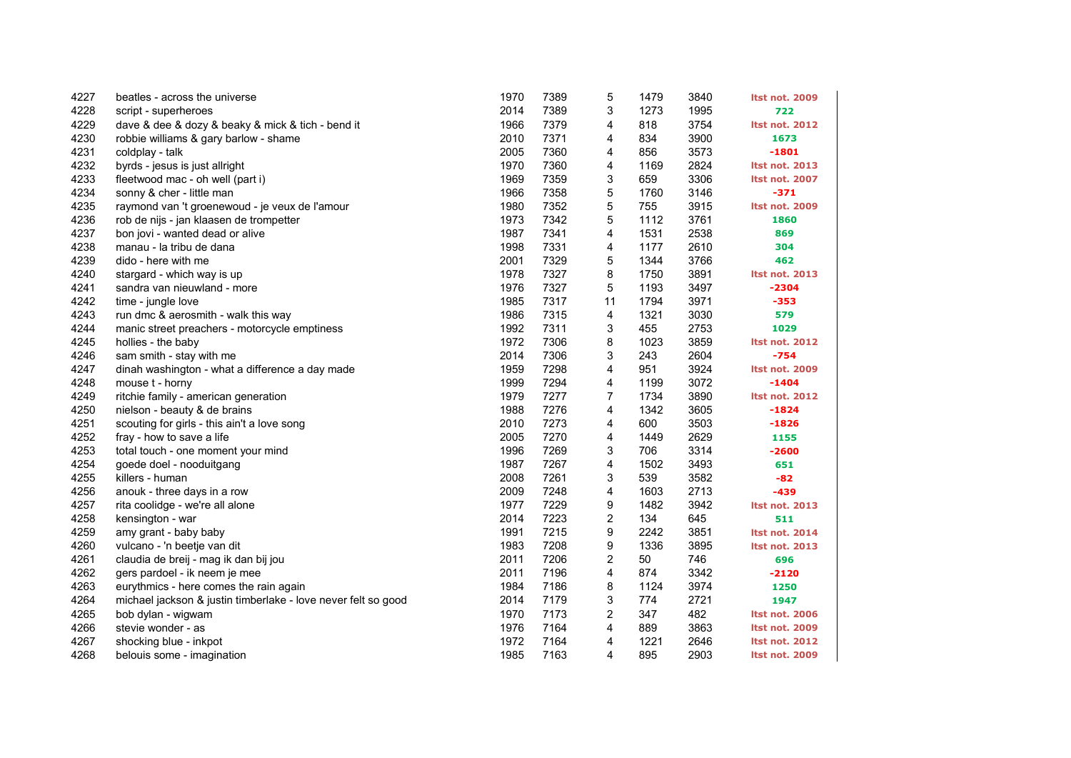| 4227 | beatles - across the universe                                 | 1970 | 7389 | 5                       | 1479 | 3840 | <b>Itst not. 2009</b> |
|------|---------------------------------------------------------------|------|------|-------------------------|------|------|-----------------------|
| 4228 | script - superheroes                                          | 2014 | 7389 | 3                       | 1273 | 1995 | 722                   |
| 4229 | dave & dee & dozy & beaky & mick & tich - bend it             | 1966 | 7379 | 4                       | 818  | 3754 | <b>Itst not. 2012</b> |
| 4230 | robbie williams & gary barlow - shame                         | 2010 | 7371 | 4                       | 834  | 3900 | 1673                  |
| 4231 | coldplay - talk                                               | 2005 | 7360 | 4                       | 856  | 3573 | $-1801$               |
| 4232 | byrds - jesus is just allright                                | 1970 | 7360 | 4                       | 1169 | 2824 | <b>Itst not. 2013</b> |
| 4233 | fleetwood mac - oh well (part i)                              | 1969 | 7359 | 3                       | 659  | 3306 | <b>Itst not. 2007</b> |
| 4234 | sonny & cher - little man                                     | 1966 | 7358 | 5                       | 1760 | 3146 | $-371$                |
| 4235 | raymond van 't groenewoud - je veux de l'amour                | 1980 | 7352 | 5                       | 755  | 3915 | <b>Itst not. 2009</b> |
| 4236 | rob de nijs - jan klaasen de trompetter                       | 1973 | 7342 | 5                       | 1112 | 3761 | 1860                  |
| 4237 | bon jovi - wanted dead or alive                               | 1987 | 7341 | 4                       | 1531 | 2538 | 869                   |
| 4238 | manau - la tribu de dana                                      | 1998 | 7331 | 4                       | 1177 | 2610 | 304                   |
| 4239 | dido - here with me                                           | 2001 | 7329 | 5                       | 1344 | 3766 | 462                   |
| 4240 | stargard - which way is up                                    | 1978 | 7327 | 8                       | 1750 | 3891 | <b>Itst not. 2013</b> |
| 4241 | sandra van nieuwland - more                                   | 1976 | 7327 | 5                       | 1193 | 3497 | $-2304$               |
| 4242 | time - jungle love                                            | 1985 | 7317 | 11                      | 1794 | 3971 | $-353$                |
| 4243 | run dmc & aerosmith - walk this way                           | 1986 | 7315 | 4                       | 1321 | 3030 | 579                   |
| 4244 | manic street preachers - motorcycle emptiness                 | 1992 | 7311 | 3                       | 455  | 2753 | 1029                  |
| 4245 | hollies - the baby                                            | 1972 | 7306 | 8                       | 1023 | 3859 | <b>Itst not. 2012</b> |
| 4246 | sam smith - stay with me                                      | 2014 | 7306 | 3                       | 243  | 2604 | $-754$                |
| 4247 | dinah washington - what a difference a day made               | 1959 | 7298 | 4                       | 951  | 3924 | <b>Itst not. 2009</b> |
| 4248 | mouse t - horny                                               | 1999 | 7294 | 4                       | 1199 | 3072 | $-1404$               |
| 4249 | ritchie family - american generation                          | 1979 | 7277 | 7                       | 1734 | 3890 | <b>Itst not. 2012</b> |
| 4250 | nielson - beauty & de brains                                  | 1988 | 7276 | 4                       | 1342 | 3605 | $-1824$               |
| 4251 | scouting for girls - this ain't a love song                   | 2010 | 7273 | 4                       | 600  | 3503 | $-1826$               |
| 4252 | fray - how to save a life                                     | 2005 | 7270 | 4                       | 1449 | 2629 | 1155                  |
| 4253 | total touch - one moment your mind                            | 1996 | 7269 | 3                       | 706  | 3314 | $-2600$               |
| 4254 | goede doel - nooduitgang                                      | 1987 | 7267 | 4                       | 1502 | 3493 | 651                   |
| 4255 | killers - human                                               | 2008 | 7261 | 3                       | 539  | 3582 | $-82$                 |
| 4256 | anouk - three days in a row                                   | 2009 | 7248 | 4                       | 1603 | 2713 | $-439$                |
| 4257 | rita coolidge - we're all alone                               | 1977 | 7229 | 9                       | 1482 | 3942 | <b>Itst not. 2013</b> |
| 4258 | kensington - war                                              | 2014 | 7223 | $\overline{\mathbf{c}}$ | 134  | 645  | 511                   |
| 4259 | amy grant - baby baby                                         | 1991 | 7215 | 9                       | 2242 | 3851 | <b>Itst not. 2014</b> |
| 4260 | vulcano - 'n beetje van dit                                   | 1983 | 7208 | 9                       | 1336 | 3895 | <b>Itst not. 2013</b> |
| 4261 | claudia de breij - mag ik dan bij jou                         | 2011 | 7206 | 2                       | 50   | 746  | 696                   |
| 4262 | gers pardoel - ik neem je mee                                 | 2011 | 7196 | 4                       | 874  | 3342 | $-2120$               |
| 4263 | eurythmics - here comes the rain again                        | 1984 | 7186 | 8                       | 1124 | 3974 | 1250                  |
| 4264 | michael jackson & justin timberlake - love never felt so good | 2014 | 7179 | 3                       | 774  | 2721 | 1947                  |
| 4265 | bob dylan - wigwam                                            | 1970 | 7173 | $\overline{\mathbf{c}}$ | 347  | 482  | <b>Itst not. 2006</b> |
| 4266 | stevie wonder - as                                            | 1976 | 7164 | 4                       | 889  | 3863 | <b>Itst not. 2009</b> |
| 4267 | shocking blue - inkpot                                        | 1972 | 7164 | 4                       | 1221 | 2646 | <b>Itst not. 2012</b> |
| 4268 | belouis some - imagination                                    | 1985 | 7163 | 4                       | 895  | 2903 | <b>Itst not. 2009</b> |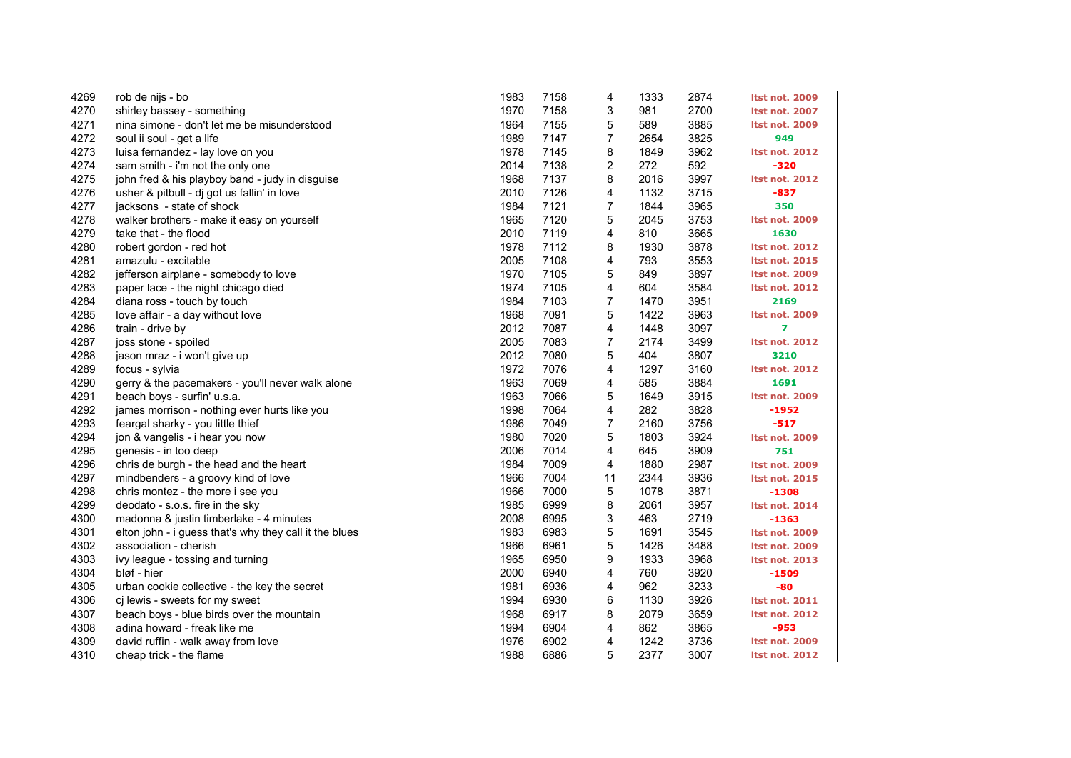| 4269 | rob de nijs - bo                                       | 1983 | 7158 | 4              | 1333 | 2874 | Itst not. 2009        |
|------|--------------------------------------------------------|------|------|----------------|------|------|-----------------------|
| 4270 | shirley bassey - something                             | 1970 | 7158 | 3              | 981  | 2700 | <b>Itst not. 2007</b> |
| 4271 | nina simone - don't let me be misunderstood            | 1964 | 7155 | 5              | 589  | 3885 | <b>Itst not. 2009</b> |
| 4272 | soul ii soul - get a life                              | 1989 | 7147 | 7              | 2654 | 3825 | 949                   |
| 4273 | luisa fernandez - lay love on you                      | 1978 | 7145 | 8              | 1849 | 3962 | <b>Itst not. 2012</b> |
| 4274 | sam smith - i'm not the only one                       | 2014 | 7138 | 2              | 272  | 592  | $-320$                |
| 4275 | john fred & his playboy band - judy in disguise        | 1968 | 7137 | 8              | 2016 | 3997 | <b>Itst not. 2012</b> |
| 4276 | usher & pitbull - dj got us fallin' in love            | 2010 | 7126 | 4              | 1132 | 3715 | -837                  |
| 4277 | jacksons - state of shock                              | 1984 | 7121 | 7              | 1844 | 3965 | 350                   |
| 4278 | walker brothers - make it easy on yourself             | 1965 | 7120 | 5              | 2045 | 3753 | Itst not. 2009        |
| 4279 | take that - the flood                                  | 2010 | 7119 | 4              | 810  | 3665 | 1630                  |
| 4280 | robert gordon - red hot                                | 1978 | 7112 | 8              | 1930 | 3878 | <b>Itst not. 2012</b> |
| 4281 | amazulu - excitable                                    | 2005 | 7108 | 4              | 793  | 3553 | <b>Itst not. 2015</b> |
| 4282 | jefferson airplane - somebody to love                  | 1970 | 7105 | 5              | 849  | 3897 | <b>Itst not. 2009</b> |
| 4283 | paper lace - the night chicago died                    | 1974 | 7105 | 4              | 604  | 3584 | <b>Itst not. 2012</b> |
| 4284 | diana ross - touch by touch                            | 1984 | 7103 | $\overline{7}$ | 1470 | 3951 | 2169                  |
| 4285 | love affair - a day without love                       | 1968 | 7091 | 5              | 1422 | 3963 | <b>Itst not. 2009</b> |
| 4286 | train - drive by                                       | 2012 | 7087 | 4              | 1448 | 3097 | $\overline{ }$        |
| 4287 | joss stone - spoiled                                   | 2005 | 7083 | 7              | 2174 | 3499 | <b>Itst not. 2012</b> |
| 4288 | jason mraz - i won't give up                           | 2012 | 7080 | 5              | 404  | 3807 | 3210                  |
| 4289 | focus - sylvia                                         | 1972 | 7076 | 4              | 1297 | 3160 | <b>Itst not. 2012</b> |
| 4290 | gerry & the pacemakers - you'll never walk alone       | 1963 | 7069 | 4              | 585  | 3884 | 1691                  |
| 4291 | beach boys - surfin' u.s.a.                            | 1963 | 7066 | 5              | 1649 | 3915 | Itst not. 2009        |
| 4292 | james morrison - nothing ever hurts like you           | 1998 | 7064 | 4              | 282  | 3828 | $-1952$               |
| 4293 | feargal sharky - you little thief                      | 1986 | 7049 | $\overline{7}$ | 2160 | 3756 | $-517$                |
| 4294 | jon & vangelis - i hear you now                        | 1980 | 7020 | 5              | 1803 | 3924 | <b>Itst not. 2009</b> |
| 4295 | genesis - in too deep                                  | 2006 | 7014 | 4              | 645  | 3909 | 751                   |
| 4296 | chris de burgh - the head and the heart                | 1984 | 7009 | 4              | 1880 | 2987 | Itst not. 2009        |
| 4297 | mindbenders - a groovy kind of love                    | 1966 | 7004 | 11             | 2344 | 3936 | <b>Itst not. 2015</b> |
| 4298 | chris montez - the more i see you                      | 1966 | 7000 | 5              | 1078 | 3871 | $-1308$               |
| 4299 | deodato - s.o.s. fire in the sky                       | 1985 | 6999 | 8              | 2061 | 3957 | <b>Itst not. 2014</b> |
| 4300 | madonna & justin timberlake - 4 minutes                | 2008 | 6995 | 3              | 463  | 2719 | $-1363$               |
| 4301 | elton john - i guess that's why they call it the blues | 1983 | 6983 | 5              | 1691 | 3545 | <b>Itst not. 2009</b> |
| 4302 | association - cherish                                  | 1966 | 6961 | 5              | 1426 | 3488 | <b>Itst not. 2009</b> |
| 4303 | ivy league - tossing and turning                       | 1965 | 6950 | 9              | 1933 | 3968 | <b>Itst not. 2013</b> |
| 4304 | bløf - hier                                            | 2000 | 6940 | 4              | 760  | 3920 | $-1509$               |
| 4305 | urban cookie collective - the key the secret           | 1981 | 6936 | 4              | 962  | 3233 | $-80$                 |
| 4306 | cj lewis - sweets for my sweet                         | 1994 | 6930 | 6              | 1130 | 3926 | <b>Itst not. 2011</b> |
| 4307 | beach boys - blue birds over the mountain              | 1968 | 6917 | 8              | 2079 | 3659 | <b>Itst not. 2012</b> |
| 4308 | adina howard - freak like me                           | 1994 | 6904 | 4              | 862  | 3865 | $-953$                |
| 4309 | david ruffin - walk away from love                     | 1976 | 6902 | 4              | 1242 | 3736 | <b>Itst not. 2009</b> |
| 4310 | cheap trick - the flame                                | 1988 | 6886 | 5              | 2377 | 3007 | <b>Itst not. 2012</b> |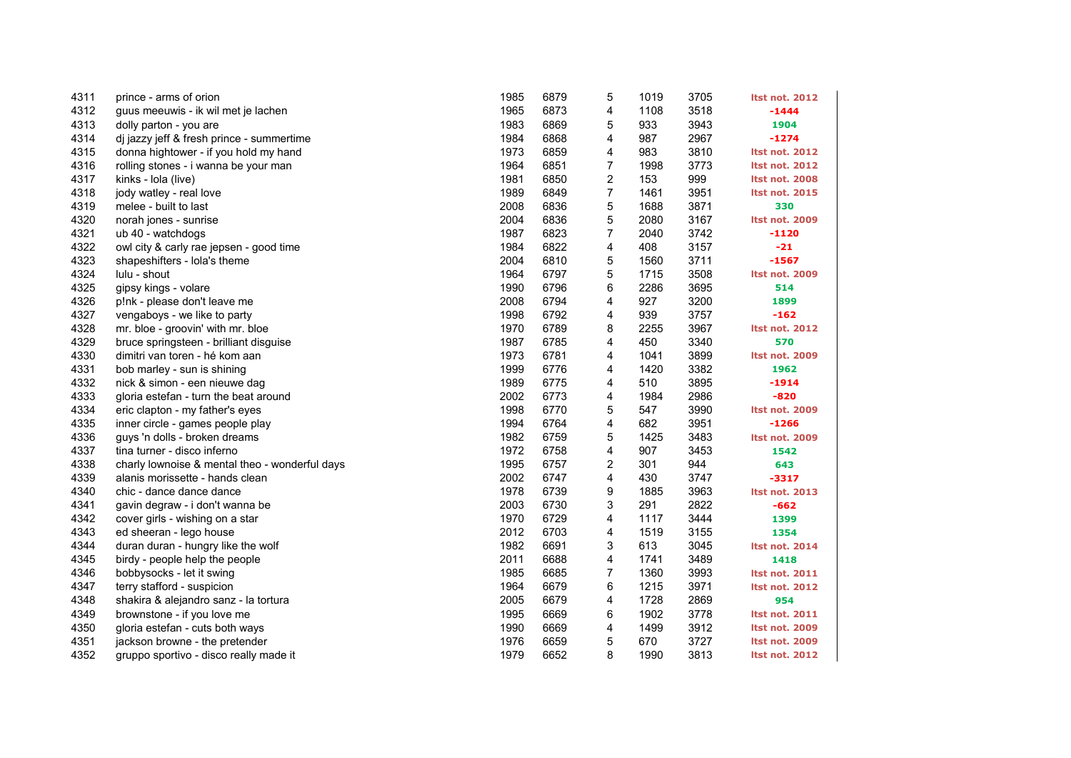| 4311 | prince - arms of orion                         | 1985 | 6879 | 5              | 1019 | 3705 | <b>Itst not. 2012</b> |
|------|------------------------------------------------|------|------|----------------|------|------|-----------------------|
| 4312 | guus meeuwis - ik wil met je lachen            | 1965 | 6873 | 4              | 1108 | 3518 | $-1444$               |
| 4313 | dolly parton - you are                         | 1983 | 6869 | 5              | 933  | 3943 | 1904                  |
| 4314 | dj jazzy jeff & fresh prince - summertime      | 1984 | 6868 | 4              | 987  | 2967 | $-1274$               |
| 4315 | donna hightower - if you hold my hand          | 1973 | 6859 | 4              | 983  | 3810 | <b>Itst not. 2012</b> |
| 4316 | rolling stones - i wanna be your man           | 1964 | 6851 | 7              | 1998 | 3773 | <b>Itst not. 2012</b> |
| 4317 | kinks - Iola (live)                            | 1981 | 6850 | 2              | 153  | 999  | <b>Itst not. 2008</b> |
| 4318 | jody watley - real love                        | 1989 | 6849 | $\overline{7}$ | 1461 | 3951 | <b>Itst not. 2015</b> |
| 4319 | melee - built to last                          | 2008 | 6836 | 5              | 1688 | 3871 | 330                   |
| 4320 | norah jones - sunrise                          | 2004 | 6836 | 5              | 2080 | 3167 | <b>Itst not. 2009</b> |
| 4321 | ub 40 - watchdogs                              | 1987 | 6823 | 7              | 2040 | 3742 | $-1120$               |
| 4322 | owl city & carly rae jepsen - good time        | 1984 | 6822 | 4              | 408  | 3157 | $-21$                 |
| 4323 | shapeshifters - lola's theme                   | 2004 | 6810 | 5              | 1560 | 3711 | $-1567$               |
| 4324 | lulu - shout                                   | 1964 | 6797 | 5              | 1715 | 3508 | Itst not. 2009        |
| 4325 | gipsy kings - volare                           | 1990 | 6796 | 6              | 2286 | 3695 | 514                   |
| 4326 | p!nk - please don't leave me                   | 2008 | 6794 | 4              | 927  | 3200 | 1899                  |
| 4327 | vengaboys - we like to party                   | 1998 | 6792 | 4              | 939  | 3757 | $-162$                |
| 4328 | mr. bloe - groovin' with mr. bloe              | 1970 | 6789 | 8              | 2255 | 3967 | <b>Itst not. 2012</b> |
| 4329 | bruce springsteen - brilliant disguise         | 1987 | 6785 | 4              | 450  | 3340 | 570                   |
| 4330 | dimitri van toren - hé kom aan                 | 1973 | 6781 | 4              | 1041 | 3899 | <b>Itst not. 2009</b> |
| 4331 | bob marley - sun is shining                    | 1999 | 6776 | 4              | 1420 | 3382 | 1962                  |
| 4332 | nick & simon - een nieuwe dag                  | 1989 | 6775 | 4              | 510  | 3895 | $-1914$               |
| 4333 | gloria estefan - turn the beat around          | 2002 | 6773 | 4              | 1984 | 2986 | $-820$                |
| 4334 | eric clapton - my father's eyes                | 1998 | 6770 | 5              | 547  | 3990 | <b>Itst not. 2009</b> |
| 4335 | inner circle - games people play               | 1994 | 6764 | 4              | 682  | 3951 | $-1266$               |
| 4336 | guys 'n dolls - broken dreams                  | 1982 | 6759 | 5              | 1425 | 3483 | Itst not. 2009        |
| 4337 | tina turner - disco inferno                    | 1972 | 6758 | 4              | 907  | 3453 | 1542                  |
| 4338 | charly lownoise & mental theo - wonderful days | 1995 | 6757 | 2              | 301  | 944  | 643                   |
| 4339 | alanis morissette - hands clean                | 2002 | 6747 | 4              | 430  | 3747 | $-3317$               |
| 4340 | chic - dance dance dance                       | 1978 | 6739 | 9              | 1885 | 3963 | <b>Itst not. 2013</b> |
| 4341 | gavin degraw - i don't wanna be                | 2003 | 6730 | 3              | 291  | 2822 | $-662$                |
| 4342 | cover girls - wishing on a star                | 1970 | 6729 | 4              | 1117 | 3444 | 1399                  |
| 4343 | ed sheeran - lego house                        | 2012 | 6703 | 4              | 1519 | 3155 | 1354                  |
| 4344 | duran duran - hungry like the wolf             | 1982 | 6691 | 3              | 613  | 3045 | <b>Itst not. 2014</b> |
| 4345 | birdy - people help the people                 | 2011 | 6688 | 4              | 1741 | 3489 | 1418                  |
| 4346 | bobbysocks - let it swing                      | 1985 | 6685 | $\overline{7}$ | 1360 | 3993 | <b>Itst not. 2011</b> |
| 4347 | terry stafford - suspicion                     | 1964 | 6679 | 6              | 1215 | 3971 | <b>Itst not. 2012</b> |
| 4348 | shakira & alejandro sanz - la tortura          | 2005 | 6679 | 4              | 1728 | 2869 | 954                   |
| 4349 | brownstone - if you love me                    | 1995 | 6669 | 6              | 1902 | 3778 | <b>Itst not. 2011</b> |
| 4350 | gloria estefan - cuts both ways                | 1990 | 6669 | 4              | 1499 | 3912 | <b>Itst not. 2009</b> |
| 4351 | jackson browne - the pretender                 | 1976 | 6659 | 5              | 670  | 3727 | <b>Itst not. 2009</b> |
| 4352 | gruppo sportivo - disco really made it         | 1979 | 6652 | 8              | 1990 | 3813 | <b>Itst not. 2012</b> |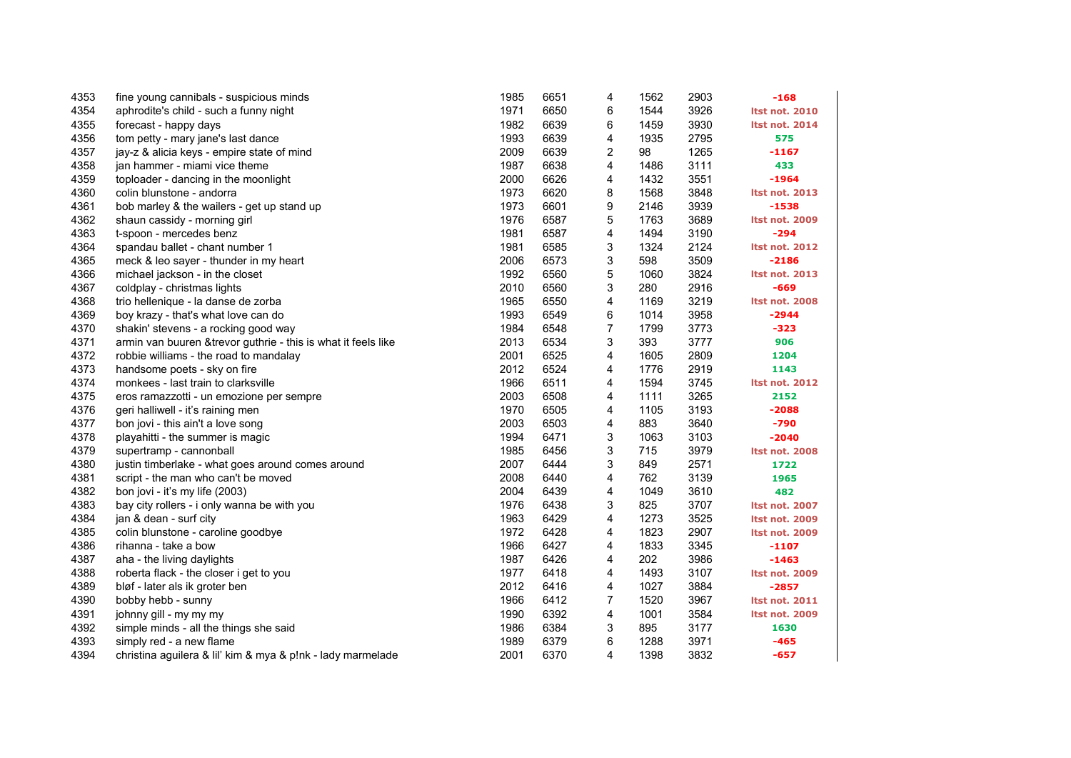| 4353 | fine young cannibals - suspicious minds                       | 1985 | 6651 | 4              | 1562 | 2903 | $-168$                |
|------|---------------------------------------------------------------|------|------|----------------|------|------|-----------------------|
| 4354 | aphrodite's child - such a funny night                        | 1971 | 6650 | 6              | 1544 | 3926 | <b>Itst not. 2010</b> |
| 4355 | forecast - happy days                                         | 1982 | 6639 | 6              | 1459 | 3930 | <b>Itst not. 2014</b> |
| 4356 | tom petty - mary jane's last dance                            | 1993 | 6639 | 4              | 1935 | 2795 | 575                   |
| 4357 | jay-z & alicia keys - empire state of mind                    | 2009 | 6639 | 2              | 98   | 1265 | $-1167$               |
| 4358 | jan hammer - miami vice theme                                 | 1987 | 6638 | 4              | 1486 | 3111 | 433                   |
| 4359 | toploader - dancing in the moonlight                          | 2000 | 6626 | 4              | 1432 | 3551 | $-1964$               |
| 4360 | colin blunstone - andorra                                     | 1973 | 6620 | 8              | 1568 | 3848 | <b>Itst not. 2013</b> |
| 4361 | bob marley & the wailers - get up stand up                    | 1973 | 6601 | 9              | 2146 | 3939 | $-1538$               |
| 4362 | shaun cassidy - morning girl                                  | 1976 | 6587 | 5              | 1763 | 3689 | <b>Itst not. 2009</b> |
| 4363 | t-spoon - mercedes benz                                       | 1981 | 6587 | 4              | 1494 | 3190 | $-294$                |
| 4364 | spandau ballet - chant number 1                               | 1981 | 6585 | 3              | 1324 | 2124 | <b>Itst not. 2012</b> |
| 4365 | meck & leo sayer - thunder in my heart                        | 2006 | 6573 | 3              | 598  | 3509 | $-2186$               |
| 4366 | michael jackson - in the closet                               | 1992 | 6560 | 5              | 1060 | 3824 | <b>Itst not. 2013</b> |
| 4367 | coldplay - christmas lights                                   | 2010 | 6560 | 3              | 280  | 2916 | $-669$                |
| 4368 | trio hellenique - la danse de zorba                           | 1965 | 6550 | 4              | 1169 | 3219 | <b>Itst not. 2008</b> |
| 4369 | boy krazy - that's what love can do                           | 1993 | 6549 | 6              | 1014 | 3958 | $-2944$               |
| 4370 | shakin' stevens - a rocking good way                          | 1984 | 6548 | $\overline{7}$ | 1799 | 3773 | $-323$                |
| 4371 | armin van buuren &trevor guthrie - this is what it feels like | 2013 | 6534 | 3              | 393  | 3777 | 906                   |
| 4372 | robbie williams - the road to mandalay                        | 2001 | 6525 | 4              | 1605 | 2809 | 1204                  |
| 4373 | handsome poets - sky on fire                                  | 2012 | 6524 | 4              | 1776 | 2919 | 1143                  |
| 4374 | monkees - last train to clarksville                           | 1966 | 6511 | 4              | 1594 | 3745 | <b>Itst not. 2012</b> |
| 4375 | eros ramazzotti - un emozione per sempre                      | 2003 | 6508 | 4              | 1111 | 3265 | 2152                  |
| 4376 | geri halliwell - it's raining men                             | 1970 | 6505 | 4              | 1105 | 3193 | $-2088$               |
| 4377 | bon jovi - this ain't a love song                             | 2003 | 6503 | 4              | 883  | 3640 | -790                  |
| 4378 | playahitti - the summer is magic                              | 1994 | 6471 | 3              | 1063 | 3103 | $-2040$               |
| 4379 | supertramp - cannonball                                       | 1985 | 6456 | 3              | 715  | 3979 | <b>Itst not. 2008</b> |
| 4380 | justin timberlake - what goes around comes around             | 2007 | 6444 | 3              | 849  | 2571 | 1722                  |
| 4381 | script - the man who can't be moved                           | 2008 | 6440 | 4              | 762  | 3139 | 1965                  |
| 4382 | bon jovi - it's my life (2003)                                | 2004 | 6439 | 4              | 1049 | 3610 | 482                   |
| 4383 | bay city rollers - i only wanna be with you                   | 1976 | 6438 | 3              | 825  | 3707 | <b>Itst not. 2007</b> |
| 4384 | jan & dean - surf city                                        | 1963 | 6429 | 4              | 1273 | 3525 | <b>Itst not. 2009</b> |
| 4385 | colin blunstone - caroline goodbye                            | 1972 | 6428 | 4              | 1823 | 2907 | <b>Itst not. 2009</b> |
| 4386 | rihanna - take a bow                                          | 1966 | 6427 | 4              | 1833 | 3345 | $-1107$               |
| 4387 | aha - the living daylights                                    | 1987 | 6426 | 4              | 202  | 3986 | $-1463$               |
| 4388 | roberta flack - the closer i get to you                       | 1977 | 6418 | 4              | 1493 | 3107 | <b>Itst not. 2009</b> |
| 4389 | bløf - later als ik groter ben                                | 2012 | 6416 | 4              | 1027 | 3884 | $-2857$               |
| 4390 | bobby hebb - sunny                                            | 1966 | 6412 | $\overline{7}$ | 1520 | 3967 | <b>Itst not. 2011</b> |
| 4391 | johnny gill - my my my                                        | 1990 | 6392 | 4              | 1001 | 3584 | <b>Itst not. 2009</b> |
| 4392 | simple minds - all the things she said                        | 1986 | 6384 | 3              | 895  | 3177 | 1630                  |
| 4393 | simply red - a new flame                                      | 1989 | 6379 | 6              | 1288 | 3971 | $-465$                |
| 4394 | christina aguilera & lil' kim & mya & p!nk - lady marmelade   | 2001 | 6370 | 4              | 1398 | 3832 | $-657$                |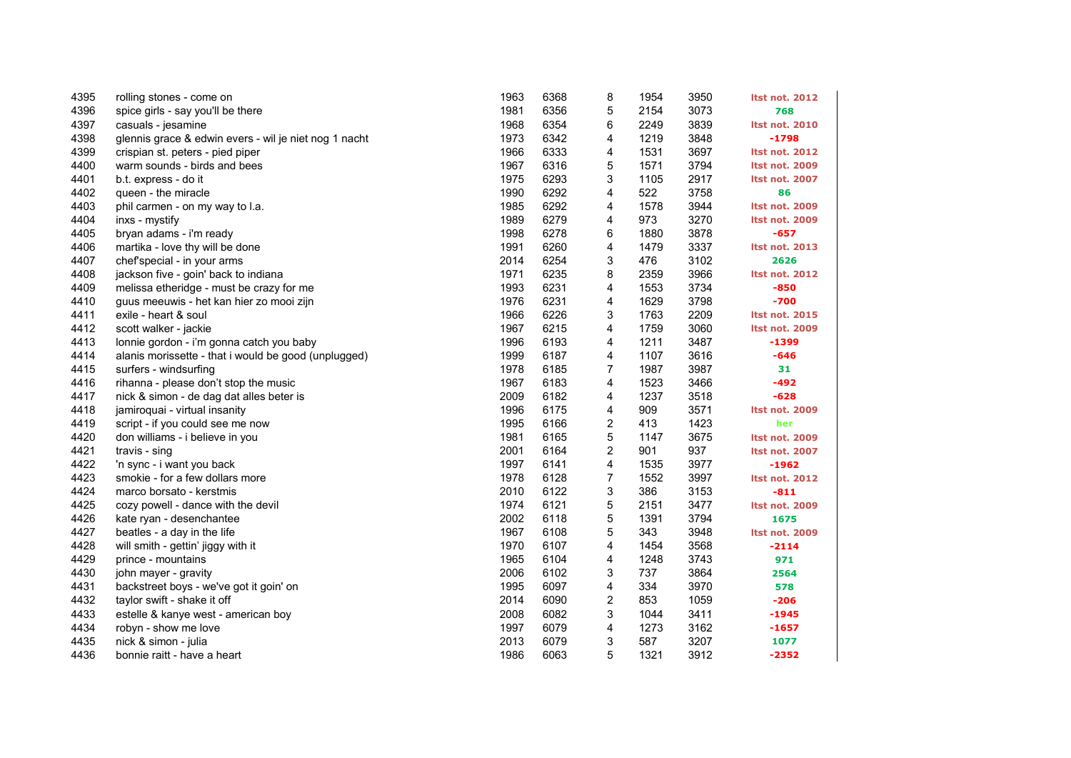| 4395 | rolling stones - come on                              | 1963 | 6368 | 8                       | 1954 | 3950 | <b>Itst not. 2012</b> |
|------|-------------------------------------------------------|------|------|-------------------------|------|------|-----------------------|
| 4396 | spice girls - say you'll be there                     | 1981 | 6356 | 5                       | 2154 | 3073 | 768                   |
| 4397 | casuals - jesamine                                    | 1968 | 6354 | 6                       | 2249 | 3839 | <b>Itst not. 2010</b> |
| 4398 | glennis grace & edwin evers - wil je niet nog 1 nacht | 1973 | 6342 | 4                       | 1219 | 3848 | $-1798$               |
| 4399 | crispian st. peters - pied piper                      | 1966 | 6333 | 4                       | 1531 | 3697 | <b>Itst not. 2012</b> |
| 4400 | warm sounds - birds and bees                          | 1967 | 6316 | 5                       | 1571 | 3794 | <b>Itst not. 2009</b> |
| 4401 | b.t. express - do it                                  | 1975 | 6293 | 3                       | 1105 | 2917 | <b>Itst not. 2007</b> |
| 4402 | queen - the miracle                                   | 1990 | 6292 | 4                       | 522  | 3758 | 86                    |
| 4403 | phil carmen - on my way to l.a.                       | 1985 | 6292 | 4                       | 1578 | 3944 | <b>Itst not. 2009</b> |
| 4404 | inxs - mystify                                        | 1989 | 6279 | 4                       | 973  | 3270 | <b>Itst not. 2009</b> |
| 4405 | bryan adams - i'm ready                               | 1998 | 6278 | 6                       | 1880 | 3878 | $-657$                |
| 4406 | martika - love thy will be done                       | 1991 | 6260 | 4                       | 1479 | 3337 | <b>Itst not. 2013</b> |
| 4407 | chef'special - in your arms                           | 2014 | 6254 | 3                       | 476  | 3102 | 2626                  |
| 4408 | jackson five - goin' back to indiana                  | 1971 | 6235 | 8                       | 2359 | 3966 | <b>Itst not. 2012</b> |
| 4409 | melissa etheridge - must be crazy for me              | 1993 | 6231 | 4                       | 1553 | 3734 | $-850$                |
| 4410 | guus meeuwis - het kan hier zo mooi zijn              | 1976 | 6231 | 4                       | 1629 | 3798 | $-700$                |
| 4411 | exile - heart & soul                                  | 1966 | 6226 | 3                       | 1763 | 2209 | <b>Itst not. 2015</b> |
| 4412 | scott walker - jackie                                 | 1967 | 6215 | 4                       | 1759 | 3060 | <b>Itst not. 2009</b> |
| 4413 | lonnie gordon - i'm gonna catch you baby              | 1996 | 6193 | 4                       | 1211 | 3487 | $-1399$               |
| 4414 | alanis morissette - that i would be good (unplugged)  | 1999 | 6187 | 4                       | 1107 | 3616 | $-646$                |
| 4415 | surfers - windsurfing                                 | 1978 | 6185 | $\overline{7}$          | 1987 | 3987 | 31                    |
| 4416 | rihanna - please don't stop the music                 | 1967 | 6183 | 4                       | 1523 | 3466 | -492                  |
| 4417 | nick & simon - de dag dat alles beter is              | 2009 | 6182 | 4                       | 1237 | 3518 | $-628$                |
| 4418 | jamiroquai - virtual insanity                         | 1996 | 6175 | 4                       | 909  | 3571 | Itst not. 2009        |
| 4419 | script - if you could see me now                      | 1995 | 6166 | 2                       | 413  | 1423 | her                   |
| 4420 | don williams - i believe in you                       | 1981 | 6165 | 5                       | 1147 | 3675 | <b>Itst not. 2009</b> |
| 4421 | travis - sing                                         | 2001 | 6164 | 2                       | 901  | 937  | <b>Itst not. 2007</b> |
| 4422 | 'n sync - i want you back                             | 1997 | 6141 | 4                       | 1535 | 3977 | $-1962$               |
| 4423 | smokie - for a few dollars more                       | 1978 | 6128 | $\boldsymbol{7}$        | 1552 | 3997 | <b>Itst not. 2012</b> |
| 4424 | marco borsato - kerstmis                              | 2010 | 6122 | 3                       | 386  | 3153 | $-811$                |
| 4425 | cozy powell - dance with the devil                    | 1974 | 6121 | 5                       | 2151 | 3477 | <b>Itst not. 2009</b> |
| 4426 | kate ryan - desenchantee                              | 2002 | 6118 | 5                       | 1391 | 3794 | 1675                  |
| 4427 | beatles - a day in the life                           | 1967 | 6108 | 5                       | 343  | 3948 | <b>Itst not. 2009</b> |
| 4428 | will smith - gettin' jiggy with it                    | 1970 | 6107 | 4                       | 1454 | 3568 | $-2114$               |
| 4429 | prince - mountains                                    | 1965 | 6104 | 4                       | 1248 | 3743 | 971                   |
| 4430 | john mayer - gravity                                  | 2006 | 6102 | 3                       | 737  | 3864 | 2564                  |
| 4431 | backstreet boys - we've got it goin' on               | 1995 | 6097 | 4                       | 334  | 3970 | 578                   |
| 4432 | taylor swift - shake it off                           | 2014 | 6090 | $\overline{\mathbf{c}}$ | 853  | 1059 | $-206$                |
| 4433 | estelle & kanye west - american boy                   | 2008 | 6082 | 3                       | 1044 | 3411 | $-1945$               |
| 4434 | robyn - show me love                                  | 1997 | 6079 | 4                       | 1273 | 3162 | $-1657$               |
| 4435 | nick & simon - julia                                  | 2013 | 6079 | 3                       | 587  | 3207 | 1077                  |
| 4436 | bonnie raitt - have a heart                           | 1986 | 6063 | 5                       | 1321 | 3912 | $-2352$               |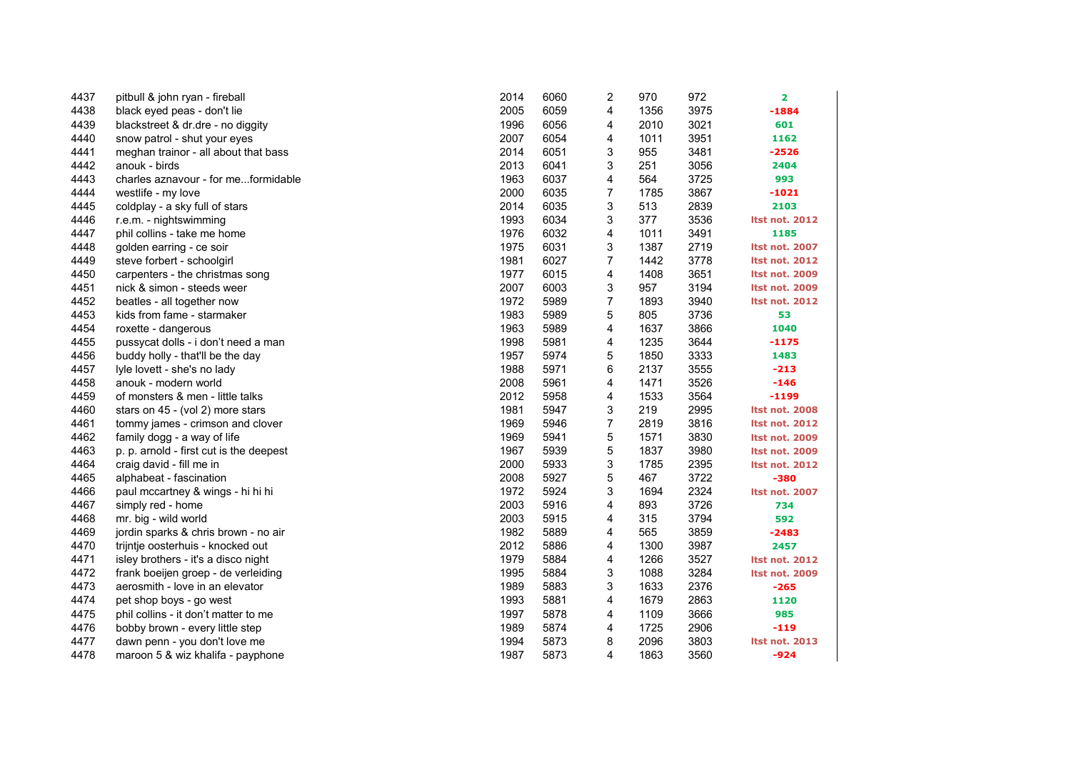| 4437 | pitbull & john ryan - fireball          | 2014 | 6060 | 2              | 970  | 972  | 2                     |
|------|-----------------------------------------|------|------|----------------|------|------|-----------------------|
| 4438 | black eyed peas - don't lie             | 2005 | 6059 | 4              | 1356 | 3975 | $-1884$               |
| 4439 | blackstreet & dr.dre - no diggity       | 1996 | 6056 | 4              | 2010 | 3021 | 601                   |
| 4440 | snow patrol - shut your eyes            | 2007 | 6054 | 4              | 1011 | 3951 | 1162                  |
| 4441 | meghan trainor - all about that bass    | 2014 | 6051 | 3              | 955  | 3481 | $-2526$               |
| 4442 | anouk - birds                           | 2013 | 6041 | 3              | 251  | 3056 | 2404                  |
| 4443 | charles aznavour - for meformidable     | 1963 | 6037 | 4              | 564  | 3725 | 993                   |
| 4444 | westlife - my love                      | 2000 | 6035 | 7              | 1785 | 3867 | -1021                 |
| 4445 | coldplay - a sky full of stars          | 2014 | 6035 | 3              | 513  | 2839 | 2103                  |
| 4446 | r.e.m. - nightswimming                  | 1993 | 6034 | 3              | 377  | 3536 | <b>Itst not. 2012</b> |
| 4447 | phil collins - take me home             | 1976 | 6032 | 4              | 1011 | 3491 | 1185                  |
| 4448 | golden earring - ce soir                | 1975 | 6031 | 3              | 1387 | 2719 | <b>Itst not. 2007</b> |
| 4449 | steve forbert - schoolgirl              | 1981 | 6027 | $\overline{7}$ | 1442 | 3778 | <b>Itst not. 2012</b> |
| 4450 | carpenters - the christmas song         | 1977 | 6015 | 4              | 1408 | 3651 | <b>Itst not. 2009</b> |
| 4451 | nick & simon - steeds weer              | 2007 | 6003 | 3              | 957  | 3194 | <b>Itst not. 2009</b> |
| 4452 | beatles - all together now              | 1972 | 5989 | $\overline{7}$ | 1893 | 3940 | <b>Itst not. 2012</b> |
| 4453 | kids from fame - starmaker              | 1983 | 5989 | 5              | 805  | 3736 | 53                    |
| 4454 | roxette - dangerous                     | 1963 | 5989 | 4              | 1637 | 3866 | 1040                  |
| 4455 | pussycat dolls - i don't need a man     | 1998 | 5981 | 4              | 1235 | 3644 | $-1175$               |
| 4456 | buddy holly - that'll be the day        | 1957 | 5974 | 5              | 1850 | 3333 | 1483                  |
| 4457 | lyle lovett - she's no lady             | 1988 | 5971 | 6              | 2137 | 3555 | $-213$                |
| 4458 | anouk - modern world                    | 2008 | 5961 | 4              | 1471 | 3526 | $-146$                |
| 4459 | of monsters & men - little talks        | 2012 | 5958 | 4              | 1533 | 3564 | $-1199$               |
| 4460 | stars on 45 - (vol 2) more stars        | 1981 | 5947 | 3              | 219  | 2995 | <b>Itst not. 2008</b> |
| 4461 | tommy james - crimson and clover        | 1969 | 5946 | 7              | 2819 | 3816 | <b>Itst not. 2012</b> |
| 4462 | family dogg - a way of life             | 1969 | 5941 | 5              | 1571 | 3830 | <b>Itst not. 2009</b> |
| 4463 | p. p. arnold - first cut is the deepest | 1967 | 5939 | 5              | 1837 | 3980 | <b>Itst not. 2009</b> |
| 4464 | craig david - fill me in                | 2000 | 5933 | 3              | 1785 | 2395 | <b>Itst not. 2012</b> |
| 4465 | alphabeat - fascination                 | 2008 | 5927 | 5              | 467  | 3722 | $-380$                |
| 4466 | paul mccartney & wings - hi hi hi       | 1972 | 5924 | 3              | 1694 | 2324 | <b>Itst not. 2007</b> |
| 4467 | simply red - home                       | 2003 | 5916 | 4              | 893  | 3726 | 734                   |
| 4468 | mr. big - wild world                    | 2003 | 5915 | 4              | 315  | 3794 | 592                   |
| 4469 | jordin sparks & chris brown - no air    | 1982 | 5889 | 4              | 565  | 3859 | $-2483$               |
| 4470 | trijntje oosterhuis - knocked out       | 2012 | 5886 | 4              | 1300 | 3987 | 2457                  |
| 4471 | isley brothers - it's a disco night     | 1979 | 5884 | 4              | 1266 | 3527 | <b>Itst not. 2012</b> |
| 4472 | frank boeijen groep - de verleiding     | 1995 | 5884 | 3              | 1088 | 3284 | <b>Itst not. 2009</b> |
| 4473 | aerosmith - love in an elevator         | 1989 | 5883 | 3              | 1633 | 2376 | $-265$                |
| 4474 | pet shop boys - go west                 | 1993 | 5881 | 4              | 1679 | 2863 | 1120                  |
| 4475 | phil collins - it don't matter to me    | 1997 | 5878 | 4              | 1109 | 3666 | 985                   |
| 4476 | bobby brown - every little step         | 1989 | 5874 | 4              | 1725 | 2906 | $-119$                |
| 4477 | dawn penn - you don't love me           | 1994 | 5873 | 8              | 2096 | 3803 | Itst not. 2013        |
| 4478 | maroon 5 & wiz khalifa - payphone       | 1987 | 5873 | 4              | 1863 | 3560 | $-924$                |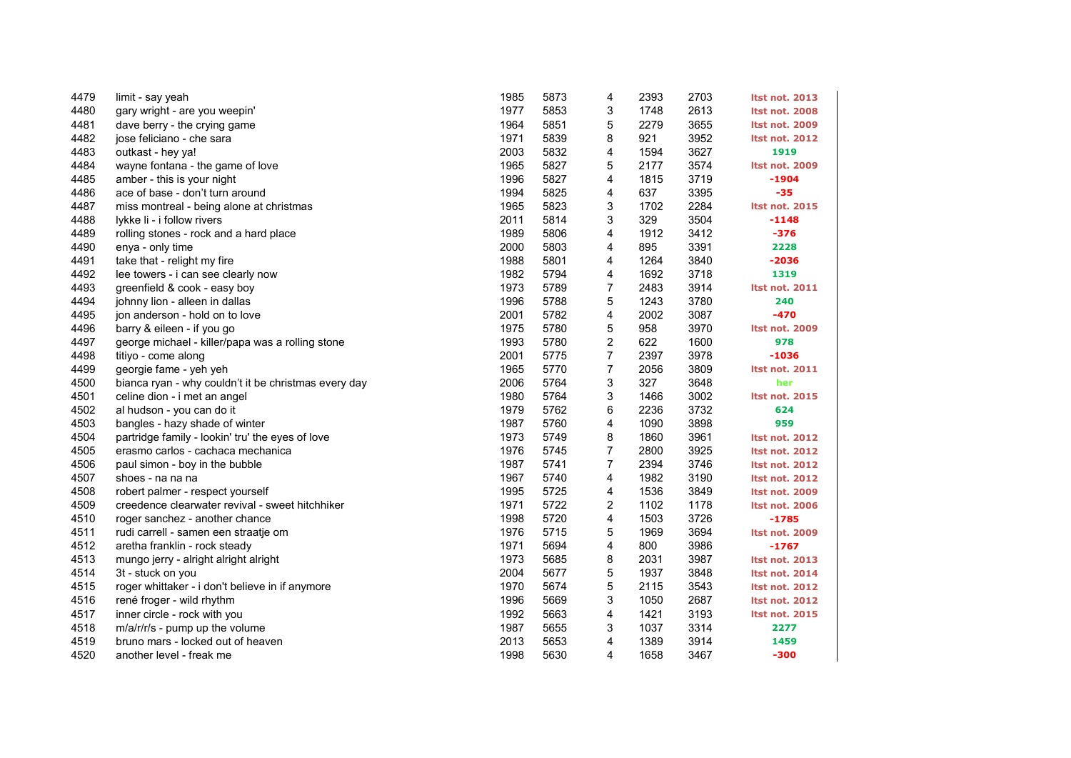| 4479 | limit - say yeah                                     | 1985 | 5873 | 4                       | 2393 | 2703 | <b>Itst not. 2013</b> |
|------|------------------------------------------------------|------|------|-------------------------|------|------|-----------------------|
| 4480 | gary wright - are you weepin'                        | 1977 | 5853 | 3                       | 1748 | 2613 | <b>Itst not. 2008</b> |
| 4481 | dave berry - the crying game                         | 1964 | 5851 | 5                       | 2279 | 3655 | <b>Itst not. 2009</b> |
| 4482 | jose feliciano - che sara                            | 1971 | 5839 | 8                       | 921  | 3952 | <b>Itst not. 2012</b> |
| 4483 | outkast - hey ya!                                    | 2003 | 5832 | 4                       | 1594 | 3627 | 1919                  |
| 4484 | wayne fontana - the game of love                     | 1965 | 5827 | 5                       | 2177 | 3574 | Itst not. 2009        |
| 4485 | amber - this is your night                           | 1996 | 5827 | 4                       | 1815 | 3719 | $-1904$               |
| 4486 | ace of base - don't turn around                      | 1994 | 5825 | 4                       | 637  | 3395 | $-35$                 |
| 4487 | miss montreal - being alone at christmas             | 1965 | 5823 | 3                       | 1702 | 2284 | <b>Itst not. 2015</b> |
| 4488 | lykke li - i follow rivers                           | 2011 | 5814 | 3                       | 329  | 3504 | $-1148$               |
| 4489 | rolling stones - rock and a hard place               | 1989 | 5806 | 4                       | 1912 | 3412 | $-376$                |
| 4490 | enya - only time                                     | 2000 | 5803 | 4                       | 895  | 3391 | 2228                  |
| 4491 | take that - relight my fire                          | 1988 | 5801 | 4                       | 1264 | 3840 | $-2036$               |
| 4492 | lee towers - i can see clearly now                   | 1982 | 5794 | 4                       | 1692 | 3718 | 1319                  |
| 4493 | greenfield & cook - easy boy                         | 1973 | 5789 | $\boldsymbol{7}$        | 2483 | 3914 | <b>Itst not. 2011</b> |
| 4494 | johnny lion - alleen in dallas                       | 1996 | 5788 | 5                       | 1243 | 3780 | 240                   |
| 4495 | jon anderson - hold on to love                       | 2001 | 5782 | 4                       | 2002 | 3087 | $-470$                |
| 4496 | barry & eileen - if you go                           | 1975 | 5780 | 5                       | 958  | 3970 | <b>Itst not. 2009</b> |
| 4497 | george michael - killer/papa was a rolling stone     | 1993 | 5780 | $\overline{\mathbf{c}}$ | 622  | 1600 | 978                   |
| 4498 | titiyo - come along                                  | 2001 | 5775 | $\overline{7}$          | 2397 | 3978 | $-1036$               |
| 4499 | georgie fame - yeh yeh                               | 1965 | 5770 | $\overline{7}$          | 2056 | 3809 | <b>Itst not. 2011</b> |
| 4500 | bianca ryan - why couldn't it be christmas every day | 2006 | 5764 | 3                       | 327  | 3648 | her                   |
| 4501 | celine dion - i met an angel                         | 1980 | 5764 | 3                       | 1466 | 3002 | <b>Itst not. 2015</b> |
| 4502 | al hudson - you can do it                            | 1979 | 5762 | 6                       | 2236 | 3732 | 624                   |
| 4503 | bangles - hazy shade of winter                       | 1987 | 5760 | 4                       | 1090 | 3898 | 959                   |
| 4504 | partridge family - lookin' tru' the eyes of love     | 1973 | 5749 | 8                       | 1860 | 3961 | <b>Itst not. 2012</b> |
| 4505 | erasmo carlos - cachaca mechanica                    | 1976 | 5745 | $\overline{7}$          | 2800 | 3925 | <b>Itst not. 2012</b> |
| 4506 | paul simon - boy in the bubble                       | 1987 | 5741 | $\overline{7}$          | 2394 | 3746 | <b>Itst not. 2012</b> |
| 4507 | shoes - na na na                                     | 1967 | 5740 | 4                       | 1982 | 3190 | <b>Itst not. 2012</b> |
| 4508 | robert palmer - respect yourself                     | 1995 | 5725 | 4                       | 1536 | 3849 | <b>Itst not. 2009</b> |
| 4509 | creedence clearwater revival - sweet hitchhiker      | 1971 | 5722 | 2                       | 1102 | 1178 | <b>Itst not. 2006</b> |
| 4510 | roger sanchez - another chance                       | 1998 | 5720 | 4                       | 1503 | 3726 | $-1785$               |
| 4511 | rudi carrell - samen een straatje om                 | 1976 | 5715 | 5                       | 1969 | 3694 | <b>Itst not. 2009</b> |
| 4512 | aretha franklin - rock steady                        | 1971 | 5694 | 4                       | 800  | 3986 | $-1767$               |
| 4513 | mungo jerry - alright alright alright                | 1973 | 5685 | 8                       | 2031 | 3987 | <b>Itst not. 2013</b> |
| 4514 | 3t - stuck on you                                    | 2004 | 5677 | 5                       | 1937 | 3848 | <b>Itst not. 2014</b> |
| 4515 | roger whittaker - i don't believe in if anymore      | 1970 | 5674 | 5                       | 2115 | 3543 | <b>Itst not. 2012</b> |
| 4516 | rené froger - wild rhythm                            | 1996 | 5669 | 3                       | 1050 | 2687 | <b>Itst not. 2012</b> |
| 4517 | inner circle - rock with you                         | 1992 | 5663 | 4                       | 1421 | 3193 | <b>Itst not. 2015</b> |
| 4518 | m/a/r/r/s - pump up the volume                       | 1987 | 5655 | 3                       | 1037 | 3314 | 2277                  |
| 4519 | bruno mars - locked out of heaven                    | 2013 | 5653 | 4                       | 1389 | 3914 | 1459                  |
| 4520 | another level - freak me                             | 1998 | 5630 | 4                       | 1658 | 3467 | $-300$                |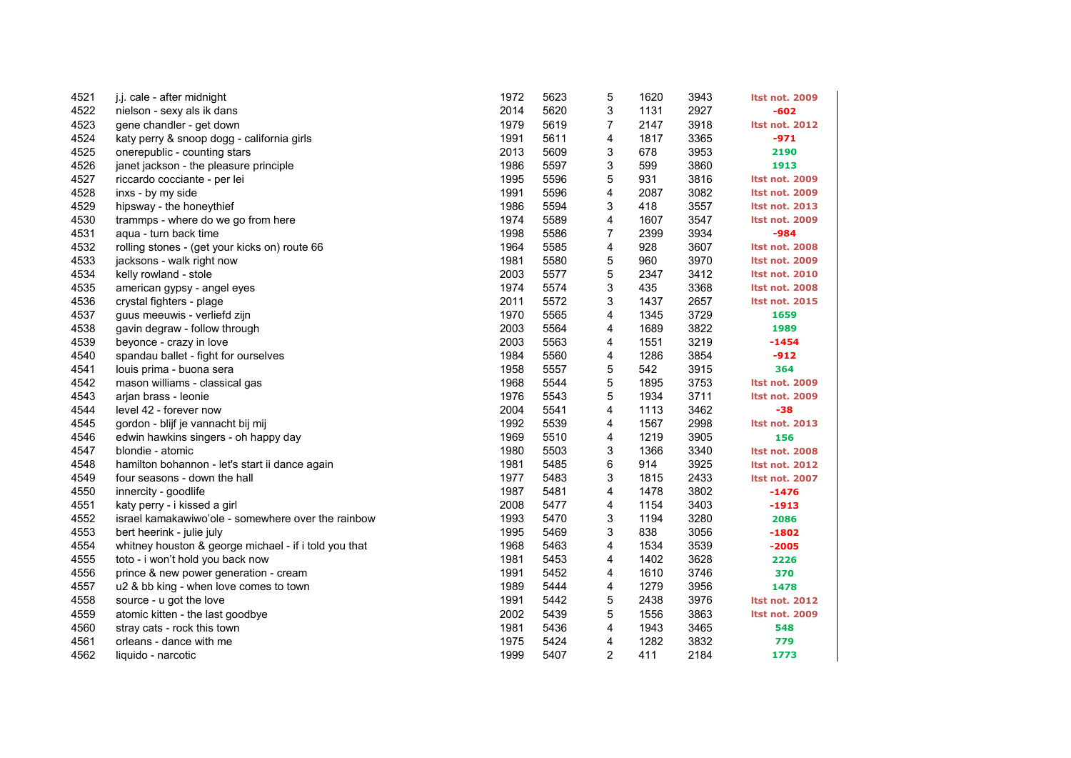| 4521 | j.j. cale - after midnight                            | 1972 | 5623 | 5              | 1620 | 3943 | <b>Itst not. 2009</b> |
|------|-------------------------------------------------------|------|------|----------------|------|------|-----------------------|
| 4522 | nielson - sexy als ik dans                            | 2014 | 5620 | 3              | 1131 | 2927 | $-602$                |
| 4523 | gene chandler - get down                              | 1979 | 5619 | 7              | 2147 | 3918 | <b>Itst not. 2012</b> |
| 4524 | katy perry & snoop dogg - california girls            | 1991 | 5611 | 4              | 1817 | 3365 | -971                  |
| 4525 | onerepublic - counting stars                          | 2013 | 5609 | 3              | 678  | 3953 | 2190                  |
| 4526 | janet jackson - the pleasure principle                | 1986 | 5597 | 3              | 599  | 3860 | 1913                  |
| 4527 | riccardo cocciante - per lei                          | 1995 | 5596 | 5              | 931  | 3816 | <b>Itst not. 2009</b> |
| 4528 | inxs - by my side                                     | 1991 | 5596 | 4              | 2087 | 3082 | <b>Itst not. 2009</b> |
| 4529 | hipsway - the honeythief                              | 1986 | 5594 | 3              | 418  | 3557 | <b>Itst not. 2013</b> |
| 4530 | trammps - where do we go from here                    | 1974 | 5589 | 4              | 1607 | 3547 | <b>Itst not. 2009</b> |
| 4531 | aqua - turn back time                                 | 1998 | 5586 | $\overline{7}$ | 2399 | 3934 | $-984$                |
| 4532 | rolling stones - (get your kicks on) route 66         | 1964 | 5585 | 4              | 928  | 3607 | <b>Itst not. 2008</b> |
| 4533 | jacksons - walk right now                             | 1981 | 5580 | 5              | 960  | 3970 | <b>Itst not. 2009</b> |
| 4534 | kelly rowland - stole                                 | 2003 | 5577 | 5              | 2347 | 3412 | <b>Itst not. 2010</b> |
| 4535 | american gypsy - angel eyes                           | 1974 | 5574 | 3              | 435  | 3368 | <b>Itst not. 2008</b> |
| 4536 | crystal fighters - plage                              | 2011 | 5572 | 3              | 1437 | 2657 | <b>Itst not. 2015</b> |
| 4537 | guus meeuwis - verliefd zijn                          | 1970 | 5565 | 4              | 1345 | 3729 | 1659                  |
| 4538 | gavin degraw - follow through                         | 2003 | 5564 | 4              | 1689 | 3822 | 1989                  |
| 4539 | beyonce - crazy in love                               | 2003 | 5563 | 4              | 1551 | 3219 | $-1454$               |
| 4540 | spandau ballet - fight for ourselves                  | 1984 | 5560 | 4              | 1286 | 3854 | $-912$                |
| 4541 | louis prima - buona sera                              | 1958 | 5557 | 5              | 542  | 3915 | 364                   |
| 4542 | mason williams - classical gas                        | 1968 | 5544 | 5              | 1895 | 3753 | <b>Itst not. 2009</b> |
| 4543 | arjan brass - leonie                                  | 1976 | 5543 | 5              | 1934 | 3711 | <b>Itst not. 2009</b> |
| 4544 | level 42 - forever now                                | 2004 | 5541 | 4              | 1113 | 3462 | $-38$                 |
| 4545 | gordon - blijf je vannacht bij mij                    | 1992 | 5539 | 4              | 1567 | 2998 | <b>Itst not. 2013</b> |
| 4546 | edwin hawkins singers - oh happy day                  | 1969 | 5510 | 4              | 1219 | 3905 | 156                   |
| 4547 | blondie - atomic                                      | 1980 | 5503 | 3              | 1366 | 3340 | <b>Itst not. 2008</b> |
| 4548 | hamilton bohannon - let's start ii dance again        | 1981 | 5485 | 6              | 914  | 3925 | <b>Itst not. 2012</b> |
| 4549 | four seasons - down the hall                          | 1977 | 5483 | 3              | 1815 | 2433 | <b>Itst not. 2007</b> |
| 4550 | innercity - goodlife                                  | 1987 | 5481 | 4              | 1478 | 3802 | $-1476$               |
| 4551 | katy perry - i kissed a girl                          | 2008 | 5477 | 4              | 1154 | 3403 | $-1913$               |
| 4552 | israel kamakawiwo'ole - somewhere over the rainbow    | 1993 | 5470 | 3              | 1194 | 3280 | 2086                  |
| 4553 | bert heerink - julie july                             | 1995 | 5469 | 3              | 838  | 3056 | $-1802$               |
| 4554 | whitney houston & george michael - if i told you that | 1968 | 5463 | 4              | 1534 | 3539 | $-2005$               |
| 4555 | toto - i won't hold you back now                      | 1981 | 5453 | 4              | 1402 | 3628 | 2226                  |
| 4556 | prince & new power generation - cream                 | 1991 | 5452 | 4              | 1610 | 3746 | 370                   |
| 4557 | u2 & bb king - when love comes to town                | 1989 | 5444 | 4              | 1279 | 3956 | 1478                  |
| 4558 | source - u got the love                               | 1991 | 5442 | 5              | 2438 | 3976 | <b>Itst not. 2012</b> |
| 4559 | atomic kitten - the last goodbye                      | 2002 | 5439 | 5              | 1556 | 3863 | <b>Itst not. 2009</b> |
| 4560 | stray cats - rock this town                           | 1981 | 5436 | 4              | 1943 | 3465 | 548                   |
| 4561 | orleans - dance with me                               | 1975 | 5424 | 4              | 1282 | 3832 | 779                   |
| 4562 | liquido - narcotic                                    | 1999 | 5407 | $\overline{2}$ | 411  | 2184 | 1773                  |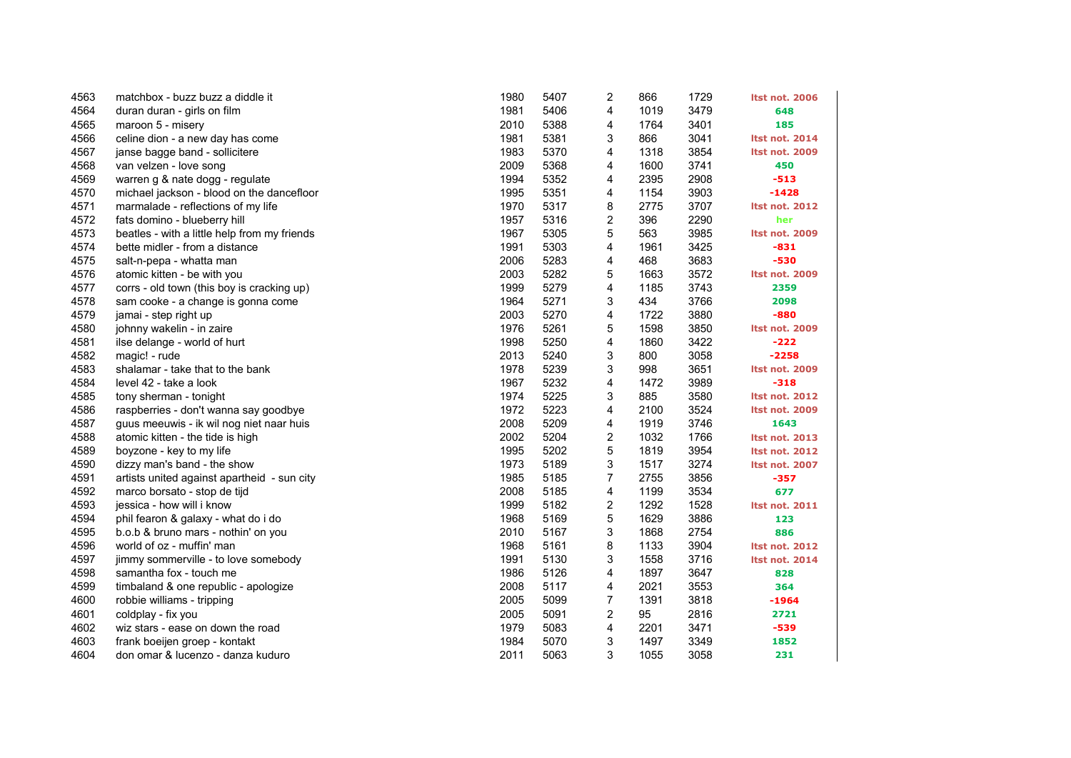| 4563 | matchbox - buzz buzz a diddle it             | 1980 | 5407 | 2 | 866  | 1729 | <b>Itst not. 2006</b> |
|------|----------------------------------------------|------|------|---|------|------|-----------------------|
| 4564 | duran duran - girls on film                  | 1981 | 5406 | 4 | 1019 | 3479 | 648                   |
| 4565 | maroon 5 - misery                            | 2010 | 5388 | 4 | 1764 | 3401 | 185                   |
| 4566 | celine dion - a new day has come             | 1981 | 5381 | 3 | 866  | 3041 | <b>Itst not. 2014</b> |
| 4567 | janse bagge band - sollicitere               | 1983 | 5370 | 4 | 1318 | 3854 | <b>Itst not. 2009</b> |
| 4568 | van velzen - love song                       | 2009 | 5368 | 4 | 1600 | 3741 | 450                   |
| 4569 | warren g & nate dogg - regulate              | 1994 | 5352 | 4 | 2395 | 2908 | $-513$                |
| 4570 | michael jackson - blood on the dancefloor    | 1995 | 5351 | 4 | 1154 | 3903 | -1428                 |
| 4571 | marmalade - reflections of my life           | 1970 | 5317 | 8 | 2775 | 3707 | <b>Itst not. 2012</b> |
| 4572 | fats domino - blueberry hill                 | 1957 | 5316 | 2 | 396  | 2290 | her                   |
| 4573 | beatles - with a little help from my friends | 1967 | 5305 | 5 | 563  | 3985 | <b>Itst not. 2009</b> |
| 4574 | bette midler - from a distance               | 1991 | 5303 | 4 | 1961 | 3425 | $-831$                |
| 4575 | salt-n-pepa - whatta man                     | 2006 | 5283 | 4 | 468  | 3683 | -530                  |
| 4576 | atomic kitten - be with you                  | 2003 | 5282 | 5 | 1663 | 3572 | <b>Itst not. 2009</b> |
| 4577 | corrs - old town (this boy is cracking up)   | 1999 | 5279 | 4 | 1185 | 3743 | 2359                  |
| 4578 | sam cooke - a change is gonna come           | 1964 | 5271 | 3 | 434  | 3766 | 2098                  |
| 4579 | jamai - step right up                        | 2003 | 5270 | 4 | 1722 | 3880 | $-880$                |
| 4580 | johnny wakelin - in zaire                    | 1976 | 5261 | 5 | 1598 | 3850 | Itst not. 2009        |
| 4581 | ilse delange - world of hurt                 | 1998 | 5250 | 4 | 1860 | 3422 | $-222$                |
| 4582 | magic! - rude                                | 2013 | 5240 | 3 | 800  | 3058 | $-2258$               |
| 4583 | shalamar - take that to the bank             | 1978 | 5239 | 3 | 998  | 3651 | <b>Itst not. 2009</b> |
| 4584 | level 42 - take a look                       | 1967 | 5232 | 4 | 1472 | 3989 | $-318$                |
| 4585 | tony sherman - tonight                       | 1974 | 5225 | 3 | 885  | 3580 | <b>Itst not. 2012</b> |
| 4586 | raspberries - don't wanna say goodbye        | 1972 | 5223 | 4 | 2100 | 3524 | <b>Itst not. 2009</b> |
| 4587 | guus meeuwis - ik wil nog niet naar huis     | 2008 | 5209 | 4 | 1919 | 3746 | 1643                  |
| 4588 | atomic kitten - the tide is high             | 2002 | 5204 | 2 | 1032 | 1766 | <b>Itst not. 2013</b> |
| 4589 | boyzone - key to my life                     | 1995 | 5202 | 5 | 1819 | 3954 | <b>Itst not. 2012</b> |
| 4590 | dizzy man's band - the show                  | 1973 | 5189 | 3 | 1517 | 3274 | <b>Itst not. 2007</b> |
| 4591 | artists united against apartheid - sun city  | 1985 | 5185 | 7 | 2755 | 3856 | $-357$                |
| 4592 | marco borsato - stop de tijd                 | 2008 | 5185 | 4 | 1199 | 3534 | 677                   |
| 4593 | jessica - how will i know                    | 1999 | 5182 | 2 | 1292 | 1528 | <b>Itst not. 2011</b> |
| 4594 | phil fearon & galaxy - what do i do          | 1968 | 5169 | 5 | 1629 | 3886 | 123                   |
| 4595 | b.o.b & bruno mars - nothin' on you          | 2010 | 5167 | 3 | 1868 | 2754 | 886                   |
| 4596 | world of oz - muffin' man                    | 1968 | 5161 | 8 | 1133 | 3904 | <b>Itst not. 2012</b> |
| 4597 | jimmy sommerville - to love somebody         | 1991 | 5130 | 3 | 1558 | 3716 | <b>Itst not. 2014</b> |
| 4598 | samantha fox - touch me                      | 1986 | 5126 | 4 | 1897 | 3647 | 828                   |
| 4599 | timbaland & one republic - apologize         | 2008 | 5117 | 4 | 2021 | 3553 | 364                   |
| 4600 | robbie williams - tripping                   | 2005 | 5099 | 7 | 1391 | 3818 | $-1964$               |
| 4601 | coldplay - fix you                           | 2005 | 5091 | 2 | 95   | 2816 | 2721                  |
| 4602 | wiz stars - ease on down the road            | 1979 | 5083 | 4 | 2201 | 3471 | -539                  |
| 4603 | frank boeijen groep - kontakt                | 1984 | 5070 | 3 | 1497 | 3349 | 1852                  |
| 4604 | don omar & lucenzo - danza kuduro            | 2011 | 5063 | 3 | 1055 | 3058 | 231                   |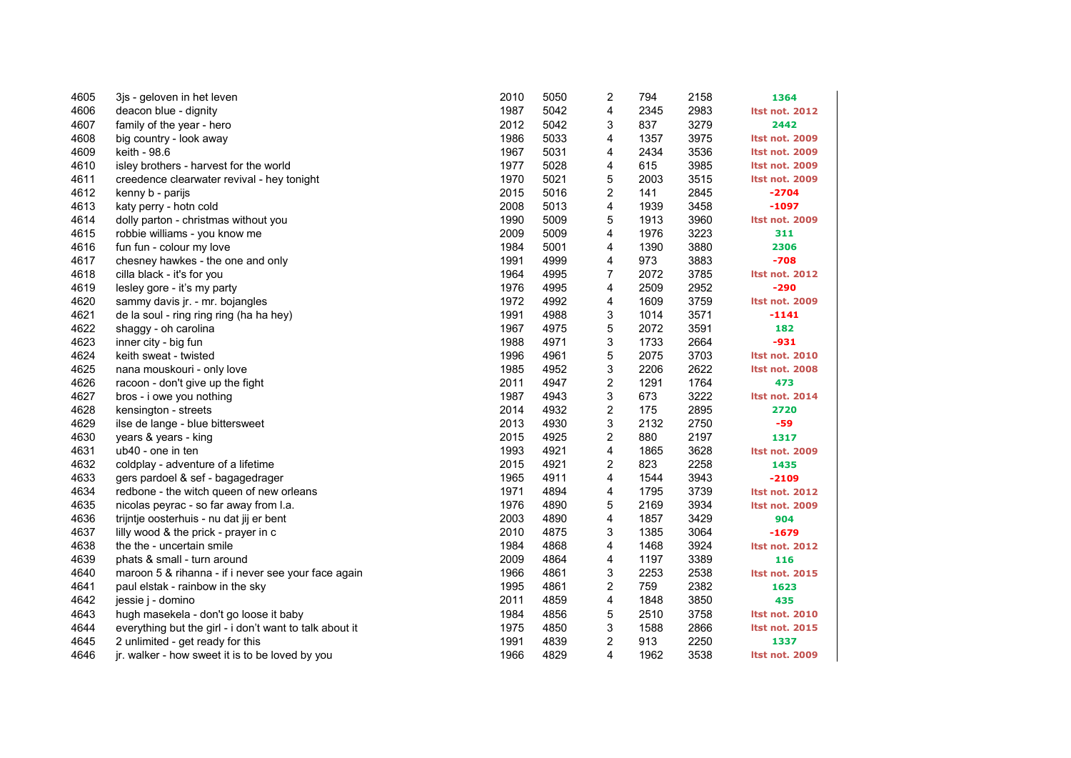| 4605 | 3 is - geloven in het leven                             | 2010 | 5050 | 2                       | 794  | 2158 | 1364                  |
|------|---------------------------------------------------------|------|------|-------------------------|------|------|-----------------------|
| 4606 | deacon blue - dignity                                   | 1987 | 5042 | 4                       | 2345 | 2983 | <b>Itst not. 2012</b> |
| 4607 | family of the year - hero                               | 2012 | 5042 | 3                       | 837  | 3279 | 2442                  |
| 4608 | big country - look away                                 | 1986 | 5033 | 4                       | 1357 | 3975 | Itst not. 2009        |
| 4609 | keith - 98.6                                            | 1967 | 5031 | 4                       | 2434 | 3536 | <b>Itst not. 2009</b> |
| 4610 | isley brothers - harvest for the world                  | 1977 | 5028 | 4                       | 615  | 3985 | <b>Itst not. 2009</b> |
| 4611 | creedence clearwater revival - hey tonight              | 1970 | 5021 | 5                       | 2003 | 3515 | <b>Itst not. 2009</b> |
| 4612 | kenny b - parijs                                        | 2015 | 5016 | 2                       | 141  | 2845 | $-2704$               |
| 4613 | katy perry - hotn cold                                  | 2008 | 5013 | 4                       | 1939 | 3458 | -1097                 |
| 4614 | dolly parton - christmas without you                    | 1990 | 5009 | 5                       | 1913 | 3960 | <b>Itst not. 2009</b> |
| 4615 | robbie williams - you know me                           | 2009 | 5009 | 4                       | 1976 | 3223 | 311                   |
| 4616 | fun fun - colour my love                                | 1984 | 5001 | 4                       | 1390 | 3880 | 2306                  |
| 4617 | chesney hawkes - the one and only                       | 1991 | 4999 | 4                       | 973  | 3883 | $-708$                |
| 4618 | cilla black - it's for you                              | 1964 | 4995 | 7                       | 2072 | 3785 | <b>Itst not. 2012</b> |
| 4619 | lesley gore - it's my party                             | 1976 | 4995 | 4                       | 2509 | 2952 | $-290$                |
| 4620 | sammy davis jr. - mr. bojangles                         | 1972 | 4992 | 4                       | 1609 | 3759 | <b>Itst not. 2009</b> |
| 4621 | de la soul - ring ring ring (ha ha hey)                 | 1991 | 4988 | 3                       | 1014 | 3571 | $-1141$               |
| 4622 | shaggy - oh carolina                                    | 1967 | 4975 | 5                       | 2072 | 3591 | 182                   |
| 4623 | inner city - big fun                                    | 1988 | 4971 | 3                       | 1733 | 2664 | $-931$                |
| 4624 | keith sweat - twisted                                   | 1996 | 4961 | 5                       | 2075 | 3703 | <b>Itst not. 2010</b> |
| 4625 | nana mouskouri - only love                              | 1985 | 4952 | 3                       | 2206 | 2622 | <b>Itst not. 2008</b> |
| 4626 | racoon - don't give up the fight                        | 2011 | 4947 | 2                       | 1291 | 1764 | 473                   |
| 4627 | bros - i owe you nothing                                | 1987 | 4943 | 3                       | 673  | 3222 | <b>Itst not. 2014</b> |
| 4628 | kensington - streets                                    | 2014 | 4932 | $\overline{\mathbf{c}}$ | 175  | 2895 | 2720                  |
| 4629 | ilse de lange - blue bittersweet                        | 2013 | 4930 | 3                       | 2132 | 2750 | -59                   |
| 4630 | years & years - king                                    | 2015 | 4925 | 2                       | 880  | 2197 | 1317                  |
| 4631 | ub40 - one in ten                                       | 1993 | 4921 | 4                       | 1865 | 3628 | Itst not. 2009        |
| 4632 | coldplay - adventure of a lifetime                      | 2015 | 4921 | 2                       | 823  | 2258 | 1435                  |
| 4633 | gers pardoel & sef - bagagedrager                       | 1965 | 4911 | 4                       | 1544 | 3943 | $-2109$               |
| 4634 | redbone - the witch queen of new orleans                | 1971 | 4894 | 4                       | 1795 | 3739 | <b>Itst not. 2012</b> |
| 4635 | nicolas peyrac - so far away from l.a.                  | 1976 | 4890 | 5                       | 2169 | 3934 | Itst not. 2009        |
| 4636 | trijntje oosterhuis - nu dat jij er bent                | 2003 | 4890 | 4                       | 1857 | 3429 | 904                   |
| 4637 | lilly wood & the prick - prayer in c                    | 2010 | 4875 | 3                       | 1385 | 3064 | $-1679$               |
| 4638 | the the - uncertain smile                               | 1984 | 4868 | 4                       | 1468 | 3924 | <b>Itst not. 2012</b> |
| 4639 | phats & small - turn around                             | 2009 | 4864 | 4                       | 1197 | 3389 | 116                   |
| 4640 | maroon 5 & rihanna - if i never see your face again     | 1966 | 4861 | 3                       | 2253 | 2538 | <b>Itst not. 2015</b> |
| 4641 | paul elstak - rainbow in the sky                        | 1995 | 4861 | $\overline{c}$          | 759  | 2382 | 1623                  |
| 4642 | jessie j - domino                                       | 2011 | 4859 | 4                       | 1848 | 3850 | 435                   |
| 4643 | hugh masekela - don't go loose it baby                  | 1984 | 4856 | 5                       | 2510 | 3758 | <b>Itst not. 2010</b> |
| 4644 | everything but the girl - i don't want to talk about it | 1975 | 4850 | 3                       | 1588 | 2866 | <b>Itst not. 2015</b> |
| 4645 | 2 unlimited - get ready for this                        | 1991 | 4839 | 2                       | 913  | 2250 | 1337                  |
| 4646 | jr. walker - how sweet it is to be loved by you         | 1966 | 4829 | 4                       | 1962 | 3538 | <b>Itst not. 2009</b> |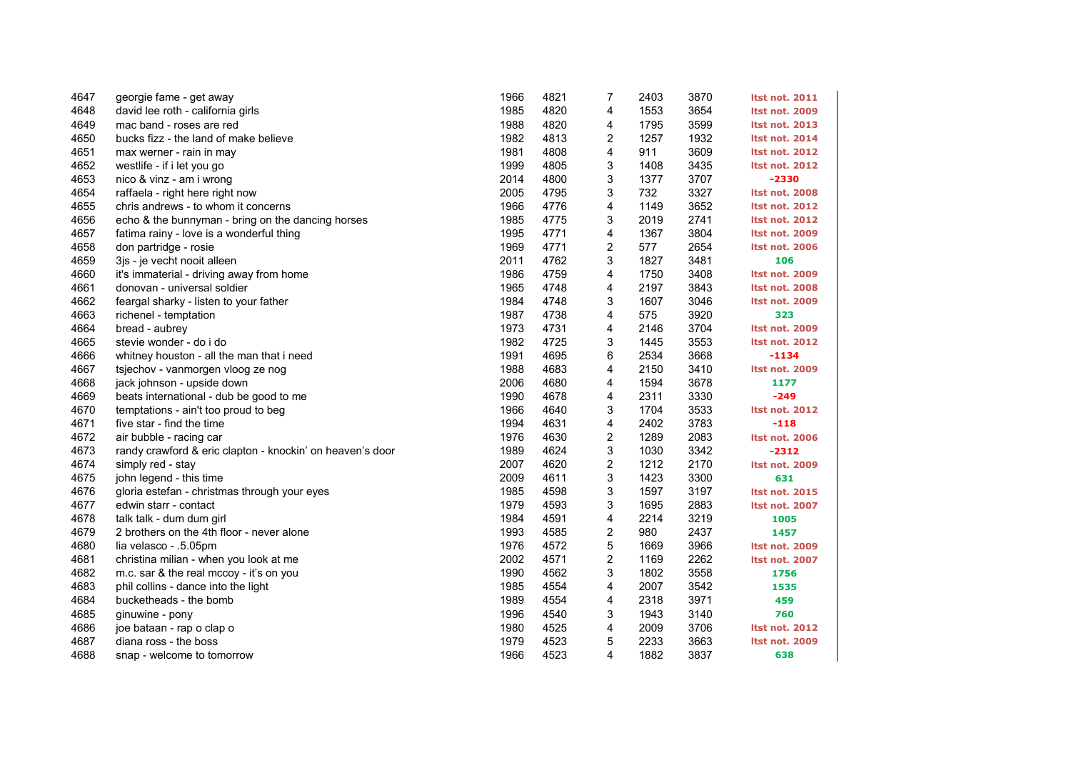| 4647 | georgie fame - get away                                   | 1966 | 4821 | 7                       | 2403 | 3870 | <b>Itst not. 2011</b> |
|------|-----------------------------------------------------------|------|------|-------------------------|------|------|-----------------------|
| 4648 | david lee roth - california girls                         | 1985 | 4820 | 4                       | 1553 | 3654 | <b>Itst not. 2009</b> |
| 4649 | mac band - roses are red                                  | 1988 | 4820 | 4                       | 1795 | 3599 | <b>Itst not. 2013</b> |
| 4650 | bucks fizz - the land of make believe                     | 1982 | 4813 | 2                       | 1257 | 1932 | <b>Itst not. 2014</b> |
| 4651 | max werner - rain in may                                  | 1981 | 4808 | 4                       | 911  | 3609 | <b>Itst not. 2012</b> |
| 4652 | westlife - if i let you go                                | 1999 | 4805 | 3                       | 1408 | 3435 | <b>Itst not. 2012</b> |
| 4653 | nico & vinz - am i wrong                                  | 2014 | 4800 | 3                       | 1377 | 3707 | $-2330$               |
| 4654 | raffaela - right here right now                           | 2005 | 4795 | 3                       | 732  | 3327 | <b>Itst not. 2008</b> |
| 4655 | chris andrews - to whom it concerns                       | 1966 | 4776 | 4                       | 1149 | 3652 | <b>Itst not. 2012</b> |
| 4656 | echo & the bunnyman - bring on the dancing horses         | 1985 | 4775 | 3                       | 2019 | 2741 | <b>Itst not. 2012</b> |
| 4657 | fatima rainy - love is a wonderful thing                  | 1995 | 4771 | 4                       | 1367 | 3804 | <b>Itst not. 2009</b> |
| 4658 | don partridge - rosie                                     | 1969 | 4771 | 2                       | 577  | 2654 | <b>Itst not. 2006</b> |
| 4659 | 3js - je vecht nooit alleen                               | 2011 | 4762 | 3                       | 1827 | 3481 | 106                   |
| 4660 | it's immaterial - driving away from home                  | 1986 | 4759 | 4                       | 1750 | 3408 | <b>Itst not. 2009</b> |
| 4661 | donovan - universal soldier                               | 1965 | 4748 | 4                       | 2197 | 3843 | <b>Itst not. 2008</b> |
| 4662 | feargal sharky - listen to your father                    | 1984 | 4748 | 3                       | 1607 | 3046 | <b>Itst not. 2009</b> |
| 4663 | richenel - temptation                                     | 1987 | 4738 | 4                       | 575  | 3920 | 323                   |
| 4664 | bread - aubrey                                            | 1973 | 4731 | 4                       | 2146 | 3704 | Itst not. 2009        |
| 4665 | stevie wonder - do i do                                   | 1982 | 4725 | 3                       | 1445 | 3553 | <b>Itst not. 2012</b> |
| 4666 | whitney houston - all the man that i need                 | 1991 | 4695 | 6                       | 2534 | 3668 | $-1134$               |
| 4667 | tsjechov - vanmorgen vloog ze nog                         | 1988 | 4683 | 4                       | 2150 | 3410 | <b>Itst not. 2009</b> |
| 4668 | jack johnson - upside down                                | 2006 | 4680 | 4                       | 1594 | 3678 | 1177                  |
| 4669 | beats international - dub be good to me                   | 1990 | 4678 | 4                       | 2311 | 3330 | $-249$                |
| 4670 | temptations - ain't too proud to beg                      | 1966 | 4640 | 3                       | 1704 | 3533 | <b>Itst not. 2012</b> |
| 4671 | five star - find the time                                 | 1994 | 4631 | 4                       | 2402 | 3783 | $-118$                |
| 4672 | air bubble - racing car                                   | 1976 | 4630 | 2                       | 1289 | 2083 | <b>Itst not. 2006</b> |
| 4673 | randy crawford & eric clapton - knockin' on heaven's door | 1989 | 4624 | 3                       | 1030 | 3342 | $-2312$               |
| 4674 | simply red - stay                                         | 2007 | 4620 | $\overline{\mathbf{c}}$ | 1212 | 2170 | Itst not. 2009        |
| 4675 | john legend - this time                                   | 2009 | 4611 | 3                       | 1423 | 3300 | 631                   |
| 4676 | gloria estefan - christmas through your eyes              | 1985 | 4598 | 3                       | 1597 | 3197 | <b>Itst not. 2015</b> |
| 4677 | edwin starr - contact                                     | 1979 | 4593 | 3                       | 1695 | 2883 | <b>Itst not. 2007</b> |
| 4678 | talk talk - dum dum girl                                  | 1984 | 4591 | 4                       | 2214 | 3219 | 1005                  |
| 4679 | 2 brothers on the 4th floor - never alone                 | 1993 | 4585 | $\overline{\mathbf{c}}$ | 980  | 2437 | 1457                  |
| 4680 | lia velasco - .5.05pm                                     | 1976 | 4572 | 5                       | 1669 | 3966 | <b>Itst not. 2009</b> |
| 4681 | christina milian - when you look at me                    | 2002 | 4571 | $\overline{c}$          | 1169 | 2262 | <b>Itst not. 2007</b> |
| 4682 | m.c. sar & the real mccoy - it's on you                   | 1990 | 4562 | 3                       | 1802 | 3558 | 1756                  |
| 4683 | phil collins - dance into the light                       | 1985 | 4554 | 4                       | 2007 | 3542 | 1535                  |
| 4684 | bucketheads - the bomb                                    | 1989 | 4554 | 4                       | 2318 | 3971 | 459                   |
| 4685 | ginuwine - pony                                           | 1996 | 4540 | 3                       | 1943 | 3140 | 760                   |
| 4686 | joe bataan - rap o clap o                                 | 1980 | 4525 | 4                       | 2009 | 3706 | <b>Itst not. 2012</b> |
| 4687 | diana ross - the boss                                     | 1979 | 4523 | 5                       | 2233 | 3663 | Itst not. 2009        |
| 4688 | snap - welcome to tomorrow                                | 1966 | 4523 | 4                       | 1882 | 3837 | 638                   |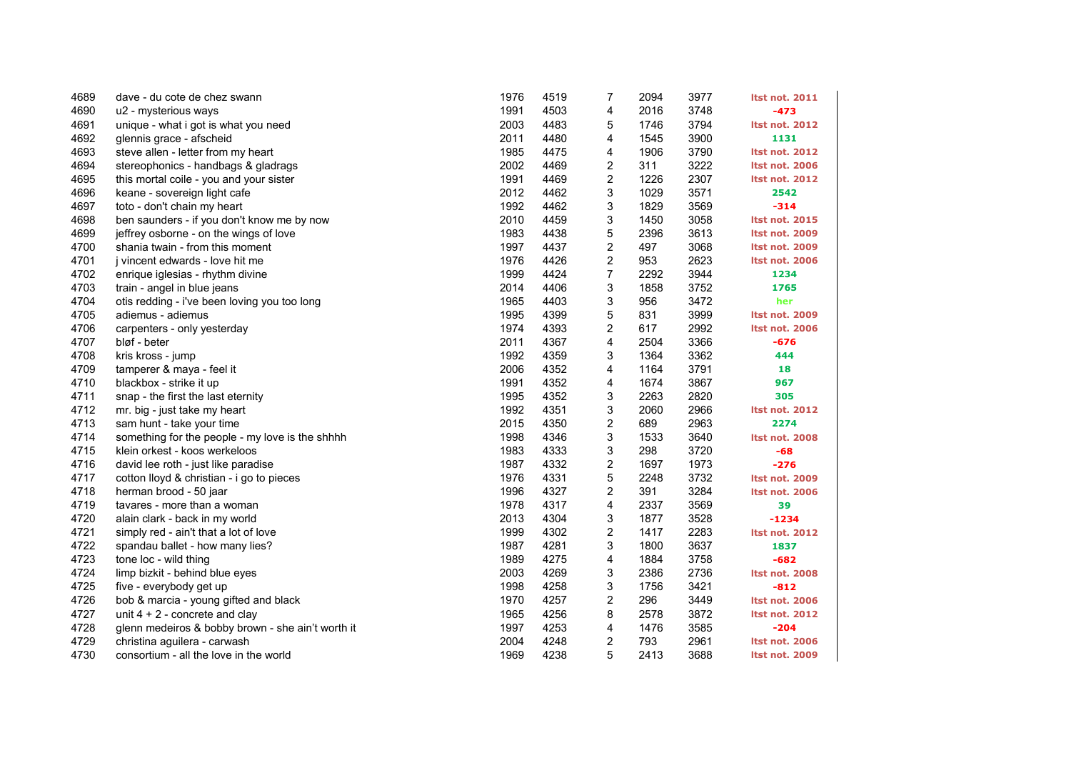| 4689 | dave - du cote de chez swann                      | 1976 | 4519 | 7                       | 2094 | 3977 | <b>Itst not. 2011</b> |
|------|---------------------------------------------------|------|------|-------------------------|------|------|-----------------------|
| 4690 | u2 - mysterious ways                              | 1991 | 4503 | 4                       | 2016 | 3748 | $-473$                |
| 4691 | unique - what i got is what you need              | 2003 | 4483 | 5                       | 1746 | 3794 | <b>Itst not. 2012</b> |
| 4692 | glennis grace - afscheid                          | 2011 | 4480 | 4                       | 1545 | 3900 | 1131                  |
| 4693 | steve allen - letter from my heart                | 1985 | 4475 | 4                       | 1906 | 3790 | <b>Itst not. 2012</b> |
| 4694 | stereophonics - handbags & gladrags               | 2002 | 4469 | 2                       | 311  | 3222 | <b>Itst not. 2006</b> |
| 4695 | this mortal coile - you and your sister           | 1991 | 4469 | 2                       | 1226 | 2307 | <b>Itst not. 2012</b> |
| 4696 | keane - sovereign light cafe                      | 2012 | 4462 | 3                       | 1029 | 3571 | 2542                  |
| 4697 | toto - don't chain my heart                       | 1992 | 4462 | 3                       | 1829 | 3569 | $-314$                |
| 4698 | ben saunders - if you don't know me by now        | 2010 | 4459 | 3                       | 1450 | 3058 | <b>Itst not. 2015</b> |
| 4699 | jeffrey osborne - on the wings of love            | 1983 | 4438 | 5                       | 2396 | 3613 | <b>Itst not. 2009</b> |
| 4700 | shania twain - from this moment                   | 1997 | 4437 | 2                       | 497  | 3068 | <b>Itst not. 2009</b> |
| 4701 | j vincent edwards - love hit me                   | 1976 | 4426 | 2                       | 953  | 2623 | <b>Itst not. 2006</b> |
| 4702 | enrique iglesias - rhythm divine                  | 1999 | 4424 | $\overline{7}$          | 2292 | 3944 | 1234                  |
| 4703 | train - angel in blue jeans                       | 2014 | 4406 | 3                       | 1858 | 3752 | 1765                  |
| 4704 | otis redding - i've been loving you too long      | 1965 | 4403 | 3                       | 956  | 3472 | her                   |
| 4705 | adiemus - adiemus                                 | 1995 | 4399 | 5                       | 831  | 3999 | <b>Itst not. 2009</b> |
| 4706 | carpenters - only yesterday                       | 1974 | 4393 | 2                       | 617  | 2992 | <b>Itst not. 2006</b> |
| 4707 | bløf - beter                                      | 2011 | 4367 | 4                       | 2504 | 3366 | $-676$                |
| 4708 | kris kross - jump                                 | 1992 | 4359 | 3                       | 1364 | 3362 | 444                   |
| 4709 | tamperer & maya - feel it                         | 2006 | 4352 | 4                       | 1164 | 3791 | 18                    |
| 4710 | blackbox - strike it up                           | 1991 | 4352 | 4                       | 1674 | 3867 | 967                   |
| 4711 | snap - the first the last eternity                | 1995 | 4352 | 3                       | 2263 | 2820 | 305                   |
| 4712 | mr. big - just take my heart                      | 1992 | 4351 | 3                       | 2060 | 2966 | <b>Itst not. 2012</b> |
| 4713 | sam hunt - take your time                         | 2015 | 4350 | $\overline{c}$          | 689  | 2963 | 2274                  |
| 4714 | something for the people - my love is the shhhh   | 1998 | 4346 | 3                       | 1533 | 3640 | <b>Itst not. 2008</b> |
| 4715 | klein orkest - koos werkeloos                     | 1983 | 4333 | 3                       | 298  | 3720 | $-68$                 |
| 4716 | david lee roth - just like paradise               | 1987 | 4332 | $\overline{c}$          | 1697 | 1973 | $-276$                |
| 4717 | cotton lloyd & christian - i go to pieces         | 1976 | 4331 | 5                       | 2248 | 3732 | <b>Itst not. 2009</b> |
| 4718 | herman brood - 50 jaar                            | 1996 | 4327 | 2                       | 391  | 3284 | <b>Itst not. 2006</b> |
| 4719 | tavares - more than a woman                       | 1978 | 4317 | 4                       | 2337 | 3569 | 39                    |
| 4720 | alain clark - back in my world                    | 2013 | 4304 | 3                       | 1877 | 3528 | $-1234$               |
| 4721 | simply red - ain't that a lot of love             | 1999 | 4302 | $\overline{\mathbf{c}}$ | 1417 | 2283 | <b>Itst not. 2012</b> |
| 4722 | spandau ballet - how many lies?                   | 1987 | 4281 | 3                       | 1800 | 3637 | 1837                  |
| 4723 | tone loc - wild thing                             | 1989 | 4275 | 4                       | 1884 | 3758 | $-682$                |
| 4724 | limp bizkit - behind blue eyes                    | 2003 | 4269 | 3                       | 2386 | 2736 | <b>Itst not. 2008</b> |
| 4725 | five - everybody get up                           | 1998 | 4258 | 3                       | 1756 | 3421 | $-812$                |
| 4726 | bob & marcia - young gifted and black             | 1970 | 4257 | $\overline{c}$          | 296  | 3449 | <b>Itst not. 2006</b> |
| 4727 | unit $4 + 2$ - concrete and clay                  | 1965 | 4256 | 8                       | 2578 | 3872 | <b>Itst not. 2012</b> |
| 4728 | glenn medeiros & bobby brown - she ain't worth it | 1997 | 4253 | 4                       | 1476 | 3585 | $-204$                |
| 4729 | christina aguilera - carwash                      | 2004 | 4248 | 2                       | 793  | 2961 | <b>Itst not. 2006</b> |
| 4730 | consortium - all the love in the world            | 1969 | 4238 | 5                       | 2413 | 3688 | <b>Itst not. 2009</b> |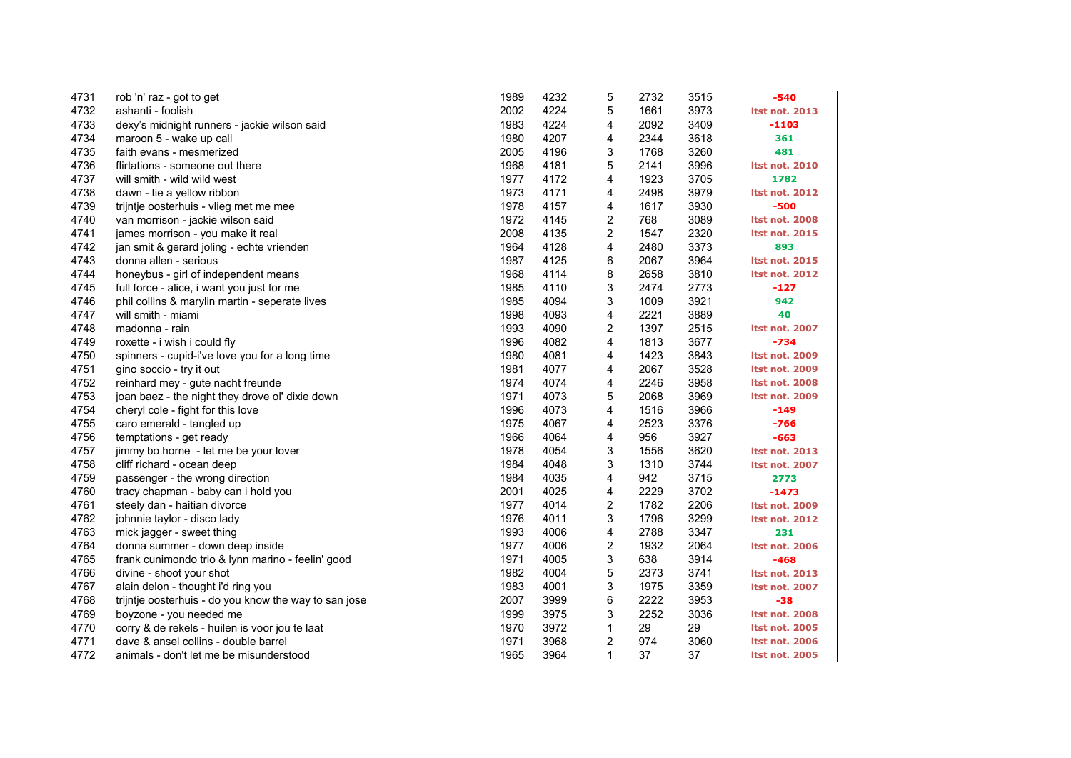| 4731 | rob 'n' raz - got to get                              | 1989 | 4232 | 5            | 2732 | 3515 | -540                  |
|------|-------------------------------------------------------|------|------|--------------|------|------|-----------------------|
| 4732 | ashanti - foolish                                     | 2002 | 4224 | 5            | 1661 | 3973 | <b>Itst not. 2013</b> |
| 4733 | dexy's midnight runners - jackie wilson said          | 1983 | 4224 | 4            | 2092 | 3409 | -1103                 |
| 4734 | maroon 5 - wake up call                               | 1980 | 4207 | 4            | 2344 | 3618 | 361                   |
| 4735 | faith evans - mesmerized                              | 2005 | 4196 | 3            | 1768 | 3260 | 481                   |
| 4736 | flirtations - someone out there                       | 1968 | 4181 | 5            | 2141 | 3996 | <b>Itst not. 2010</b> |
| 4737 | will smith - wild wild west                           | 1977 | 4172 | 4            | 1923 | 3705 | 1782                  |
| 4738 | dawn - tie a yellow ribbon                            | 1973 | 4171 | 4            | 2498 | 3979 | <b>Itst not. 2012</b> |
| 4739 | trijntje oosterhuis - vlieg met me mee                | 1978 | 4157 | 4            | 1617 | 3930 | -500                  |
| 4740 | van morrison - jackie wilson said                     | 1972 | 4145 | 2            | 768  | 3089 | <b>Itst not. 2008</b> |
| 4741 | james morrison - you make it real                     | 2008 | 4135 | 2            | 1547 | 2320 | <b>Itst not. 2015</b> |
| 4742 | jan smit & gerard joling - echte vrienden             | 1964 | 4128 | 4            | 2480 | 3373 | 893                   |
| 4743 | donna allen - serious                                 | 1987 | 4125 | 6            | 2067 | 3964 | <b>Itst not. 2015</b> |
| 4744 | honeybus - girl of independent means                  | 1968 | 4114 | 8            | 2658 | 3810 | <b>Itst not. 2012</b> |
| 4745 | full force - alice, i want you just for me            | 1985 | 4110 | 3            | 2474 | 2773 | $-127$                |
| 4746 | phil collins & marylin martin - seperate lives        | 1985 | 4094 | 3            | 1009 | 3921 | 942                   |
| 4747 | will smith - miami                                    | 1998 | 4093 | 4            | 2221 | 3889 | 40                    |
| 4748 | madonna - rain                                        | 1993 | 4090 | 2            | 1397 | 2515 | <b>Itst not. 2007</b> |
| 4749 | roxette - i wish i could fly                          | 1996 | 4082 | 4            | 1813 | 3677 | $-734$                |
| 4750 | spinners - cupid-i've love you for a long time        | 1980 | 4081 | 4            | 1423 | 3843 | <b>Itst not. 2009</b> |
| 4751 | gino soccio - try it out                              | 1981 | 4077 | 4            | 2067 | 3528 | <b>Itst not. 2009</b> |
| 4752 | reinhard mey - gute nacht freunde                     | 1974 | 4074 | 4            | 2246 | 3958 | <b>Itst not. 2008</b> |
| 4753 | joan baez - the night they drove ol' dixie down       | 1971 | 4073 | 5            | 2068 | 3969 | <b>Itst not. 2009</b> |
| 4754 | cheryl cole - fight for this love                     | 1996 | 4073 | 4            | 1516 | 3966 | $-149$                |
| 4755 | caro emerald - tangled up                             | 1975 | 4067 | 4            | 2523 | 3376 | $-766$                |
| 4756 | temptations - get ready                               | 1966 | 4064 | 4            | 956  | 3927 | -663                  |
| 4757 | jimmy bo horne - let me be your lover                 | 1978 | 4054 | 3            | 1556 | 3620 | <b>Itst not. 2013</b> |
| 4758 | cliff richard - ocean deep                            | 1984 | 4048 | 3            | 1310 | 3744 | <b>Itst not. 2007</b> |
| 4759 | passenger - the wrong direction                       | 1984 | 4035 | 4            | 942  | 3715 | 2773                  |
| 4760 | tracy chapman - baby can i hold you                   | 2001 | 4025 | 4            | 2229 | 3702 | $-1473$               |
| 4761 | steely dan - haitian divorce                          | 1977 | 4014 | 2            | 1782 | 2206 | <b>Itst not. 2009</b> |
| 4762 | johnnie taylor - disco lady                           | 1976 | 4011 | 3            | 1796 | 3299 | <b>Itst not. 2012</b> |
| 4763 | mick jagger - sweet thing                             | 1993 | 4006 | 4            | 2788 | 3347 | 231                   |
| 4764 | donna summer - down deep inside                       | 1977 | 4006 | 2            | 1932 | 2064 | <b>Itst not. 2006</b> |
| 4765 | frank cunimondo trio & lynn marino - feelin' good     | 1971 | 4005 | 3            | 638  | 3914 | $-468$                |
| 4766 | divine - shoot your shot                              | 1982 | 4004 | 5            | 2373 | 3741 | <b>Itst not. 2013</b> |
| 4767 | alain delon - thought i'd ring you                    | 1983 | 4001 | 3            | 1975 | 3359 | <b>Itst not. 2007</b> |
| 4768 | trijntje oosterhuis - do you know the way to san jose | 2007 | 3999 | 6            | 2222 | 3953 | $-38$                 |
| 4769 | boyzone - you needed me                               | 1999 | 3975 | 3            | 2252 | 3036 | <b>Itst not. 2008</b> |
| 4770 | corry & de rekels - huilen is voor jou te laat        | 1970 | 3972 | $\mathbf{1}$ | 29   | 29   | <b>Itst not. 2005</b> |
| 4771 | dave & ansel collins - double barrel                  | 1971 | 3968 | 2            | 974  | 3060 | <b>Itst not. 2006</b> |
| 4772 | animals - don't let me be misunderstood               | 1965 | 3964 | $\mathbf{1}$ | 37   | 37   | <b>Itst not. 2005</b> |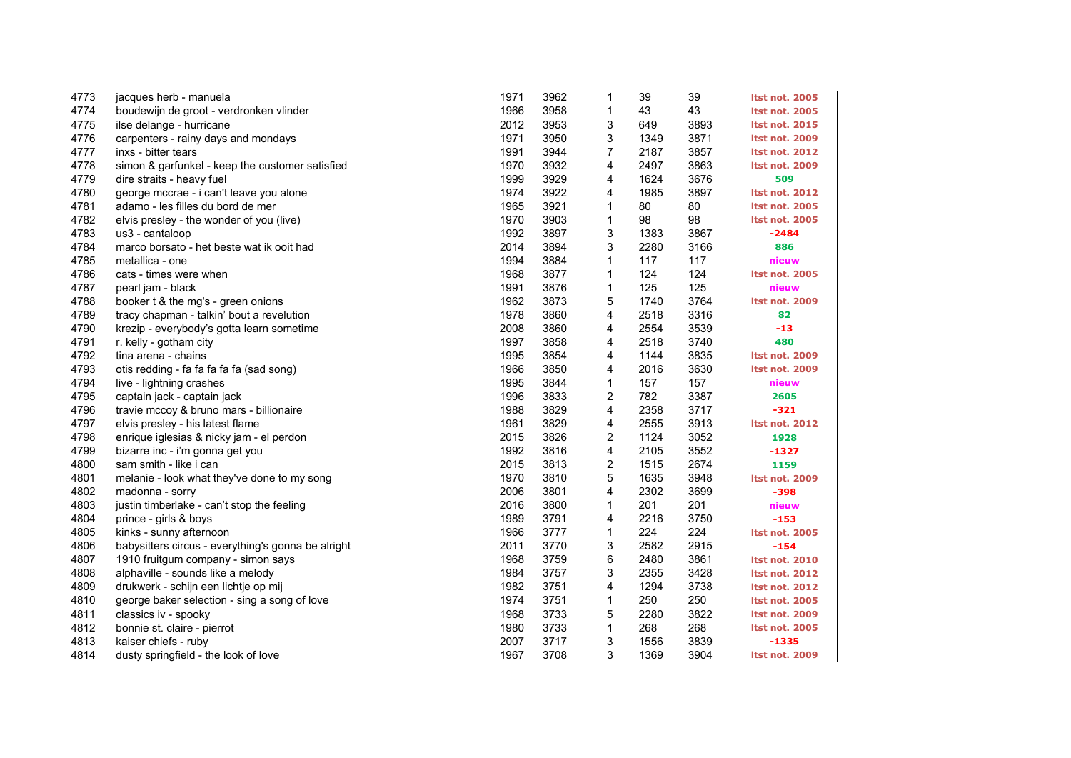| 4773 | jacques herb - manuela                             | 1971 | 3962 | 1            | 39   | 39   | <b>Itst not. 2005</b> |
|------|----------------------------------------------------|------|------|--------------|------|------|-----------------------|
| 4774 | boudewijn de groot - verdronken vlinder            | 1966 | 3958 | 1            | 43   | 43   | <b>Itst not. 2005</b> |
| 4775 | ilse delange - hurricane                           | 2012 | 3953 | 3            | 649  | 3893 | <b>Itst not. 2015</b> |
| 4776 | carpenters - rainy days and mondays                | 1971 | 3950 | 3            | 1349 | 3871 | <b>Itst not. 2009</b> |
| 4777 | inxs - bitter tears                                | 1991 | 3944 | 7            | 2187 | 3857 | <b>Itst not. 2012</b> |
| 4778 | simon & garfunkel - keep the customer satisfied    | 1970 | 3932 | 4            | 2497 | 3863 | <b>Itst not. 2009</b> |
| 4779 | dire straits - heavy fuel                          | 1999 | 3929 | 4            | 1624 | 3676 | 509                   |
| 4780 | george mccrae - i can't leave you alone            | 1974 | 3922 | 4            | 1985 | 3897 | <b>Itst not. 2012</b> |
| 4781 | adamo - les filles du bord de mer                  | 1965 | 3921 | 1            | 80   | 80   | <b>Itst not. 2005</b> |
| 4782 | elvis presley - the wonder of you (live)           | 1970 | 3903 | $\mathbf{1}$ | 98   | 98   | <b>Itst not. 2005</b> |
| 4783 | us3 - cantaloop                                    | 1992 | 3897 | 3            | 1383 | 3867 | $-2484$               |
| 4784 | marco borsato - het beste wat ik ooit had          | 2014 | 3894 | 3            | 2280 | 3166 | 886                   |
| 4785 | metallica - one                                    | 1994 | 3884 | 1            | 117  | 117  | nieuw                 |
| 4786 | cats - times were when                             | 1968 | 3877 | 1            | 124  | 124  | <b>Itst not. 2005</b> |
| 4787 | pearl jam - black                                  | 1991 | 3876 | $\mathbf{1}$ | 125  | 125  | nieuw                 |
| 4788 | booker t & the mg's - green onions                 | 1962 | 3873 | 5            | 1740 | 3764 | <b>Itst not. 2009</b> |
| 4789 | tracy chapman - talkin' bout a revelution          | 1978 | 3860 | 4            | 2518 | 3316 | 82                    |
| 4790 | krezip - everybody's gotta learn sometime          | 2008 | 3860 | 4            | 2554 | 3539 | -13                   |
| 4791 | r. kelly - gotham city                             | 1997 | 3858 | 4            | 2518 | 3740 | 480                   |
| 4792 | tina arena - chains                                | 1995 | 3854 | 4            | 1144 | 3835 | Itst not. 2009        |
| 4793 | otis redding - fa fa fa fa fa (sad song)           | 1966 | 3850 | 4            | 2016 | 3630 | <b>Itst not. 2009</b> |
| 4794 | live - lightning crashes                           | 1995 | 3844 | 1            | 157  | 157  | nieuw                 |
| 4795 | captain jack - captain jack                        | 1996 | 3833 | 2            | 782  | 3387 | 2605                  |
| 4796 | travie mccoy & bruno mars - billionaire            | 1988 | 3829 | 4            | 2358 | 3717 | $-321$                |
| 4797 | elvis presley - his latest flame                   | 1961 | 3829 | 4            | 2555 | 3913 | <b>Itst not. 2012</b> |
| 4798 | enrique iglesias & nicky jam - el perdon           | 2015 | 3826 | 2            | 1124 | 3052 | 1928                  |
| 4799 | bizarre inc - i'm gonna get you                    | 1992 | 3816 | 4            | 2105 | 3552 | $-1327$               |
| 4800 | sam smith - like i can                             | 2015 | 3813 | 2            | 1515 | 2674 | 1159                  |
| 4801 | melanie - look what they've done to my song        | 1970 | 3810 | 5            | 1635 | 3948 | <b>Itst not. 2009</b> |
| 4802 | madonna - sorry                                    | 2006 | 3801 | 4            | 2302 | 3699 | $-398$                |
| 4803 | justin timberlake - can't stop the feeling         | 2016 | 3800 | 1            | 201  | 201  | nieuw                 |
| 4804 | prince - girls & boys                              | 1989 | 3791 | 4            | 2216 | 3750 | $-153$                |
| 4805 | kinks - sunny afternoon                            | 1966 | 3777 | $\mathbf{1}$ | 224  | 224  | <b>Itst not. 2005</b> |
| 4806 | babysitters circus - everything's gonna be alright | 2011 | 3770 | 3            | 2582 | 2915 | $-154$                |
| 4807 | 1910 fruitgum company - simon says                 | 1968 | 3759 | 6            | 2480 | 3861 | <b>Itst not. 2010</b> |
| 4808 | alphaville - sounds like a melody                  | 1984 | 3757 | 3            | 2355 | 3428 | <b>Itst not. 2012</b> |
| 4809 | drukwerk - schijn een lichtje op mij               | 1982 | 3751 | 4            | 1294 | 3738 | <b>Itst not. 2012</b> |
| 4810 | george baker selection - sing a song of love       | 1974 | 3751 | 1            | 250  | 250  | <b>Itst not. 2005</b> |
| 4811 | classics iv - spooky                               | 1968 | 3733 | 5            | 2280 | 3822 | <b>Itst not. 2009</b> |
| 4812 | bonnie st. claire - pierrot                        | 1980 | 3733 | $\mathbf{1}$ | 268  | 268  | <b>Itst not. 2005</b> |
| 4813 | kaiser chiefs - ruby                               | 2007 | 3717 | 3            | 1556 | 3839 | $-1335$               |
| 4814 | dusty springfield - the look of love               | 1967 | 3708 | 3            | 1369 | 3904 | <b>Itst not. 2009</b> |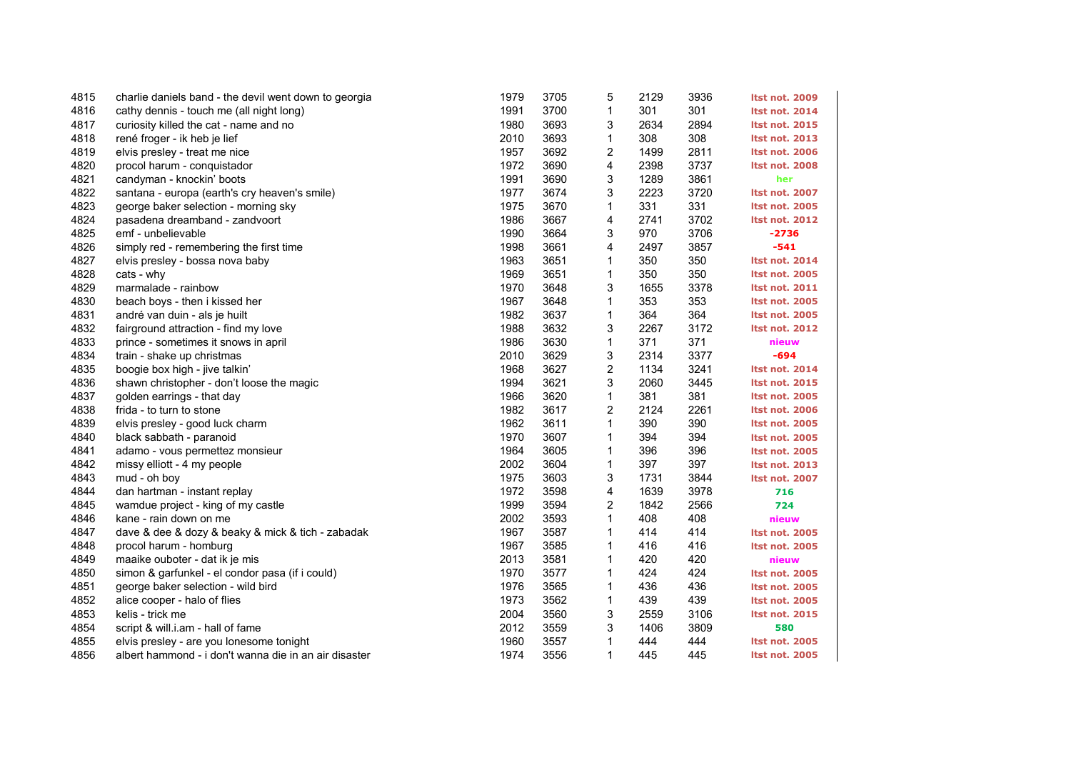| 4815 | charlie daniels band - the devil went down to georgia | 1979 | 3705 | 5            | 2129 | 3936 | <b>Itst not. 2009</b> |
|------|-------------------------------------------------------|------|------|--------------|------|------|-----------------------|
| 4816 | cathy dennis - touch me (all night long)              | 1991 | 3700 | 1            | 301  | 301  | <b>Itst not. 2014</b> |
| 4817 | curiosity killed the cat - name and no                | 1980 | 3693 | 3            | 2634 | 2894 | <b>Itst not. 2015</b> |
| 4818 | rené froger - ik heb je lief                          | 2010 | 3693 | 1            | 308  | 308  | <b>Itst not. 2013</b> |
| 4819 | elvis presley - treat me nice                         | 1957 | 3692 | 2            | 1499 | 2811 | <b>Itst not. 2006</b> |
| 4820 | procol harum - conquistador                           | 1972 | 3690 | 4            | 2398 | 3737 | <b>Itst not. 2008</b> |
| 4821 | candyman - knockin' boots                             | 1991 | 3690 | 3            | 1289 | 3861 | her                   |
| 4822 | santana - europa (earth's cry heaven's smile)         | 1977 | 3674 | 3            | 2223 | 3720 | <b>Itst not. 2007</b> |
| 4823 | george baker selection - morning sky                  | 1975 | 3670 | 1            | 331  | 331  | <b>Itst not. 2005</b> |
| 4824 | pasadena dreamband - zandvoort                        | 1986 | 3667 | 4            | 2741 | 3702 | <b>Itst not. 2012</b> |
| 4825 | emf - unbelievable                                    | 1990 | 3664 | 3            | 970  | 3706 | $-2736$               |
| 4826 | simply red - remembering the first time               | 1998 | 3661 | 4            | 2497 | 3857 | $-541$                |
| 4827 | elvis presley - bossa nova baby                       | 1963 | 3651 | 1            | 350  | 350  | <b>Itst not. 2014</b> |
| 4828 | cats - why                                            | 1969 | 3651 | 1            | 350  | 350  | <b>Itst not. 2005</b> |
| 4829 | marmalade - rainbow                                   | 1970 | 3648 | 3            | 1655 | 3378 | <b>Itst not. 2011</b> |
| 4830 | beach boys - then i kissed her                        | 1967 | 3648 | 1            | 353  | 353  | <b>Itst not. 2005</b> |
| 4831 | andré van duin - als je huilt                         | 1982 | 3637 | 1            | 364  | 364  | <b>Itst not. 2005</b> |
| 4832 | fairground attraction - find my love                  | 1988 | 3632 | 3            | 2267 | 3172 | <b>Itst not. 2012</b> |
| 4833 | prince - sometimes it snows in april                  | 1986 | 3630 | 1            | 371  | 371  | nieuw                 |
| 4834 | train - shake up christmas                            | 2010 | 3629 | 3            | 2314 | 3377 | $-694$                |
| 4835 | boogie box high - jive talkin'                        | 1968 | 3627 | 2            | 1134 | 3241 | <b>Itst not. 2014</b> |
| 4836 | shawn christopher - don't loose the magic             | 1994 | 3621 | 3            | 2060 | 3445 | <b>Itst not. 2015</b> |
| 4837 | golden earrings - that day                            | 1966 | 3620 | 1            | 381  | 381  | <b>Itst not. 2005</b> |
| 4838 | frida - to turn to stone                              | 1982 | 3617 | 2            | 2124 | 2261 | <b>Itst not. 2006</b> |
| 4839 | elvis presley - good luck charm                       | 1962 | 3611 | 1            | 390  | 390  | <b>Itst not. 2005</b> |
| 4840 | black sabbath - paranoid                              | 1970 | 3607 | 1            | 394  | 394  | <b>Itst not. 2005</b> |
| 4841 | adamo - vous permettez monsieur                       | 1964 | 3605 | 1            | 396  | 396  | <b>Itst not. 2005</b> |
| 4842 | missy elliott - 4 my people                           | 2002 | 3604 | 1            | 397  | 397  | <b>Itst not. 2013</b> |
| 4843 | mud - oh boy                                          | 1975 | 3603 | 3            | 1731 | 3844 | <b>Itst not. 2007</b> |
| 4844 | dan hartman - instant replay                          | 1972 | 3598 | 4            | 1639 | 3978 | 716                   |
| 4845 | wamdue project - king of my castle                    | 1999 | 3594 | 2            | 1842 | 2566 | 724                   |
| 4846 | kane - rain down on me                                | 2002 | 3593 | 1            | 408  | 408  | nieuw                 |
| 4847 | dave & dee & dozy & beaky & mick & tich - zabadak     | 1967 | 3587 | 1            | 414  | 414  | <b>Itst not. 2005</b> |
| 4848 | procol harum - homburg                                | 1967 | 3585 | 1            | 416  | 416  | <b>Itst not. 2005</b> |
| 4849 | maaike ouboter - dat ik je mis                        | 2013 | 3581 | 1            | 420  | 420  | nieuw                 |
| 4850 | simon & garfunkel - el condor pasa (if i could)       | 1970 | 3577 | 1            | 424  | 424  | <b>Itst not. 2005</b> |
| 4851 | george baker selection - wild bird                    | 1976 | 3565 | 1            | 436  | 436  | <b>Itst not. 2005</b> |
| 4852 | alice cooper - halo of flies                          | 1973 | 3562 | $\mathbf{1}$ | 439  | 439  | <b>Itst not. 2005</b> |
| 4853 | kelis - trick me                                      | 2004 | 3560 | 3            | 2559 | 3106 | <b>Itst not. 2015</b> |
| 4854 | script & will.i.am - hall of fame                     | 2012 | 3559 | 3            | 1406 | 3809 | 580                   |
| 4855 | elvis presley - are you lonesome tonight              | 1960 | 3557 | 1            | 444  | 444  | <b>Itst not. 2005</b> |
| 4856 | albert hammond - i don't wanna die in an air disaster | 1974 | 3556 | $\mathbf{1}$ | 445  | 445  | <b>Itst not. 2005</b> |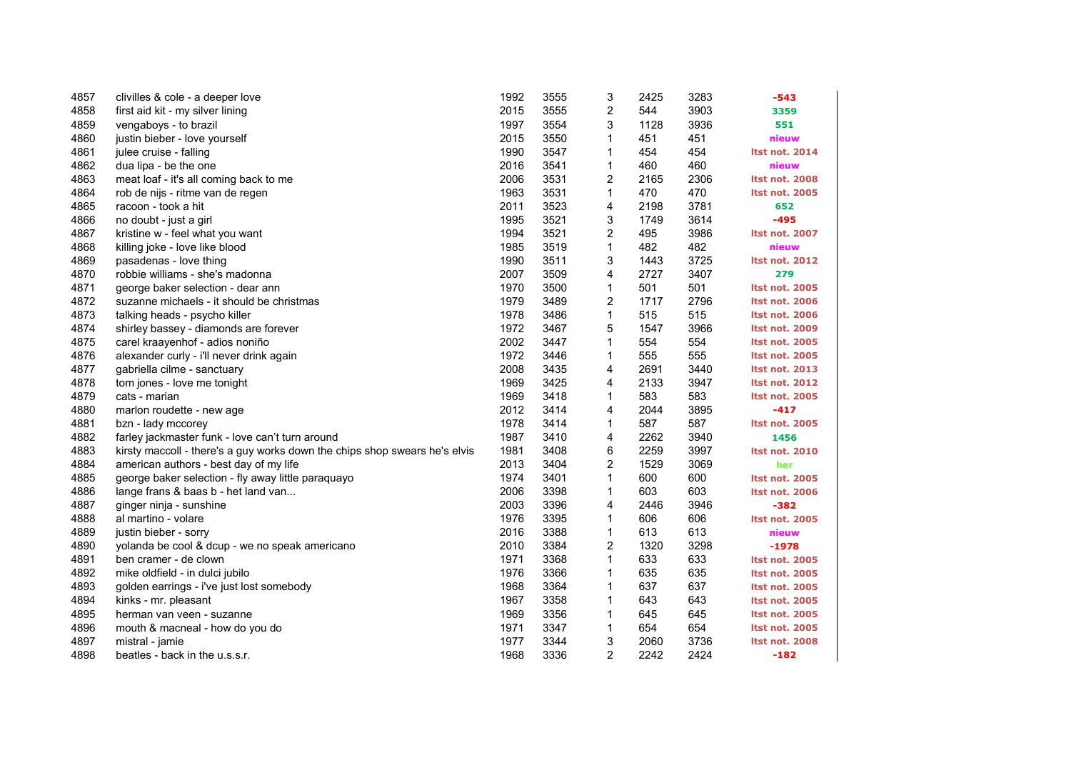| 4857 | clivilles & cole - a deeper love                                           | 1992 | 3555 | 3              | 2425 | 3283 | -543                  |
|------|----------------------------------------------------------------------------|------|------|----------------|------|------|-----------------------|
| 4858 | first aid kit - my silver lining                                           | 2015 | 3555 | 2              | 544  | 3903 | 3359                  |
| 4859 | vengaboys - to brazil                                                      | 1997 | 3554 | 3              | 1128 | 3936 | 551                   |
| 4860 | justin bieber - love yourself                                              | 2015 | 3550 | 1              | 451  | 451  | nieuw                 |
| 4861 | julee cruise - falling                                                     | 1990 | 3547 | 1              | 454  | 454  | <b>Itst not. 2014</b> |
| 4862 | dua lipa - be the one                                                      | 2016 | 3541 | 1              | 460  | 460  | nieuw                 |
| 4863 | meat loaf - it's all coming back to me                                     | 2006 | 3531 | 2              | 2165 | 2306 | <b>Itst not. 2008</b> |
| 4864 | rob de nijs - ritme van de regen                                           | 1963 | 3531 | 1              | 470  | 470  | <b>Itst not. 2005</b> |
| 4865 | racoon - took a hit                                                        | 2011 | 3523 | 4              | 2198 | 3781 | 652                   |
| 4866 | no doubt - just a girl                                                     | 1995 | 3521 | 3              | 1749 | 3614 | $-495$                |
| 4867 | kristine w - feel what you want                                            | 1994 | 3521 | 2              | 495  | 3986 | <b>Itst not. 2007</b> |
| 4868 | killing joke - love like blood                                             | 1985 | 3519 | 1              | 482  | 482  | nieuw                 |
| 4869 | pasadenas - love thing                                                     | 1990 | 3511 | 3              | 1443 | 3725 | <b>Itst not. 2012</b> |
| 4870 | robbie williams - she's madonna                                            | 2007 | 3509 | 4              | 2727 | 3407 | 279                   |
| 4871 | george baker selection - dear ann                                          | 1970 | 3500 | 1              | 501  | 501  | <b>Itst not. 2005</b> |
| 4872 | suzanne michaels - it should be christmas                                  | 1979 | 3489 | 2              | 1717 | 2796 | <b>Itst not. 2006</b> |
| 4873 | talking heads - psycho killer                                              | 1978 | 3486 | 1              | 515  | 515  | <b>Itst not. 2006</b> |
| 4874 | shirley bassey - diamonds are forever                                      | 1972 | 3467 | 5              | 1547 | 3966 | <b>Itst not. 2009</b> |
| 4875 | carel kraayenhof - adios noniño                                            | 2002 | 3447 | 1              | 554  | 554  | <b>Itst not. 2005</b> |
| 4876 | alexander curly - i'll never drink again                                   | 1972 | 3446 | 1              | 555  | 555  | <b>Itst not. 2005</b> |
| 4877 | gabriella cilme - sanctuary                                                | 2008 | 3435 | 4              | 2691 | 3440 | <b>Itst not. 2013</b> |
| 4878 | tom jones - love me tonight                                                | 1969 | 3425 | 4              | 2133 | 3947 | <b>Itst not. 2012</b> |
| 4879 | cats - marian                                                              | 1969 | 3418 | 1              | 583  | 583  | <b>Itst not. 2005</b> |
| 4880 | marlon roudette - new age                                                  | 2012 | 3414 | 4              | 2044 | 3895 | $-417$                |
| 4881 | bzn - lady mccorey                                                         | 1978 | 3414 | 1              | 587  | 587  | <b>Itst not. 2005</b> |
| 4882 | farley jackmaster funk - love can't turn around                            | 1987 | 3410 | 4              | 2262 | 3940 | 1456                  |
| 4883 | kirsty maccoll - there's a guy works down the chips shop swears he's elvis | 1981 | 3408 | 6              | 2259 | 3997 | <b>Itst not. 2010</b> |
| 4884 | american authors - best day of my life                                     | 2013 | 3404 | 2              | 1529 | 3069 | her                   |
| 4885 | george baker selection - fly away little paraquayo                         | 1974 | 3401 | 1              | 600  | 600  | <b>Itst not. 2005</b> |
| 4886 | lange frans & baas b - het land van                                        | 2006 | 3398 | 1              | 603  | 603  | Itst not. 2006        |
| 4887 | ginger ninja - sunshine                                                    | 2003 | 3396 | 4              | 2446 | 3946 | $-382$                |
| 4888 | al martino - volare                                                        | 1976 | 3395 | 1              | 606  | 606  | <b>Itst not. 2005</b> |
| 4889 | justin bieber - sorry                                                      | 2016 | 3388 | 1              | 613  | 613  | nieuw                 |
| 4890 | yolanda be cool & dcup - we no speak americano                             | 2010 | 3384 | 2              | 1320 | 3298 | $-1978$               |
| 4891 | ben cramer - de clown                                                      | 1971 | 3368 | 1              | 633  | 633  | <b>Itst not. 2005</b> |
| 4892 | mike oldfield - in dulci jubilo                                            | 1976 | 3366 | 1              | 635  | 635  | <b>Itst not. 2005</b> |
| 4893 | golden earrings - i've just lost somebody                                  | 1968 | 3364 | 1              | 637  | 637  | <b>Itst not. 2005</b> |
| 4894 | kinks - mr. pleasant                                                       | 1967 | 3358 | 1              | 643  | 643  | <b>Itst not. 2005</b> |
| 4895 | herman van veen - suzanne                                                  | 1969 | 3356 | $\mathbf{1}$   | 645  | 645  | <b>Itst not. 2005</b> |
| 4896 | mouth & macneal - how do you do                                            | 1971 | 3347 | 1              | 654  | 654  | <b>Itst not. 2005</b> |
| 4897 | mistral - jamie                                                            | 1977 | 3344 | 3              | 2060 | 3736 | <b>Itst not. 2008</b> |
| 4898 | beatles - back in the u.s.s.r.                                             | 1968 | 3336 | $\overline{2}$ | 2242 | 2424 | $-182$                |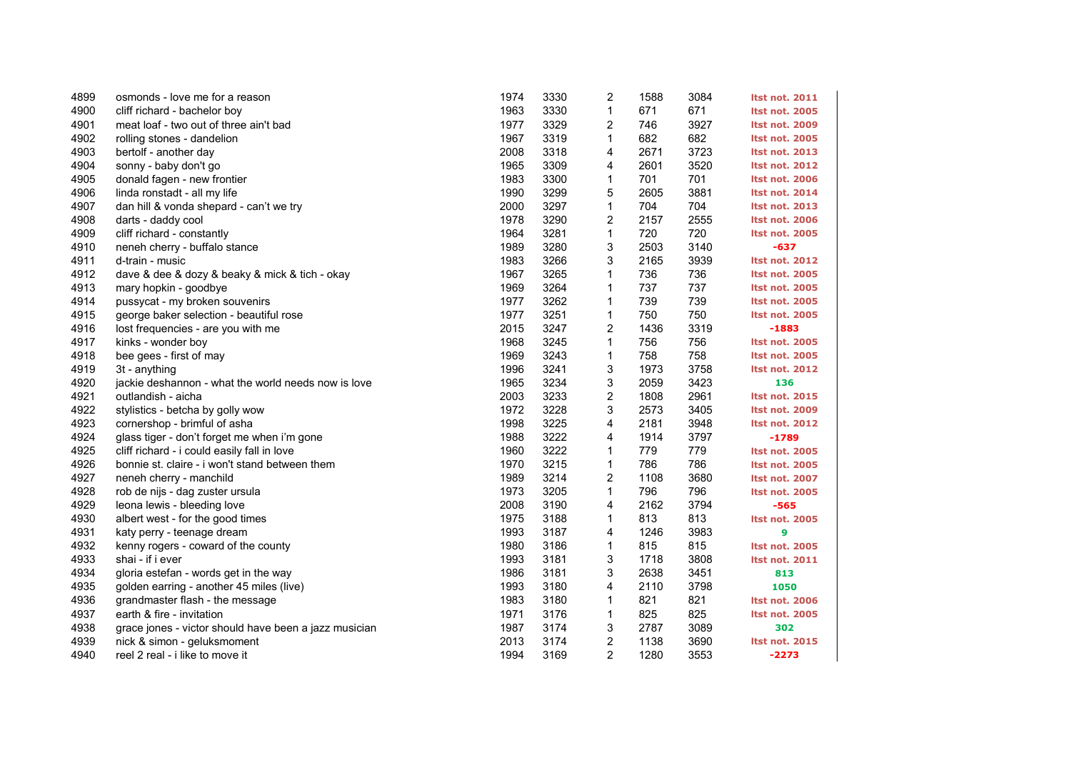| 4899 | osmonds - love me for a reason                        | 1974 | 3330 | 2            | 1588 | 3084 | <b>Itst not. 2011</b> |
|------|-------------------------------------------------------|------|------|--------------|------|------|-----------------------|
| 4900 | cliff richard - bachelor boy                          | 1963 | 3330 | $\mathbf{1}$ | 671  | 671  | <b>Itst not. 2005</b> |
| 4901 | meat loaf - two out of three ain't bad                | 1977 | 3329 | 2            | 746  | 3927 | <b>Itst not. 2009</b> |
| 4902 | rolling stones - dandelion                            | 1967 | 3319 | 1            | 682  | 682  | <b>Itst not. 2005</b> |
| 4903 | bertolf - another day                                 | 2008 | 3318 | 4            | 2671 | 3723 | <b>Itst not. 2013</b> |
| 4904 | sonny - baby don't go                                 | 1965 | 3309 | 4            | 2601 | 3520 | <b>Itst not. 2012</b> |
| 4905 | donald fagen - new frontier                           | 1983 | 3300 | 1            | 701  | 701  | <b>Itst not. 2006</b> |
| 4906 | linda ronstadt - all my life                          | 1990 | 3299 | 5            | 2605 | 3881 | <b>Itst not. 2014</b> |
| 4907 | dan hill & vonda shepard - can't we try               | 2000 | 3297 | 1            | 704  | 704  | <b>Itst not. 2013</b> |
| 4908 | darts - daddy cool                                    | 1978 | 3290 | 2            | 2157 | 2555 | <b>Itst not. 2006</b> |
| 4909 | cliff richard - constantly                            | 1964 | 3281 | $\mathbf{1}$ | 720  | 720  | <b>Itst not. 2005</b> |
| 4910 | neneh cherry - buffalo stance                         | 1989 | 3280 | 3            | 2503 | 3140 | $-637$                |
| 4911 | d-train - music                                       | 1983 | 3266 | 3            | 2165 | 3939 | <b>Itst not. 2012</b> |
| 4912 | dave & dee & dozy & beaky & mick & tich - okay        | 1967 | 3265 | 1            | 736  | 736  | <b>Itst not. 2005</b> |
| 4913 | mary hopkin - goodbye                                 | 1969 | 3264 | $\mathbf{1}$ | 737  | 737  | <b>Itst not. 2005</b> |
| 4914 | pussycat - my broken souvenirs                        | 1977 | 3262 | 1            | 739  | 739  | <b>Itst not. 2005</b> |
| 4915 | george baker selection - beautiful rose               | 1977 | 3251 | 1            | 750  | 750  | <b>Itst not. 2005</b> |
| 4916 | lost frequencies - are you with me                    | 2015 | 3247 | 2            | 1436 | 3319 | $-1883$               |
| 4917 | kinks - wonder boy                                    | 1968 | 3245 | $\mathbf{1}$ | 756  | 756  | <b>Itst not. 2005</b> |
| 4918 | bee gees - first of may                               | 1969 | 3243 | $\mathbf{1}$ | 758  | 758  | <b>Itst not. 2005</b> |
| 4919 | 3t - anything                                         | 1996 | 3241 | 3            | 1973 | 3758 | <b>Itst not. 2012</b> |
| 4920 | jackie deshannon - what the world needs now is love   | 1965 | 3234 | 3            | 2059 | 3423 | 136                   |
| 4921 | outlandish - aicha                                    | 2003 | 3233 | 2            | 1808 | 2961 | <b>Itst not. 2015</b> |
| 4922 | stylistics - betcha by golly wow                      | 1972 | 3228 | 3            | 2573 | 3405 | <b>Itst not. 2009</b> |
| 4923 | cornershop - brimful of asha                          | 1998 | 3225 | 4            | 2181 | 3948 | <b>Itst not. 2012</b> |
| 4924 | glass tiger - don't forget me when i'm gone           | 1988 | 3222 | 4            | 1914 | 3797 | $-1789$               |
| 4925 | cliff richard - i could easily fall in love           | 1960 | 3222 | 1            | 779  | 779  | <b>Itst not. 2005</b> |
| 4926 | bonnie st. claire - i won't stand between them        | 1970 | 3215 | $\mathbf{1}$ | 786  | 786  | <b>Itst not. 2005</b> |
| 4927 | neneh cherry - manchild                               | 1989 | 3214 | 2            | 1108 | 3680 | <b>Itst not. 2007</b> |
| 4928 | rob de nijs - dag zuster ursula                       | 1973 | 3205 | 1            | 796  | 796  | <b>Itst not. 2005</b> |
| 4929 | leona lewis - bleeding love                           | 2008 | 3190 | 4            | 2162 | 3794 | $-565$                |
| 4930 | albert west - for the good times                      | 1975 | 3188 | 1            | 813  | 813  | <b>Itst not. 2005</b> |
| 4931 | katy perry - teenage dream                            | 1993 | 3187 | 4            | 1246 | 3983 | 9                     |
| 4932 | kenny rogers - coward of the county                   | 1980 | 3186 | 1            | 815  | 815  | <b>Itst not. 2005</b> |
| 4933 | shai - if i ever                                      | 1993 | 3181 | 3            | 1718 | 3808 | <b>Itst not. 2011</b> |
| 4934 | gloria estefan - words get in the way                 | 1986 | 3181 | 3            | 2638 | 3451 | 813                   |
| 4935 | golden earring - another 45 miles (live)              | 1993 | 3180 | 4            | 2110 | 3798 | 1050                  |
| 4936 | grandmaster flash - the message                       | 1983 | 3180 | $\mathbf{1}$ | 821  | 821  | <b>Itst not. 2006</b> |
| 4937 | earth & fire - invitation                             | 1971 | 3176 | 1            | 825  | 825  | <b>Itst not. 2005</b> |
| 4938 | grace jones - victor should have been a jazz musician | 1987 | 3174 | 3            | 2787 | 3089 | 302                   |
| 4939 | nick & simon - geluksmoment                           | 2013 | 3174 | 2            | 1138 | 3690 | <b>Itst not. 2015</b> |
| 4940 | reel 2 real - i like to move it                       | 1994 | 3169 | 2            | 1280 | 3553 | $-2273$               |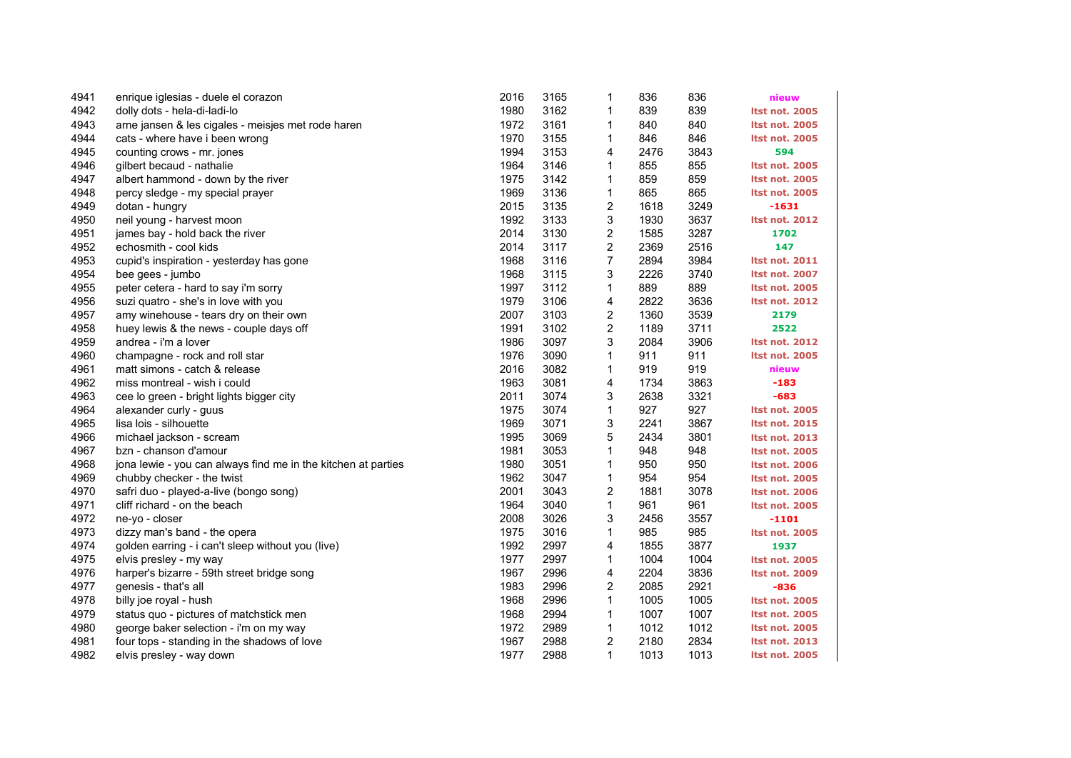| 4941 | enrique iglesias - duele el corazon                           | 2016 | 3165 | 1                       | 836  | 836  | nieuw                 |
|------|---------------------------------------------------------------|------|------|-------------------------|------|------|-----------------------|
| 4942 | dolly dots - hela-di-ladi-lo                                  | 1980 | 3162 | 1                       | 839  | 839  | <b>Itst not. 2005</b> |
| 4943 | arne jansen & les cigales - meisjes met rode haren            | 1972 | 3161 | 1                       | 840  | 840  | <b>Itst not. 2005</b> |
| 4944 | cats - where have i been wrong                                | 1970 | 3155 | 1                       | 846  | 846  | <b>Itst not. 2005</b> |
| 4945 | counting crows - mr. jones                                    | 1994 | 3153 | 4                       | 2476 | 3843 | 594                   |
| 4946 | gilbert becaud - nathalie                                     | 1964 | 3146 | 1                       | 855  | 855  | <b>Itst not. 2005</b> |
| 4947 | albert hammond - down by the river                            | 1975 | 3142 | 1                       | 859  | 859  | <b>Itst not. 2005</b> |
| 4948 | percy sledge - my special prayer                              | 1969 | 3136 | 1                       | 865  | 865  | <b>Itst not. 2005</b> |
| 4949 | dotan - hungry                                                | 2015 | 3135 | 2                       | 1618 | 3249 | $-1631$               |
| 4950 | neil young - harvest moon                                     | 1992 | 3133 | 3                       | 1930 | 3637 | <b>Itst not. 2012</b> |
| 4951 | james bay - hold back the river                               | 2014 | 3130 | $\overline{\mathbf{c}}$ | 1585 | 3287 | 1702                  |
| 4952 | echosmith - cool kids                                         | 2014 | 3117 | $\overline{\mathbf{c}}$ | 2369 | 2516 | 147                   |
| 4953 | cupid's inspiration - yesterday has gone                      | 1968 | 3116 | 7                       | 2894 | 3984 | <b>Itst not. 2011</b> |
| 4954 | bee gees - jumbo                                              | 1968 | 3115 | 3                       | 2226 | 3740 | <b>Itst not. 2007</b> |
| 4955 | peter cetera - hard to say i'm sorry                          | 1997 | 3112 | 1                       | 889  | 889  | <b>Itst not. 2005</b> |
| 4956 | suzi quatro - she's in love with you                          | 1979 | 3106 | 4                       | 2822 | 3636 | <b>Itst not. 2012</b> |
| 4957 | amy winehouse - tears dry on their own                        | 2007 | 3103 | 2                       | 1360 | 3539 | 2179                  |
| 4958 | huey lewis & the news - couple days off                       | 1991 | 3102 | 2                       | 1189 | 3711 | 2522                  |
| 4959 | andrea - i'm a lover                                          | 1986 | 3097 | 3                       | 2084 | 3906 | <b>Itst not. 2012</b> |
| 4960 | champagne - rock and roll star                                | 1976 | 3090 | 1                       | 911  | 911  | <b>Itst not. 2005</b> |
| 4961 | matt simons - catch & release                                 | 2016 | 3082 | 1                       | 919  | 919  | nieuw                 |
| 4962 | miss montreal - wish i could                                  | 1963 | 3081 | 4                       | 1734 | 3863 | $-183$                |
| 4963 | cee lo green - bright lights bigger city                      | 2011 | 3074 | 3                       | 2638 | 3321 | $-683$                |
| 4964 | alexander curly - guus                                        | 1975 | 3074 | 1                       | 927  | 927  | <b>Itst not. 2005</b> |
| 4965 | lisa lois - silhouette                                        | 1969 | 3071 | 3                       | 2241 | 3867 | <b>Itst not. 2015</b> |
| 4966 | michael jackson - scream                                      | 1995 | 3069 | 5                       | 2434 | 3801 | <b>Itst not. 2013</b> |
| 4967 | bzn - chanson d'amour                                         | 1981 | 3053 | 1                       | 948  | 948  | <b>Itst not. 2005</b> |
| 4968 | jona lewie - you can always find me in the kitchen at parties | 1980 | 3051 | 1                       | 950  | 950  | <b>Itst not. 2006</b> |
| 4969 | chubby checker - the twist                                    | 1962 | 3047 | $\mathbf{1}$            | 954  | 954  | <b>Itst not. 2005</b> |
| 4970 | safri duo - played-a-live (bongo song)                        | 2001 | 3043 | $\overline{c}$          | 1881 | 3078 | <b>Itst not. 2006</b> |
| 4971 | cliff richard - on the beach                                  | 1964 | 3040 | 1                       | 961  | 961  | <b>Itst not. 2005</b> |
| 4972 | ne-yo - closer                                                | 2008 | 3026 | 3                       | 2456 | 3557 | $-1101$               |
| 4973 | dizzy man's band - the opera                                  | 1975 | 3016 | 1                       | 985  | 985  | <b>Itst not. 2005</b> |
| 4974 | golden earring - i can't sleep without you (live)             | 1992 | 2997 | 4                       | 1855 | 3877 | 1937                  |
| 4975 | elvis presley - my way                                        | 1977 | 2997 | $\mathbf{1}$            | 1004 | 1004 | <b>Itst not. 2005</b> |
| 4976 | harper's bizarre - 59th street bridge song                    | 1967 | 2996 | 4                       | 2204 | 3836 | <b>Itst not. 2009</b> |
| 4977 | genesis - that's all                                          | 1983 | 2996 | 2                       | 2085 | 2921 | $-836$                |
| 4978 | billy joe royal - hush                                        | 1968 | 2996 | 1                       | 1005 | 1005 | <b>Itst not. 2005</b> |
| 4979 | status quo - pictures of matchstick men                       | 1968 | 2994 | $\mathbf{1}$            | 1007 | 1007 | <b>Itst not. 2005</b> |
| 4980 | george baker selection - i'm on my way                        | 1972 | 2989 | 1                       | 1012 | 1012 | <b>Itst not. 2005</b> |
| 4981 | four tops - standing in the shadows of love                   | 1967 | 2988 | 2                       | 2180 | 2834 | <b>Itst not. 2013</b> |
| 4982 | elvis presley - way down                                      | 1977 | 2988 | 1                       | 1013 | 1013 | <b>Itst not. 2005</b> |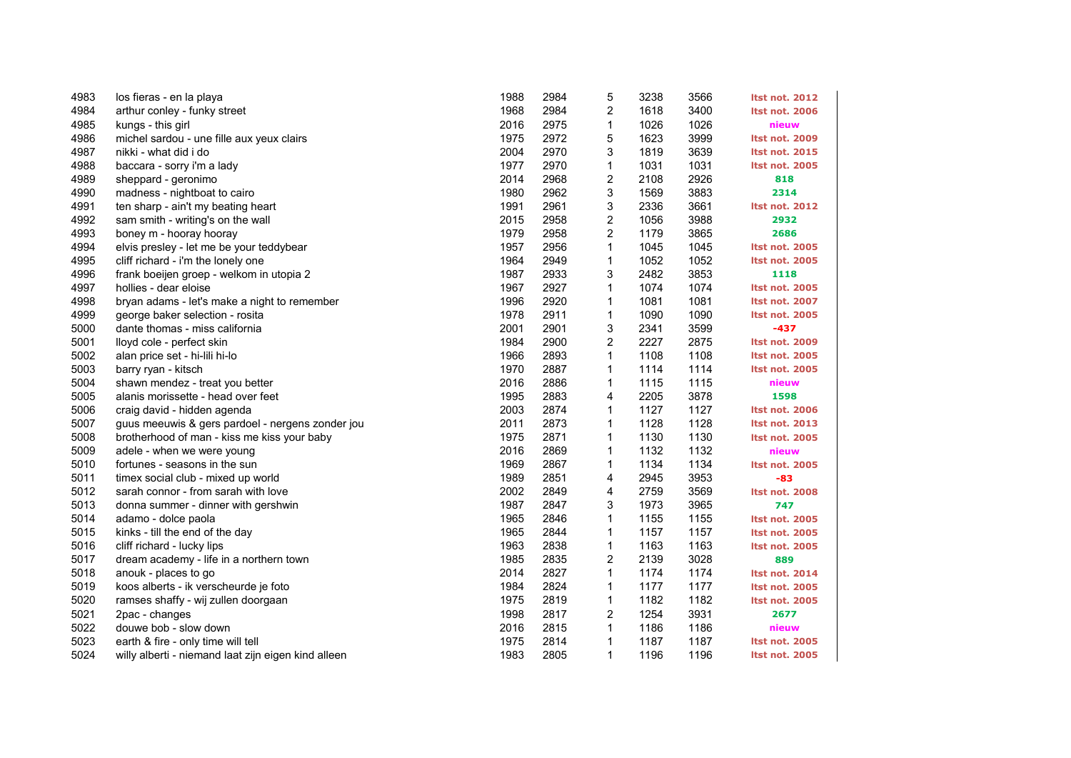| 4983 | los fieras - en la playa                            | 1988 | 2984 | 5                       | 3238 | 3566 | <b>Itst not. 2012</b> |
|------|-----------------------------------------------------|------|------|-------------------------|------|------|-----------------------|
| 4984 | arthur conley - funky street                        | 1968 | 2984 | 2                       | 1618 | 3400 | <b>Itst not. 2006</b> |
| 4985 | kungs - this girl                                   | 2016 | 2975 | 1                       | 1026 | 1026 | nieuw                 |
| 4986 | michel sardou - une fille aux yeux clairs           | 1975 | 2972 | 5                       | 1623 | 3999 | <b>Itst not. 2009</b> |
| 4987 | nikki - what did i do                               | 2004 | 2970 | 3                       | 1819 | 3639 | <b>Itst not. 2015</b> |
| 4988 | baccara - sorry i'm a lady                          | 1977 | 2970 | 1                       | 1031 | 1031 | <b>Itst not. 2005</b> |
| 4989 | sheppard - geronimo                                 | 2014 | 2968 | 2                       | 2108 | 2926 | 818                   |
| 4990 | madness - nightboat to cairo                        | 1980 | 2962 | 3                       | 1569 | 3883 | 2314                  |
| 4991 | ten sharp - ain't my beating heart                  | 1991 | 2961 | 3                       | 2336 | 3661 | <b>Itst not. 2012</b> |
| 4992 | sam smith - writing's on the wall                   | 2015 | 2958 | 2                       | 1056 | 3988 | 2932                  |
| 4993 | boney m - hooray hooray                             | 1979 | 2958 | $\overline{\mathbf{c}}$ | 1179 | 3865 | 2686                  |
| 4994 | elvis presley - let me be your teddybear            | 1957 | 2956 | 1                       | 1045 | 1045 | <b>Itst not. 2005</b> |
| 4995 | cliff richard - i'm the lonely one                  | 1964 | 2949 | 1                       | 1052 | 1052 | Itst not. 2005        |
| 4996 | frank boeijen groep - welkom in utopia 2            | 1987 | 2933 | 3                       | 2482 | 3853 | 1118                  |
| 4997 | hollies - dear eloise                               | 1967 | 2927 | 1                       | 1074 | 1074 | <b>Itst not. 2005</b> |
| 4998 | bryan adams - let's make a night to remember        | 1996 | 2920 | $\mathbf{1}$            | 1081 | 1081 | <b>Itst not. 2007</b> |
| 4999 | george baker selection - rosita                     | 1978 | 2911 | 1                       | 1090 | 1090 | <b>Itst not. 2005</b> |
| 5000 | dante thomas - miss california                      | 2001 | 2901 | 3                       | 2341 | 3599 | $-437$                |
| 5001 | lloyd cole - perfect skin                           | 1984 | 2900 | 2                       | 2227 | 2875 | Itst not. 2009        |
| 5002 | alan price set - hi-lili hi-lo                      | 1966 | 2893 | $\mathbf{1}$            | 1108 | 1108 | <b>Itst not. 2005</b> |
| 5003 | barry ryan - kitsch                                 | 1970 | 2887 | 1                       | 1114 | 1114 | <b>Itst not. 2005</b> |
| 5004 | shawn mendez - treat you better                     | 2016 | 2886 | 1                       | 1115 | 1115 | nieuw                 |
| 5005 | alanis morissette - head over feet                  | 1995 | 2883 | 4                       | 2205 | 3878 | 1598                  |
| 5006 | craig david - hidden agenda                         | 2003 | 2874 | 1                       | 1127 | 1127 | <b>Itst not. 2006</b> |
| 5007 | guus meeuwis & gers pardoel - nergens zonder jou    | 2011 | 2873 | $\mathbf{1}$            | 1128 | 1128 | <b>Itst not. 2013</b> |
| 5008 | brotherhood of man - kiss me kiss your baby         | 1975 | 2871 | $\mathbf{1}$            | 1130 | 1130 | <b>Itst not. 2005</b> |
| 5009 | adele - when we were young                          | 2016 | 2869 | 1                       | 1132 | 1132 | nieuw                 |
| 5010 | fortunes - seasons in the sun                       | 1969 | 2867 | 1                       | 1134 | 1134 | <b>Itst not. 2005</b> |
| 5011 | timex social club - mixed up world                  | 1989 | 2851 | 4                       | 2945 | 3953 | $-83$                 |
| 5012 | sarah connor - from sarah with love                 | 2002 | 2849 | 4                       | 2759 | 3569 | Itst not. 2008        |
| 5013 | donna summer - dinner with gershwin                 | 1987 | 2847 | 3                       | 1973 | 3965 | 747                   |
| 5014 | adamo - dolce paola                                 | 1965 | 2846 | $\mathbf{1}$            | 1155 | 1155 | <b>Itst not. 2005</b> |
| 5015 | kinks - till the end of the day                     | 1965 | 2844 | 1                       | 1157 | 1157 | <b>Itst not. 2005</b> |
| 5016 | cliff richard - lucky lips                          | 1963 | 2838 | 1                       | 1163 | 1163 | <b>Itst not. 2005</b> |
| 5017 | dream academy - life in a northern town             | 1985 | 2835 | $\overline{c}$          | 2139 | 3028 | 889                   |
| 5018 | anouk - places to go                                | 2014 | 2827 | $\mathbf{1}$            | 1174 | 1174 | <b>Itst not. 2014</b> |
| 5019 | koos alberts - ik verscheurde je foto               | 1984 | 2824 | 1                       | 1177 | 1177 | <b>Itst not. 2005</b> |
| 5020 | ramses shaffy - wij zullen doorgaan                 | 1975 | 2819 | $\mathbf{1}$            | 1182 | 1182 | Itst not. 2005        |
| 5021 | 2pac - changes                                      | 1998 | 2817 | 2                       | 1254 | 3931 | 2677                  |
| 5022 | douwe bob - slow down                               | 2016 | 2815 | $\mathbf{1}$            | 1186 | 1186 | nieuw                 |
| 5023 | earth & fire - only time will tell                  | 1975 | 2814 | $\mathbf{1}$            | 1187 | 1187 | <b>Itst not. 2005</b> |
| 5024 | willy alberti - niemand laat zijn eigen kind alleen | 1983 | 2805 | $\mathbf{1}$            | 1196 | 1196 | <b>Itst not. 2005</b> |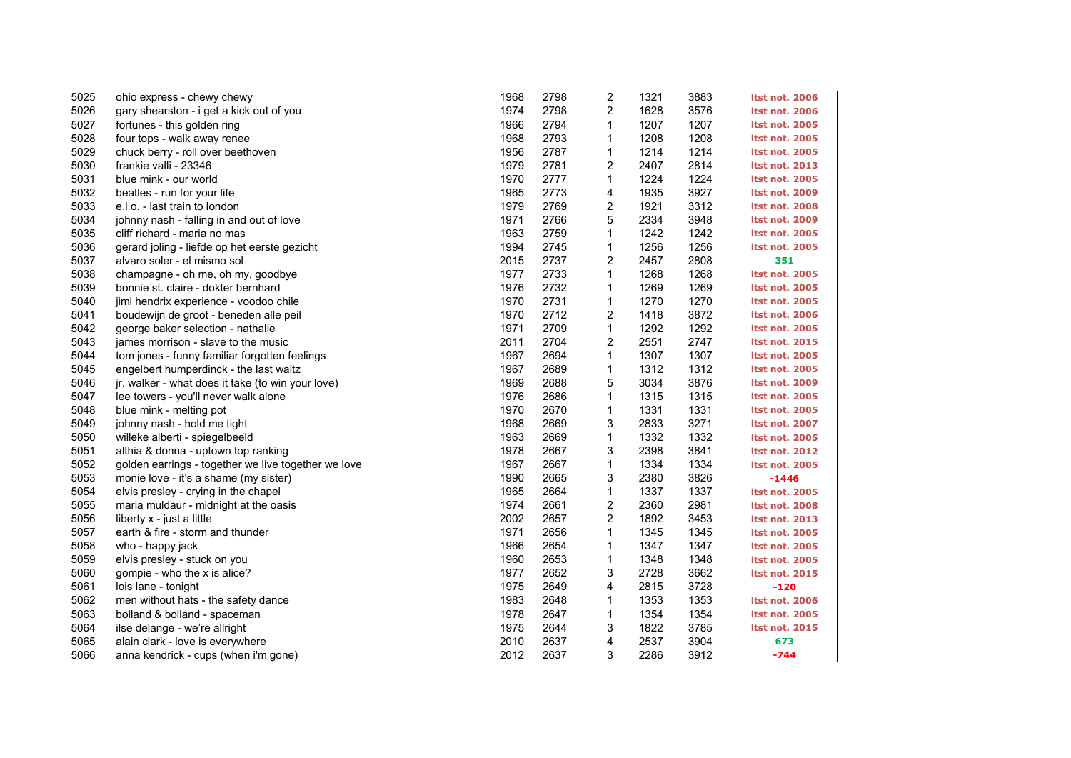| 5025 | ohio express - chewy chewy                          | 1968 | 2798 | 2              | 1321 | 3883 | <b>Itst not. 2006</b> |
|------|-----------------------------------------------------|------|------|----------------|------|------|-----------------------|
| 5026 | gary shearston - i get a kick out of you            | 1974 | 2798 | $\overline{2}$ | 1628 | 3576 | <b>Itst not. 2006</b> |
| 5027 | fortunes - this golden ring                         | 1966 | 2794 | 1              | 1207 | 1207 | <b>Itst not. 2005</b> |
| 5028 | four tops - walk away renee                         | 1968 | 2793 | 1              | 1208 | 1208 | <b>Itst not. 2005</b> |
| 5029 | chuck berry - roll over beethoven                   | 1956 | 2787 | 1              | 1214 | 1214 | <b>Itst not. 2005</b> |
| 5030 | frankie valli - 23346                               | 1979 | 2781 | 2              | 2407 | 2814 | <b>Itst not. 2013</b> |
| 5031 | blue mink - our world                               | 1970 | 2777 | 1              | 1224 | 1224 | <b>Itst not. 2005</b> |
| 5032 | beatles - run for your life                         | 1965 | 2773 | 4              | 1935 | 3927 | <b>Itst not. 2009</b> |
| 5033 | e.l.o. - last train to london                       | 1979 | 2769 | 2              | 1921 | 3312 | <b>Itst not. 2008</b> |
| 5034 | johnny nash - falling in and out of love            | 1971 | 2766 | 5              | 2334 | 3948 | <b>Itst not. 2009</b> |
| 5035 | cliff richard - maria no mas                        | 1963 | 2759 | 1              | 1242 | 1242 | <b>Itst not. 2005</b> |
| 5036 | gerard joling - liefde op het eerste gezicht        | 1994 | 2745 | 1              | 1256 | 1256 | <b>Itst not. 2005</b> |
| 5037 | alvaro soler - el mismo sol                         | 2015 | 2737 | 2              | 2457 | 2808 | 351                   |
| 5038 | champagne - oh me, oh my, goodbye                   | 1977 | 2733 | 1              | 1268 | 1268 | <b>Itst not. 2005</b> |
| 5039 | bonnie st. claire - dokter bernhard                 | 1976 | 2732 | $\mathbf{1}$   | 1269 | 1269 | <b>Itst not. 2005</b> |
| 5040 | jimi hendrix experience - voodoo chile              | 1970 | 2731 | 1              | 1270 | 1270 | <b>Itst not. 2005</b> |
| 5041 | boudewijn de groot - beneden alle peil              | 1970 | 2712 | 2              | 1418 | 3872 | <b>Itst not. 2006</b> |
| 5042 | george baker selection - nathalie                   | 1971 | 2709 | 1              | 1292 | 1292 | <b>Itst not. 2005</b> |
| 5043 | james morrison - slave to the music                 | 2011 | 2704 | 2              | 2551 | 2747 | <b>Itst not. 2015</b> |
| 5044 | tom jones - funny familiar forgotten feelings       | 1967 | 2694 | $\mathbf{1}$   | 1307 | 1307 | <b>Itst not. 2005</b> |
| 5045 | engelbert humperdinck - the last waltz              | 1967 | 2689 | 1              | 1312 | 1312 | <b>Itst not. 2005</b> |
| 5046 | jr. walker - what does it take (to win your love)   | 1969 | 2688 | 5              | 3034 | 3876 | <b>Itst not. 2009</b> |
| 5047 | lee towers - you'll never walk alone                | 1976 | 2686 | 1              | 1315 | 1315 | <b>Itst not. 2005</b> |
| 5048 | blue mink - melting pot                             | 1970 | 2670 | $\mathbf{1}$   | 1331 | 1331 | <b>Itst not. 2005</b> |
| 5049 | johnny nash - hold me tight                         | 1968 | 2669 | 3              | 2833 | 3271 | <b>Itst not. 2007</b> |
| 5050 | willeke alberti - spiegelbeeld                      | 1963 | 2669 | 1              | 1332 | 1332 | <b>Itst not. 2005</b> |
| 5051 | althia & donna - uptown top ranking                 | 1978 | 2667 | 3              | 2398 | 3841 | <b>Itst not. 2012</b> |
| 5052 | golden earrings - together we live together we love | 1967 | 2667 | 1              | 1334 | 1334 | <b>Itst not. 2005</b> |
| 5053 | monie love - it's a shame (my sister)               | 1990 | 2665 | 3              | 2380 | 3826 | $-1446$               |
| 5054 | elvis presley - crying in the chapel                | 1965 | 2664 | 1              | 1337 | 1337 | <b>Itst not. 2005</b> |
| 5055 | maria muldaur - midnight at the oasis               | 1974 | 2661 | 2              | 2360 | 2981 | <b>Itst not. 2008</b> |
| 5056 | liberty x - just a little                           | 2002 | 2657 | 2              | 1892 | 3453 | <b>Itst not. 2013</b> |
| 5057 | earth & fire - storm and thunder                    | 1971 | 2656 | $\mathbf{1}$   | 1345 | 1345 | <b>Itst not. 2005</b> |
| 5058 | who - happy jack                                    | 1966 | 2654 | 1              | 1347 | 1347 | <b>Itst not. 2005</b> |
| 5059 | elvis presley - stuck on you                        | 1960 | 2653 | 1              | 1348 | 1348 | <b>Itst not. 2005</b> |
| 5060 | gompie - who the x is alice?                        | 1977 | 2652 | 3              | 2728 | 3662 | <b>Itst not. 2015</b> |
| 5061 | lois lane - tonight                                 | 1975 | 2649 | 4              | 2815 | 3728 | $-120$                |
| 5062 | men without hats - the safety dance                 | 1983 | 2648 | 1              | 1353 | 1353 | <b>Itst not. 2006</b> |
| 5063 | bolland & bolland - spaceman                        | 1978 | 2647 | 1              | 1354 | 1354 | <b>Itst not. 2005</b> |
| 5064 | ilse delange - we're allright                       | 1975 | 2644 | 3              | 1822 | 3785 | <b>Itst not. 2015</b> |
| 5065 | alain clark - love is everywhere                    | 2010 | 2637 | 4              | 2537 | 3904 | 673                   |
| 5066 | anna kendrick - cups (when i'm gone)                | 2012 | 2637 | 3              | 2286 | 3912 | $-744$                |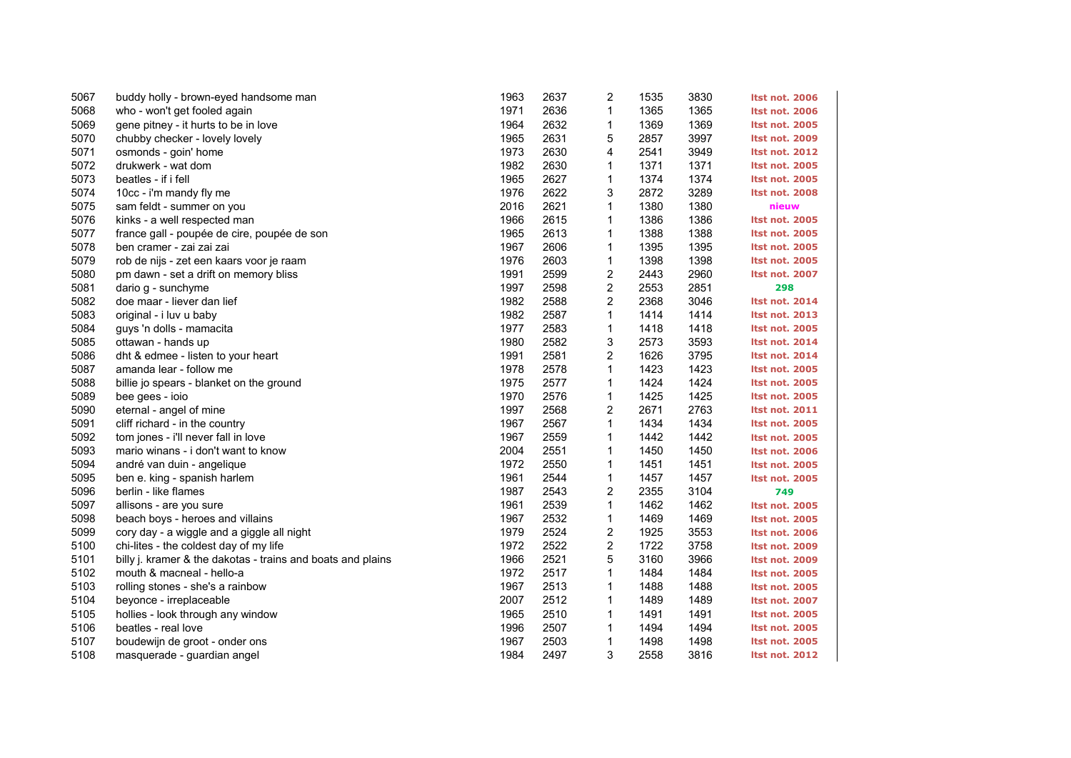| 5067 | buddy holly - brown-eyed handsome man                       | 1963 | 2637 | $\overline{\mathbf{c}}$ | 1535 | 3830 | <b>Itst not. 2006</b> |
|------|-------------------------------------------------------------|------|------|-------------------------|------|------|-----------------------|
| 5068 | who - won't get fooled again                                | 1971 | 2636 | $\mathbf{1}$            | 1365 | 1365 | <b>Itst not. 2006</b> |
| 5069 | gene pitney - it hurts to be in love                        | 1964 | 2632 | 1                       | 1369 | 1369 | <b>Itst not. 2005</b> |
| 5070 | chubby checker - lovely lovely                              | 1965 | 2631 | 5                       | 2857 | 3997 | <b>Itst not. 2009</b> |
| 5071 | osmonds - goin' home                                        | 1973 | 2630 | 4                       | 2541 | 3949 | <b>Itst not. 2012</b> |
| 5072 | drukwerk - wat dom                                          | 1982 | 2630 | 1                       | 1371 | 1371 | <b>Itst not. 2005</b> |
| 5073 | beatles - if i fell                                         | 1965 | 2627 | 1                       | 1374 | 1374 | <b>Itst not. 2005</b> |
| 5074 | 10cc - i'm mandy fly me                                     | 1976 | 2622 | 3                       | 2872 | 3289 | <b>Itst not. 2008</b> |
| 5075 | sam feldt - summer on you                                   | 2016 | 2621 | 1                       | 1380 | 1380 | nieuw                 |
| 5076 | kinks - a well respected man                                | 1966 | 2615 | 1                       | 1386 | 1386 | <b>Itst not. 2005</b> |
| 5077 | france gall - poupée de cire, poupée de son                 | 1965 | 2613 | $\mathbf{1}$            | 1388 | 1388 | <b>Itst not. 2005</b> |
| 5078 | ben cramer - zai zai zai                                    | 1967 | 2606 | 1                       | 1395 | 1395 | <b>Itst not. 2005</b> |
| 5079 | rob de nijs - zet een kaars voor je raam                    | 1976 | 2603 | 1                       | 1398 | 1398 | <b>Itst not. 2005</b> |
| 5080 | pm dawn - set a drift on memory bliss                       | 1991 | 2599 | 2                       | 2443 | 2960 | <b>Itst not. 2007</b> |
| 5081 | dario g - sunchyme                                          | 1997 | 2598 | 2                       | 2553 | 2851 | 298                   |
| 5082 | doe maar - liever dan lief                                  | 1982 | 2588 | $\overline{2}$          | 2368 | 3046 | <b>Itst not. 2014</b> |
| 5083 | original - i luv u baby                                     | 1982 | 2587 | 1                       | 1414 | 1414 | <b>Itst not. 2013</b> |
| 5084 | guys 'n dolls - mamacita                                    | 1977 | 2583 | 1                       | 1418 | 1418 | <b>Itst not. 2005</b> |
| 5085 | ottawan - hands up                                          | 1980 | 2582 | 3                       | 2573 | 3593 | <b>Itst not. 2014</b> |
| 5086 | dht & edmee - listen to your heart                          | 1991 | 2581 | $\overline{c}$          | 1626 | 3795 | <b>Itst not. 2014</b> |
| 5087 | amanda lear - follow me                                     | 1978 | 2578 | $\mathbf{1}$            | 1423 | 1423 | <b>Itst not. 2005</b> |
| 5088 | billie jo spears - blanket on the ground                    | 1975 | 2577 | 1                       | 1424 | 1424 | <b>Itst not. 2005</b> |
| 5089 | bee gees - ioio                                             | 1970 | 2576 | 1                       | 1425 | 1425 | <b>Itst not. 2005</b> |
| 5090 | eternal - angel of mine                                     | 1997 | 2568 | 2                       | 2671 | 2763 | <b>Itst not. 2011</b> |
| 5091 | cliff richard - in the country                              | 1967 | 2567 | $\mathbf{1}$            | 1434 | 1434 | <b>Itst not. 2005</b> |
| 5092 | tom jones - i'll never fall in love                         | 1967 | 2559 | 1                       | 1442 | 1442 | <b>Itst not. 2005</b> |
| 5093 | mario winans - i don't want to know                         | 2004 | 2551 | 1                       | 1450 | 1450 | <b>Itst not. 2006</b> |
| 5094 | andré van duin - angelique                                  | 1972 | 2550 | 1                       | 1451 | 1451 | <b>Itst not. 2005</b> |
| 5095 | ben e. king - spanish harlem                                | 1961 | 2544 | $\mathbf{1}$            | 1457 | 1457 | <b>Itst not. 2005</b> |
| 5096 | berlin - like flames                                        | 1987 | 2543 | $\overline{2}$          | 2355 | 3104 | 749                   |
| 5097 | allisons - are you sure                                     | 1961 | 2539 | $\mathbf{1}$            | 1462 | 1462 | <b>Itst not. 2005</b> |
| 5098 | beach boys - heroes and villains                            | 1967 | 2532 | $\mathbf{1}$            | 1469 | 1469 | <b>Itst not. 2005</b> |
| 5099 | cory day - a wiggle and a giggle all night                  | 1979 | 2524 | $\mathbf 2$             | 1925 | 3553 | <b>Itst not. 2006</b> |
| 5100 | chi-lites - the coldest day of my life                      | 1972 | 2522 | $\overline{c}$          | 1722 | 3758 | <b>Itst not. 2009</b> |
| 5101 | billy j. kramer & the dakotas - trains and boats and plains | 1966 | 2521 | 5                       | 3160 | 3966 | <b>Itst not. 2009</b> |
| 5102 | mouth & macneal - hello-a                                   | 1972 | 2517 | 1                       | 1484 | 1484 | <b>Itst not. 2005</b> |
| 5103 | rolling stones - she's a rainbow                            | 1967 | 2513 | 1                       | 1488 | 1488 | <b>Itst not. 2005</b> |
| 5104 | beyonce - irreplaceable                                     | 2007 | 2512 | $\mathbf{1}$            | 1489 | 1489 | <b>Itst not. 2007</b> |
| 5105 | hollies - look through any window                           | 1965 | 2510 | 1                       | 1491 | 1491 | <b>Itst not. 2005</b> |
| 5106 | beatles - real love                                         | 1996 | 2507 | 1                       | 1494 | 1494 | <b>Itst not. 2005</b> |
| 5107 | boudewijn de groot - onder ons                              | 1967 | 2503 | $\mathbf{1}$            | 1498 | 1498 | <b>Itst not. 2005</b> |
| 5108 | masquerade - guardian angel                                 | 1984 | 2497 | 3                       | 2558 | 3816 | <b>Itst not. 2012</b> |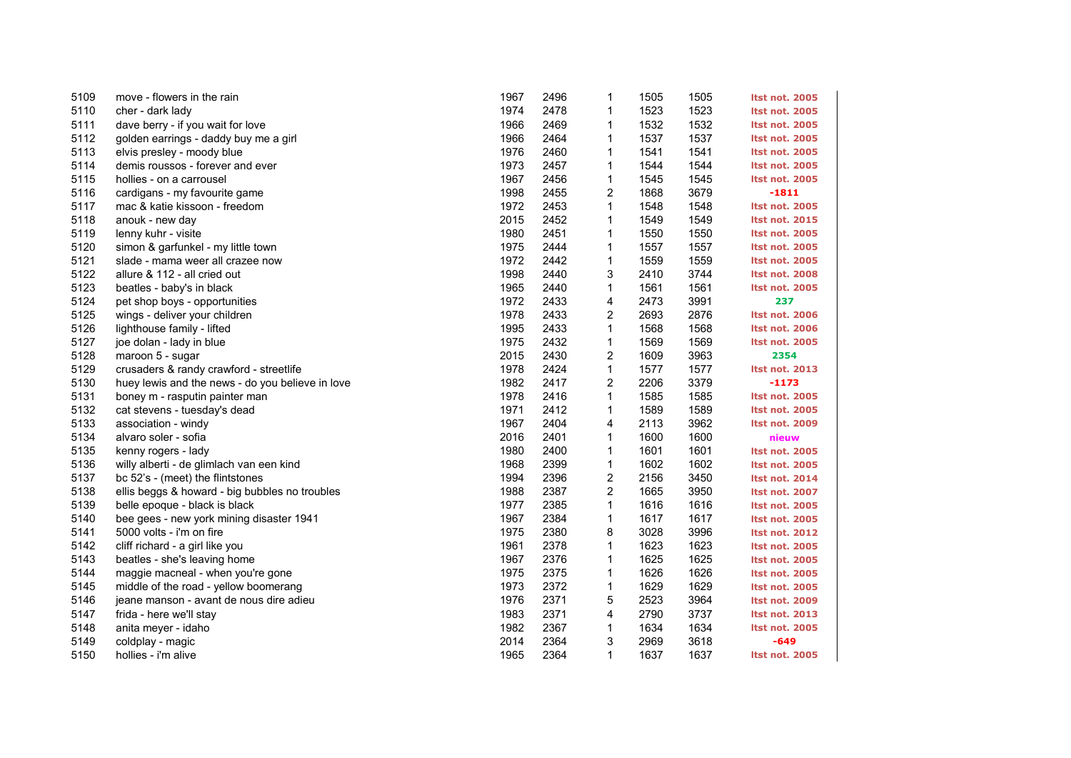| 5109 | move - flowers in the rain                       | 1967 | 2496 | 1                       | 1505 | 1505 | <b>Itst not. 2005</b> |
|------|--------------------------------------------------|------|------|-------------------------|------|------|-----------------------|
| 5110 | cher - dark lady                                 | 1974 | 2478 | $\mathbf{1}$            | 1523 | 1523 | <b>Itst not. 2005</b> |
| 5111 | dave berry - if you wait for love                | 1966 | 2469 | 1                       | 1532 | 1532 | <b>Itst not. 2005</b> |
| 5112 | golden earrings - daddy buy me a girl            | 1966 | 2464 | 1                       | 1537 | 1537 | <b>Itst not. 2005</b> |
| 5113 | elvis presley - moody blue                       | 1976 | 2460 | 1                       | 1541 | 1541 | <b>Itst not. 2005</b> |
| 5114 | demis roussos - forever and ever                 | 1973 | 2457 | $\mathbf{1}$            | 1544 | 1544 | <b>Itst not. 2005</b> |
| 5115 | hollies - on a carrousel                         | 1967 | 2456 | 1                       | 1545 | 1545 | <b>Itst not. 2005</b> |
| 5116 | cardigans - my favourite game                    | 1998 | 2455 | 2                       | 1868 | 3679 | $-1811$               |
| 5117 | mac & katie kissoon - freedom                    | 1972 | 2453 | 1                       | 1548 | 1548 | <b>Itst not. 2005</b> |
| 5118 | anouk - new day                                  | 2015 | 2452 | 1                       | 1549 | 1549 | <b>Itst not. 2015</b> |
| 5119 | lenny kuhr - visite                              | 1980 | 2451 | $\mathbf{1}$            | 1550 | 1550 | <b>Itst not. 2005</b> |
| 5120 | simon & garfunkel - my little town               | 1975 | 2444 | 1                       | 1557 | 1557 | <b>Itst not. 2005</b> |
| 5121 | slade - mama weer all crazee now                 | 1972 | 2442 | $\mathbf{1}$            | 1559 | 1559 | <b>Itst not. 2005</b> |
| 5122 | allure & 112 - all cried out                     | 1998 | 2440 | 3                       | 2410 | 3744 | <b>Itst not. 2008</b> |
| 5123 | beatles - baby's in black                        | 1965 | 2440 | $\mathbf{1}$            | 1561 | 1561 | <b>Itst not. 2005</b> |
| 5124 | pet shop boys - opportunities                    | 1972 | 2433 | 4                       | 2473 | 3991 | 237                   |
| 5125 | wings - deliver your children                    | 1978 | 2433 | 2                       | 2693 | 2876 | Itst not. 2006        |
| 5126 | lighthouse family - lifted                       | 1995 | 2433 | $\mathbf{1}$            | 1568 | 1568 | <b>Itst not. 2006</b> |
| 5127 | joe dolan - lady in blue                         | 1975 | 2432 | $\mathbf{1}$            | 1569 | 1569 | <b>Itst not. 2005</b> |
| 5128 | maroon 5 - sugar                                 | 2015 | 2430 | $\overline{\mathbf{c}}$ | 1609 | 3963 | 2354                  |
| 5129 | crusaders & randy crawford - streetlife          | 1978 | 2424 | 1                       | 1577 | 1577 | Itst not. 2013        |
| 5130 | huey lewis and the news - do you believe in love | 1982 | 2417 | $\overline{c}$          | 2206 | 3379 | $-1173$               |
| 5131 | boney m - rasputin painter man                   | 1978 | 2416 | 1                       | 1585 | 1585 | <b>Itst not. 2005</b> |
| 5132 | cat stevens - tuesday's dead                     | 1971 | 2412 | $\mathbf{1}$            | 1589 | 1589 | <b>Itst not. 2005</b> |
| 5133 | association - windy                              | 1967 | 2404 | 4                       | 2113 | 3962 | Itst not. 2009        |
| 5134 | alvaro soler - sofia                             | 2016 | 2401 | 1                       | 1600 | 1600 | nieuw                 |
| 5135 | kenny rogers - lady                              | 1980 | 2400 | $\mathbf{1}$            | 1601 | 1601 | <b>Itst not. 2005</b> |
| 5136 | willy alberti - de glimlach van een kind         | 1968 | 2399 | $\mathbf{1}$            | 1602 | 1602 | <b>Itst not. 2005</b> |
| 5137 | bc 52's - (meet) the flintstones                 | 1994 | 2396 | $\overline{\mathbf{c}}$ | 2156 | 3450 | <b>Itst not. 2014</b> |
| 5138 | ellis beggs & howard - big bubbles no troubles   | 1988 | 2387 | $\overline{c}$          | 1665 | 3950 | <b>Itst not. 2007</b> |
| 5139 | belle epoque - black is black                    | 1977 | 2385 | $\mathbf{1}$            | 1616 | 1616 | <b>Itst not. 2005</b> |
| 5140 | bee gees - new york mining disaster 1941         | 1967 | 2384 | 1                       | 1617 | 1617 | <b>Itst not. 2005</b> |
| 5141 | 5000 volts - i'm on fire                         | 1975 | 2380 | 8                       | 3028 | 3996 | <b>Itst not. 2012</b> |
| 5142 | cliff richard - a girl like you                  | 1961 | 2378 | $\mathbf{1}$            | 1623 | 1623 | <b>Itst not. 2005</b> |
| 5143 | beatles - she's leaving home                     | 1967 | 2376 | 1                       | 1625 | 1625 | <b>Itst not. 2005</b> |
| 5144 | maggie macneal - when you're gone                | 1975 | 2375 | $\mathbf{1}$            | 1626 | 1626 | <b>Itst not. 2005</b> |
| 5145 | middle of the road - yellow boomerang            | 1973 | 2372 | $\mathbf{1}$            | 1629 | 1629 | <b>Itst not. 2005</b> |
| 5146 | jeane manson - avant de nous dire adieu          | 1976 | 2371 | 5                       | 2523 | 3964 | <b>Itst not. 2009</b> |
| 5147 | frida - here we'll stay                          | 1983 | 2371 | 4                       | 2790 | 3737 | <b>Itst not. 2013</b> |
| 5148 | anita meyer - idaho                              | 1982 | 2367 | 1                       | 1634 | 1634 | <b>Itst not. 2005</b> |
| 5149 | coldplay - magic                                 | 2014 | 2364 | 3                       | 2969 | 3618 | $-649$                |
| 5150 | hollies - i'm alive                              | 1965 | 2364 | $\mathbf{1}$            | 1637 | 1637 | <b>Itst not. 2005</b> |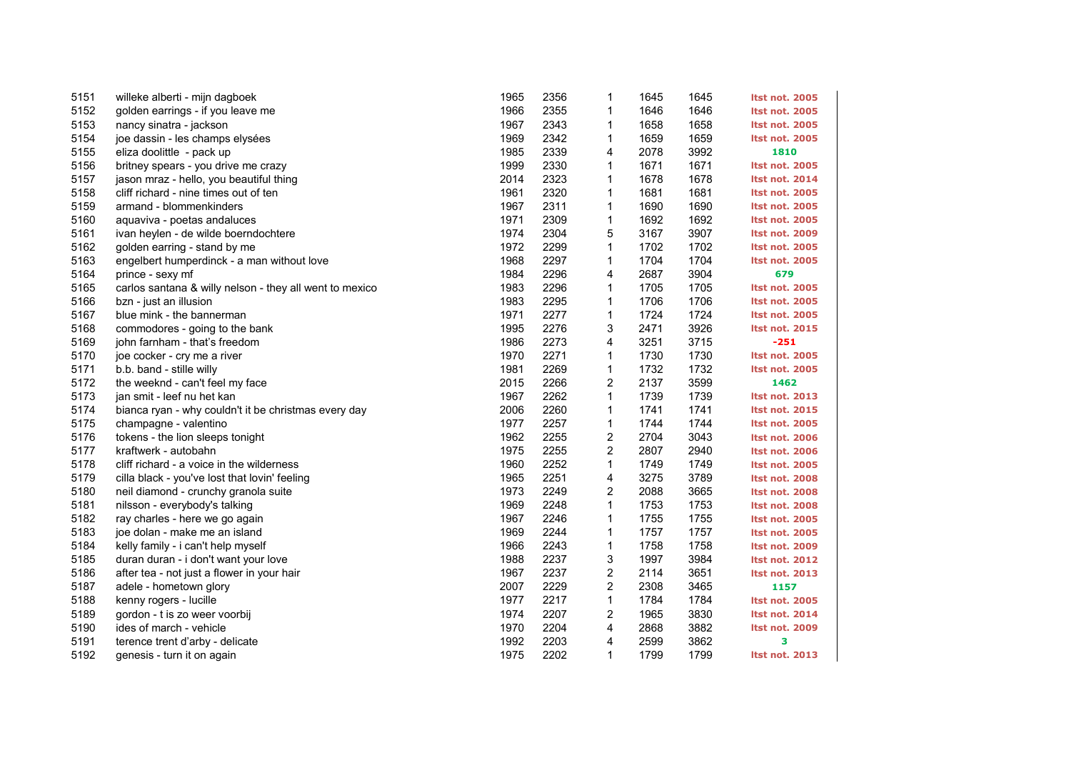| 5151 | willeke alberti - mijn dagboek                          | 1965 | 2356 | 1                       | 1645 | 1645 | <b>Itst not. 2005</b> |
|------|---------------------------------------------------------|------|------|-------------------------|------|------|-----------------------|
| 5152 | golden earrings - if you leave me                       | 1966 | 2355 | 1                       | 1646 | 1646 | <b>Itst not. 2005</b> |
| 5153 | nancy sinatra - jackson                                 | 1967 | 2343 | 1                       | 1658 | 1658 | <b>Itst not. 2005</b> |
| 5154 | joe dassin - les champs elysées                         | 1969 | 2342 | 1                       | 1659 | 1659 | <b>Itst not. 2005</b> |
| 5155 | eliza doolittle - pack up                               | 1985 | 2339 | 4                       | 2078 | 3992 | 1810                  |
| 5156 | britney spears - you drive me crazy                     | 1999 | 2330 | 1                       | 1671 | 1671 | <b>Itst not. 2005</b> |
| 5157 | jason mraz - hello, you beautiful thing                 | 2014 | 2323 | 1                       | 1678 | 1678 | <b>Itst not. 2014</b> |
| 5158 | cliff richard - nine times out of ten                   | 1961 | 2320 | 1                       | 1681 | 1681 | <b>Itst not. 2005</b> |
| 5159 | armand - blommenkinders                                 | 1967 | 2311 | 1                       | 1690 | 1690 | <b>Itst not. 2005</b> |
| 5160 | aquaviva - poetas andaluces                             | 1971 | 2309 | 1                       | 1692 | 1692 | <b>Itst not. 2005</b> |
| 5161 | ivan heylen - de wilde boerndochtere                    | 1974 | 2304 | 5                       | 3167 | 3907 | <b>Itst not. 2009</b> |
| 5162 | golden earring - stand by me                            | 1972 | 2299 | 1                       | 1702 | 1702 | <b>Itst not. 2005</b> |
| 5163 | engelbert humperdinck - a man without love              | 1968 | 2297 | 1                       | 1704 | 1704 | <b>Itst not. 2005</b> |
| 5164 | prince - sexy mf                                        | 1984 | 2296 | 4                       | 2687 | 3904 | 679                   |
| 5165 | carlos santana & willy nelson - they all went to mexico | 1983 | 2296 | 1                       | 1705 | 1705 | <b>Itst not. 2005</b> |
| 5166 | bzn - just an illusion                                  | 1983 | 2295 | 1                       | 1706 | 1706 | <b>Itst not. 2005</b> |
| 5167 | blue mink - the bannerman                               | 1971 | 2277 | 1                       | 1724 | 1724 | <b>Itst not. 2005</b> |
| 5168 | commodores - going to the bank                          | 1995 | 2276 | 3                       | 2471 | 3926 | <b>Itst not. 2015</b> |
| 5169 | john farnham - that's freedom                           | 1986 | 2273 | 4                       | 3251 | 3715 | $-251$                |
| 5170 | joe cocker - cry me a river                             | 1970 | 2271 | 1                       | 1730 | 1730 | <b>Itst not. 2005</b> |
| 5171 | b.b. band - stille willy                                | 1981 | 2269 | $\mathbf{1}$            | 1732 | 1732 | <b>Itst not. 2005</b> |
| 5172 | the weeknd - can't feel my face                         | 2015 | 2266 | 2                       | 2137 | 3599 | 1462                  |
| 5173 | jan smit - leef nu het kan                              | 1967 | 2262 | $\mathbf{1}$            | 1739 | 1739 | <b>Itst not. 2013</b> |
| 5174 | bianca ryan - why couldn't it be christmas every day    | 2006 | 2260 | 1                       | 1741 | 1741 | <b>Itst not. 2015</b> |
| 5175 | champagne - valentino                                   | 1977 | 2257 | 1                       | 1744 | 1744 | <b>Itst not. 2005</b> |
| 5176 | tokens - the lion sleeps tonight                        | 1962 | 2255 | 2                       | 2704 | 3043 | <b>Itst not. 2006</b> |
| 5177 | kraftwerk - autobahn                                    | 1975 | 2255 | 2                       | 2807 | 2940 | <b>Itst not. 2006</b> |
| 5178 | cliff richard - a voice in the wilderness               | 1960 | 2252 | 1                       | 1749 | 1749 | <b>Itst not. 2005</b> |
| 5179 | cilla black - you've lost that lovin' feeling           | 1965 | 2251 | 4                       | 3275 | 3789 | <b>Itst not. 2008</b> |
| 5180 | neil diamond - crunchy granola suite                    | 1973 | 2249 | $\overline{c}$          | 2088 | 3665 | <b>Itst not. 2008</b> |
| 5181 | nilsson - everybody's talking                           | 1969 | 2248 | 1                       | 1753 | 1753 | <b>Itst not. 2008</b> |
| 5182 | ray charles - here we go again                          | 1967 | 2246 | $\mathbf{1}$            | 1755 | 1755 | <b>Itst not. 2005</b> |
| 5183 | joe dolan - make me an island                           | 1969 | 2244 | 1                       | 1757 | 1757 | <b>Itst not. 2005</b> |
| 5184 | kelly family - i can't help myself                      | 1966 | 2243 | $\mathbf{1}$            | 1758 | 1758 | <b>Itst not. 2009</b> |
| 5185 | duran duran - i don't want your love                    | 1988 | 2237 | 3                       | 1997 | 3984 | <b>Itst not. 2012</b> |
| 5186 | after tea - not just a flower in your hair              | 1967 | 2237 | 2                       | 2114 | 3651 | <b>Itst not. 2013</b> |
| 5187 | adele - hometown glory                                  | 2007 | 2229 | $\overline{\mathbf{c}}$ | 2308 | 3465 | 1157                  |
| 5188 | kenny rogers - lucille                                  | 1977 | 2217 | $\mathbf{1}$            | 1784 | 1784 | <b>Itst not. 2005</b> |
| 5189 | gordon - t is zo weer voorbij                           | 1974 | 2207 | $\overline{c}$          | 1965 | 3830 | <b>Itst not. 2014</b> |
| 5190 | ides of march - vehicle                                 | 1970 | 2204 | 4                       | 2868 | 3882 | <b>Itst not. 2009</b> |
| 5191 | terence trent d'arby - delicate                         | 1992 | 2203 | 4                       | 2599 | 3862 | 3                     |
| 5192 | genesis - turn it on again                              | 1975 | 2202 | 1                       | 1799 | 1799 | <b>Itst not. 2013</b> |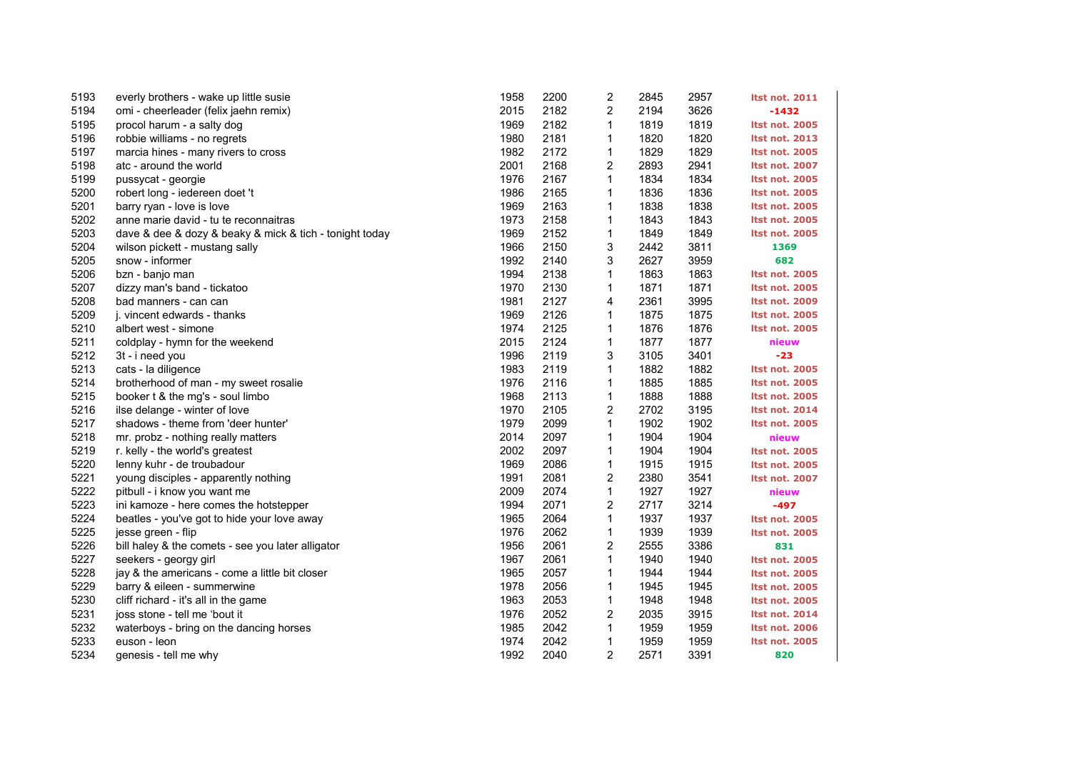| 5193 | everly brothers - wake up little susie                  | 1958 | 2200 | $\overline{\mathbf{c}}$ | 2845 | 2957 | <b>Itst not. 2011</b> |
|------|---------------------------------------------------------|------|------|-------------------------|------|------|-----------------------|
| 5194 | omi - cheerleader (felix jaehn remix)                   | 2015 | 2182 | 2                       | 2194 | 3626 | $-1432$               |
| 5195 | procol harum - a salty dog                              | 1969 | 2182 | 1                       | 1819 | 1819 | <b>Itst not. 2005</b> |
| 5196 | robbie williams - no regrets                            | 1980 | 2181 | 1                       | 1820 | 1820 | <b>Itst not. 2013</b> |
| 5197 | marcia hines - many rivers to cross                     | 1982 | 2172 | 1                       | 1829 | 1829 | <b>Itst not. 2005</b> |
| 5198 | atc - around the world                                  | 2001 | 2168 | 2                       | 2893 | 2941 | <b>Itst not. 2007</b> |
| 5199 | pussycat - georgie                                      | 1976 | 2167 | 1                       | 1834 | 1834 | <b>Itst not. 2005</b> |
| 5200 | robert long - iedereen doet 't                          | 1986 | 2165 | 1                       | 1836 | 1836 | <b>Itst not. 2005</b> |
| 5201 | barry ryan - love is love                               | 1969 | 2163 | 1                       | 1838 | 1838 | <b>Itst not. 2005</b> |
| 5202 | anne marie david - tu te reconnaitras                   | 1973 | 2158 | 1                       | 1843 | 1843 | <b>Itst not. 2005</b> |
| 5203 | dave & dee & dozy & beaky & mick & tich - tonight today | 1969 | 2152 | 1                       | 1849 | 1849 | <b>Itst not. 2005</b> |
| 5204 | wilson pickett - mustang sally                          | 1966 | 2150 | 3                       | 2442 | 3811 | 1369                  |
| 5205 | snow - informer                                         | 1992 | 2140 | 3                       | 2627 | 3959 | 682                   |
| 5206 | bzn - banjo man                                         | 1994 | 2138 | 1                       | 1863 | 1863 | <b>Itst not. 2005</b> |
| 5207 | dizzy man's band - tickatoo                             | 1970 | 2130 | $\mathbf{1}$            | 1871 | 1871 | <b>Itst not. 2005</b> |
| 5208 | bad manners - can can                                   | 1981 | 2127 | 4                       | 2361 | 3995 | <b>Itst not. 2009</b> |
| 5209 | j. vincent edwards - thanks                             | 1969 | 2126 | 1                       | 1875 | 1875 | <b>Itst not. 2005</b> |
| 5210 | albert west - simone                                    | 1974 | 2125 | 1                       | 1876 | 1876 | <b>Itst not. 2005</b> |
| 5211 | coldplay - hymn for the weekend                         | 2015 | 2124 | $\mathbf{1}$            | 1877 | 1877 | nieuw                 |
| 5212 | 3t - i need you                                         | 1996 | 2119 | 3                       | 3105 | 3401 | $-23$                 |
| 5213 | cats - la diligence                                     | 1983 | 2119 | $\mathbf{1}$            | 1882 | 1882 | <b>Itst not. 2005</b> |
| 5214 | brotherhood of man - my sweet rosalie                   | 1976 | 2116 | 1                       | 1885 | 1885 | <b>Itst not. 2005</b> |
| 5215 | booker t & the mg's - soul limbo                        | 1968 | 2113 | 1                       | 1888 | 1888 | <b>Itst not. 2005</b> |
| 5216 | ilse delange - winter of love                           | 1970 | 2105 | 2                       | 2702 | 3195 | <b>Itst not. 2014</b> |
| 5217 | shadows - theme from 'deer hunter'                      | 1979 | 2099 | 1                       | 1902 | 1902 | Itst not. 2005        |
| 5218 | mr. probz - nothing really matters                      | 2014 | 2097 | 1                       | 1904 | 1904 | nieuw                 |
| 5219 | r. kelly - the world's greatest                         | 2002 | 2097 | 1                       | 1904 | 1904 | <b>Itst not. 2005</b> |
| 5220 | lenny kuhr - de troubadour                              | 1969 | 2086 | 1                       | 1915 | 1915 | <b>Itst not. 2005</b> |
| 5221 | young disciples - apparently nothing                    | 1991 | 2081 | $\overline{c}$          | 2380 | 3541 | <b>Itst not. 2007</b> |
| 5222 | pitbull - i know you want me                            | 2009 | 2074 | 1                       | 1927 | 1927 | nieuw                 |
| 5223 | ini kamoze - here comes the hotstepper                  | 1994 | 2071 | $\overline{c}$          | 2717 | 3214 | -497                  |
| 5224 | beatles - you've got to hide your love away             | 1965 | 2064 | 1                       | 1937 | 1937 | <b>Itst not. 2005</b> |
| 5225 | jesse green - flip                                      | 1976 | 2062 | 1                       | 1939 | 1939 | <b>Itst not. 2005</b> |
| 5226 | bill haley & the comets - see you later alligator       | 1956 | 2061 | 2                       | 2555 | 3386 | 831                   |
| 5227 | seekers - georgy girl                                   | 1967 | 2061 | 1                       | 1940 | 1940 | <b>Itst not. 2005</b> |
| 5228 | jay & the americans - come a little bit closer          | 1965 | 2057 | 1                       | 1944 | 1944 | <b>Itst not. 2005</b> |
| 5229 | barry & eileen - summerwine                             | 1978 | 2056 | 1                       | 1945 | 1945 | <b>Itst not. 2005</b> |
| 5230 | cliff richard - it's all in the game                    | 1963 | 2053 | $\mathbf{1}$            | 1948 | 1948 | <b>Itst not. 2005</b> |
| 5231 | joss stone - tell me 'bout it                           | 1976 | 2052 | $\overline{c}$          | 2035 | 3915 | <b>Itst not. 2014</b> |
| 5232 | waterboys - bring on the dancing horses                 | 1985 | 2042 | 1                       | 1959 | 1959 | <b>Itst not. 2006</b> |
| 5233 | euson - leon                                            | 1974 | 2042 | 1                       | 1959 | 1959 | <b>Itst not. 2005</b> |
| 5234 | genesis - tell me why                                   | 1992 | 2040 | $\overline{2}$          | 2571 | 3391 | 820                   |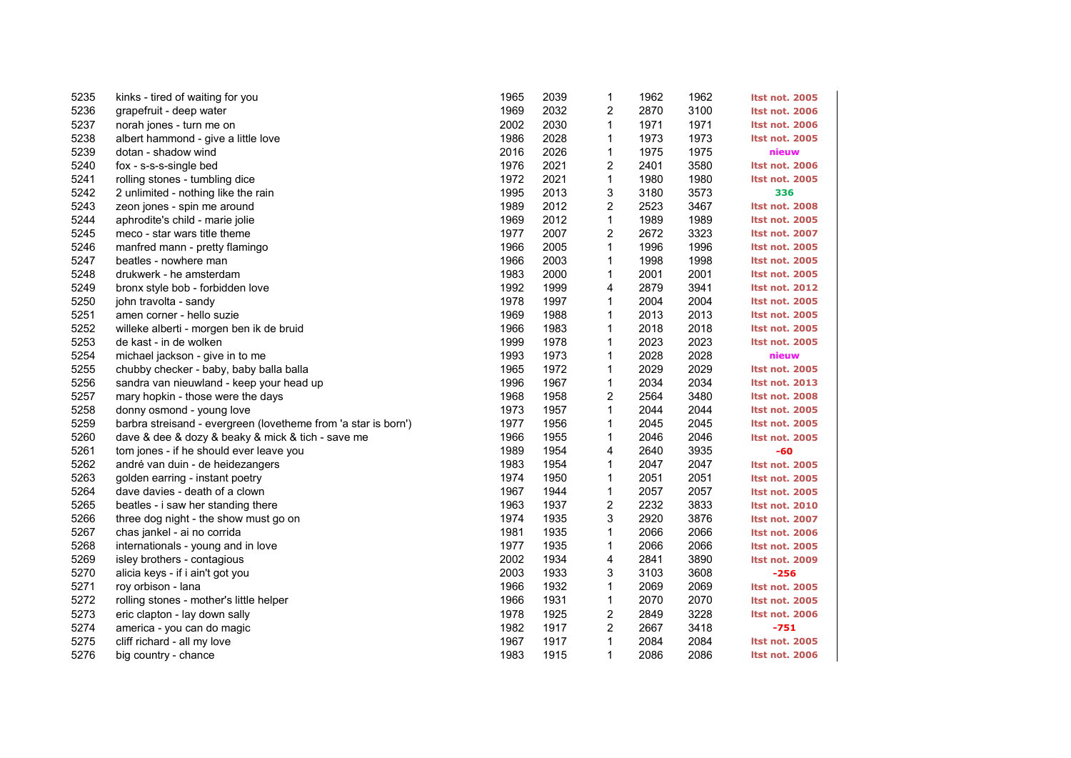| 5235 | kinks - tired of waiting for you                               | 1965 | 2039 | 1                       | 1962 | 1962 | <b>Itst not. 2005</b> |
|------|----------------------------------------------------------------|------|------|-------------------------|------|------|-----------------------|
| 5236 | grapefruit - deep water                                        | 1969 | 2032 | 2                       | 2870 | 3100 | <b>Itst not. 2006</b> |
| 5237 | norah jones - turn me on                                       | 2002 | 2030 | 1                       | 1971 | 1971 | <b>Itst not. 2006</b> |
| 5238 | albert hammond - give a little love                            | 1986 | 2028 | 1                       | 1973 | 1973 | <b>Itst not. 2005</b> |
| 5239 | dotan - shadow wind                                            | 2016 | 2026 | 1                       | 1975 | 1975 | nieuw                 |
| 5240 | fox - s-s-s-single bed                                         | 1976 | 2021 | 2                       | 2401 | 3580 | <b>Itst not. 2006</b> |
| 5241 | rolling stones - tumbling dice                                 | 1972 | 2021 | 1                       | 1980 | 1980 | <b>Itst not. 2005</b> |
| 5242 | 2 unlimited - nothing like the rain                            | 1995 | 2013 | 3                       | 3180 | 3573 | 336                   |
| 5243 | zeon jones - spin me around                                    | 1989 | 2012 | 2                       | 2523 | 3467 | <b>Itst not. 2008</b> |
| 5244 | aphrodite's child - marie jolie                                | 1969 | 2012 | $\mathbf{1}$            | 1989 | 1989 | <b>Itst not. 2005</b> |
| 5245 | meco - star wars title theme                                   | 1977 | 2007 | $\overline{\mathbf{c}}$ | 2672 | 3323 | <b>Itst not. 2007</b> |
| 5246 | manfred mann - pretty flamingo                                 | 1966 | 2005 | $\mathbf{1}$            | 1996 | 1996 | <b>Itst not. 2005</b> |
| 5247 | beatles - nowhere man                                          | 1966 | 2003 | 1                       | 1998 | 1998 | <b>Itst not. 2005</b> |
| 5248 | drukwerk - he amsterdam                                        | 1983 | 2000 | 1                       | 2001 | 2001 | <b>Itst not. 2005</b> |
| 5249 | bronx style bob - forbidden love                               | 1992 | 1999 | 4                       | 2879 | 3941 | <b>Itst not. 2012</b> |
| 5250 | john travolta - sandy                                          | 1978 | 1997 | $\mathbf{1}$            | 2004 | 2004 | <b>Itst not. 2005</b> |
| 5251 | amen corner - hello suzie                                      | 1969 | 1988 | 1                       | 2013 | 2013 | <b>Itst not. 2005</b> |
| 5252 | willeke alberti - morgen ben ik de bruid                       | 1966 | 1983 | 1                       | 2018 | 2018 | <b>Itst not. 2005</b> |
| 5253 | de kast - in de wolken                                         | 1999 | 1978 | 1                       | 2023 | 2023 | <b>Itst not. 2005</b> |
| 5254 | michael jackson - give in to me                                | 1993 | 1973 | $\mathbf{1}$            | 2028 | 2028 | nieuw                 |
| 5255 | chubby checker - baby, baby balla balla                        | 1965 | 1972 | 1                       | 2029 | 2029 | <b>Itst not. 2005</b> |
| 5256 | sandra van nieuwland - keep your head up                       | 1996 | 1967 | 1                       | 2034 | 2034 | <b>Itst not. 2013</b> |
| 5257 | mary hopkin - those were the days                              | 1968 | 1958 | 2                       | 2564 | 3480 | <b>Itst not. 2008</b> |
| 5258 | donny osmond - young love                                      | 1973 | 1957 | $\mathbf{1}$            | 2044 | 2044 | <b>Itst not. 2005</b> |
| 5259 | barbra streisand - evergreen (lovetheme from 'a star is born') | 1977 | 1956 | 1                       | 2045 | 2045 | <b>Itst not. 2005</b> |
| 5260 | dave & dee & dozy & beaky & mick & tich - save me              | 1966 | 1955 | 1                       | 2046 | 2046 | <b>Itst not. 2005</b> |
| 5261 | tom jones - if he should ever leave you                        | 1989 | 1954 | 4                       | 2640 | 3935 | -60                   |
| 5262 | andré van duin - de heidezangers                               | 1983 | 1954 | 1                       | 2047 | 2047 | <b>Itst not. 2005</b> |
| 5263 | golden earring - instant poetry                                | 1974 | 1950 | $\mathbf{1}$            | 2051 | 2051 | <b>Itst not. 2005</b> |
| 5264 | dave davies - death of a clown                                 | 1967 | 1944 | 1                       | 2057 | 2057 | <b>Itst not. 2005</b> |
| 5265 | beatles - i saw her standing there                             | 1963 | 1937 | 2                       | 2232 | 3833 | <b>Itst not. 2010</b> |
| 5266 | three dog night - the show must go on                          | 1974 | 1935 | 3                       | 2920 | 3876 | <b>Itst not. 2007</b> |
| 5267 | chas jankel - ai no corrida                                    | 1981 | 1935 | $\mathbf{1}$            | 2066 | 2066 | <b>Itst not. 2006</b> |
| 5268 | internationals - young and in love                             | 1977 | 1935 | $\mathbf{1}$            | 2066 | 2066 | <b>Itst not. 2005</b> |
| 5269 | isley brothers - contagious                                    | 2002 | 1934 | 4                       | 2841 | 3890 | <b>Itst not. 2009</b> |
| 5270 | alicia keys - if i ain't got you                               | 2003 | 1933 | 3                       | 3103 | 3608 | $-256$                |
| 5271 | roy orbison - lana                                             | 1966 | 1932 | 1                       | 2069 | 2069 | Itst not. 2005        |
| 5272 | rolling stones - mother's little helper                        | 1966 | 1931 | $\mathbf 1$             | 2070 | 2070 | <b>Itst not. 2005</b> |
| 5273 | eric clapton - lay down sally                                  | 1978 | 1925 | 2                       | 2849 | 3228 | <b>Itst not. 2006</b> |
| 5274 | america - you can do magic                                     | 1982 | 1917 | 2                       | 2667 | 3418 | $-751$                |
| 5275 | cliff richard - all my love                                    | 1967 | 1917 | 1                       | 2084 | 2084 | <b>Itst not. 2005</b> |
| 5276 | big country - chance                                           | 1983 | 1915 | $\mathbf{1}$            | 2086 | 2086 | <b>Itst not. 2006</b> |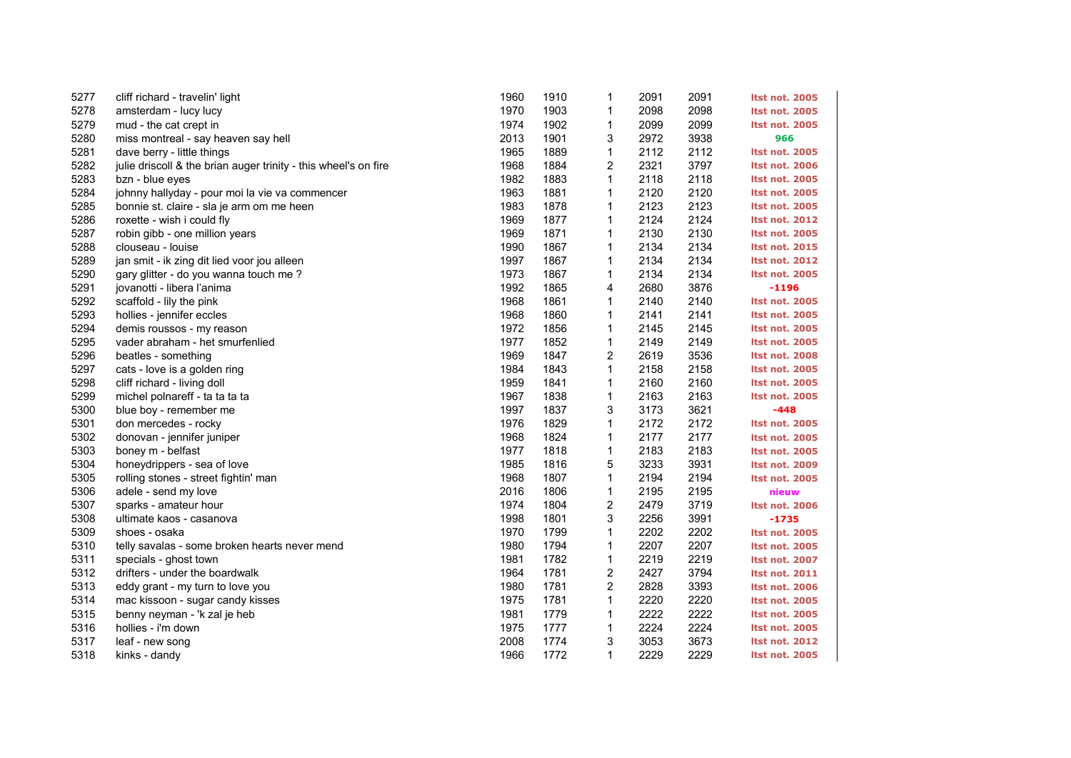| 5277 | cliff richard - travelin' light                                 | 1960 | 1910 | $\mathbf 1$    | 2091 | 2091 | <b>Itst not. 2005</b> |
|------|-----------------------------------------------------------------|------|------|----------------|------|------|-----------------------|
| 5278 | amsterdam - lucy lucy                                           | 1970 | 1903 | 1              | 2098 | 2098 | <b>Itst not. 2005</b> |
| 5279 | mud - the cat crept in                                          | 1974 | 1902 | 1              | 2099 | 2099 | <b>Itst not. 2005</b> |
| 5280 | miss montreal - say heaven say hell                             | 2013 | 1901 | 3              | 2972 | 3938 | 966                   |
| 5281 | dave berry - little things                                      | 1965 | 1889 | 1              | 2112 | 2112 | <b>Itst not. 2005</b> |
| 5282 | julie driscoll & the brian auger trinity - this wheel's on fire | 1968 | 1884 | 2              | 2321 | 3797 | <b>Itst not. 2006</b> |
| 5283 | bzn - blue eyes                                                 | 1982 | 1883 | $\mathbf{1}$   | 2118 | 2118 | <b>Itst not. 2005</b> |
| 5284 | johnny hallyday - pour moi la vie va commencer                  | 1963 | 1881 | $\mathbf 1$    | 2120 | 2120 | <b>Itst not. 2005</b> |
| 5285 | bonnie st. claire - sla je arm om me heen                       | 1983 | 1878 | $\mathbf{1}$   | 2123 | 2123 | <b>Itst not. 2005</b> |
| 5286 | roxette - wish i could fly                                      | 1969 | 1877 | $\mathbf 1$    | 2124 | 2124 | <b>Itst not. 2012</b> |
| 5287 | robin gibb - one million years                                  | 1969 | 1871 | $\mathbf{1}$   | 2130 | 2130 | <b>Itst not. 2005</b> |
| 5288 | clouseau - Iouise                                               | 1990 | 1867 | $\mathbf 1$    | 2134 | 2134 | <b>Itst not. 2015</b> |
| 5289 | jan smit - ik zing dit lied voor jou alleen                     | 1997 | 1867 | 1              | 2134 | 2134 | <b>Itst not. 2012</b> |
| 5290 | gary glitter - do you wanna touch me?                           | 1973 | 1867 | $\mathbf{1}$   | 2134 | 2134 | <b>Itst not. 2005</b> |
| 5291 | jovanotti - libera l'anima                                      | 1992 | 1865 | 4              | 2680 | 3876 | $-1196$               |
| 5292 | scaffold - lily the pink                                        | 1968 | 1861 | 1              | 2140 | 2140 | <b>Itst not. 2005</b> |
| 5293 | hollies - jennifer eccles                                       | 1968 | 1860 | 1              | 2141 | 2141 | <b>Itst not. 2005</b> |
| 5294 | demis roussos - my reason                                       | 1972 | 1856 | $\mathbf 1$    | 2145 | 2145 | <b>Itst not. 2005</b> |
| 5295 | vader abraham - het smurfenlied                                 | 1977 | 1852 | $\mathbf{1}$   | 2149 | 2149 | <b>Itst not. 2005</b> |
| 5296 | beatles - something                                             | 1969 | 1847 | 2              | 2619 | 3536 | <b>Itst not. 2008</b> |
| 5297 | cats - love is a golden ring                                    | 1984 | 1843 | 1              | 2158 | 2158 | <b>Itst not. 2005</b> |
| 5298 | cliff richard - living doll                                     | 1959 | 1841 | $\mathbf{1}$   | 2160 | 2160 | <b>Itst not. 2005</b> |
| 5299 | michel polnareff - ta ta ta ta                                  | 1967 | 1838 | 1              | 2163 | 2163 | <b>Itst not. 2005</b> |
| 5300 | blue boy - remember me                                          | 1997 | 1837 | 3              | 3173 | 3621 | $-448$                |
| 5301 | don mercedes - rocky                                            | 1976 | 1829 | $\mathbf{1}$   | 2172 | 2172 | <b>Itst not. 2005</b> |
| 5302 | donovan - jennifer juniper                                      | 1968 | 1824 | $\mathbf 1$    | 2177 | 2177 | <b>Itst not. 2005</b> |
| 5303 | boney m - belfast                                               | 1977 | 1818 | $\mathbf{1}$   | 2183 | 2183 | <b>Itst not. 2005</b> |
| 5304 | honeydrippers - sea of love                                     | 1985 | 1816 | 5              | 3233 | 3931 | <b>Itst not. 2009</b> |
| 5305 | rolling stones - street fightin' man                            | 1968 | 1807 | $\mathbf{1}$   | 2194 | 2194 | <b>Itst not. 2005</b> |
| 5306 | adele - send my love                                            | 2016 | 1806 | 1              | 2195 | 2195 | nieuw                 |
| 5307 | sparks - amateur hour                                           | 1974 | 1804 | 2              | 2479 | 3719 | <b>Itst not. 2006</b> |
| 5308 | ultimate kaos - casanova                                        | 1998 | 1801 | 3              | 2256 | 3991 | $-1735$               |
| 5309 | shoes - osaka                                                   | 1970 | 1799 | $\mathbf{1}$   | 2202 | 2202 | <b>Itst not. 2005</b> |
| 5310 | telly savalas - some broken hearts never mend                   | 1980 | 1794 | $\mathbf{1}$   | 2207 | 2207 | <b>Itst not. 2005</b> |
| 5311 | specials - ghost town                                           | 1981 | 1782 | 1              | 2219 | 2219 | <b>Itst not. 2007</b> |
| 5312 | drifters - under the boardwalk                                  | 1964 | 1781 | 2              | 2427 | 3794 | <b>Itst not. 2011</b> |
| 5313 | eddy grant - my turn to love you                                | 1980 | 1781 | $\overline{c}$ | 2828 | 3393 | <b>Itst not. 2006</b> |
| 5314 | mac kissoon - sugar candy kisses                                | 1975 | 1781 | $\mathbf{1}$   | 2220 | 2220 | <b>Itst not. 2005</b> |
| 5315 | benny neyman - 'k zal je heb                                    | 1981 | 1779 | $\mathbf 1$    | 2222 | 2222 | <b>Itst not. 2005</b> |
| 5316 | hollies - i'm down                                              | 1975 | 1777 | 1              | 2224 | 2224 | <b>Itst not. 2005</b> |
| 5317 | leaf - new song                                                 | 2008 | 1774 | 3              | 3053 | 3673 | <b>Itst not. 2012</b> |
| 5318 | kinks - dandy                                                   | 1966 | 1772 | $\mathbf{1}$   | 2229 | 2229 | <b>Itst not. 2005</b> |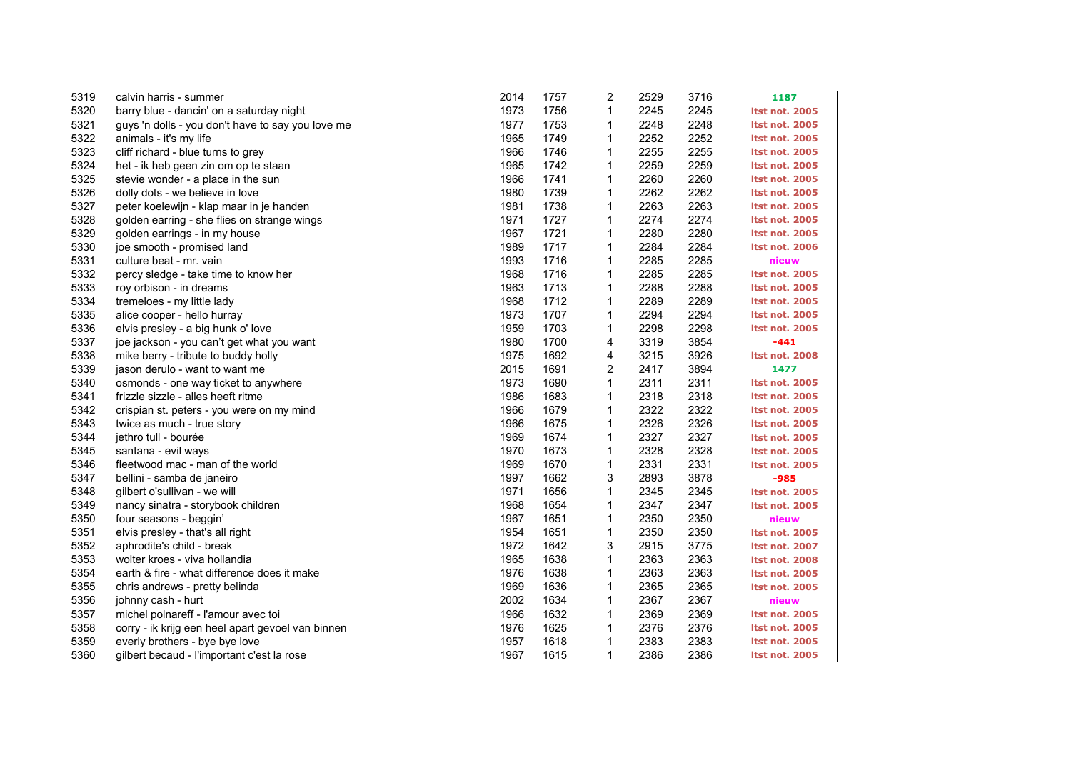| 5319 | calvin harris - summer                            | 2014 | 1757 | 2            | 2529 | 3716 | 1187                  |
|------|---------------------------------------------------|------|------|--------------|------|------|-----------------------|
| 5320 | barry blue - dancin' on a saturday night          | 1973 | 1756 | $\mathbf{1}$ | 2245 | 2245 | <b>Itst not. 2005</b> |
| 5321 | guys 'n dolls - you don't have to say you love me | 1977 | 1753 | 1            | 2248 | 2248 | <b>Itst not. 2005</b> |
| 5322 | animals - it's my life                            | 1965 | 1749 | 1            | 2252 | 2252 | <b>Itst not. 2005</b> |
| 5323 | cliff richard - blue turns to grey                | 1966 | 1746 | 1            | 2255 | 2255 | <b>Itst not. 2005</b> |
| 5324 | het - ik heb geen zin om op te staan              | 1965 | 1742 | 1            | 2259 | 2259 | <b>Itst not. 2005</b> |
| 5325 | stevie wonder - a place in the sun                | 1966 | 1741 | 1            | 2260 | 2260 | <b>Itst not. 2005</b> |
| 5326 | dolly dots - we believe in love                   | 1980 | 1739 | 1            | 2262 | 2262 | <b>Itst not. 2005</b> |
| 5327 | peter koelewijn - klap maar in je handen          | 1981 | 1738 | 1            | 2263 | 2263 | <b>Itst not. 2005</b> |
| 5328 | golden earring - she flies on strange wings       | 1971 | 1727 | $\mathbf 1$  | 2274 | 2274 | <b>Itst not. 2005</b> |
| 5329 | golden earrings - in my house                     | 1967 | 1721 | $\mathbf{1}$ | 2280 | 2280 | <b>Itst not. 2005</b> |
| 5330 | joe smooth - promised land                        | 1989 | 1717 | 1            | 2284 | 2284 | <b>Itst not. 2006</b> |
| 5331 | culture beat - mr. vain                           | 1993 | 1716 | 1            | 2285 | 2285 | nieuw                 |
| 5332 | percy sledge - take time to know her              | 1968 | 1716 | 1            | 2285 | 2285 | <b>Itst not. 2005</b> |
| 5333 | roy orbison - in dreams                           | 1963 | 1713 | 1            | 2288 | 2288 | <b>Itst not. 2005</b> |
| 5334 | tremeloes - my little lady                        | 1968 | 1712 | 1            | 2289 | 2289 | <b>Itst not. 2005</b> |
| 5335 | alice cooper - hello hurray                       | 1973 | 1707 | 1            | 2294 | 2294 | <b>Itst not. 2005</b> |
| 5336 | elvis presley - a big hunk o' love                | 1959 | 1703 | 1            | 2298 | 2298 | <b>Itst not. 2005</b> |
| 5337 | joe jackson - you can't get what you want         | 1980 | 1700 | 4            | 3319 | 3854 | $-441$                |
| 5338 | mike berry - tribute to buddy holly               | 1975 | 1692 | 4            | 3215 | 3926 | Itst not. 2008        |
| 5339 | jason derulo - want to want me                    | 2015 | 1691 | 2            | 2417 | 3894 | 1477                  |
| 5340 | osmonds - one way ticket to anywhere              | 1973 | 1690 | $\mathbf{1}$ | 2311 | 2311 | <b>Itst not. 2005</b> |
| 5341 | frizzle sizzle - alles heeft ritme                | 1986 | 1683 | 1            | 2318 | 2318 | <b>Itst not. 2005</b> |
| 5342 | crispian st. peters - you were on my mind         | 1966 | 1679 | $\mathbf{1}$ | 2322 | 2322 | <b>Itst not. 2005</b> |
| 5343 | twice as much - true story                        | 1966 | 1675 | 1            | 2326 | 2326 | <b>Itst not. 2005</b> |
| 5344 | jethro tull - bourée                              | 1969 | 1674 | 1            | 2327 | 2327 | <b>Itst not. 2005</b> |
| 5345 | santana - evil ways                               | 1970 | 1673 | 1            | 2328 | 2328 | <b>Itst not. 2005</b> |
| 5346 | fleetwood mac - man of the world                  | 1969 | 1670 | 1            | 2331 | 2331 | <b>Itst not. 2005</b> |
| 5347 | bellini - samba de janeiro                        | 1997 | 1662 | 3            | 2893 | 3878 | $-985$                |
| 5348 | gilbert o'sullivan - we will                      | 1971 | 1656 | 1            | 2345 | 2345 | <b>Itst not. 2005</b> |
| 5349 | nancy sinatra - storybook children                | 1968 | 1654 | 1            | 2347 | 2347 | <b>Itst not. 2005</b> |
| 5350 | four seasons - beggin'                            | 1967 | 1651 | 1            | 2350 | 2350 | nieuw                 |
| 5351 | elvis presley - that's all right                  | 1954 | 1651 | $\mathbf{1}$ | 2350 | 2350 | <b>Itst not. 2005</b> |
| 5352 | aphrodite's child - break                         | 1972 | 1642 | 3            | 2915 | 3775 | <b>Itst not. 2007</b> |
| 5353 | wolter kroes - viva hollandia                     | 1965 | 1638 | 1            | 2363 | 2363 | <b>Itst not. 2008</b> |
| 5354 | earth & fire - what difference does it make       | 1976 | 1638 | 1            | 2363 | 2363 | <b>Itst not. 2005</b> |
| 5355 | chris andrews - pretty belinda                    | 1969 | 1636 | 1            | 2365 | 2365 | <b>Itst not. 2005</b> |
| 5356 | johnny cash - hurt                                | 2002 | 1634 | $\mathbf{1}$ | 2367 | 2367 | nieuw                 |
| 5357 | michel polnareff - l'amour avec toi               | 1966 | 1632 | 1            | 2369 | 2369 | <b>Itst not. 2005</b> |
| 5358 | corry - ik krijg een heel apart gevoel van binnen | 1976 | 1625 | 1            | 2376 | 2376 | <b>Itst not. 2005</b> |
| 5359 | everly brothers - bye bye love                    | 1957 | 1618 | 1            | 2383 | 2383 | <b>Itst not. 2005</b> |
| 5360 | gilbert becaud - l'important c'est la rose        | 1967 | 1615 | $\mathbf{1}$ | 2386 | 2386 | Itst not. 2005        |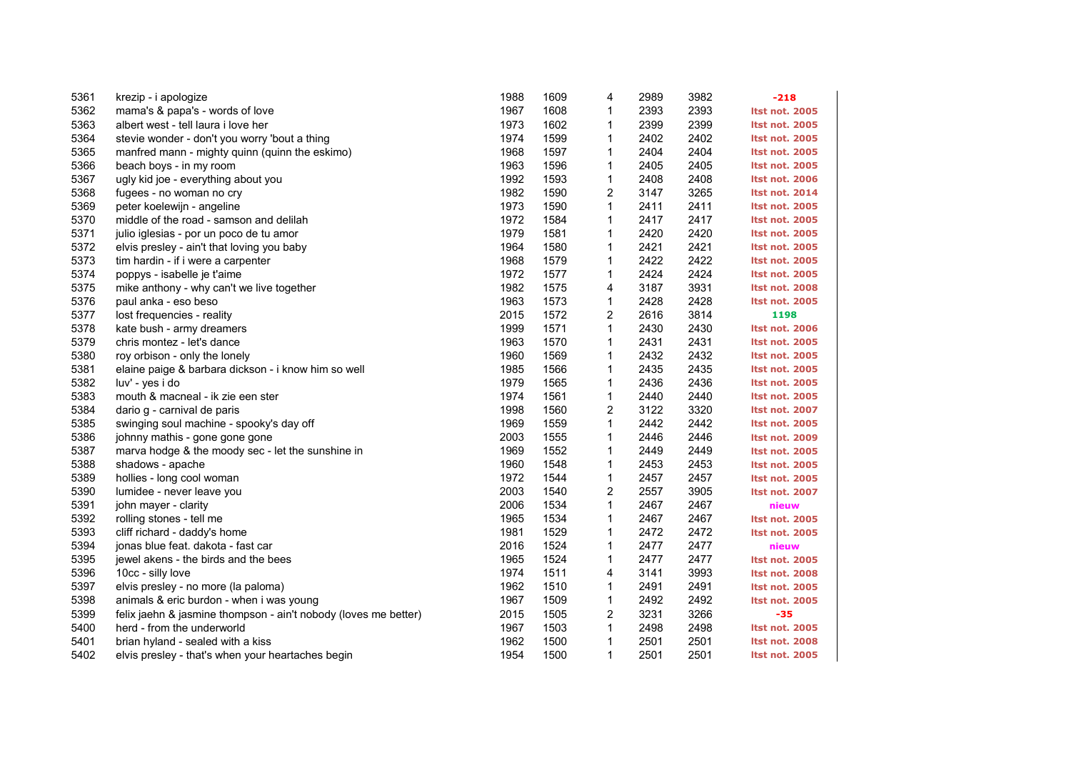| 5361 | krezip - i apologize                                            | 1988 | 1609 | 4            | 2989 | 3982 | $-218$                |
|------|-----------------------------------------------------------------|------|------|--------------|------|------|-----------------------|
| 5362 | mama's & papa's - words of love                                 | 1967 | 1608 | 1            | 2393 | 2393 | <b>Itst not. 2005</b> |
| 5363 | albert west - tell laura i love her                             | 1973 | 1602 | 1            | 2399 | 2399 | <b>Itst not. 2005</b> |
| 5364 | stevie wonder - don't you worry 'bout a thing                   | 1974 | 1599 | 1            | 2402 | 2402 | <b>Itst not. 2005</b> |
| 5365 | manfred mann - mighty quinn (quinn the eskimo)                  | 1968 | 1597 | 1            | 2404 | 2404 | <b>Itst not. 2005</b> |
| 5366 | beach boys - in my room                                         | 1963 | 1596 | 1            | 2405 | 2405 | <b>Itst not. 2005</b> |
| 5367 | ugly kid joe - everything about you                             | 1992 | 1593 | 1            | 2408 | 2408 | <b>Itst not. 2006</b> |
| 5368 | fugees - no woman no cry                                        | 1982 | 1590 | 2            | 3147 | 3265 | <b>Itst not. 2014</b> |
| 5369 | peter koelewijn - angeline                                      | 1973 | 1590 | $\mathbf{1}$ | 2411 | 2411 | <b>Itst not. 2005</b> |
| 5370 | middle of the road - samson and delilah                         | 1972 | 1584 | 1            | 2417 | 2417 | <b>Itst not. 2005</b> |
| 5371 | julio iglesias - por un poco de tu amor                         | 1979 | 1581 | $\mathbf{1}$ | 2420 | 2420 | <b>Itst not. 2005</b> |
| 5372 | elvis presley - ain't that loving you baby                      | 1964 | 1580 | 1            | 2421 | 2421 | <b>Itst not. 2005</b> |
| 5373 | tim hardin - if i were a carpenter                              | 1968 | 1579 | 1            | 2422 | 2422 | <b>Itst not. 2005</b> |
| 5374 | poppys - isabelle je t'aime                                     | 1972 | 1577 | 1            | 2424 | 2424 | <b>Itst not. 2005</b> |
| 5375 | mike anthony - why can't we live together                       | 1982 | 1575 | 4            | 3187 | 3931 | <b>Itst not. 2008</b> |
| 5376 | paul anka - eso beso                                            | 1963 | 1573 | 1            | 2428 | 2428 | <b>Itst not. 2005</b> |
| 5377 | lost frequencies - reality                                      | 2015 | 1572 | 2            | 2616 | 3814 | 1198                  |
| 5378 | kate bush - army dreamers                                       | 1999 | 1571 | $\mathbf{1}$ | 2430 | 2430 | <b>Itst not. 2006</b> |
| 5379 | chris montez - let's dance                                      | 1963 | 1570 | 1            | 2431 | 2431 | <b>Itst not. 2005</b> |
| 5380 | roy orbison - only the lonely                                   | 1960 | 1569 | $\mathbf{1}$ | 2432 | 2432 | <b>Itst not. 2005</b> |
| 5381 | elaine paige & barbara dickson - i know him so well             | 1985 | 1566 | 1            | 2435 | 2435 | <b>Itst not. 2005</b> |
| 5382 | luv' - yes i do                                                 | 1979 | 1565 | 1            | 2436 | 2436 | <b>Itst not. 2005</b> |
| 5383 | mouth & macneal - ik zie een ster                               | 1974 | 1561 | 1            | 2440 | 2440 | <b>Itst not. 2005</b> |
| 5384 | dario g - carnival de paris                                     | 1998 | 1560 | 2            | 3122 | 3320 | <b>Itst not. 2007</b> |
| 5385 | swinging soul machine - spooky's day off                        | 1969 | 1559 | $\mathbf{1}$ | 2442 | 2442 | <b>Itst not. 2005</b> |
| 5386 | johnny mathis - gone gone gone                                  | 2003 | 1555 | 1            | 2446 | 2446 | <b>Itst not. 2009</b> |
| 5387 | marva hodge & the moody sec - let the sunshine in               | 1969 | 1552 | 1            | 2449 | 2449 | <b>Itst not. 2005</b> |
| 5388 | shadows - apache                                                | 1960 | 1548 | 1            | 2453 | 2453 | <b>Itst not. 2005</b> |
| 5389 | hollies - long cool woman                                       | 1972 | 1544 | $\mathbf{1}$ | 2457 | 2457 | <b>Itst not. 2005</b> |
| 5390 | lumidee - never leave you                                       | 2003 | 1540 | 2            | 2557 | 3905 | Itst not. 2007        |
| 5391 | john mayer - clarity                                            | 2006 | 1534 | $\mathbf{1}$ | 2467 | 2467 | nieuw                 |
| 5392 | rolling stones - tell me                                        | 1965 | 1534 | $\mathbf{1}$ | 2467 | 2467 | <b>Itst not. 2005</b> |
| 5393 | cliff richard - daddy's home                                    | 1981 | 1529 | $\mathbf{1}$ | 2472 | 2472 | <b>Itst not. 2005</b> |
| 5394 | jonas blue feat. dakota - fast car                              | 2016 | 1524 | $\mathbf{1}$ | 2477 | 2477 | nieuw                 |
| 5395 | jewel akens - the birds and the bees                            | 1965 | 1524 | $\mathbf{1}$ | 2477 | 2477 | <b>Itst not. 2005</b> |
| 5396 | 10cc - silly love                                               | 1974 | 1511 | 4            | 3141 | 3993 | <b>Itst not. 2008</b> |
| 5397 | elvis presley - no more (la paloma)                             | 1962 | 1510 | 1            | 2491 | 2491 | <b>Itst not. 2005</b> |
| 5398 | animals & eric burdon - when i was young                        | 1967 | 1509 | $\mathbf{1}$ | 2492 | 2492 | Itst not. 2005        |
| 5399 | felix jaehn & jasmine thompson - ain't nobody (loves me better) | 2015 | 1505 | 2            | 3231 | 3266 | $-35$                 |
| 5400 | herd - from the underworld                                      | 1967 | 1503 | 1            | 2498 | 2498 | <b>Itst not. 2005</b> |
| 5401 | brian hyland - sealed with a kiss                               | 1962 | 1500 | 1            | 2501 | 2501 | <b>Itst not. 2008</b> |
| 5402 | elvis presley - that's when your heartaches begin               | 1954 | 1500 | $\mathbf{1}$ | 2501 | 2501 | <b>Itst not. 2005</b> |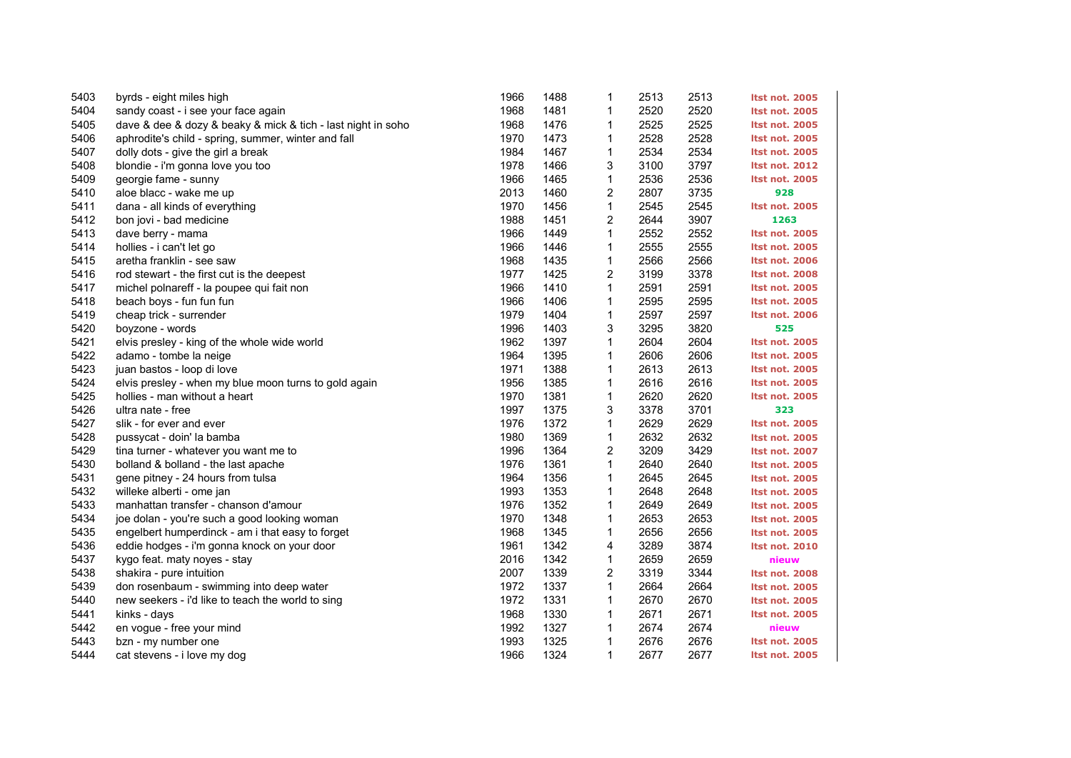| 5403 | byrds - eight miles high                                     | 1966 | 1488 | 1            | 2513 | 2513 | <b>Itst not. 2005</b> |
|------|--------------------------------------------------------------|------|------|--------------|------|------|-----------------------|
| 5404 | sandy coast - i see your face again                          | 1968 | 1481 | 1            | 2520 | 2520 | <b>Itst not. 2005</b> |
| 5405 | dave & dee & dozy & beaky & mick & tich - last night in soho | 1968 | 1476 | 1            | 2525 | 2525 | <b>Itst not. 2005</b> |
| 5406 | aphrodite's child - spring, summer, winter and fall          | 1970 | 1473 | 1            | 2528 | 2528 | <b>Itst not. 2005</b> |
| 5407 | dolly dots - give the girl a break                           | 1984 | 1467 | 1            | 2534 | 2534 | <b>Itst not. 2005</b> |
| 5408 | blondie - i'm gonna love you too                             | 1978 | 1466 | 3            | 3100 | 3797 | <b>Itst not. 2012</b> |
| 5409 | georgie fame - sunny                                         | 1966 | 1465 | 1            | 2536 | 2536 | <b>Itst not. 2005</b> |
| 5410 | aloe blacc - wake me up                                      | 2013 | 1460 | 2            | 2807 | 3735 | 928                   |
| 5411 | dana - all kinds of everything                               | 1970 | 1456 | 1            | 2545 | 2545 | <b>Itst not. 2005</b> |
| 5412 | bon jovi - bad medicine                                      | 1988 | 1451 | 2            | 2644 | 3907 | 1263                  |
| 5413 | dave berry - mama                                            | 1966 | 1449 | 1            | 2552 | 2552 | Itst not. 2005        |
| 5414 | hollies - i can't let go                                     | 1966 | 1446 | 1            | 2555 | 2555 | <b>Itst not. 2005</b> |
| 5415 | aretha franklin - see saw                                    | 1968 | 1435 | 1            | 2566 | 2566 | <b>Itst not. 2006</b> |
| 5416 | rod stewart - the first cut is the deepest                   | 1977 | 1425 | 2            | 3199 | 3378 | <b>Itst not. 2008</b> |
| 5417 | michel polnareff - la poupee qui fait non                    | 1966 | 1410 | 1            | 2591 | 2591 | <b>Itst not. 2005</b> |
| 5418 | beach boys - fun fun fun                                     | 1966 | 1406 | $\mathbf{1}$ | 2595 | 2595 | <b>Itst not. 2005</b> |
| 5419 | cheap trick - surrender                                      | 1979 | 1404 | 1            | 2597 | 2597 | <b>Itst not. 2006</b> |
| 5420 | boyzone - words                                              | 1996 | 1403 | 3            | 3295 | 3820 | 525                   |
| 5421 | elvis presley - king of the whole wide world                 | 1962 | 1397 | 1            | 2604 | 2604 | <b>Itst not. 2005</b> |
| 5422 | adamo - tombe la neige                                       | 1964 | 1395 | $\mathbf{1}$ | 2606 | 2606 | <b>Itst not. 2005</b> |
| 5423 | juan bastos - loop di love                                   | 1971 | 1388 | 1            | 2613 | 2613 | <b>Itst not. 2005</b> |
| 5424 | elvis presley - when my blue moon turns to gold again        | 1956 | 1385 | 1            | 2616 | 2616 | <b>Itst not. 2005</b> |
| 5425 | hollies - man without a heart                                | 1970 | 1381 | 1            | 2620 | 2620 | Itst not. 2005        |
| 5426 | ultra nate - free                                            | 1997 | 1375 | 3            | 3378 | 3701 | 323                   |
| 5427 | slik - for ever and ever                                     | 1976 | 1372 | $\mathbf{1}$ | 2629 | 2629 | <b>Itst not. 2005</b> |
| 5428 | pussycat - doin' la bamba                                    | 1980 | 1369 | 1            | 2632 | 2632 | <b>Itst not. 2005</b> |
| 5429 | tina turner - whatever you want me to                        | 1996 | 1364 | 2            | 3209 | 3429 | <b>Itst not. 2007</b> |
| 5430 | bolland & bolland - the last apache                          | 1976 | 1361 | 1            | 2640 | 2640 | <b>Itst not. 2005</b> |
| 5431 | gene pitney - 24 hours from tulsa                            | 1964 | 1356 | $\mathbf{1}$ | 2645 | 2645 | <b>Itst not. 2005</b> |
| 5432 | willeke alberti - ome jan                                    | 1993 | 1353 | 1            | 2648 | 2648 | <b>Itst not. 2005</b> |
| 5433 | manhattan transfer - chanson d'amour                         | 1976 | 1352 | 1            | 2649 | 2649 | <b>Itst not. 2005</b> |
| 5434 | joe dolan - you're such a good looking woman                 | 1970 | 1348 | 1            | 2653 | 2653 | <b>Itst not. 2005</b> |
| 5435 | engelbert humperdinck - am i that easy to forget             | 1968 | 1345 | $\mathbf{1}$ | 2656 | 2656 | <b>Itst not. 2005</b> |
| 5436 | eddie hodges - i'm gonna knock on your door                  | 1961 | 1342 | 4            | 3289 | 3874 | <b>Itst not. 2010</b> |
| 5437 | kygo feat. maty noyes - stay                                 | 2016 | 1342 | $\mathbf{1}$ | 2659 | 2659 | nieuw                 |
| 5438 | shakira - pure intuition                                     | 2007 | 1339 | 2            | 3319 | 3344 | <b>Itst not. 2008</b> |
| 5439 | don rosenbaum - swimming into deep water                     | 1972 | 1337 | $\mathbf{1}$ | 2664 | 2664 | <b>Itst not. 2005</b> |
| 5440 | new seekers - i'd like to teach the world to sing            | 1972 | 1331 | $\mathbf{1}$ | 2670 | 2670 | <b>Itst not. 2005</b> |
| 5441 | kinks - days                                                 | 1968 | 1330 | $\mathbf{1}$ | 2671 | 2671 | <b>Itst not. 2005</b> |
| 5442 | en vogue - free your mind                                    | 1992 | 1327 | 1            | 2674 | 2674 | nieuw                 |
| 5443 | bzn - my number one                                          | 1993 | 1325 | 1            | 2676 | 2676 | <b>Itst not. 2005</b> |
| 5444 | cat stevens - i love my dog                                  | 1966 | 1324 | $\mathbf{1}$ | 2677 | 2677 | <b>Itst not. 2005</b> |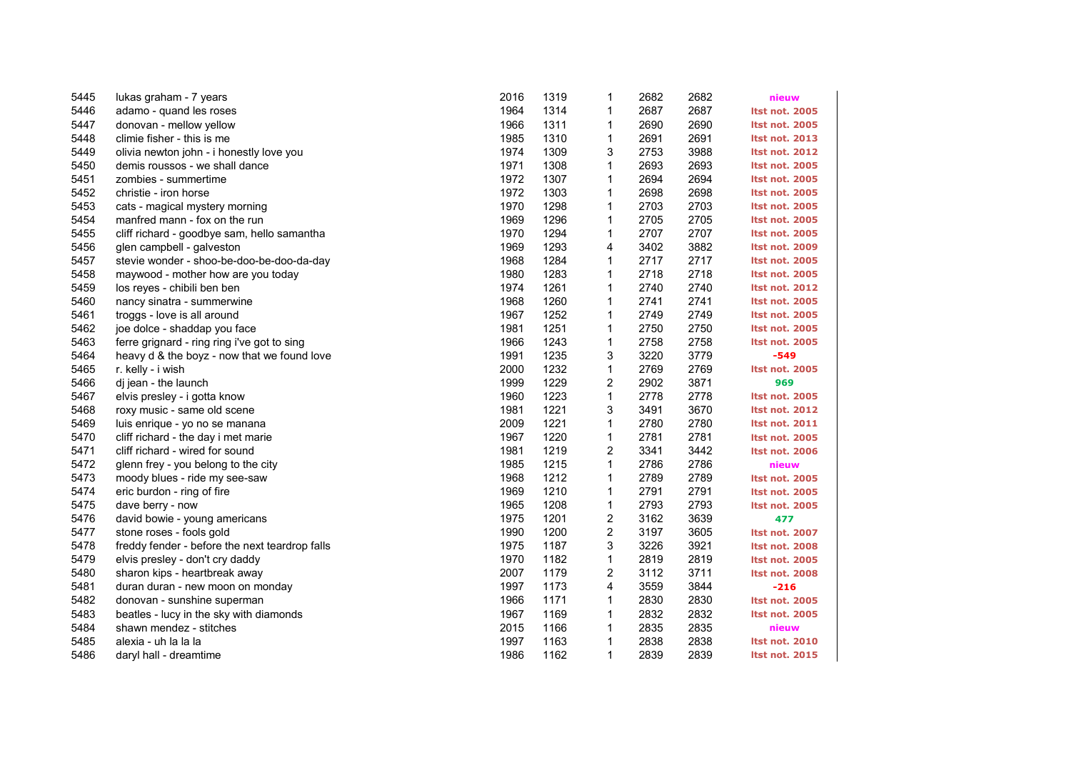| 5445 | lukas graham - 7 years                         | 2016 | 1319 | 1                       | 2682 | 2682 | nieuw                 |
|------|------------------------------------------------|------|------|-------------------------|------|------|-----------------------|
| 5446 | adamo - quand les roses                        | 1964 | 1314 | $\mathbf{1}$            | 2687 | 2687 | <b>Itst not. 2005</b> |
| 5447 | donovan - mellow yellow                        | 1966 | 1311 | 1                       | 2690 | 2690 | <b>Itst not. 2005</b> |
| 5448 | climie fisher - this is me                     | 1985 | 1310 | 1                       | 2691 | 2691 | <b>Itst not. 2013</b> |
| 5449 | olivia newton john - i honestly love you       | 1974 | 1309 | 3                       | 2753 | 3988 | <b>Itst not. 2012</b> |
| 5450 | demis roussos - we shall dance                 | 1971 | 1308 | $\mathbf{1}$            | 2693 | 2693 | <b>Itst not. 2005</b> |
| 5451 | zombies - summertime                           | 1972 | 1307 | 1                       | 2694 | 2694 | <b>Itst not. 2005</b> |
| 5452 | christie - iron horse                          | 1972 | 1303 | 1                       | 2698 | 2698 | <b>Itst not. 2005</b> |
| 5453 | cats - magical mystery morning                 | 1970 | 1298 | 1                       | 2703 | 2703 | <b>Itst not. 2005</b> |
| 5454 | manfred mann - fox on the run                  | 1969 | 1296 | 1                       | 2705 | 2705 | <b>Itst not. 2005</b> |
| 5455 | cliff richard - goodbye sam, hello samantha    | 1970 | 1294 | $\mathbf{1}$            | 2707 | 2707 | <b>Itst not. 2005</b> |
| 5456 | glen campbell - galveston                      | 1969 | 1293 | 4                       | 3402 | 3882 | <b>Itst not. 2009</b> |
| 5457 | stevie wonder - shoo-be-doo-be-doo-da-day      | 1968 | 1284 | 1                       | 2717 | 2717 | <b>Itst not. 2005</b> |
| 5458 | maywood - mother how are you today             | 1980 | 1283 | 1                       | 2718 | 2718 | <b>Itst not. 2005</b> |
| 5459 | los reyes - chibili ben ben                    | 1974 | 1261 | $\mathbf{1}$            | 2740 | 2740 | <b>Itst not. 2012</b> |
| 5460 | nancy sinatra - summerwine                     | 1968 | 1260 | 1                       | 2741 | 2741 | <b>Itst not. 2005</b> |
| 5461 | troggs - love is all around                    | 1967 | 1252 | 1                       | 2749 | 2749 | <b>Itst not. 2005</b> |
| 5462 | joe dolce - shaddap you face                   | 1981 | 1251 | 1                       | 2750 | 2750 | <b>Itst not. 2005</b> |
| 5463 | ferre grignard - ring ring i've got to sing    | 1966 | 1243 | 1                       | 2758 | 2758 | <b>Itst not. 2005</b> |
| 5464 | heavy d & the boyz - now that we found love    | 1991 | 1235 | 3                       | 3220 | 3779 | $-549$                |
| 5465 | r. kelly - i wish                              | 2000 | 1232 | 1                       | 2769 | 2769 | Itst not. 2005        |
| 5466 | di jean - the launch                           | 1999 | 1229 | 2                       | 2902 | 3871 | 969                   |
| 5467 | elvis presley - i gotta know                   | 1960 | 1223 | 1                       | 2778 | 2778 | <b>Itst not. 2005</b> |
| 5468 | roxy music - same old scene                    | 1981 | 1221 | 3                       | 3491 | 3670 | <b>Itst not. 2012</b> |
| 5469 | luis enrique - yo no se manana                 | 2009 | 1221 | 1                       | 2780 | 2780 | <b>Itst not. 2011</b> |
| 5470 | cliff richard - the day i met marie            | 1967 | 1220 | 1                       | 2781 | 2781 | <b>Itst not. 2005</b> |
| 5471 | cliff richard - wired for sound                | 1981 | 1219 | 2                       | 3341 | 3442 | <b>Itst not. 2006</b> |
| 5472 | glenn frey - you belong to the city            | 1985 | 1215 | $\mathbf{1}$            | 2786 | 2786 | nieuw                 |
| 5473 | moody blues - ride my see-saw                  | 1968 | 1212 | $\mathbf{1}$            | 2789 | 2789 | <b>Itst not. 2005</b> |
| 5474 | eric burdon - ring of fire                     | 1969 | 1210 | 1                       | 2791 | 2791 | <b>Itst not. 2005</b> |
| 5475 | dave berry - now                               | 1965 | 1208 | $\mathbf{1}$            | 2793 | 2793 | <b>Itst not. 2005</b> |
| 5476 | david bowie - young americans                  | 1975 | 1201 | 2                       | 3162 | 3639 | 477                   |
| 5477 | stone roses - fools gold                       | 1990 | 1200 | $\overline{\mathbf{c}}$ | 3197 | 3605 | Itst not. 2007        |
| 5478 | freddy fender - before the next teardrop falls | 1975 | 1187 | 3                       | 3226 | 3921 | <b>Itst not. 2008</b> |
| 5479 | elvis presley - don't cry daddy                | 1970 | 1182 | 1                       | 2819 | 2819 | <b>Itst not. 2005</b> |
| 5480 | sharon kips - heartbreak away                  | 2007 | 1179 | 2                       | 3112 | 3711 | <b>Itst not. 2008</b> |
| 5481 | duran duran - new moon on monday               | 1997 | 1173 | 4                       | 3559 | 3844 | $-216$                |
| 5482 | donovan - sunshine superman                    | 1966 | 1171 | $\mathbf{1}$            | 2830 | 2830 | <b>Itst not. 2005</b> |
| 5483 | beatles - lucy in the sky with diamonds        | 1967 | 1169 | 1                       | 2832 | 2832 | <b>Itst not. 2005</b> |
| 5484 | shawn mendez - stitches                        | 2015 | 1166 | 1                       | 2835 | 2835 | nieuw                 |
| 5485 | alexia - uh la la la                           | 1997 | 1163 | 1                       | 2838 | 2838 | <b>Itst not. 2010</b> |
| 5486 | daryl hall - dreamtime                         | 1986 | 1162 | $\mathbf{1}$            | 2839 | 2839 | <b>Itst not. 2015</b> |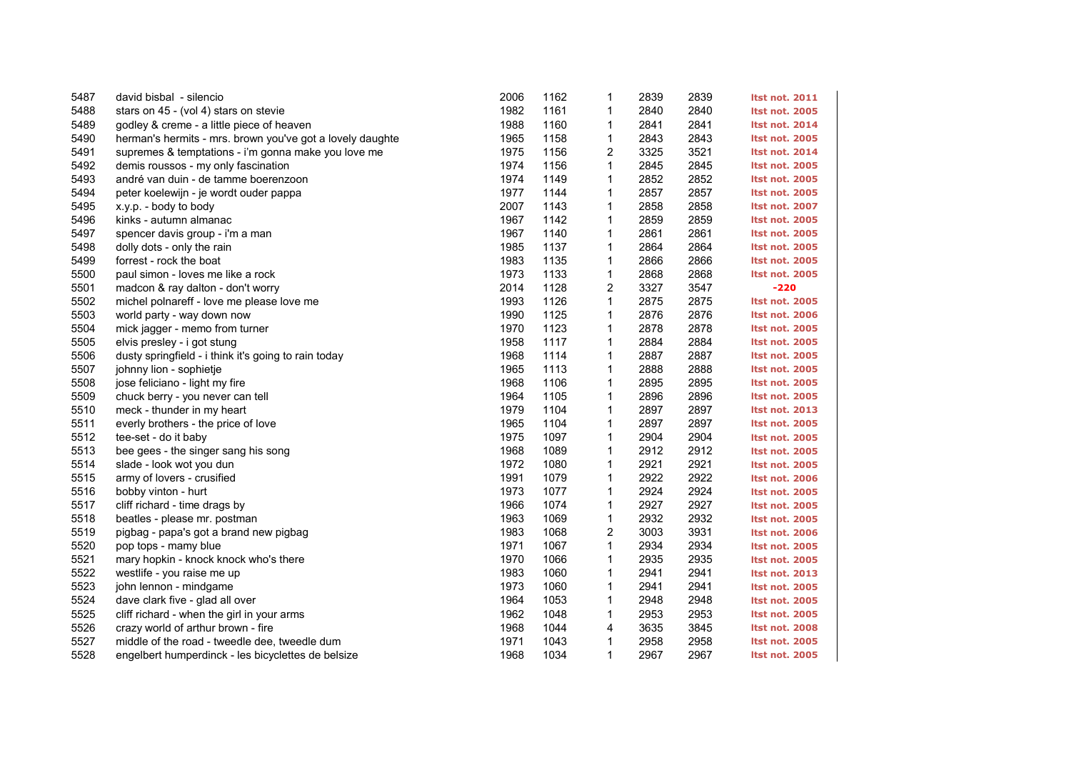| 5487 | david bisbal - silencio                                   | 2006 | 1162 | 1                       | 2839 | 2839 | <b>Itst not. 2011</b> |
|------|-----------------------------------------------------------|------|------|-------------------------|------|------|-----------------------|
| 5488 | stars on 45 - (vol 4) stars on stevie                     | 1982 | 1161 | 1                       | 2840 | 2840 | <b>Itst not. 2005</b> |
| 5489 | godley & creme - a little piece of heaven                 | 1988 | 1160 | 1                       | 2841 | 2841 | <b>Itst not. 2014</b> |
| 5490 | herman's hermits - mrs. brown you've got a lovely daughte | 1965 | 1158 | 1                       | 2843 | 2843 | <b>Itst not. 2005</b> |
| 5491 | supremes & temptations - i'm gonna make you love me       | 1975 | 1156 | 2                       | 3325 | 3521 | <b>Itst not. 2014</b> |
| 5492 | demis roussos - my only fascination                       | 1974 | 1156 | $\mathbf{1}$            | 2845 | 2845 | <b>Itst not. 2005</b> |
| 5493 | andré van duin - de tamme boerenzoon                      | 1974 | 1149 | 1                       | 2852 | 2852 | <b>Itst not. 2005</b> |
| 5494 | peter koelewijn - je wordt ouder pappa                    | 1977 | 1144 | 1                       | 2857 | 2857 | <b>Itst not. 2005</b> |
| 5495 | x.y.p. - body to body                                     | 2007 | 1143 | 1                       | 2858 | 2858 | <b>Itst not. 2007</b> |
| 5496 | kinks - autumn almanac                                    | 1967 | 1142 | 1                       | 2859 | 2859 | <b>Itst not. 2005</b> |
| 5497 | spencer davis group - i'm a man                           | 1967 | 1140 | $\mathbf{1}$            | 2861 | 2861 | <b>Itst not. 2005</b> |
| 5498 | dolly dots - only the rain                                | 1985 | 1137 | 1                       | 2864 | 2864 | <b>Itst not. 2005</b> |
| 5499 | forrest - rock the boat                                   | 1983 | 1135 | 1                       | 2866 | 2866 | <b>Itst not. 2005</b> |
| 5500 | paul simon - loves me like a rock                         | 1973 | 1133 | 1                       | 2868 | 2868 | <b>Itst not. 2005</b> |
| 5501 | madcon & ray dalton - don't worry                         | 2014 | 1128 | 2                       | 3327 | 3547 | $-220$                |
| 5502 | michel polnareff - love me please love me                 | 1993 | 1126 | $\mathbf{1}$            | 2875 | 2875 | <b>Itst not. 2005</b> |
| 5503 | world party - way down now                                | 1990 | 1125 | 1                       | 2876 | 2876 | <b>Itst not. 2006</b> |
| 5504 | mick jagger - memo from turner                            | 1970 | 1123 | $\mathbf 1$             | 2878 | 2878 | <b>Itst not. 2005</b> |
| 5505 | elvis presley - i got stung                               | 1958 | 1117 | 1                       | 2884 | 2884 | <b>Itst not. 2005</b> |
| 5506 | dusty springfield - i think it's going to rain today      | 1968 | 1114 | 1                       | 2887 | 2887 | <b>Itst not. 2005</b> |
| 5507 | johnny lion - sophietje                                   | 1965 | 1113 | 1                       | 2888 | 2888 | <b>Itst not. 2005</b> |
| 5508 | jose feliciano - light my fire                            | 1968 | 1106 | 1                       | 2895 | 2895 | <b>Itst not. 2005</b> |
| 5509 | chuck berry - you never can tell                          | 1964 | 1105 | 1                       | 2896 | 2896 | <b>Itst not. 2005</b> |
| 5510 | meck - thunder in my heart                                | 1979 | 1104 | $\mathbf{1}$            | 2897 | 2897 | <b>Itst not. 2013</b> |
| 5511 | everly brothers - the price of love                       | 1965 | 1104 | $\mathbf{1}$            | 2897 | 2897 | <b>Itst not. 2005</b> |
| 5512 | tee-set - do it baby                                      | 1975 | 1097 | 1                       | 2904 | 2904 | <b>Itst not. 2005</b> |
| 5513 | bee gees - the singer sang his song                       | 1968 | 1089 | $\mathbf{1}$            | 2912 | 2912 | <b>Itst not. 2005</b> |
| 5514 | slade - look wot you dun                                  | 1972 | 1080 | 1                       | 2921 | 2921 | <b>Itst not. 2005</b> |
| 5515 | army of lovers - crusified                                | 1991 | 1079 | 1                       | 2922 | 2922 | <b>Itst not. 2006</b> |
| 5516 | bobby vinton - hurt                                       | 1973 | 1077 | $\mathbf{1}$            | 2924 | 2924 | <b>Itst not. 2005</b> |
| 5517 | cliff richard - time drags by                             | 1966 | 1074 | $\mathbf{1}$            | 2927 | 2927 | <b>Itst not. 2005</b> |
| 5518 | beatles - please mr. postman                              | 1963 | 1069 | $\mathbf{1}$            | 2932 | 2932 | <b>Itst not. 2005</b> |
| 5519 | pigbag - papa's got a brand new pigbag                    | 1983 | 1068 | $\overline{\mathbf{c}}$ | 3003 | 3931 | <b>Itst not. 2006</b> |
| 5520 | pop tops - mamy blue                                      | 1971 | 1067 | $\mathbf{1}$            | 2934 | 2934 | <b>Itst not. 2005</b> |
| 5521 | mary hopkin - knock knock who's there                     | 1970 | 1066 | 1                       | 2935 | 2935 | <b>Itst not. 2005</b> |
| 5522 | westlife - you raise me up                                | 1983 | 1060 | $\mathbf{1}$            | 2941 | 2941 | <b>Itst not. 2013</b> |
| 5523 | john lennon - mindgame                                    | 1973 | 1060 | 1                       | 2941 | 2941 | <b>Itst not. 2005</b> |
| 5524 | dave clark five - glad all over                           | 1964 | 1053 | $\mathbf{1}$            | 2948 | 2948 | <b>Itst not. 2005</b> |
| 5525 | cliff richard - when the girl in your arms                | 1962 | 1048 | $\mathbf{1}$            | 2953 | 2953 | <b>Itst not. 2005</b> |
| 5526 | crazy world of arthur brown - fire                        | 1968 | 1044 | 4                       | 3635 | 3845 | <b>Itst not. 2008</b> |
| 5527 | middle of the road - tweedle dee, tweedle dum             | 1971 | 1043 | $\mathbf{1}$            | 2958 | 2958 | <b>Itst not. 2005</b> |
| 5528 | engelbert humperdinck - les bicyclettes de belsize        | 1968 | 1034 | $\mathbf{1}$            | 2967 | 2967 | <b>Itst not. 2005</b> |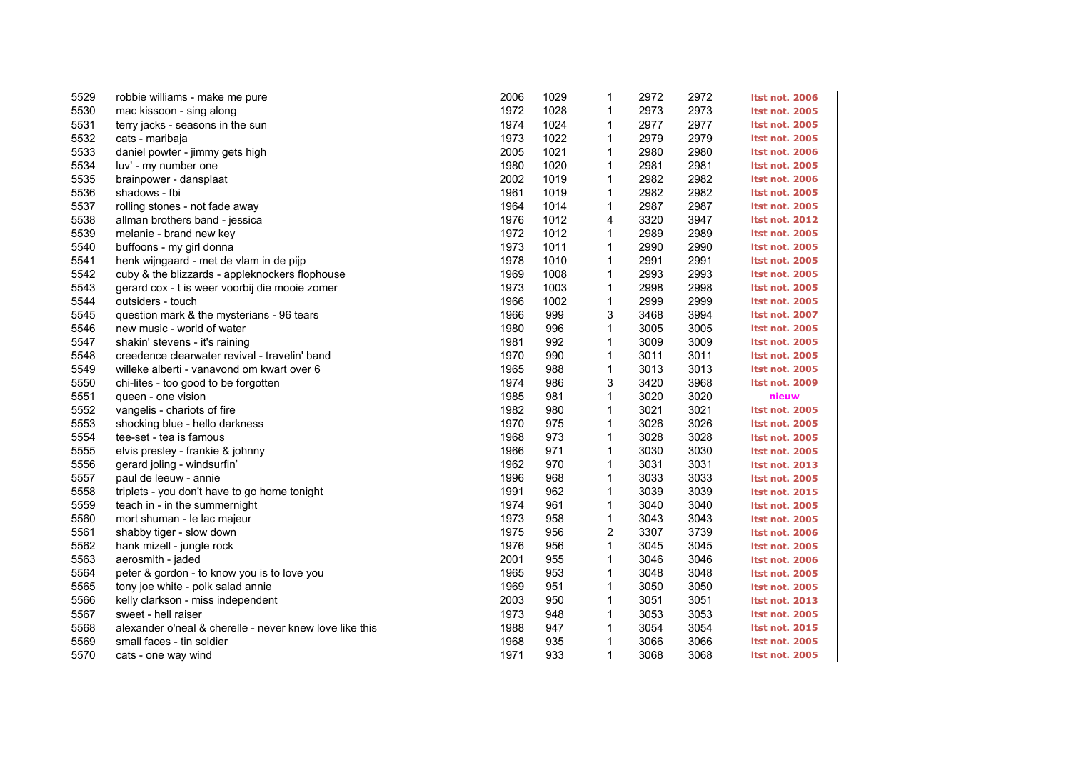| 5529 | robbie williams - make me pure                          | 2006 | 1029 | 1            | 2972 | 2972 | <b>Itst not. 2006</b> |
|------|---------------------------------------------------------|------|------|--------------|------|------|-----------------------|
| 5530 | mac kissoon - sing along                                | 1972 | 1028 | 1            | 2973 | 2973 | <b>Itst not. 2005</b> |
| 5531 | terry jacks - seasons in the sun                        | 1974 | 1024 | 1            | 2977 | 2977 | <b>Itst not. 2005</b> |
| 5532 | cats - maribaja                                         | 1973 | 1022 | 1            | 2979 | 2979 | <b>Itst not. 2005</b> |
| 5533 | daniel powter - jimmy gets high                         | 2005 | 1021 | 1            | 2980 | 2980 | <b>Itst not. 2006</b> |
| 5534 | luv' - my number one                                    | 1980 | 1020 | 1            | 2981 | 2981 | <b>Itst not. 2005</b> |
| 5535 | brainpower - dansplaat                                  | 2002 | 1019 | 1            | 2982 | 2982 | <b>Itst not. 2006</b> |
| 5536 | shadows - fbi                                           | 1961 | 1019 | 1            | 2982 | 2982 | <b>Itst not. 2005</b> |
| 5537 | rolling stones - not fade away                          | 1964 | 1014 | 1            | 2987 | 2987 | <b>Itst not. 2005</b> |
| 5538 | allman brothers band - jessica                          | 1976 | 1012 | 4            | 3320 | 3947 | <b>Itst not. 2012</b> |
| 5539 | melanie - brand new key                                 | 1972 | 1012 | 1            | 2989 | 2989 | <b>Itst not. 2005</b> |
| 5540 | buffoons - my girl donna                                | 1973 | 1011 | 1            | 2990 | 2990 | <b>Itst not. 2005</b> |
| 5541 | henk wijngaard - met de vlam in de pijp                 | 1978 | 1010 | 1            | 2991 | 2991 | <b>Itst not. 2005</b> |
| 5542 | cuby & the blizzards - appleknockers flophouse          | 1969 | 1008 | 1            | 2993 | 2993 | <b>Itst not. 2005</b> |
| 5543 | gerard cox - t is weer voorbij die mooie zomer          | 1973 | 1003 | 1            | 2998 | 2998 | <b>Itst not. 2005</b> |
| 5544 | outsiders - touch                                       | 1966 | 1002 | 1            | 2999 | 2999 | <b>Itst not. 2005</b> |
| 5545 | question mark & the mysterians - 96 tears               | 1966 | 999  | 3            | 3468 | 3994 | <b>Itst not. 2007</b> |
| 5546 | new music - world of water                              | 1980 | 996  | $\mathbf{1}$ | 3005 | 3005 | <b>Itst not. 2005</b> |
| 5547 | shakin' stevens - it's raining                          | 1981 | 992  | 1            | 3009 | 3009 | <b>Itst not. 2005</b> |
| 5548 | creedence clearwater revival - travelin' band           | 1970 | 990  | 1            | 3011 | 3011 | <b>Itst not. 2005</b> |
| 5549 | willeke alberti - vanavond om kwart over 6              | 1965 | 988  | 1            | 3013 | 3013 | <b>Itst not. 2005</b> |
| 5550 | chi-lites - too good to be forgotten                    | 1974 | 986  | 3            | 3420 | 3968 | Itst not. 2009        |
| 5551 | queen - one vision                                      | 1985 | 981  | 1            | 3020 | 3020 | nieuw                 |
| 5552 | vangelis - chariots of fire                             | 1982 | 980  | 1            | 3021 | 3021 | <b>Itst not. 2005</b> |
| 5553 | shocking blue - hello darkness                          | 1970 | 975  | 1            | 3026 | 3026 | <b>Itst not. 2005</b> |
| 5554 | tee-set - tea is famous                                 | 1968 | 973  | 1            | 3028 | 3028 | <b>Itst not. 2005</b> |
| 5555 | elvis presley - frankie & johnny                        | 1966 | 971  | $\mathbf{1}$ | 3030 | 3030 | <b>Itst not. 2005</b> |
| 5556 | gerard joling - windsurfin'                             | 1962 | 970  | $\mathbf{1}$ | 3031 | 3031 | <b>Itst not. 2013</b> |
| 5557 | paul de leeuw - annie                                   | 1996 | 968  | 1            | 3033 | 3033 | <b>Itst not. 2005</b> |
| 5558 | triplets - you don't have to go home tonight            | 1991 | 962  | 1            | 3039 | 3039 | <b>Itst not. 2015</b> |
| 5559 | teach in - in the summernight                           | 1974 | 961  | 1            | 3040 | 3040 | <b>Itst not. 2005</b> |
| 5560 | mort shuman - le lac majeur                             | 1973 | 958  | 1            | 3043 | 3043 | <b>Itst not. 2005</b> |
| 5561 | shabby tiger - slow down                                | 1975 | 956  | 2            | 3307 | 3739 | <b>Itst not. 2006</b> |
| 5562 | hank mizell - jungle rock                               | 1976 | 956  | $\mathbf{1}$ | 3045 | 3045 | <b>Itst not. 2005</b> |
| 5563 | aerosmith - jaded                                       | 2001 | 955  | 1            | 3046 | 3046 | <b>Itst not. 2006</b> |
| 5564 | peter & gordon - to know you is to love you             | 1965 | 953  | 1            | 3048 | 3048 | <b>Itst not. 2005</b> |
| 5565 | tony joe white - polk salad annie                       | 1969 | 951  | 1            | 3050 | 3050 | <b>Itst not. 2005</b> |
| 5566 | kelly clarkson - miss independent                       | 2003 | 950  | 1            | 3051 | 3051 | <b>Itst not. 2013</b> |
| 5567 | sweet - hell raiser                                     | 1973 | 948  | 1            | 3053 | 3053 | <b>Itst not. 2005</b> |
| 5568 | alexander o'neal & cherelle - never knew love like this | 1988 | 947  | 1            | 3054 | 3054 | <b>Itst not. 2015</b> |
| 5569 | small faces - tin soldier                               | 1968 | 935  | 1            | 3066 | 3066 | <b>Itst not. 2005</b> |
| 5570 | cats - one way wind                                     | 1971 | 933  | $\mathbf{1}$ | 3068 | 3068 | <b>Itst not. 2005</b> |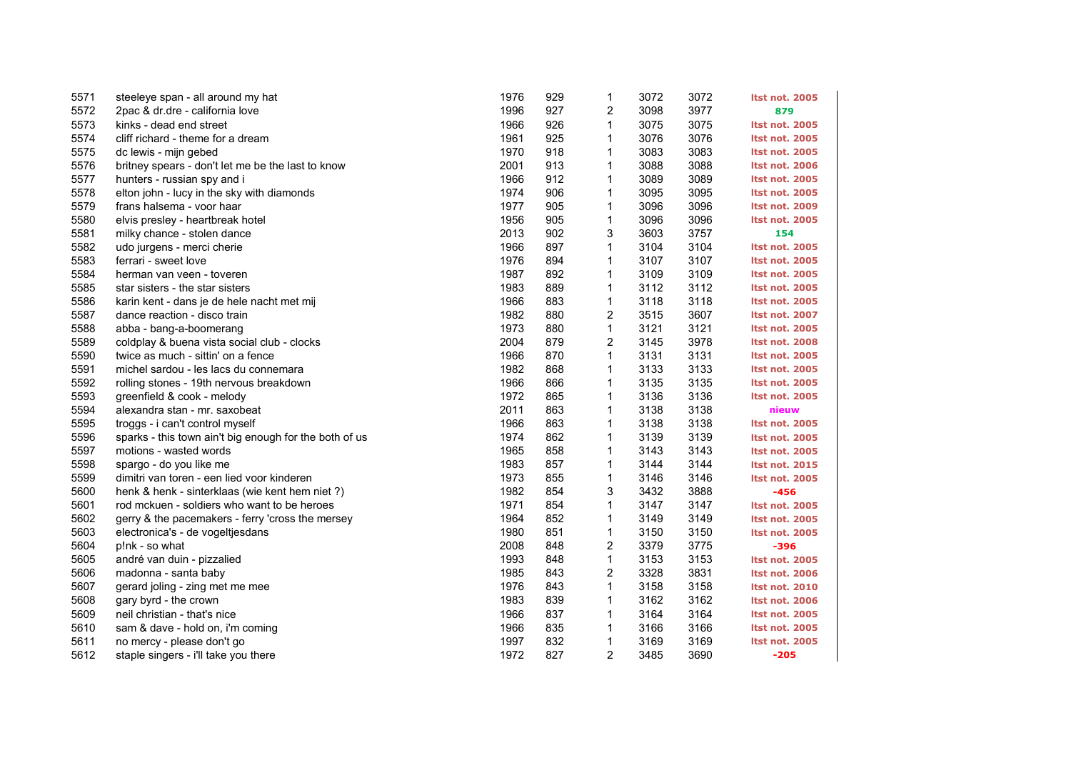| 5571 | steeleye span - all around my hat                      | 1976 | 929 | 1 | 3072 | 3072 | <b>Itst not. 2005</b> |
|------|--------------------------------------------------------|------|-----|---|------|------|-----------------------|
| 5572 | 2pac & dr.dre - california love                        | 1996 | 927 | 2 | 3098 | 3977 | 879                   |
| 5573 | kinks - dead end street                                | 1966 | 926 | 1 | 3075 | 3075 | <b>Itst not. 2005</b> |
| 5574 | cliff richard - theme for a dream                      | 1961 | 925 | 1 | 3076 | 3076 | <b>Itst not. 2005</b> |
| 5575 | dc lewis - mijn gebed                                  | 1970 | 918 | 1 | 3083 | 3083 | <b>Itst not. 2005</b> |
| 5576 | britney spears - don't let me be the last to know      | 2001 | 913 | 1 | 3088 | 3088 | <b>Itst not. 2006</b> |
| 5577 | hunters - russian spy and i                            | 1966 | 912 | 1 | 3089 | 3089 | <b>Itst not. 2005</b> |
| 5578 | elton john - lucy in the sky with diamonds             | 1974 | 906 | 1 | 3095 | 3095 | <b>Itst not. 2005</b> |
| 5579 | frans halsema - voor haar                              | 1977 | 905 | 1 | 3096 | 3096 | <b>Itst not. 2009</b> |
| 5580 | elvis presley - heartbreak hotel                       | 1956 | 905 | 1 | 3096 | 3096 | <b>Itst not. 2005</b> |
| 5581 | milky chance - stolen dance                            | 2013 | 902 | 3 | 3603 | 3757 | 154                   |
| 5582 | udo jurgens - merci cherie                             | 1966 | 897 | 1 | 3104 | 3104 | <b>Itst not. 2005</b> |
| 5583 | ferrari - sweet love                                   | 1976 | 894 | 1 | 3107 | 3107 | <b>Itst not. 2005</b> |
| 5584 | herman van veen - toveren                              | 1987 | 892 | 1 | 3109 | 3109 | <b>Itst not. 2005</b> |
| 5585 | star sisters - the star sisters                        | 1983 | 889 | 1 | 3112 | 3112 | <b>Itst not. 2005</b> |
| 5586 | karin kent - dans je de hele nacht met mij             | 1966 | 883 | 1 | 3118 | 3118 | <b>Itst not. 2005</b> |
| 5587 | dance reaction - disco train                           | 1982 | 880 | 2 | 3515 | 3607 | <b>Itst not. 2007</b> |
| 5588 | abba - bang-a-boomerang                                | 1973 | 880 | 1 | 3121 | 3121 | <b>Itst not. 2005</b> |
| 5589 | coldplay & buena vista social club - clocks            | 2004 | 879 | 2 | 3145 | 3978 | <b>Itst not. 2008</b> |
| 5590 | twice as much - sittin' on a fence                     | 1966 | 870 | 1 | 3131 | 3131 | <b>Itst not. 2005</b> |
| 5591 | michel sardou - les lacs du connemara                  | 1982 | 868 | 1 | 3133 | 3133 | <b>Itst not. 2005</b> |
| 5592 | rolling stones - 19th nervous breakdown                | 1966 | 866 | 1 | 3135 | 3135 | <b>Itst not. 2005</b> |
| 5593 | greenfield & cook - melody                             | 1972 | 865 | 1 | 3136 | 3136 | <b>Itst not. 2005</b> |
| 5594 | alexandra stan - mr. saxobeat                          | 2011 | 863 | 1 | 3138 | 3138 | nieuw                 |
| 5595 | troggs - i can't control myself                        | 1966 | 863 | 1 | 3138 | 3138 | <b>Itst not. 2005</b> |
| 5596 | sparks - this town ain't big enough for the both of us | 1974 | 862 | 1 | 3139 | 3139 | <b>Itst not. 2005</b> |
| 5597 | motions - wasted words                                 | 1965 | 858 | 1 | 3143 | 3143 | <b>Itst not. 2005</b> |
| 5598 | spargo - do you like me                                | 1983 | 857 | 1 | 3144 | 3144 | <b>Itst not. 2015</b> |
| 5599 | dimitri van toren - een lied voor kinderen             | 1973 | 855 | 1 | 3146 | 3146 | <b>Itst not. 2005</b> |
| 5600 | henk & henk - sinterklaas (wie kent hem niet?)         | 1982 | 854 | 3 | 3432 | 3888 | $-456$                |
| 5601 | rod mckuen - soldiers who want to be heroes            | 1971 | 854 | 1 | 3147 | 3147 | <b>Itst not. 2005</b> |
| 5602 | gerry & the pacemakers - ferry 'cross the mersey       | 1964 | 852 | 1 | 3149 | 3149 | <b>Itst not. 2005</b> |
| 5603 | electronica's - de vogeltjesdans                       | 1980 | 851 | 1 | 3150 | 3150 | <b>Itst not. 2005</b> |
| 5604 | p!nk - so what                                         | 2008 | 848 | 2 | 3379 | 3775 | -396                  |
| 5605 | andré van duin - pizzalied                             | 1993 | 848 | 1 | 3153 | 3153 | <b>Itst not. 2005</b> |
| 5606 | madonna - santa baby                                   | 1985 | 843 | 2 | 3328 | 3831 | <b>Itst not. 2006</b> |
| 5607 | gerard joling - zing met me mee                        | 1976 | 843 | 1 | 3158 | 3158 | <b>Itst not. 2010</b> |
| 5608 | gary byrd - the crown                                  | 1983 | 839 | 1 | 3162 | 3162 | <b>Itst not. 2006</b> |
| 5609 | neil christian - that's nice                           | 1966 | 837 | 1 | 3164 | 3164 | <b>Itst not. 2005</b> |
| 5610 | sam & dave - hold on, i'm coming                       | 1966 | 835 | 1 | 3166 | 3166 | <b>Itst not. 2005</b> |
| 5611 | no mercy - please don't go                             | 1997 | 832 | 1 | 3169 | 3169 | <b>Itst not. 2005</b> |
| 5612 | staple singers - i'll take you there                   | 1972 | 827 | 2 | 3485 | 3690 | $-205$                |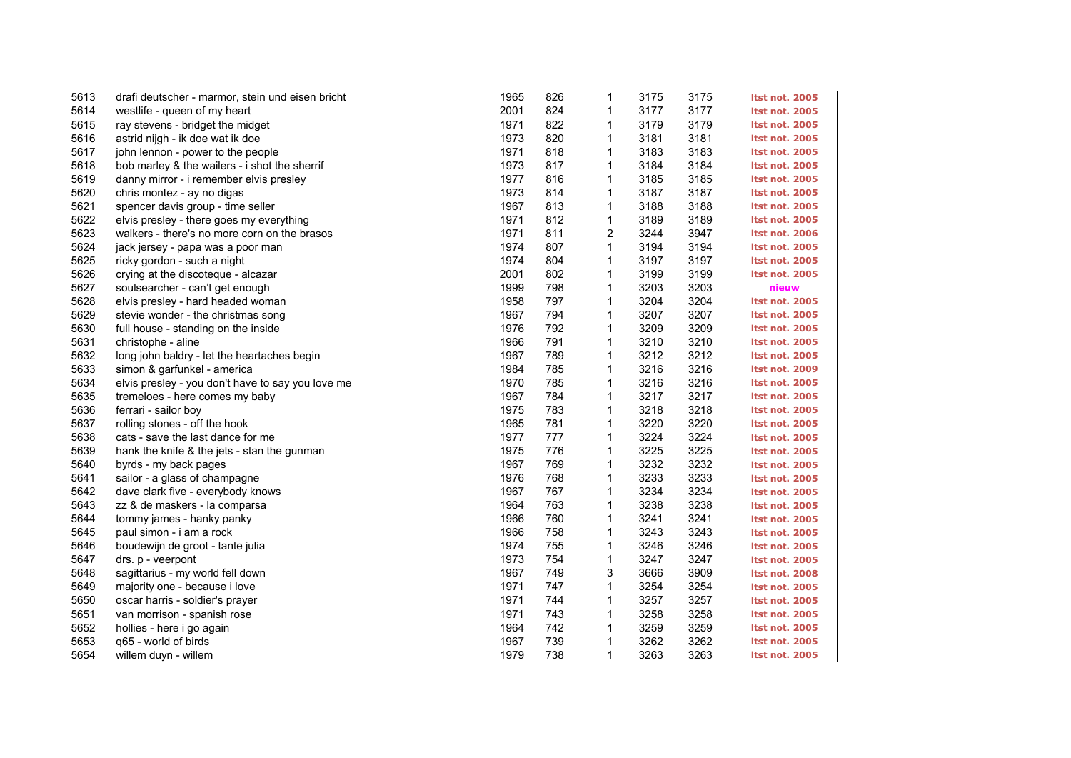| 5613 | drafi deutscher - marmor, stein und eisen bricht  | 1965 | 826 | 1                       | 3175 | 3175 | <b>Itst not. 2005</b> |
|------|---------------------------------------------------|------|-----|-------------------------|------|------|-----------------------|
| 5614 | westlife - queen of my heart                      | 2001 | 824 | 1                       | 3177 | 3177 | <b>Itst not. 2005</b> |
| 5615 | ray stevens - bridget the midget                  | 1971 | 822 | 1                       | 3179 | 3179 | <b>Itst not. 2005</b> |
| 5616 | astrid nijgh - ik doe wat ik doe                  | 1973 | 820 | 1                       | 3181 | 3181 | <b>Itst not. 2005</b> |
| 5617 | john lennon - power to the people                 | 1971 | 818 | 1                       | 3183 | 3183 | <b>Itst not. 2005</b> |
| 5618 | bob marley & the wailers - i shot the sherrif     | 1973 | 817 | 1                       | 3184 | 3184 | <b>Itst not. 2005</b> |
| 5619 | danny mirror - i remember elvis presley           | 1977 | 816 | 1                       | 3185 | 3185 | <b>Itst not. 2005</b> |
| 5620 | chris montez - ay no digas                        | 1973 | 814 | 1                       | 3187 | 3187 | <b>Itst not. 2005</b> |
| 5621 | spencer davis group - time seller                 | 1967 | 813 | 1                       | 3188 | 3188 | <b>Itst not. 2005</b> |
| 5622 | elvis presley - there goes my everything          | 1971 | 812 | $\mathbf{1}$            | 3189 | 3189 | <b>Itst not. 2005</b> |
| 5623 | walkers - there's no more corn on the brasos      | 1971 | 811 | $\overline{\mathbf{c}}$ | 3244 | 3947 | <b>Itst not. 2006</b> |
| 5624 | jack jersey - papa was a poor man                 | 1974 | 807 | 1                       | 3194 | 3194 | <b>Itst not. 2005</b> |
| 5625 | ricky gordon - such a night                       | 1974 | 804 | 1                       | 3197 | 3197 | <b>Itst not. 2005</b> |
| 5626 | crying at the discoteque - alcazar                | 2001 | 802 | 1                       | 3199 | 3199 | <b>Itst not. 2005</b> |
| 5627 | soulsearcher - can't get enough                   | 1999 | 798 | 1                       | 3203 | 3203 | nieuw                 |
| 5628 | elvis presley - hard headed woman                 | 1958 | 797 | 1                       | 3204 | 3204 | <b>Itst not. 2005</b> |
| 5629 | stevie wonder - the christmas song                | 1967 | 794 | 1                       | 3207 | 3207 | <b>Itst not. 2005</b> |
| 5630 | full house - standing on the inside               | 1976 | 792 | 1                       | 3209 | 3209 | <b>Itst not. 2005</b> |
| 5631 | christophe - aline                                | 1966 | 791 | 1                       | 3210 | 3210 | <b>Itst not. 2005</b> |
| 5632 | long john baldry - let the heartaches begin       | 1967 | 789 | $\mathbf{1}$            | 3212 | 3212 | <b>Itst not. 2005</b> |
| 5633 | simon & garfunkel - america                       | 1984 | 785 | 1                       | 3216 | 3216 | <b>Itst not. 2009</b> |
| 5634 | elvis presley - you don't have to say you love me | 1970 | 785 | 1                       | 3216 | 3216 | <b>Itst not. 2005</b> |
| 5635 | tremeloes - here comes my baby                    | 1967 | 784 | 1                       | 3217 | 3217 | <b>Itst not. 2005</b> |
| 5636 | ferrari - sailor boy                              | 1975 | 783 | 1                       | 3218 | 3218 | <b>Itst not. 2005</b> |
| 5637 | rolling stones - off the hook                     | 1965 | 781 | 1                       | 3220 | 3220 | <b>Itst not. 2005</b> |
| 5638 | cats - save the last dance for me                 | 1977 | 777 | 1                       | 3224 | 3224 | <b>Itst not. 2005</b> |
| 5639 | hank the knife & the jets - stan the gunman       | 1975 | 776 | 1                       | 3225 | 3225 | <b>Itst not. 2005</b> |
| 5640 | byrds - my back pages                             | 1967 | 769 | 1                       | 3232 | 3232 | <b>Itst not. 2005</b> |
| 5641 | sailor - a glass of champagne                     | 1976 | 768 | 1                       | 3233 | 3233 | <b>Itst not. 2005</b> |
| 5642 | dave clark five - everybody knows                 | 1967 | 767 | 1                       | 3234 | 3234 | <b>Itst not. 2005</b> |
| 5643 | zz & de maskers - la comparsa                     | 1964 | 763 | 1                       | 3238 | 3238 | <b>Itst not. 2005</b> |
| 5644 | tommy james - hanky panky                         | 1966 | 760 | 1                       | 3241 | 3241 | <b>Itst not. 2005</b> |
| 5645 | paul simon - i am a rock                          | 1966 | 758 | 1                       | 3243 | 3243 | <b>Itst not. 2005</b> |
| 5646 | boudewijn de groot - tante julia                  | 1974 | 755 | 1                       | 3246 | 3246 | <b>Itst not. 2005</b> |
| 5647 | drs. p - veerpont                                 | 1973 | 754 | 1                       | 3247 | 3247 | <b>Itst not. 2005</b> |
| 5648 | sagittarius - my world fell down                  | 1967 | 749 | 3                       | 3666 | 3909 | <b>Itst not. 2008</b> |
| 5649 | majority one - because i love                     | 1971 | 747 | 1                       | 3254 | 3254 | <b>Itst not. 2005</b> |
| 5650 | oscar harris - soldier's prayer                   | 1971 | 744 | 1                       | 3257 | 3257 | <b>Itst not. 2005</b> |
| 5651 | van morrison - spanish rose                       | 1971 | 743 | 1                       | 3258 | 3258 | <b>Itst not. 2005</b> |
| 5652 | hollies - here i go again                         | 1964 | 742 | 1                       | 3259 | 3259 | <b>Itst not. 2005</b> |
| 5653 | q65 - world of birds                              | 1967 | 739 | 1                       | 3262 | 3262 | <b>Itst not. 2005</b> |
| 5654 | willem duyn - willem                              | 1979 | 738 | 1                       | 3263 | 3263 | <b>Itst not. 2005</b> |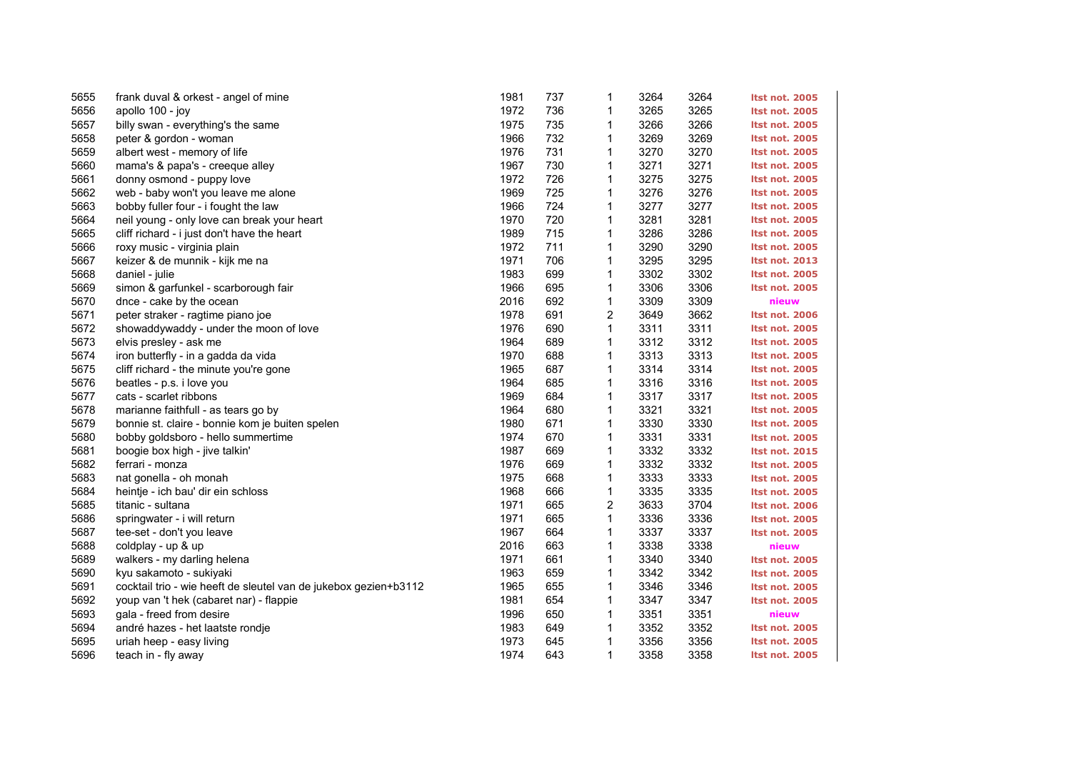| 5655 | frank duval & orkest - angel of mine                             | 1981 | 737 | 1              | 3264 | 3264 | <b>Itst not. 2005</b> |
|------|------------------------------------------------------------------|------|-----|----------------|------|------|-----------------------|
| 5656 | apollo 100 - joy                                                 | 1972 | 736 | 1              | 3265 | 3265 | <b>Itst not. 2005</b> |
| 5657 | billy swan - everything's the same                               | 1975 | 735 | 1              | 3266 | 3266 | <b>Itst not. 2005</b> |
| 5658 | peter & gordon - woman                                           | 1966 | 732 | 1              | 3269 | 3269 | <b>Itst not. 2005</b> |
| 5659 | albert west - memory of life                                     | 1976 | 731 | 1              | 3270 | 3270 | <b>Itst not. 2005</b> |
| 5660 | mama's & papa's - creeque alley                                  | 1967 | 730 | $\mathbf{1}$   | 3271 | 3271 | <b>Itst not. 2005</b> |
| 5661 | donny osmond - puppy love                                        | 1972 | 726 | $\mathbf{1}$   | 3275 | 3275 | <b>Itst not. 2005</b> |
| 5662 | web - baby won't you leave me alone                              | 1969 | 725 | $\mathbf 1$    | 3276 | 3276 | <b>Itst not. 2005</b> |
| 5663 | bobby fuller four - i fought the law                             | 1966 | 724 | $\mathbf{1}$   | 3277 | 3277 | <b>Itst not. 2005</b> |
| 5664 | neil young - only love can break your heart                      | 1970 | 720 | $\mathbf{1}$   | 3281 | 3281 | <b>Itst not. 2005</b> |
| 5665 | cliff richard - i just don't have the heart                      | 1989 | 715 | $\mathbf 1$    | 3286 | 3286 | <b>Itst not. 2005</b> |
| 5666 | roxy music - virginia plain                                      | 1972 | 711 | 1              | 3290 | 3290 | <b>Itst not. 2005</b> |
| 5667 | keizer & de munnik - kijk me na                                  | 1971 | 706 | 1              | 3295 | 3295 | <b>Itst not. 2013</b> |
| 5668 | daniel - julie                                                   | 1983 | 699 | 1              | 3302 | 3302 | <b>Itst not. 2005</b> |
| 5669 | simon & garfunkel - scarborough fair                             | 1966 | 695 | $\mathbf{1}$   | 3306 | 3306 | <b>Itst not. 2005</b> |
| 5670 | dnce - cake by the ocean                                         | 2016 | 692 | $\mathbf{1}$   | 3309 | 3309 | nieuw                 |
| 5671 | peter straker - ragtime piano joe                                | 1978 | 691 | 2              | 3649 | 3662 | Itst not. 2006        |
| 5672 | showaddywaddy - under the moon of love                           | 1976 | 690 | $\mathbf{1}$   | 3311 | 3311 | <b>Itst not. 2005</b> |
| 5673 | elvis presley - ask me                                           | 1964 | 689 | $\mathbf{1}$   | 3312 | 3312 | <b>Itst not. 2005</b> |
| 5674 | iron butterfly - in a gadda da vida                              | 1970 | 688 | $\mathbf{1}$   | 3313 | 3313 | <b>Itst not. 2005</b> |
| 5675 | cliff richard - the minute you're gone                           | 1965 | 687 | $\mathbf{1}$   | 3314 | 3314 | <b>Itst not. 2005</b> |
| 5676 | beatles - p.s. i love you                                        | 1964 | 685 | 1              | 3316 | 3316 | <b>Itst not. 2005</b> |
| 5677 | cats - scarlet ribbons                                           | 1969 | 684 | 1              | 3317 | 3317 | <b>Itst not. 2005</b> |
| 5678 | marianne faithfull - as tears go by                              | 1964 | 680 | $\mathbf{1}$   | 3321 | 3321 | <b>Itst not. 2005</b> |
| 5679 | bonnie st. claire - bonnie kom je buiten spelen                  | 1980 | 671 | 1              | 3330 | 3330 | <b>Itst not. 2005</b> |
| 5680 | bobby goldsboro - hello summertime                               | 1974 | 670 | 1              | 3331 | 3331 | <b>Itst not. 2005</b> |
| 5681 | boogie box high - jive talkin'                                   | 1987 | 669 | 1              | 3332 | 3332 | <b>Itst not. 2015</b> |
| 5682 | ferrari - monza                                                  | 1976 | 669 | $\mathbf{1}$   | 3332 | 3332 | <b>Itst not. 2005</b> |
| 5683 | nat gonella - oh monah                                           | 1975 | 668 | $\mathbf{1}$   | 3333 | 3333 | <b>Itst not. 2005</b> |
| 5684 | heintje - ich bau' dir ein schloss                               | 1968 | 666 | 1              | 3335 | 3335 | <b>Itst not. 2005</b> |
| 5685 | titanic - sultana                                                | 1971 | 665 | $\overline{c}$ | 3633 | 3704 | <b>Itst not. 2006</b> |
| 5686 | springwater - i will return                                      | 1971 | 665 | 1              | 3336 | 3336 | <b>Itst not. 2005</b> |
| 5687 | tee-set - don't you leave                                        | 1967 | 664 | $\mathbf{1}$   | 3337 | 3337 | <b>Itst not. 2005</b> |
| 5688 | coldplay - up & up                                               | 2016 | 663 | 1              | 3338 | 3338 | nieuw                 |
| 5689 | walkers - my darling helena                                      | 1971 | 661 | 1              | 3340 | 3340 | <b>Itst not. 2005</b> |
| 5690 | kyu sakamoto - sukiyaki                                          | 1963 | 659 | $\mathbf 1$    | 3342 | 3342 | <b>Itst not. 2005</b> |
| 5691 | cocktail trio - wie heeft de sleutel van de jukebox gezien+b3112 | 1965 | 655 | 1              | 3346 | 3346 | <b>Itst not. 2005</b> |
| 5692 | youp van 't hek (cabaret nar) - flappie                          | 1981 | 654 | $\mathbf{1}$   | 3347 | 3347 | <b>Itst not. 2005</b> |
| 5693 | gala - freed from desire                                         | 1996 | 650 | 1              | 3351 | 3351 | nieuw                 |
| 5694 | andré hazes - het laatste rondje                                 | 1983 | 649 | $\mathbf{1}$   | 3352 | 3352 | <b>Itst not. 2005</b> |
| 5695 | uriah heep - easy living                                         | 1973 | 645 | 1              | 3356 | 3356 | <b>Itst not. 2005</b> |
| 5696 | teach in - fly away                                              | 1974 | 643 | $\mathbf{1}$   | 3358 | 3358 | <b>Itst not. 2005</b> |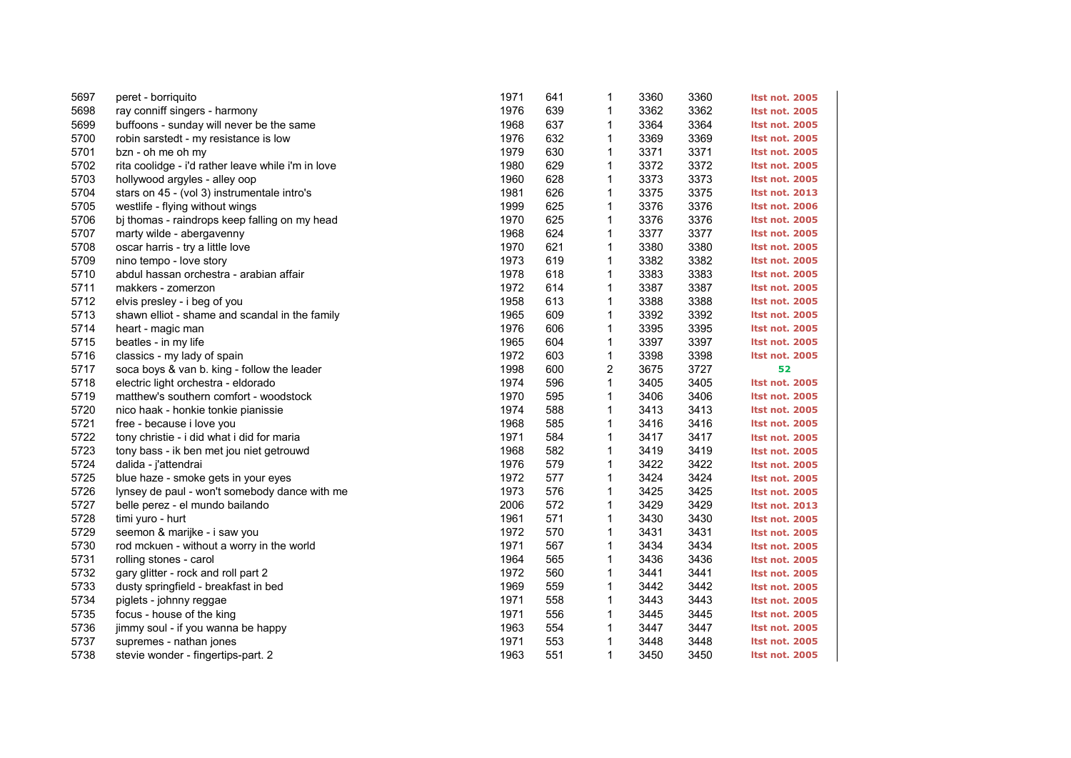| 5697 | peret - borriquito                                 | 1971 | 641 | 1              | 3360 | 3360 | <b>Itst not. 2005</b> |
|------|----------------------------------------------------|------|-----|----------------|------|------|-----------------------|
| 5698 | ray conniff singers - harmony                      | 1976 | 639 | 1              | 3362 | 3362 | <b>Itst not. 2005</b> |
| 5699 | buffoons - sunday will never be the same           | 1968 | 637 | 1              | 3364 | 3364 | <b>Itst not. 2005</b> |
| 5700 | robin sarstedt - my resistance is low              | 1976 | 632 | 1              | 3369 | 3369 | <b>Itst not. 2005</b> |
| 5701 | bzn - oh me oh my                                  | 1979 | 630 | 1              | 3371 | 3371 | <b>Itst not. 2005</b> |
| 5702 | rita coolidge - i'd rather leave while i'm in love | 1980 | 629 | $\mathbf{1}$   | 3372 | 3372 | <b>Itst not. 2005</b> |
| 5703 | hollywood argyles - alley oop                      | 1960 | 628 | $\mathbf{1}$   | 3373 | 3373 | <b>Itst not. 2005</b> |
| 5704 | stars on 45 - (vol 3) instrumentale intro's        | 1981 | 626 | 1              | 3375 | 3375 | <b>Itst not. 2013</b> |
| 5705 | westlife - flying without wings                    | 1999 | 625 | $\mathbf{1}$   | 3376 | 3376 | <b>Itst not. 2006</b> |
| 5706 | bj thomas - raindrops keep falling on my head      | 1970 | 625 | $\mathbf{1}$   | 3376 | 3376 | <b>Itst not. 2005</b> |
| 5707 | marty wilde - abergavenny                          | 1968 | 624 | $\mathbf{1}$   | 3377 | 3377 | <b>Itst not. 2005</b> |
| 5708 | oscar harris - try a little love                   | 1970 | 621 | $\mathbf{1}$   | 3380 | 3380 | <b>Itst not. 2005</b> |
| 5709 | nino tempo - love story                            | 1973 | 619 | $\mathbf{1}$   | 3382 | 3382 | <b>Itst not. 2005</b> |
| 5710 | abdul hassan orchestra - arabian affair            | 1978 | 618 | $\mathbf{1}$   | 3383 | 3383 | <b>Itst not. 2005</b> |
| 5711 | makkers - zomerzon                                 | 1972 | 614 | $\mathbf{1}$   | 3387 | 3387 | <b>Itst not. 2005</b> |
| 5712 | elvis presley - i beg of you                       | 1958 | 613 | $\mathbf{1}$   | 3388 | 3388 | <b>Itst not. 2005</b> |
| 5713 | shawn elliot - shame and scandal in the family     | 1965 | 609 | 1              | 3392 | 3392 | <b>Itst not. 2005</b> |
| 5714 | heart - magic man                                  | 1976 | 606 | $\mathbf{1}$   | 3395 | 3395 | <b>Itst not. 2005</b> |
| 5715 | beatles - in my life                               | 1965 | 604 | $\mathbf{1}$   | 3397 | 3397 | <b>Itst not. 2005</b> |
| 5716 | classics - my lady of spain                        | 1972 | 603 | $\mathbf{1}$   | 3398 | 3398 | <b>Itst not. 2005</b> |
| 5717 | soca boys & van b. king - follow the leader        | 1998 | 600 | $\overline{c}$ | 3675 | 3727 | 52                    |
| 5718 | electric light orchestra - eldorado                | 1974 | 596 | $\mathbf{1}$   | 3405 | 3405 | <b>Itst not. 2005</b> |
| 5719 | matthew's southern comfort - woodstock             | 1970 | 595 | 1              | 3406 | 3406 | <b>Itst not. 2005</b> |
| 5720 | nico haak - honkie tonkie pianissie                | 1974 | 588 | 1              | 3413 | 3413 | <b>Itst not. 2005</b> |
| 5721 | free - because i love you                          | 1968 | 585 | 1              | 3416 | 3416 | <b>Itst not. 2005</b> |
| 5722 | tony christie - i did what i did for maria         | 1971 | 584 | 1              | 3417 | 3417 | <b>Itst not. 2005</b> |
| 5723 | tony bass - ik ben met jou niet getrouwd           | 1968 | 582 | $\mathbf{1}$   | 3419 | 3419 | <b>Itst not. 2005</b> |
| 5724 | dalida - j'attendrai                               | 1976 | 579 | 1              | 3422 | 3422 | <b>Itst not. 2005</b> |
| 5725 | blue haze - smoke gets in your eyes                | 1972 | 577 | $\mathbf{1}$   | 3424 | 3424 | <b>Itst not. 2005</b> |
| 5726 | lynsey de paul - won't somebody dance with me      | 1973 | 576 | 1              | 3425 | 3425 | <b>Itst not. 2005</b> |
| 5727 | belle perez - el mundo bailando                    | 2006 | 572 | $\mathbf 1$    | 3429 | 3429 | <b>Itst not. 2013</b> |
| 5728 | timi yuro - hurt                                   | 1961 | 571 | 1              | 3430 | 3430 | <b>Itst not. 2005</b> |
| 5729 | seemon & marijke - i saw you                       | 1972 | 570 | $\mathbf{1}$   | 3431 | 3431 | <b>Itst not. 2005</b> |
| 5730 | rod mckuen - without a worry in the world          | 1971 | 567 | $\mathbf{1}$   | 3434 | 3434 | <b>Itst not. 2005</b> |
| 5731 | rolling stones - carol                             | 1964 | 565 | 1              | 3436 | 3436 | <b>Itst not. 2005</b> |
| 5732 | gary glitter - rock and roll part 2                | 1972 | 560 | 1              | 3441 | 3441 | <b>Itst not. 2005</b> |
| 5733 | dusty springfield - breakfast in bed               | 1969 | 559 | 1              | 3442 | 3442 | <b>Itst not. 2005</b> |
| 5734 | piglets - johnny reggae                            | 1971 | 558 | $\mathbf{1}$   | 3443 | 3443 | <b>Itst not. 2005</b> |
| 5735 | focus - house of the king                          | 1971 | 556 | 1              | 3445 | 3445 | <b>Itst not. 2005</b> |
| 5736 | jimmy soul - if you wanna be happy                 | 1963 | 554 | 1              | 3447 | 3447 | <b>Itst not. 2005</b> |
| 5737 | supremes - nathan jones                            | 1971 | 553 | 1              | 3448 | 3448 | <b>Itst not. 2005</b> |
| 5738 | stevie wonder - fingertips-part. 2                 | 1963 | 551 | $\mathbf{1}$   | 3450 | 3450 | <b>Itst not. 2005</b> |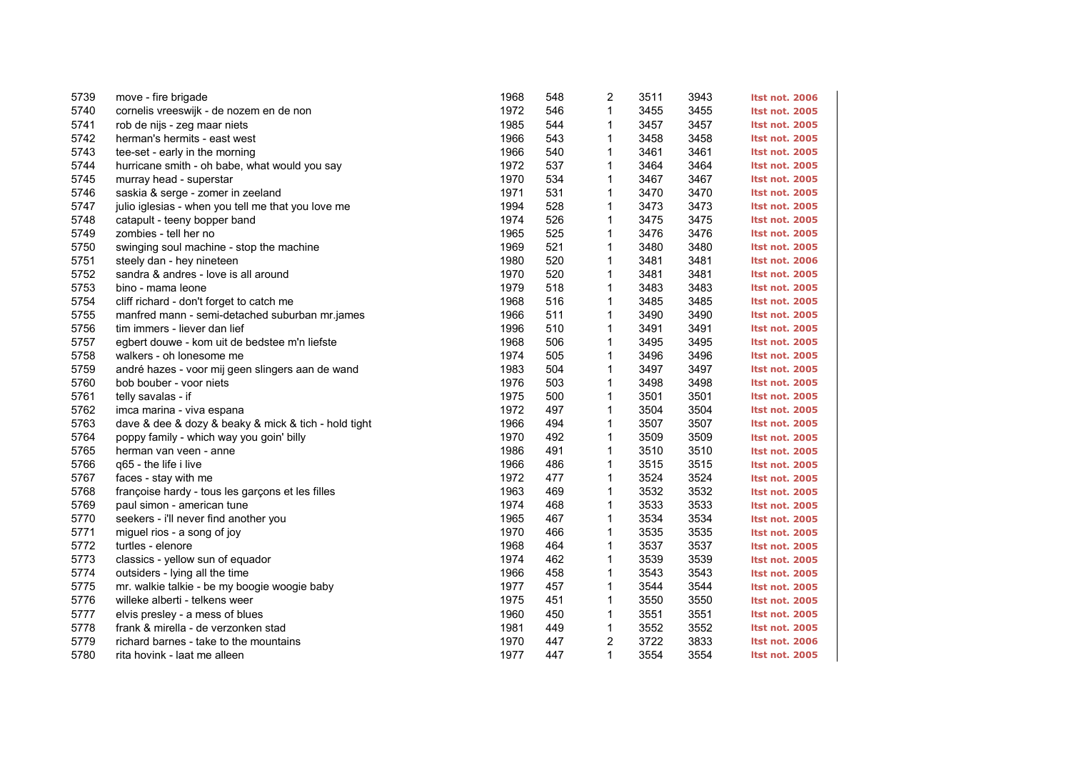| 5739 | move - fire brigade                                  | 1968 | 548 | 2            | 3511 | 3943 | Itst not. 2006        |
|------|------------------------------------------------------|------|-----|--------------|------|------|-----------------------|
| 5740 | cornelis vreeswijk - de nozem en de non              | 1972 | 546 | $\mathbf{1}$ | 3455 | 3455 | <b>Itst not. 2005</b> |
| 5741 | rob de nijs - zeg maar niets                         | 1985 | 544 | 1            | 3457 | 3457 | <b>Itst not. 2005</b> |
| 5742 | herman's hermits - east west                         | 1966 | 543 | 1            | 3458 | 3458 | <b>Itst not. 2005</b> |
| 5743 | tee-set - early in the morning                       | 1966 | 540 | 1            | 3461 | 3461 | <b>Itst not. 2005</b> |
| 5744 | hurricane smith - oh babe, what would you say        | 1972 | 537 | 1            | 3464 | 3464 | <b>Itst not. 2005</b> |
| 5745 | murray head - superstar                              | 1970 | 534 | 1            | 3467 | 3467 | <b>Itst not. 2005</b> |
| 5746 | saskia & serge - zomer in zeeland                    | 1971 | 531 | 1            | 3470 | 3470 | <b>Itst not. 2005</b> |
| 5747 | julio iglesias - when you tell me that you love me   | 1994 | 528 | 1            | 3473 | 3473 | <b>Itst not. 2005</b> |
| 5748 | catapult - teeny bopper band                         | 1974 | 526 | $\mathbf 1$  | 3475 | 3475 | <b>Itst not. 2005</b> |
| 5749 | zombies - tell her no                                | 1965 | 525 | $\mathbf{1}$ | 3476 | 3476 | <b>Itst not. 2005</b> |
| 5750 | swinging soul machine - stop the machine             | 1969 | 521 | 1            | 3480 | 3480 | <b>Itst not. 2005</b> |
| 5751 | steely dan - hey nineteen                            | 1980 | 520 | 1            | 3481 | 3481 | <b>Itst not. 2006</b> |
| 5752 | sandra & andres - love is all around                 | 1970 | 520 | 1            | 3481 | 3481 | <b>Itst not. 2005</b> |
| 5753 | bino - mama leone                                    | 1979 | 518 | $\mathbf{1}$ | 3483 | 3483 | <b>Itst not. 2005</b> |
| 5754 | cliff richard - don't forget to catch me             | 1968 | 516 | $\mathbf{1}$ | 3485 | 3485 | <b>Itst not. 2005</b> |
| 5755 | manfred mann - semi-detached suburban mr.james       | 1966 | 511 | 1            | 3490 | 3490 | <b>Itst not. 2005</b> |
| 5756 | tim immers - liever dan lief                         | 1996 | 510 | 1            | 3491 | 3491 | <b>Itst not. 2005</b> |
| 5757 | egbert douwe - kom uit de bedstee m'n liefste        | 1968 | 506 | $\mathbf 1$  | 3495 | 3495 | <b>Itst not. 2005</b> |
| 5758 | walkers - oh lonesome me                             | 1974 | 505 | $\mathbf{1}$ | 3496 | 3496 | <b>Itst not. 2005</b> |
| 5759 | andré hazes - voor mij geen slingers aan de wand     | 1983 | 504 | 1            | 3497 | 3497 | <b>Itst not. 2005</b> |
| 5760 | bob bouber - voor niets                              | 1976 | 503 | 1            | 3498 | 3498 | <b>Itst not. 2005</b> |
| 5761 | telly savalas - if                                   | 1975 | 500 | 1            | 3501 | 3501 | <b>Itst not. 2005</b> |
| 5762 | imca marina - viva espana                            | 1972 | 497 | $\mathbf{1}$ | 3504 | 3504 | <b>Itst not. 2005</b> |
| 5763 | dave & dee & dozy & beaky & mick & tich - hold tight | 1966 | 494 | $\mathbf{1}$ | 3507 | 3507 | <b>Itst not. 2005</b> |
| 5764 | poppy family - which way you goin' billy             | 1970 | 492 | 1            | 3509 | 3509 | <b>Itst not. 2005</b> |
| 5765 | herman van veen - anne                               | 1986 | 491 | 1            | 3510 | 3510 | <b>Itst not. 2005</b> |
| 5766 | q65 - the life i live                                | 1966 | 486 | 1            | 3515 | 3515 | <b>Itst not. 2005</b> |
| 5767 | faces - stay with me                                 | 1972 | 477 | $\mathbf{1}$ | 3524 | 3524 | <b>Itst not. 2005</b> |
| 5768 | françoise hardy - tous les garçons et les filles     | 1963 | 469 | $\mathbf{1}$ | 3532 | 3532 | <b>Itst not. 2005</b> |
| 5769 | paul simon - american tune                           | 1974 | 468 | 1            | 3533 | 3533 | <b>Itst not. 2005</b> |
| 5770 | seekers - i'll never find another you                | 1965 | 467 | $\mathbf{1}$ | 3534 | 3534 | <b>Itst not. 2005</b> |
| 5771 | miguel rios - a song of joy                          | 1970 | 466 | $\mathbf{1}$ | 3535 | 3535 | <b>Itst not. 2005</b> |
| 5772 | turtles - elenore                                    | 1968 | 464 | $\mathbf{1}$ | 3537 | 3537 | <b>Itst not. 2005</b> |
| 5773 | classics - yellow sun of equador                     | 1974 | 462 | 1            | 3539 | 3539 | <b>Itst not. 2005</b> |
| 5774 | outsiders - lying all the time                       | 1966 | 458 | 1            | 3543 | 3543 | <b>Itst not. 2005</b> |
| 5775 | mr. walkie talkie - be my boogie woogie baby         | 1977 | 457 | 1            | 3544 | 3544 | <b>Itst not. 2005</b> |
| 5776 | willeke alberti - telkens weer                       | 1975 | 451 | $\mathbf{1}$ | 3550 | 3550 | <b>Itst not. 2005</b> |
| 5777 | elvis presley - a mess of blues                      | 1960 | 450 | $\mathbf{1}$ | 3551 | 3551 | <b>Itst not. 2005</b> |
| 5778 | frank & mirella - de verzonken stad                  | 1981 | 449 | 1            | 3552 | 3552 | <b>Itst not. 2005</b> |
| 5779 | richard barnes - take to the mountains               | 1970 | 447 | 2            | 3722 | 3833 | <b>Itst not. 2006</b> |
| 5780 | rita hovink - laat me alleen                         | 1977 | 447 | $\mathbf{1}$ | 3554 | 3554 | <b>Itst not. 2005</b> |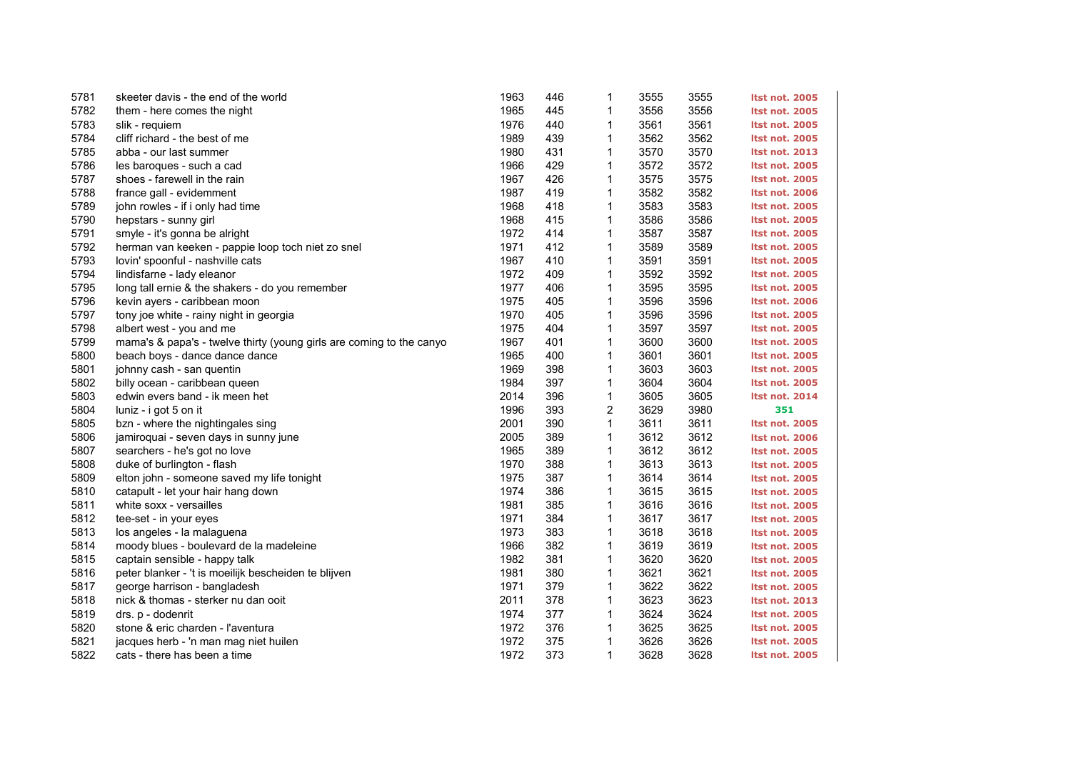| 5781 | skeeter davis - the end of the world                                 | 1963 | 446 | 1            | 3555 | 3555 | <b>Itst not. 2005</b> |
|------|----------------------------------------------------------------------|------|-----|--------------|------|------|-----------------------|
| 5782 | them - here comes the night                                          | 1965 | 445 | 1            | 3556 | 3556 | <b>Itst not. 2005</b> |
| 5783 | slik - requiem                                                       | 1976 | 440 | 1            | 3561 | 3561 | <b>Itst not. 2005</b> |
| 5784 | cliff richard - the best of me                                       | 1989 | 439 | 1            | 3562 | 3562 | <b>Itst not. 2005</b> |
| 5785 | abba - our last summer                                               | 1980 | 431 | 1            | 3570 | 3570 | <b>Itst not. 2013</b> |
| 5786 | les baroques - such a cad                                            | 1966 | 429 | $\mathbf{1}$ | 3572 | 3572 | <b>Itst not. 2005</b> |
| 5787 | shoes - farewell in the rain                                         | 1967 | 426 | 1            | 3575 | 3575 | <b>Itst not. 2005</b> |
| 5788 | france gall - evidemment                                             | 1987 | 419 | 1            | 3582 | 3582 | <b>Itst not. 2006</b> |
| 5789 | john rowles - if i only had time                                     | 1968 | 418 | 1            | 3583 | 3583 | <b>Itst not. 2005</b> |
| 5790 | hepstars - sunny girl                                                | 1968 | 415 | 1            | 3586 | 3586 | <b>Itst not. 2005</b> |
| 5791 | smyle - it's gonna be alright                                        | 1972 | 414 | $\mathbf{1}$ | 3587 | 3587 | <b>Itst not. 2005</b> |
| 5792 | herman van keeken - pappie loop toch niet zo snel                    | 1971 | 412 | 1            | 3589 | 3589 | <b>Itst not. 2005</b> |
| 5793 | lovin' spoonful - nashville cats                                     | 1967 | 410 | 1            | 3591 | 3591 | <b>Itst not. 2005</b> |
| 5794 | lindisfarne - lady eleanor                                           | 1972 | 409 | 1            | 3592 | 3592 | <b>Itst not. 2005</b> |
| 5795 | long tall ernie & the shakers - do you remember                      | 1977 | 406 | 1            | 3595 | 3595 | <b>Itst not. 2005</b> |
| 5796 | kevin ayers - caribbean moon                                         | 1975 | 405 | 1            | 3596 | 3596 | <b>Itst not. 2006</b> |
| 5797 | tony joe white - rainy night in georgia                              | 1970 | 405 | 1            | 3596 | 3596 | <b>Itst not. 2005</b> |
| 5798 | albert west - you and me                                             | 1975 | 404 | 1            | 3597 | 3597 | <b>Itst not. 2005</b> |
| 5799 | mama's & papa's - twelve thirty (young girls are coming to the canyo | 1967 | 401 | 1            | 3600 | 3600 | <b>Itst not. 2005</b> |
| 5800 | beach boys - dance dance dance                                       | 1965 | 400 | $\mathbf{1}$ | 3601 | 3601 | <b>Itst not. 2005</b> |
| 5801 | johnny cash - san quentin                                            | 1969 | 398 | 1            | 3603 | 3603 | <b>Itst not. 2005</b> |
| 5802 | billy ocean - caribbean queen                                        | 1984 | 397 | 1            | 3604 | 3604 | <b>Itst not. 2005</b> |
| 5803 | edwin evers band - ik meen het                                       | 2014 | 396 | 1            | 3605 | 3605 | <b>Itst not. 2014</b> |
| 5804 | luniz - i got 5 on it                                                | 1996 | 393 | 2            | 3629 | 3980 | 351                   |
| 5805 | bzn - where the nightingales sing                                    | 2001 | 390 | 1            | 3611 | 3611 | <b>Itst not. 2005</b> |
| 5806 | jamiroquai - seven days in sunny june                                | 2005 | 389 | 1            | 3612 | 3612 | <b>Itst not. 2006</b> |
| 5807 | searchers - he's got no love                                         | 1965 | 389 | 1            | 3612 | 3612 | <b>Itst not. 2005</b> |
| 5808 | duke of burlington - flash                                           | 1970 | 388 | 1            | 3613 | 3613 | <b>Itst not. 2005</b> |
| 5809 | elton john - someone saved my life tonight                           | 1975 | 387 | $\mathbf{1}$ | 3614 | 3614 | <b>Itst not. 2005</b> |
| 5810 | catapult - let your hair hang down                                   | 1974 | 386 | 1            | 3615 | 3615 | <b>Itst not. 2005</b> |
| 5811 | white soxx - versailles                                              | 1981 | 385 | 1            | 3616 | 3616 | <b>Itst not. 2005</b> |
| 5812 | tee-set - in your eyes                                               | 1971 | 384 | 1            | 3617 | 3617 | <b>Itst not. 2005</b> |
| 5813 | los angeles - la malaguena                                           | 1973 | 383 | 1            | 3618 | 3618 | <b>Itst not. 2005</b> |
| 5814 | moody blues - boulevard de la madeleine                              | 1966 | 382 | 1            | 3619 | 3619 | <b>Itst not. 2005</b> |
| 5815 | captain sensible - happy talk                                        | 1982 | 381 | 1            | 3620 | 3620 | <b>Itst not. 2005</b> |
| 5816 | peter blanker - 't is moeilijk bescheiden te blijven                 | 1981 | 380 | 1            | 3621 | 3621 | <b>Itst not. 2005</b> |
| 5817 | george harrison - bangladesh                                         | 1971 | 379 | 1            | 3622 | 3622 | <b>Itst not. 2005</b> |
| 5818 | nick & thomas - sterker nu dan ooit                                  | 2011 | 378 | $\mathbf{1}$ | 3623 | 3623 | <b>Itst not. 2013</b> |
| 5819 | drs. p - dodenrit                                                    | 1974 | 377 | 1            | 3624 | 3624 | <b>Itst not. 2005</b> |
| 5820 | stone & eric charden - l'aventura                                    | 1972 | 376 | 1            | 3625 | 3625 | <b>Itst not. 2005</b> |
| 5821 | jacques herb - 'n man mag niet huilen                                | 1972 | 375 | 1            | 3626 | 3626 | <b>Itst not. 2005</b> |
| 5822 | cats - there has been a time                                         | 1972 | 373 | 1            | 3628 | 3628 | <b>Itst not. 2005</b> |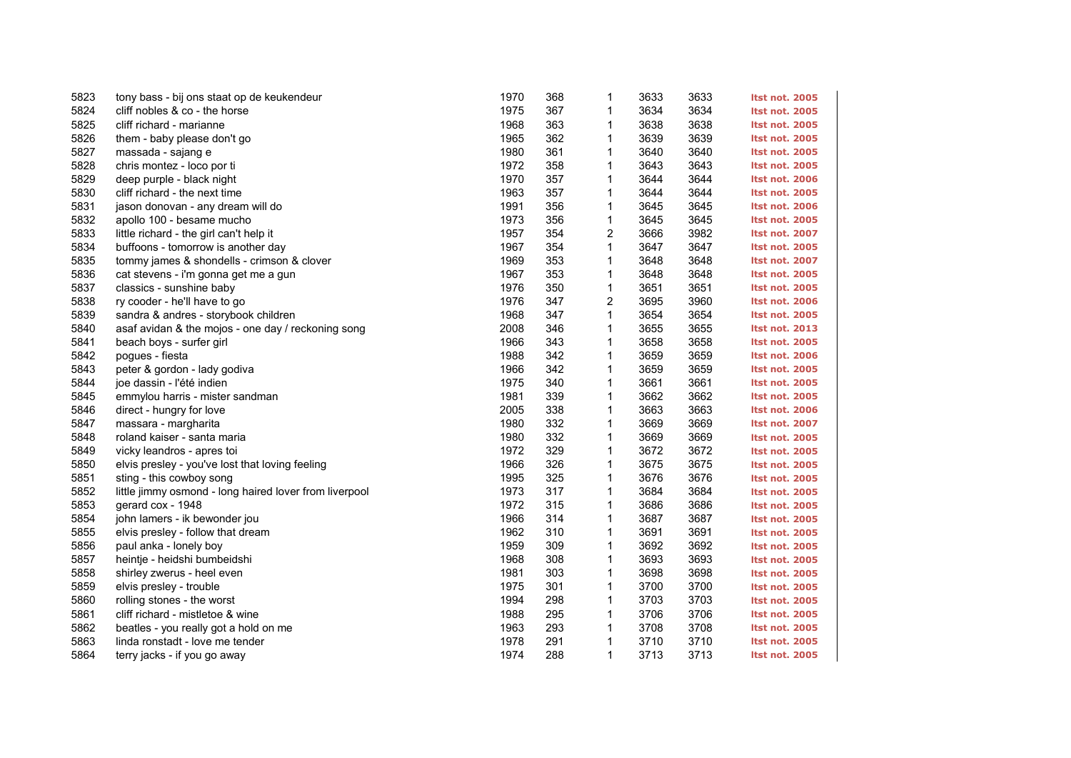| 5823 | tony bass - bij ons staat op de keukendeur             | 1970 | 368 | $\mathbf 1$  | 3633 | 3633 | <b>Itst not. 2005</b> |
|------|--------------------------------------------------------|------|-----|--------------|------|------|-----------------------|
| 5824 | cliff nobles & co - the horse                          | 1975 | 367 | 1            | 3634 | 3634 | <b>Itst not. 2005</b> |
| 5825 | cliff richard - marianne                               | 1968 | 363 | 1            | 3638 | 3638 | <b>Itst not. 2005</b> |
| 5826 | them - baby please don't go                            | 1965 | 362 | 1            | 3639 | 3639 | <b>Itst not. 2005</b> |
| 5827 | massada - sajang e                                     | 1980 | 361 | 1            | 3640 | 3640 | <b>Itst not. 2005</b> |
| 5828 | chris montez - loco por ti                             | 1972 | 358 | 1            | 3643 | 3643 | <b>Itst not. 2005</b> |
| 5829 | deep purple - black night                              | 1970 | 357 | 1            | 3644 | 3644 | <b>Itst not. 2006</b> |
| 5830 | cliff richard - the next time                          | 1963 | 357 | 1            | 3644 | 3644 | <b>Itst not. 2005</b> |
| 5831 | jason donovan - any dream will do                      | 1991 | 356 | 1            | 3645 | 3645 | <b>Itst not. 2006</b> |
| 5832 | apollo 100 - besame mucho                              | 1973 | 356 | 1            | 3645 | 3645 | <b>Itst not. 2005</b> |
| 5833 | little richard - the girl can't help it                | 1957 | 354 | 2            | 3666 | 3982 | <b>Itst not. 2007</b> |
| 5834 | buffoons - tomorrow is another day                     | 1967 | 354 | 1            | 3647 | 3647 | <b>Itst not. 2005</b> |
| 5835 | tommy james & shondells - crimson & clover             | 1969 | 353 | 1            | 3648 | 3648 | <b>Itst not. 2007</b> |
| 5836 | cat stevens - i'm gonna get me a gun                   | 1967 | 353 | 1            | 3648 | 3648 | <b>Itst not. 2005</b> |
| 5837 | classics - sunshine baby                               | 1976 | 350 | 1            | 3651 | 3651 | <b>Itst not. 2005</b> |
| 5838 | ry cooder - he'll have to go                           | 1976 | 347 | 2            | 3695 | 3960 | <b>Itst not. 2006</b> |
| 5839 | sandra & andres - storybook children                   | 1968 | 347 | 1            | 3654 | 3654 | <b>Itst not. 2005</b> |
| 5840 | asaf avidan & the mojos - one day / reckoning song     | 2008 | 346 | 1            | 3655 | 3655 | <b>Itst not. 2013</b> |
| 5841 | beach boys - surfer girl                               | 1966 | 343 | 1            | 3658 | 3658 | <b>Itst not. 2005</b> |
| 5842 | pogues - fiesta                                        | 1988 | 342 | 1            | 3659 | 3659 | <b>Itst not. 2006</b> |
| 5843 | peter & gordon - lady godiva                           | 1966 | 342 | 1            | 3659 | 3659 | <b>Itst not. 2005</b> |
| 5844 | joe dassin - l'été indien                              | 1975 | 340 | 1            | 3661 | 3661 | <b>Itst not. 2005</b> |
| 5845 | emmylou harris - mister sandman                        | 1981 | 339 | 1            | 3662 | 3662 | <b>Itst not. 2005</b> |
| 5846 | direct - hungry for love                               | 2005 | 338 | 1            | 3663 | 3663 | <b>Itst not. 2006</b> |
| 5847 | massara - margharita                                   | 1980 | 332 | 1            | 3669 | 3669 | <b>Itst not. 2007</b> |
| 5848 | roland kaiser - santa maria                            | 1980 | 332 | 1            | 3669 | 3669 | <b>Itst not. 2005</b> |
| 5849 | vicky leandros - apres toi                             | 1972 | 329 | 1            | 3672 | 3672 | <b>Itst not. 2005</b> |
| 5850 | elvis presley - you've lost that loving feeling        | 1966 | 326 | $\mathbf 1$  | 3675 | 3675 | <b>Itst not. 2005</b> |
| 5851 | sting - this cowboy song                               | 1995 | 325 | $\mathbf{1}$ | 3676 | 3676 | <b>Itst not. 2005</b> |
| 5852 | little jimmy osmond - long haired lover from liverpool | 1973 | 317 | 1            | 3684 | 3684 | <b>Itst not. 2005</b> |
| 5853 | gerard cox - 1948                                      | 1972 | 315 | 1            | 3686 | 3686 | <b>Itst not. 2005</b> |
| 5854 | john lamers - ik bewonder jou                          | 1966 | 314 | 1            | 3687 | 3687 | <b>Itst not. 2005</b> |
| 5855 | elvis presley - follow that dream                      | 1962 | 310 | 1            | 3691 | 3691 | <b>Itst not. 2005</b> |
| 5856 | paul anka - lonely boy                                 | 1959 | 309 | 1            | 3692 | 3692 | <b>Itst not. 2005</b> |
| 5857 | heintje - heidshi bumbeidshi                           | 1968 | 308 | 1            | 3693 | 3693 | <b>Itst not. 2005</b> |
| 5858 | shirley zwerus - heel even                             | 1981 | 303 | 1            | 3698 | 3698 | <b>Itst not. 2005</b> |
| 5859 | elvis presley - trouble                                | 1975 | 301 | $\mathbf 1$  | 3700 | 3700 | <b>Itst not. 2005</b> |
| 5860 | rolling stones - the worst                             | 1994 | 298 | 1            | 3703 | 3703 | <b>Itst not. 2005</b> |
| 5861 | cliff richard - mistletoe & wine                       | 1988 | 295 | 1            | 3706 | 3706 | <b>Itst not. 2005</b> |
| 5862 | beatles - you really got a hold on me                  | 1963 | 293 | 1            | 3708 | 3708 | <b>Itst not. 2005</b> |
| 5863 | linda ronstadt - love me tender                        | 1978 | 291 | $\mathbf 1$  | 3710 | 3710 | <b>Itst not. 2005</b> |
| 5864 | terry jacks - if you go away                           | 1974 | 288 | 1            | 3713 | 3713 | <b>Itst not. 2005</b> |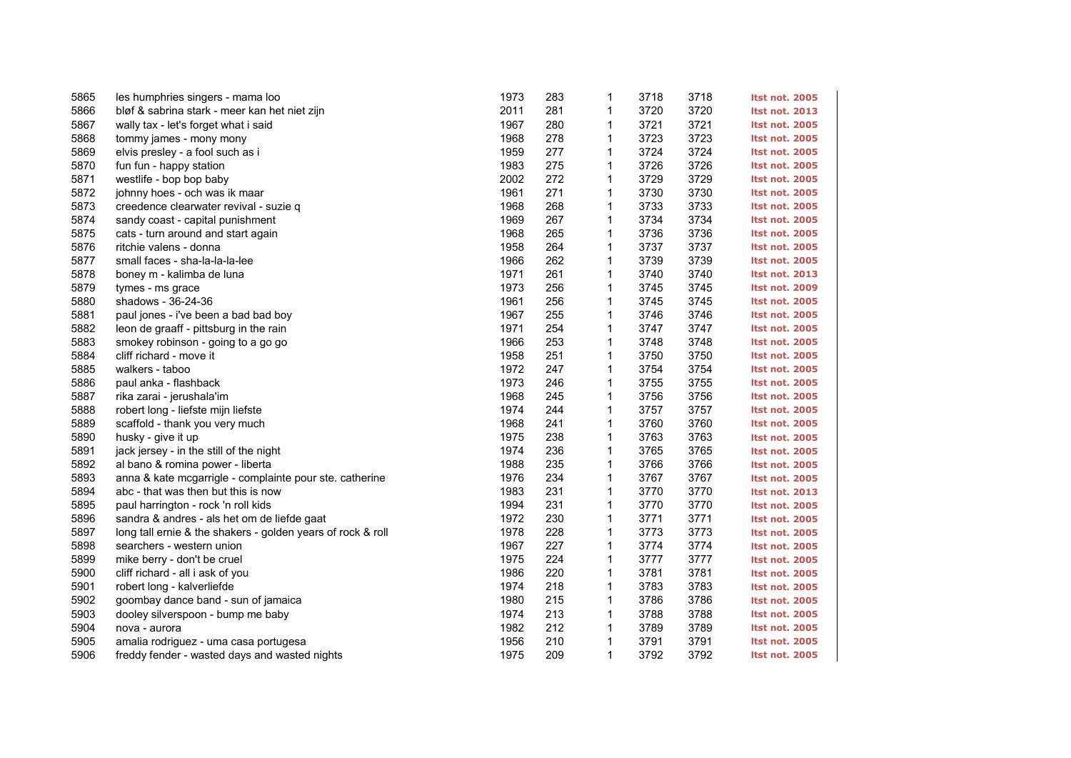| 5865 | les humphries singers - mama loo                            | 1973 | 283 | 1            | 3718 | 3718 | <b>Itst not. 2005</b> |
|------|-------------------------------------------------------------|------|-----|--------------|------|------|-----------------------|
| 5866 | bløf & sabrina stark - meer kan het niet zijn               | 2011 | 281 | $\mathbf{1}$ | 3720 | 3720 | <b>Itst not. 2013</b> |
| 5867 | wally tax - let's forget what i said                        | 1967 | 280 | 1            | 3721 | 3721 | <b>Itst not. 2005</b> |
| 5868 | tommy james - mony mony                                     | 1968 | 278 | 1            | 3723 | 3723 | <b>Itst not. 2005</b> |
| 5869 | elvis presley - a fool such as i                            | 1959 | 277 | 1            | 3724 | 3724 | <b>Itst not. 2005</b> |
| 5870 | fun fun - happy station                                     | 1983 | 275 | $\mathbf{1}$ | 3726 | 3726 | <b>Itst not. 2005</b> |
| 5871 | westlife - bop bop baby                                     | 2002 | 272 | 1            | 3729 | 3729 | <b>Itst not. 2005</b> |
| 5872 | johnny hoes - och was ik maar                               | 1961 | 271 | 1            | 3730 | 3730 | <b>Itst not. 2005</b> |
| 5873 | creedence clearwater revival - suzie q                      | 1968 | 268 | 1            | 3733 | 3733 | <b>Itst not. 2005</b> |
| 5874 | sandy coast - capital punishment                            | 1969 | 267 | $\mathbf{1}$ | 3734 | 3734 | <b>Itst not. 2005</b> |
| 5875 | cats - turn around and start again                          | 1968 | 265 | $\mathbf{1}$ | 3736 | 3736 | <b>Itst not. 2005</b> |
| 5876 | ritchie valens - donna                                      | 1958 | 264 | 1            | 3737 | 3737 | <b>Itst not. 2005</b> |
| 5877 | small faces - sha-la-la-la-lee                              | 1966 | 262 | $\mathbf{1}$ | 3739 | 3739 | <b>Itst not. 2005</b> |
| 5878 | boney m - kalimba de luna                                   | 1971 | 261 | 1            | 3740 | 3740 | <b>Itst not. 2013</b> |
| 5879 | tymes - ms grace                                            | 1973 | 256 | $\mathbf{1}$ | 3745 | 3745 | <b>Itst not. 2009</b> |
| 5880 | shadows - 36-24-36                                          | 1961 | 256 | 1            | 3745 | 3745 | <b>Itst not. 2005</b> |
| 5881 | paul jones - i've been a bad bad boy                        | 1967 | 255 | 1            | 3746 | 3746 | <b>Itst not. 2005</b> |
| 5882 | leon de graaff - pittsburg in the rain                      | 1971 | 254 | 1            | 3747 | 3747 | <b>Itst not. 2005</b> |
| 5883 | smokey robinson - going to a go go                          | 1966 | 253 | 1            | 3748 | 3748 | <b>Itst not. 2005</b> |
| 5884 | cliff richard - move it                                     | 1958 | 251 | $\mathbf{1}$ | 3750 | 3750 | <b>Itst not. 2005</b> |
| 5885 | walkers - taboo                                             | 1972 | 247 | 1            | 3754 | 3754 | <b>Itst not. 2005</b> |
| 5886 | paul anka - flashback                                       | 1973 | 246 | 1            | 3755 | 3755 | <b>Itst not. 2005</b> |
| 5887 | rika zarai - jerushala'im                                   | 1968 | 245 | 1            | 3756 | 3756 | <b>Itst not. 2005</b> |
| 5888 | robert long - liefste mijn liefste                          | 1974 | 244 | $\mathbf{1}$ | 3757 | 3757 | <b>Itst not. 2005</b> |
| 5889 | scaffold - thank you very much                              | 1968 | 241 | 1            | 3760 | 3760 | <b>Itst not. 2005</b> |
| 5890 | husky - give it up                                          | 1975 | 238 | 1            | 3763 | 3763 | <b>Itst not. 2005</b> |
| 5891 | jack jersey - in the still of the night                     | 1974 | 236 | 1            | 3765 | 3765 | <b>Itst not. 2005</b> |
| 5892 | al bano & romina power - liberta                            | 1988 | 235 | 1            | 3766 | 3766 | <b>Itst not. 2005</b> |
| 5893 | anna & kate mcgarrigle - complainte pour ste. catherine     | 1976 | 234 | $\mathbf{1}$ | 3767 | 3767 | <b>Itst not. 2005</b> |
| 5894 | abc - that was then but this is now                         | 1983 | 231 | 1            | 3770 | 3770 | <b>Itst not. 2013</b> |
| 5895 | paul harrington - rock 'n roll kids                         | 1994 | 231 | 1            | 3770 | 3770 | <b>Itst not. 2005</b> |
| 5896 | sandra & andres - als het om de liefde gaat                 | 1972 | 230 | 1            | 3771 | 3771 | <b>Itst not. 2005</b> |
| 5897 | long tall ernie & the shakers - golden years of rock & roll | 1978 | 228 | 1            | 3773 | 3773 | <b>Itst not. 2005</b> |
| 5898 | searchers - western union                                   | 1967 | 227 | $\mathbf{1}$ | 3774 | 3774 | <b>Itst not. 2005</b> |
| 5899 | mike berry - don't be cruel                                 | 1975 | 224 | 1            | 3777 | 3777 | <b>Itst not. 2005</b> |
| 5900 | cliff richard - all i ask of you                            | 1986 | 220 | 1            | 3781 | 3781 | <b>Itst not. 2005</b> |
| 5901 | robert long - kalverliefde                                  | 1974 | 218 | 1            | 3783 | 3783 | <b>Itst not. 2005</b> |
| 5902 | goombay dance band - sun of jamaica                         | 1980 | 215 | $\mathbf{1}$ | 3786 | 3786 | <b>Itst not. 2005</b> |
| 5903 | dooley silverspoon - bump me baby                           | 1974 | 213 | 1            | 3788 | 3788 | <b>Itst not. 2005</b> |
| 5904 | nova - aurora                                               | 1982 | 212 | 1            | 3789 | 3789 | <b>Itst not. 2005</b> |
| 5905 | amalia rodriguez - uma casa portugesa                       | 1956 | 210 | 1            | 3791 | 3791 | <b>Itst not. 2005</b> |
| 5906 | freddy fender - wasted days and wasted nights               | 1975 | 209 | 1            | 3792 | 3792 | <b>Itst not. 2005</b> |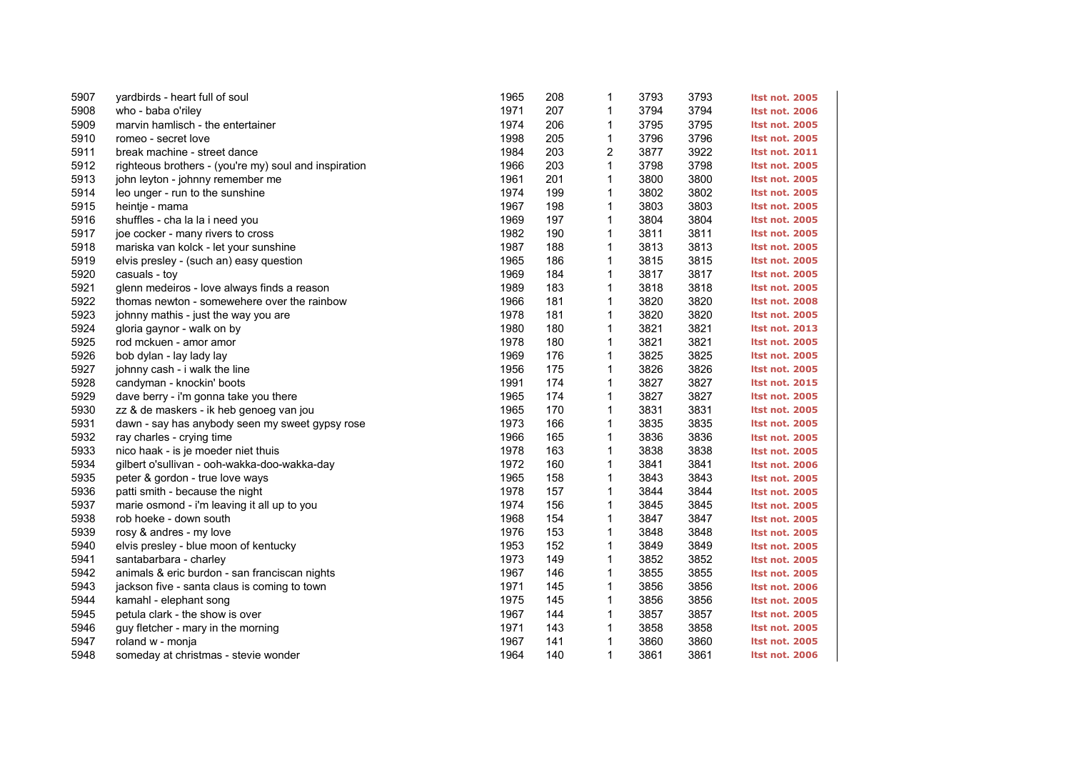| 5907 | yardbirds - heart full of soul                        | 1965 | 208 | 1            | 3793 | 3793 | <b>Itst not. 2005</b> |
|------|-------------------------------------------------------|------|-----|--------------|------|------|-----------------------|
| 5908 | who - baba o'riley                                    | 1971 | 207 | 1            | 3794 | 3794 | <b>Itst not. 2006</b> |
| 5909 | marvin hamlisch - the entertainer                     | 1974 | 206 | 1            | 3795 | 3795 | <b>Itst not. 2005</b> |
| 5910 | romeo - secret love                                   | 1998 | 205 | 1            | 3796 | 3796 | <b>Itst not. 2005</b> |
| 5911 | break machine - street dance                          | 1984 | 203 | 2            | 3877 | 3922 | <b>Itst not. 2011</b> |
| 5912 | righteous brothers - (you're my) soul and inspiration | 1966 | 203 | $\mathbf{1}$ | 3798 | 3798 | <b>Itst not. 2005</b> |
| 5913 | john leyton - johnny remember me                      | 1961 | 201 | $\mathbf{1}$ | 3800 | 3800 | <b>Itst not. 2005</b> |
| 5914 | leo unger - run to the sunshine                       | 1974 | 199 | 1            | 3802 | 3802 | <b>Itst not. 2005</b> |
| 5915 | heintje - mama                                        | 1967 | 198 | 1            | 3803 | 3803 | <b>Itst not. 2005</b> |
| 5916 | shuffles - cha la la i need you                       | 1969 | 197 | 1            | 3804 | 3804 | <b>Itst not. 2005</b> |
| 5917 | joe cocker - many rivers to cross                     | 1982 | 190 | $\mathbf{1}$ | 3811 | 3811 | <b>Itst not. 2005</b> |
| 5918 | mariska van kolck - let your sunshine                 | 1987 | 188 | 1            | 3813 | 3813 | <b>Itst not. 2005</b> |
| 5919 | elvis presley - (such an) easy question               | 1965 | 186 | 1            | 3815 | 3815 | <b>Itst not. 2005</b> |
| 5920 | casuals - toy                                         | 1969 | 184 | $\mathbf{1}$ | 3817 | 3817 | <b>Itst not. 2005</b> |
| 5921 | glenn medeiros - love always finds a reason           | 1989 | 183 | $\mathbf{1}$ | 3818 | 3818 | <b>Itst not. 2005</b> |
| 5922 | thomas newton - somewehere over the rainbow           | 1966 | 181 | $\mathbf{1}$ | 3820 | 3820 | <b>Itst not. 2008</b> |
| 5923 | johnny mathis - just the way you are                  | 1978 | 181 | 1            | 3820 | 3820 | <b>Itst not. 2005</b> |
| 5924 | gloria gaynor - walk on by                            | 1980 | 180 | 1            | 3821 | 3821 | <b>Itst not. 2013</b> |
| 5925 | rod mckuen - amor amor                                | 1978 | 180 | 1            | 3821 | 3821 | <b>Itst not. 2005</b> |
| 5926 | bob dylan - lay lady lay                              | 1969 | 176 | $\mathbf{1}$ | 3825 | 3825 | <b>Itst not. 2005</b> |
| 5927 | johnny cash - i walk the line                         | 1956 | 175 | $\mathbf{1}$ | 3826 | 3826 | <b>Itst not. 2005</b> |
| 5928 | candyman - knockin' boots                             | 1991 | 174 | 1            | 3827 | 3827 | <b>Itst not. 2015</b> |
| 5929 | dave berry - i'm gonna take you there                 | 1965 | 174 | 1            | 3827 | 3827 | <b>Itst not. 2005</b> |
| 5930 | zz & de maskers - ik heb genoeg van jou               | 1965 | 170 | 1            | 3831 | 3831 | <b>Itst not. 2005</b> |
| 5931 | dawn - say has anybody seen my sweet gypsy rose       | 1973 | 166 | 1            | 3835 | 3835 | <b>Itst not. 2005</b> |
| 5932 | ray charles - crying time                             | 1966 | 165 | 1            | 3836 | 3836 | <b>Itst not. 2005</b> |
| 5933 | nico haak - is je moeder niet thuis                   | 1978 | 163 | 1            | 3838 | 3838 | <b>Itst not. 2005</b> |
| 5934 | gilbert o'sullivan - ooh-wakka-doo-wakka-day          | 1972 | 160 | 1            | 3841 | 3841 | <b>Itst not. 2006</b> |
| 5935 | peter & gordon - true love ways                       | 1965 | 158 | $\mathbf{1}$ | 3843 | 3843 | <b>Itst not. 2005</b> |
| 5936 | patti smith - because the night                       | 1978 | 157 | 1            | 3844 | 3844 | <b>Itst not. 2005</b> |
| 5937 | marie osmond - i'm leaving it all up to you           | 1974 | 156 | 1            | 3845 | 3845 | <b>Itst not. 2005</b> |
| 5938 | rob hoeke - down south                                | 1968 | 154 | 1            | 3847 | 3847 | <b>Itst not. 2005</b> |
| 5939 | rosy & andres - my love                               | 1976 | 153 | 1            | 3848 | 3848 | <b>Itst not. 2005</b> |
| 5940 | elvis presley - blue moon of kentucky                 | 1953 | 152 | $\mathbf{1}$ | 3849 | 3849 | <b>Itst not. 2005</b> |
| 5941 | santabarbara - charley                                | 1973 | 149 | 1            | 3852 | 3852 | <b>Itst not. 2005</b> |
| 5942 | animals & eric burdon - san franciscan nights         | 1967 | 146 | 1            | 3855 | 3855 | <b>Itst not. 2005</b> |
| 5943 | jackson five - santa claus is coming to town          | 1971 | 145 | 1            | 3856 | 3856 | <b>Itst not. 2006</b> |
| 5944 | kamahl - elephant song                                | 1975 | 145 | $\mathbf{1}$ | 3856 | 3856 | <b>Itst not. 2005</b> |
| 5945 | petula clark - the show is over                       | 1967 | 144 | 1            | 3857 | 3857 | <b>Itst not. 2005</b> |
| 5946 | guy fletcher - mary in the morning                    | 1971 | 143 | 1            | 3858 | 3858 | <b>Itst not. 2005</b> |
| 5947 | roland w - monja                                      | 1967 | 141 | 1            | 3860 | 3860 | <b>Itst not. 2005</b> |
| 5948 | someday at christmas - stevie wonder                  | 1964 | 140 | $\mathbf{1}$ | 3861 | 3861 | <b>Itst not. 2006</b> |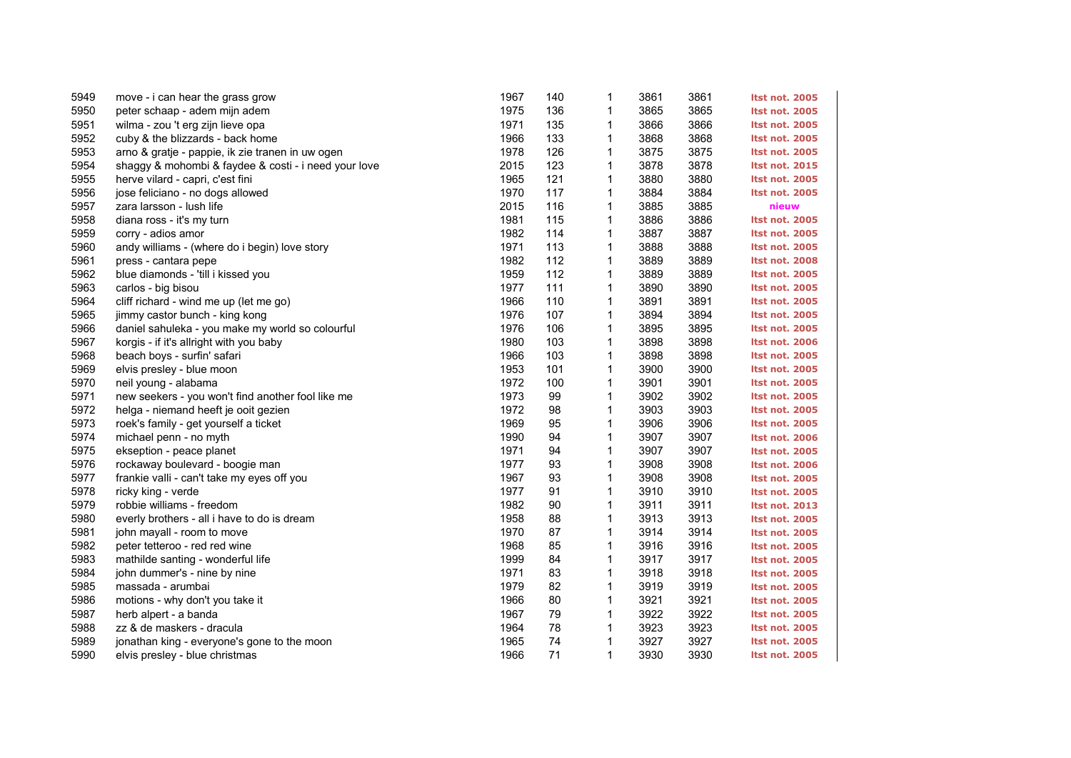| 5949 | move - i can hear the grass grow                     | 1967 | 140 | $\mathbf{1}$ | 3861 | 3861 | <b>Itst not. 2005</b> |
|------|------------------------------------------------------|------|-----|--------------|------|------|-----------------------|
| 5950 | peter schaap - adem mijn adem                        | 1975 | 136 | $\mathbf{1}$ | 3865 | 3865 | <b>Itst not. 2005</b> |
| 5951 | wilma - zou 't erg zijn lieve opa                    | 1971 | 135 | 1            | 3866 | 3866 | <b>Itst not. 2005</b> |
| 5952 | cuby & the blizzards - back home                     | 1966 | 133 | $\mathbf{1}$ | 3868 | 3868 | <b>Itst not. 2005</b> |
| 5953 | arno & gratje - pappie, ik zie tranen in uw ogen     | 1978 | 126 | $\mathbf{1}$ | 3875 | 3875 | <b>Itst not. 2005</b> |
| 5954 | shaggy & mohombi & faydee & costi - i need your love | 2015 | 123 | $\mathbf{1}$ | 3878 | 3878 | <b>Itst not. 2015</b> |
| 5955 | herve vilard - capri, c'est fini                     | 1965 | 121 | $\mathbf 1$  | 3880 | 3880 | <b>Itst not. 2005</b> |
| 5956 | jose feliciano - no dogs allowed                     | 1970 | 117 | $\mathbf 1$  | 3884 | 3884 | <b>Itst not. 2005</b> |
| 5957 | zara larsson - lush life                             | 2015 | 116 | $\mathbf{1}$ | 3885 | 3885 | nieuw                 |
| 5958 | diana ross - it's my turn                            | 1981 | 115 | $\mathbf{1}$ | 3886 | 3886 | <b>Itst not. 2005</b> |
| 5959 | corry - adios amor                                   | 1982 | 114 | $\mathbf{1}$ | 3887 | 3887 | <b>Itst not. 2005</b> |
| 5960 | andy williams - (where do i begin) love story        | 1971 | 113 | 1            | 3888 | 3888 | <b>Itst not. 2005</b> |
| 5961 | press - cantara pepe                                 | 1982 | 112 | $\mathbf{1}$ | 3889 | 3889 | <b>Itst not. 2008</b> |
| 5962 | blue diamonds - 'till i kissed you                   | 1959 | 112 | 1            | 3889 | 3889 | <b>Itst not. 2005</b> |
| 5963 | carlos - big bisou                                   | 1977 | 111 | 1            | 3890 | 3890 | <b>Itst not. 2005</b> |
| 5964 | cliff richard - wind me up (let me go)               | 1966 | 110 | $\mathbf{1}$ | 3891 | 3891 | <b>Itst not. 2005</b> |
| 5965 | jimmy castor bunch - king kong                       | 1976 | 107 | $\mathbf 1$  | 3894 | 3894 | <b>Itst not. 2005</b> |
| 5966 | daniel sahuleka - you make my world so colourful     | 1976 | 106 | $\mathbf{1}$ | 3895 | 3895 | <b>Itst not. 2005</b> |
| 5967 | korgis - if it's allright with you baby              | 1980 | 103 | $\mathbf{1}$ | 3898 | 3898 | <b>Itst not. 2006</b> |
| 5968 | beach boys - surfin' safari                          | 1966 | 103 | 1            | 3898 | 3898 | <b>Itst not. 2005</b> |
| 5969 | elvis presley - blue moon                            | 1953 | 101 | 1            | 3900 | 3900 | <b>Itst not. 2005</b> |
| 5970 | neil young - alabama                                 | 1972 | 100 | $\mathbf 1$  | 3901 | 3901 | <b>Itst not. 2005</b> |
| 5971 | new seekers - you won't find another fool like me    | 1973 | 99  | 1            | 3902 | 3902 | <b>Itst not. 2005</b> |
| 5972 | helga - niemand heeft je ooit gezien                 | 1972 | 98  | 1            | 3903 | 3903 | <b>Itst not. 2005</b> |
| 5973 | roek's family - get yourself a ticket                | 1969 | 95  | $\mathbf{1}$ | 3906 | 3906 | <b>Itst not. 2005</b> |
| 5974 | michael penn - no myth                               | 1990 | 94  | $\mathbf 1$  | 3907 | 3907 | <b>Itst not. 2006</b> |
| 5975 | ekseption - peace planet                             | 1971 | 94  | $\mathbf{1}$ | 3907 | 3907 | <b>Itst not. 2005</b> |
| 5976 | rockaway boulevard - boogie man                      | 1977 | 93  | 1            | 3908 | 3908 | <b>Itst not. 2006</b> |
| 5977 | frankie valli - can't take my eyes off you           | 1967 | 93  | 1            | 3908 | 3908 | <b>Itst not. 2005</b> |
| 5978 | ricky king - verde                                   | 1977 | 91  | $\mathbf{1}$ | 3910 | 3910 | <b>Itst not. 2005</b> |
| 5979 | robbie williams - freedom                            | 1982 | 90  | 1            | 3911 | 3911 | <b>Itst not. 2013</b> |
| 5980 | everly brothers - all i have to do is dream          | 1958 | 88  | 1            | 3913 | 3913 | <b>Itst not. 2005</b> |
| 5981 | john mayall - room to move                           | 1970 | 87  | 1            | 3914 | 3914 | <b>Itst not. 2005</b> |
| 5982 | peter tetteroo - red red wine                        | 1968 | 85  | $\mathbf{1}$ | 3916 | 3916 | <b>Itst not. 2005</b> |
| 5983 | mathilde santing - wonderful life                    | 1999 | 84  | 1            | 3917 | 3917 | <b>Itst not. 2005</b> |
| 5984 | john dummer's - nine by nine                         | 1971 | 83  | $\mathbf 1$  | 3918 | 3918 | <b>Itst not. 2005</b> |
| 5985 | massada - arumbai                                    | 1979 | 82  | 1            | 3919 | 3919 | <b>Itst not. 2005</b> |
| 5986 | motions - why don't you take it                      | 1966 | 80  | 1            | 3921 | 3921 | <b>Itst not. 2005</b> |
| 5987 | herb alpert - a banda                                | 1967 | 79  | 1            | 3922 | 3922 | <b>Itst not. 2005</b> |
| 5988 | zz & de maskers - dracula                            | 1964 | 78  | 1            | 3923 | 3923 | <b>Itst not. 2005</b> |
| 5989 | jonathan king - everyone's gone to the moon          | 1965 | 74  | 1            | 3927 | 3927 | <b>Itst not. 2005</b> |
| 5990 | elvis presley - blue christmas                       | 1966 | 71  | $\mathbf{1}$ | 3930 | 3930 | <b>Itst not. 2005</b> |